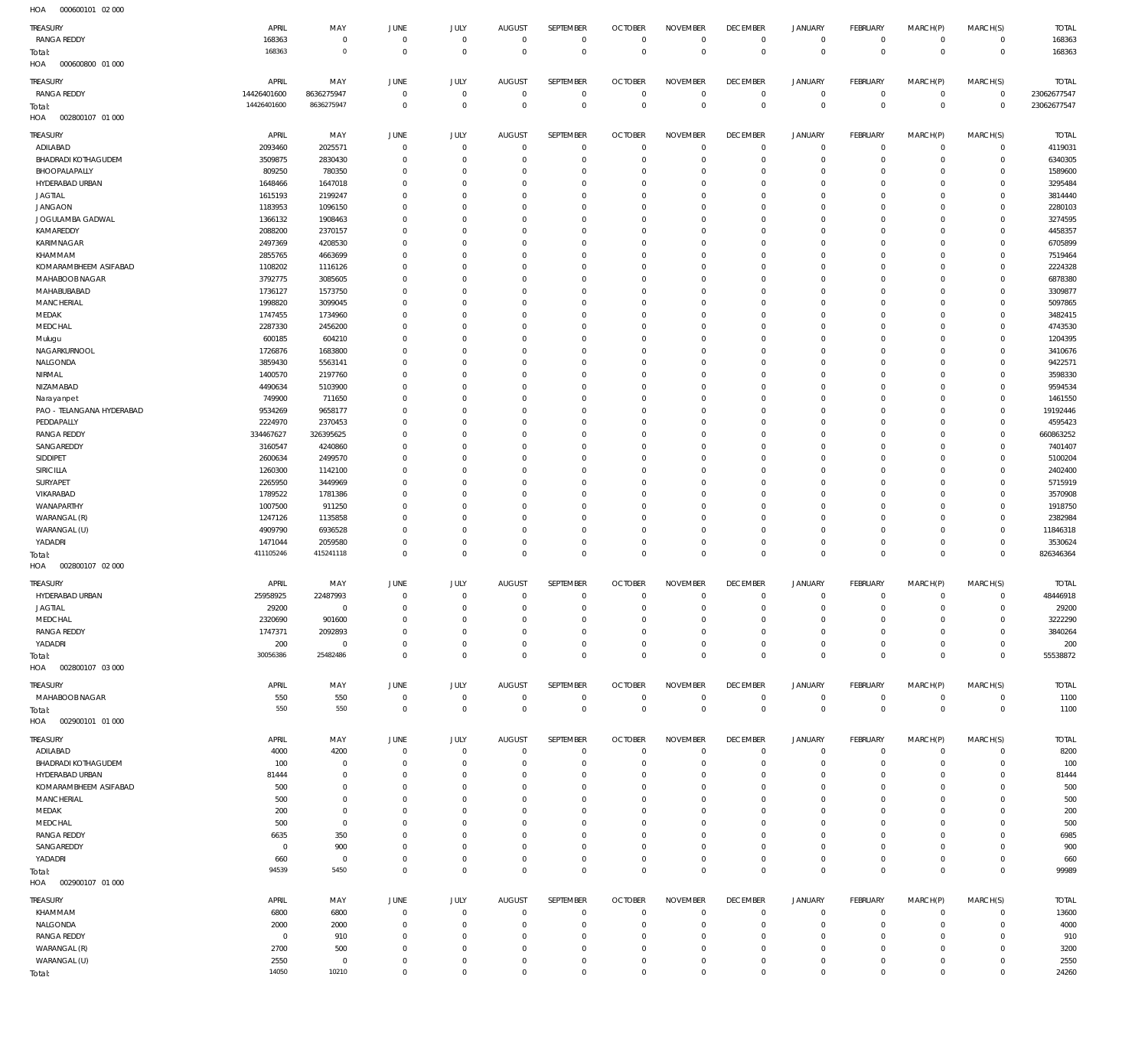000600101 02 000 HOA

| 10.011                     |                |                |                |                |                |                  |                |                 |                 |                |                 |                |                |              |
|----------------------------|----------------|----------------|----------------|----------------|----------------|------------------|----------------|-----------------|-----------------|----------------|-----------------|----------------|----------------|--------------|
| <b>TREASURY</b>            | APRIL          | MAY            | JUNE           | JULY           | <b>AUGUST</b>  | SEPTEMBER        | <b>OCTOBER</b> | <b>NOVEMBER</b> | <b>DECEMBER</b> | <b>JANUARY</b> | <b>FEBRUARY</b> | MARCH(P)       | MARCH(S)       | <b>TOTAL</b> |
| <b>RANGA REDDY</b>         | 168363         | $\mathbf 0$    | $\overline{0}$ | $\mathbf 0$    | $\overline{0}$ | $\mathbf 0$      | $^{\circ}$     | $\mathbf 0$     | $\mathbb O$     | $\mathbf 0$    | $\mathbf 0$     | $\mathbf 0$    | $\circ$        | 168363       |
| Total:                     | 168363         | $\circ$        | $\overline{0}$ | $\mathbf 0$    | $\Omega$       | $\mathbf 0$      | $\overline{0}$ | $\mathbf 0$     | $\mathbf 0$     | $\overline{0}$ | $\overline{0}$  | $\mathbf 0$    | $\mathbf 0$    | 168363       |
| HOA<br>000600800 01 000    |                |                |                |                |                |                  |                |                 |                 |                |                 |                |                |              |
| TREASURY                   | APRIL          | MAY            | JUNE           | <b>JULY</b>    | <b>AUGUST</b>  | <b>SEPTEMBER</b> | <b>OCTOBER</b> | <b>NOVEMBER</b> | <b>DECEMBER</b> | <b>JANUARY</b> | FEBRUARY        | MARCH(P)       | MARCH(S)       | <b>TOTAL</b> |
| <b>RANGA REDDY</b>         | 14426401600    | 8636275947     | 0              | $\overline{0}$ | $\overline{0}$ | $\mathbf 0$      | 0              | $\mathbf 0$     | 0               | 0              | $\overline{0}$  | $\mathbf 0$    | $\overline{0}$ | 23062677547  |
| Total:                     | 14426401600    | 8636275947     | $\overline{0}$ | $\mathbf 0$    | $\Omega$       | $\mathbb O$      | $\overline{0}$ | $\mathbb O$     | $\mathbf 0$     | $\mathbb O$    | $\overline{0}$  | $\mathbf 0$    | $\overline{0}$ | 23062677547  |
| HOA<br>002800107 01 000    |                |                |                |                |                |                  |                |                 |                 |                |                 |                |                |              |
| TREASURY                   | APRIL          | MAY            | JUNE           | <b>JULY</b>    | <b>AUGUST</b>  | SEPTEMBER        | <b>OCTOBER</b> | <b>NOVEMBER</b> | <b>DECEMBER</b> | <b>JANUARY</b> | FEBRUARY        | MARCH(P)       | MARCH(S)       | <b>TOTAL</b> |
| ADILABAD                   | 2093460        | 2025571        | $^{\circ}$     | $\overline{0}$ | $\Omega$       | $\mathbf 0$      | $\overline{0}$ | $\mathbf 0$     | $\mathbf 0$     | $\mathbf 0$    | $\mathbf 0$     | $\mathbf 0$    | $\circ$        | 4119031      |
| <b>BHADRADI KOTHAGUDEM</b> | 3509875        | 2830430        | $\Omega$       | $^{\circ}$     | $\Omega$       | $\mathbf 0$      | $\Omega$       | $^{\circ}$      | $\mathbf 0$     | $\mathbf 0$    | $\mathbf 0$     | $\Omega$       | $\mathbf 0$    | 6340305      |
| BHOOPALAPALLY              | 809250         | 780350         | $\Omega$       | $\Omega$       | $\Omega$       | $\mathbf{0}$     | - 0            | $\mathbf 0$     | 0               | $\mathbf 0$    | $\mathbf 0$     | $\Omega$       | $\mathbf 0$    | 1589600      |
| HYDERABAD URBAN            | 1648466        | 1647018        | $\Omega$       | $\Omega$       | $\Omega$       | $\mathbf{0}$     | $\Omega$       | $\mathbf 0$     | $\mathbf 0$     | $\mathbf 0$    | $\Omega$        | $\Omega$       | $\mathbf 0$    | 3295484      |
| <b>JAGTIAL</b>             | 1615193        | 2199247        | $\Omega$       | $\Omega$       | $\Omega$       | $\mathbf{0}$     | $\Omega$       | $\mathbf 0$     | 0               | $\mathbf 0$    | $\mathbf 0$     | $\Omega$       | $\mathbf 0$    | 3814440      |
| <b>JANGAON</b>             | 1183953        | 1096150        | $\Omega$       | $\Omega$       | $\Omega$       | $^{\circ}$       | $\Omega$       | $\mathbf 0$     | 0               | $\mathbf 0$    | $\Omega$        | $\Omega$       | $\mathbf 0$    | 2280103      |
| JOGULAMBA GADWAL           | 1366132        | 1908463        | $\Omega$       | $\Omega$       | $\Omega$       | $^{\circ}$       | $\Omega$       | $\Omega$        | $\Omega$        | $\mathbf 0$    | $\mathbf 0$     | $\Omega$       | $\mathbf 0$    | 3274595      |
| KAMAREDDY                  | 2088200        | 2370157        | $\Omega$       | $\Omega$       | $\Omega$       | $\mathbf 0$      | -0             | $\mathbf 0$     | 0               | $\mathbf 0$    | $\Omega$        | $\Omega$       | $\mathbf 0$    | 4458357      |
| <b>KARIMNAGAR</b>          | 2497369        | 4208530        | $\Omega$       | $\Omega$       | $\Omega$       | $\Omega$         | $\Omega$       | $\Omega$        | 0               | $^{\circ}$     | $\mathbf 0$     | $\Omega$       | $\mathbf 0$    | 6705899      |
| KHAMMAM                    | 2855765        | 4663699        | $\Omega$       | $\Omega$       | $\Omega$       | $\mathbf 0$      | $\Omega$       | $\mathbf 0$     | 0               | $\mathbf 0$    | $\mathbf 0$     | $\Omega$       | $\mathbf 0$    | 7519464      |
| KOMARAMBHEEM ASIFABAD      | 1108202        | 1116126        | $\Omega$       | $\Omega$       | $\Omega$       | $\Omega$         | $\Omega$       | $\Omega$        | 0               | $^{\circ}$     | $\mathbf 0$     | $\Omega$       | $\mathbf 0$    | 2224328      |
| MAHABOOB NAGAR             | 3792775        | 3085605        | $\Omega$       | $^{\circ}$     | $\Omega$       | $\mathbf 0$      | $\Omega$       | $\mathbf 0$     | $\mathbf 0$     | $\mathbf 0$    | $\Omega$        | $\Omega$       | $\mathbf 0$    | 6878380      |
| MAHABUBABAD                | 1736127        | 1573750        | $\Omega$       | $\Omega$       | n              | $\Omega$         | $\Omega$       | $\Omega$        | 0               | $^{\circ}$     | $\mathbf 0$     | $\Omega$       | $\mathbf 0$    | 3309877      |
| MANCHERIAL                 | 1998820        | 3099045        | $\Omega$       | $\Omega$       | $\Omega$       | $\mathbf 0$      | $\Omega$       | $\mathbf 0$     | $\mathbf 0$     | $\mathbf 0$    | $\mathbf 0$     | $\Omega$       | $\mathbf 0$    | 5097865      |
| MEDAK                      | 1747455        | 1734960        | $\Omega$       | $\Omega$       | n              | $^{\circ}$       | $\Omega$       | $\Omega$        | 0               | $^{\circ}$     | $\mathbf 0$     | $\Omega$       | $\mathbf 0$    | 3482415      |
| MEDCHAL                    | 2287330        | 2456200        | $\Omega$       | $\Omega$       | $\Omega$       | $\mathbf 0$      | $\Omega$       | $\mathbf 0$     | $\mathbf 0$     | $\mathbf 0$    | $\Omega$        | $\Omega$       | $\mathbf 0$    | 4743530      |
| Mulugu                     | 600185         | 604210         | $\Omega$       | $\Omega$       | 0              | $^{\circ}$       | $\Omega$       | $\mathbf 0$     | 0               | $^{\circ}$     | $\mathbf 0$     | $\Omega$       | $\mathbf 0$    | 1204395      |
| NAGARKURNOOL               | 1726876        | 1683800        | $\Omega$       | $\Omega$       | $\Omega$       | $\mathbf{0}$     | -0             | $\mathbf 0$     | $\mathbf 0$     | $\mathbf 0$    | $\Omega$        | $\Omega$       | $\mathbf 0$    | 3410676      |
| NALGONDA                   | 3859430        | 5563141        | $\Omega$       | $\Omega$       | $\Omega$       | $^{\circ}$       | $\Omega$       | $\Omega$        | 0               | $^{\circ}$     | $\mathbf 0$     | $\Omega$       | $\mathbf 0$    | 9422571      |
| NIRMAL                     | 1400570        | 2197760        | $\Omega$       | $\Omega$       | $\Omega$       | $\Omega$         | $\Omega$       | $\mathbf 0$     | $\Omega$        | $\mathbf 0$    | $\Omega$        | $\Omega$       | $\mathbf 0$    | 3598330      |
| NIZAMABAD                  | 4490634        | 5103900        | $\Omega$       | $\Omega$       | $\Omega$       | $^{\circ}$       | $\Omega$       | $\mathbf 0$     | 0               | $^{\circ}$     | $\mathbf 0$     | $\Omega$       | $\mathbf 0$    | 9594534      |
| Narayanpet                 | 749900         | 711650         | $\Omega$       | $\Omega$       | $\Omega$       | $^{\circ}$       | $\Omega$       | $\mathbf 0$     | 0               | $\mathbf 0$    | $\Omega$        | $\Omega$       | $\mathbf 0$    | 1461550      |
| PAO - TELANGANA HYDERABAD  | 9534269        | 9658177        | $\Omega$       | $\Omega$       | $\Omega$       | $^{\circ}$       | $\Omega$       | $\Omega$        | $\Omega$        | $\mathbf 0$    | $\mathbf 0$     | $\Omega$       | $\mathbf 0$    | 19192446     |
| PEDDAPALLY                 | 2224970        | 2370453        | $\Omega$       | $\Omega$       | $\Omega$       | $\mathbf{0}$     | $\Omega$       | $\mathbf 0$     | 0               | $\mathbf 0$    | $\Omega$        | $\Omega$       | $\mathbf 0$    | 4595423      |
| <b>RANGA REDDY</b>         | 334467627      | 326395625      | $\Omega$       | $\Omega$       | $\Omega$       | $\Omega$         | $\Omega$       | $\Omega$        | 0               | $^{\circ}$     | $\mathbf 0$     | $\Omega$       | $\mathbf 0$    | 660863252    |
| SANGAREDDY                 | 3160547        | 4240860        | $\Omega$       | $\Omega$       | $\Omega$       | $\mathbf{0}$     | -0             | $\mathbf 0$     | 0               | $\mathbf 0$    | $\Omega$        | $\Omega$       | $\mathbf 0$    | 7401407      |
| SIDDIPET                   | 2600634        | 2499570        | $\Omega$       | $\Omega$       | $\Omega$       | $\Omega$         | $\Omega$       | $\Omega$        | $\Omega$        | $^{\circ}$     | $\Omega$        | $\Omega$       | $\mathbf 0$    | 5100204      |
| SIRICILLA                  | 1260300        | 1142100        | $\Omega$       | $\Omega$       | $\Omega$       | $\mathbf 0$      | $\Omega$       | $\mathbf 0$     | $\mathbf 0$     | $\mathbf 0$    | $\Omega$        | $\Omega$       | $\mathbf 0$    | 2402400      |
| SURYAPET                   | 2265950        | 3449969        | $\Omega$       | $\Omega$       | n              | $\Omega$         | $\Omega$       | $\Omega$        | 0               | $^{\circ}$     | $\Omega$        | $\Omega$       | $\mathbf 0$    | 5715919      |
| VIKARABAD                  | 1789522        | 1781386        | $\Omega$       | $\Omega$       | $\Omega$       | $\mathbf 0$      | $\Omega$       | $\mathbf 0$     | $\mathbf 0$     | $\mathbf 0$    | $\mathbf 0$     | $\Omega$       | $\mathbf 0$    | 3570908      |
| WANAPARTHY                 | 1007500        | 911250         | $\Omega$       | $\Omega$       | $\Omega$       | $\Omega$         | $\Omega$       | $\Omega$        | 0               | $^{\circ}$     | $\mathbf 0$     | $\Omega$       | $\mathbf 0$    | 1918750      |
| WARANGAL (R)               | 1247126        | 1135858        | $\Omega$       | $^{\circ}$     | $\Omega$       | $\mathbf 0$      | $\Omega$       | $\mathbf 0$     | $\mathbf 0$     | $\mathbf 0$    | $\Omega$        | $\Omega$       | $\mathbf 0$    | 2382984      |
| WARANGAL (U)               | 4909790        | 6936528        | $\Omega$       | $\Omega$       | $\Omega$       | $^{\circ}$       | $\Omega$       | $\mathbf 0$     | 0               | $\mathbf 0$    | $\mathbf 0$     | $\Omega$       | $\mathbf 0$    | 11846318     |
| YADADRI                    | 1471044        | 2059580        | $\Omega$       | $\mathbf 0$    | $\Omega$       | $\mathbf 0$      | 0              | $\mathbf 0$     | $\mathbf 0$     | $\mathbf 0$    | $\mathbf 0$     | $\mathbf 0$    | $\mathbf 0$    | 3530624      |
| Total:                     | 411105246      | 415241118      | $\Omega$       | $\mathbf 0$    | $\Omega$       | $\mathbf 0$      | $\mathbf{0}$   | $\mathbf 0$     | $\mathbf 0$     | $\mathbf 0$    | $\mathbf 0$     | $\Omega$       | $\overline{0}$ | 826346364    |
| HOA<br>002800107 02 000    |                |                |                |                |                |                  |                |                 |                 |                |                 |                |                |              |
| <b>TREASURY</b>            | APRIL          | MAY            | JUNE           | <b>JULY</b>    | <b>AUGUST</b>  | SEPTEMBER        | <b>OCTOBER</b> | <b>NOVEMBER</b> | <b>DECEMBER</b> | <b>JANUARY</b> | FEBRUARY        | MARCH(P)       | MARCH(S)       | <b>TOTAL</b> |
| HYDERABAD URBAN            | 25958925       | 22487993       | $\overline{0}$ | $\mathbf 0$    | $\mathbf 0$    | $\mathbf 0$      | $\mathbf{0}$   | $\mathbb O$     | $\mathbf 0$     | $\mathsf{O}$   | $\mathbf 0$     | $\overline{0}$ | $\circ$        | 48446918     |
| <b>JAGTIAL</b>             | 29200          |                | $\Omega$       | $\cap$         | $\cap$         | $\cap$           | $\cap$         | $\cap$          | $\Omega$        | $\cap$         | $\Omega$        | $\Omega$       | $\cap$         | 29200        |
| MEDCHAL                    | 2320690        | 901600         | $\Omega$       | $\mathbf 0$    | 0              | $\mathbf 0$      | $\overline{0}$ | $^{\circ}$      | $^{\circ}$      | $\mathsf{O}$   | $\mathbf 0$     | $\mathbf 0$    | $\circ$        | 3222290      |
| <b>RANGA REDDY</b>         | 1747371        | 2092893        | $\Omega$       | $\mathbf 0$    | $\Omega$       | $\mathbf 0$      | $^{\circ}$     | $\mathbb O$     | $^{\circ}$      | $\mathsf{O}$   | $\mathbf 0$     | $\mathbf 0$    | $\circ$        | 3840264      |
| YADADRI                    | 200            | $\mathbf 0$    | $\Omega$       | $\mathbf 0$    | $\Omega$       | $\mathbf 0$      | $\overline{0}$ | $\mathbf 0$     | $\mathbf 0$     | $\mathsf{O}$   | $\mathbf 0$     | $\mathbf 0$    | $\circ$        | 200          |
| Total:                     | 30056386       | 25482486       | $\overline{0}$ | $\mathbf 0$    | $\mathbf{0}$   | $\mathbf 0$      | $\mathbf{0}$   | $\mathbf 0$     | $\mathbf 0$     | $\mathbf 0$    | $\mathbf{0}$    | $\mathbf 0$    | $\mathbf 0$    | 55538872     |
| HOA<br>002800107 03 000    |                |                |                |                |                |                  |                |                 |                 |                |                 |                |                |              |
|                            |                |                |                |                |                |                  |                |                 |                 |                |                 |                |                |              |
| TREASURY                   | APRIL          | MAY            | JUNE           | JULY           | <b>AUGUST</b>  | SEPTEMBER        | <b>OCTOBER</b> | <b>NOVEMBER</b> | <b>DECEMBER</b> | JANUARY        | FEBRUARY        | MARCH(P)       | MARCH(S)       | <b>TOTAL</b> |
| MAHABOOB NAGAR             | 550            | 550            | $\mathbf 0$    | $\mathbf 0$    | $\mathbf 0$    | $\mathbf 0$      | $\mathbf{0}$   | $\mathbf 0$     | $\overline{0}$  | $\mathsf{O}$   | $\mathsf 0$     | $\mathbf 0$    | $\circ$        | 1100         |
| Total:                     | 550            | 550            | $\overline{0}$ | $\mathbf 0$    | $\overline{0}$ | $\mathbb O$      | $\Omega$       | $\mathbf 0$     | $\mathbf 0$     | $\mathbf 0$    | $\mathbf{0}$    | $\mathbf 0$    | $\overline{0}$ | 1100         |
| HOA<br>002900101 01 000    |                |                |                |                |                |                  |                |                 |                 |                |                 |                |                |              |
| TREASURY                   | APRIL          | MAY            | JUNE           | JULY           | <b>AUGUST</b>  | SEPTEMBER        | <b>OCTOBER</b> | <b>NOVEMBER</b> | <b>DECEMBER</b> | <b>JANUARY</b> | FEBRUARY        | MARCH(P)       | MARCH(S)       | <b>TOTAL</b> |
| ADILABAD                   | 4000           | 4200           | $\overline{0}$ | $\mathbf 0$    | $\mathbf 0$    | $\mathbf 0$      | $\overline{0}$ | $\mathbb O$     | $\mathbf 0$     | $\mathbf 0$    | $\overline{0}$  | $\mathbf 0$    | $\circ$        | 8200         |
| <b>BHADRADI KOTHAGUDEM</b> | 100            | $\overline{0}$ | $\Omega$       | $\mathbf 0$    | $\circ$        | $\mathbf 0$      | 0              | $\mathbf 0$     | $\mathbf 0$     | $\mathsf{O}$   | $\overline{0}$  | $\mathbf 0$    | $\circ$        | 100          |
| HYDERABAD URBAN            | 81444          | $\mathbf 0$    | $\Omega$       | $\overline{0}$ | $\Omega$       | $\mathbf 0$      | $\overline{0}$ | $\mathbb O$     | $^{\circ}$      | $\mathbf 0$    | $^{\circ}$      | $\mathbf 0$    | $\circ$        | 81444        |
| KOMARAMBHEEM ASIFABAD      | 500            | $\overline{0}$ | $\Omega$       | $^{\circ}$     | $\Omega$       | $\mathbf 0$      | $\Omega$       | $\mathbf 0$     | $^{\circ}$      | $\mathbf 0$    | $\mathbf 0$     | $\Omega$       | $\mathbf 0$    | 500          |
| MANCHERIAL                 | 500            | $\mathbf 0$    | $\Omega$       | $^{\circ}$     | $\Omega$       | $\mathbf 0$      | $\overline{0}$ | $\mathbf 0$     | $^{\circ}$      | $\mathbf 0$    | $\mathbf 0$     | $\Omega$       | $\mathbf{0}$   | 500          |
| MEDAK                      | 200            | $\overline{0}$ | $\Omega$       | $\overline{0}$ | $\Omega$       | $\mathbf 0$      | $\Omega$       | $\mathbf 0$     | $^{\circ}$      | $\mathbf 0$    | $\mathbf 0$     | $\Omega$       | $\mathbf 0$    | 200          |
| MEDCHAL                    | 500            | $\overline{0}$ | $\Omega$       | $^{\circ}$     | $\Omega$       | $\mathbf 0$      | $\overline{0}$ | $\mathbf 0$     | $^{\circ}$      | $\mathbf 0$    | $\mathbf 0$     | $\Omega$       | $\circ$        | 500          |
| <b>RANGA REDDY</b>         | 6635           | 350            | $\Omega$       | $^{\circ}$     | $\Omega$       | $\mathbf 0$      | $\Omega$       | $\mathbf 0$     | $^{\circ}$      | $\mathbf 0$    | $\mathbf 0$     | $\Omega$       | $\mathbf 0$    | 6985         |
| SANGAREDDY                 | $\overline{0}$ | 900            | $\Omega$       | $\overline{0}$ | $\Omega$       | $\mathbf 0$      | $\overline{0}$ | $\mathbf 0$     | $^{\circ}$      | $\mathbf 0$    | $\mathbf 0$     | $\mathbf 0$    | $\mathbf{0}$   | 900          |
| YADADRI                    | 660            | $\overline{0}$ | $\Omega$       | $\mathbf 0$    | $\Omega$       | $\mathbf 0$      | $\overline{0}$ | $\mathbf 0$     | $\mathbf 0$     | $\mathsf{O}$   | $\mathbf 0$     | $\mathbf 0$    | $\circ$        | 660          |
| Total:                     | 94539          | 5450           | $\overline{0}$ | $\mathbf 0$    | $\Omega$       | $\mathbf 0$      | $\mathbf 0$    | $\mathbf 0$     | $\mathbf 0$     | $\mathbf 0$    | $\mathbf 0$     | $\mathbf 0$    | $\overline{0}$ | 99989        |
| HOA<br>002900107 01 000    |                |                |                |                |                |                  |                |                 |                 |                |                 |                |                |              |
| TREASURY                   | APRIL          | MAY            | JUNE           | <b>JULY</b>    | <b>AUGUST</b>  | SEPTEMBER        | <b>OCTOBER</b> | <b>NOVEMBER</b> | <b>DECEMBER</b> | JANUARY        | FEBRUARY        | MARCH(P)       | MARCH(S)       | <b>TOTAL</b> |
| KHAMMAM                    | 6800           | 6800           | $^{\circ}$     | $\overline{0}$ | $^{\circ}$     | $\mathbf 0$      | $\overline{0}$ | $^{\circ}$      | $\mathbf 0$     | $\mathbf 0$    | $^{\circ}$      | $\mathbf 0$    | $\mathbf 0$    | 13600        |
| NALGONDA                   | 2000           | 2000           | $^{\circ}$     | $\mathbf 0$    | $\Omega$       | $\mathbf 0$      | $\overline{0}$ | $\mathbf 0$     | $\mathbf 0$     | $\mathbf 0$    | $^{\circ}$      | $\mathbf 0$    | $\mathbf{0}$   | 4000         |
| <b>RANGA REDDY</b>         | $\overline{0}$ | 910            | $\Omega$       | $\Omega$       | $\Omega$       | $\mathbf{0}$     | 0              | $\mathbf 0$     | $^{\circ}$      | 0              | $\mathbf 0$     | $\Omega$       | $\mathbf 0$    | 910          |
| WARANGAL (R)               | 2700           | 500            | $\Omega$       | $^{\circ}$     | $\Omega$       | $\mathbf 0$      | $\circ$        | $\mathbf 0$     | $\mathbf 0$     | $\mathbf 0$    | $\mathbf 0$     | $\Omega$       | $\mathbf 0$    | 3200         |
| WARANGAL (U)               | 2550           | $\,0\,$        | $\Omega$       | $\overline{0}$ | 0              | $\mathbf 0$      | $\circ$        | $\mathbf 0$     | $\mathbf 0$     | $\mathsf{O}$   | $\mathbf 0$     | $\mathbf 0$    | $\mathbf 0$    | 2550         |
| Total:                     | 14050          | 10210          | $\Omega$       | $\overline{0}$ | $\Omega$       | $\mathbf 0$      | $\mathbf{0}$   | $\mathbf 0$     | $\mathbf 0$     | $\mathbf 0$    | $\mathbf 0$     | $\mathbf 0$    | $\mathbf{0}$   | 24260        |
|                            |                |                |                |                |                |                  |                |                 |                 |                |                 |                |                |              |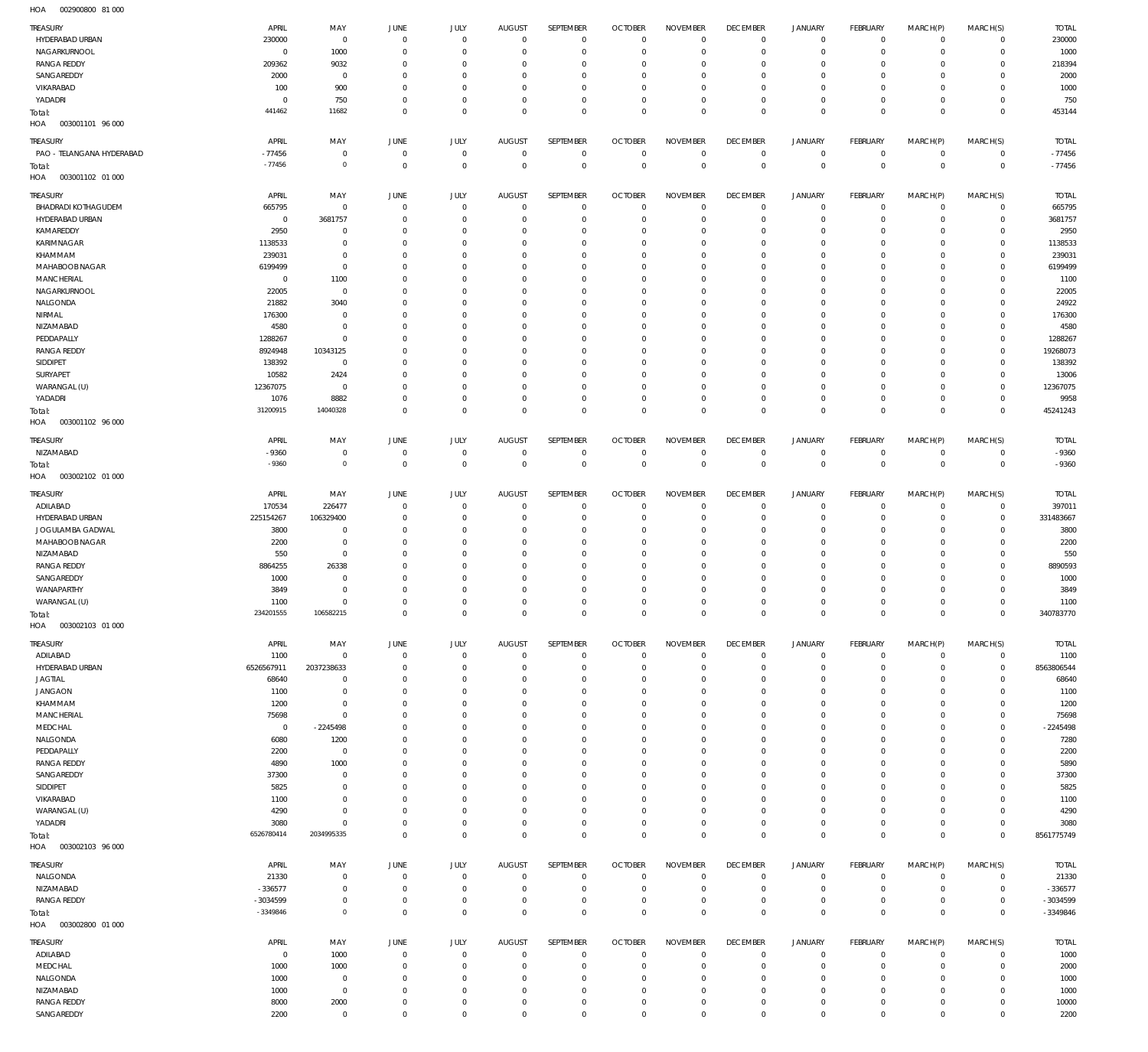002900800 81 000 HOA

| <b>TREASURY</b>                   | APRIL               | MAY                          | <b>JUNE</b>          | <b>JULY</b>                | <b>AUGUST</b>                 | SEPTEMBER                | <b>OCTOBER</b>             | <b>NOVEMBER</b>             | <b>DECEMBER</b>                   | <b>JANUARY</b>                | <b>FEBRUARY</b>            | MARCH(P)                   | MARCH(S)                   | <b>TOTAL</b>     |
|-----------------------------------|---------------------|------------------------------|----------------------|----------------------------|-------------------------------|--------------------------|----------------------------|-----------------------------|-----------------------------------|-------------------------------|----------------------------|----------------------------|----------------------------|------------------|
| HYDERABAD URBAN                   | 230000              | $\overline{0}$               | $\mathbf 0$          | $\mathbf 0$                | $\overline{0}$                | $\mathbf 0$              | $\Omega$                   | $\Omega$                    | $\Omega$                          | $\mathbb O$                   | $\circ$                    | $\mathbf 0$                | $\mathbf 0$                | 230000           |
| NAGARKURNOOL                      | $\mathbf 0$         | 1000                         | $\Omega$             | $^{\circ}$                 | $\circ$                       | $\mathbf{0}$             | $\Omega$                   | $\Omega$                    | $\Omega$                          | $\mathbf 0$                   | $\Omega$                   | $\mathbf 0$                | $\mathbf 0$                | 1000             |
| <b>RANGA REDDY</b>                | 209362              | 9032                         | $\Omega$             | $\Omega$                   | $\Omega$                      | $^{\circ}$               | $\Omega$                   | $\Omega$                    | $\Omega$                          | $\mathbf 0$                   | $\Omega$                   | $\mathbf{0}$               | $\Omega$                   | 218394           |
| SANGAREDDY                        | 2000                | $\overline{0}$               | $\Omega$             | $^{\circ}$                 | $\circ$                       | $^{\circ}$               | $\Omega$                   | $^{\circ}$                  | $\Omega$                          | $\mathbf 0$                   | $\Omega$                   | $\mathbf 0$                | $\mathbf 0$                | 2000             |
| VIKARABAD                         | 100                 | 900                          | $\Omega$             | $\Omega$                   | $\Omega$                      | $\mathbf{0}$             | $\Omega$                   | $\Omega$                    | $\Omega$                          | $\mathbf 0$                   | $\Omega$                   | $\mathbf{0}$               | $\Omega$                   | 1000             |
| YADADRI                           | $\mathbf 0$         | 750                          | $^{\circ}$           | $\mathbf 0$                | $^{\circ}$                    | $\mathbf 0$              | $\Omega$                   | $\mathbf{0}$                | $\Omega$                          | $\mathbb O$                   | $\Omega$                   | $\mathbf 0$                | $^{\circ}$                 | 750              |
| Total:                            | 441462              | 11682                        | $\Omega$             | $\Omega$                   | $\Omega$                      | $\mathbf 0$              | $\Omega$                   | $\Omega$                    | $\Omega$                          | $\overline{0}$                | $\Omega$                   | $\overline{0}$             | $\mathbf 0$                | 453144           |
| HOA<br>003001101 96 000           |                     |                              |                      |                            |                               |                          |                            |                             |                                   |                               |                            |                            |                            |                  |
| TREASURY                          | APRIL               | MAY                          | <b>JUNE</b>          | JULY                       | <b>AUGUST</b>                 | SEPTEMBER                | <b>OCTOBER</b>             | <b>NOVEMBER</b>             | <b>DECEMBER</b>                   | <b>JANUARY</b>                | <b>FEBRUARY</b>            | MARCH(P)                   | MARCH(S)                   | <b>TOTAL</b>     |
| PAO - TELANGANA HYDERABAD         | $-77456$            | $\overline{0}$               | $\overline{0}$       | $\mathbf 0$                | $\overline{0}$                | $\overline{0}$           | $\Omega$                   | $\Omega$                    | $\overline{0}$                    | $\mathbb O$                   | $\mathbf 0$                | $\mathbf 0$                | $\mathbf 0$                | $-77456$         |
| Total:                            | $-77456$            | $\circ$                      | $\mathbf 0$          | $\mathbf 0$                | $\overline{0}$                | $\overline{0}$           | $\Omega$                   | $\Omega$                    | $\Omega$                          | $\,0\,$                       | $\overline{0}$             | $\overline{0}$             | $\mathbf 0$                | $-77456$         |
| HOA<br>003001102 01 000           |                     |                              |                      |                            |                               |                          |                            |                             |                                   |                               |                            |                            |                            |                  |
| TREASURY                          | APRIL               | MAY                          | <b>JUNE</b>          | JULY                       | <b>AUGUST</b>                 | SEPTEMBER                | <b>OCTOBER</b>             | <b>NOVEMBER</b>             | <b>DECEMBER</b>                   | <b>JANUARY</b>                | <b>FEBRUARY</b>            | MARCH(P)                   | MARCH(S)                   | <b>TOTAL</b>     |
| <b>BHADRADI KOTHAGUDEM</b>        | 665795              | $\overline{0}$               | $\mathbf 0$          | $\mathbf 0$                | $^{\circ}$                    | $\mathbf 0$              | $\Omega$                   | $\Omega$                    | $\overline{0}$                    | $\mathbf 0$                   | $^{\circ}$                 | $\mathbf 0$                | $\mathbf 0$                | 665795           |
| HYDERABAD URBAN                   | $\overline{0}$      | 3681757                      | $\Omega$             | $^{\circ}$                 | $\circ$                       | $\mathbf 0$              | $\Omega$                   | $\Omega$                    | $\Omega$                          | $\mathbb O$                   | $\Omega$                   | $\mathbf 0$                | $^{\circ}$                 | 3681757          |
| KAMAREDDY                         | 2950                | $\,0\,$                      | $\Omega$             | $\Omega$                   | $\Omega$                      | $^{\circ}$               | $\Omega$                   | $\Omega$                    | $\Omega$                          | $\mathbf 0$                   | $\Omega$                   | $\mathbf{0}$               | $\Omega$                   | 2950             |
| KARIMNAGAR                        | 1138533             | $\overline{0}$               | $\Omega$             | $^{\circ}$                 | $\circ$                       | $^{\circ}$               | $\Omega$                   | $\Omega$                    | $\Omega$                          | $\mathbf 0$                   | $\Omega$                   | $\mathbf 0$                | 0                          | 1138533          |
| KHAMMAM                           | 239031              | $\mathbf 0$                  | $\Omega$             | $\Omega$                   | $\Omega$                      | $\Omega$                 | $\Omega$                   | $\Omega$                    | $\Omega$                          | $\mathbf 0$                   | $\Omega$                   | $\mathbf{0}$               | $\Omega$                   | 239031           |
| MAHABOOB NAGAR                    | 6199499             | $\overline{0}$               | $\Omega$             | $\Omega$                   | $\Omega$                      | $^{\circ}$               | $\Omega$                   | $\Omega$                    | $\Omega$                          | $\mathbf 0$                   | $\Omega$                   | $\mathbf{0}$               | 0                          | 6199499          |
| MANCHERIAL                        | $\overline{0}$      | 1100                         | $\Omega$             | $\Omega$                   | $\Omega$                      | $^{\circ}$               | $\Omega$                   | $\Omega$                    | $\Omega$                          | $\mathbf 0$                   | $\Omega$                   | $\Omega$                   | $\Omega$                   | 1100             |
| NAGARKURNOOL                      | 22005               | $\overline{0}$               | $\Omega$             | $\Omega$                   | $\Omega$                      | $\mathbb O$              | $\Omega$                   | $\Omega$                    | $\Omega$                          | $\mathbf 0$                   | $\Omega$                   | $\mathbf{0}$               | 0                          | 22005            |
| NALGONDA                          | 21882               | 3040                         | $\Omega$             | $\Omega$                   | $\Omega$                      | $\mathbf{0}$             | $\Omega$                   | $\Omega$                    | $\Omega$                          | $\mathbf 0$                   | $\Omega$                   | $\mathbf{0}$               | $\Omega$                   | 24922            |
| NIRMAL                            | 176300              | $\overline{0}$               | $\Omega$             | $\Omega$                   | $\Omega$                      | $\mathbf{0}$             | $\Omega$                   | $\Omega$                    | $\Omega$                          | $\mathbf 0$                   | $\Omega$                   | $\mathbf{0}$               | $\mathbf 0$                | 176300           |
| NIZAMABAD                         | 4580                | $\overline{0}$               | $\Omega$             | $\Omega$                   | $\Omega$                      | $^{\circ}$               | $\Omega$                   | $\Omega$                    | $\Omega$                          | $\mathbf 0$                   | $\Omega$                   | $\mathbf{0}$               | $\Omega$                   | 4580             |
| PEDDAPALLY                        | 1288267             | $\overline{0}$               | $\Omega$             | $\Omega$                   | $\Omega$                      | $\Omega$                 | $\Omega$                   | $\Omega$                    | $\Omega$                          | $\mathbf 0$                   | $\Omega$                   | $\mathbf{0}$               | $\Omega$                   | 1288267          |
| <b>RANGA REDDY</b>                | 8924948             | 10343125                     | $\Omega$             | $\Omega$                   | $\Omega$                      | $\Omega$                 | $\Omega$                   | $\Omega$                    | $\Omega$                          | $\mathbf 0$                   | $\Omega$                   | $\mathbf{0}$               | $\Omega$                   | 19268073         |
| SIDDIPET                          | 138392              | $\overline{0}$               | $\Omega$             | $\Omega$                   | $\Omega$                      | $^{\circ}$               | $\Omega$                   | $\Omega$                    | $\Omega$                          | $\mathbf 0$                   | $\Omega$                   | $\mathbf{0}$               | 0                          | 138392           |
| SURYAPET                          | 10582               | 2424                         | $\Omega$             | $\Omega$                   | $\Omega$                      | $\Omega$                 | $\Omega$                   | $\Omega$                    | $\Omega$                          | $\mathbf 0$                   | $\Omega$                   | $\mathbf{0}$               | $\Omega$                   | 13006            |
| WARANGAL (U)<br>YADADRI           | 12367075<br>1076    | $\overline{0}$<br>8882       | $\Omega$<br>$\Omega$ | $\overline{0}$<br>$\Omega$ | $\circ$<br>$\Omega$           | $\mathbf 0$<br>$\Omega$  | $\Omega$<br>$\Omega$       | $\Omega$<br>$\Omega$        | $\Omega$<br>$\Omega$              | $\mathbf 0$<br>$\mathbf 0$    | $\Omega$<br>$\Omega$       | $\mathbf 0$<br>$\mathbf 0$ | $\mathbf 0$<br>$\Omega$    | 12367075<br>9958 |
|                                   | 31200915            | 14040328                     | $\overline{0}$       | $\overline{0}$             | $\Omega$                      | $\overline{0}$           | $\Omega$                   | $\mathbf{0}$                | $\Omega$                          | $\mathbb O$                   | $\Omega$                   | $\mathbf 0$                | $\overline{0}$             | 45241243         |
| Total:<br>HOA<br>003001102 96 000 |                     |                              |                      |                            |                               |                          |                            |                             |                                   |                               |                            |                            |                            |                  |
|                                   |                     |                              |                      |                            |                               |                          |                            |                             |                                   |                               |                            |                            |                            |                  |
| TREASURY                          | APRIL               | MAY                          | JUNE                 | JULY                       | <b>AUGUST</b>                 | SEPTEMBER                | <b>OCTOBER</b>             | <b>NOVEMBER</b>             | <b>DECEMBER</b>                   | <b>JANUARY</b>                | FEBRUARY                   | MARCH(P)                   | MARCH(S)                   | <b>TOTAL</b>     |
| NIZAMABAD                         | $-9360$             | $\overline{0}$               | $\overline{0}$       | $\overline{0}$             | $^{\circ}$                    | $^{\circ}$               | $\Omega$                   | $\Omega$                    | $^{\circ}$                        | $\circ$                       | $^{\circ}$                 | $\mathbf 0$                | $\mathbf 0$                | $-9360$          |
| Total:                            | $-9360$             | $\overline{0}$               | $\mathbf 0$          | $\mathbf 0$                | $\mathbf 0$                   | $\overline{0}$           | $\mathbf{0}$               | $\Omega$                    | $\mathbf 0$                       | $\,0\,$                       | $\mathbf 0$                | $\mathbf 0$                | $\mathbf 0$                | $-9360$          |
| HOA<br>003002102 01 000           |                     |                              |                      |                            |                               |                          |                            |                             |                                   |                               |                            |                            |                            |                  |
| <b>TREASURY</b>                   | APRIL               | MAY                          | <b>JUNE</b>          | JULY                       | <b>AUGUST</b>                 | SEPTEMBER                | <b>OCTOBER</b>             | <b>NOVEMBER</b>             | <b>DECEMBER</b>                   | <b>JANUARY</b>                | <b>FEBRUARY</b>            | MARCH(P)                   | MARCH(S)                   | <b>TOTAL</b>     |
| ADILABAD                          | 170534              | 226477                       | $^{\circ}$           | $^{\circ}$                 | $\circ$                       | $^{\circ}$               | $\Omega$                   | $\Omega$                    | $\circ$                           | $\mathbb O$                   | $^{\circ}$                 | $^{\circ}$                 | $\mathbf 0$                | 39701            |
| HYDERABAD URBAN                   | 225154267           | 106329400                    | $\Omega$             | $^{\circ}$                 | $\Omega$                      | $\mathbf 0$              | $\Omega$                   | $\Omega$                    | $\Omega$                          | $\mathbf 0$                   | $^{\circ}$                 | $\mathbf 0$                | $\mathbf 0$                | 331483667        |
| JOGULAMBA GADWAL                  | 3800                | $\,0\,$                      | $\Omega$             | $^{\circ}$                 | $\circ$                       | $\mathbf 0$              | $\Omega$                   | $^{\circ}$                  | $\Omega$                          | $\mathbb O$                   | $\Omega$                   | $\mathbf 0$                | $^{\circ}$                 | 3800             |
| MAHABOOB NAGAR                    | 2200                | $\overline{0}$               | $\Omega$             | $\Omega$                   | $\Omega$                      | $\mathbf 0$              | $\Omega$                   | $\Omega$                    | $\Omega$                          | $\mathbf 0$                   | $\Omega$                   | $\mathbf{0}$               | $\Omega$                   | 2200             |
|                                   |                     |                              |                      |                            |                               |                          |                            |                             |                                   |                               |                            |                            |                            |                  |
| NIZAMABAD                         | 550                 | $\overline{0}$               | $\Omega$             | $\Omega$                   | $\circ$                       | $^{\circ}$               | $\Omega$                   | $^{\circ}$                  | $\Omega$                          | $\mathbf 0$                   | $\Omega$                   | $\mathbf 0$                | 0                          | 550              |
| <b>RANGA REDDY</b>                | 8864255             | 26338                        | $\Omega$             | $\Omega$                   | $\Omega$                      | $^{\circ}$               | $\Omega$                   | $\Omega$                    | $\Omega$                          | $\mathbf 0$                   | $\Omega$                   | $\Omega$                   | $\Omega$                   | 8890593          |
| SANGAREDDY                        | 1000                | $\overline{0}$               | $\Omega$             | $^{\circ}$                 | $\Omega$                      | $\mathbf 0$              | $\Omega$                   | $\Omega$                    | $\Omega$                          | $\mathbf 0$                   | $\Omega$                   | $\mathbf 0$                | 0                          | 1000             |
| WANAPARTHY                        | 3849                | $\mathbf 0$                  | $\Omega$             | $\overline{0}$             | $\Omega$                      | $\mathbf 0$              | $\Omega$                   | $\Omega$                    | $\Omega$                          | $\mathbf 0$                   | $\Omega$                   | $\mathbf 0$                | $\Omega$                   | 3849             |
| WARANGAL (U)                      | 1100                | $\mathbf 0$                  | $^{\circ}$           | $\mathbf 0$                | $\overline{0}$                | $\mathbf 0$              | $\Omega$                   | $\mathbf{0}$                | $\Omega$                          | $\circ$                       | $\Omega$                   | $\mathbf 0$                | $\mathbf 0$                | 1100             |
| Total:                            | 234201555           | 106582215                    |                      | $\cap$                     |                               | $\cap$                   |                            | $\cap$                      |                                   | $\cap$                        |                            | $\cap$                     | $\cap$                     | 340783770        |
| HOA<br>003002103 01 000           |                     |                              |                      |                            |                               |                          |                            |                             |                                   |                               |                            |                            |                            |                  |
|                                   |                     |                              |                      |                            |                               |                          |                            |                             |                                   |                               |                            |                            |                            |                  |
| <b>TREASURY</b>                   | APRIL               | MAY<br>$\mathbf 0$           | JUNE<br>$^{\circ}$   | JULY<br>$\overline{0}$     | <b>AUGUST</b><br>$\mathbf{0}$ | SEPTEMBER<br>$\mathbf 0$ | <b>OCTOBER</b><br>$\Omega$ | <b>NOVEMBER</b><br>$\Omega$ | <b>DECEMBER</b><br>$\overline{0}$ | <b>JANUARY</b><br>$\mathbf 0$ | <b>FEBRUARY</b><br>$\circ$ | MARCH(P)<br>$\mathbf 0$    | MARCH(S)<br>$\mathbf 0$    | <b>TOTAL</b>     |
| ADILABAD                          | 1100                |                              | $^{\circ}$           | $\mathbf 0$                | $\overline{0}$                | $\mathbf 0$              | $\Omega$                   | $\Omega$                    | $\Omega$                          | $\mathbf 0$                   | $\circ$                    | $\circ$                    |                            | 1100             |
| HYDERABAD URBAN<br><b>JAGTIAL</b> | 6526567911<br>68640 | 2037238633<br>$\overline{0}$ | $\Omega$             | $\Omega$                   | $\Omega$                      | $^{\circ}$               | $\Omega$                   | $\Omega$                    | $\Omega$                          | $\mathbf 0$                   | $\Omega$                   | $\Omega$                   | $\mathbf 0$<br>$\mathbf 0$ | 8563806544       |
| <b>JANGAON</b>                    | 1100                | $\overline{0}$               | $^{\circ}$           | $\overline{0}$             | $\mathbf{0}$                  | $\overline{0}$           | $\Omega$                   | $\Omega$                    | $\Omega$                          | $\mathbf 0$                   | $\Omega$                   | $\mathbf{0}$               | $\mathbf{0}$               | 68640<br>1100    |
| KHAMMAM                           | 1200                | $\overline{0}$               | $\Omega$             | $\Omega$                   | $\Omega$                      | $^{\circ}$               | $\Omega$                   | $\Omega$                    | $\Omega$                          | $\circ$                       | $\Omega$                   | $\Omega$                   | $\Omega$                   | 1200             |
| MANCHERIAL                        | 75698               | $\mathbf 0$                  | $\Omega$             | $\Omega$                   | $\Omega$                      | $\mathbb O$              | $\Omega$                   | $\Omega$                    | $\Omega$                          | $\mathbf 0$                   | $\Omega$                   | $\mathbf{0}$               | $\Omega$                   | 75698            |
| MEDCHAL                           | $\,0\,$             | $-2245498$                   | $\Omega$             | $\Omega$                   | $\Omega$                      | $\overline{0}$           | $\Omega$                   | $\Omega$                    | $\Omega$                          | $\mathbf 0$                   | $\Omega$                   | $\Omega$                   | $\Omega$                   | $-2245498$       |
| NALGONDA                          | 6080                | 1200                         | $\Omega$             | $\overline{0}$             | $\Omega$                      | $\mathbb O$              | $\Omega$                   | $\Omega$                    | $\Omega$                          | $\mathbf 0$                   | $\Omega$                   | $\mathbf{0}$               | $\Omega$                   | 7280             |
| PEDDAPALLY                        | 2200                | $\overline{0}$               | $\Omega$             | $^{\circ}$                 | $\Omega$                      | $\mathbf 0$              | $\Omega$                   | $\mathbf{0}$                | $\Omega$                          | $\mathbf 0$                   | $\Omega$                   | $\mathbf{0}$               | $\Omega$                   | 2200             |
| <b>RANGA REDDY</b>                | 4890                | 1000                         | $\Omega$             | $\Omega$                   | $\Omega$                      | $\overline{0}$           | $\Omega$                   | $\Omega$                    | $\Omega$                          | $\mathbf 0$                   | $\Omega$                   | $\Omega$                   | $\Omega$                   | 5890             |
| SANGAREDDY                        | 37300               | $\overline{0}$               | $\Omega$             | $^{\circ}$                 | $\Omega$                      | $\mathbf 0$              | $\Omega$                   | $\Omega$                    | $\Omega$                          | $\mathbf 0$                   | $\Omega$                   | $\Omega$                   | $\Omega$                   | 37300            |
| SIDDIPET                          | 5825                | $\overline{0}$               | $\Omega$             | $^{\circ}$                 | $\mathbf{0}$                  | $\mathbf 0$              | $\Omega$                   | $\Omega$                    | $\Omega$                          | $\mathbf 0$                   | $\Omega$                   | $\mathbf{0}$               | $\mathbf 0$                | 5825             |
| VIKARABAD                         | 1100                | $\,0\,$                      | $\Omega$             | $\Omega$                   | $\Omega$                      | $^{\circ}$               | $\Omega$                   | $\Omega$                    | $\Omega$                          | $\circ$                       | $\Omega$                   | $\Omega$                   | $\Omega$                   | 1100             |
| WARANGAL (U)                      | 4290                | $\mathbf 0$                  | $^{\circ}$           | $\overline{0}$             | $\overline{0}$                | $\mathbf 0$              | $\Omega$                   | $\mathbf{0}$                | $\Omega$                          | $\mathbf 0$                   | $\Omega$                   | $\mathbf{0}$               | $\mathbf 0$                | 4290             |
| YADADRI                           | 3080                | $\mathbf 0$                  | $\Omega$             | $\mathbf 0$                | $^{\circ}$                    | $\mathbf 0$              | $\Omega$                   | $\Omega$                    | $\Omega$                          | $\mathbf 0$                   | $\Omega$                   | $\mathbf{0}$               | $\mathbf 0$                | 3080             |
| Total:                            | 6526780414          | 2034995335                   | $\overline{0}$       | $\overline{0}$             | $\overline{0}$                | $\overline{0}$           | $\overline{0}$             | $\overline{0}$              | $\mathbf{0}$                      | $\mathbf 0$                   | $\overline{0}$             | $\overline{0}$             | $\overline{0}$             | 8561775749       |
| HOA<br>003002103 96 000           |                     |                              |                      |                            |                               |                          |                            |                             |                                   |                               |                            |                            |                            |                  |
| <b>TREASURY</b>                   | APRIL               | MAY                          | <b>JUNE</b>          | JULY                       | <b>AUGUST</b>                 | SEPTEMBER                | <b>OCTOBER</b>             | <b>NOVEMBER</b>             | <b>DECEMBER</b>                   | <b>JANUARY</b>                | <b>FEBRUARY</b>            | MARCH(P)                   | MARCH(S)                   | <b>TOTAL</b>     |
| NALGONDA                          | 21330               | $\,0\,$                      | $\overline{0}$       | $\mathbf 0$                | $^{\circ}$                    | $\mathbf 0$              | $^{\circ}$                 | $\Omega$                    | $^{\circ}$                        | $\mathbb O$                   | $^{\circ}$                 | $\mathbf 0$                | 0                          | 21330            |
| NIZAMABAD                         | $-336577$           | $\overline{0}$               | $\overline{0}$       | $\mathbf 0$                | $\circ$                       | $\mathbf 0$              | $\Omega$                   | $\Omega$                    | $\Omega$                          | $\mathbb O$                   | $\Omega$                   | $\mathbf 0$                | $\mathbf 0$                | $-336577$        |
| <b>RANGA REDDY</b>                | -3034599            | $\,0\,$                      | $\overline{0}$       | $\mathbf 0$                | $^{\circ}$                    | $\,0\,$                  | $\circ$                    | $\Omega$                    | $\Omega$                          | $\mathbb O$                   | $^{\circ}$                 | $\mathbf 0$                | $\mathbf 0$                | -3034599         |
| Total:                            | -3349846            | $\circ$                      | $\mathbf 0$          | $\mathbf 0$                | $\mathbf 0$                   | $\overline{0}$           | $\Omega$                   | $\overline{0}$              | $\overline{0}$                    | $\mathbf 0$                   | $\overline{0}$             | $\mathbf 0$                | $\mathbf 0$                | -3349846         |
| HOA<br>003002800 01 000           |                     |                              |                      |                            |                               |                          |                            |                             |                                   |                               |                            |                            |                            |                  |
| <b>TREASURY</b>                   | APRIL               | MAY                          | <b>JUNE</b>          | JULY                       | <b>AUGUST</b>                 | SEPTEMBER                | <b>OCTOBER</b>             | <b>NOVEMBER</b>             | <b>DECEMBER</b>                   | <b>JANUARY</b>                | FEBRUARY                   | MARCH(P)                   | MARCH(S)                   | <b>TOTAL</b>     |
| ADILABAD                          | $\overline{0}$      | 1000                         | $\overline{0}$       | $\overline{0}$             | $\overline{0}$                | $\overline{0}$           | $^{\circ}$                 | $\Omega$                    | $\overline{0}$                    | 0                             | $\circ$                    | $\mathbf 0$                | $\mathbf 0$                | 1000             |
| MEDCHAL                           | 1000                | 1000                         | $\Omega$             | $\overline{0}$             | $^{\circ}$                    | $^{\circ}$               | $\Omega$                   | $\Omega$                    | $\Omega$                          | $\mathbf 0$                   | $\Omega$                   | $\mathbf{0}$               | $\mathbf 0$                | 2000             |
| NALGONDA                          | 1000                | $\overline{0}$               | $^{\circ}$           | $\overline{0}$             | $\overline{0}$                | $\mathbb O$              | $^{\circ}$                 | $\Omega$                    | $\Omega$                          | $\mathbf 0$                   | $\circ$                    | $\mathbf 0$                | $\mathbf 0$                | 1000             |
| NIZAMABAD                         | 1000                | $\overline{0}$               | $\Omega$             | $\overline{0}$             | $^{\circ}$                    | $\overline{0}$           | $^{\circ}$                 | $^{\circ}$                  | $^{\circ}$                        | $\circ$                       | $\Omega$                   | $\mathbf 0$                | $\mathbf 0$                | 1000             |
| <b>RANGA REDDY</b>                | 8000                | 2000                         | $^{\circ}$           | $\mathbf 0$                | $\overline{0}$                | $\mathbf 0$              | $\overline{0}$             | $\overline{0}$              | $\mathbf{0}$                      | $\mathbb O$                   | $\circ$                    | $\mathbf 0$                | $\mathbf 0$                | 10000            |
| SANGAREDDY                        | 2200                | $\overline{0}$               | $\mathbf 0$          | $\mathbf 0$                | $\mathbf 0$                   | $\mathbf 0$              | $\Omega$                   | $\mathbf 0$                 | $\mathbf{0}$                      | $\mathbf 0$                   | $\Omega$                   | $\mathbf 0$                | $\mathbf 0$                | 2200             |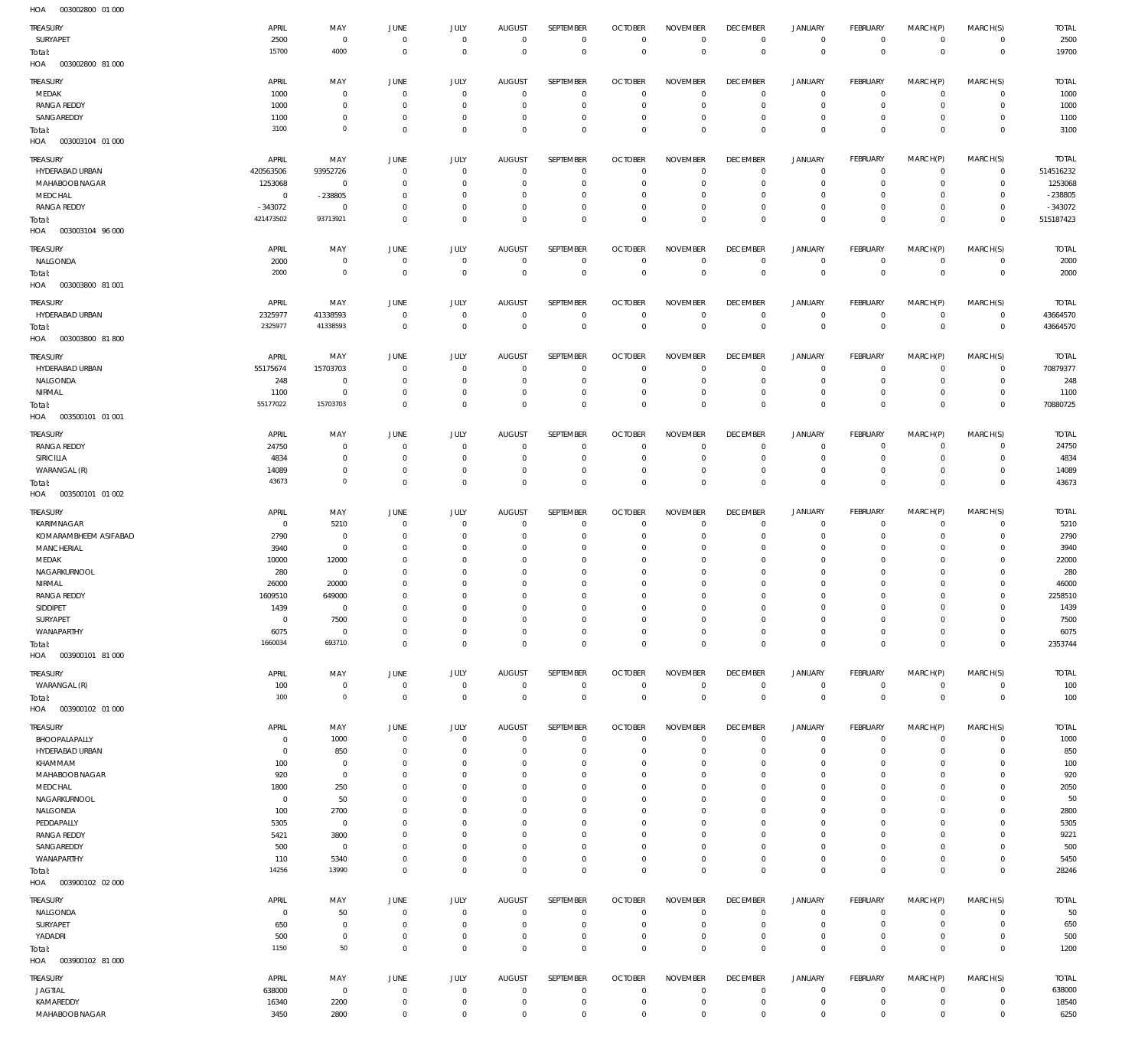003002800 01 000 HOA

| TREASURY<br>SURYAPET<br>Total:    | APRIL<br>2500<br>15700 | MAY<br>$\overline{0}$<br>4000 | <b>JUNE</b><br>$\overline{0}$<br>$\mathbf 0$ | <b>JULY</b><br>$\mathbb O$<br>$\mathbf 0$ | <b>AUGUST</b><br>$\circ$<br>$\circ$ | SEPTEMBER<br>$\mathbf 0$<br>$\mathbb O$ | <b>OCTOBER</b><br>$\overline{0}$<br>$\circ$ | <b>NOVEMBER</b><br>$\mathbf 0$<br>$\overline{0}$ | <b>DECEMBER</b><br>$\overline{0}$<br>$\overline{0}$ | <b>JANUARY</b><br>$\mathsf{O}$<br>$\mathbb O$ | FEBRUARY<br>$\mathbf 0$<br>$\overline{0}$ | MARCH(P)<br>$\mathbf 0$<br>$\overline{0}$ | MARCH(S)<br>$\mathbf 0$<br>$\mathbf 0$ | <b>TOTAL</b><br>2500<br>19700 |
|-----------------------------------|------------------------|-------------------------------|----------------------------------------------|-------------------------------------------|-------------------------------------|-----------------------------------------|---------------------------------------------|--------------------------------------------------|-----------------------------------------------------|-----------------------------------------------|-------------------------------------------|-------------------------------------------|----------------------------------------|-------------------------------|
| HOA<br>003002800 81 000           |                        |                               |                                              |                                           |                                     |                                         |                                             |                                                  |                                                     |                                               |                                           |                                           |                                        |                               |
| TREASURY<br>MEDAK                 | APRIL<br>1000          | MAY<br>$\mathbf 0$            | JUNE<br>$\mathbf 0$                          | JULY<br>$\mathbf 0$                       | <b>AUGUST</b><br>$\Omega$           | <b>SEPTEMBER</b><br>$\mathbf 0$         | <b>OCTOBER</b><br>$\circ$                   | <b>NOVEMBER</b><br>$\Omega$                      | <b>DECEMBER</b><br>$\mathbf 0$                      | <b>JANUARY</b><br>$^{\circ}$                  | FEBRUARY<br>$^{\circ}$                    | MARCH(P)<br>$^{\circ}$                    | MARCH(S)<br>$\mathbf 0$                | <b>TOTAL</b><br>1000          |
| <b>RANGA REDDY</b>                | 1000                   | $\mathbf 0$                   | $\mathbf 0$                                  | $\mathbf 0$                               | 0                                   | $\mathbf 0$                             | $^{\circ}$                                  | $^{\circ}$                                       | $\mathbf 0$                                         | $\mathbf 0$                                   | $^{\circ}$                                | $^{\circ}$                                | 0                                      | 1000                          |
| SANGAREDDY                        | 1100                   | $\mathbf 0$                   | $^{\circ}$                                   | $^{\circ}$                                | $^{\circ}$                          | $^{\circ}$                              | $^{\circ}$                                  | $^{\circ}$                                       | $^{\circ}$                                          | $\mathbf 0$                                   | $^{\circ}$                                | $^{\circ}$                                | $\mathbf 0$                            | 1100                          |
| Total:<br>HOA<br>003003104 01 000 | 3100                   | $\mathsf{O}\xspace$           | $\mathbf 0$                                  | $\mathbf 0$                               | $\Omega$                            | $\mathbf 0$                             | $\mathbf 0$                                 | $\mathbf 0$                                      | $\mathbf 0$                                         | $\mathbf 0$                                   | $\Omega$                                  | $\Omega$                                  | $\mathbf 0$                            | 3100                          |
| TREASURY                          | APRIL                  | MAY                           | JUNE                                         | <b>JULY</b>                               | <b>AUGUST</b>                       | <b>SEPTEMBER</b>                        | <b>OCTOBER</b>                              | <b>NOVEMBER</b>                                  | <b>DECEMBER</b>                                     | <b>JANUARY</b>                                | FEBRUARY                                  | MARCH(P)                                  | MARCH(S)                               | <b>TOTAL</b>                  |
| HYDERABAD URBAN                   | 420563506              | 93952726                      | $\mathbf 0$                                  | $\mathbf 0$                               | $^{\circ}$                          | $\mathbf 0$                             | $\circ$                                     | $\mathbf 0$                                      | $^{\circ}$                                          | 0                                             | $\overline{0}$                            | $^{\circ}$                                | $\overline{0}$                         | 514516232                     |
| MAHABOOB NAGAR                    | 1253068                | $\,0\,$                       | $\Omega$                                     | $^{\circ}$                                | $^{\circ}$                          | $\mathbf 0$                             | $^{\circ}$                                  | $^{\circ}$                                       | $^{\circ}$                                          | $\mathbf 0$                                   | $^{\circ}$                                | $^{\circ}$                                | $\mathbf 0$                            | 1253068                       |
| MEDCHAL                           | $^{\circ}$             | $-238805$                     | $^{\circ}$                                   | $^{\circ}$                                | $\Omega$                            | $^{\circ}$                              | $^{\circ}$                                  | $\mathbf 0$                                      | $^{\circ}$                                          | $\mathbf 0$                                   | $^{\circ}$                                | $^{\circ}$                                | $\mathbf 0$                            | $-238805$                     |
| RANGA REDDY<br>Total:             | $-343072$<br>421473502 | $\mathbb O$<br>93713921       | $^{\circ}$<br>$\mathbf 0$                    | $\mathbf 0$<br>$\mathbf 0$                | $\mathbf 0$<br>$\Omega$             | $\mathbf 0$<br>$\mathbf 0$              | $^{\circ}$<br>$\circ$                       | $\mathbf 0$<br>$\mathbf 0$                       | $^{\circ}$<br>$\mathbf 0$                           | $\mathbf 0$<br>$\mathbf 0$                    | $^{\circ}$<br>$\overline{0}$              | $\mathbf 0$<br>$\mathbf 0$                | $\mathbf 0$<br>$\mathbf{0}$            | $-343072$<br>515187423        |
| HOA<br>003003104 96 000           |                        |                               |                                              |                                           |                                     |                                         |                                             |                                                  |                                                     |                                               |                                           |                                           |                                        |                               |
| TREASURY                          | APRIL                  | MAY                           | <b>JUNE</b>                                  | JULY                                      | <b>AUGUST</b>                       | SEPTEMBER                               | <b>OCTOBER</b>                              | <b>NOVEMBER</b>                                  | <b>DECEMBER</b>                                     | <b>JANUARY</b>                                | FEBRUARY                                  | MARCH(P)                                  | MARCH(S)                               | <b>TOTAL</b>                  |
| NALGONDA                          | 2000                   | $\mathbf 0$                   | $\mathbf 0$                                  | $\mathbf 0$                               | $^{\circ}$                          | $\mathbf 0$                             | $\overline{0}$                              | $\circ$                                          | $\mathbf 0$                                         | $\mathbf 0$                                   | $\overline{0}$                            | $\mathbf 0$                               | $\mathbf 0$                            | 2000                          |
| Total:<br>HOA<br>003003800 81 001 | 2000                   | $\mathsf{O}\xspace$           | $\mathbf 0$                                  | $\mathbf 0$                               | $\mathbf 0$                         | $\mathbf 0$                             | $\overline{0}$                              | $\mathbf 0$                                      | $\overline{0}$                                      | $\overline{0}$                                | $\overline{0}$                            | $\mathbf 0$                               | $\bf 0$                                | 2000                          |
| TREASURY                          | APRIL                  | MAY                           | JUNE                                         | JULY                                      | <b>AUGUST</b>                       | SEPTEMBER                               | <b>OCTOBER</b>                              | <b>NOVEMBER</b>                                  | <b>DECEMBER</b>                                     | <b>JANUARY</b>                                | FEBRUARY                                  | MARCH(P)                                  | MARCH(S)                               | <b>TOTAL</b>                  |
| HYDERABAD URBAN                   | 2325977                | 41338593                      | $\mathbf 0$                                  | $\mathbb O$                               | $^{\circ}$                          | $\mathbb O$                             | $\circ$                                     | $\mathbf 0$                                      | $\overline{0}$                                      | $\mathbf 0$                                   | $\overline{0}$                            | $\mathbf 0$                               | $\overline{0}$                         | 43664570                      |
| Total:                            | 2325977                | 41338593                      | $\mathbf 0$                                  | $\mathbf 0$                               | $\circ$                             | $\mathbb O$                             | $\overline{0}$                              | $\mathbb O$                                      | $\mathbf 0$                                         | $\mathbb O$                                   | $\overline{0}$                            | $\mathbf 0$                               | $\mathbf{0}$                           | 43664570                      |
| 003003800 81800<br>HOA            |                        |                               |                                              |                                           |                                     |                                         |                                             |                                                  |                                                     |                                               |                                           |                                           |                                        |                               |
| TREASURY                          | APRIL                  | MAY                           | JUNE                                         | JULY                                      | <b>AUGUST</b>                       | SEPTEMBER                               | <b>OCTOBER</b>                              | <b>NOVEMBER</b>                                  | <b>DECEMBER</b>                                     | <b>JANUARY</b>                                | FEBRUARY                                  | MARCH(P)                                  | MARCH(S)                               | <b>TOTAL</b>                  |
| HYDERABAD URBAN<br>NALGONDA       | 55175674<br>248        | 15703703<br>$^{\circ}$        | $\mathbf 0$<br>$^{\circ}$                    | $\mathbf 0$<br>$^{\circ}$                 | $\mathbf 0$<br>$\Omega$             | $\mathbf 0$<br>$\mathbf 0$              | $^{\circ}$<br>$^{\circ}$                    | $^{\circ}$<br>$^{\circ}$                         | $\mathbf 0$<br>$^{\circ}$                           | $^{\circ}$<br>$\mathbf 0$                     | $^{\circ}$<br>$^{\circ}$                  | $\Omega$<br>$^{\circ}$                    | $\circ$<br>0                           | 70879377<br>248               |
| NIRMAL                            | 1100                   | $\mathbf 0$                   | $^{\circ}$                                   | $^{\circ}$                                | $\Omega$                            | $\mathbf 0$                             | $^{\circ}$                                  | $^{\circ}$                                       | $^{\circ}$                                          | $\mathbf 0$                                   | $^{\circ}$                                | $\Omega$                                  | $\mathbf 0$                            | 1100                          |
| Total:                            | 55177022               | 15703703                      | $^{\circ}$                                   | $\mathbf 0$                               | $\mathbf 0$                         | $\mathbf 0$                             | $\mathbf 0$                                 | $\mathbf 0$                                      | $\mathbf 0$                                         | $\mathbf 0$                                   | $\mathbf 0$                               | $\mathbf 0$                               | $\mathbf 0$                            | 70880725                      |
| HOA<br>003500101 01 001           |                        |                               |                                              |                                           |                                     |                                         |                                             |                                                  |                                                     |                                               |                                           |                                           |                                        |                               |
| TREASURY                          | APRIL                  | MAY                           | JUNE                                         | <b>JULY</b>                               | <b>AUGUST</b>                       | SEPTEMBER                               | <b>OCTOBER</b>                              | <b>NOVEMBER</b>                                  | <b>DECEMBER</b>                                     | <b>JANUARY</b>                                | FEBRUARY                                  | MARCH(P)                                  | MARCH(S)                               | <b>TOTAL</b>                  |
| RANGA REDDY<br>SIRICILLA          | 24750<br>4834          | $\mathbf 0$<br>$\mathbf 0$    | $^{\circ}$<br>$^{\circ}$                     | $\mathbf 0$<br>$\mathbf 0$                | $^{\circ}$<br>$^{\circ}$            | $\mathbf 0$<br>$\mathbf 0$              | $^{\circ}$<br>0                             | $^{\circ}$<br>$\mathbf 0$                        | $\overline{0}$<br>$\mathbf 0$                       | $\mathbf 0$<br>$\mathbf 0$                    | $^{\circ}$<br>$^{\circ}$                  | $^{\circ}$<br>$\mathbf 0$                 | 0<br>$^{\circ}$                        | 24750<br>4834                 |
| WARANGAL (R)                      | 14089                  | $\mathbf 0$                   | $^{\circ}$                                   | $\mathbf 0$                               | $^{\circ}$                          | $\mathbb O$                             | $^{\circ}$                                  | $\mathbf 0$                                      | $^{\circ}$                                          | $\mathsf{O}$                                  | $\overline{0}$                            | $\mathbf 0$                               | $\overline{0}$                         | 14089                         |
| Total:<br>HOA<br>003500101 01 002 | 43673                  | $\mathbf 0$                   | $\mathbf 0$                                  | $\mathbf 0$                               | $\mathbf 0$                         | $\mathbf 0$                             | $\circ$                                     | $\mathbf 0$                                      | $\mathbf 0$                                         | $\mathbf 0$                                   | $\overline{0}$                            | $\mathbf 0$                               | $\mathbf 0$                            | 43673                         |
|                                   |                        |                               |                                              |                                           |                                     |                                         |                                             |                                                  |                                                     |                                               |                                           |                                           |                                        |                               |
| TREASURY<br>KARIMNAGAR            | APRIL<br>$^{\circ}$    | MAY<br>5210                   | JUNE<br>$\mathbf 0$                          | JULY<br>$\mathbf 0$                       | <b>AUGUST</b><br>$^{\circ}$         | SEPTEMBER<br>$\mathbf 0$                | <b>OCTOBER</b><br>$^{\circ}$                | <b>NOVEMBER</b><br>$^{\circ}$                    | <b>DECEMBER</b><br>$^{\circ}$                       | <b>JANUARY</b><br>$^{\circ}$                  | FEBRUARY<br>$^{\circ}$                    | MARCH(P)<br>$^{\circ}$                    | MARCH(S)<br>$\mathbf 0$                | <b>TOTAL</b><br>5210          |
| KOMARAMBHEEM ASIFABAD             | 2790                   | $\mathbf 0$                   | $^{\circ}$                                   | $\mathbf 0$                               | $\Omega$                            | $\mathbf 0$                             | $^{\circ}$                                  | $^{\circ}$                                       | $\mathbf 0$                                         | $\mathbf 0$                                   | $^{\circ}$                                | $^{\circ}$                                | $\mathbf 0$                            | 2790                          |
| MANCHERIAL                        | 3940                   | $\mathbf 0$                   | $\mathbf 0$                                  | $\Omega$                                  | $\Omega$                            | $^{\circ}$                              | $^{\circ}$                                  | $\Omega$                                         | $\Omega$                                            | $\mathbf 0$                                   | $^{\circ}$                                | $\Omega$                                  | $\mathbf 0$                            | 3940                          |
| MEDAK                             | 10000                  | 12000                         | $\Omega$                                     | $\Omega$                                  | $\Omega$                            | $\Omega$                                | $\Omega$                                    | $\Omega$                                         | $^{\circ}$                                          | $^{\circ}$                                    | $\Omega$                                  | $\Omega$                                  | $\mathbf 0$                            | 22000                         |
| NAGARKURNOOL<br>NIRMAL            | 280<br>26000           | $^{\circ}$<br>20000           | $\Omega$<br>$\Omega$                         | $\Omega$<br>$\Omega$                      | $\Omega$<br>$\Omega$                | $\Omega$<br>$^{\circ}$                  | $\Omega$<br>0                               | $\Omega$<br>$^{\circ}$                           | $\Omega$<br>$^{\circ}$                              | $\Omega$<br>$\mathbf 0$                       | $\Omega$<br>$\Omega$                      | $\Omega$<br>$\Omega$                      | $\Omega$<br>$\mathbf 0$                | 280<br>46000                  |
| <b>RANGA REDDY</b>                | 1609510                | 649000                        | $\Omega$                                     | $\Omega$                                  | $\Omega$                            | $\Omega$                                | $\Omega$                                    | $\Omega$                                         | $\Omega$                                            | $\Omega$                                      | $\Omega$                                  | $\Omega$                                  | $\mathbf 0$                            | 2258510                       |
| SIDDIPET                          | 1439                   | $\Omega$                      | $\Omega$                                     | $\Omega$                                  | $\Omega$                            | $\Omega$                                | $\Omega$                                    | $\Omega$                                         | $\Omega$                                            | $\Omega$                                      | $\Omega$                                  | $\Omega$                                  | $\Omega$                               | 1439                          |
| SURYAPET<br>WANAPARTHY            | $^{\circ}$<br>6075     | 7500<br>$\mathbf 0$           | $^{\circ}$<br>$\mathbf 0$                    | $^{\circ}$<br>$\mathbf 0$                 | $^{\circ}$<br>$\mathbf 0$           | $^{\circ}$<br>$\mathbf 0$               | $^{\circ}$<br>$\mathbf 0$                   | $^{\circ}$<br>$\mathbf 0$                        | $^{\circ}$<br>$\mathbf 0$                           | $\mathbf 0$<br>$\mathbf 0$                    | $^{\circ}$<br>$\mathbf 0$                 | $^{\circ}$<br>$\mathbf 0$                 | $\mathbf 0$<br>$\mathbf 0$             | 7500<br>6075                  |
| Total:                            | 1660034                | 693710                        | $\mathbf 0$                                  | $\mathbf 0$                               | $\mathbf 0$                         | $\mathbf 0$                             | $\mathbf 0$                                 | $\mathbf 0$                                      | $\mathbf 0$                                         | $\mathbf 0$                                   | $\overline{0}$                            | $\mathbf 0$                               | $\mathbf 0$                            | 2353744                       |
| HOA<br>003900101 81 000           |                        |                               |                                              |                                           |                                     |                                         |                                             |                                                  |                                                     |                                               |                                           |                                           |                                        |                               |
| TREASURY                          | APRIL                  | MAY                           | JUNE                                         | JULY                                      | <b>AUGUST</b>                       | SEPTEMBER                               | <b>OCTOBER</b>                              | <b>NOVEMBER</b>                                  | <b>DECEMBER</b>                                     | <b>JANUARY</b>                                | FEBRUARY                                  | MARCH(P)                                  | MARCH(S)                               | <b>TOTAL</b>                  |
| WARANGAL (R)                      | 100                    | $\mathbf 0$                   | $\mathbf 0$                                  | $\mathbb O$                               | $\circ$                             | $\mathbb O$                             | $\circ$                                     | $\mathbf 0$                                      | $\mathbf 0$                                         | $\mathbf 0$                                   | $\overline{0}$                            | $\mathbf 0$                               | $\overline{0}$                         | 100                           |
| Total:<br>003900102 01 000<br>HOA | 100                    | $\mathsf{O}\xspace$           | $\mathbf 0$                                  | $\mathbf 0$                               | $\mathbf 0$                         | $\mathbf 0$                             | $\overline{0}$                              | $\mathbf 0$                                      | $\overline{0}$                                      | $\mathbb O$                                   | $\overline{0}$                            | $\mathbf 0$                               | $\mathbf 0$                            | 100                           |
| TREASURY                          | APRIL                  | MAY                           | <b>JUNE</b>                                  | JULY                                      | <b>AUGUST</b>                       | <b>SEPTEMBER</b>                        | <b>OCTOBER</b>                              | <b>NOVEMBER</b>                                  | <b>DECEMBER</b>                                     | <b>JANUARY</b>                                | FEBRUARY                                  | MARCH(P)                                  | MARCH(S)                               | <b>TOTAL</b>                  |
| BHOOPALAPALLY                     | $\Omega$               | 1000                          | $\mathbf 0$                                  | $\mathbf 0$                               | $\mathbf 0$                         | $\mathbf 0$                             | $\circ$                                     | $\circ$                                          | $^{\circ}$                                          | $\mathbf 0$                                   | $\mathbf 0$                               | $^{\circ}$                                | 0                                      | 1000                          |
| HYDERABAD URBAN                   | $\Omega$               | 850                           | $^{\circ}$                                   | $\mathbf 0$                               | $\mathbf 0$                         | $\mathbf 0$                             | $^{\circ}$                                  | $^{\circ}$                                       | $^{\circ}$                                          | $\mathbf 0$                                   | $^{\circ}$                                | $^{\circ}$                                | $\mathbf 0$                            | 850                           |
| KHAMMAM                           | 100                    | $\mathbf 0$                   | $^{\circ}$                                   | $\Omega$                                  | $\Omega$                            | $\mathbf 0$                             | $^{\circ}$                                  | $^{\circ}$                                       | $^{\circ}$                                          | $\mathbf 0$                                   | $^{\circ}$                                | $\Omega$                                  | $\mathbf 0$                            | 100                           |
| MAHABOOB NAGAR<br>MEDCHAL         | 920<br>1800            | $\mathbf 0$<br>250            | $\Omega$<br>$\Omega$                         | $\Omega$<br>$\Omega$                      | $\Omega$<br>$\Omega$                | $\mathbf 0$<br>$\Omega$                 | $^{\circ}$<br>$^{\circ}$                    | $\Omega$<br>$\Omega$                             | $\mathbf 0$<br>$\Omega$                             | $^{\circ}$<br>$\Omega$                        | $^{\circ}$<br>$^{\circ}$                  | $\Omega$<br>$\Omega$                      | $\mathbf 0$<br>$\mathbf 0$             | 920<br>2050                   |
| NAGARKURNOOL                      | $^{\circ}$             | 50                            | $\Omega$                                     | $\Omega$                                  | $\Omega$                            | $\mathbf 0$                             | $^{\circ}$                                  | $^{\circ}$                                       | $\mathbf 0$                                         | $\mathbf 0$                                   | $^{\circ}$                                | $\Omega$                                  | $\mathbf 0$                            | 50                            |
| NALGONDA                          | 100                    | 2700                          | $\Omega$                                     | $\Omega$                                  | $\Omega$                            | $\Omega$                                | $\Omega$                                    | $\Omega$                                         | $\Omega$                                            | $\Omega$                                      | $^{\circ}$                                | $\Omega$                                  | $\Omega$                               | 2800                          |
| PEDDAPALLY<br><b>RANGA REDDY</b>  | 5305<br>5421           | $\mathbf 0$                   | $\Omega$<br>$\Omega$                         | $\Omega$<br>$\Omega$                      | $\Omega$<br>$\Omega$                | $\Omega$<br>$\Omega$                    | $^{\circ}$<br>$\Omega$                      | $\mathbf 0$<br>$\Omega$                          | $\mathbf 0$<br>$\Omega$                             | $\mathbf 0$<br>$\Omega$                       | $^{\circ}$<br>$^{\circ}$                  | $\Omega$<br>$\Omega$                      | $\mathbf 0$<br>$\Omega$                | 5305                          |
| SANGAREDDY                        | 500                    | 3800<br>$\mathbf 0$           | $\mathbf 0$                                  | $\Omega$                                  | $\Omega$                            | $\mathbf 0$                             | $\mathbf 0$                                 | $\mathbf 0$                                      | $\mathbf 0$                                         | $\mathbf 0$                                   | $^{\circ}$                                | $\Omega$                                  | 0                                      | 9221<br>500                   |
| WANAPARTHY                        | 110                    | 5340                          | $^{\circ}$                                   | $\mathbf 0$                               | $\mathbf 0$                         | $\mathbf 0$                             | $^{\circ}$                                  | $\mathbf 0$                                      | $\mathbf 0$                                         | $\mathbf 0$                                   | $^{\circ}$                                | $^{\circ}$                                | $\mathbf 0$                            | 5450                          |
| Total:                            | 14256                  | 13990                         | $\Omega$                                     | $\mathbf 0$                               | $\Omega$                            | $\mathbf 0$                             | $\mathbf 0$                                 | $\mathbf 0$                                      | $\mathbf 0$                                         | $\mathbf 0$                                   | $\Omega$                                  | $\Omega$                                  | $\mathbf 0$                            | 28246                         |
| HOA<br>003900102 02 000           |                        |                               |                                              |                                           |                                     |                                         |                                             |                                                  |                                                     |                                               |                                           |                                           |                                        |                               |
| TREASURY                          | APRIL                  | MAY                           | JUNE<br>$\mathbf 0$                          | JULY                                      | <b>AUGUST</b>                       | SEPTEMBER<br>$\mathbf 0$                | <b>OCTOBER</b><br>$\circ$                   | <b>NOVEMBER</b><br>$\mathbf 0$                   | <b>DECEMBER</b>                                     | <b>JANUARY</b>                                | FEBRUARY<br>$\mathbf 0$                   | MARCH(P)                                  | MARCH(S)                               | <b>TOTAL</b>                  |
| NALGONDA<br>SURYAPET              | $^{\circ}$<br>650      | 50<br>$\mathbf 0$             | $^{\circ}$                                   | $\mathbf 0$<br>$\mathbf 0$                | $^{\circ}$<br>$^{\circ}$            | $\mathbb O$                             | $^{\circ}$                                  | $\circ$                                          | $^{\circ}$<br>$\overline{0}$                        | 0<br>$\mathbf 0$                              | $\overline{0}$                            | $^{\circ}$<br>$^{\circ}$                  | $\mathbf 0$<br>$\mathbf 0$             | 50<br>650                     |
| YADADRI                           | 500                    | $\mathbf 0$                   | $\mathbf 0$                                  | $\mathbf 0$                               | $^{\circ}$                          | $\mathbb O$                             | $\overline{0}$                              | $\mathbf 0$                                      | $^{\circ}$                                          | $\mathsf{O}$                                  | $\mathbf 0$                               | 0                                         | $\mathbf 0$                            | 500                           |
| Total:<br>003900102 81 000<br>HOA | 1150                   | 50                            | $\mathbf 0$                                  | $\mathbf 0$                               | $\mathbf 0$                         | $\mathbf 0$                             | $\mathbf 0$                                 | $\mathbf 0$                                      | $\mathbf 0$                                         | $\mathbb O$                                   | $\overline{0}$                            | $\mathbf 0$                               | $\mathbf 0$                            | 1200                          |
| TREASURY                          | APRIL                  | MAY                           | JUNE                                         | JULY                                      | <b>AUGUST</b>                       | SEPTEMBER                               | <b>OCTOBER</b>                              | <b>NOVEMBER</b>                                  | <b>DECEMBER</b>                                     | <b>JANUARY</b>                                | FEBRUARY                                  | MARCH(P)                                  | MARCH(S)                               | <b>TOTAL</b>                  |
| <b>JAGTIAL</b>                    | 638000                 | $\mathbb O$                   | $^{\circ}$                                   | $^{\circ}$                                | $^{\circ}$                          | $\mathbf 0$                             | $^{\circ}$                                  | $^{\circ}$                                       | $^{\circ}$                                          | $\mathbf 0$                                   | $^{\circ}$                                | $^{\circ}$                                | $\mathbf 0$                            | 638000                        |
| KAMAREDDY                         | 16340                  | 2200                          | $\mathbf 0$                                  | $^{\circ}$                                | $^{\circ}$                          | $\mathbb O$                             | $\overline{0}$                              | $\circ$                                          | $^{\circ}$                                          | $\mathbf 0$                                   | $\mathbf 0$                               | $\mathbf 0$                               | $\mathbf 0$                            | 18540                         |
| MAHABOOB NAGAR                    | 3450                   | 2800                          | $\mathbf 0$                                  | $\mathbf 0$                               | $\mathbf 0$                         | $\mathbf 0$                             | $\mathbf 0$                                 | $\mathbf 0$                                      | $\mathbf 0$                                         | $\mathbf 0$                                   | $\mathbf 0$                               | $\mathbf 0$                               | $\mathbf 0$                            | 6250                          |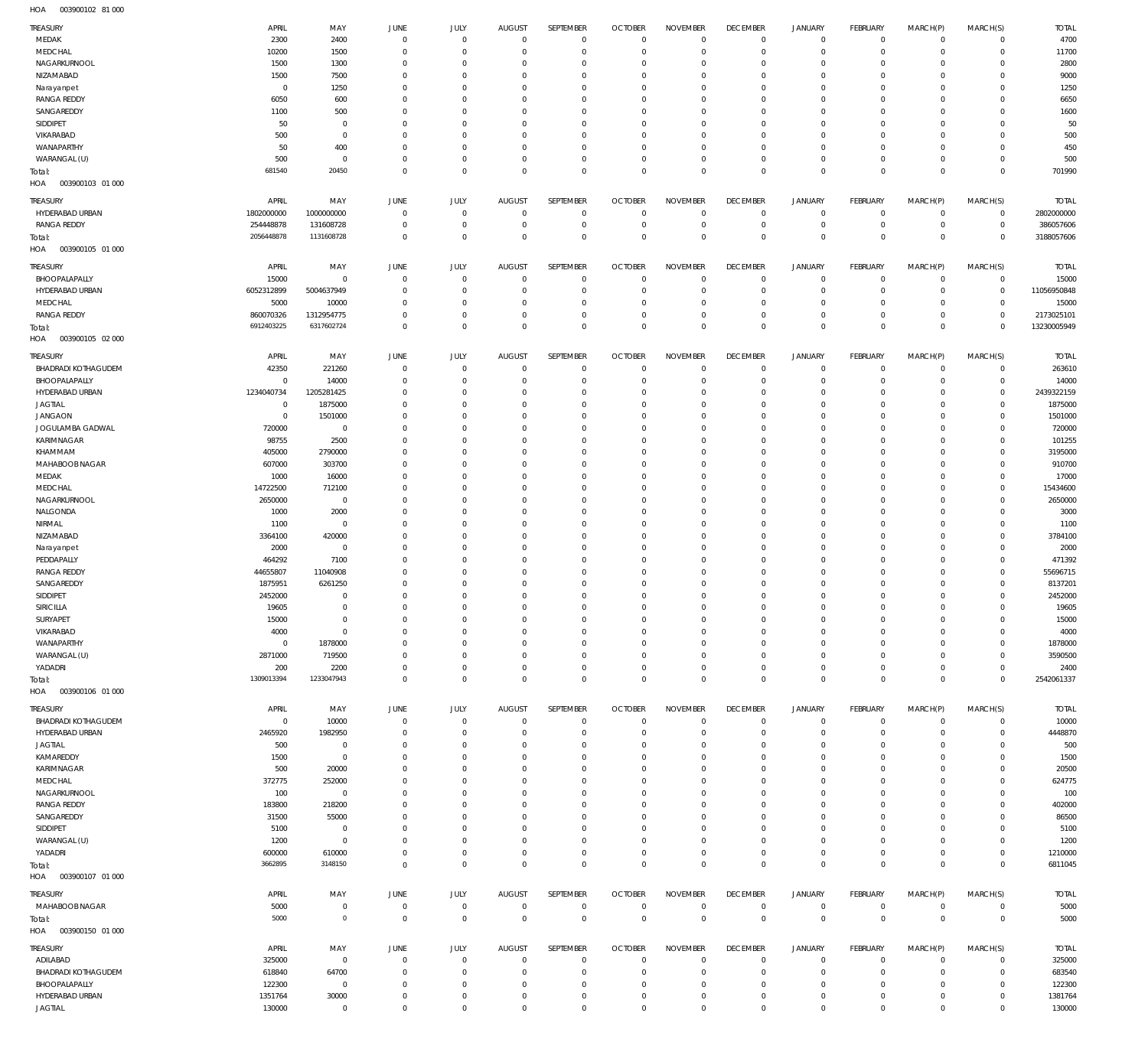003900102 81 000 HOA

| TREASURY                   | APRIL       | MAY                 | JUNE           | JULY        | <b>AUGUST</b> | SEPTEMBER           | <b>OCTOBER</b> | <b>NOVEMBER</b> | <b>DECEMBER</b> | <b>JANUARY</b> | <b>FEBRUARY</b> | MARCH(P)     | MARCH(S)       | <b>TOTAL</b> |
|----------------------------|-------------|---------------------|----------------|-------------|---------------|---------------------|----------------|-----------------|-----------------|----------------|-----------------|--------------|----------------|--------------|
| MEDAK                      | 2300        | 2400                | $\overline{0}$ | $\mathbf 0$ | $\mathbf 0$   | $\mathbf 0$         | $\overline{0}$ | $\Omega$        | $\mathbf{0}$    | $\mathbf 0$    | $\overline{0}$  | $\mathbf 0$  | $\mathbf 0$    | 4700         |
| MEDCHAL                    | 10200       | 1500                | $\mathbf 0$    | $\mathbf 0$ | $^{\circ}$    | $\mathbf 0$         | $\mathbf 0$    | $\mathbf 0$     | $\mathbf 0$     | $\mathbf 0$    | $\mathbf{0}$    | $\mathbf 0$  | $\mathbf 0$    | 11700        |
| NAGARKURNOOL               | 1500        | 1300                | $^{\circ}$     | $\Omega$    | $\Omega$      | $\mathbf 0$         | $\mathbf 0$    | $\Omega$        | $\mathbf 0$     | 0              | $\mathbf{0}$    | $\Omega$     | $\mathbf 0$    | 2800         |
| NIZAMABAD                  | 1500        | 7500                | $^{\circ}$     | $\mathbf 0$ | $\Omega$      | $\mathbf 0$         | $\mathbf 0$    | $\Omega$        | $\mathbf 0$     | 0              | $\mathbf{0}$    | $\Omega$     | $\mathbf 0$    | 9000         |
| Narayanpet                 | $\circ$     | 1250                | $\Omega$       | $\Omega$    | $\Omega$      | $\Omega$            | $\mathbf 0$    | $\Omega$        | $\mathbf 0$     | 0              | $\mathbf{0}$    | $\Omega$     | $\mathbf 0$    | 1250         |
| <b>RANGA REDDY</b>         | 6050        | 600                 | $\Omega$       | $\Omega$    | $\Omega$      | $\mathbf 0$         | $\mathbf 0$    | $\Omega$        | $\mathbf 0$     | 0              | $\mathbf{0}$    | $\Omega$     | $\mathbf 0$    | 6650         |
| SANGAREDDY                 | 1100        | 500                 | $^{\circ}$     | $\Omega$    | $\Omega$      | $\mathbf 0$         | $\mathbf 0$    | $\Omega$        | $\mathbf 0$     | 0              | $\mathbf{0}$    | $\Omega$     | $\mathbf 0$    | 1600         |
| SIDDIPET                   | 50          | $\mathbf 0$         | $\Omega$       | $\Omega$    | $\Omega$      | $\Omega$            | $\Omega$       | $\Omega$        | $\mathbf 0$     | $\Omega$       | $\mathbf{0}$    | $\Omega$     | $\Omega$       | 50           |
| VIKARABAD                  | 500         | $\mathbf 0$         | $^{\circ}$     | $\Omega$    | $\Omega$      | $\mathbf 0$         | $\mathbf 0$    | $\Omega$        | $\mathbf 0$     | 0              | $\mathbf{0}$    | $\Omega$     | $\mathbf 0$    | 500          |
| WANAPARTHY                 | 50          | 400                 | $\Omega$       | $\Omega$    | $\Omega$      | $\Omega$            | $\mathbf 0$    | $\Omega$        | $\mathbf 0$     | 0              | $\mathbf{0}$    | $\Omega$     | $\Omega$       | 450          |
| WARANGAL (U)               | 500         | $\mathbf 0$         | $^{\circ}$     | $\mathbf 0$ | $^{\circ}$    | $\mathbf 0$         | $\mathbf 0$    | $\Omega$        | $\mathbf 0$     | 0              | $\mathbf{0}$    | 0            | $\mathbf 0$    | 500          |
| Total:                     | 681540      | 20450               | $\mathbf 0$    | $\mathbf 0$ | $\Omega$      | $\mathbf 0$         | $\mathbf 0$    | $\mathbf 0$     | $\mathbf 0$     | $\mathbf 0$    | $\Omega$        | $\Omega$     | $\mathbf 0$    | 701990       |
| HOA<br>003900103 01 000    |             |                     |                |             |               |                     |                |                 |                 |                |                 |              |                |              |
|                            |             |                     |                |             |               |                     |                |                 |                 |                |                 |              |                |              |
| TREASURY                   | APRIL       | MAY                 | JUNE           | JULY        | <b>AUGUST</b> | SEPTEMBER           | <b>OCTOBER</b> | <b>NOVEMBER</b> | <b>DECEMBER</b> | <b>JANUARY</b> | <b>FEBRUARY</b> | MARCH(P)     | MARCH(S)       | <b>TOTAL</b> |
| HYDERABAD URBAN            | 1802000000  | 1000000000          | $\mathbf 0$    | $\Omega$    | $^{\circ}$    | $\mathbf 0$         | $\mathbf 0$    | $\Omega$        | $\mathbf{0}$    | $^{\circ}$     | $\overline{0}$  | $\mathbf 0$  | $\overline{0}$ | 2802000000   |
| <b>RANGA REDDY</b>         | 254448878   | 131608728           | $^{\circ}$     | $\mathbf 0$ | $^{\circ}$    | $\mathbf 0$         | $\mathbf 0$    | $\mathbf 0$     | $\mathbf 0$     | $\mathbf 0$    | $\mathbf{0}$    | 0            | $\overline{0}$ | 386057606    |
| Total:                     | 2056448878  | 1131608728          | $\mathbf 0$    | $\Omega$    | $\Omega$      | $\mathbf 0$         | $\mathbf 0$    | $\mathbf 0$     | $\mathbf{0}$    | $\mathbf 0$    | $\overline{0}$  | $\Omega$     | $\mathbf 0$    | 3188057606   |
| HOA<br>003900105 01 000    |             |                     |                |             |               |                     |                |                 |                 |                |                 |              |                |              |
|                            |             |                     |                |             |               |                     |                |                 |                 |                |                 |              |                |              |
| TREASURY                   | APRIL       | MAY                 | JUNE           | JULY        | <b>AUGUST</b> | SEPTEMBER           | <b>OCTOBER</b> | <b>NOVEMBER</b> | <b>DECEMBER</b> | <b>JANUARY</b> | <b>FEBRUARY</b> | MARCH(P)     | MARCH(S)       | <b>TOTAL</b> |
| BHOOPALAPALLY              | 15000       | $\mathbf 0$         | $\mathbf 0$    | $\mathbf 0$ | $\mathbf 0$   | $\mathbf 0$         | $\mathbf 0$    | $\mathbf 0$     | $\mathbf 0$     | 0              | $\overline{0}$  | $^{\circ}$   | $\overline{0}$ | 15000        |
| HYDERABAD URBAN            | 6052312899  | 5004637949          | $^{\circ}$     | $^{\circ}$  | $^{\circ}$    | $\mathbf 0$         | $\mathbf 0$    | $\mathbf 0$     | $\mathbf{0}$    | $^{\circ}$     | $\overline{0}$  | $^{\circ}$   | $\mathbf 0$    | 11056950848  |
| MEDCHAL                    | 5000        | 10000               | $^{\circ}$     | $^{\circ}$  | $^{\circ}$    | $\mathbf 0$         | $\mathbf 0$    | $\mathbf 0$     | $\mathbf 0$     | 0              | $\overline{0}$  | 0            | $\overline{0}$ | 15000        |
| <b>RANGA REDDY</b>         | 860070326   | 1312954775          | $\mathbf 0$    | $\mathbf 0$ | $\Omega$      | $\mathbf 0$         | $\mathbf 0$    | $\Omega$        | $\mathbf 0$     | $\mathbf 0$    | $\mathbf{0}$    | 0            | $\mathbf 0$    | 2173025101   |
| Total:                     | 6912403225  | 6317602724          | $\mathbf 0$    | $\Omega$    | $\Omega$      | $\mathbf 0$         | $\Omega$       | $\mathbf 0$     | $\circ$         | $\mathbf 0$    | $\overline{0}$  | $\Omega$     | $\mathbf 0$    | 13230005949  |
| HOA<br>003900105 02 000    |             |                     |                |             |               |                     |                |                 |                 |                |                 |              |                |              |
|                            |             |                     |                |             |               |                     |                |                 |                 |                |                 |              |                |              |
| TREASURY                   | APRIL       | MAY                 | JUNE           | JULY        | <b>AUGUST</b> | SEPTEMBER           | <b>OCTOBER</b> | <b>NOVEMBER</b> | <b>DECEMBER</b> | <b>JANUARY</b> | FEBRUARY        | MARCH(P)     | MARCH(S)       | <b>TOTAL</b> |
| <b>BHADRADI KOTHAGUDEM</b> | 42350       | 221260              | $^{\circ}$     | $^{\circ}$  | $^{\circ}$    | $\mathbf 0$         | $\mathbf 0$    | $\mathbf 0$     | $\mathbf 0$     | $^{\circ}$     | $^{\circ}$      | $^{\circ}$   | $\mathbf 0$    | 263610       |
| BHOOPALAPALLY              | $^{\circ}$  | 14000               | $^{\circ}$     | $\Omega$    | $\Omega$      | $\mathbf 0$         | $\mathbf 0$    | $\Omega$        | $\mathbf 0$     | 0              | $\mathbf{0}$    | $\Omega$     | $\mathbf 0$    | 14000        |
| HYDERABAD URBAN            | 1234040734  | 1205281425          | $\Omega$       | $\Omega$    | $\Omega$      | $\Omega$            | $\mathbf 0$    | $\Omega$        | $\circ$         | 0              | $^{\circ}$      | $\Omega$     | $\mathbf 0$    | 2439322159   |
| <b>JAGTIAL</b>             | $^{\circ}$  | 1875000             | $\Omega$       | $\Omega$    | $\Omega$      | $\Omega$            | $\Omega$       | $\Omega$        | $\Omega$        | $\Omega$       | $^{\circ}$      | $\Omega$     | $\Omega$       | 1875000      |
| <b>JANGAON</b>             | $^{\circ}$  | 1501000             | $\Omega$       | $\Omega$    | $\Omega$      | $\mathbf 0$         | $\Omega$       | $\Omega$        | $\circ$         | 0              | $\mathbf 0$     | $\Omega$     | $\Omega$       | 1501000      |
| JOGULAMBA GADWAL           | 720000      | $\mathbf 0$         | $\Omega$       | $\Omega$    | $\Omega$      | $\Omega$            | $\Omega$       | $\Omega$        | $\Omega$        | $\Omega$       | $\Omega$        | $\Omega$     | $\Omega$       | 720000       |
| KARIMNAGAR                 | 98755       | 2500                | $\Omega$       | $\Omega$    | $\Omega$      | $\Omega$            | $\Omega$       | $\Omega$        | $\circ$         | $\Omega$       | $^{\circ}$      | $\Omega$     | $\Omega$       | 101255       |
| KHAMMAM                    | 405000      | 2790000             | $\Omega$       | $\Omega$    | $\Omega$      | $\Omega$            | $\Omega$       | $\Omega$        | $\Omega$        | $\Omega$       | $\Omega$        | $\Omega$     | $\Omega$       | 3195000      |
| MAHABOOB NAGAR             | 607000      | 303700              | $\Omega$       | $\Omega$    | $\Omega$      | $\Omega$            | $\Omega$       | $\Omega$        | $\Omega$        | $\Omega$       | $^{\circ}$      | $\Omega$     | $\Omega$       | 910700       |
|                            |             |                     | $\Omega$       | $\Omega$    | $\Omega$      | $\Omega$            | $\Omega$       | $\Omega$        | $\Omega$        | $\Omega$       | $\mathbf 0$     | $\Omega$     | 0              |              |
| MEDAK                      | 1000        | 16000               |                |             |               |                     |                |                 |                 |                |                 |              |                | 17000        |
| MEDCHAL                    | 14722500    | 712100              | $\Omega$       | $\Omega$    | $\Omega$      | $\Omega$            | $\Omega$       | $\Omega$        | $\Omega$        | $\Omega$       | $\Omega$        | $\Omega$     | $\Omega$       | 15434600     |
| NAGARKURNOOL               | 2650000     | $\mathbf 0$         | $\Omega$       | $\Omega$    | $\Omega$      | $\Omega$            | $\Omega$       | $\Omega$        | $\circ$         | 0              | $\mathbf 0$     | $\Omega$     | $\Omega$       | 2650000      |
| NALGONDA                   | 1000        | 2000                | $\Omega$       | $\Omega$    | $\Omega$      | $\Omega$            | $\Omega$       | $\Omega$        | $\Omega$        | $\Omega$       | $\Omega$        | $\Omega$     | $\Omega$       | 3000         |
| NIRMAL                     | 1100        | $^{\circ}$          | $\Omega$       | $\Omega$    | $\Omega$      | $\Omega$            | $\Omega$       | $\Omega$        | $\Omega$        | $\Omega$       | $^{\circ}$      | $\Omega$     | $\Omega$       | 1100         |
| NIZAMABAD                  | 3364100     | 420000              | $\Omega$       | $\Omega$    | $\Omega$      | $\Omega$            | $\Omega$       | $\Omega$        | $\mathbf 0$     | $\Omega$       | $^{\circ}$      | $\Omega$     | $\Omega$       | 3784100      |
| Narayanpet                 | 2000        | $\mathbf 0$         | $\Omega$       | $\Omega$    | $\Omega$      | $\Omega$            | $\Omega$       | $\Omega$        | $\Omega$        | $\Omega$       | $^{\circ}$      | $\Omega$     | $\Omega$       | 2000         |
| PEDDAPALLY                 | 464292      | 7100                | $\Omega$       | $\Omega$    | $\Omega$      | $\mathbf 0$         | $\Omega$       | $\Omega$        | $\mathbf 0$     | $\Omega$       | $^{\circ}$      | $\Omega$     | $\Omega$       | 471392       |
| <b>RANGA REDDY</b>         | 44655807    | 11040908            | $\Omega$       | $\Omega$    | $\Omega$      | $\Omega$            | $\Omega$       | $\Omega$        | $\Omega$        | $\Omega$       | $\Omega$        | $\Omega$     | $\Omega$       | 55696715     |
| SANGAREDDY                 | 1875951     | 6261250             | $\Omega$       | $\Omega$    | $\Omega$      | $\mathbf 0$         | $\mathbf 0$    | $\Omega$        | $^{\circ}$      | $\Omega$       | $^{\circ}$      | $\Omega$     | $\Omega$       | 8137201      |
| SIDDIPET                   | 2452000     | $\Omega$            | $\Omega$       | $\Omega$    | $\Omega$      | $\Omega$            | $\Omega$       | $\Omega$        | $\Omega$        | $\Omega$       | $\Omega$        | $\Omega$     | $\Omega$       | 2452000      |
| SIRICILLA                  | 19605       | $\Omega$            | $\Omega$       | $\Omega$    | $\Omega$      | $\Omega$            | $\Omega$       | $\Omega$        | $\Omega$        | $\Omega$       | $\Omega$        | $\Omega$     | $\Omega$       | 19605        |
| SURYAPET                   | 15000       | $\mathbf 0$         | $^{\circ}$     | $\Omega$    | $^{\circ}$    | $\mathbf 0$         | $\mathbf 0$    | $\Omega$        | $\mathbf 0$     | 0              | $^{\circ}$      | 0            | 0              | 15000        |
| VIKARABAD                  | 4000        | $\mathbf 0$         | $\mathbf 0$    | $\Omega$    | $\Omega$      | $\mathbf 0$         | $\mathbf 0$    | $\Omega$        | $\mathbf 0$     | 0              | $\mathbf{0}$    | $\Omega$     | 0              | 4000         |
| WANAPARTHY                 | $\mathbf 0$ | 1878000             | $^{\circ}$     | $\Omega$    | $\Omega$      | $\mathbf 0$         | $\mathbf 0$    | $\Omega$        | $\mathbf 0$     | 0              | $^{\circ}$      | $\Omega$     | 0              | 1878000      |
|                            |             |                     |                |             |               |                     |                |                 |                 |                |                 |              |                |              |
| WARANGAL (U)               | 2871000     | 719500              | $\Omega$       | $\Omega$    | $\Omega$      | $\Omega$            | $\Omega$       | $\Omega$        | $\mathbf 0$     | 0              | $^{\circ}$      | $\Omega$     | $\Omega$       | 3590500      |
| YADADRI                    | 200         | 2200                | $^{\circ}$     | $\Omega$    | $^{\circ}$    | 0                   | $\mathbf 0$    | $\mathbf 0$     | $\mathbf 0$     | $\mathbf 0$    | $\circ$         | $\mathbf 0$  | $\mathbf 0$    | 2400         |
| Total:                     | 1309013394  | 1233047943          | $\Omega$       | $\Omega$    | $\Omega$      | $\mathbf 0$         | $\mathbf 0$    | $\mathbf 0$     | $\mathbf 0$     | $\mathbf 0$    | $\mathbf{0}$    | $\Omega$     | $\mathbf 0$    | 2542061337   |
| HOA<br>003900106 01 000    |             |                     |                |             |               |                     |                |                 |                 |                |                 |              |                |              |
| TREASURY                   | APRIL       | MAY                 | JUNE           | JULY        | <b>AUGUST</b> | SEPTEMBER           | <b>OCTOBER</b> | <b>NOVEMBER</b> | <b>DECEMBER</b> | <b>JANUARY</b> | <b>FEBRUARY</b> | MARCH(P)     | MARCH(S)       | <b>TOTAL</b> |
| <b>BHADRADI KOTHAGUDEM</b> | $\mathbf 0$ | 10000               | $\circ$        | $\mathbf 0$ | $\mathbf 0$   | $\mathbf 0$         | $\overline{0}$ | $\mathbf 0$     | $\mathbf{0}$    | $\mathbf 0$    | $\overline{0}$  | $^{\circ}$   | $\mathbf 0$    | 10000        |
| HYDERABAD URBAN            | 2465920     | 1982950             | 0              | $\mathbf 0$ | $^{\circ}$    | $\mathbf 0$         | $\overline{0}$ | $\mathbf 0$     | $\mathbf 0$     | 0              | $\overline{0}$  | $\mathbf 0$  | $\mathbf 0$    | 4448870      |
| <b>JAGTIAL</b>             | 500         | $\mathbf 0$         | $^{\circ}$     | $\mathbf 0$ | $^{\circ}$    | $\mathbf 0$         | $\mathbf 0$    | $\mathbf 0$     | $\mathbf{0}$    | 0              | $^{\circ}$      | $\Omega$     | $\mathbf 0$    | 500          |
| KAMAREDDY                  | 1500        | $\mathbf 0$         | $^{\circ}$     | $\mathbf 0$ | $\Omega$      | 0                   | $\mathbf 0$    | $\mathbf 0$     | $\mathbf 0$     | 0              | $^{\circ}$      | $\Omega$     | $\mathbf 0$    | 1500         |
|                            |             |                     |                |             |               |                     |                |                 |                 |                |                 |              |                |              |
| KARIMNAGAR                 | 500         | 20000               | $^{\circ}$     | $\Omega$    | $\Omega$      | $\Omega$            | $\mathbf 0$    | $\Omega$        | $\mathbf 0$     | 0              | $^{\circ}$      | $\Omega$     | $\mathbf 0$    | 20500        |
| MEDCHAL                    | 372775      | 252000              | $^{\circ}$     | $\Omega$    | $\Omega$      | $\mathbf 0$         | $\mathbf 0$    | $\Omega$        | $\mathbf 0$     | 0              | $^{\circ}$      | $\Omega$     | $\mathbf 0$    | 624775       |
| NAGARKURNOOL               | 100         | $\mathbf 0$         | $^{\circ}$     | $^{\circ}$  | $\Omega$      | $\mathbf 0$         | $\mathbf 0$    | $\mathbf 0$     | $\mathbf 0$     | 0              | $^{\circ}$      | $\Omega$     | 0              | 100          |
| <b>RANGA REDDY</b>         | 183800      | 218200              | $^{\circ}$     | $\Omega$    | $\Omega$      | $\Omega$            | $\mathbf 0$    | $\Omega$        | $\mathbf 0$     | 0              | $^{\circ}$      | $\Omega$     | $\mathbf 0$    | 402000       |
| SANGAREDDY                 | 31500       | 55000               | $^{\circ}$     | $^{\circ}$  | $\Omega$      | $\mathbf 0$         | $\mathbf 0$    | $\mathbf 0$     | $\mathbf 0$     | 0              | $^{\circ}$      | 0            | $\mathbf 0$    | 86500        |
| SIDDIPET                   | 5100        | $\mathbb O$         | $^{\circ}$     | $\Omega$    | $\Omega$      | $\Omega$            | $\mathbf 0$    | $\Omega$        | $\mathbf 0$     | 0              | $^{\circ}$      | $\Omega$     | $\mathbf 0$    | 5100         |
| WARANGAL (U)               | 1200        | $\mathbf 0$         | $^{\circ}$     | $^{\circ}$  | $^{\circ}$    | 0                   | $^{\circ}$     | $\mathbf 0$     | $\mathbf{0}$    | 0              | $^{\circ}$      | 0            | $\mathbf 0$    | 1200         |
| YADADRI                    | 600000      | 610000              | $^{\circ}$     | $\mathbf 0$ | $\mathbf 0$   | $\mathbf 0$         | $\mathbf 0$    | $\mathbf 0$     | $\mathbf{0}$    | $\mathbf 0$    | $\overline{0}$  | 0            | $\mathbf 0$    | 1210000      |
| Total:                     | 3662895     | 3148150             | $\mathbf 0$    | $\mathbf 0$ | $\Omega$      | $\mathbf 0$         | $\overline{0}$ | $\mathbf 0$     | $\mathbf{0}$    | $\mathbf 0$    | $\overline{0}$  | $\mathbf 0$  | $\mathbf 0$    | 6811045      |
| HOA<br>003900107 01 000    |             |                     |                |             |               |                     |                |                 |                 |                |                 |              |                |              |
|                            |             |                     |                |             |               |                     |                |                 |                 |                |                 |              |                |              |
| TREASURY                   | APRIL       | MAY                 | JUNE           | JULY        | <b>AUGUST</b> | SEPTEMBER           | <b>OCTOBER</b> | <b>NOVEMBER</b> | <b>DECEMBER</b> | <b>JANUARY</b> | <b>FEBRUARY</b> | MARCH(P)     | MARCH(S)       | <b>TOTAL</b> |
| MAHABOOB NAGAR             | 5000        | $\mathbf 0$         | $\mathbf 0$    | $\mathbf 0$ | $\mathbf 0$   | $\mathsf{O}\xspace$ | $\mathbf 0$    | $\mathbf 0$     | $\circ$         | $\circ$        | $\overline{0}$  | $\circ$      | $\overline{0}$ | 5000         |
| Total:                     | 5000        | $\mathbb O$         | $\mathbf{0}$   | $\mathbf 0$ | $\mathbf 0$   | $\mathbf 0$         | $\overline{0}$ | $\mathbf 0$     | $\circ$         | $\circ$        | $\overline{0}$  | $\mathbf{0}$ | $\overline{0}$ | 5000         |
| HOA<br>003900150 01 000    |             |                     |                |             |               |                     |                |                 |                 |                |                 |              |                |              |
|                            |             |                     |                |             |               |                     |                |                 |                 |                |                 |              |                |              |
| TREASURY                   | APRIL       | MAY                 | JUNE           | JULY        | <b>AUGUST</b> | SEPTEMBER           | <b>OCTOBER</b> | <b>NOVEMBER</b> | <b>DECEMBER</b> | <b>JANUARY</b> | <b>FEBRUARY</b> | MARCH(P)     | MARCH(S)       | <b>TOTAL</b> |
| ADILABAD                   | 325000      | $\mathsf{O}\xspace$ | $\circ$        | $\mathbf 0$ | $\mathbf 0$   | $\mathbf 0$         | $\overline{0}$ | $\mathbf 0$     | $\mathbf{0}$    | 0              | $\overline{0}$  | $\mathbf 0$  | $\mathbf 0$    | 325000       |
| BHADRADI KOTHAGUDEM        | 618840      | 64700               | $^{\circ}$     | $\mathbf 0$ | $^{\circ}$    | $\mathbf 0$         | $\overline{0}$ | $\mathbf 0$     | $\mathbf 0$     | $\mathbf 0$    | $\overline{0}$  | $\mathbf 0$  | $\mathbf 0$    | 683540       |
| BHOOPALAPALLY              | 122300      | $\mathbf 0$         | $^{\circ}$     | $\mathbf 0$ | $^{\circ}$    | $\mathbf 0$         | $\overline{0}$ | $\mathbf 0$     | $\circ$         | $\mathbf 0$    | $\overline{0}$  | $\mathbf 0$  | $\mathbf 0$    | 122300       |
| HYDERABAD URBAN            | 1351764     | 30000               | $^{\circ}$     | $\mathbf 0$ | $^{\circ}$    | $\mathbf 0$         | $\overline{0}$ | $\mathbf 0$     | $\circ$         | 0              | $\circ$         | 0            | $\mathbf 0$    | 1381764      |
| JAGTIAL                    | 130000      | $\mathbf 0$         | $\mathbf 0$    | $\mathbf 0$ | $\mathbf 0$   | $\mathbf 0$         | $\mathbf 0$    | $\mathbf 0$     | $\mathbf{0}$    | $\mathbf 0$    | $\mathbf{0}$    | $\mathbf 0$  | $\mathbf 0$    | 130000       |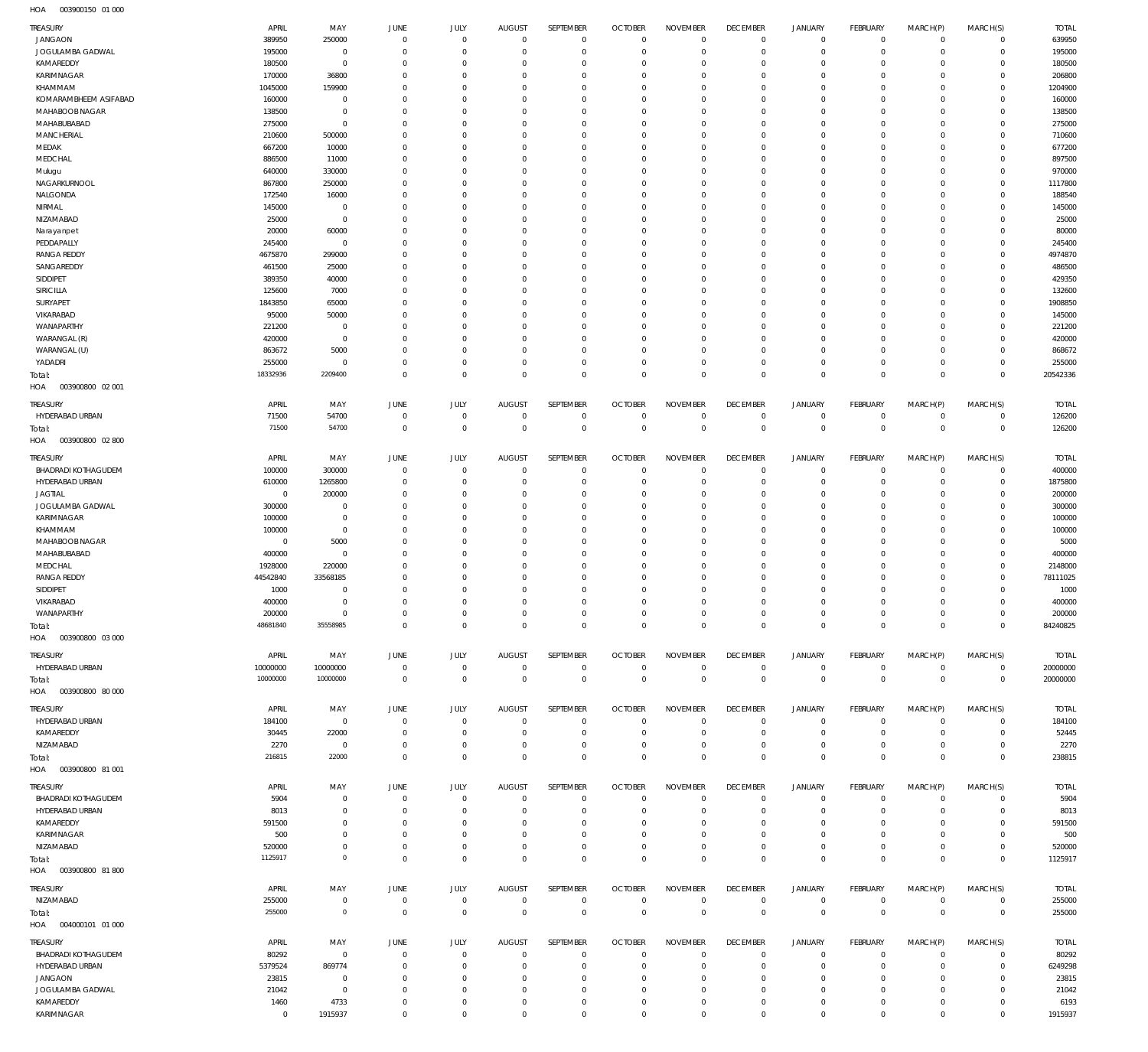003900150 01 000 HOA

| TREASURY                         | APRIL            | MAY                          | JUNE                         | JULY                       | <b>AUGUST</b>              | SEPTEMBER                  | <b>OCTOBER</b>                   | <b>NOVEMBER</b>         | <b>DECEMBER</b>            | JANUARY              | FEBRUARY                  | MARCH(P)             | MARCH(S)                   | <b>TOTAL</b>     |
|----------------------------------|------------------|------------------------------|------------------------------|----------------------------|----------------------------|----------------------------|----------------------------------|-------------------------|----------------------------|----------------------|---------------------------|----------------------|----------------------------|------------------|
| <b>JANGAON</b>                   | 389950           | 250000                       | $\overline{0}$               | $\mathbf 0$                | $\mathbf 0$                | $\mathbf 0$                | $\overline{0}$                   | $\mathbf 0$             | $\overline{0}$             | $\mathbf{0}$         | $\mathbf 0$               | $\mathbf 0$          | $\mathbf 0$                | 639950           |
| JOGULAMBA GADWAL                 | 195000           | $\overline{0}$               | $^{\circ}$                   | $\Omega$                   | $\Omega$                   | $\mathbf 0$                | $\overline{0}$                   | $\Omega$                | $\mathbf 0$                | $\mathbf 0$          | $\mathbf{0}$              | $\Omega$             | $\mathbf 0$                | 195000           |
| KAMAREDDY                        | 180500           | $\Omega$                     | $\Omega$                     | $\Omega$                   | $\Omega$                   | $\Omega$                   | $\Omega$                         | $\Omega$                | $\Omega$                   | $\Omega$             | $\Omega$                  | $\Omega$             | $\Omega$                   | 180500           |
| KARIMNAGAR                       | 170000           | 36800                        | $\Omega$                     | $\Omega$                   | $\Omega$                   | $\Omega$                   | $\mathbf 0$                      | $\Omega$                | $\mathbf 0$                | $\mathbf 0$          | $\mathbf{0}$              | $\Omega$             | $\Omega$                   | 206800           |
| KHAMMAM                          | 1045000          | 159900                       | $\Omega$                     | $\Omega$                   | $\Omega$                   | $\Omega$                   | $\Omega$                         | $\Omega$                | $\Omega$                   | $\Omega$             | $\Omega$                  | $\Omega$             | $\Omega$                   | 1204900          |
| KOMARAMBHEEM ASIFABAD            | 160000           | $^{\circ}$<br>$\overline{0}$ | $\Omega$<br>$\Omega$         | $\Omega$<br>$\Omega$       | $\Omega$<br>$\Omega$       | $\Omega$<br>$\Omega$       | $\Omega$<br>$\Omega$             | $\Omega$<br>$\Omega$    | $\Omega$<br>$\Omega$       | $\Omega$<br>$\Omega$ | $\Omega$                  | $\Omega$<br>$\Omega$ | $\Omega$<br>$\Omega$       | 160000           |
| MAHABOOB NAGAR<br>MAHABUBABAD    | 138500           | $\mathbf 0$                  | $\Omega$                     | $\Omega$                   | $\Omega$                   | $\Omega$                   | $\Omega$                         | $\Omega$                | $\Omega$                   | $\Omega$             | $^{\circ}$<br>$\Omega$    | $\Omega$             | $\Omega$                   | 138500           |
| MANCHERIAL                       | 275000<br>210600 | 500000                       | $\Omega$                     | $\Omega$                   | $\Omega$                   | $\Omega$                   | $\Omega$                         | $\Omega$                | $\mathbf 0$                | $\Omega$             | $^{\circ}$                | $\Omega$             | $\Omega$                   | 275000<br>710600 |
| MEDAK                            | 667200           | 10000                        | $\Omega$                     | $\Omega$                   | $\Omega$                   | $\Omega$                   | $\Omega$                         | $\Omega$                | $\Omega$                   | $\Omega$             | $\Omega$                  | O                    | $\Omega$                   | 677200           |
| MEDCHAL                          | 886500           | 11000                        | $\Omega$                     | $\Omega$                   | $\Omega$                   | $\Omega$                   | $\Omega$                         | $\Omega$                | $\Omega$                   | $\Omega$             | $^{\circ}$                | $\Omega$             | $\Omega$                   | 897500           |
| Mulugu                           | 640000           | 330000                       | $\Omega$                     | $\Omega$                   | $\Omega$                   | $\Omega$                   | $\Omega$                         | $\Omega$                | $\Omega$                   | $\Omega$             | $\Omega$                  | 0                    | $\Omega$                   | 970000           |
| NAGARKURNOOL                     | 867800           | 250000                       | $\Omega$                     | $\Omega$                   | $\Omega$                   | $\Omega$                   | $\Omega$                         | $\Omega$                | $\Omega$                   | $\Omega$             | $\Omega$                  | $\Omega$             | $\Omega$                   | 1117800          |
| NALGONDA                         | 172540           | 16000                        | $\Omega$                     | $\Omega$                   | $\Omega$                   | $\Omega$                   | $\Omega$                         | $\Omega$                | $\Omega$                   | $\Omega$             | $\Omega$                  | 0                    | $\Omega$                   | 188540           |
| NIRMAL                           | 145000           | $^{\circ}$                   | $\Omega$                     | $\Omega$                   | $\Omega$                   | $\Omega$                   | $\Omega$                         | $\Omega$                | $\Omega$                   | $\Omega$             | $\Omega$                  | $\Omega$             | $\Omega$                   | 145000           |
| NIZAMABAD                        | 25000            | $\overline{0}$               | $\Omega$                     | $\Omega$                   | $\Omega$                   | $\Omega$                   | $\Omega$                         | $\Omega$                | $\Omega$                   | $\Omega$             | $^{\circ}$                | $\Omega$             | $\Omega$                   | 25000            |
| Narayanpet                       | 20000            | 60000                        | $\Omega$                     | $\Omega$                   | $\Omega$                   | $\Omega$                   | $\Omega$                         | $\Omega$                | $\Omega$                   | $\Omega$             | $\Omega$                  | $\Omega$             | $\Omega$                   | 80000            |
| PEDDAPALLY                       | 245400           | $\overline{0}$               | $\Omega$                     | $\Omega$                   | $\Omega$                   | $\Omega$                   | $\Omega$                         | $\Omega$                | $\Omega$                   | $\Omega$             | $\Omega$                  | $\Omega$             | $\Omega$                   | 245400           |
| <b>RANGA REDDY</b>               | 4675870          | 299000                       | $\Omega$                     | $\Omega$                   | $\Omega$                   | $\Omega$                   | $\Omega$                         | $\Omega$                | $\Omega$                   | $\Omega$             | $\Omega$                  | $\Omega$             | $\Omega$                   | 4974870          |
| SANGAREDDY                       | 461500           | 25000                        | $\Omega$                     | $\Omega$                   | $\Omega$                   | $\Omega$                   | $\Omega$                         | $\Omega$                | $\Omega$                   | $\Omega$             | $\Omega$                  | $\Omega$             | $\Omega$                   | 486500           |
| SIDDIPET                         | 389350           | 40000                        | $\Omega$                     | $\Omega$                   | $\Omega$                   | $\Omega$                   | $\Omega$                         | $\Omega$                | $\Omega$                   | $\Omega$             | $^{\circ}$                | $\Omega$             | $\Omega$                   | 429350           |
| SIRICILLA                        | 125600           | 7000                         | $\Omega$                     | $\Omega$                   | $\Omega$                   | $\Omega$                   | $\Omega$                         | $\Omega$                | $\Omega$                   | $\Omega$             | $\Omega$                  | O                    | $\Omega$                   | 132600           |
| SURYAPET                         | 1843850          | 65000                        | $\Omega$                     | $\Omega$                   | $\Omega$                   | $\Omega$                   | $\Omega$                         | $\Omega$                | $\Omega$                   | $\Omega$             | $^{\circ}$                | $\Omega$             | $\Omega$                   | 1908850          |
| VIKARABAD                        | 95000            | 50000                        | $\Omega$                     | $\Omega$                   | $\Omega$                   | $\Omega$                   | $\Omega$                         | $\Omega$                | $\Omega$                   | $\Omega$             | $\Omega$                  | 0                    | $\Omega$                   | 145000           |
| <b>WANAPARTHY</b>                | 221200           | $^{\circ}$                   | $\Omega$                     | $\Omega$                   | $\Omega$                   | $\Omega$                   | $\Omega$                         | $\Omega$                | $\Omega$                   | $\Omega$             | $\Omega$                  | $\Omega$             | $\Omega$                   | 221200           |
| WARANGAL (R)                     | 420000           | $\overline{0}$               | $\Omega$                     | $\Omega$                   | $\Omega$                   | $\Omega$                   | $\Omega$                         | $\Omega$                | $\Omega$                   | $\Omega$             | $\Omega$                  | 0                    | $\Omega$                   | 420000           |
| WARANGAL (U)                     | 863672           | 5000                         | $\Omega$                     | $\Omega$                   | $\Omega$                   | $\Omega$                   | $\Omega$                         | $\Omega$                | $\Omega$                   | $\Omega$             | $\Omega$                  | $\Omega$             | $\Omega$                   | 868672           |
| YADADRI                          | 255000           | $^{\circ}$                   | $^{\circ}$                   | $\Omega$                   | $\mathbf 0$                | $\mathbf 0$                | $\mathbf 0$                      | $\Omega$                | $\mathbf 0$                | $\mathbf 0$          | $\mathbf{0}$              | $\Omega$             | 0                          | 255000           |
| Total:                           | 18332936         | 2209400                      | $\Omega$                     | $\Omega$                   | $\Omega$                   | $\Omega$                   | $\Omega$                         | $\Omega$                | $\Omega$                   | $\Omega$             | $\Omega$                  | $\Omega$             | $\Omega$                   | 20542336         |
| HOA<br>003900800 02 001          |                  |                              |                              |                            |                            |                            |                                  |                         |                            |                      |                           |                      |                            |                  |
| TREASURY                         | APRIL            | MAY                          | <b>JUNE</b>                  | JULY                       | <b>AUGUST</b>              | SEPTEMBER                  | <b>OCTOBER</b>                   | <b>NOVEMBER</b>         | <b>DECEMBER</b>            | <b>JANUARY</b>       | FEBRUARY                  | MARCH(P)             | MARCH(S)                   | <b>TOTAL</b>     |
| HYDERABAD URBAN                  | 71500            | 54700                        | $\overline{0}$               | $\mathbf 0$                | $\mathbf 0$                | $\mathbf 0$                | $\overline{0}$                   | $\mathbf 0$             | $\overline{0}$             | $^{\circ}$           | $\overline{0}$            | $\mathbf 0$          | $\overline{0}$             | 126200           |
| Total:                           | 71500            | 54700                        | $\overline{0}$               | $\mathbf 0$                | $\mathbf 0$                | $\bf 0$                    | $\overline{0}$                   | $\overline{0}$          | $\overline{0}$             | $\mathbf 0$          | $\overline{0}$            | $\mathbf{0}$         | $\overline{0}$             | 126200           |
| 003900800 02 800<br>HOA          |                  |                              |                              |                            |                            |                            |                                  |                         |                            |                      |                           |                      |                            |                  |
| TREASURY                         | APRIL            | MAY                          | <b>JUNE</b>                  | JULY                       | <b>AUGUST</b>              | SEPTEMBER                  | <b>OCTOBER</b>                   | <b>NOVEMBER</b>         | <b>DECEMBER</b>            | <b>JANUARY</b>       | FEBRUARY                  | MARCH(P)             | MARCH(S)                   | <b>TOTAL</b>     |
| <b>BHADRADI KOTHAGUDEM</b>       | 100000           | 300000                       | $^{\circ}$                   | $\mathbf 0$                | $\mathbf 0$                | $\mathbf 0$                | $\overline{0}$                   | $\mathbf 0$             | $\overline{0}$             | $^{\circ}$           | $\circ$                   | $\mathbf 0$          | $\mathbf 0$                | 400000           |
| HYDERABAD URBAN                  | 610000           | 1265800                      | $^{\circ}$                   | $\Omega$                   | $\Omega$                   | $\mathbf 0$                | $\mathbf 0$                      | $\Omega$                | $\mathbf 0$                | $\mathbf 0$          | $\mathbf{0}$              | $\Omega$             | $\mathbf 0$                | 1875800          |
| <b>JAGTIAL</b>                   | $\mathbf 0$      | 200000                       | $\Omega$                     | $\Omega$                   | $\Omega$                   | $\Omega$                   | $\Omega$                         | $\Omega$                | $\mathbf 0$                | $\Omega$             | $^{\circ}$                | $\Omega$             | $\Omega$                   | 200000           |
| JOGULAMBA GADWAL                 | 300000           | $^{\circ}$                   | $\Omega$                     | $\Omega$                   | $\Omega$                   | $\Omega$                   | $\mathbf 0$                      | $\Omega$                | $\mathbf 0$                | 0                    | $^{\circ}$                | $\Omega$             | $\Omega$                   | 300000           |
| KARIMNAGAR                       | 100000           | $\overline{0}$               | $\Omega$                     | $\Omega$                   | $\Omega$                   | $\Omega$                   | $\Omega$                         | $\Omega$                | $\Omega$                   | $\Omega$             | $\Omega$                  | $\Omega$             | $\Omega$                   | 100000           |
| KHAMMAM                          | 100000           | $\mathbf 0$                  | $\Omega$                     | $\Omega$                   | $\Omega$                   | $\Omega$                   | $\Omega$                         | $\Omega$                | $\Omega$                   | $\Omega$             | $\Omega$                  | $\Omega$             | $\Omega$                   | 100000           |
| MAHABOOB NAGAR                   | $\mathbf 0$      | 5000                         | $\Omega$                     | $\Omega$                   | $\Omega$                   | $\Omega$                   | $\Omega$                         | $\Omega$                | $\Omega$                   | $\Omega$             | $\Omega$                  | $\Omega$             | $\Omega$                   | 5000             |
| MAHABUBABAD                      | 400000           | $\overline{0}$               | $\Omega$                     | $\Omega$                   | $\Omega$                   | $\Omega$                   | $\Omega$                         | $\Omega$                | $\Omega$                   | $\Omega$             | $\Omega$                  | $\Omega$             | $\Omega$                   | 400000           |
| MEDCHAL                          | 1928000          | 220000                       | $\Omega$                     | $\Omega$                   | $\Omega$                   | $\mathbf 0$                | $\Omega$                         | $\Omega$                | $\mathbf 0$                | $\Omega$             | $\mathbf 0$               | $\Omega$             | $\Omega$                   | 2148000          |
| <b>RANGA REDDY</b>               | 44542840         | 33568185                     | $\Omega$                     | $\Omega$                   | $\Omega$                   | $\Omega$                   | $\Omega$                         | $\Omega$                | $\Omega$                   | $\Omega$             | $\Omega$                  | $\Omega$             | $\Omega$                   | 78111025         |
| SIDDIPET                         | 1000             | $\Omega$                     | $\Omega$                     | $\Omega$                   | $\Omega$                   | $\mathbf 0$                | $\mathbf 0$                      | $\Omega$                | $\Omega$                   | $\Omega$             | $\Omega$                  | $\Omega$             | $\Omega$                   | 1000             |
| VIKARABAD                        | 400000           | $\mathbf 0$                  | $\Omega$                     | $\Omega$                   | $\Omega$                   | $\Omega$                   | $\Omega$                         | $\Omega$                | $\Omega$                   | $\Omega$             | $\Omega$                  | $\Omega$             | $\Omega$                   | 400000           |
| WANAPARTHY                       | 200000           | $\Omega$                     | $\Omega$                     | $\Omega$                   | $\Omega$                   | $\Omega$                   | $\Omega$                         | $\Omega$                | $\Omega$                   | $\Omega$             | $\Omega$                  | $\Omega$             | $\Omega$                   | 200000           |
| Total:                           | 48681840         | 35558985                     | $\mathbf 0$                  | $\mathbf 0$                | $\mathbf 0$                | $\bf 0$                    | $\overline{0}$                   | $\mathbb O$             | $\overline{0}$             | $\mathbf 0$          | $\overline{0}$            | $\mathbf 0$          | $\mathbf 0$                | 84240825         |
| HOA<br>003900800 03 000          |                  |                              |                              |                            |                            |                            |                                  |                         |                            |                      |                           |                      |                            |                  |
| TREASURY                         | APRIL            | MAY                          | JUNE                         | JULY                       | AUGUST                     | <b>SEPTEMBER</b>           | <b>OCTOBER</b>                   | <b>NOVEMBER</b>         | <b>DECEMBER</b>            | JANUARY              | FEBRUARY                  | MARCH(P)             | MARCH(S)                   | <b>TOTAL</b>     |
| HYDERABAD URBAN                  | 10000000         | 10000000                     | $\overline{0}$               | $\mathsf{O}\xspace$        | $\overline{0}$             | $\mathbf 0$                | $\overline{0}$                   | $\mathbf 0$             | $\overline{0}$             | $\circ$              | $\overline{0}$            | $\mathbf 0$          | $\overline{0}$             | 20000000         |
| Total:                           | 10000000         | 10000000                     | $\overline{0}$               | $\mathsf{O}\xspace$        | $\overline{0}$             | $\mathbf 0$                | $\overline{0}$                   | $\overline{0}$          | $\overline{0}$             | $\overline{0}$       | $\mathbf 0$               | $\mathbf 0$          | $\overline{0}$             | 20000000         |
| HOA<br>003900800 80 000          |                  |                              |                              |                            |                            |                            |                                  |                         |                            |                      |                           |                      |                            |                  |
| TREASURY                         | APRIL            | MAY                          | JUNE                         | JULY                       | <b>AUGUST</b>              | SEPTEMBER                  | <b>OCTOBER</b>                   | <b>NOVEMBER</b>         | <b>DECEMBER</b>            | <b>JANUARY</b>       | FEBRUARY                  | MARCH(P)             | MARCH(S)                   | <b>TOTAL</b>     |
| HYDERABAD URBAN                  | 184100           | $^{\circ}$                   | $\overline{0}$               | $\Omega$                   | $\Omega$                   | $\mathbf 0$                | $\Omega$                         | $\Omega$                | $\overline{0}$             | $^{\circ}$           | $\mathbf{0}$              | $\mathbf 0$          | $\mathbf 0$                | 184100           |
| KAMAREDDY                        | 30445            | 22000                        | $^{\circ}$                   | $\mathbf 0$                | $\mathbf 0$                | $\mathbf 0$                | $\overline{0}$                   | $\mathbf 0$             | $\mathbf 0$                | $\mathbf 0$          | $\circ$                   | $\mathbf 0$          | $\mathbf 0$                | 52445            |
| NIZAMABAD                        | 2270             | $\mathbf 0$                  | $\overline{0}$               | $\mathbf 0$                | $\mathbf 0$                | $\mathbf 0$                | $\overline{0}$                   | $\mathbf 0$             | $\mathbf 0$                | $\mathbf 0$          | $\circ$                   | $\mathbf 0$          | $\mathbf 0$                | 2270             |
| Total:                           | 216815           | 22000                        | $\mathbf 0$                  | $\mathbf 0$                | $\Omega$                   | $\mathbf 0$                | $\overline{0}$                   | $\mathbf 0$             | $\overline{0}$             | $\mathbf 0$          | $\overline{0}$            | $\Omega$             | $\mathbf{0}$               | 238815           |
| HOA<br>003900800 81 001          |                  |                              |                              |                            |                            |                            |                                  |                         |                            |                      |                           |                      |                            |                  |
|                                  |                  |                              |                              |                            |                            |                            |                                  | <b>NOVEMBER</b>         | <b>DECEMBER</b>            |                      |                           |                      |                            |                  |
| TREASURY                         | APRIL            | MAY                          | <b>JUNE</b>                  | JULY                       | <b>AUGUST</b>              | SEPTEMBER                  | <b>OCTOBER</b>                   |                         |                            | JANUARY              | FEBRUARY                  | MARCH(P)             | MARCH(S)                   | <b>TOTAL</b>     |
| BHADRADI KOTHAGUDEM              | 5904             | $\mathbf 0$                  | $\overline{0}$               | $\mathbf 0$                | $\mathbf 0$                | $\mathbf 0$                | $\overline{0}$                   | $\mathbf 0$             | $\overline{0}$             | $\mathbf 0$          | $\circ$                   | $\mathbf 0$          | $\mathbf 0$                | 5904             |
| HYDERABAD URBAN<br>KAMAREDDY     | 8013<br>591500   | $\mathbf 0$<br>$\mathbb O$   | $\overline{0}$<br>$^{\circ}$ | $\mathbf 0$<br>$\mathbf 0$ | $\mathbf 0$<br>$\mathbf 0$ | $\mathbf 0$<br>$\mathbf 0$ | $\overline{0}$<br>$\overline{0}$ | $\Omega$<br>$\mathbf 0$ | $\mathbf 0$<br>$\mathbf 0$ | $\mathbf 0$<br>0     | $\mathbf 0$<br>$^{\circ}$ | $\Omega$<br>0        | $\mathbf 0$<br>$\mathbf 0$ | 8013<br>591500   |
|                                  |                  | $\mathbf 0$                  |                              | $\Omega$                   | $\Omega$                   | $\mathbf 0$                | $\overline{0}$                   | $\Omega$                | $\overline{0}$             |                      |                           | $\Omega$             | $\mathbf 0$                |                  |
| KARIMNAGAR<br>NIZAMABAD          | 500<br>520000    | $\mathbf 0$                  | $^{\circ}$<br>$^{\circ}$     | $\mathbf 0$                | $\mathbf 0$                | $\mathbf 0$                | $\overline{0}$                   | $\mathbf 0$             | $\overline{0}$             | $\mathbf 0$<br>0     | $^{\circ}$<br>$\circ$     | $\mathbf 0$          | $\mathbf 0$                | 500<br>520000    |
|                                  | 1125917          | $\mathbb O$                  | $\overline{0}$               | $\mathbf 0$                | $\Omega$                   | $\mathbf 0$                | $\overline{0}$                   | $\mathbf 0$             | $\overline{0}$             | $\mathbf 0$          | $\overline{0}$            | $\mathbf 0$          | $\mathbf{0}$               | 1125917          |
| Total:<br>003900800 81800<br>HOA |                  |                              |                              |                            |                            |                            |                                  |                         |                            |                      |                           |                      |                            |                  |
|                                  |                  |                              |                              |                            |                            |                            |                                  |                         |                            |                      |                           |                      |                            |                  |
| TREASURY                         | APRIL            | MAY                          | <b>JUNE</b>                  | JULY                       | <b>AUGUST</b>              | SEPTEMBER                  | <b>OCTOBER</b>                   | <b>NOVEMBER</b>         | <b>DECEMBER</b>            | <b>JANUARY</b>       | FEBRUARY                  | MARCH(P)             | MARCH(S)                   | <b>TOTAL</b>     |
| NIZAMABAD                        | 255000           | $\mathbf 0$                  | $\mathbf 0$                  | $\mathbf 0$                | $\overline{0}$             | $\mathbf 0$                | $\overline{0}$                   | $\mathbf 0$             | $\overline{0}$             | $\overline{0}$       | $\overline{0}$            | $\mathbf 0$          | $\mathbf 0$                | 255000           |
| Total:                           | 255000           | $\mathbb O$                  | $\mathbf 0$                  | $\mathbf 0$                | $\mathbf 0$                | $\bf 0$                    | $\overline{0}$                   | $\overline{0}$          | $\overline{0}$             | $\mathbf 0$          | $\mathbf 0$               | $\mathbf{0}$         | $\overline{0}$             | 255000           |
| HOA   004000101   01   000       |                  |                              |                              |                            |                            |                            |                                  |                         |                            |                      |                           |                      |                            |                  |
| TREASURY                         | APRIL            | MAY                          | JUNE                         | JULY                       | <b>AUGUST</b>              | SEPTEMBER                  | <b>OCTOBER</b>                   | <b>NOVEMBER</b>         | <b>DECEMBER</b>            | JANUARY              | FEBRUARY                  | MARCH(P)             | MARCH(S)                   | <b>TOTAL</b>     |
| BHADRADI KOTHAGUDEM              | 80292            | $\overline{0}$               | $\overline{0}$               | $\mathbf 0$                | $\mathbf 0$                | $\mathbf 0$                | $\overline{0}$                   | $\Omega$                | $\mathbf 0$                | 0                    | $\mathbf 0$               | $\mathbf 0$          | $\mathbf 0$                | 80292            |
| HYDERABAD URBAN                  | 5379524          | 869774                       | $\mathbf 0$                  | $\mathbf 0$                | $\mathbf 0$                | $\mathbf 0$                | $\overline{0}$                   | $\mathbf 0$             | $\overline{0}$             | $\mathbf 0$          | $\overline{0}$            | $\mathbf 0$          | $\mathbf 0$                | 6249298          |
| <b>JANGAON</b>                   | 23815            | $\mathbf 0$                  | $^{\circ}$                   | $\Omega$                   | $\Omega$                   | $\mathbf 0$                | $\overline{0}$                   | $\Omega$                | $\overline{0}$             | $\mathbf 0$          | $^{\circ}$                | $\Omega$             | $\mathbf 0$                | 23815            |
| JOGULAMBA GADWAL                 | 21042            | $\overline{0}$               | $^{\circ}$                   | $\mathbf 0$                | $\mathbf 0$                | $\mathbf 0$                | $\overline{0}$                   | $\mathbf 0$             | $\overline{0}$             | $\mathbf 0$          | $\mathbf 0$               | $\mathbf 0$          | $\mathbf 0$                | 21042            |
| KAMAREDDY                        | 1460             | 4733                         | $\overline{0}$               | $\mathbf 0$                | $\mathbf 0$                | $\mathbf 0$                | $\overline{0}$                   | $\mathbf 0$             | $\overline{0}$             | 0                    | $\circ$                   | 0                    | $\mathbf 0$                | 6193             |
| KARIMNAGAR                       | $\mathbf 0$      | 1915937                      | $\overline{0}$               | $\mathbf 0$                | $\mathbf 0$                | $\mathbf 0$                | $\overline{0}$                   | $\mathbf 0$             | $\overline{0}$             | $\mathbf 0$          | $\mathbf{0}$              | $\mathbf 0$          | $\mathbf 0$                | 1915937          |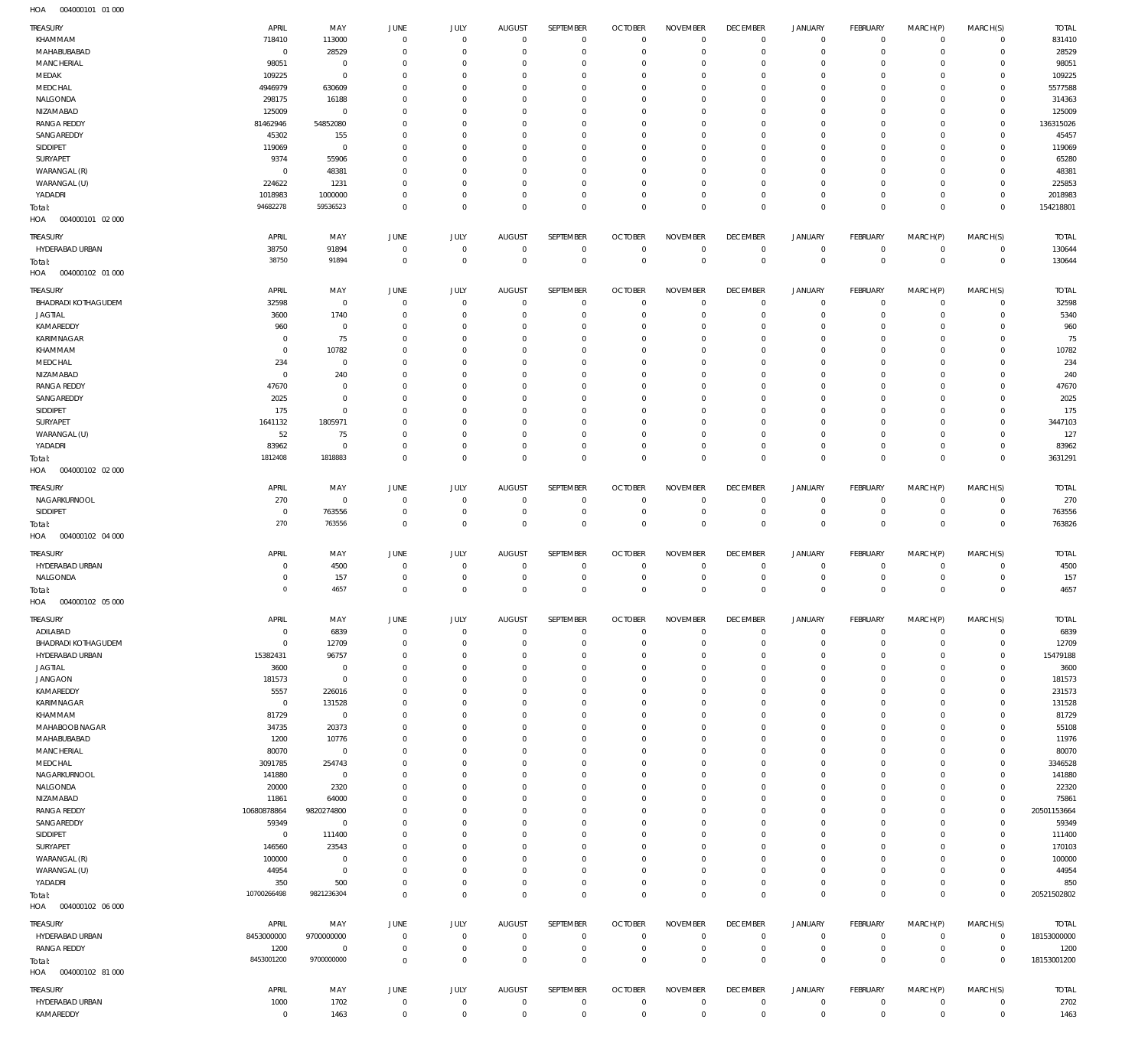004000101 01 000 HOA

| TREASURY                          | APRIL                | MAY                   | JUNE                          | <b>JULY</b>             | <b>AUGUST</b>              | SEPTEMBER                  | <b>OCTOBER</b>             | <b>NOVEMBER</b>         | <b>DECEMBER</b>               | <b>JANUARY</b>     | FEBRUARY                    | MARCH(P)             | MARCH(S)             | <b>TOTAL</b>         |
|-----------------------------------|----------------------|-----------------------|-------------------------------|-------------------------|----------------------------|----------------------------|----------------------------|-------------------------|-------------------------------|--------------------|-----------------------------|----------------------|----------------------|----------------------|
| KHAMMAM                           | 718410               | 113000                | $\overline{0}$                | $\mathbf 0$             | $\overline{0}$             | $\overline{0}$             | $\overline{0}$             | $\mathbf{0}$            | $\mathbf 0$                   | $\circ$            | $\circ$                     | $\Omega$             | $\Omega$             | 831410               |
| MAHABUBABAD                       | $\mathbf{0}$         | 28529                 | $\overline{0}$                | $\mathbf 0$             | $\mathbf 0$                | $\mathbf 0$                | $\overline{0}$             | $\Omega$                | $\mathbf 0$                   | $\mathbf 0$        | $\mathbf 0$                 | $\Omega$             | $\Omega$             | 28529                |
| MANCHERIAL                        | 98051                | $\mathbf 0$           | $\overline{0}$                | $\Omega$                | $\Omega$                   | $\mathbf 0$                | $\mathbf 0$                | $\Omega$                | $\mathbf 0$                   | $\circ$            | $^{\circ}$                  | $\Omega$             | $\Omega$             | 98051                |
| MEDAK<br>MEDCHAL                  | 109225<br>4946979    | $\mathbf 0$<br>630609 | $\overline{0}$<br>$\mathbf 0$ | $\Omega$<br>$\Omega$    | $\mathbf 0$<br>$\Omega$    | $\mathbf 0$<br>$\Omega$    | $\mathbf 0$<br>$\mathbf 0$ | $\mathbf 0$<br>$\Omega$ | $\mathbf 0$<br>$\overline{0}$ | $\circ$<br>$\circ$ | $\mathbf 0$<br>$^{\circ}$   | $\Omega$<br>$\Omega$ | $\Omega$<br>$\Omega$ | 109225<br>5577588    |
| NALGONDA                          | 298175               | 16188                 | $\overline{0}$                | $\Omega$                | $\Omega$                   | $\Omega$                   | $\mathbf 0$                | $\Omega$                | $\mathbf 0$                   | $\circ$            | $\mathbf 0$                 | $\Omega$             | $\Omega$             | 314363               |
| NIZAMABAD                         | 125009               | $\mathbf 0$           | $\mathbf 0$                   | $\Omega$                | $\Omega$                   | $\Omega$                   | $\mathbf 0$                | $\Omega$                | $\mathbf 0$                   | $\circ$            | $^{\circ}$                  | $\Omega$             | $\Omega$             | 125009               |
| <b>RANGA REDDY</b>                | 81462946             | 54852080              | $\Omega$                      | $\Omega$                | $\Omega$                   | $\Omega$                   | $\mathbf 0$                | $\Omega$                | $\mathbf 0$                   | $\circ$            | $\mathbf 0$                 | $\Omega$             | $\circ$              | 136315026            |
| SANGAREDDY                        | 45302                | 155                   | $\mathbf 0$                   | $\Omega$                | $\mathbf 0$                | $\mathbf 0$                | $\mathbf 0$                | $\Omega$                | $\mathbf 0$                   | $\circ$            | $^{\circ}$                  | $\Omega$             | $\Omega$             | 45457                |
| SIDDIPET                          | 119069               | $\mathbf 0$           | $\mathbf 0$                   | $\Omega$                | $\Omega$                   | $\Omega$                   | $\mathbf 0$                | $\Omega$                | $\mathbf 0$                   | $\circ$            | $\mathbf{0}$                | $\Omega$             | $\Omega$             | 119069               |
| SURYAPET                          | 9374                 | 55906                 | $\mathbf 0$                   | $\Omega$                | $\mathbf 0$                | $\mathbf 0$                | $\mathbf 0$                | $\Omega$                | $\mathbf 0$                   | $\circ$            | $^{\circ}$                  | $\Omega$             | $\Omega$             | 65280                |
| WARANGAL (R)                      | $\mathbf 0$          | 48381                 | $\Omega$                      | $\Omega$                | $\Omega$                   | $\Omega$                   | $\mathbf 0$                | $\Omega$                | $\mathbf 0$                   | $\circ$            | $\circ$                     | $\Omega$             | $\Omega$             | 48381                |
| WARANGAL (U)                      | 224622               | 1231                  | $\mathbf 0$                   | $\Omega$                | $\mathbf 0$                | $\mathbf 0$                | $\mathbf 0$                | $\Omega$                | $\mathbf 0$                   | $\circ$            | $\mathbf 0$                 | $\Omega$             | $\Omega$             | 225853               |
| YADADRI                           | 1018983              | 1000000               | $\mathbf 0$                   | $\Omega$                | $\mathbf 0$                | $\mathbf 0$                | $\mathbf 0$                | 0                       | $\mathbf 0$                   | $\circ$            | $\mathbf 0$                 | $\Omega$             | $\Omega$             | 2018983              |
| Total:<br>HOA<br>004000101 02 000 | 94682278             | 59536523              | $\overline{0}$                | $\mathbf 0$             | $\overline{0}$             | $\mathbf 0$                | $\mathbf 0$                | $\Omega$                | $\mathbf 0$                   | $\mathbf 0$        | $\mathbf 0$                 | $\Omega$             | $\mathbb O$          | 154218801            |
| TREASURY                          | APRIL                | MAY                   | JUNE                          | <b>JULY</b>             | <b>AUGUST</b>              | SEPTEMBER                  | <b>OCTOBER</b>             | <b>NOVEMBER</b>         | <b>DECEMBER</b>               | <b>JANUARY</b>     | FEBRUARY                    | MARCH(P)             | MARCH(S)             | <b>TOTAL</b>         |
| HYDERABAD URBAN                   | 38750                | 91894                 | $\overline{0}$                | $\mathbf 0$             | $\overline{0}$             | $\overline{0}$             | $\overline{0}$             | $\mathbf 0$             | $\,0\,$                       | 0                  | $\circ$                     | $\circ$              | $\Omega$             | 130644               |
| Total:                            | 38750                | 91894                 | $\overline{0}$                | $\mathbf 0$             | $\overline{0}$             | $\mathbf 0$                | $\mathbb O$                | $\mathbf 0$             | $\mathbb O$                   | $\mathbf 0$        | $\mathbb O$                 | $^{\circ}$           | $\overline{0}$       | 130644               |
| HOA<br>004000102 01 000           |                      |                       |                               |                         |                            |                            |                            |                         |                               |                    |                             |                      |                      |                      |
| TREASURY                          | APRIL                | MAY                   | JUNE                          | <b>JULY</b>             | <b>AUGUST</b>              | SEPTEMBER                  | <b>OCTOBER</b>             | <b>NOVEMBER</b>         | <b>DECEMBER</b>               | <b>JANUARY</b>     | FEBRUARY                    | MARCH(P)             | MARCH(S)             | <b>TOTAL</b>         |
| <b>BHADRADI KOTHAGUDEM</b>        | 32598                | $\mathbf 0$           | $\overline{0}$                | $\mathbf 0$             | $\mathbf 0$                | $\mathbf 0$                | $\mathbf 0$                | $\mathbf 0$             | $\overline{0}$                | $\circ$            | $^{\circ}$                  | $\Omega$             | $\mathbf 0$          | 32598                |
| <b>JAGTIAL</b>                    | 3600                 | 1740                  | $\overline{0}$                | $\mathbf 0$             | $\overline{0}$             | $\mathbf 0$                | $\overline{0}$             | $\mathbf 0$             | $\mathbf 0$                   | $\mathbf 0$        | $\circ$                     | $\Omega$             | $\Omega$             | 5340                 |
| KAMAREDDY                         | 960                  | $\mathbf 0$           | $\overline{0}$                | $\Omega$                | $\mathbf 0$                | $\mathbf 0$                | $\mathbf 0$                | 0                       | $\mathbf 0$                   | $\circ$            | $^{\circ}$                  | $\Omega$             | $\Omega$             | 960                  |
| KARIMNAGAR                        | $\mathbf 0$          | 75                    | $\overline{0}$                | $\Omega$                | $\Omega$                   | $\Omega$                   | $\mathbf 0$                | $\Omega$                | $\mathbf 0$                   | $\circ$            | $\mathbf{0}$                | $\Omega$             | $\Omega$             | 75                   |
| KHAMMAM                           | $\mathbf 0$          | 10782                 | $\mathbf 0$                   | $\Omega$                | $\mathbf 0$                | $\mathbf 0$                | $\mathbf 0$                | $\Omega$                | $\mathbf 0$                   | $\circ$            | $^{\circ}$                  | $\Omega$             | $\Omega$             | 10782                |
| MEDCHAL                           | 234                  | $\mathbf 0$           | $\Omega$                      | $\Omega$                | $\Omega$                   | $\Omega$                   | $\mathbf 0$                | $\Omega$                | $\mathbf 0$                   | $\circ$            | $\mathbf{0}$                | $\Omega$             | $\Omega$             | 234                  |
| NIZAMABAD                         | $\overline{0}$       | 240                   | $\mathbf 0$                   | $\Omega$                | $\mathbf 0$                | $\mathbf 0$                | $\mathbf 0$                | $\Omega$                | $\mathbf 0$                   | $\circ$            | $^{\circ}$                  | $\Omega$             | $\Omega$             | 240                  |
| <b>RANGA REDDY</b>                | 47670                | $\mathbf 0$           | $\Omega$                      | $\Omega$                | $\Omega$                   | $\Omega$                   | $\mathbf 0$                | $\Omega$                | $\mathbf 0$                   | $^{\circ}$         | $\Omega$                    | $\Omega$             | $\Omega$             | 47670                |
| SANGAREDDY                        | 2025                 | $\mathbf 0$           | $\mathbf 0$                   | $\Omega$                | $\Omega$                   | $\Omega$                   | $\mathbf 0$                | $\Omega$                | $\mathbf 0$                   | $\circ$            | $\mathbf 0$                 | $\Omega$             | $\Omega$             | 2025                 |
| SIDDIPET                          | 175                  | $\mathbf 0$           | $\Omega$                      | $\Omega$                | $\Omega$                   | $\Omega$                   | $\mathbf 0$                | $\Omega$                | $\mathbf 0$                   | $\circ$            | $^{\circ}$                  | $\Omega$             | $\Omega$             | 175                  |
| SURYAPET                          | 1641132              | 1805971               | $\mathbf 0$                   | $\Omega$                | $\mathbf 0$                | $\Omega$                   | $\mathbf 0$                | $\Omega$                | $\mathbf 0$                   | $\circ$            | $^{\circ}$                  | $\Omega$             | $\Omega$             | 3447103              |
| WARANGAL (U)                      | 52                   | 75                    | $\mathbf 0$                   | $\Omega$                | $\mathbf 0$                | $\mathbf 0$                | $\mathbf 0$                | 0                       | $\mathbf 0$                   | $\circ$            | $\mathbf 0$                 | $\Omega$             | $\Omega$             | 127                  |
| YADADRI                           | 83962                | $\mathbf 0$           | $\mathbf 0$                   | $\Omega$                | $\mathbf 0$                | $\mathbf 0$                | $\mathbf{0}$               | 0                       | $\mathbf 0$                   | $\mathbf 0$        | $\mathbf 0$                 | $\Omega$             | $\Omega$             | 83962                |
| Total:<br>HOA<br>004000102 02 000 | 1812408              | 1818883               | $\overline{0}$                | $\mathbf 0$             | $\Omega$                   | $\Omega$                   | $\mathbf{0}$               | $\mathbf 0$             | $\mathbf 0$                   | $\mathbf 0$        | $\mathbf 0$                 | $\overline{0}$       | $\mathbb O$          | 3631291              |
| TREASURY                          | APRIL                | MAY                   | JUNE                          | JULY                    | <b>AUGUST</b>              | SEPTEMBER                  | <b>OCTOBER</b>             | <b>NOVEMBER</b>         | <b>DECEMBER</b>               | <b>JANUARY</b>     | FEBRUARY                    | MARCH(P)             | MARCH(S)             | <b>TOTAL</b>         |
| NAGARKURNOOL                      | 270                  | 0                     | $\overline{0}$                | $\mathbf 0$             | $\overline{0}$             | $\overline{0}$             | $\overline{0}$             | $^{\circ}$              | $\mathbf 0$                   | 0                  | $\mathbf 0$                 | $\circ$              | $\mathbf 0$          | 270                  |
| SIDDIPET                          | $\mathbf 0$          | 763556                | $\overline{0}$                | $\mathbf 0$             | $\overline{0}$             | 0                          | $\overline{0}$             | 0                       | $\,0\,$                       | 0                  | $\mathbf 0$                 | $\circ$              | $\mathbf 0$          | 763556               |
| Total:<br>HOA<br>004000102 04 000 | 270                  | 763556                | $\overline{0}$                | $\mathbf 0$             | $\overline{0}$             | $\mathbf 0$                | $\mathbb O$                | $\mathbf{0}$            | $\mathbb O$                   | $\mathbf 0$        | $\mathbf 0$                 | $^{\circ}$           | $\overline{0}$       | 763826               |
| TREASURY                          | APRIL                | MAY                   | JUNE                          | <b>JULY</b>             | <b>AUGUST</b>              | SEPTEMBER                  | <b>OCTOBER</b>             | <b>NOVEMBER</b>         | <b>DECEMBER</b>               | <b>JANUARY</b>     | FEBRUARY                    | MARCH(P)             | MARCH(S)             | <b>TOTAL</b>         |
| HYDERABAD URBAN                   | $\mathbf 0$          | 4500                  | $\overline{0}$                | $\mathbf 0$             | $\overline{0}$             | $\overline{0}$             | $\overline{0}$             | $\mathbf{0}$            | $\overline{0}$                | 0                  | $^{\circ}$                  | $\Omega$             | $\mathbf 0$          | 4500                 |
| NALGONDA                          | 0                    | 157                   | $\overline{0}$                | $\mathbf 0$             | $\mathbf 0$                | $\mathbf 0$                | $\mathbf 0$                | $\mathbf 0$             | $\mathbf 0$                   | $\circ$            | $\mathbf 0$                 | $\Omega$             | $\mathbf 0$          | 157                  |
| Total:<br>004000102 05 000<br>HOA | $\mathbf 0$          | 4657                  | $\overline{0}$                | $\mathbf 0$             | $\overline{0}$             | $\mathbf 0$                | $\overline{0}$             | $\mathbf{0}$            | $\mathbf 0$                   | $\mathbf 0$        | $\mathbf 0$                 | $\Omega$             | $\mathbb O$          | 4657                 |
| TREASURY                          | APRIL                | MAY                   | JUNE                          | JULY                    | <b>AUGUST</b>              | SEPTEMBER                  | <b>OCTOBER</b>             | <b>NOVEMBER</b>         | <b>DECEMBER</b>               | <b>JANUARY</b>     | FEBRUARY                    | MARCH(P)             | MARCH(S)             | <b>TOTAL</b>         |
| ADILABAD                          | 0                    | 6839                  | $\overline{0}$                | $\mathbf 0$             | $\overline{0}$             | $\overline{0}$             | $\overline{0}$             | $\mathbf 0$             | $\,0\,$                       | 0                  | $\circ$                     | $\circ$              | $\Omega$             | 6839                 |
| BHADRADI KOTHAGUDEM               | $\mathbf 0$          | 12709                 | $\overline{0}$                | $\mathbf 0$             | $\overline{0}$             | $\mathbf 0$                | $\overline{0}$             | $\mathbf 0$             | $\mathbf 0$                   | $\circ$            | $\circ$                     | $\circ$              | $\circ$              | 12709                |
| HYDERABAD URBAN                   | 15382431             | 96757                 | $\overline{0}$                | $\Omega$                | $\mathbf 0$                | $\mathbf 0$                | $\mathbf 0$                | 0                       | $\mathbf 0$                   | $\circ$            | $\mathbf 0$                 | $\Omega$             | $\Omega$             | 15479188             |
| <b>JAGTIAL</b>                    | 3600                 | $\mathbf 0$           | $\overline{0}$                | $\mathbf 0$             | $\mathbf 0$                | $\mathbf 0$                | $\mathbf 0$                | $\mathbf 0$             | $\mathbf 0$                   | $\circ$            | $\mathbf 0$                 | $\Omega$             | $\Omega$             | 3600                 |
| <b>JANGAON</b>                    | 181573               | $\mathbf 0$           | $\overline{0}$                | $\Omega$                | $\mathbf 0$                | $\mathbf 0$                | $\mathbf 0$                | 0                       | $\mathbf 0$                   | $\circ$            | $\mathbf 0$                 | $\Omega$             | $\Omega$             | 181573               |
| KAMAREDDY                         | 5557                 | 226016                | $\overline{0}$                | $\Omega$                | $\mathbf 0$                | $\mathbf 0$                | $\mathbf 0$                | 0                       | $\mathbf 0$                   | $^{\circ}$         | $\mathbf 0$                 | $\Omega$             | $\Omega$             | 231573               |
| KARIMNAGAR                        | $\overline{0}$       | 131528                | $\overline{0}$                | $\Omega$                | $\mathbf 0$                | $\mathbf 0$                | $\mathbf 0$                | 0                       | $\mathbf 0$                   | $\circ$            | $\mathbf 0$                 | $\Omega$             | $\Omega$             | 131528               |
| KHAMMAM                           | 81729                | $\overline{0}$        | $\overline{0}$                | $\Omega$                | $\mathbf 0$                | $\mathbf 0$                | $\mathbf 0$                | 0                       | $\mathbf 0$                   | $^{\circ}$         | $\mathbf{0}$                | $\Omega$             | $\Omega$             | 81729                |
| MAHABOOB NAGAR                    | 34735                | 20373                 | $\overline{0}$                | $\Omega$                | $\mathbf 0$                | $\mathbf 0$                | $\mathbf 0$                | 0                       | $\mathbf 0$                   | $\circ$            | $\mathbf 0$                 | $\Omega$             | $\Omega$             | 55108                |
| MAHABUBABAD                       | 1200                 | 10776                 | $\overline{0}$                | $\Omega$                | $\Omega$                   | $\Omega$                   | $\mathbf{0}$               | 0                       | $\overline{0}$                | $^{\circ}$         | $\mathbf 0$                 | $\Omega$             | $\Omega$             | 11976                |
| MANCHERIAL                        | 80070                | $\overline{0}$        | $\overline{0}$                | $\Omega$                | $\mathbf 0$                | $\mathbf 0$                | $\mathbf{0}$               | 0                       | $\mathbf 0$                   | $\circ$            | $\mathbf 0$                 | $\Omega$             | $\Omega$             | 80070                |
| MEDCHAL                           | 3091785              | 254743                | $\overline{0}$                | $\Omega$                | $\mathbf 0$                | $\mathbf 0$                | $\mathbf{0}$               | 0                       | $\mathbf 0$                   | $^{\circ}$         | $\mathbf{0}$                | $\Omega$             | $\Omega$             | 3346528              |
| NAGARKURNOOL                      | 141880               | $\overline{0}$        | $\overline{0}$                | $\Omega$                | $\mathbf 0$                | $\mathbf 0$                | $\mathbf{0}$               | 0                       | $\mathbf 0$                   | $\circ$            | $\mathbf 0$                 | $\Omega$             | $\Omega$             | 141880               |
| NALGONDA                          | 20000                | 2320                  | $\overline{0}$                | $\Omega$                | $\mathbf 0$                | $\mathbf 0$                | $\mathbf 0$                | 0                       | $\mathbf 0$                   | $^{\circ}$         | $\mathbf 0$                 | $\Omega$             | $\Omega$             | 22320                |
| NIZAMABAD<br><b>RANGA REDDY</b>   | 11861<br>10680878864 | 64000<br>9820274800   | $\mathbf 0$<br>$\overline{0}$ | $\Omega$<br>$\mathbf 0$ | $\mathbf 0$<br>$\mathbf 0$ | $\mathbf 0$<br>$\mathbf 0$ | $\mathbf 0$<br>$\mathbf 0$ | 0<br>$\mathbf 0$        | $\mathbf 0$<br>$\mathbf 0$    | $\circ$<br>$\circ$ | $\mathbf 0$<br>$\mathbf{0}$ | $\Omega$<br>$\Omega$ | $\circ$<br>$\Omega$  | 75861<br>20501153664 |
| SANGAREDDY                        | 59349                | $\overline{0}$        | $\overline{0}$                | $\Omega$                | $\mathbf 0$                | $\mathbf 0$                | $\mathbf 0$                | $\Omega$                | $\mathbf 0$                   | $\circ$            | $\mathbf 0$                 | $\Omega$             | $\Omega$             | 59349                |
| SIDDIPET                          | $\mathbf 0$          | 111400                | $\overline{0}$                | $\Omega$                | $\mathbf 0$                | $\mathbf 0$                | $\mathbf 0$                | 0                       | $\mathbf 0$                   | $\circ$            | $\mathbf 0$                 | $\Omega$             | $\Omega$             | 111400               |
| SURYAPET                          | 146560               | 23543                 | $\mathbf 0$                   | $\Omega$                | $\mathbf 0$                | $\mathbf 0$                | $\mathbf 0$                | 0                       | $\mathbf 0$                   | $\circ$            | $\mathbf 0$                 | $\Omega$             | $\Omega$             | 170103               |
| WARANGAL (R)                      | 100000               | $\mathbf 0$           | $\overline{0}$                | $\mathbf 0$             | $\mathbf 0$                | $\mathbf 0$                | $\mathbf 0$                | $\mathbf 0$             | $\mathbf 0$                   | $\circ$            | $\mathbf 0$                 | $\Omega$             | $\Omega$             | 100000               |
| WARANGAL (U)                      | 44954                | $\mathbf 0$           | $\mathbf 0$                   | $\Omega$                | $\mathbf 0$                | $\mathbf 0$                | $\mathbf 0$                | 0                       | $\mathbf 0$                   | 0                  | $\mathbf 0$                 | $\Omega$             | $\Omega$             | 44954                |
| YADADRI                           | 350                  | 500                   | $\overline{0}$                | $\mathbf 0$             | $\overline{0}$             | $\mathbf 0$                | $\mathbf 0$                | $\mathbf 0$             | $\mathbf 0$                   | $\mathbf 0$        | $\mathbf 0$                 | $\Omega$             | $\circ$              | 850                  |
| Total:                            | 10700266498          | 9821236304            | $\overline{0}$                | $\mathbf 0$             | $\overline{0}$             | $\mathbf 0$                | $\overline{0}$             | $\mathbf 0$             | $\,0\,$                       | $\mathbf 0$        | $\mathbb O$                 | $\Omega$             | $\mathbf{0}$         | 20521502802          |
| HOA<br>004000102 06 000           |                      |                       |                               |                         |                            |                            |                            |                         |                               |                    |                             |                      |                      |                      |
| TREASURY                          | APRIL                | MAY                   | JUNE                          | <b>JULY</b>             | <b>AUGUST</b>              | SEPTEMBER                  | <b>OCTOBER</b>             | <b>NOVEMBER</b>         | <b>DECEMBER</b>               | <b>JANUARY</b>     | FEBRUARY                    | MARCH(P)             | MARCH(S)             | <b>TOTAL</b>         |
| HYDERABAD URBAN                   | 8453000000           | 9700000000            | $\overline{0}$                | $\mathbf 0$             | $\overline{0}$             | $\overline{0}$             | $\overline{0}$             | $\mathbf 0$             | $\,0\,$                       | 0                  | $\mathbf 0$                 | $\circ$              | $\mathbf 0$          | 18153000000          |
| <b>RANGA REDDY</b>                | 1200                 | $\mathbf 0$           | $\overline{0}$                | $\mathbf 0$             | $\mathbf 0$                | $\mathbf 0$                | $\mathbf 0$                | $\mathbf 0$             | $\mathbf 0$                   | $\mathbf 0$        | $\circ$                     | $\circ$              | 0                    | 1200                 |
| Total:                            | 8453001200           | 9700000000            | $\overline{0}$                | $\mathbf 0$             | $\overline{0}$             | $\mathbf 0$                | $\overline{0}$             | $\mathbf 0$             | $\mathbf 0$                   | $\mathbf 0$        | $\mathbf 0$                 | $\overline{0}$       | $\overline{0}$       | 18153001200          |
| HOA<br>004000102 81 000           |                      |                       |                               |                         |                            |                            |                            |                         |                               |                    |                             |                      |                      |                      |
| TREASURY                          | APRIL                | MAY                   | JUNE                          | JULY                    | <b>AUGUST</b>              | SEPTEMBER                  | <b>OCTOBER</b>             | <b>NOVEMBER</b>         | <b>DECEMBER</b>               | <b>JANUARY</b>     | FEBRUARY                    | MARCH(P)             | MARCH(S)             | <b>TOTAL</b>         |
| HYDERABAD URBAN                   | 1000                 | 1702                  | $\overline{0}$                | $\mathbf 0$             | $\overline{0}$             | $\overline{0}$             | $\overline{0}$             | $\mathbf 0$             | $\,0\,$                       | 0                  | $\circ$                     | 0                    | $\circ$              | 2702                 |
| KAMAREDDY                         | 0                    | 1463                  | $\overline{0}$                | $\mathbf 0$             | $\overline{0}$             | $\mathbf 0$                | $\mathbf 0$                | $\bf 0$                 | $\,0\,$                       | $\mathbf 0$        | $\circ$                     | $\mathbf 0$          | $\circ$              | 1463                 |
|                                   |                      |                       |                               |                         |                            |                            |                            |                         |                               |                    |                             |                      |                      |                      |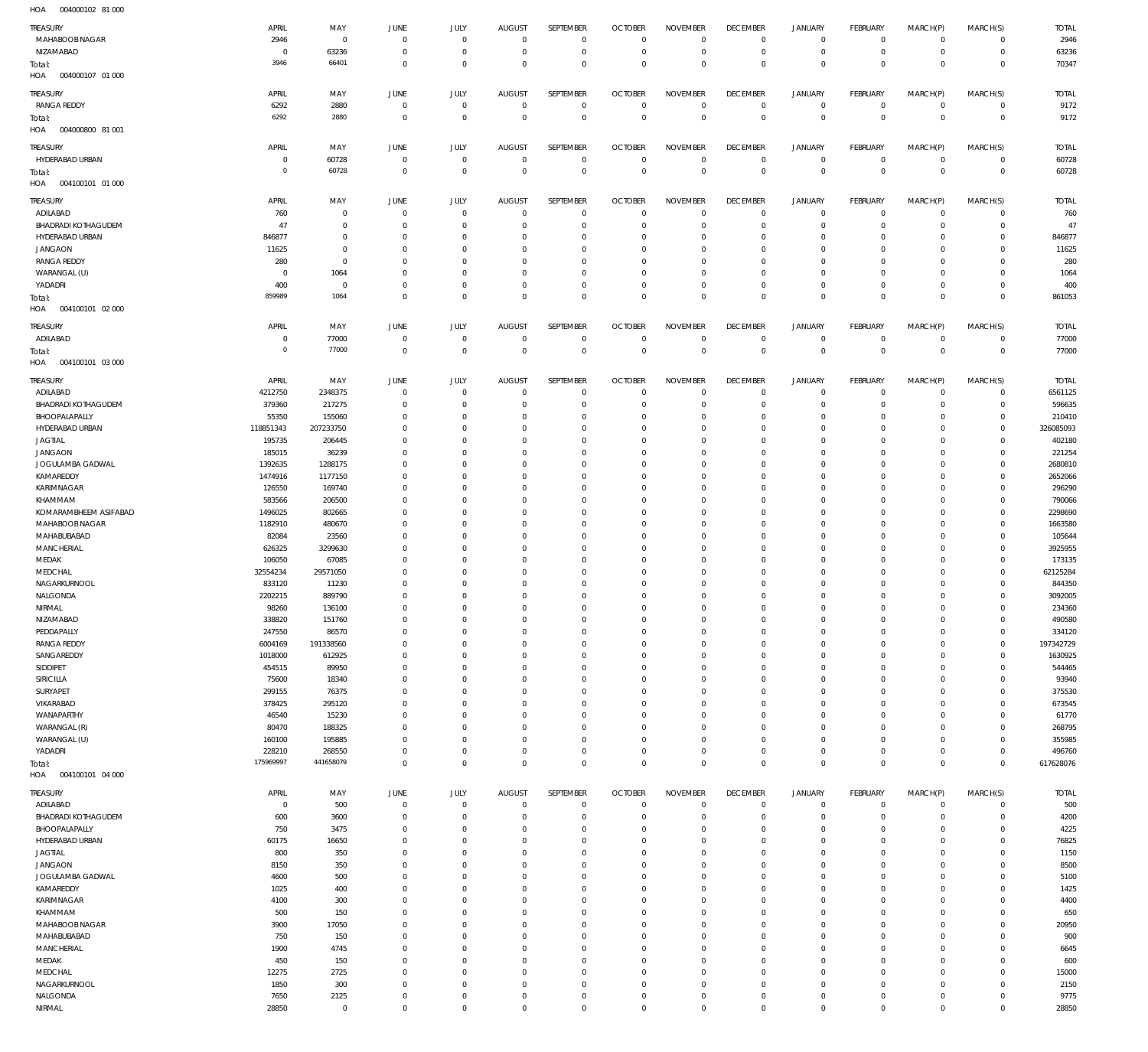004000102 81 000 HOA

| <b>TREASURY</b>                   | APRIL         | MAY                 | JUNE           | JULY                     | <b>AUGUST</b>        | SEPTEMBER                | <b>OCTOBER</b>         | <b>NOVEMBER</b>            | <b>DECEMBER</b>            | <b>JANUARY</b>      | <b>FEBRUARY</b>            | MARCH(P)                   | MARCH(S)                   | <b>TOTAL</b>  |
|-----------------------------------|---------------|---------------------|----------------|--------------------------|----------------------|--------------------------|------------------------|----------------------------|----------------------------|---------------------|----------------------------|----------------------------|----------------------------|---------------|
| MAHABOOB NAGAR                    | 2946          | $\mathbb O$         | $\Omega$       | $^{\circ}$               | $\Omega$             | $\mathbf{0}$             | $\Omega$               | $\circ$                    | $\mathbf 0$                | 0                   | $\mathbf 0$                | $\mathbf 0$                | $\mathbf{0}$               | 2946          |
| NIZAMABAD                         | $\Omega$      | 63236               | $^{\circ}$     | $^{\circ}$               | $\Omega$             | $\mathbf 0$              | $^{\circ}$             | $\circ$                    | $^{\circ}$                 | $\mathsf{O}\xspace$ | $\overline{0}$             | $\mathbf 0$                | $\circ$                    | 63236         |
|                                   | 3946          | 66401               | $\Omega$       | $\Omega$                 | $\Omega$             | $\Omega$                 | $\Omega$               | $\mathbf 0$                | $\overline{0}$             | $\mathbf 0$         | $\Omega$                   | $\Omega$                   | $\mathbf 0$                | 70347         |
| Total:<br>HOA<br>004000107 01 000 |               |                     |                |                          |                      |                          |                        |                            |                            |                     |                            |                            |                            |               |
|                                   |               |                     |                |                          |                      |                          |                        |                            |                            |                     |                            |                            |                            |               |
| <b>TREASURY</b>                   | APRIL         | MAY                 | JUNE           | JULY                     | <b>AUGUST</b>        | SEPTEMBER                | <b>OCTOBER</b>         | <b>NOVEMBER</b>            | <b>DECEMBER</b>            | <b>JANUARY</b>      | FEBRUARY                   | MARCH(P)                   | MARCH(S)                   | <b>TOTAL</b>  |
| <b>RANGA REDDY</b>                | 6292          | 2880                | $\mathbf 0$    | $\mathbf 0$              | $\overline{0}$       | $\mathbf 0$              | $\circ$                | $\mathbf 0$                | $\overline{0}$             | $\mathsf{O}\xspace$ | $\overline{0}$             | $^{\circ}$                 | $\overline{0}$             | 9172          |
| Total:                            | 6292          | 2880                | $^{\circ}$     | $\mathbf 0$              | $\Omega$             | $\mathbf 0$              | $\overline{0}$         | $\mathbf 0$                | $\overline{0}$             | $\bf 0$             | $\overline{0}$             | $\mathbf 0$                | $\overline{0}$             | 9172          |
| 004000800 81 001<br>HOA           |               |                     |                |                          |                      |                          |                        |                            |                            |                     |                            |                            |                            |               |
|                                   |               |                     |                |                          |                      |                          |                        |                            |                            |                     |                            |                            |                            |               |
| TREASURY                          | APRIL         | MAY                 | JUNE           | JULY                     | <b>AUGUST</b>        | SEPTEMBER                | <b>OCTOBER</b>         | <b>NOVEMBER</b>            | <b>DECEMBER</b>            | <b>JANUARY</b>      | FEBRUARY                   | MARCH(P)                   | MARCH(S)                   | <b>TOTAL</b>  |
| HYDERABAD URBAN                   | $\Omega$      | 60728               | $^{\circ}$     | $^{\circ}$               | $\overline{0}$       | $\mathbf{0}$             | $^{\circ}$             | $^{\circ}$                 | $^{\circ}$                 | $\mathbf 0$         | $^{\circ}$                 | $\mathbf 0$                | $\mathbf{0}$               | 60728         |
| Total:                            | $\circ$       | 60728               | $^{\circ}$     | $\mathbf 0$              | $\Omega$             | $\mathbf 0$              | $\mathbf 0$            | $\mathbf 0$                | $\overline{0}$             | $\mathbf 0$         | $\overline{0}$             | $\mathbf 0$                | $\mathbf 0$                | 60728         |
| HOA<br>004100101 01 000           |               |                     |                |                          |                      |                          |                        |                            |                            |                     |                            |                            |                            |               |
|                                   |               |                     |                |                          |                      |                          |                        |                            |                            |                     |                            |                            |                            |               |
| TREASURY                          | APRIL         | MAY                 | JUNE           | JULY                     | <b>AUGUST</b>        | SEPTEMBER                | <b>OCTOBER</b>         | <b>NOVEMBER</b>            | <b>DECEMBER</b>            | <b>JANUARY</b>      | FEBRUARY                   | MARCH(P)                   | MARCH(S)                   | <b>TOTAL</b>  |
| ADILABAD                          | 760           | $\overline{0}$      | $\overline{0}$ | $\mathbf 0$              | $\Omega$             | $\mathbf 0$              | $\circ$                | $^{\circ}$                 | $^{\circ}$                 | $\mathbf 0$         | $\overline{0}$             | $\Omega$                   | $\mathbf{0}$               | 760           |
| <b>BHADRADI KOTHAGUDEM</b>        | 47            | $\mathbb O$         | $\overline{0}$ | $\mathbf 0$              | $\Omega$             | $\mathbf{0}$             | $^{\circ}$             | $^{\circ}$                 | $^{\circ}$                 | $\mathsf{O}\xspace$ | $\mathbf 0$                | $\mathbf 0$                | $\circ$                    | 47            |
| HYDERABAD URBAN                   | 846877        | $\mathbb O$         | $\Omega$       | $\mathbf 0$              | $\Omega$             | $\mathbf{0}$             | $\Omega$               | $^{\circ}$                 | $^{\circ}$                 | $\mathbf 0$         | $\mathbf 0$                | $\Omega$                   | $\mathbf 0$                | 846877        |
| <b>JANGAON</b>                    | 11625         | $\mathbb O$         | $\Omega$       | $\mathbf 0$              | $\Omega$             | $\mathbf{0}$             | $\Omega$               | $^{\circ}$                 | $^{\circ}$                 | $\mathbf 0$         | $^{\circ}$                 | $\Omega$                   | $\mathbf{0}$               | 11625         |
| <b>RANGA REDDY</b>                | 280           | $\mathbb O$         | $\Omega$       | $\mathbf{0}$             | $\Omega$             | $\mathbf{0}$             | $\Omega$               | $^{\circ}$                 | $^{\circ}$                 | $\mathbf 0$         | $\mathbf 0$                | $\Omega$                   | $\mathbf 0$                | 280           |
| WARANGAL (U)                      | $\Omega$      | 1064                | $\Omega$       | $\mathbf{0}$             | $\Omega$             | $\mathbf 0$              | $\Omega$               | $^{\circ}$                 | $^{\circ}$                 | $\mathbf 0$         | $^{\circ}$                 | $\Omega$                   | $\mathbf{0}$               | 1064          |
| YADADRI                           | 400           | $\,0\,$             | $\overline{0}$ | $\mathbf 0$              | $\Omega$             | $\mathbf 0$              | $^{\circ}$             | $^{\circ}$                 | $^{\circ}$                 | $\mathbf 0$         | $\mathbf 0$                | $\mathbf 0$                | $\mathbf{0}$               | 400           |
| Total:                            | 859989        | 1064                | $\Omega$       | $\mathbf 0$              | $\Omega$             | $\mathbf 0$              | $\mathbf 0$            | $\mathbf 0$                | $\overline{0}$             | $\mathbf 0$         | $\overline{0}$             | $\mathbf 0$                | $\overline{0}$             | 861053        |
| HOA<br>004100101 02 000           |               |                     |                |                          |                      |                          |                        |                            |                            |                     |                            |                            |                            |               |
|                                   |               |                     |                |                          |                      |                          |                        |                            |                            |                     |                            |                            |                            |               |
| TREASURY                          | APRIL         | MAY                 | JUNE           | JULY                     | <b>AUGUST</b>        | SEPTEMBER                | <b>OCTOBER</b>         | <b>NOVEMBER</b>            | <b>DECEMBER</b>            | <b>JANUARY</b>      | FEBRUARY                   | MARCH(P)                   | MARCH(S)                   | <b>TOTAL</b>  |
| ADILABAD                          | $\Omega$      | 77000               | $\mathbf 0$    | $\mathbf{0}$             | $\overline{0}$       | $^{\circ}$               | $\mathbf 0$            | $\circ$                    | $\mathbf 0$                | 0                   | $\mathbf 0$                | $\mathbf 0$                | $\circ$                    | 77000         |
| Total:                            | $\circ$       | 77000               | $\Omega$       | $\mathbf 0$              | $\Omega$             | $\mathbf 0$              | $\mathbf 0$            | $\mathbf 0$                | $\overline{0}$             | $\mathbf 0$         | $\overline{0}$             | $\mathbf 0$                | $\mathbf 0$                | 77000         |
| HOA<br>004100101 03 000           |               |                     |                |                          |                      |                          |                        |                            |                            |                     |                            |                            |                            |               |
|                                   |               |                     |                |                          |                      |                          |                        |                            |                            |                     |                            |                            |                            |               |
| TREASURY                          | APRIL         | MAY                 | JUNE           | JULY                     | <b>AUGUST</b>        | SEPTEMBER                | <b>OCTOBER</b>         | <b>NOVEMBER</b>            | <b>DECEMBER</b>            | <b>JANUARY</b>      | <b>FEBRUARY</b>            | MARCH(P)                   | MARCH(S)                   | <b>TOTAL</b>  |
| ADILABAD                          | 4212750       | 2348375             | $^{\circ}$     | $\mathbf{0}$             | $\Omega$             | $\mathbf{0}$             | $^{\circ}$             | $\mathbf 0$                | $^{\circ}$                 | 0                   | $\mathbf 0$                | $\mathbf 0$                | $\circ$                    | 6561125       |
| <b>BHADRADI KOTHAGUDEM</b>        | 379360        | 217275              | $\Omega$       | $\mathbf{0}$             | $\Omega$             | $\mathbf 0$              | $^{\circ}$             | $\circ$                    | $^{\circ}$                 | $\mathbf 0$         | $\mathbf 0$                | $\mathbf 0$                | $\mathbf{0}$               | 596635        |
| BHOOPALAPALLY                     | 55350         | 155060              | $\Omega$       | $\mathbf{0}$             | $\Omega$             | $\mathbf{0}$             | $^{\circ}$             | $\mathbf 0$                | $^{\circ}$                 | $\mathbf 0$         | $\mathbf 0$                | $\Omega$                   | $\mathbf{0}$               | 210410        |
| HYDERABAD URBAN                   | 118851343     | 207233750           | $\Omega$       | $\Omega$                 | $\Omega$             | $\mathbf{0}$             | $\Omega$               | $\mathbf 0$                | $^{\circ}$                 | $\mathbf 0$         | $\mathbf 0$                | $\Omega$                   | $\mathbf{0}$               | 326085093     |
| <b>JAGTIAL</b>                    | 195735        | 206445              | $\Omega$       | $\mathbf{0}$             | $\Omega$             | $\Omega$                 | $\Omega$               | $\mathbf 0$                | $\Omega$                   | $\Omega$            | $\Omega$                   | $\Omega$                   | $\Omega$                   | 402180        |
| <b>JANGAON</b>                    | 185015        | 36239               | $\Omega$       | $\Omega$                 | $\Omega$             | $\mathbf{0}$             | $\Omega$               | $^{\circ}$                 | $^{\circ}$                 | $\mathbf 0$         | $^{\circ}$                 | $\Omega$                   | $\mathbf 0$                | 221254        |
| JOGULAMBA GADWAL                  | 1392635       | 1288175             | $\Omega$       | $\Omega$                 | $\Omega$             | $\Omega$                 | $\Omega$               | $^{\circ}$                 | $\Omega$                   | $\mathbf 0$         | $\mathbf 0$                | $\Omega$                   | $\Omega$                   | 2680810       |
| KAMAREDDY                         | 1474916       | 1177150             | $\Omega$       | $\mathbf{0}$             | $\Omega$             | $\mathbf 0$              | $\Omega$               | $^{\circ}$                 | $\Omega$                   | $\mathbf 0$         | $^{\circ}$                 | $\Omega$                   | $\mathbf 0$                | 2652066       |
|                                   |               |                     |                |                          |                      | $\Omega$                 |                        |                            |                            |                     |                            |                            | $\Omega$                   |               |
| KARIMNAGAR                        | 126550        | 169740              | $\Omega$       | $\Omega$                 | $\Omega$             |                          | $\Omega$               | $^{\circ}$                 | $^{\circ}$                 | $\mathbf 0$         | $\mathbf 0$                | $\Omega$                   |                            | 296290        |
| KHAMMAM                           | 583566        | 206500              | $\Omega$       | $\mathbf{0}$             | $\Omega$             | $\mathbf{0}$             | $\Omega$               | $^{\circ}$                 | $\Omega$                   | 0                   | $^{\circ}$                 | $\Omega$                   | $\mathbf 0$                | 790066        |
| KOMARAMBHEEM ASIFABAD             | 1496025       | 802665              | $\Omega$       | $^{\circ}$               | $\Omega$             | $\mathbf 0$              | $\Omega$               | $^{\circ}$                 | $^{\circ}$                 | $\mathbf 0$         | $\mathbf 0$                | $\Omega$                   | $\mathbf 0$                | 2298690       |
|                                   |               |                     |                |                          |                      | $\Omega$                 | $\Omega$               | $^{\circ}$                 | $\Omega$                   | $\mathbf 0$         | $\mathbf 0$                | $\Omega$                   | $\mathbf 0$                | 1663580       |
| MAHABOOB NAGAR                    | 1182910       | 480670              | $\Omega$       | $\mathbf{0}$             | $\Omega$             |                          |                        |                            |                            |                     |                            |                            |                            |               |
| MAHABUBABAD                       | 82084         | 23560               | $\mathsf{C}$   | $\mathbf{0}$             | $\Omega$             | $\mathbf 0$              | $\Omega$               | $^{\circ}$                 | $^{\circ}$                 | $\mathbf 0$         | $^{\circ}$                 | $\Omega$                   | $\mathbf 0$                | 105644        |
| <b>MANCHERIAL</b>                 | 626325        | 3299630             | C              | $\mathbf{0}$             | $\Omega$             | $\mathbf{0}$             | $\Omega$               | $\mathbf 0$                | $^{\circ}$                 | $\mathbf 0$         | $\mathbf 0$                | $\Omega$                   | $\mathbf 0$                | 3925955       |
| MEDAK                             | 106050        | 67085               | $\Omega$       | $\mathbf{0}$             | $\Omega$             | $\mathbf{0}$             | $\Omega$               | $\mathbf 0$                | $\Omega$                   | 0                   | $\mathbf 0$                | $\Omega$                   | $^{\circ}$                 | 173135        |
|                                   |               |                     | C              | $\mathbf{0}$             | $\Omega$             | $\mathbf{0}$             | $\Omega$               | $\mathbf 0$                | $^{\circ}$                 | $\mathbf 0$         | $\mathbf 0$                | $\Omega$                   | $\mathbf{0}$               |               |
| MEDCHAL                           | 32554234      | 29571050            |                |                          |                      |                          |                        |                            |                            |                     |                            |                            |                            | 62125284      |
| NAGARKURNOOL                      | 833120        | 11230               | $\Omega$       | $\mathbf{0}$             | $\Omega$             | $\mathbf 0$              | $\Omega$               | $\mathbf 0$                | $\Omega$                   | $\Omega$            | $\Omega$                   | $\Omega$                   | $\Omega$                   | 844350        |
| NALGONDA                          | 2202215       | 889790              | $\Omega$       | $\mathbf{0}$             | $\Omega$             | $\mathbf 0$              | $\Omega$               | $\mathbf 0$                | $\mathbf 0$                | $\mathbf 0$         | $\mathbf 0$                | $\mathbf 0$                | $\mathbf{0}$               | 3092005       |
| <b>NIRMAI</b>                     | 98260         | 136100              | $\Omega$       | $\Omega$                 | $\Omega$             | $\Omega$                 | $\Omega$               | $\Omega$                   | $\Omega$                   | $\Omega$            | $\Omega$                   | $\Omega$                   | $\Omega$                   | 234360        |
| NIZAMABAD                         | 338820        | 151760              | $\overline{0}$ | $^{\circ}$               | $\Omega$             | $\mathbf{0}$             | $^{\circ}$             | $^{\circ}$                 | $^{\circ}$                 | 0                   | $\mathbf 0$                | $\mathbf 0$                | $^{\circ}$                 | 490580        |
| PEDDAPALLY                        | 247550        | 86570               | $^{\circ}$     | $\mathbf 0$              | $\Omega$             | $\mathbf 0$              | $^{\circ}$             | $\mathbf 0$                | $^{\circ}$                 | $\mathbf 0$         | $\mathbf 0$                | $\mathbf 0$                | $\mathbf{0}$               | 334120        |
| <b>RANGA REDDY</b>                | 6004169       | 191338560           | $\Omega$       | $\mathbf{0}$             | $\Omega$             | $\mathbf 0$              | $\Omega$               | $\mathbf 0$                | $\Omega$                   | $\mathbf 0$         | $\mathbf 0$                | $\Omega$                   | $\mathbf{0}$               | 197342729     |
| SANGAREDDY                        | 1018000       | 612925              | $\Omega$       | $\Omega$                 | $\Omega$             | $\mathbf 0$              | $^{\circ}$             | $\mathbf 0$                | $^{\circ}$                 | $\mathbf 0$         | $\mathbf 0$                | $\Omega$                   | $\mathbf{0}$               | 1630925       |
| SIDDIPET                          | 454515        | 89950               | $\Omega$       | $\mathbf{0}$             | $\Omega$             | $\mathbf 0$              | $\Omega$               | $^{\circ}$                 | $^{\circ}$                 | $\mathbf 0$         | $\mathbf 0$                | $\Omega$                   | $\mathbf{0}$               | 544465        |
| SIRICILLA                         | 75600         | 18340               | $\overline{0}$ | $\Omega$                 | $\Omega$             | $\mathbf 0$              | $^{\circ}$             | $^{\circ}$                 | $^{\circ}$                 | $\mathbf 0$         | $^{\circ}$                 | $\Omega$                   | $\mathbf{0}$               | 93940         |
| SURYAPET                          | 299155        | 76375               | $\Omega$       | $\mathbf{0}$             | $\Omega$             | $\mathbf 0$              | $\Omega$               | $\mathbf 0$                | $^{\circ}$                 | $\mathbf 0$         | $\mathbf 0$                | $\Omega$                   | $\mathbf 0$                | 375530        |
| VIKARABAD                         | 378425        | 295120              | $\Omega$       | $\mathbf{0}$             | $\Omega$             | $\mathbf 0$              | $^{\circ}$             | $\mathbf 0$                | $^{\circ}$                 | $\mathbf 0$         | $\mathbf 0$                | $\Omega$                   | $\mathbf{0}$               | 673545        |
| WANAPARTHY                        | 46540         | 15230               | $\Omega$       | $\Omega$                 | $\Omega$             | $\mathbf 0$              | $\Omega$               | $\mathbf 0$                | $^{\circ}$                 | $\mathbf 0$         | $\mathbf 0$                | $\Omega$                   | $\mathbf 0$                | 61770         |
| WARANGAL (R)                      | 80470         | 188325              | $\Omega$       | $\mathbf{0}$             | $\Omega$             | $\mathbf 0$              | $^{\circ}$             | $\mathbf 0$                | $^{\circ}$                 | $\mathbf 0$         | $\mathbf 0$                | $\Omega$                   | $\mathbf{0}$               | 268795        |
|                                   |               |                     | $\Omega$       | $\mathbf 0$              | $\Omega$             | $\mathbf 0$              | $^{\circ}$             | $\mathbf 0$                | $^{\circ}$                 | $\mathbf 0$         | $\mathbf 0$                | $\Omega$                   | $\mathbf{0}$               |               |
| WARANGAL (U)                      | 160100        | 195885              |                |                          |                      |                          |                        |                            |                            |                     |                            |                            |                            | 355985        |
| YADADRI                           | 228210        | 268550              | $\overline{0}$ | $\mathbf 0$              | $\Omega$             | $\mathbf 0$              | $^{\circ}$             | $\mathbf 0$                | $\overline{0}$             | $\mathbf 0$         | $\mathbf 0$                | $\mathbf 0$                | $\mathbf{0}$               | 496760        |
| Total:                            | 175969997     | 441658079           | $\Omega$       | $\mathbf 0$              | $\Omega$             | $\mathbf 0$              | $\Omega$               | $\mathbf 0$                | $\mathbf 0$                | $\mathbf 0$         | $\overline{0}$             | $\mathbf 0$                | $\overline{0}$             | 617628076     |
| HOA<br>004100101 04 000           |               |                     |                |                          |                      |                          |                        |                            |                            |                     |                            |                            |                            |               |
| TREASURY                          | APRIL         | MAY                 | JUNE           | JULY                     | <b>AUGUST</b>        | SEPTEMBER                | <b>OCTOBER</b>         | <b>NOVEMBER</b>            | <b>DECEMBER</b>            | <b>JANUARY</b>      | FEBRUARY                   | MARCH(P)                   | MARCH(S)                   | <b>TOTAL</b>  |
|                                   | $^{\circ}$    |                     | $^{\circ}$     | $^{\circ}$               | $\overline{0}$       | $\mathbf{0}$             | $^{\circ}$             | $^{\circ}$                 | $\mathbf 0$                | $\mathbf 0$         | $\mathbf 0$                | $\mathbf 0$                | $\mathbf 0$                |               |
| ADILABAD                          |               | 500                 | $\overline{0}$ | $\Omega$                 | $\Omega$             | $\mathbf{0}$             | $^{\circ}$             | $\Omega$                   | $^{\circ}$                 | $\mathbf 0$         | $\mathbf 0$                | $\Omega$                   | $\mathbf 0$                | 500           |
| <b>BHADRADI KOTHAGUDEM</b>        | 600           | 3600                | $\Omega$       | $\Omega$                 | 0                    | $\Omega$                 | $\Omega$               | $\Omega$                   |                            |                     |                            | $\Omega$                   |                            | 4200          |
| BHOOPALAPALLY                     | 750           | 3475                |                |                          |                      |                          |                        |                            | $^{\circ}$                 | $\mathbf 0$         | $\mathbf 0$                |                            | $\mathbf 0$                | 4225          |
| HYDERABAD URBAN                   | 60175         | 16650               | $\Omega$       | $\Omega$                 | 0                    | $\Omega$                 | $\Omega$               | $\Omega$                   | $\Omega$                   | $\mathbf 0$         | $\mathbf 0$                | $\Omega$                   | $\mathbf 0$                | 76825         |
| JAGTIAL                           | 800           | 350                 | $\Omega$       | $\Omega$                 | 0                    | $\Omega$                 | $\Omega$               | $\Omega$                   | $^{\circ}$                 | $\mathbf 0$         | $\Omega$                   | $\Omega$                   | $\mathbf 0$                | 1150          |
| <b>JANGAON</b>                    | 8150          | 350                 | C              | $\Omega$                 | 0                    | $\Omega$                 | $\Omega$               | $\Omega$                   | $\Omega$                   | $\Omega$            | $\Omega$                   | $\Omega$                   | $\Omega$                   | 8500          |
| JOGULAMBA GADWAL                  | 4600          | 500                 | $\Omega$       | $\Omega$                 | $\Omega$             | $\Omega$                 | $^{\circ}$             | $\Omega$                   | $\mathbf 0$                | $\mathbf 0$         | $\mathbf 0$                | $\Omega$                   | $\mathbf 0$                | 5100          |
| KAMAREDDY                         | 1025          | 400                 | C              | $\Omega$                 | 0                    | $\Omega$                 | $\Omega$               | $\Omega$                   | $\Omega$                   | $\Omega$            | $\Omega$                   | $\Omega$                   | $\mathbf 0$                | 1425          |
| KARIMNAGAR                        | 4100          | 300                 | $\Omega$       | $\Omega$                 | $\Omega$             | $\Omega$                 | $\Omega$               | $\Omega$                   | $\Omega$                   | $\Omega$            | $\mathbf 0$                | $\Omega$                   | $\mathbf 0$                | 4400          |
| KHAMMAM                           | 500           | 150                 | C              | $\Omega$                 | 0                    | $\Omega$                 | $\Omega$               | $\Omega$                   | $\Omega$                   | $\Omega$            | $\Omega$                   | $\Omega$                   | $\mathbf 0$                | 650           |
| MAHABOOB NAGAR                    | 3900          | 17050               | $\Omega$       | $\Omega$                 | $\Omega$             | $\Omega$                 | $\Omega$               | $\Omega$                   | $\Omega$                   | $\Omega$            | $\Omega$                   | $\Omega$                   | $\mathbf 0$                | 20950         |
| MAHABUBABAD                       | 750           | 150                 | C              | $\Omega$                 | 0                    | $\Omega$                 | $\Omega$               | $\Omega$                   | $^{\circ}$                 | $\mathbf 0$         | $\mathbf 0$                | $\Omega$                   | $\mathbf 0$                | 900           |
| MANCHERIAL                        | 1900          | 4745                | $\Omega$       | $\Omega$                 | $\Omega$             | $\Omega$                 | $\Omega$               | $\Omega$                   | $\Omega$                   | $\Omega$            | $\Omega$                   | $\Omega$                   | $\mathbf 0$                | 6645          |
|                                   |               |                     | C              | $\Omega$                 | 0                    | $\Omega$                 | $\Omega$               | $\Omega$                   | $\Omega$                   | $\Omega$            | $\mathbf 0$                | $\Omega$                   | $\mathbf 0$                |               |
| MEDAK                             | 450           | 150                 |                |                          |                      |                          |                        |                            |                            |                     |                            |                            |                            | 600           |
| MEDCHAL                           | 12275         | 2725                | C              | $\Omega$                 | $\Omega$             | $\Omega$                 | $\Omega$               | $\Omega$                   | $\mathbf 0$                | $\Omega$            | $\Omega$                   | $\Omega$                   | $\mathbf 0$                | 15000         |
| NAGARKURNOOL                      | 1850          | 300                 | C              | $\Omega$                 | $\Omega$             | $\Omega$                 | $\Omega$               | $\Omega$                   | $\Omega$                   | 0                   | $\mathbf 0$                | $\Omega$                   | $\mathbf 0$                | 2150          |
| NALGONDA<br>NIRMAL                | 7650<br>28850 | 2125<br>$\mathbb O$ | C<br>$\Omega$  | $\Omega$<br>$\mathbf{0}$ | $\Omega$<br>$\Omega$ | $\mathbf{0}$<br>$\Omega$ | $^{\circ}$<br>$\Omega$ | $\mathbf 0$<br>$\mathbf 0$ | $\mathbf 0$<br>$\mathbf 0$ | 0<br>$\mathbf 0$    | $\mathbf 0$<br>$\mathbf 0$ | $\mathbf 0$<br>$\mathbf 0$ | $\mathbf 0$<br>$\mathbf 0$ | 9775<br>28850 |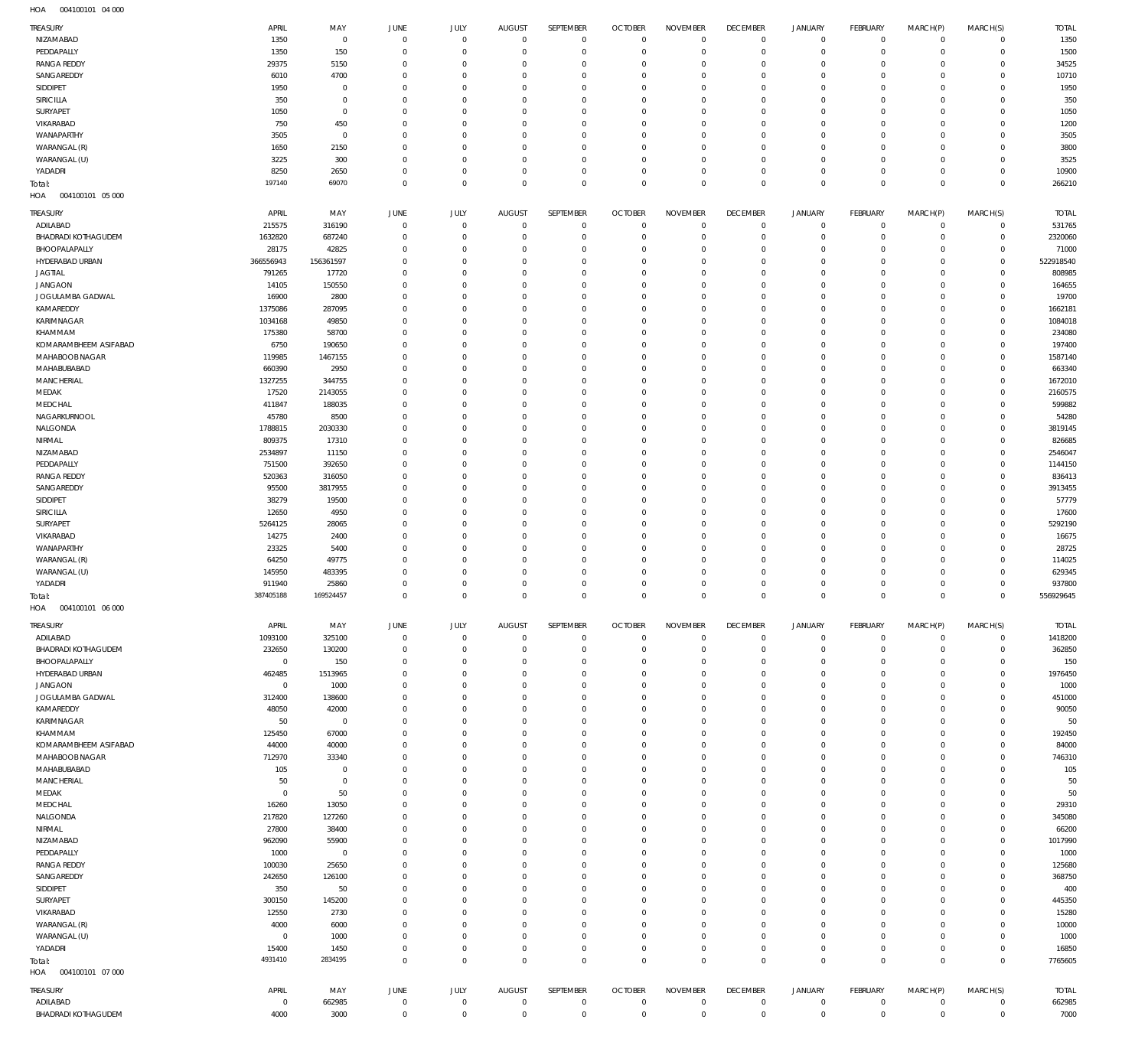004100101 04 000 HOA

| TREASURY                   | APRIL              | MAY                 | JUNE           | <b>JULY</b>                | <b>AUGUST</b>            | <b>SEPTEMBER</b>           | <b>OCTOBER</b>           | <b>NOVEMBER</b>              | <b>DECEMBER</b>            | <b>JANUARY</b>             | <b>FEBRUARY</b>            | MARCH(P)                | MARCH(S)                   | <b>TOTAL</b>       |
|----------------------------|--------------------|---------------------|----------------|----------------------------|--------------------------|----------------------------|--------------------------|------------------------------|----------------------------|----------------------------|----------------------------|-------------------------|----------------------------|--------------------|
| NIZAMABAD                  | 1350               | $\mathbf{0}$        | 0              | $\mathbf 0$                | $\mathbf 0$              | $\mathbf 0$                | $\overline{0}$           | $\mathbf 0$                  | $\mathbf 0$                | $\mathbf 0$                | $\overline{0}$             | $\mathbf 0$             | $\mathbf{0}$               | 1350               |
| PEDDAPALLY                 | 1350               | 150                 | $\overline{0}$ | $\mathbf 0$                | $^{\circ}$               | $\mathbf 0$                | $^{\circ}$               | $\mathbf 0$                  | $\mathbf 0$                | $\mathbf 0$                | $\overline{0}$             | $\mathbf 0$             | $\mathbf{0}$               | 1500               |
| <b>RANGA REDDY</b>         | 29375              | 5150                | 0              | $\mathbf 0$                | $^{\circ}$               | $\mathbf 0$                | $^{\circ}$               | $\overline{0}$               | $\mathbf 0$                | $\mathbf 0$                | $\mathbf 0$                | $\Omega$                | $\mathbf 0$                | 34525              |
| SANGAREDDY                 | 6010               | 4700                | 0              | $\mathbf 0$                | $\mathbf 0$              | $\mathbf 0$                | $^{\circ}$               | $\mathbf{0}$                 | $\mathbf 0$                | $\mathbf 0$                | $\mathbf 0$                | $\Omega$                | $\mathbf 0$                | 10710              |
| SIDDIPET                   | 1950               | $\mathbf 0$         | 0              | $\mathbf 0$                | $^{\circ}$               | $\mathbf 0$                | $^{\circ}$               | $\mathbf{0}$                 | $\mathbf 0$                | $\mathbf 0$                | $\mathbf 0$                | $\Omega$                | $\mathbf 0$                | 1950               |
| SIRICILLA                  | 350                | $\mathbf 0$         | 0              | $\mathbf 0$                | $^{\circ}$               | $\mathbf 0$                | $^{\circ}$               | $\mathbf{0}$                 | $\mathbf 0$                | $\mathbf 0$<br>$\mathbf 0$ | $\mathbf 0$                | $\Omega$<br>$\Omega$    | $\mathbf 0$<br>$\mathbf 0$ | 350                |
| SURYAPET<br>VIKARABAD      | 1050<br>750        | $\mathbf 0$<br>450  | 0<br>0         | $\mathbf 0$<br>$\mathbf 0$ | $^{\circ}$<br>$^{\circ}$ | $\mathbf 0$<br>$\mathbf 0$ | $^{\circ}$<br>$^{\circ}$ | $\mathbf{0}$<br>$\mathbf{0}$ | $\mathbf 0$<br>$\mathbf 0$ | $\mathbf 0$                | $\mathbf 0$<br>$\mathbf 0$ | $\Omega$                | $\mathbf 0$                | 1050<br>1200       |
| WANAPARTHY                 | 3505               | $\mathbf 0$         | 0              | $\mathbf 0$                | $\mathbf 0$              | $\mathbf 0$                | $^{\circ}$               | $\mathbf{0}$                 | $\mathbf 0$                | $\mathbf 0$                | $\mathbf 0$                | $\Omega$                | $\mathbf 0$                | 3505               |
| WARANGAL (R)               | 1650               | 2150                | 0              | $\mathbf 0$                | $^{\circ}$               | $\mathbf 0$                | $^{\circ}$               | $\mathbf{0}$                 | $\mathbf 0$                | $\mathbf 0$                | $\mathbf 0$                | $\Omega$                | $\mathbf 0$                | 3800               |
| WARANGAL (U)               | 3225               | 300                 | 0              | $\mathbf 0$                | $^{\circ}$               | $\mathbf 0$                | $^{\circ}$               | $\mathbf{0}$                 | $\mathbf 0$                | $\mathbf 0$                | $\mathbf 0$                | $\Omega$                | $\mathbf 0$                | 3525               |
| YADADRI                    | 8250               | 2650                | 0              | $\mathbf 0$                | $^{\circ}$               | $\mathbf 0$                | $^{\circ}$               | $\mathbf{0}$                 | $\mathbf 0$                | $\mathbf 0$                | $\mathbf 0$                | $\circ$                 | $\mathbf{0}$               | 10900              |
| Total:                     | 197140             | 69070               | $\overline{0}$ | $\mathbf 0$                | $^{\circ}$               | $\mathbf 0$                | $\overline{0}$           | $\mathbf 0$                  | $\mathbf 0$                | $\mathbf 0$                | $\overline{0}$             | $\Omega$                | $\overline{0}$             | 266210             |
| HOA<br>004100101 05 000    |                    |                     |                |                            |                          |                            |                          |                              |                            |                            |                            |                         |                            |                    |
| TREASURY                   | APRIL              | MAY                 | <b>JUNE</b>    | JULY                       | <b>AUGUST</b>            | SEPTEMBER                  | <b>OCTOBER</b>           | <b>NOVEMBER</b>              | <b>DECEMBER</b>            | <b>JANUARY</b>             | <b>FEBRUARY</b>            | MARCH(P)                | MARCH(S)                   | <b>TOTAL</b>       |
| ADILABAD                   | 215575             | 316190              | $\overline{0}$ | $^{\circ}$                 | $^{\circ}$               | $^{\circ}$                 | $^{\circ}$               | $^{\circ}$                   | $\mathbf 0$                | $\mathbf 0$                | $\overline{0}$             | $\circ$                 | $\mathbf{0}$               | 531765             |
| BHADRADI KOTHAGUDEM        | 1632820            | 687240              | 0              | $^{\circ}$                 | $^{\circ}$               | $\mathbf 0$                | $^{\circ}$               | $\overline{0}$               | $\mathbf 0$                | $\mathbf 0$                | $\mathbf 0$                | $\mathbf 0$             | $\mathbf 0$                | 2320060            |
| BHOOPALAPALLY              | 28175              | 42825               | 0              | $^{\circ}$                 | 0                        | $^{\circ}$                 | $^{\circ}$               | $^{\circ}$                   | $\mathbf 0$                | $\mathbf 0$                | $\mathbf 0$                | $\circ$                 | $\mathbf 0$                | 71000              |
| HYDERABAD URBAN            | 366556943          | 156361597           | 0              | $\mathbf 0$                | 0                        | $^{\circ}$                 | $^{\circ}$               | $\mathbf{0}$                 | $\mathbf 0$                | $\mathbf 0$                | $\mathbf 0$                | $\Omega$                | $\mathbf 0$                | 522918540          |
| <b>JAGTIAL</b>             | 791265             | 17720               | - 0            | $\mathbf 0$                | $^{\circ}$               | $\mathbf 0$                | $^{\circ}$               | $\mathbf{0}$                 | $\mathbf 0$                | $\mathbf 0$                | $\mathbf 0$                | $\Omega$                | $\mathbf 0$                | 808985             |
| <b>JANGAON</b>             | 14105              | 150550              | 0              | $\mathbf 0$                | $^{\circ}$               | $\mathbf 0$                | $^{\circ}$               | $^{\circ}$                   | $\mathbf 0$                | $\mathbf 0$                | $\mathbf 0$                | $\Omega$                | $\mathbf 0$                | 164655             |
| JOGULAMBA GADWAL           | 16900              | 2800                | 0              | $\mathbf 0$                | $^{\circ}$               | $\mathbf 0$                | $^{\circ}$               | $\mathbf{0}$                 | $\mathbf 0$                | $\mathbf 0$                | $\mathbf 0$                | $\Omega$                | $\mathbf 0$                | 19700              |
| KAMAREDDY<br>KARIMNAGAR    | 1375086<br>1034168 | 287095<br>49850     | 0<br>0         | $\mathbf 0$<br>$\mathbf 0$ | $^{\circ}$<br>$^{\circ}$ | $\mathbf 0$<br>$\mathbf 0$ | $^{\circ}$<br>$^{\circ}$ | $\mathbf{0}$<br>$^{\circ}$   | $\mathbf 0$<br>$\mathbf 0$ | $\mathbf 0$<br>$\mathbf 0$ | $\mathbf 0$<br>0           | $\Omega$<br>$\Omega$    | $\mathbf 0$<br>$\mathbf 0$ | 1662181<br>1084018 |
| KHAMMAM                    | 175380             | 58700               | 0              | $\mathbf 0$                | $^{\circ}$               | $\mathbf 0$                | $^{\circ}$               | $^{\circ}$                   | $\mathbf 0$                | $\mathbf 0$                | $\mathbf 0$                | $\Omega$                | $\mathbf 0$                | 234080             |
| KOMARAMBHEEM ASIFABAD      | 6750               | 190650              | 0              | $\mathbf 0$                | $^{\circ}$               | $\mathbf 0$                | $^{\circ}$               | $\mathbf{0}$                 | $\mathbf 0$                | $\mathbf 0$                | $\mathbf 0$                | $\Omega$                | $\mathbf 0$                | 197400             |
| MAHABOOB NAGAR             | 119985             | 1467155             | 0              | $\mathbf 0$                | 0                        | $\mathbf 0$                | $^{\circ}$               | $\mathbf{0}$                 | $\mathbf 0$                | $\mathbf 0$                | $\mathbf 0$                | $\Omega$                | $\mathbf 0$                | 1587140            |
| MAHABUBABAD                | 660390             | 2950                | - 0            | $\mathbf 0$                | $^{\circ}$               | $\mathbf 0$                | $^{\circ}$               | $\mathbf{0}$                 | $\mathbf 0$                | $\mathbf 0$                | $\mathbf 0$                | $\Omega$                | $\mathbf 0$                | 663340             |
| MANCHERIAL                 | 1327255            | 344755              | $\Omega$       | $\Omega$                   | 0                        | $\mathbf 0$                | $^{\circ}$               | $^{\circ}$                   | $\mathbf 0$                | $\mathbf 0$                | $\mathbf 0$                | $\Omega$                | $\Omega$                   | 1672010            |
| MEDAK                      | 17520              | 2143055             | - 0            | $\mathbf 0$                | $\mathbf 0$              | $\mathbf 0$                | $^{\circ}$               | $\mathbf{0}$                 | $\mathbf 0$                | $\mathbf 0$                | $\mathbf 0$                | $\Omega$                | $\mathbf 0$                | 2160575            |
| MEDCHAL                    | 411847             | 188035              | 0              | $\mathbf 0$                | 0                        | $\mathbf 0$                | $^{\circ}$               | $^{\circ}$                   | $\mathbf 0$                | $\mathbf 0$                | $\mathbf 0$                | $\Omega$                | $\circ$                    | 599882             |
| NAGARKURNOOL               | 45780              | 8500                | - 0            | $\mathbf 0$                | $^{\circ}$               | $\mathbf 0$                | $^{\circ}$               | $\mathbf{0}$                 | $\mathbf 0$                | $\mathbf 0$                | $\mathbf 0$                | $\Omega$                | $\mathbf 0$                | 54280              |
| NALGONDA                   | 1788815            | 2030330             | 0              | $\mathbf 0$                | $^{\circ}$               | $\mathbf 0$                | $^{\circ}$               | $^{\circ}$                   | $\mathbf 0$                | $\mathbf 0$                | $\mathbf 0$                | $\Omega$                | $\mathbf 0$                | 3819145            |
| NIRMAL                     | 809375             | 17310               | 0              | $\mathbf 0$                | $^{\circ}$               | $\mathbf 0$                | $^{\circ}$               | $\mathbf{0}$                 | $\mathbf 0$                | $\mathbf 0$                | $\mathbf 0$                | $\Omega$                | $\mathbf 0$                | 826685             |
| NIZAMABAD                  | 2534897            | 11150               | 0              | $\mathbf 0$                | 0                        | $\mathbf 0$                | $^{\circ}$               | $\mathbf{0}$                 | $\mathbf 0$                | $\mathbf 0$                | $\mathbf 0$                | $\Omega$                | $\mathbf 0$                | 2546047            |
| PEDDAPALLY                 | 751500             | 392650              | 0              | $\Omega$                   | 0                        | $\mathbf 0$                | $^{\circ}$               | $^{\circ}$                   | $\mathbf 0$                | $\mathbf 0$                | 0                          | $\Omega$                | $\mathbf 0$                | 1144150            |
| <b>RANGA REDDY</b>         | 520363             | 316050              | 0              | $\mathbf 0$                | $^{\circ}$               | $\mathbf 0$<br>$\mathbf 0$ | $^{\circ}$               | $^{\circ}$                   | $\mathbf 0$                | $\mathbf 0$                | $\mathbf 0$                | $\Omega$<br>$\Omega$    | $\mathbf 0$<br>$\mathbf 0$ | 836413             |
| SANGAREDDY<br>SIDDIPET     | 95500<br>38279     | 3817955<br>19500    | 0<br>0         | $\mathbf 0$<br>$\mathbf 0$ | $^{\circ}$<br>$^{\circ}$ | $\mathbf 0$                | $^{\circ}$<br>$^{\circ}$ | $\mathbf{0}$<br>$\mathbf{0}$ | $\mathbf 0$<br>$\mathbf 0$ | $\mathbf 0$<br>$\mathbf 0$ | $\mathbf 0$<br>$\mathbf 0$ | $\Omega$                | $\mathbf 0$                | 3913455<br>57779   |
| SIRICILLA                  | 12650              | 4950                | - 0            | $\mathbf 0$                | $^{\circ}$               | $\mathbf 0$                | $^{\circ}$               | $\mathbf{0}$                 | $\mathbf 0$                | $\mathbf 0$                | $\mathbf 0$                | $\Omega$                | $\mathbf 0$                | 17600              |
| SURYAPET                   | 5264125            | 28065               | $\Omega$       | $\Omega$                   | 0                        | $\mathbf 0$                | $^{\circ}$               | $^{\circ}$                   | $\mathbf 0$                | $\mathbf 0$                | $\mathbf 0$                | $\Omega$                | $\mathbf 0$                | 5292190            |
| VIKARABAD                  | 14275              | 2400                | - 0            | $^{\circ}$                 | $^{\circ}$               | $\mathbf 0$                | $^{\circ}$               | $\mathbf{0}$                 | $\mathbf 0$                | $\mathbf 0$                | $\mathbf 0$                | $\Omega$                | $\mathbf 0$                | 16675              |
| WANAPARTHY                 | 23325              | 5400                | 0              | $\mathbf 0$                | 0                        | $^{\circ}$                 | $^{\circ}$               | $^{\circ}$                   | $\mathbf 0$                | $\mathbf 0$                | 0                          | $\Omega$                | $\mathbf 0$                | 28725              |
| WARANGAL (R)               | 64250              | 49775               | 0              | $^{\circ}$                 | $^{\circ}$               | $\mathbf 0$                | $^{\circ}$               | $\mathbf{0}$                 | $\mathbf 0$                | $\mathbf 0$                | $\mathbf 0$                | $\Omega$                | $\mathbf 0$                | 114025             |
| WARANGAL (U)               | 145950             | 483395              | $\Omega$       | $^{\circ}$                 | $^{\circ}$               | $^{\circ}$                 | $^{\circ}$               | $^{\circ}$                   | $\mathbf 0$                | $\mathbf 0$                | $\mathbf 0$                | $\Omega$                | $\mathbf 0$                | 629345             |
| YADADRI                    | 911940             | 25860               | $\Omega$       | $^{\circ}$                 | $^{\circ}$               | $\mathbf 0$                | $^{\circ}$               | $\mathbf{0}$                 | $\mathbf 0$                | $\mathbf 0$                | $\mathbf 0$                | $\Omega$                | $\mathbf 0$                | 937800             |
| Total:                     | 387405188          | 169524457           | $^{\circ}$     | $\mathbf 0$                | $\mathbf 0$              | $\mathbf 0$                | $^{\circ}$               | $\mathbf 0$                  | $\mathbf 0$                | $\mathbf 0$                | $\mathbf 0$                | $\mathbf 0$             | $\mathbf 0$                | 556929645          |
| HOA<br>004100101 06 000    |                    |                     |                |                            |                          |                            |                          |                              |                            |                            |                            |                         |                            |                    |
| TREASURY                   | APRIL              | MAY                 | JUNE           | <b>JULY</b>                | <b>AUGUST</b>            | SEPTEMBER                  | <b>OCTOBER</b>           | <b>NOVEMBER</b>              | <b>DECEMBER</b>            | <b>JANUARY</b>             | <b>FEBRUARY</b>            | MARCH(P)                | MARCH(S)                   | <b>TOTAL</b>       |
| ADILABAD                   | 1093100            | 325100              | 0              | $\mathbf 0$                | $^{\circ}$               | $\mathbf 0$                | $\overline{0}$           | $^{\circ}$                   | $\mathbf 0$                | $\mathbf 0$                | $\overline{0}$             | $\mathbf 0$             | $\mathbf{0}$               | 1418200            |
| BHADRADI KOTHAGUDEM        | 232650             | 130200              | $\overline{0}$ | $\mathbf 0$                | $^{\circ}$               | $\mathbf 0$                | $^{\circ}$               | $^{\circ}$                   | $\mathbf 0$                | $\mathbf 0$                | $\overline{0}$             | $\mathbf 0$             | $\mathbf{0}$               | 362850             |
| BHOOPALAPALLY              | $\mathbf 0$        | 150                 | 0              | $\mathbf 0$                | 0                        | $\mathbf 0$                | $^{\circ}$               | $^{\circ}$                   | $\mathbf 0$                | $\mathbf 0$                | $\mathbf 0$                | $\mathbf 0$             | $\mathbf 0$                | 150                |
| HYDERABAD URBAN            | 462485             | 1513965             | 0              | $\mathbf 0$                | $^{\circ}$               | $\mathbf 0$                | $^{\circ}$               | $\mathbf{0}$                 | $\mathbf 0$                | $\mathbf 0$                | $\mathbf 0$                | $\mathbf 0$             | $\mathbf{0}$               | 1976450            |
| <b>JANGAON</b>             | $^{\circ}$         | 1000                | 0              | $\mathbf 0$                | $^{\circ}$               | $\mathbf 0$                | $^{\circ}$               | $\mathbf{0}$                 | $\mathbf 0$                | $\mathbf 0$                | $\mathbf 0$                | $\Omega$                | $\mathbf 0$                | 1000               |
| JOGULAMBA GADWAL           | 312400             | 138600              | 0              | $\mathbf 0$                | $^{\circ}$               | $\mathbf 0$                | $^{\circ}$               | $\mathbf{0}$                 | $\mathbf 0$                | $\mathbf 0$                | $\mathbf 0$                | $\Omega$                | $\mathbf 0$                | 451000             |
| KAMAREDDY                  | 48050              | 42000               | 0              | $\mathbf 0$                | $^{\circ}$               | $\mathbf 0$                | $^{\circ}$               | $\mathbf{0}$                 | $\mathbf 0$                | $\mathbf 0$                | $\mathbf 0$                | $\circ$                 | $\mathbf 0$                | 90050              |
| KARIMNAGAR<br>KHAMMAM      | 50<br>125450       | $^{\circ}$<br>67000 | 0<br>0         | $\mathbf 0$<br>$\mathbf 0$ | $^{\circ}$<br>$^{\circ}$ | $\mathbf 0$<br>$\mathbf 0$ | $^{\circ}$<br>$^{\circ}$ | $\mathbf{0}$<br>$\mathbf{0}$ | $\mathbf 0$<br>$\mathbf 0$ | $\mathbf 0$<br>$\mathbf 0$ | $\mathbf 0$<br>$\mathbf 0$ | $\circ$<br>$\Omega$     | $\mathbf 0$<br>$\mathbf 0$ | 50<br>192450       |
| KOMARAMBHEEM ASIFABAD      | 44000              | 40000               | 0              | $\mathbf 0$                | $^{\circ}$               | $\mathbf 0$                | $^{\circ}$               | $\mathbf{0}$                 | $\mathbf 0$                | $\mathbf 0$                | $\mathbf 0$                | $\circ$                 | $\mathbf 0$                | 84000              |
| MAHABOOB NAGAR             | 712970             | 33340               | 0              | $\mathbf 0$                | $^{\circ}$               | $\mathbf 0$                | $^{\circ}$               | $\mathbf{0}$                 | $\mathbf 0$                | $\mathbf 0$                | $\mathbf 0$                | $\Omega$                | $\mathbf 0$                | 746310             |
| MAHABUBABAD                | 105                | $\mathbf 0$         | 0              | $\mathbf 0$                | $^{\circ}$               | $\mathbf 0$                | $^{\circ}$               | $\mathbf{0}$                 | $\mathbf 0$                | $\mathbf 0$                | $\mathbf 0$                | $\circ$                 | $\mathbf 0$                | 105                |
| MANCHERIAL                 | 50                 | $\mathbf 0$         | 0              | $\mathbf 0$                | $^{\circ}$               | $\mathbf 0$                | $^{\circ}$               | $\mathbf{0}$                 | $\mathbf 0$                | $\mathbf 0$                | $\mathbf 0$                | $\Omega$                | $\mathbf 0$                | 50                 |
| MEDAK                      | $\overline{0}$     | 50                  | 0              | $\mathbf 0$                | $^{\circ}$               | $\mathbf 0$                | $^{\circ}$               | $\mathbf{0}$                 | $\mathbf 0$                | $\mathbf 0$                | $\mathbf 0$                | $\mathbf 0$             | $\mathbf 0$                | 50                 |
| MEDCHAL                    | 16260              | 13050               | 0              | $\mathbf 0$                | $^{\circ}$               | $\mathbf 0$                | $^{\circ}$               | $\mathbf{0}$                 | $\mathbf 0$                | $\mathbf 0$                | $\mathbf 0$                | $\Omega$                | $\mathbf 0$                | 29310              |
| NALGONDA                   | 217820             | 127260              | 0              | $\mathbf 0$                | $\mathbf 0$              | $\mathbf 0$                | $^{\circ}$               | $\mathbf{0}$                 | $\mathbf 0$                | $\mathbf 0$                | $\mathbf 0$                | $\mathbf 0$             | $\mathbf 0$                | 345080             |
| NIRMAL                     | 27800              | 38400               | 0              | $\mathbf 0$                | $^{\circ}$               | $\mathbf 0$                | $^{\circ}$               | $\mathbf{0}$                 | $\mathbf 0$                | $\mathbf 0$                | $\mathbf 0$                | $\Omega$                | $^{\circ}$                 | 66200              |
| NIZAMABAD                  | 962090             | 55900               | 0              | $\mathbf 0$                | $^{\circ}$               | $\mathbf 0$                | $^{\circ}$               | $\mathbf{0}$                 | $\mathbf 0$                | $\mathbf 0$                | $\mathbf 0$                | $\mathbf 0$             | $^{\circ}$                 | 1017990            |
| PEDDAPALLY                 | 1000               | $^{\circ}$          | 0              | $\mathbf 0$                | $^{\circ}$               | $\mathbf 0$                | $^{\circ}$               | $\mathbf{0}$                 | $\mathbf 0$                | $\mathbf 0$                | $\mathbf 0$                | $\mathbf 0$             | $^{\circ}$                 | 1000               |
| <b>RANGA REDDY</b>         | 100030             | 25650               | 0              | $\mathbf 0$                | $^{\circ}$               | $\mathbf 0$                | $^{\circ}$               | $\mathbf{0}$                 | $\mathbf 0$                | $\mathbf 0$                | $\mathbf 0$                | $\Omega$                | $\mathbf 0$                | 125680             |
| SANGAREDDY                 | 242650             | 126100              | 0<br>0         | $\mathbf 0$<br>$^{\circ}$  | $^{\circ}$<br>$^{\circ}$ | $\mathbf 0$<br>$\mathbf 0$ | $^{\circ}$<br>$^{\circ}$ | $\mathbf{0}$<br>$\mathbf{0}$ | $\mathbf 0$<br>$\mathbf 0$ | $\mathbf 0$<br>$\mathbf 0$ | $\mathbf 0$<br>$\mathbf 0$ | $\Omega$<br>$\mathbf 0$ | $\mathbf 0$<br>$\mathbf 0$ | 368750             |
| SIDDIPET<br>SURYAPET       | 350<br>300150      | 50<br>145200        | 0              | $\mathbf 0$                | $^{\circ}$               | $\mathbf 0$                | $^{\circ}$               | $\mathbf{0}$                 | $\mathbf 0$                | $\mathbf 0$                | $\mathbf 0$                | $\Omega$                | $\mathbf 0$                | 400<br>445350      |
| VIKARABAD                  | 12550              | 2730                | 0              | $\mathbf 0$                | $^{\circ}$               | $\mathbf 0$                | $^{\circ}$               | $\mathbf{0}$                 | $\mathbf 0$                | $\mathbf 0$                | $\mathbf 0$                | $\mathbf 0$             | $\mathbf 0$                | 15280              |
| WARANGAL (R)               | 4000               | 6000                | - 0            | $^{\circ}$                 | $^{\circ}$               | $\mathbf 0$                | $^{\circ}$               | $\mathbf{0}$                 | $\mathbf 0$                | $\mathbf 0$                | $\mathbf 0$                | $\Omega$                | $\mathbf 0$                | 10000              |
| WARANGAL (U)               | $\overline{0}$     | 1000                | 0              | $\mathbf 0$                | $^{\circ}$               | $\mathbf 0$                | $^{\circ}$               | $\mathbf{0}$                 | $\mathbf 0$                | $\mathbf 0$                | $\mathbf 0$                | $\mathbf 0$             | $\mathbf 0$                | 1000               |
| YADADRI                    | 15400              | 1450                | 0              | $\mathbf 0$                | $^{\circ}$               | $\mathbf 0$                | $^{\circ}$               | $\mathbf{0}$                 | $\mathbf 0$                | $\mathbf 0$                | $\mathbf 0$                | $\mathbf 0$             | $\mathbf 0$                | 16850              |
| Total:                     | 4931410            | 2834195             | $\overline{0}$ | $\mathbf 0$                | $\mathbf 0$              | $\mathbf 0$                | $\mathbf 0$              | $\mathbf 0$                  | $\mathbf 0$                | $\mathbf 0$                | $\overline{0}$             | $\mathbf 0$             | $\overline{0}$             | 7765605            |
| 004100101 07 000<br>HOA    |                    |                     |                |                            |                          |                            |                          |                              |                            |                            |                            |                         |                            |                    |
| TREASURY                   | APRIL              | MAY                 | JUNE           | JULY                       | AUGUST                   | SEPTEMBER                  | <b>OCTOBER</b>           | <b>NOVEMBER</b>              | <b>DECEMBER</b>            | <b>JANUARY</b>             | <b>FEBRUARY</b>            | MARCH(P)                | MARCH(S)                   | <b>TOTAL</b>       |
| ADILABAD                   | $\overline{0}$     | 662985              | $\overline{0}$ | $\mathbf 0$                | $\mathbf 0$              | $\mathbf 0$                | $^{\circ}$               | $\mathbf{0}$                 | 0                          | 0                          | $\overline{0}$             | $\mathbf 0$             | $\mathbf 0$                | 662985             |
| <b>BHADRADI KOTHAGUDEM</b> | 4000               | 3000                | $^{\circ}$     | $\mathbf 0$                | $\mathbf 0$              | $\mathbf 0$                | $^{\circ}$               | $\mathbf{0}$                 | $\mathbf 0$                | $\mathbf 0$                | $\overline{0}$             | $\mathbf 0$             | $\mathbf{0}$               | 7000               |
|                            |                    |                     |                |                            |                          |                            |                          |                              |                            |                            |                            |                         |                            |                    |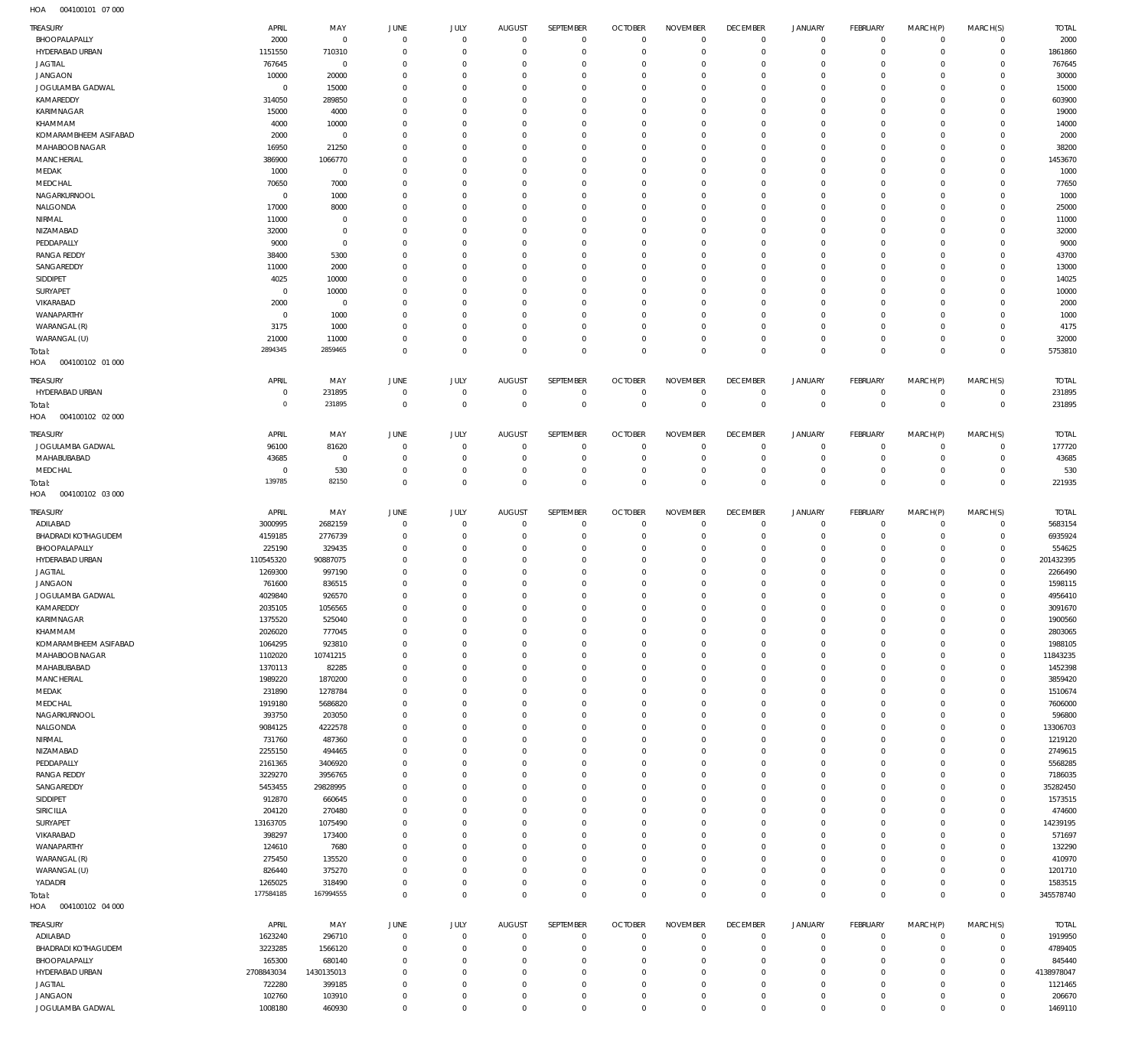004100101 07 000 HOA

| TREASURY                      | APRIL              | MAY               | <b>JUNE</b>                      | JULY                     | <b>AUGUST</b>              | SEPTEMBER                  | <b>OCTOBER</b>                 | <b>NOVEMBER</b>      | <b>DECEMBER</b>             | <b>JANUARY</b>             | FEBRUARY                         | MARCH(P)             | MARCH(S)                     | <b>TOTAL</b>        |
|-------------------------------|--------------------|-------------------|----------------------------------|--------------------------|----------------------------|----------------------------|--------------------------------|----------------------|-----------------------------|----------------------------|----------------------------------|----------------------|------------------------------|---------------------|
| BHOOPALAPALLY                 | 2000               | $\overline{0}$    | $\,0\,$                          | $\Omega$                 | $\mathbf 0$                | $\mathbf 0$                | $\overline{0}$                 | $\mathbf 0$          | $\mathbf 0$                 | $\mathbf 0$                | $\overline{0}$                   | $\mathbf 0$          | $\circ$                      | 2000                |
| HYDERABAD URBAN               | 1151550            | 710310            | $\mathbf 0$                      | $\Omega$                 | $\overline{0}$             | $\mathbf 0$                | $\overline{0}$                 | $\mathbf 0$          | $\mathbf{0}$                | $\mathbf 0$                | $\overline{0}$                   | $\Omega$             | $\mathbf{0}$                 | 1861860             |
| JAGTIAL                       | 767645             | $\overline{0}$    | $\overline{0}$                   | $\Omega$                 | $\Omega$                   | 0                          | $\overline{0}$                 | $\Omega$             | $\mathbf 0$                 | $\mathbf 0$                | $\mathbf 0$                      | $\Omega$             | $\mathbf 0$                  | 767645              |
| <b>JANGAON</b>                | 10000              | 20000             | $\mathbf 0$                      | $\Omega$                 | $\Omega$                   | $\Omega$                   | $^{\circ}$                     | $\Omega$             | $\mathbf{0}$                | $\mathbf 0$                | $\overline{0}$                   | $\Omega$             | $\mathbf{0}$                 | 30000               |
| JOGULAMBA GADWAL              | $\mathbf 0$        | 15000             | $^{\circ}$                       | $\Omega$                 | $\Omega$                   | 0                          | $\overline{0}$                 | $\Omega$             | $\mathbf 0$                 | $\mathbf 0$                | $\mathbf 0$                      | $\Omega$             | $^{\circ}$                   | 15000               |
| KAMAREDDY                     | 314050             | 289850            | $^{\circ}$                       | $\Omega$                 | $\Omega$                   | $\Omega$                   | $^{\circ}$                     | $\Omega$             | $\mathbf 0$                 | $\Omega$                   | $\mathbf 0$                      | $\Omega$             | $\mathbf 0$                  | 603900              |
| KARIMNAGAR<br>KHAMMAM         | 15000<br>4000      | 4000<br>10000     | $\overline{0}$<br>$\overline{0}$ | $\Omega$<br>$\Omega$     | $\Omega$<br>$\Omega$       | $\Omega$<br>$\Omega$       | $^{\circ}$<br>$^{\circ}$       | $\Omega$<br>$\Omega$ | $\mathbf 0$<br>$\mathbf 0$  | $\mathbf 0$<br>$\Omega$    | $\mathbf 0$<br>$\mathbf 0$       | $\Omega$<br>$\Omega$ | $^{\circ}$<br>$\mathbf 0$    | 19000<br>14000      |
| KOMARAMBHEEM ASIFABAD         | 2000               | $\mathbf 0$       | $^{\circ}$                       | $\Omega$                 | $\Omega$                   | $\Omega$                   | $\mathbf 0$                    | $\Omega$             | $\mathbf 0$                 | $\mathbf 0$                | $^{\circ}$                       | $\Omega$             | $\mathbf 0$                  | 2000                |
| MAHABOOB NAGAR                | 16950              | 21250             | $\overline{0}$                   | $\Omega$                 | $\Omega$                   | 0                          | $^{\circ}$                     | $\Omega$             | $\mathbf 0$                 | $\mathbf 0$                | $^{\circ}$                       | $\Omega$             | $\mathbf{0}$                 | 38200               |
| MANCHERIAL                    | 386900             | 1066770           | $^{\circ}$                       | <sup>0</sup>             | $\Omega$                   | $\Omega$                   | $\mathbf 0$                    | $\Omega$             | $\mathbf 0$                 | $\mathbf 0$                | $^{\circ}$                       | $\Omega$             | $\mathbf 0$                  | 1453670             |
| MEDAK                         | 1000               | $\mathbf 0$       | $\mathbf 0$                      | $\Omega$                 | $\Omega$                   | $\Omega$                   | $^{\circ}$                     | $\Omega$             | $\mathbf 0$                 | $\Omega$                   | $^{\circ}$                       | $\Omega$             | $\mathbf 0$                  | 1000                |
| MEDCHAL                       | 70650              | 7000              | $^{\circ}$                       | $\Omega$                 | $\Omega$                   | 0                          | $\overline{0}$                 | $\Omega$             | $\mathbf 0$                 | $\mathbf 0$                | $^{\circ}$                       | $\Omega$             | $\mathbf 0$                  | 77650               |
| NAGARKURNOOL                  | $\Omega$           | 1000              | $^{\circ}$                       | $\Omega$                 | $\Omega$                   | $\Omega$                   | $^{\circ}$                     | $\Omega$             | $\mathbf 0$                 | $\Omega$                   | $^{\circ}$                       | $\Omega$             | $\mathbf 0$                  | 1000                |
| NALGONDA                      | 17000              | 8000              | $^{\circ}$                       | $\Omega$                 | $\Omega$                   | $\Omega$                   | $^{\circ}$                     | $\Omega$             | $\mathbf 0$                 | $\mathbf 0$                | $\mathbf 0$                      | $\Omega$             | $\mathbf 0$                  | 25000               |
| NIRMAL                        | 11000              | $\overline{0}$    | $^{\circ}$                       | $\Omega$                 | $\Omega$                   | $\Omega$                   | $^{\circ}$                     | $\Omega$             | $\mathbf 0$                 | $\Omega$                   | $\mathbf 0$                      | $\Omega$             | $\mathbf 0$                  | 11000               |
| NIZAMABAD                     | 32000              | $\overline{0}$    | $^{\circ}$                       | $\Omega$                 | $\Omega$                   | $\Omega$                   | $\overline{0}$                 | $\Omega$             | $\mathbf 0$                 | $\mathbf 0$                | $\mathbf 0$                      | $\Omega$             | $\mathbf 0$                  | 32000               |
| PEDDAPALLY                    | 9000               | $\overline{0}$    | $\overline{0}$                   | $\Omega$                 | $\Omega$                   | $\Omega$                   | $^{\circ}$                     | $\Omega$             | $\mathbf 0$                 | $\mathbf 0$                | $\mathbf 0$                      | $\Omega$             | $\mathbf 0$                  | 9000                |
| <b>RANGA REDDY</b>            | 38400              | 5300              | $^{\circ}$                       | <sup>0</sup><br>$\Omega$ | $\Omega$                   | O<br>$\Omega$              | $\Omega$                       | $\Omega$<br>$\Omega$ | $\mathbf 0$<br>$\mathbf 0$  | $\Omega$<br>$\Omega$       | $\mathbf 0$                      | $\Omega$<br>$\Omega$ | 0<br>$\mathbf 0$             | 43700               |
| SANGAREDDY<br>SIDDIPET        | 11000<br>4025      | 2000<br>10000     | $\mathbf 0$<br>$^{\circ}$        | <sup>0</sup>             | $\overline{0}$<br>$\Omega$ | $\Omega$                   | $^{\circ}$<br>$\mathbf 0$      | $\Omega$             | $\mathbf 0$                 | $\mathbf 0$                | $\mathbf 0$<br>$\mathbf 0$       | $\Omega$             | $\mathbf 0$                  | 13000<br>14025      |
| SURYAPET                      | $\Omega$           | 10000             | $^{\circ}$                       | $\Omega$                 | $\Omega$                   | $\Omega$                   | $^{\circ}$                     | $\Omega$             | $\mathbf 0$                 | $\Omega$                   | $\Omega$                         | $\Omega$             | $\mathbf 0$                  | 10000               |
| VIKARABAD                     | 2000               | $\overline{0}$    | $\overline{0}$                   | $\Omega$                 | $\Omega$                   | $\Omega$                   | $^{\circ}$                     | $\Omega$             | $\mathbf 0$                 | $\mathbf 0$                | $\mathbf 0$                      | $\Omega$             | $\mathbf 0$                  | 2000                |
| WANAPARTHY                    | $^{\circ}$         | 1000              | $^{\circ}$                       | $\Omega$                 | $\Omega$                   | $\Omega$                   | $\Omega$                       | $\Omega$             | $\mathbf 0$                 | $\mathbf 0$                | $\mathbf 0$                      | $\Omega$             | $\mathbf 0$                  | 1000                |
| WARANGAL (R)                  | 3175               | 1000              | $^{\circ}$                       | $\Omega$                 | $\Omega$                   | $\Omega$                   | $\overline{0}$                 | $\Omega$             | $\mathbf 0$                 | $\mathbf 0$                | $\mathbf 0$                      | $\Omega$             | $\mathbf 0$                  | 4175                |
| WARANGAL (U)                  | 21000              | 11000             | $\mathbf 0$                      | $\Omega$                 | $\mathbf 0$                | 0                          | $^{\circ}$                     | 0                    | $\mathbf{0}$                | $\mathbf 0$                | $\overline{0}$                   | 0                    | $\mathbf{0}$                 | 32000               |
| Total:                        | 2894345            | 2859465           | $\mathbf 0$                      | $\Omega$                 | $\mathbf 0$                | $\mathbf 0$                | $\mathbf{0}$                   | $\Omega$             | $\mathbf 0$                 | $\mathbf 0$                | $\overline{0}$                   | $\Omega$             | $\mathbf 0$                  | 5753810             |
| HOA<br>004100102 01 000       |                    |                   |                                  |                          |                            |                            |                                |                      |                             |                            |                                  |                      |                              |                     |
| TREASURY                      | APRIL              | MAY               | JUNE                             | JULY                     | <b>AUGUST</b>              | SEPTEMBER                  | <b>OCTOBER</b>                 | <b>NOVEMBER</b>      | <b>DECEMBER</b>             | <b>JANUARY</b>             | FEBRUARY                         | MARCH(P)             | MARCH(S)                     | <b>TOTAL</b>        |
| HYDERABAD URBAN               | $^{\circ}$         | 231895            | $\,0\,$                          | $\overline{0}$           | $\overline{0}$             | $\mathbf 0$                | $\overline{0}$                 | $\mathbf 0$          | $\mathbf 0$                 | $\mathbf 0$                | $\overline{0}$                   | $\mathbf 0$          | $\circ$                      | 231895              |
| Total:                        | $\overline{0}$     | 231895            | $\overline{0}$                   | $\mathbf 0$              | $\mathbf 0$                | $\mathbf{0}$               | $\overline{0}$                 | $\mathbf 0$          | $\mathbf 0$                 | $\bf 0$                    | $\mathbf 0$                      | $\mathbf 0$          | $\overline{0}$               | 231895              |
| HOA<br>004100102 02 000       |                    |                   |                                  |                          |                            |                            |                                |                      |                             |                            |                                  |                      |                              |                     |
| TREASURY                      | APRIL              | MAY               | <b>JUNE</b>                      | JULY                     | <b>AUGUST</b>              | SEPTEMBER                  | <b>OCTOBER</b>                 | <b>NOVEMBER</b>      | <b>DECEMBER</b>             | <b>JANUARY</b>             | FEBRUARY                         | MARCH(P)             | MARCH(S)                     | <b>TOTAL</b>        |
| JOGULAMBA GADWAL              | 96100              | 81620             | $^{\circ}$                       | $^{\circ}$               | $^{\circ}$                 | $\mathbf 0$                | $\overline{0}$                 | 0                    | $\bf 0$                     | $\mathbf 0$                | $\overline{0}$                   | 0                    | 0                            | 177720              |
| MAHABUBABAD                   | 43685              | $\overline{0}$    | $\mathbf 0$                      | $\mathbf 0$              | $\overline{0}$             | $\mathbf 0$                | $\overline{0}$                 | $\mathbf 0$          | $\mathbf 0$                 | $\mathbf 0$                | $\overline{0}$                   | $\mathbf 0$          | $\circ$                      | 43685               |
| MEDCHAL                       | $^{\circ}$         | 530               | $\,0\,$                          | $^{\circ}$               | $^{\circ}$                 | 0                          | $\mathbf 0$                    | 0                    | $\mathbf 0$                 | $\bf 0$                    | $\overline{0}$                   | 0                    | $\circ$                      | 530                 |
| Total:                        | 139785             | 82150             | $\mathbf 0$                      | $\Omega$                 | $\overline{0}$             | $\mathbf 0$                | $\overline{0}$                 | $\mathbf 0$          | $\mathbf{0}$                | $\mathbf 0$                | $\overline{0}$                   | $\Omega$             | $\overline{0}$               | 221935              |
| HOA<br>004100102 03 000       |                    |                   |                                  |                          |                            |                            |                                |                      |                             |                            |                                  |                      |                              |                     |
| TREASURY                      | APRIL              | MAY               | JUNE                             | <b>JULY</b>              | <b>AUGUST</b>              | SEPTEMBER                  | <b>OCTOBER</b>                 | <b>NOVEMBER</b>      | <b>DECEMBER</b>             | <b>JANUARY</b>             | FEBRUARY                         | MARCH(P)             | MARCH(S)                     | <b>TOTAL</b>        |
| ADILABAD                      | 3000995            | 2682159           | $\,0\,$                          | $\overline{0}$           | $\overline{0}$             | $^{\circ}$                 | $\overline{0}$                 | $\mathbf 0$          | $\mathbf 0$                 | 0                          | $\overline{0}$                   | $\mathbf 0$          | $\overline{0}$               | 5683154             |
| <b>BHADRADI KOTHAGUDEM</b>    | 4159185            | 2776739           | $\,0\,$                          | 0                        | $^{\circ}$                 | $\mathbf 0$                | $\overline{0}$                 | 0                    | $\mathbf 0$                 | 0                          | $\overline{0}$                   | 0                    | $\circ$                      | 6935924             |
| BHOOPALAPALLY                 | 225190             | 329435            | $\mathbf 0$                      | 0                        | $\Omega$                   | 0                          | $^{\circ}$                     | 0                    | $\mathbf{0}$                | $\mathbf 0$                | $\overline{0}$                   | $\Omega$             | $\mathbf{0}$                 | 554625              |
| HYDERABAD URBAN               | 110545320          | 90887075          | $\mathbf 0$                      | $\Omega$                 | $\mathbf 0$                | $\mathbf 0$                | $^{\circ}$                     | 0                    | $\mathbf 0$                 | $\mathbf 0$                | $\overline{0}$                   | $\Omega$             | $\circ$                      | 201432395           |
| JAGTIAL                       | 1269300            | 997190            | $\overline{0}$                   | $\Omega$                 | $\Omega$                   | $\Omega$                   | $\overline{0}$                 | $\Omega$             | $\mathbf 0$                 | $\mathbf 0$                | $\mathbf 0$                      | $\Omega$             | $\mathbf 0$                  | 2266490             |
| <b>JANGAON</b>                | 761600             | 836515            | $^{\circ}$                       | $\Omega$                 | $\Omega$                   | 0                          | $^{\circ}$                     | 0                    | $\mathbf 0$                 | $\mathbf 0$                | $\overline{0}$                   | 0                    | $\mathbf 0$                  | 1598115             |
| JOGULAMBA GADWAL              | 4029840            | 926570            | $\overline{0}$                   | $\Omega$                 | $\Omega$                   | 0                          | $\mathbf{0}$                   | 0                    | $\mathbf 0$                 | $\Omega$                   | $\mathbf 0$                      | $\Omega$             | $\mathbf{0}$                 | 4956410             |
| KAMAREDDY                     | 2035105            | 1056565           | $\Omega$                         | $\Omega$                 | $\Omega$                   | $\Omega$                   | $\Omega$                       | $\Omega$             | $\Omega$                    | $\Omega$                   | $\Omega$                         | $\Omega$             | $\Omega$                     | 3091670             |
| KARIMNAGAR                    | 1375520            | 525040            | $\,0\,$                          | $\mathbf 0$              | $\mathbf 0$                | $\mathbf 0$                | $\overline{0}$                 | $\mathbf 0$          | $\mathbf 0$                 | $\bf 0$                    | $\overline{0}$                   | $\mathbf 0$          | $\circ$                      | 1900560             |
| KHAMMAM                       | 2026020            | 777045            | $\,0\,$                          | $\mathbf 0$              | $\mathbf 0$                | $\mathbf 0$                | $\mathbf 0$                    | 0                    | $\mathbf 0$                 | $\bf 0$                    | $\overline{0}$                   | $\mathbf 0$          | $\circ$                      | 2803065             |
| KOMARAMBHEEM ASIFABAD         | 1064295            | 923810            | $\mathbf 0$                      | $\Omega$<br>$\Omega$     | $\Omega$<br>$\overline{0}$ | $\mathbf 0$<br>$\mathbf 0$ | $\mathbf{0}$                   | 0<br>0               | $\mathbf{0}$<br>$\mathbf 0$ | $\mathbf 0$                | $\overline{0}$<br>$\overline{0}$ | 0<br>0               | $\mathbf{0}$<br>$\circ$      | 1988105             |
| MAHABOOB NAGAR<br>MAHABUBABAD | 1102020<br>1370113 | 10741215<br>82285 | $\,0\,$<br>$\mathbf 0$           | $\Omega$                 | $\Omega$                   | 0                          | $\overline{0}$<br>$\mathbf{0}$ | 0                    | $\mathbf 0$                 | 0<br>$\mathbf 0$           | $\overline{0}$                   | $\Omega$             | $\mathbf{0}$                 | 11843235<br>1452398 |
| MANCHERIAL                    | 1989220            | 1870200           | $\,0\,$                          | $\Omega$                 | $\overline{0}$             | $\mathbf 0$                | $\overline{0}$                 | 0                    | $\mathbf{0}$                | $\mathbf 0$                | $\overline{0}$                   | $\Omega$             | $\mathbf{0}$                 | 3859420             |
| MEDAK                         | 231890             | 1278784           | $\mathbf 0$                      | $\Omega$                 | $\Omega$                   | 0                          | $\mathbf{0}$                   | 0                    | $\mathbf 0$                 | $\mathbf 0$                | $\mathbf 0$                      | $\Omega$             | $\mathbf{0}$                 | 1510674             |
| MEDCHAL                       | 1919180            | 5686820           | $\mathbf 0$                      | $\Omega$                 | $\overline{0}$             | 0                          | $\mathbf{0}$                   | $\Omega$             | $\mathbf 0$                 | $\mathbf 0$                | $\overline{0}$                   | $\Omega$             | $\mathbf{0}$                 | 7606000             |
| NAGARKURNOOL                  | 393750             | 203050            | $\mathbf 0$                      | $\Omega$                 | $\Omega$                   | 0                          | $\mathbf{0}$                   | 0                    | $\mathbf 0$                 | $\mathbf 0$                | $\overline{0}$                   | 0                    | $\mathbf{0}$                 | 596800              |
| NALGONDA                      | 9084125            | 4222578           | $\mathbf 0$                      | $\Omega$                 | $\Omega$                   | 0                          | $\mathbf{0}$                   | $\Omega$             | $\mathbf 0$                 | $\mathbf 0$                | $\overline{0}$                   | $\Omega$             | $\mathbf{0}$                 | 13306703            |
| NIRMAL                        | 731760             | 487360            | $\mathbf 0$                      | $\Omega$                 | $\overline{0}$             | $\mathbf 0$                | $\mathbf{0}$                   | 0                    | $\mathbf 0$                 | $\mathbf 0$                | $\overline{0}$                   | $\Omega$             | $\mathbf{0}$                 | 1219120             |
| NIZAMABAD                     | 2255150            | 494465            | $\,0\,$                          | $\Omega$                 | $\overline{0}$             | 0                          | $\mathbf{0}$                   | 0                    | $\mathbf 0$                 | $\mathbf 0$                | $\overline{0}$                   | $\Omega$             | $\mathbf{0}$                 | 2749615             |
| PEDDAPALLY                    | 2161365            | 3406920           | $\mathbf 0$                      | $\Omega$                 | $\Omega$                   | 0                          | $\mathbf{0}$                   | 0                    | $\mathbf 0$                 | $\mathbf 0$                | $\mathbf 0$                      | $\Omega$             | $\mathbf 0$                  | 5568285             |
| <b>RANGA REDDY</b>            | 3229270            | 3956765           | $\mathbf 0$                      | $\Omega$                 | $\overline{0}$             | $\mathbf 0$                | $\overline{0}$                 | 0                    | $\mathbf 0$                 | $\mathbf 0$                | $\overline{0}$                   | $\Omega$             | $\mathbf{0}$                 | 7186035             |
| SANGAREDDY                    | 5453455            | 29828995          | $\mathbf 0$                      | $\Omega$                 | $\Omega$                   | 0                          | $\mathbf{0}$                   | $\Omega$             | $\mathbf 0$                 | $\mathbf 0$                | $\mathbf 0$                      | $\Omega$             | $\mathbf{0}$                 | 35282450            |
| SIDDIPET                      | 912870             | 660645            | $\,0\,$<br>$\mathbf 0$           | $\Omega$<br>$\Omega$     | $\overline{0}$<br>$\Omega$ | $\mathbf 0$<br>0           | $\overline{0}$<br>$\mathbf{0}$ | $\Omega$<br>0        | $\mathbf 0$<br>$\mathbf 0$  | $\mathbf 0$<br>$\mathbf 0$ | $\overline{0}$<br>$\overline{0}$ | $\Omega$<br>0        | $\mathbf{0}$<br>$\mathbf{0}$ | 1573515             |
| SIRICILLA<br>SURYAPET         | 204120<br>13163705 | 270480<br>1075490 | $\mathbf 0$                      | $\Omega$                 | $\Omega$                   | 0                          | $\mathbf{0}$                   | $\Omega$             | $\mathbf 0$                 | $\mathbf 0$                | $\overline{0}$                   | $\Omega$             | $\mathbf{0}$                 | 474600<br>14239195  |
| VIKARABAD                     | 398297             | 173400            | $\mathbf 0$                      | $\Omega$                 | $\overline{0}$             | $\mathbf 0$                | $\mathbf{0}$                   | 0                    | $\mathbf 0$                 | $\mathbf 0$                | $\overline{0}$                   | $\Omega$             | $\mathbf{0}$                 | 571697              |
| WANAPARTHY                    | 124610             | 7680              | $\,0\,$                          | $\Omega$                 | $\overline{0}$             | 0                          | $\mathbf{0}$                   | 0                    | $\mathbf 0$                 | $\mathbf 0$                | $\overline{0}$                   | $\Omega$             | $\mathbf{0}$                 | 132290              |
| WARANGAL (R)                  | 275450             | 135520            | $\mathbf 0$                      | $\Omega$                 | $\Omega$                   | 0                          | $\mathbf{0}$                   | 0                    | $\mathbf 0$                 | $\mathbf 0$                | $\mathbf 0$                      | $\Omega$             | $\mathbf{0}$                 | 410970              |
| WARANGAL (U)                  | 826440             | 375270            | $\mathbf 0$                      | $\Omega$                 | $\mathbf 0$                | $\mathbf 0$                | $\overline{0}$                 | 0                    | $\mathbf 0$                 | $\mathbf 0$                | $\overline{0}$                   | 0                    | $\circ$                      | 1201710             |
| YADADRI                       | 1265025            | 318490            | $\,0\,$                          | $\mathbf 0$              | $\mathbf 0$                | 0                          | $\mathbf{0}$                   | 0                    | $\mathbf{0}$                | $\bf 0$                    | $\overline{0}$                   | $\mathbf 0$          | $\circ$                      | 1583515             |
| Total:                        | 177584185          | 167994555         | $\overline{0}$                   | $\mathbf 0$              | $\mathbf{0}$               | $\mathbf 0$                | $\mathbb O$                    | $\mathbf 0$          | $\overline{0}$              | $\mathbf 0$                | $\overline{0}$                   | $\mathbf 0$          | $\overline{0}$               | 345578740           |
| HOA<br>004100102 04 000       |                    |                   |                                  |                          |                            |                            |                                |                      |                             |                            |                                  |                      |                              |                     |
| TREASURY                      | APRIL              | MAY               | JUNE                             | JULY                     | <b>AUGUST</b>              | SEPTEMBER                  | <b>OCTOBER</b>                 | <b>NOVEMBER</b>      | <b>DECEMBER</b>             | <b>JANUARY</b>             | FEBRUARY                         | MARCH(P)             | MARCH(S)                     | <b>TOTAL</b>        |
| ADILABAD                      | 1623240            | 296710            | $\,0\,$                          | $\mathbf 0$              | $\overline{0}$             | $\mathbf 0$                | $\overline{0}$                 | $\mathbf 0$          | $\mathbf 0$                 | $\mathbf 0$                | $\overline{0}$                   | $\mathbf 0$          | $\overline{0}$               | 1919950             |
| <b>BHADRADI KOTHAGUDEM</b>    | 3223285            | 1566120           | $\,0\,$                          | $\Omega$                 | $\overline{0}$             | $\mathbf 0$                | $\mathbf 0$                    | $\Omega$             | $\mathbf 0$                 | $\mathbf 0$                | $\overline{0}$                   | $\Omega$             | $\circ$                      | 4789405             |
| BHOOPALAPALLY                 | 165300             | 680140            | $\mathbf 0$                      | $\Omega$                 | $\mathbf 0$                | $\mathbf 0$                | $\overline{0}$                 | $\mathbf 0$          | $\mathbf 0$                 | $\mathbf 0$                | $\overline{0}$                   | $\Omega$             | $\mathbf 0$                  | 845440              |
| HYDERABAD URBAN               | 2708843034         | 1430135013        | $\mathbf 0$                      | $\Omega$                 | $\Omega$                   | 0                          | $\mathbf 0$                    | $\Omega$             | $\mathbf 0$                 | $\mathbf 0$                | $\mathbf 0$                      | $\Omega$             | $\circ$                      | 4138978047          |
| JAGTIAL                       | 722280             | 399185            | $\mathbf 0$                      | $\Omega$                 | $\overline{0}$             | $\Omega$                   | $\mathbf 0$                    | 0                    | $\mathbf 0$                 | $\mathbf 0$                | $\overline{0}$                   | $\Omega$             | $\mathbf{0}$                 | 1121465             |
| <b>JANGAON</b>                | 102760             | 103910            | $\,0\,$                          | $\Omega$                 | $\mathbf 0$                | $\mathbf 0$                | $\mathbf 0$                    | 0                    | $\mathbf 0$                 | $\mathbf 0$                | $\overline{0}$                   | 0                    | $\mathbf{0}$                 | 206670              |
| JOGULAMBA GADWAL              | 1008180            | 460930            | $\mathbf 0$                      | $\mathbf 0$              | $\mathbb O$                | $\mathbf 0$                | $\mathbf 0$                    | 0                    | $\overline{0}$              | $\mathbf 0$                | $\mathbf 0$                      | $\mathbf 0$          | $\circ$                      | 1469110             |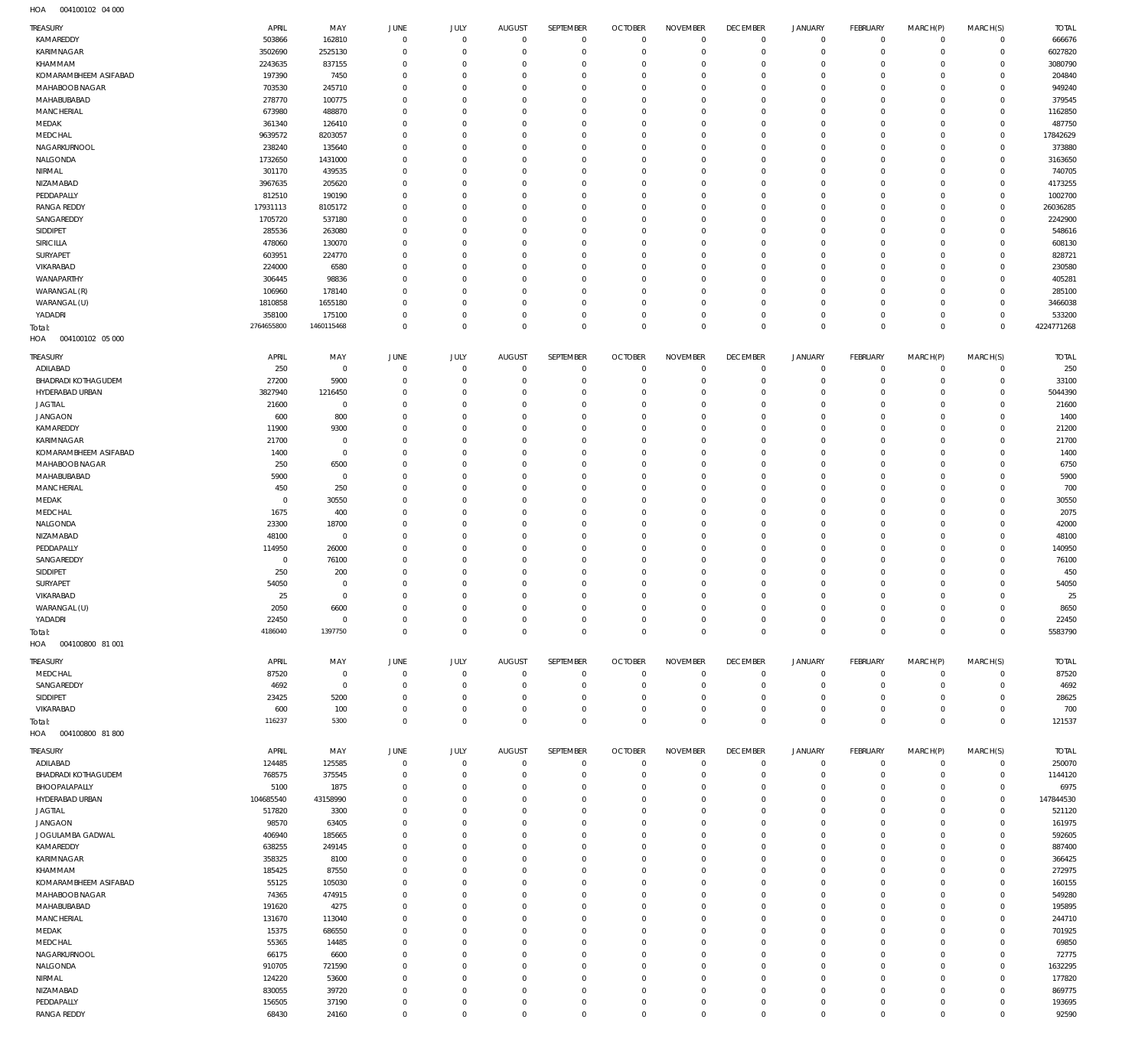004100102 04 000 HOA

| TREASURY                      | APRIL            | MAY                  | JUNE                       | JULY                 | AUGUST                     | SEPTEMBER               | <b>OCTOBER</b>               | <b>NOVEMBER</b>      | <b>DECEMBER</b>                  | <b>JANUARY</b>             | FEBRUARY                   | MARCH(P)             | MARCH(S)                | <b>TOTAL</b>     |
|-------------------------------|------------------|----------------------|----------------------------|----------------------|----------------------------|-------------------------|------------------------------|----------------------|----------------------------------|----------------------------|----------------------------|----------------------|-------------------------|------------------|
| KAMAREDDY                     | 503866           | 162810               | $\mathbf 0$                | $\mathbf 0$          | $\mathbf{0}$               | $\circ$                 | $\mathbf 0$                  | $\mathbf 0$          | $\overline{0}$                   | $\mathbb O$                | $\circ$                    | $\mathbf 0$          | $\circ$                 | 666676           |
| KARIMNAGAR                    | 3502690          | 2525130              | $\mathbf 0$                | $\mathbf 0$          | $\mathbf 0$                | $\mathbf 0$             | $\mathbf 0$                  | $\Omega$             | $\overline{0}$                   | $\mathbf 0$                | $\circ$                    | $\Omega$             | $\circ$                 | 6027820          |
| KHAMMAM                       | 2243635          | 837155               | $\mathbf 0$                | $\Omega$             | $\Omega$                   | 0                       | $\mathbf{0}$                 | $\Omega$             | $\overline{0}$                   | $\circ$                    | $\mathbf{0}$               | $\Omega$             | $\Omega$                | 3080790          |
| KOMARAMBHEEM ASIFABAD         | 197390           | 7450                 | $\mathbf 0$                | $\Omega$             | $\mathbf 0$                | $\mathbf 0$             | $\mathbf{0}$                 | $\Omega$             | $\overline{0}$                   | $\mathbf 0$                | $\mathbf 0$                | $\Omega$             | $\circ$                 | 204840           |
| MAHABOOB NAGAR<br>MAHABUBABAD | 703530<br>278770 | 245710<br>100775     | $\mathbf 0$<br>$\Omega$    | $\Omega$<br>$\Omega$ | $\Omega$<br>$\Omega$       | $\Omega$<br>$\mathbf 0$ | $\mathbf 0$<br>$\mathbf{0}$  | $\Omega$<br>$\Omega$ | $\overline{0}$<br>$\overline{0}$ | $\mathbf 0$<br>$\mathbf 0$ | $\Omega$<br>$\mathbf 0$    | $\Omega$<br>$\Omega$ | $\Omega$<br>$\circ$     | 949240<br>379545 |
| MANCHERIAL                    | 673980           | 488870               | $\mathbf 0$                | $\Omega$             | $\Omega$                   | $\Omega$                | $\mathbf 0$                  | $\Omega$             | $\mathbf 0$                      | $\mathbf 0$                | $\Omega$                   | $\Omega$             | $\Omega$                | 1162850          |
| MEDAK                         | 361340           | 126410               | $\mathbf 0$                | $\Omega$             | $\Omega$                   | $\Omega$                | $\mathbf{0}$                 | $\Omega$             | $\overline{0}$                   | $\mathbf 0$                | $\circ$                    | $\Omega$             | $\circ$                 | 487750           |
| MEDCHAL                       | 9639572          | 8203057              | $\mathbf 0$                | $\Omega$             | $\circ$                    | $\mathbf 0$             | $\mathbf 0$                  | $\Omega$             | $\overline{0}$                   | $\mathbf 0$                | $\mathbf{0}$               | $\Omega$             | $\circ$                 | 17842629         |
| NAGARKURNOOL                  | 238240           | 135640               | $\Omega$                   | $\Omega$             | $\Omega$                   | $\Omega$                | $\mathbf{0}$                 | $\Omega$             | $\overline{0}$                   | $\Omega$                   | $\circ$                    | $\Omega$             | $\Omega$                | 373880           |
| NALGONDA                      | 1732650          | 1431000              | $\mathbf 0$                | $\Omega$             | $\Omega$                   | $\mathbf 0$             | $\mathbf{0}$                 | $\Omega$             | $\overline{0}$                   | $\mathbf 0$                | $\mathbf{0}$               | $\Omega$             | $\Omega$                | 3163650          |
| NIRMAL                        | 301170           | 439535               | $\Omega$                   | $\Omega$             | $\Omega$                   | $\Omega$                | $\mathbf 0$                  | $\Omega$             | $\overline{0}$                   | $\Omega$                   | $\circ$                    | $\Omega$             | $\Omega$                | 740705           |
| NIZAMABAD                     | 3967635          | 205620               | $\mathbf 0$                | $\Omega$             | $\mathbf 0$                | $\mathbf 0$             | $\mathbf{0}$                 | $\Omega$             | $\overline{0}$                   | $\mathbf 0$                | $\mathbf 0$                | $\Omega$             | $\Omega$                | 4173255          |
| PEDDAPALLY                    | 812510           | 190190               | $\Omega$                   | $\Omega$             | $\Omega$                   | $\Omega$                | $\mathbf 0$                  | $\Omega$             | $\overline{0}$                   | $\Omega$                   | $\Omega$                   | $\Omega$             | $\Omega$                | 1002700          |
| <b>RANGA REDDY</b>            | 17931113         | 8105172              | $\mathbf 0$                | $\Omega$             | $\Omega$                   | $\mathbf 0$             | $\mathbf{0}$                 | $\Omega$             | $\circ$                          | $\Omega$                   | $\mathbf 0$                | $\Omega$             | $\circ$                 | 26036285         |
| SANGAREDDY                    | 1705720          | 537180               | $\mathbf 0$                | $\Omega$             | $\Omega$                   | $\Omega$                | $\mathbf 0$                  | $\Omega$             | $\overline{0}$                   | $\Omega$                   | $\circ$                    | $\Omega$             | $\Omega$                | 2242900          |
| SIDDIPET                      | 285536           | 263080               | $\mathbf 0$                | $\Omega$             | $\Omega$                   | $\mathbf 0$             | $\mathbf{0}$                 | $\Omega$             | $\overline{0}$                   | $\mathbf 0$                | $\mathbf{0}$               | $\Omega$             | $\Omega$                | 548616           |
| <b>SIRICILLA</b>              | 478060           | 130070               | $\Omega$<br>$\mathbf 0$    | $\Omega$<br>$\Omega$ | $\Omega$<br>$\Omega$       | $\mathbf 0$<br>$\Omega$ | $\mathbf{0}$<br>$\mathbf 0$  | $\Omega$<br>$\Omega$ | $\overline{0}$<br>$\circ$        | $\mathbf 0$<br>$\Omega$    | $\mathbf{0}$<br>$\Omega$   | $\Omega$<br>$\Omega$ | $\Omega$<br>$\Omega$    | 608130<br>828721 |
| SURYAPET<br>VIKARABAD         | 603951<br>224000 | 224770<br>6580       | $\mathbf 0$                | $\Omega$             | $\Omega$                   | $\mathbf 0$             | $\mathbf{0}$                 | $\Omega$             | $\overline{0}$                   | $\mathbf 0$                | $\mathbf 0$                | $\Omega$             | $\Omega$                | 230580           |
| WANAPARTHY                    | 306445           | 98836                | $\mathbf 0$                | $\Omega$             | $\Omega$                   | $\Omega$                | $\mathbf 0$                  | $\Omega$             | $\overline{0}$                   | $\mathbf 0$                | $\Omega$                   | $\Omega$             | $\Omega$                | 405281           |
| WARANGAL (R)                  | 106960           | 178140               | $\Omega$                   | $\Omega$             | $\mathbf 0$                | $\mathbf 0$             | $\mathbf{0}$                 | $\mathbf 0$          | $\overline{0}$                   | $\mathbf 0$                | $\mathbf 0$                | $\Omega$             | $\Omega$                | 285100           |
| WARANGAL (U)                  | 1810858          | 1655180              | $\mathbf 0$                | $\Omega$             | $\Omega$                   | $\Omega$                | $\mathbf 0$                  | $\Omega$             | $\overline{0}$                   | $\mathbf 0$                | $\Omega$                   | $\Omega$             | $\Omega$                | 3466038          |
| YADADRI                       | 358100           | 175100               | $\mathbf 0$                | $\Omega$             | $\mathbf 0$                | $\mathbf 0$             | $\mathbf{0}$                 | $\mathbf 0$          | $\overline{0}$                   | $\mathbf 0$                | $\mathbf 0$                | $\Omega$             | $\circ$                 | 533200           |
| Total:                        | 2764655800       | 1460115468           | $\mathbf 0$                | $\Omega$             | $\Omega$                   | $\mathbf 0$             | $\mathbf{0}$                 | $\Omega$             | $\overline{0}$                   | $\mathbf 0$                | $\mathbf 0$                | $\Omega$             | $\circ$                 | 4224771268       |
| 004100102 05 000<br>HOA       |                  |                      |                            |                      |                            |                         |                              |                      |                                  |                            |                            |                      |                         |                  |
| TREASURY                      | APRIL            | MAY                  | JUNE                       | JULY                 | <b>AUGUST</b>              | SEPTEMBER               | <b>OCTOBER</b>               | <b>NOVEMBER</b>      | <b>DECEMBER</b>                  | <b>JANUARY</b>             | <b>FEBRUARY</b>            | MARCH(P)             | MARCH(S)                | <b>TOTAL</b>     |
| ADILABAD                      | 250              | $\mathbf 0$          | $\overline{0}$             | $\mathbf 0$          | $\circ$                    | $\mathbf 0$             | $\overline{0}$               | 0                    | $\mathsf 0$                      | 0                          | $\overline{0}$             | $\circ$              | $\mathbf 0$             | 250              |
| BHADRADI KOTHAGUDEM           | 27200            | 5900                 | $\overline{0}$             | $\mathbf 0$          | $\mathbf 0$                | $\mathbf 0$             | $\circ$                      | $\mathbf 0$          | $\overline{0}$                   | $\mathbf 0$                | $\mathbf 0$                | $\Omega$             | $\mathbf 0$             | 33100            |
| HYDERABAD URBAN               | 3827940          | 1216450              | $\mathbf 0$                | $\Omega$             | $\mathbf 0$                | 0                       | $\mathbf{0}$                 | 0                    | $\overline{0}$                   | $\circ$                    | $\mathbf 0$                | $\Omega$             | $\Omega$                | 5044390          |
| <b>JAGTIAL</b>                | 21600            | $\mathbf 0$          | $\mathbf 0$                | $\mathbf 0$          | $\mathbf 0$                | 0                       | $\mathbf{0}$                 | $\mathbf 0$          | $\overline{0}$                   | $\circ$                    | $\mathbf 0$                | $\Omega$             | $\Omega$                | 21600            |
| <b>JANGAON</b>                | 600              | 800                  | $\mathbf 0$                | $\Omega$             | $\mathbf 0$                | 0                       | $\mathbf{0}$                 | $\Omega$             | $\overline{0}$                   | $\circ$                    | $\mathbf 0$                | $\Omega$             | $\Omega$                | 1400             |
| KAMAREDDY                     | 11900            | 9300                 | $\mathbf 0$                | $\Omega$             | $\mathbf 0$                | $\mathbf 0$             | $\mathbf{0}$                 | 0                    | $\overline{0}$                   | $\mathbf 0$                | $\mathbf{0}$               | $\Omega$             | $\Omega$                | 21200            |
| KARIMNAGAR                    | 21700            | $\mathbf 0$          | $\mathbf 0$                | $\Omega$             | $\mathbf 0$                | 0                       | $\mathbf{0}$                 | $\Omega$             | $\overline{0}$                   | $\mathbf 0$                | $\mathbf{0}$               | $\Omega$             | $\Omega$                | 21700            |
| KOMARAMBHEEM ASIFABAD         | 1400             | $\mathsf{O}$         | $\mathbf 0$                | $\Omega$             | $\mathbf 0$                | $\mathbf 0$             | $\mathbf{0}$                 | $\mathbf 0$          | $\overline{0}$                   | $\mathbf 0$                | $\mathbf 0$                | $\Omega$             | $\Omega$                | 1400             |
| MAHABOOB NAGAR                | 250              | 6500                 | $\mathbf 0$                | $\Omega$             | $\mathbf 0$                | 0                       | $\mathbf{0}$                 | $\Omega$             | $\overline{0}$                   | $\mathbf 0$                | $\mathbf 0$                | $\Omega$             | $\Omega$                | 6750             |
| MAHABUBABAD                   | 5900             | $\mathbf 0$          | $\mathbf 0$                | $\Omega$             | $\mathbf 0$                | $\mathbf 0$             | $\mathbf{0}$                 | $\Omega$             | $\overline{0}$                   | $\mathbf 0$                | $\mathbf 0$                | $\Omega$             | $\Omega$                | 5900             |
| MANCHERIAL                    | 450              | 250                  | $\mathbf 0$                | $\Omega$             | $\mathbf 0$                | 0                       | $\mathbf{0}$                 | 0                    | $\overline{0}$                   | $\circ$                    | $\mathbf{0}$               | $\Omega$             | $\Omega$                | 700              |
| MEDAK                         | $\circ$          | 30550                | $\mathbf 0$                | $\Omega$             | $\mathbf 0$                | $\mathbf 0$             | $\mathbf{0}$                 | $\mathbf 0$          | $\overline{0}$                   | $\mathbf 0$                | $\mathbf 0$                | $\Omega$             | $\Omega$                | 30550            |
| MEDCHAL                       | 1675             | 400                  | $\mathbf 0$                | $\Omega$             | $\mathbf 0$<br>$\Omega$    | 0<br>$\Omega$           | $\mathbf{0}$                 | 0                    | $\overline{0}$                   | $\circ$                    | $\mathbf 0$<br>$\Omega$    | $\Omega$             | $\Omega$<br>$\Omega$    | 2075             |
| NALGONDA<br>NIZAMABAD         | 23300<br>48100   | 18700<br>$\mathbf 0$ | $\mathbf 0$<br>$\mathbf 0$ | $\Omega$<br>$\Omega$ | $\mathbf 0$                | 0                       | $\mathbf{0}$<br>$\mathbf{0}$ | $\Omega$<br>0        | $\circ$<br>$\overline{0}$        | $\mathbf 0$<br>$\circ$     | $\mathbf 0$                | $\Omega$<br>$\Omega$ | $\Omega$                | 42000<br>48100   |
| PEDDAPALLY                    | 114950           | 26000                | $\mathbf 0$                | $\Omega$             | $\mathbf 0$                | $\mathbf 0$             | $\mathbf 0$                  | $\mathbf 0$          | $\overline{0}$                   | $\mathbf 0$                | $\mathbf{0}$               | $\Omega$             | $\Omega$                | 140950           |
| SANGAREDDY                    | 0                | 76100                | $\mathbf 0$                | $\Omega$             | $\mathbf 0$                | 0                       | $\mathbf{0}$                 | 0                    | $\overline{0}$                   | $\mathbf 0$                | $\mathbf 0$                | $\Omega$             | $\Omega$                | 76100            |
| SIDDIPET                      | 250              | 200                  | $\mathbf 0$                | $\Omega$             | $\mathbf 0$                | $\mathbf 0$             | $\mathbf{0}$                 | 0                    | $\overline{0}$                   | $\mathbf 0$                | $\mathbf{0}$               | $\Omega$             | $\Omega$                | 450              |
| SURYAPET                      | 54050            | $\mathbf 0$          | $\mathbf 0$                | $\Omega$             | $\mathbf 0$                | 0                       | $\mathbf{0}$                 | 0                    | $\overline{0}$                   | $\mathbf 0$                | $\mathbf{0}$               | $\Omega$             | $\Omega$                | 54050            |
| VIKARABAD                     | 25               | $\mathsf{O}$         | $\mathbf 0$                | $\mathbf 0$          | $\mathbf{0}$               | $\mathbf 0$             | $\mathbf{0}$                 | $\mathbf 0$          | $\overline{0}$                   | $\mathbf 0$                | $\mathbf 0$                | $\Omega$             | $\Omega$                | 25               |
| WARANGAL (U)                  | 2050             | 6600                 | $\Omega$                   | $\Omega$             | $\Omega$                   | $\Omega$                | $\Omega$                     | $\Omega$             | $\Omega$                         | $\Omega$                   | $\Omega$                   | $\Omega$             | $\Omega$                | 8650             |
| YADADRI                       | 22450            | $\mathsf{O}$         | $\mathbf 0$                | $\mathsf{O}\xspace$  | $\circ$                    | $\circ$                 | $\overline{0}$               | $\mathbf 0$          | $\mathsf 0$                      | $\mathbb O$                | $\mathbf 0$                | $\mathbf 0$          | $\mathbf 0$             | 22450            |
| Total:                        | 4186040          | 1397750              | $\mathbf 0$                | $\mathbf 0$          | $\circ$                    | $\mathbf 0$             | $\mathsf 0$                  | $\mathbf 0$          | $\mathsf 0$                      | $\mathsf 0$                | $\overline{0}$             | $\mathbf 0$          | $\mathbf 0$             | 5583790          |
| HOA<br>004100800 81 001       |                  |                      |                            |                      |                            |                         |                              |                      |                                  |                            |                            |                      |                         |                  |
| TREASURY                      | APRIL            | MAY                  | JUNE                       | JULY                 | <b>AUGUST</b>              | SEPTEMBER               | <b>OCTOBER</b>               | <b>NOVEMBER</b>      | <b>DECEMBER</b>                  | <b>JANUARY</b>             | FEBRUARY                   | MARCH(P)             | MARCH(S)                | <b>TOTAL</b>     |
| MEDCHAL                       | 87520            | $\mathbf 0$          | $\mathbf 0$                | $\mathbf 0$          | $\circ$                    | $\circ$                 | $\overline{0}$               | $\mathbf 0$          | $\mathsf 0$                      | $\mathbb O$                | $\overline{0}$             | $\mathbf 0$          | $\circ$                 | 87520            |
| SANGAREDDY                    | 4692             | $\mathbf 0$          | 0                          | $\mathbf 0$          | $\mathbf 0$                | $\mathbf 0$             | $\circ$                      | $\mathbf 0$          | $\overline{0}$                   | $\circ$                    | $\mathbf 0$                | $\Omega$             | $\mathbf 0$             | 4692             |
| SIDDIPET                      | 23425            | 5200                 | $\mathbf 0$                | $\mathbf 0$          | $\mathbf 0$                | $\mathbf 0$             | $\circ$                      | $\mathbf 0$          | $\overline{0}$                   | $\mathbf 0$                | $\mathbf 0$                | $\Omega$             | $\circ$                 | 28625            |
| VIKARABAD                     | 600              | 100                  | 0                          | $\mathbf 0$          | $\mathbf 0$                | $\mathbf 0$             | $\circ$                      | $\mathbf 0$          | $\overline{0}$                   | $\mathbb O$                | $\mathbf 0$                | $^{\circ}$           | $\mathbf 0$             | 700              |
| Total:                        | 116237           | 5300                 | $\mathbf 0$                | $\mathbf 0$          | $\Omega$                   | $\mathbf 0$             | $\mathbf{0}$                 | $\mathbf 0$          | $\mathbb O$                      | $\mathbf 0$                | $\circ$                    | $\circ$              | $\circ$                 | 121537           |
| HOA<br>004100800 81800        |                  |                      |                            |                      |                            |                         |                              |                      |                                  |                            |                            |                      |                         |                  |
| TREASURY                      | APRIL            | MAY                  | JUNE                       | JULY                 | AUGUST                     | SEPTEMBER               | <b>OCTOBER</b>               | <b>NOVEMBER</b>      | <b>DECEMBER</b>                  | JANUARY                    | FEBRUARY                   | MARCH(P)             | MARCH(S)                | <b>TOTAL</b>     |
| ADILABAD                      | 124485           | 125585               | $\overline{0}$             | $\mathbf 0$          | $\circ$                    | $\circ$                 | $\overline{0}$               | $\mathbf 0$          | $\mathsf 0$                      | 0                          | $\overline{0}$             | $^{\circ}$           | $\mathbf 0$             | 250070           |
| BHADRADI KOTHAGUDEM           | 768575           | 375545               | $\overline{0}$             | $\mathbf 0$          | $\circ$                    | $\mathbf 0$             | $\overline{0}$               | $\mathbf 0$          | $\overline{0}$                   | $\mathbb O$                | $\overline{0}$             | $\circ$              | $\circ$                 | 1144120          |
| BHOOPALAPALLY                 | 5100             | 1875                 | $\mathbf 0$                | $\mathbf 0$          | $\mathbf 0$                | 0                       | $\circ$                      | 0                    | $\overline{0}$                   | $\circ$                    | $\mathbf 0$                | $\Omega$             | $\circ$                 | 6975             |
| HYDERABAD URBAN               | 104685540        | 43158990             | $\mathbf 0$                | $\Omega$             | $\mathbf 0$                | 0                       | $\mathbf{0}$                 | 0                    | $\overline{0}$                   | 0                          | $\mathbf 0$                | $\Omega$             | $\circ$                 | 147844530        |
| <b>JAGTIAL</b>                | 517820           | 3300                 | $\mathbf 0$                | $\mathbf 0$          | $\mathbf 0$                | 0                       | $\circ$                      | 0                    | $\overline{0}$                   | $\circ$                    | $\mathbf 0$                | $\Omega$             | $\Omega$                | 521120           |
| <b>JANGAON</b>                | 98570            | 63405                | $\mathbf 0$                | $\Omega$             | $\mathbf 0$                | 0                       | $\mathbf{0}$                 | $\mathbf 0$          | $\overline{0}$                   | $\circ$                    | $\mathbf 0$                | $\Omega$             | $\Omega$                | 161975           |
| JOGULAMBA GADWAL              | 406940           | 185665               | $\mathbf 0$                | $\Omega$             | $\mathbf 0$                | $\mathbf 0$             | $\mathbf{0}$                 | $\mathbf 0$          | $\overline{0}$                   | $\circ$                    | $\mathbf 0$                | $\Omega$             | $\Omega$                | 592605           |
| KAMAREDDY                     | 638255           | 249145               | $\mathbf 0$                | $\Omega$             | $\mathbf 0$                | 0                       | $\mathbf{0}$                 | 0                    | $\overline{0}$                   | $\circ$                    | $\mathbf 0$                | $\Omega$             | $\Omega$                | 887400           |
| KARIMNAGAR                    | 358325           | 8100                 | $\mathbf 0$                | $\mathbf 0$          | $\mathbf 0$                | 0                       | $\mathbf{0}$                 | $\mathbf 0$          | $\overline{0}$                   | $\circ$                    | $\mathbf 0$                | $\Omega$             | $\Omega$                | 366425           |
| KHAMMAM                       | 185425           | 87550                | $\mathbf 0$                | $\Omega$             | $\mathbf 0$                | 0                       | $\mathbf{0}$                 | 0                    | $\overline{0}$                   | 0                          | $\mathbf 0$                | $\Omega$             | $\Omega$                | 272975           |
| KOMARAMBHEEM ASIFABAD         | 55125            | 105030               | $\mathbf 0$<br>$\mathbf 0$ | $\Omega$<br>$\Omega$ | $\mathbf 0$<br>$\mathbf 0$ | $\mathbf 0$<br>0        | $\mathbf{0}$<br>$\circ$      | $\mathbf 0$<br>0     | $\overline{0}$<br>$\overline{0}$ | $\circ$                    | $\mathbf 0$<br>$\mathbf 0$ | $\Omega$<br>$\Omega$ | $\Omega$<br>$\mathbf 0$ | 160155           |
| MAHABOOB NAGAR<br>MAHABUBABAD | 74365<br>191620  | 474915<br>4275       | $\mathbf 0$                | $\Omega$             | $\mathbf 0$                | 0                       | $\mathbf{0}$                 | $\mathbf 0$          | $\overline{0}$                   | 0<br>$\circ$               | $\mathbf 0$                | $\Omega$             | $\Omega$                | 549280<br>195895 |
| MANCHERIAL                    | 131670           | 113040               | $\mathbf 0$                | $\mathbf 0$          | $\mathbf 0$                | 0                       | $\circ$                      | $\mathbf 0$          | $\overline{0}$                   | 0                          | $\mathbf 0$                | $\Omega$             | $\Omega$                | 244710           |
| MEDAK                         | 15375            | 686550               | $\mathbf 0$                | $\Omega$             | $\mathbf 0$                | $\mathbf 0$             | $\mathbf{0}$                 | $\mathbf 0$          | $\overline{0}$                   | $\mathbf 0$                | $\mathbf 0$                | $\Omega$             | $\Omega$                | 701925           |
| MEDCHAL                       | 55365            | 14485                | $\mathbf 0$                | $\Omega$             | $\mathbf 0$                | 0                       | $\circ$                      | 0                    | $\overline{0}$                   | 0                          | $\mathbf 0$                | $\Omega$             | $\Omega$                | 69850            |
| NAGARKURNOOL                  | 66175            | 6600                 | $\mathbf 0$                | $\Omega$             | $\mathbf 0$                | 0                       | $\mathbf{0}$                 | $\mathbf 0$          | $\overline{0}$                   | $\mathbf 0$                | $\mathbf 0$                | $\Omega$             | $\Omega$                | 72775            |
| NALGONDA                      | 910705           | 721590               | $\mathbf 0$                | $\Omega$             | $\mathbf 0$                | 0                       | $\mathbf{0}$                 | $\mathbf 0$          | $\overline{0}$                   | $\circ$                    | $\mathbf 0$                | $\Omega$             | $\circ$                 | 1632295          |
| NIRMAL                        | 124220           | 53600                | $\mathbf 0$                | $\Omega$             | $\mathbf 0$                | $\mathbf 0$             | $\mathbf{0}$                 | $\mathbf 0$          | $\overline{0}$                   | $\mathbf 0$                | $\mathbf 0$                | $\Omega$             | $\Omega$                | 177820           |
| NIZAMABAD                     | 830055           | 39720                | $\mathbf 0$                | $\Omega$             | $\mathbf 0$                | 0                       | $\mathbf{0}$                 | $\mathbf 0$          | $\overline{0}$                   | 0                          | $\mathbf 0$                | $\Omega$             | $\Omega$                | 869775           |
| PEDDAPALLY                    | 156505           | 37190                | $\mathbf 0$                | $\mathbf 0$          | $\circ$                    | 0                       | $\circ$                      | $\mathsf{O}\xspace$  | $\mathsf 0$                      | 0                          | $\mathbf 0$                | $\circ$              | $\mathbf 0$             | 193695           |
| <b>RANGA REDDY</b>            | 68430            | 24160                | $\mathbf 0$                | $\mathbf 0$          | $\circ$                    | $\mathbf 0$             | $\mathbf 0$                  | $\mathbf 0$          | $\mathsf 0$                      | $\mathbf 0$                | $\mathbb O$                | $\Omega$             | $\mathbf 0$             | 92590            |
|                               |                  |                      |                            |                      |                            |                         |                              |                      |                                  |                            |                            |                      |                         |                  |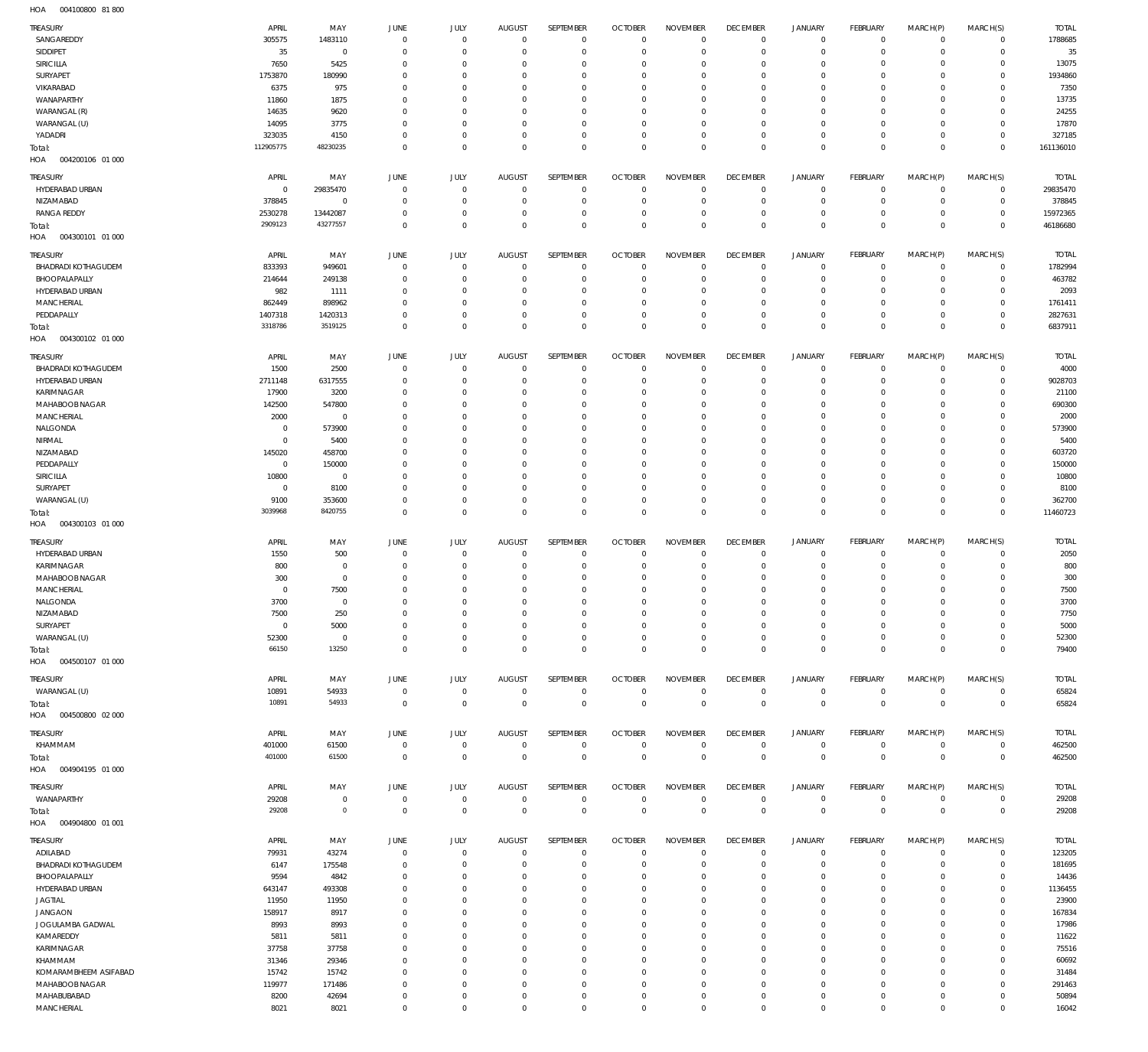004100800 81 800 HOA

| <b>TREASURY</b>                        | APRIL               | MAY                              | JUNE                             | JULY                      | <b>AUGUST</b>                | SEPTEMBER                    | <b>OCTOBER</b>                 | <b>NOVEMBER</b>                  | <b>DECEMBER</b>            | <b>JANUARY</b>             | FEBRUARY                   | MARCH(P)                   | MARCH(S)                   | <b>TOTAL</b>        |
|----------------------------------------|---------------------|----------------------------------|----------------------------------|---------------------------|------------------------------|------------------------------|--------------------------------|----------------------------------|----------------------------|----------------------------|----------------------------|----------------------------|----------------------------|---------------------|
| SANGAREDDY                             | 305575              | 1483110                          | $\overline{0}$                   | $\overline{0}$            | $\Omega$                     | $^{\circ}$                   | $\Omega$                       | $\Omega$                         | $\mathbf 0$                | $^{\circ}$                 | $^{\circ}$                 | $^{\circ}$                 | $^{\circ}$                 | 1788685             |
| SIDDIPET                               | 35                  | $\overline{0}$                   | $\Omega$                         | $\Omega$                  | $\Omega$                     | $\Omega$                     | $\Omega$                       | $\Omega$                         | $\Omega$                   | $\mathbf 0$                | $\Omega$                   | $\Omega$                   | $^{\circ}$                 | 35                  |
| SIRICILLA<br>SURYAPET                  | 7650<br>1753870     | 5425<br>180990                   | $\Omega$<br>$\Omega$             | $\Omega$<br>$\Omega$      | 0<br>0                       | $\Omega$<br>$\Omega$         | $\Omega$<br>$\Omega$           | $\Omega$<br>$\Omega$             | $\Omega$<br>$\Omega$       | $^{\circ}$<br>$^{\circ}$   | $\Omega$<br>$\Omega$       | $\Omega$<br>$\Omega$       | $\Omega$<br>$\Omega$       | 13075<br>1934860    |
| VIKARABAD                              | 6375                | 975                              | $\Omega$                         | $\Omega$                  | 0                            | $\Omega$                     | $\Omega$                       | $\Omega$                         | $\Omega$                   | $\Omega$                   | $\Omega$                   | $\Omega$                   | $\Omega$                   | 7350                |
| WANAPARTHY                             | 11860               | 1875                             | 0                                | $\Omega$                  | 0                            | $\Omega$                     | $\Omega$                       | $\Omega$                         | $\Omega$                   | $\Omega$                   | $\Omega$                   | $\Omega$                   | $\Omega$                   | 13735               |
| WARANGAL (R)                           | 14635               | 9620                             | $\Omega$                         | $\Omega$                  | 0                            | $\Omega$                     | $\Omega$                       | $\Omega$                         | $\Omega$                   | $\Omega$                   | $\Omega$                   | $\Omega$                   | $\Omega$                   | 24255               |
| WARANGAL (U)                           | 14095               | 3775                             | $\Omega$                         | $\Omega$                  | $\Omega$                     | $\Omega$                     | $\Omega$                       | $\Omega$                         | $\Omega$                   | $\mathbf 0$                | $\Omega$                   | $\Omega$                   | $\Omega$                   | 17870               |
| YADADRI<br>Total:                      | 323035<br>112905775 | 4150<br>48230235                 | $\Omega$<br>$\Omega$             | $\Omega$<br>$\Omega$      | $\Omega$<br>$\Omega$         | $\Omega$<br>$\Omega$         | $\Omega$<br>$\Omega$           | $\overline{0}$<br>$\Omega$       | 0<br>$\Omega$              | $\mathbf 0$<br>$\mathbf 0$ | $^{\circ}$<br>$\Omega$     | $\Omega$<br>$\Omega$       | $\mathbf 0$<br>$\Omega$    | 327185<br>161136010 |
| HOA<br>004200106 01 000                |                     |                                  |                                  |                           |                              |                              |                                |                                  |                            |                            |                            |                            |                            |                     |
| TREASURY                               | APRIL               | MAY                              | JUNE                             | JULY                      | <b>AUGUST</b>                | SEPTEMBER                    | <b>OCTOBER</b>                 | <b>NOVEMBER</b>                  | <b>DECEMBER</b>            | <b>JANUARY</b>             | <b>FEBRUARY</b>            | MARCH(P)                   | MARCH(S)                   | TOTAL               |
| HYDERABAD URBAN                        | $\mathbf 0$         | 29835470                         | 0                                | $^{\circ}$                | 0                            | $^{\circ}$                   | 0                              | $\overline{0}$                   | $^{\circ}$                 | 0                          | $^{\circ}$                 | $\mathbf 0$                | $\mathbf 0$                | 29835470            |
| NIZAMABAD                              | 378845              | $^{\circ}$                       | $\Omega$                         | $^{\circ}$                | $\Omega$                     | $^{\circ}$                   | $\Omega$                       | $\overline{0}$                   | $^{\circ}$                 | $\mathbf 0$                | $^{\circ}$                 | $\mathbf 0$                | $\mathbf 0$                | 378845              |
| <b>RANGA REDDY</b>                     | 2530278             | 13442087                         | 0                                | $^{\circ}$                | $\Omega$                     | $^{\circ}$                   | 0                              | $\mathbf 0$                      | $\mathbf 0$                | $\mathbf 0$                | $^{\circ}$                 | $\mathbf 0$                | $\mathbf 0$                | 15972365            |
| Total:<br>HOA<br>004300101 01 000      | 2909123             | 43277557                         | $\overline{0}$                   | $\mathbf 0$               | $\Omega$                     | $\mathbf 0$                  | $\overline{0}$                 | $\mathbf 0$                      | $\mathbf 0$                | $\mathbf 0$                | $\Omega$                   | $\mathbf 0$                | $\mathbf 0$                | 46186680            |
| TREASURY                               | APRIL               | MAY                              | JUNE                             | JULY                      | <b>AUGUST</b>                | SEPTEMBER                    | <b>OCTOBER</b>                 | <b>NOVEMBER</b>                  | <b>DECEMBER</b>            | <b>JANUARY</b>             | <b>FEBRUARY</b>            | MARCH(P)                   | MARCH(S)                   | <b>TOTAL</b>        |
| BHADRADI KOTHAGUDEM                    | 833393              | 949601                           | $\Omega$                         | $\Omega$                  | $\Omega$                     | $^{\circ}$                   | $\Omega$                       | $\Omega$                         | $\mathbf{0}$               | $\mathbf 0$                | $\mathbf 0$                | $\mathbf 0$                | $\mathbf 0$                | 1782994             |
| BHOOPALAPALLY                          | 214644              | 249138                           | $\Omega$                         | $\Omega$                  | 0                            | $\overline{0}$               | $\Omega$                       | 0                                | 0                          | $\mathbf 0$                | $^{\circ}$                 | $\Omega$                   | $\mathbf 0$                | 463782              |
| HYDERABAD URBAN                        | 982                 | 1111                             | $\Omega$                         | $\Omega$                  | 0                            | $\Omega$                     | $\Omega$                       | $\Omega$                         | $\Omega$                   | $\mathbf 0$                | $\Omega$                   | $\Omega$                   | $\Omega$                   | 2093                |
| <b>MANCHERIAL</b><br>PEDDAPALLY        | 862449<br>1407318   | 898962<br>1420313                | $\Omega$<br>$\Omega$             | $\Omega$<br>$\Omega$      | $\Omega$<br>$\Omega$         | $\Omega$<br>$\overline{0}$   | $\Omega$<br>$\Omega$           | $\Omega$<br>$\Omega$             | $\Omega$<br>$\mathbf 0$    | $\Omega$<br>$\mathbf 0$    | $\Omega$<br>$\Omega$       | $\Omega$<br>$\Omega$       | $\Omega$<br>$\mathbf 0$    | 1761411<br>2827631  |
| Total:                                 | 3318786             | 3519125                          | $\Omega$                         | $\Omega$                  | $\Omega$                     | $\Omega$                     | $\Omega$                       | $\mathbf{0}$                     | $\Omega$                   | $\mathbf 0$                | $\Omega$                   | $\Omega$                   | $\mathbf{0}$               | 6837911             |
| HOA<br>004300102 01 000                |                     |                                  |                                  |                           |                              |                              |                                |                                  |                            |                            |                            |                            |                            |                     |
| TREASURY                               | APRIL               | MAY                              | JUNE                             | JULY                      | <b>AUGUST</b>                | SEPTEMBER                    | <b>OCTOBER</b>                 | <b>NOVEMBER</b>                  | <b>DECEMBER</b>            | <b>JANUARY</b>             | <b>FEBRUARY</b>            | MARCH(P)                   | MARCH(S)                   | <b>TOTAL</b>        |
| BHADRADI KOTHAGUDEM                    | 1500                | 2500                             | 0                                | $^{\circ}$                | 0                            | $\mathbf 0$                  | 0                              | 0                                | $^{\circ}$                 | 0                          | $^{\circ}$                 | $^{\circ}$                 | 0                          | 4000                |
| HYDERABAD URBAN                        | 2711148             | 6317555                          | $\Omega$                         | $^{\circ}$                | $\Omega$                     | $\mathbf 0$                  | $\Omega$                       | $\overline{0}$                   | $\Omega$                   | $\mathbf 0$                | $^{\circ}$                 | $\mathbf 0$                | $\mathbf 0$                | 9028703             |
| KARIMNAGAR<br>MAHABOOB NAGAR           | 17900               | 3200                             | $\Omega$<br>$\Omega$             | $\Omega$<br>$\Omega$      | $\Omega$<br>$\Omega$         | $^{\circ}$<br>$^{\circ}$     | $\Omega$<br>-0                 | $\overline{0}$<br>$\overline{0}$ | $^{\circ}$<br>$\Omega$     | $\mathbf 0$<br>$\mathbf 0$ | $^{\circ}$<br>$\Omega$     | $\Omega$<br>$\mathbf 0$    | $\mathbf 0$<br>$\Omega$    | 21100               |
| MANCHERIAL                             | 142500<br>2000      | 547800<br>$\mathbf 0$            | -0                               | $\Omega$                  | -0                           | $\Omega$                     | -0                             | $\Omega$                         | $\Omega$                   | $\mathbf 0$                | $\Omega$                   | $\Omega$                   | $\Omega$                   | 690300<br>2000      |
| NALGONDA                               | 0                   | 573900                           | $\Omega$                         | $\Omega$                  | $\Omega$                     | $^{\circ}$                   | -0                             | $\overline{0}$                   | $\Omega$                   | $\mathbf 0$                | $\Omega$                   | $\mathbf 0$                | $\Omega$                   | 573900              |
| NIRMAL                                 | $\Omega$            | 5400                             | -0                               | $\Omega$                  | $\Omega$                     | $\Omega$                     | -0                             | $^{\circ}$                       | $\Omega$                   | $\mathbf 0$                | $\Omega$                   | $\Omega$                   | $\Omega$                   | 5400                |
| NIZAMABAD                              | 145020              | 458700                           | $\Omega$                         | $\Omega$                  | $\Omega$                     | $\Omega$                     | -0                             | $^{\circ}$                       | $\Omega$                   | $\mathbf 0$                | $\Omega$                   | $\mathbf 0$                | $\Omega$                   | 603720              |
| PEDDAPALLY                             | $\overline{0}$      | 150000                           | -0<br>$\Omega$                   | $\Omega$<br>$\Omega$      | $\Omega$<br>$\Omega$         | $^{\circ}$<br>$\Omega$       | -0<br>-0                       | $\overline{0}$<br>$\Omega$       | $\Omega$<br>$\Omega$       | $\mathbf 0$<br>$\mathbf 0$ | $\Omega$<br>$\Omega$       | $\mathbf 0$<br>$\Omega$    | $^{\circ}$<br>$\Omega$     | 150000              |
| SIRICILLA<br>SURYAPET                  | 10800<br>0          | $\mathbf 0$<br>8100              | -0                               | $^{\circ}$                | $\Omega$                     | $^{\circ}$                   | $\Omega$                       | $^{\circ}$                       | $\mathbf 0$                | $\mathbf 0$                | $^{\circ}$                 | $\mathbf 0$                | $\mathbf 0$                | 10800<br>8100       |
| WARANGAL (U)                           | 9100                | 353600                           | 0                                | $^{\circ}$                | $\Omega$                     | $\mathbf{0}$                 | 0                              | $^{\circ}$                       | $\mathbf 0$                | $\mathbf 0$                | $^{\circ}$                 | $\mathbf 0$                | $\mathbf 0$                | 362700              |
| Total:                                 | 3039968             | 8420755                          | $\Omega$                         | $\mathbf 0$               | $\Omega$                     | $\mathbf 0$                  | $\overline{0}$                 | $\mathbf 0$                      | $\mathbf 0$                | $\mathbf 0$                | $\mathbf 0$                | $\mathbf 0$                | $\mathbf 0$                | 11460723            |
| HOA<br>004300103 01 000                |                     |                                  |                                  |                           |                              |                              |                                |                                  |                            |                            |                            |                            |                            |                     |
| TREASURY                               | APRIL               | MAY                              | JUNE                             | JULY                      | <b>AUGUST</b>                | SEPTEMBER                    | <b>OCTOBER</b>                 | <b>NOVEMBER</b>                  | <b>DECEMBER</b>            | <b>JANUARY</b>             | <b>FEBRUARY</b>            | MARCH(P)                   | MARCH(S)                   | <b>TOTAL</b>        |
| HYDERABAD URBAN                        | 1550                | 500                              | $\Omega$                         | $\Omega$                  | $\Omega$                     | $\Omega$                     | $\Omega$                       | $\Omega$                         | $\mathbf 0$                | $\mathbf 0$                | $^{\circ}$                 | $^{\circ}$                 | $\mathbf 0$                | 2050                |
| KARIMNAGAR<br>MAHABOOB NAGAR           | 800<br>300          | $\overline{0}$<br>$\overline{0}$ | $\Omega$<br>0                    | $\Omega$<br>$\Omega$      | $\Omega$<br>0                | $\Omega$<br>$\Omega$         | $\Omega$<br>- 0                | $\Omega$<br>$\Omega$             | $\Omega$<br>$\Omega$       | $\mathbf 0$<br>$\mathbf 0$ | $^{\circ}$<br>$\Omega$     | $\Omega$<br>$\Omega$       | $\mathbf 0$<br>0           | 800<br>300          |
| MANCHERIAL                             | $\Omega$            | 7500                             | $\Omega$                         | $\Omega$                  | 0                            | $\Omega$                     | $\Omega$                       | $\Omega$                         | $\Omega$                   | $\Omega$                   | $\Omega$                   | $\Omega$                   | $\Omega$                   | 7500                |
| NALGONDA                               | 3700                | $\Omega$                         | $\Omega$                         | $\Omega$                  | $\Omega$                     | $\mathbf{0}$                 | $\Omega$                       | $\Omega$                         | $\Omega$                   | $\Omega$                   | $\Omega$                   | $\Omega$                   | $\Omega$                   | 3700                |
| NIZAMABAD                              | 7500                | 250                              |                                  |                           |                              |                              |                                |                                  |                            | $\Omega$                   |                            |                            |                            | 7750                |
| SURYAPET                               | $\overline{0}$      | 5000                             | $^{\circ}$                       | $^{\circ}$                | $\Omega$                     | $\mathbf{0}$                 | $\overline{0}$                 | $\overline{0}$                   | $\mathbf{0}$               | $\mathbf 0$                | $\mathbf 0$                | $\mathbf 0$<br>$\mathbf 0$ | $\mathbf 0$                | 5000                |
| WARANGAL (U)<br>Total:                 | 52300<br>66150      | $\mathbf 0$<br>13250             | $^{\circ}$<br>$\Omega$           | $^{\circ}$<br>$\Omega$    | 0<br>$\Omega$                | $\mathbf 0$<br>$\mathbf 0$   | $\overline{0}$<br>$\mathbf{0}$ | $\overline{0}$<br>$\mathbf 0$    | $\mathbf 0$<br>$\mathbf 0$ | $\mathbf 0$<br>$\mathbf 0$ | $\mathbf 0$<br>$\Omega$    | $\mathbf 0$                | $\mathbf 0$<br>$\mathbf 0$ | 52300<br>79400      |
| HOA<br>004500107 01 000                |                     |                                  |                                  |                           |                              |                              |                                |                                  |                            |                            |                            |                            |                            |                     |
| TREASURY                               | APRIL               | MAY                              | JUNE                             | JULY                      | <b>AUGUST</b>                | SEPTEMBER                    | <b>OCTOBER</b>                 | <b>NOVEMBER</b>                  | <b>DECEMBER</b>            | JANUARY                    | <b>FEBRUARY</b>            | MARCH(P)                   | MARCH(S)                   | <b>TOTAL</b>        |
| WARANGAL (U)                           | 10891               | 54933                            | $\mathbf 0$                      | $\mathbf 0$               | $\overline{0}$               | $\mathbf 0$                  | $\overline{0}$                 | $\mathbf 0$                      | $\mathbf 0$                | $\mathbf 0$                | $\mathbf{0}$               | $\mathbf 0$                | $\mathbf 0$                | 65824               |
| Total:                                 | 10891               | 54933                            | $^{\circ}$                       | $\mathbf 0$               | $\overline{0}$               | $\mathbf 0$                  | $\mathbf{0}$                   | $\mathbf 0$                      | $\mathbf 0$                | $\mathsf 0$                | $\mathbf 0$                | $\mathbf 0$                | $\mathbf 0$                | 65824               |
| 004500800 02 000<br>HOA                |                     |                                  |                                  |                           |                              |                              |                                |                                  |                            |                            |                            |                            |                            |                     |
| TREASURY                               | APRIL               | MAY                              | JUNE                             | JULY                      | <b>AUGUST</b>                | SEPTEMBER                    | <b>OCTOBER</b>                 | <b>NOVEMBER</b>                  | <b>DECEMBER</b>            | <b>JANUARY</b>             | <b>FEBRUARY</b>            | MARCH(P)                   | MARCH(S)                   | <b>TOTAL</b>        |
| KHAMMAM                                | 401000<br>401000    | 61500<br>61500                   | $^{\circ}$<br>$^{\circ}$         | $^{\circ}$<br>$\mathbf 0$ | $^{\circ}$<br>$\overline{0}$ | $\mathbf{0}$<br>$\mathbf 0$  | $\overline{0}$<br>$\mathbf 0$  | $\overline{0}$<br>$\mathbf 0$    | $\mathbf 0$<br>$\mathbf 0$ | 0<br>$\mathbf 0$           | $\mathbf 0$<br>$\mathbf 0$ | $\mathbf 0$<br>$\mathbf 0$ | $\circ$<br>$\mathbf 0$     | 462500<br>462500    |
| Total:<br>HOA<br>004904195 01 000      |                     |                                  |                                  |                           |                              |                              |                                |                                  |                            |                            |                            |                            |                            |                     |
| TREASURY                               | APRIL               | MAY                              | JUNE                             | JULY                      | <b>AUGUST</b>                | SEPTEMBER                    | <b>OCTOBER</b>                 | <b>NOVEMBER</b>                  | <b>DECEMBER</b>            | JANUARY                    | <b>FEBRUARY</b>            | MARCH(P)                   | MARCH(S)                   | <b>TOTAL</b>        |
| WANAPARTHY                             | 29208               | $\overline{0}$                   | $\overline{0}$                   | $\mathbf 0$               | $\overline{0}$               | $\mathbf 0$                  | $\overline{0}$                 | $\mathbf 0$                      | $\mathbf 0$                | $\mathbf 0$                | $\mathbf{0}$               | $\mathbf 0$                | 0                          | 29208               |
| Total:                                 | 29208               | $\mathsf{O}\xspace$              | $\mathbf 0$                      | $\mathbf 0$               | $\overline{0}$               | $\mathbf 0$                  | $\overline{0}$                 | $\mathbf 0$                      | $\mathbf 0$                | $\mathsf 0$                | $\mathbf 0$                | $\mathbf 0$                | $\mathbf 0$                | 29208               |
| HOA<br>004904800 01 001                |                     |                                  |                                  |                           |                              |                              |                                |                                  |                            |                            |                            |                            |                            |                     |
| TREASURY                               | APRIL               | MAY                              | JUNE                             | JULY                      | <b>AUGUST</b>                | SEPTEMBER                    | <b>OCTOBER</b>                 | <b>NOVEMBER</b>                  | <b>DECEMBER</b>            | <b>JANUARY</b>             | FEBRUARY                   | MARCH(P)                   | MARCH(S)                   | <b>TOTAL</b>        |
| ADILABAD<br><b>BHADRADI KOTHAGUDEM</b> | 79931<br>6147       | 43274<br>175548                  | $\overline{0}$<br>$\overline{0}$ | $^{\circ}$<br>$^{\circ}$  | $\Omega$<br>$\Omega$         | $\overline{0}$<br>$^{\circ}$ | 0<br>$\overline{0}$            | $\overline{0}$<br>$\overline{0}$ | $\mathbf 0$<br>$\mathbf 0$ | $\mathbf 0$<br>$\mathbf 0$ | $\mathbf 0$<br>$\mathbf 0$ | $^{\circ}$<br>$\mathbf 0$  | $\mathbf 0$<br>$\mathbf 0$ | 123205<br>181695    |
| BHOOPALAPALLY                          | 9594                | 4842                             | 0                                | $\Omega$                  | $\Omega$                     | $^{\circ}$                   | - 0                            | $\overline{0}$                   | 0                          | $\mathbf 0$                | $^{\circ}$                 | $^{\circ}$                 | $\Omega$                   | 14436               |
| HYDERABAD URBAN                        | 643147              | 493308                           | $\Omega$                         | $\Omega$                  | $\Omega$                     | $\Omega$                     | $\Omega$                       | $\Omega$                         | $\Omega$                   | $\mathbf 0$                | $\Omega$                   | $\Omega$                   | $\Omega$                   | 1136455             |
| JAGTIAL                                | 11950               | 11950                            | $\Omega$                         | $\Omega$                  | $\Omega$                     | $\Omega$                     | $\Omega$                       | $\Omega$                         | $\Omega$                   | $\mathbf 0$                | $^{\circ}$                 | $\Omega$                   | $\Omega$                   | 23900               |
| <b>JANGAON</b>                         | 158917<br>8993      | 8917                             | $\Omega$<br>$\Omega$             | $\Omega$<br>$\Omega$      | $\Omega$<br>$\Omega$         | $\Omega$<br>$\Omega$         | $\Omega$<br>$\Omega$           | $\Omega$<br>$\Omega$             | $\mathbf{0}$<br>$\Omega$   | $\mathbf 0$<br>$\mathbf 0$ | $\Omega$<br>$\Omega$       | $\Omega$<br>$\Omega$       | $\Omega$<br>$\Omega$       | 167834              |
| JOGULAMBA GADWAL<br>KAMAREDDY          | 5811                | 8993<br>5811                     | $\Omega$                         | $\Omega$                  | $\Omega$                     | $\Omega$                     | $\Omega$                       | $\overline{0}$                   | $\mathbf{0}$               | $\mathbf 0$                | $^{\circ}$                 | $\Omega$                   | $\Omega$                   | 17986<br>11622      |
| KARIMNAGAR                             | 37758               | 37758                            | $\Omega$                         | $\Omega$                  | $\Omega$                     | $\Omega$                     | $\Omega$                       | $\Omega$                         | $\Omega$                   | $\Omega$                   | $\Omega$                   | $\Omega$                   | $\Omega$                   | 75516               |
| KHAMMAM                                | 31346               | 29346                            | $\Omega$                         | $\Omega$                  | $\Omega$                     | $\Omega$                     | $\Omega$                       | $^{\circ}$                       | $\mathbf{0}$               | $\mathbf 0$                | $\mathbf 0$                | $\Omega$                   | $\Omega$                   | 60692               |
| KOMARAMBHEEM ASIFABAD                  | 15742               | 15742                            | $\Omega$                         | $\Omega$                  | 0                            | $\Omega$                     | $\Omega$                       | $\Omega$                         | $\Omega$                   | $\mathbf 0$                | $\Omega$                   | $\Omega$                   | $\Omega$                   | 31484               |
| MAHABOOB NAGAR<br>MAHABUBABAD          | 119977<br>8200      | 171486<br>42694                  | $\Omega$<br>0                    | $\Omega$<br>$\Omega$      | $\Omega$<br>$\Omega$         | $\Omega$<br>$\overline{0}$   | $\Omega$<br>0                  | $^{\circ}$<br>$^{\circ}$         | $\Omega$<br>$\mathbf{0}$   | $\mathbf 0$<br>$\mathbf 0$ | $\mathbf 0$<br>$\mathbf 0$ | $\Omega$<br>$\mathbf 0$    | $\Omega$<br>$\mathbf 0$    | 291463<br>50894     |
| MANCHERIAL                             | 8021                | 8021                             | $\mathbf{0}$                     | $\mathbf 0$               | $\Omega$                     | $\mathbf 0$                  | $^{\circ}$                     | $\mathbf 0$                      | $\mathbf 0$                | $\mathbf 0$                | $\mathbf 0$                | $\mathbf 0$                | $\mathbf 0$                | 16042               |
|                                        |                     |                                  |                                  |                           |                              |                              |                                |                                  |                            |                            |                            |                            |                            |                     |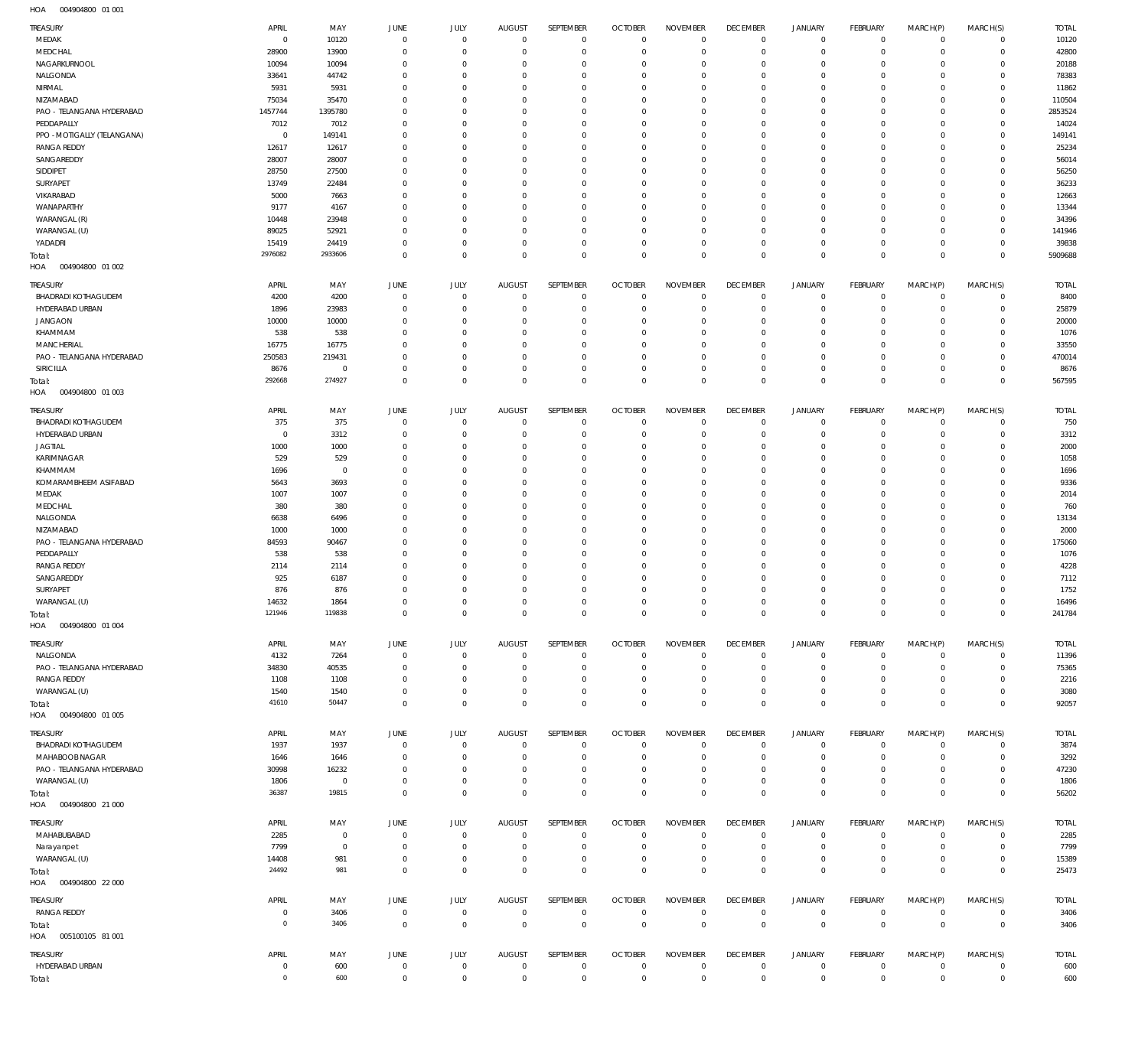004904800 01 001 HOA

| <b>TREASURY</b><br>MEDAK                    | APRIL<br>$\overline{0}$ | MAY<br>10120          | <b>JUNE</b><br>$\overline{0}$    | JULY<br>$\mathbf 0$        | <b>AUGUST</b><br>$\mathbf 0$ | <b>SEPTEMBER</b><br>$^{\circ}$ | <b>OCTOBER</b><br>$\mathbf 0$ | <b>NOVEMBER</b><br>$\overline{0}$ | <b>DECEMBER</b><br>$\overline{0}$ | <b>JANUARY</b><br>$\mathbf 0$ | FEBRUARY<br>$\mathbf 0$ | MARCH(P)<br>$\Omega$ | MARCH(S)<br>$\Omega$    | <b>TOTAL</b><br>10120 |
|---------------------------------------------|-------------------------|-----------------------|----------------------------------|----------------------------|------------------------------|--------------------------------|-------------------------------|-----------------------------------|-----------------------------------|-------------------------------|-------------------------|----------------------|-------------------------|-----------------------|
| MEDCHAL<br>NAGARKURNOOL                     | 28900<br>10094          | 13900<br>10094        | $\mathbf{0}$<br>$^{\circ}$       | $\Omega$<br>$\Omega$       | $\Omega$<br>$\Omega$         | $\Omega$<br>$\Omega$           | $\overline{0}$<br>$\Omega$    | $\Omega$<br>$\Omega$              | $\mathbf 0$<br>$^{\circ}$         | $\Omega$<br>$\Omega$          | $\Omega$<br>$\Omega$    | $\Omega$<br>$\Omega$ | $\Omega$<br>$\Omega$    | 42800<br>20188        |
| NALGONDA                                    | 33641                   | 44742                 | $\mathbf 0$                      | $\Omega$                   | $\Omega$                     | $\Omega$                       | $\Omega$                      | $\Omega$                          | $\overline{0}$                    | $\Omega$                      | $\Omega$                | $\Omega$             | $\Omega$                | 78383                 |
| NIRMAL                                      | 5931                    | 5931                  | $^{\circ}$                       | $\Omega$                   | $\Omega$                     | $\Omega$                       | $\Omega$                      | $\Omega$                          | $^{\circ}$                        | $\Omega$                      | $\Omega$                | $\Omega$             | $\Omega$                | 11862                 |
| NIZAMABAD                                   | 75034                   | 35470                 | $\mathbf 0$                      | $\Omega$                   | $\Omega$                     | $\Omega$                       | $\Omega$                      | $\Omega$                          | $^{\circ}$                        | $\Omega$                      | $\Omega$                | $\Omega$             | $\Omega$                | 110504                |
| PAO - TELANGANA HYDERABAD                   | 1457744                 | 1395780               | $\Omega$                         | $\Omega$                   | $\Omega$                     | $\Omega$                       | $\Omega$                      | $\Omega$                          | $\Omega$                          | $\Omega$                      | $\Omega$                | $\Omega$             | $\Omega$                | 2853524               |
| PEDDAPALLY                                  | 7012                    | 7012                  | $^{\circ}$                       | $\Omega$                   | $\Omega$                     | $\Omega$                       | $\overline{0}$                | $\Omega$                          | $^{\circ}$                        | $\Omega$                      | $\Omega$                | $\Omega$             | $\Omega$                | 14024                 |
| PPO - MOTIGALLY (TELANGANA)                 | $\overline{0}$          | 149141                | $\Omega$                         | $\Omega$                   | $\Omega$                     | $\Omega$                       | $\Omega$                      | $\Omega$                          | $^{\circ}$                        | $\Omega$                      | $\Omega$                |                      | $\Omega$                | 149141                |
| <b>RANGA REDDY</b>                          | 12617                   | 12617                 | $^{\circ}$                       | $\Omega$                   | $\Omega$                     | $\Omega$                       | $\overline{0}$                | $\Omega$                          | $^{\circ}$                        | $\Omega$                      | $\Omega$                | $\Omega$             | $\Omega$                | 25234                 |
| SANGAREDDY                                  | 28007                   | 28007                 | $\Omega$                         | O                          | $\Omega$                     | $\Omega$                       | $\Omega$                      | $\Omega$                          | $\Omega$                          | $\Omega$                      | $\Omega$                |                      | $\Omega$                | 56014                 |
| SIDDIPET                                    | 28750                   | 27500                 | $^{\circ}$                       | $\Omega$                   | $\Omega$                     | $\Omega$                       | $\overline{0}$                | $\Omega$                          | $^{\circ}$                        | $\mathbf{0}$                  | $\Omega$                | $\Omega$             | $\Omega$                | 56250                 |
| SURYAPET                                    | 13749                   | 22484                 | $\mathbf 0$                      | $\Omega$                   | $\Omega$                     | $\Omega$                       | $\Omega$                      | $\Omega$                          | $^{\circ}$                        | $\Omega$                      | $\Omega$                |                      | $\Omega$                | 36233                 |
| VIKARABAD<br>WANAPARTHY                     | 5000<br>9177            | 7663<br>4167          | $\Omega$<br>$\mathbf 0$          | $\Omega$<br>$\Omega$       | $\Omega$<br>$\Omega$         | $\Omega$<br>$\Omega$           | $\overline{0}$<br>$\Omega$    | $\Omega$<br>$\Omega$              | $^{\circ}$<br>$\Omega$            | $\Omega$<br>$\Omega$          | $\Omega$<br>$\Omega$    | $\Omega$<br>$\Omega$ | $\Omega$<br>$\Omega$    | 12663<br>13344        |
| WARANGAL (R)                                | 10448                   | 23948                 | $\Omega$                         | $\Omega$                   | $\Omega$                     | $\Omega$                       | $\Omega$                      | $\Omega$                          | $^{\circ}$                        | $\Omega$                      | $\Omega$                | $\Omega$             | $\Omega$                | 34396                 |
| WARANGAL (U)                                | 89025                   | 52921                 | $\mathbf 0$                      | $\Omega$                   | $\Omega$                     | $\Omega$                       | $\Omega$                      | $\Omega$                          | $^{\circ}$                        | $\Omega$                      | $\Omega$                | $\Omega$             | $\Omega$                | 141946                |
| YADADRI                                     | 15419                   | 24419                 | $\mathbf 0$                      | $\Omega$                   | $\Omega$                     | $\Omega$                       | $^{\circ}$                    | $\Omega$                          | $\mathbf 0$                       | $\Omega$                      | $\Omega$                | $\Omega$             | $\Omega$                | 39838                 |
| Total:                                      | 2976082                 | 2933606               | $\mathbf{0}$                     | $\Omega$                   | $\Omega$                     | $\Omega$                       | $\overline{0}$                | $\Omega$                          | $\mathbf 0$                       | $\overline{0}$                | $\overline{0}$          | $\Omega$             | $\overline{0}$          | 5909688               |
| HOA<br>004904800 01 002                     |                         |                       |                                  |                            |                              |                                |                               |                                   |                                   |                               |                         |                      |                         |                       |
| TREASURY                                    | APRIL                   | MAY                   | <b>JUNE</b>                      | JULY                       | <b>AUGUST</b>                | SEPTEMBER                      | <b>OCTOBER</b>                | <b>NOVEMBER</b>                   | <b>DECEMBER</b>                   | <b>JANUARY</b>                | FEBRUARY                | MARCH(P)             | MARCH(S)                | <b>TOTAL</b>          |
| BHADRADI KOTHAGUDEM                         | 4200                    | 4200                  | $\overline{0}$                   | $\mathbf 0$                | $^{\circ}$                   | $\overline{0}$                 | $\mathbf 0$                   | $\Omega$                          | $^{\circ}$                        | $^{\circ}$                    | $\mathbf 0$             | $\Omega$             | $\Omega$                | 8400                  |
| HYDERABAD URBAN                             | 1896                    | 23983                 | $\overline{0}$                   | $\mathbf 0$                | $\Omega$                     | $^{\circ}$                     | $\mathbf 0$                   | $^{\circ}$                        | $\mathbf 0$                       | $\mathbf{0}$                  | $\mathbf 0$             | $\Omega$             | $\Omega$                | 25879                 |
| <b>JANGAON</b>                              | 10000                   | 10000                 | $\overline{0}$                   | $\Omega$                   | $\Omega$                     | $\mathbf 0$                    | $\overline{0}$                | $\Omega$                          | $\mathbf 0$                       | $\Omega$                      | $\circ$                 | $\Omega$             | $\Omega$                | 20000                 |
| KHAMMAM                                     | 538                     | 538                   | $\mathbf{0}$                     | $\Omega$                   | $\Omega$                     | $\Omega$                       | $\Omega$                      | $\Omega$                          | $\mathbf 0$                       | $\Omega$                      | $\Omega$                | $\Omega$             | $\Omega$                | 1076                  |
| MANCHERIAL                                  | 16775                   | 16775                 | $\mathbf{0}$                     | $\Omega$                   | $\Omega$                     | $\Omega$                       | $\overline{0}$                | $\Omega$                          | $\mathbf 0$                       | $\Omega$                      | $\circ$                 | $\Omega$             | $\Omega$                | 33550                 |
| PAO - TELANGANA HYDERABAD                   | 250583                  | 219431                | $\mathbf 0$                      | $\Omega$                   | $\Omega$                     | $\Omega$                       | $\overline{0}$                | $\Omega$                          | $\mathbf 0$                       | $\Omega$                      | $\mathbf 0$             | $\Omega$             | $\Omega$                | 470014                |
| SIRICILLA                                   | 8676                    | $\mathbf 0$           | $\mathbf 0$                      | $\Omega$                   | $\Omega$                     | $\Omega$                       | $\mathbf 0$                   | $\Omega$                          | $\mathbf 0$                       | $\mathbf{0}$                  | $\circ$                 | $\Omega$             | $\circ$                 | 8676                  |
| Total:<br>HOA<br>004904800 01 003           | 292668                  | 274927                | $\mathbb O$                      | $\mathbf 0$                | $\Omega$                     | $\mathbf 0$                    | $\mathbf 0$                   | $\overline{0}$                    | $\mathbf 0$                       | $\mathbf 0$                   | $\mathbb O$             | $\Omega$             | $\mathbb O$             | 567595                |
| <b>TREASURY</b>                             | APRIL                   | MAY                   | <b>JUNE</b>                      | JULY                       | <b>AUGUST</b>                | SEPTEMBER                      | <b>OCTOBER</b>                | <b>NOVEMBER</b>                   | <b>DECEMBER</b>                   | JANUARY                       | FEBRUARY                | MARCH(P)             | MARCH(S)                | <b>TOTAL</b>          |
| <b>BHADRADI KOTHAGUDEM</b>                  | 375                     | 375                   | $\mathbf 0$                      | $\Omega$                   | $\Omega$                     | $^{\circ}$                     | $\mathbf 0$                   | $\Omega$                          | $\mathbf 0$                       | $\Omega$                      | $\Omega$                | $\Omega$             | $\Omega$                | 750                   |
| HYDERABAD URBAN                             | $\overline{0}$          | 3312                  | $^{\circ}$                       | $\Omega$                   | $\Omega$                     | $\mathbf 0$                    | $\mathbf 0$                   | $\Omega$                          | $\mathbf 0$                       | $\mathbf{0}$                  | $\mathbf 0$             | $\Omega$             | $\Omega$                | 3312                  |
| <b>JAGTIAL</b>                              | 1000                    | 1000                  | $\mathbf 0$                      | $\Omega$<br>$\Omega$       | $\Omega$<br>$\Omega$         | $\Omega$<br>$\Omega$           | $\Omega$                      | $\Omega$<br>$\Omega$              | $^{\circ}$                        | $\Omega$                      | $\Omega$<br>$\Omega$    | $\Omega$             | $\Omega$<br>$\Omega$    | 2000                  |
| KARIMNAGAR<br>KHAMMAM                       | 529<br>1696             | 529<br>$\mathbf 0$    | $^{\circ}$<br>$\Omega$           | O                          | $\Omega$                     | $\Omega$                       | $\overline{0}$<br>$\Omega$    | $\Omega$                          | $^{\circ}$<br>$\Omega$            | $\mathbf{0}$<br>$\Omega$      | $\Omega$                | $\Omega$             | $\Omega$                | 1058<br>1696          |
| KOMARAMBHEEM ASIFABAD                       | 5643                    | 3693                  | $\Omega$                         | $\Omega$                   | $\Omega$                     | $\Omega$                       | $\overline{0}$                | $\Omega$                          | $^{\circ}$                        | $\Omega$                      | $\Omega$                | $\Omega$             | $\Omega$                | 9336                  |
| MEDAK                                       | 1007                    | 1007                  | $\mathbf 0$                      | $\Omega$                   | $\Omega$                     | $\Omega$                       | $\Omega$                      | $\Omega$                          | $\Omega$                          | $\Omega$                      | $\Omega$                |                      | $\Omega$                | 2014                  |
| MEDCHAL                                     | 380                     | 380                   | $\Omega$                         | $\Omega$                   | $\Omega$                     | $\Omega$                       | $\overline{0}$                | $\Omega$                          | $^{\circ}$                        | $\Omega$                      | $\Omega$                | $\Omega$             | $\Omega$                | 760                   |
| NALGONDA                                    | 6638                    | 6496                  | $\mathbf 0$                      | $\Omega$                   | $\Omega$                     | $\Omega$                       | $\Omega$                      | $\Omega$                          | $^{\circ}$                        | $\Omega$                      | $\Omega$                | $\Omega$             | $\Omega$                | 13134                 |
| NIZAMABAD                                   | 1000                    | 1000                  | $\mathbf 0$                      | $\Omega$                   | $\Omega$                     | $\Omega$                       | $\Omega$                      | $\Omega$                          | $^{\circ}$                        | $\Omega$                      | $\Omega$                |                      | $\Omega$                | 2000                  |
| PAO - TELANGANA HYDERABAD                   | 84593                   | 90467                 | $\Omega$                         | $\Omega$                   | $\Omega$                     | $\Omega$                       | $\Omega$                      | $\Omega$                          | $\Omega$                          | $\Omega$                      | $\Omega$                | $\Omega$             | $\Omega$                | 175060                |
| PEDDAPALLY                                  | 538                     | 538                   | $\mathbf 0$                      | $\Omega$                   | $\Omega$                     | $\Omega$                       | $\Omega$                      | $\Omega$                          | $\mathbf 0$                       | $\Omega$                      | $\Omega$                | $\Omega$             | $\Omega$                | 1076                  |
| <b>RANGA REDDY</b>                          | 2114                    | 2114                  | $\Omega$                         | $\Omega$                   | $\Omega$                     | $\Omega$                       | $\Omega$                      | $\Omega$                          | $^{\circ}$                        | $\Omega$                      | $\Omega$                | $\Omega$             | $\Omega$                | 4228                  |
| SANGAREDDY                                  | 925                     | 6187                  | $\Omega$                         | O                          | $\Omega$                     | $\Omega$                       | $\Omega$                      | $\Omega$                          | $^{\circ}$                        | $\Omega$                      | $\Omega$                | $\Omega$             | $\Omega$                | 7112                  |
| SURYAPET                                    | 876                     | 876                   | $\Omega$                         | $\Omega$                   | $\Omega$                     | $\Omega$                       | $\Omega$                      | $\Omega$                          | $\Omega$                          | $\Omega$                      | $\Omega$                |                      | $\Omega$                | 1752                  |
| WARANGAL (U)                                | 14632<br>121946         | 1864<br>119838        | $\Omega$                         | $\Omega$                   | $\Omega$                     | $\Omega$                       | $\overline{0}$                | $\Omega$                          | $\overline{0}$                    | $\mathbf{0}$                  | $\circ$                 | $\Omega$             | $\circ$<br>$\mathbf 0$  | 16496                 |
| Total:<br>HOA<br>004904800 01 004           |                         |                       |                                  |                            |                              |                                |                               |                                   |                                   |                               |                         |                      |                         | 241784                |
| TREASURY                                    | APRIL                   | MAY                   | JUNE                             | <b>JULY</b>                | <b>AUGUST</b>                | SEPTEMBER                      | <b>OCTOBER</b>                | <b>NOVEMBER</b>                   | <b>DECEMBER</b>                   | <b>JANUARY</b>                | FEBRUARY                | MARCH(P)             | MARCH(S)                | <b>TOTAL</b>          |
| NALGONDA                                    | 4132                    | 7264                  | $\overline{0}$                   | $\mathbf 0$                | $\mathbf 0$                  | $\mathbf 0$                    | $\mathbf 0$                   | $\Omega$                          | $\mathbf 0$                       | $\mathbf 0$                   | $\circ$                 | $\Omega$             | $\Omega$                | 11396                 |
| PAO - TELANGANA HYDERABAD                   | 34830                   | 40535                 | $\overline{0}$                   | $\mathbf 0$                | $\overline{0}$               | $\mathbf 0$                    | $\mathbf 0$                   | $^{\circ}$                        | $\mathbf 0$                       | $\mathbf 0$                   | $\mathbf 0$             | $\Omega$             | $\circ$                 | 75365                 |
| <b>RANGA REDDY</b>                          | 1108                    | 1108                  | $\overline{0}$                   | $\mathbf 0$                | $\mathbf 0$<br>$\mathbf 0$   | $^{\circ}$<br>$\mathbf 0$      | $\mathbf 0$<br>$\mathbf 0$    | $\mathbf 0$                       | $\mathbf 0$                       | $\mathbf 0$                   | $\circ$<br>$\mathbf 0$  | $\Omega$<br>$\Omega$ | $\Omega$<br>$\Omega$    | 2216                  |
| WARANGAL (U)                                | 1540<br>41610           | 1540<br>50447         | $\overline{0}$<br>$\mathbf 0$    | 0<br>$\mathbf 0$           | $\Omega$                     | $\mathbf 0$                    | $\mathbb O$                   | $\mathbf 0$<br>$\mathbf 0$        | $\overline{0}$<br>$\mathbb O$     | $\mathbf 0$<br>$\mathbf 0$    | $\mathbb O$             | $\Omega$             | $\mathbf 0$             | 3080<br>92057         |
| Total:<br>HOA   004904800   01   005        |                         |                       |                                  |                            |                              |                                |                               |                                   |                                   |                               |                         |                      |                         |                       |
| TREASURY                                    | APRIL                   | MAY                   | JUNE                             | JULY                       | <b>AUGUST</b>                | SEPTEMBER                      | <b>OCTOBER</b>                | <b>NOVEMBER</b>                   | <b>DECEMBER</b>                   | <b>JANUARY</b>                | FEBRUARY                | MARCH(P)             | MARCH(S)                | <b>TOTAL</b>          |
| <b>BHADRADI KOTHAGUDEM</b>                  | 1937                    | 1937                  | $\overline{0}$                   | $\mathbf 0$                | $^{\circ}$                   | $\overline{0}$                 | $\overline{0}$                | $^{\circ}$<br>$\Omega$            | $\mathbf 0$                       | $\mathbf 0$                   | $\circ$                 | $\Omega$             | $\Omega$<br>$\Omega$    | 3874                  |
| MAHABOOB NAGAR<br>PAO - TELANGANA HYDERABAD | 1646<br>30998           | 1646<br>16232         | $\overline{0}$<br>$\overline{0}$ | $\mathbf 0$<br>$\mathbf 0$ | $^{\circ}$<br>$^{\circ}$     | $\mathbf 0$<br>$\mathbf 0$     | $\mathbf 0$<br>$\overline{0}$ | $^{\circ}$                        | $\overline{0}$<br>$\overline{0}$  | $^{\circ}$<br>$\mathbf 0$     | $\mathbf 0$<br>$\circ$  | $\Omega$<br>$\Omega$ | $\Omega$                | 3292<br>47230         |
| WARANGAL (U)                                | 1806                    | $\overline{0}$        | $\mathbf 0$                      | 0                          | $\mathbf 0$                  | $\mathbf 0$                    | $\,0\,$                       | $\overline{0}$                    | $\overline{0}$                    | $\mathbf 0$                   | $\circ$                 | $\Omega$             | $\Omega$                | 1806                  |
| Total:                                      | 36387                   | 19815                 | $\overline{0}$                   | $\mathbf 0$                | $\Omega$                     | $\mathbf 0$                    | $\mathbf 0$                   | $\mathbf 0$                       | $\mathbf 0$                       | $\mathbf 0$                   | $\mathbb O$             | $\Omega$             | $\Omega$                | 56202                 |
| HOA<br>004904800 21 000                     |                         |                       |                                  |                            |                              |                                |                               |                                   |                                   |                               |                         |                      |                         |                       |
| TREASURY<br>MAHABUBABAD                     | APRIL<br>2285           | MAY<br>$\overline{0}$ | JUNE<br>$\overline{0}$           | JULY<br>$\mathbf 0$        | <b>AUGUST</b><br>$\,0\,$     | SEPTEMBER<br>$\mathbf 0$       | <b>OCTOBER</b><br>$\mathbf 0$ | <b>NOVEMBER</b><br>$\overline{0}$ | <b>DECEMBER</b><br>$\mathbf 0$    | <b>JANUARY</b><br>$\mathbf 0$ | FEBRUARY<br>$\circ$     | MARCH(P)<br>$\Omega$ | MARCH(S)<br>$\mathbf 0$ | <b>TOTAL</b><br>2285  |
| Narayanpet                                  | 7799                    | $\overline{0}$        | $\overline{0}$                   | $^{\circ}$                 | $^{\circ}$                   | $\mathbf 0$                    | $\mathbf 0$                   | $^{\circ}$                        | $\overline{0}$                    | $\mathbf 0$                   | $\circ$                 | $\Omega$             | $\Omega$                | 7799                  |
| WARANGAL (U)                                | 14408                   | 981                   | $\overline{0}$                   | $\mathbf 0$                | $\mathbf 0$                  | $^{\circ}$                     | $\,0\,$                       | $\mathbf 0$                       | $\overline{0}$                    | $\mathbf 0$                   | $\circ$                 | $\Omega$             | $\overline{0}$          | 15389                 |
| Total:<br>HOA   004904800   22 000          | 24492                   | 981                   | $\mathbf 0$                      | $\mathbf 0$                | $\mathbb O$                  | $\mathbf{0}$                   | $\mathbb O$                   | $\mathbf 0$                       | $\mathbb O$                       | $\mathbf 0$                   | $\mathbb O$             | $\Omega$             | $\mathbb O$             | 25473                 |
| TREASURY                                    | APRIL                   | MAY                   | <b>JUNE</b>                      | <b>JULY</b>                | <b>AUGUST</b>                | SEPTEMBER                      | <b>OCTOBER</b>                | <b>NOVEMBER</b>                   | <b>DECEMBER</b>                   | <b>JANUARY</b>                | FEBRUARY                | MARCH(P)             | MARCH(S)                | <b>TOTAL</b>          |
| <b>RANGA REDDY</b>                          | $\overline{0}$          | 3406                  | $\overline{0}$                   | $\mathbf 0$                | $\,0\,$                      | $\,0\,$                        | $\mathbf 0$                   | $\mathbf 0$                       | $\mathbf 0$                       | $\circ$                       | $\circ$                 | $\mathbf 0$          | $\circ$                 | 3406                  |
| Total:                                      | $^{\circ}$              | 3406                  | $\overline{0}$                   | $\mathbf 0$                | $\mathbf 0$                  | $\,0\,$                        | $\,0\,$                       | $\mathbf 0$                       | $\overline{0}$                    | $\mathbf 0$                   | $\overline{0}$          | $\mathbf{0}$         | $\overline{0}$          | 3406                  |
| HOA   005100105   81   001                  |                         |                       |                                  |                            |                              |                                |                               |                                   |                                   |                               |                         |                      |                         |                       |
| TREASURY                                    | APRIL                   | MAY                   | JUNE                             | <b>JULY</b>                | <b>AUGUST</b>                | SEPTEMBER                      | <b>OCTOBER</b>                | <b>NOVEMBER</b>                   | <b>DECEMBER</b>                   | <b>JANUARY</b>                | FEBRUARY                | MARCH(P)             | MARCH(S)                | <b>TOTAL</b>          |
| HYDERABAD URBAN                             | $\overline{0}$          | 600                   | $\overline{0}$                   | $\overline{0}$             | $\,0\,$                      | $\overline{0}$                 | $\,0\,$                       | $\overline{0}$                    | $\mathbf 0$                       | $\mathbf 0$                   | $\circ$                 | $\Omega$             | $\mathbf 0$             | 600                   |
| Total:                                      | $\circ$                 | 600                   | $\overline{0}$                   | $\mathbf 0$                | $\,0\,$                      | $\,0\,$                        | $\,0\,$                       | $\overline{0}$                    | $\,0\,$                           | $\overline{0}$                | $\,0\,$                 | $\overline{0}$       | $\overline{0}$          | 600                   |
|                                             |                         |                       |                                  |                            |                              |                                |                               |                                   |                                   |                               |                         |                      |                         |                       |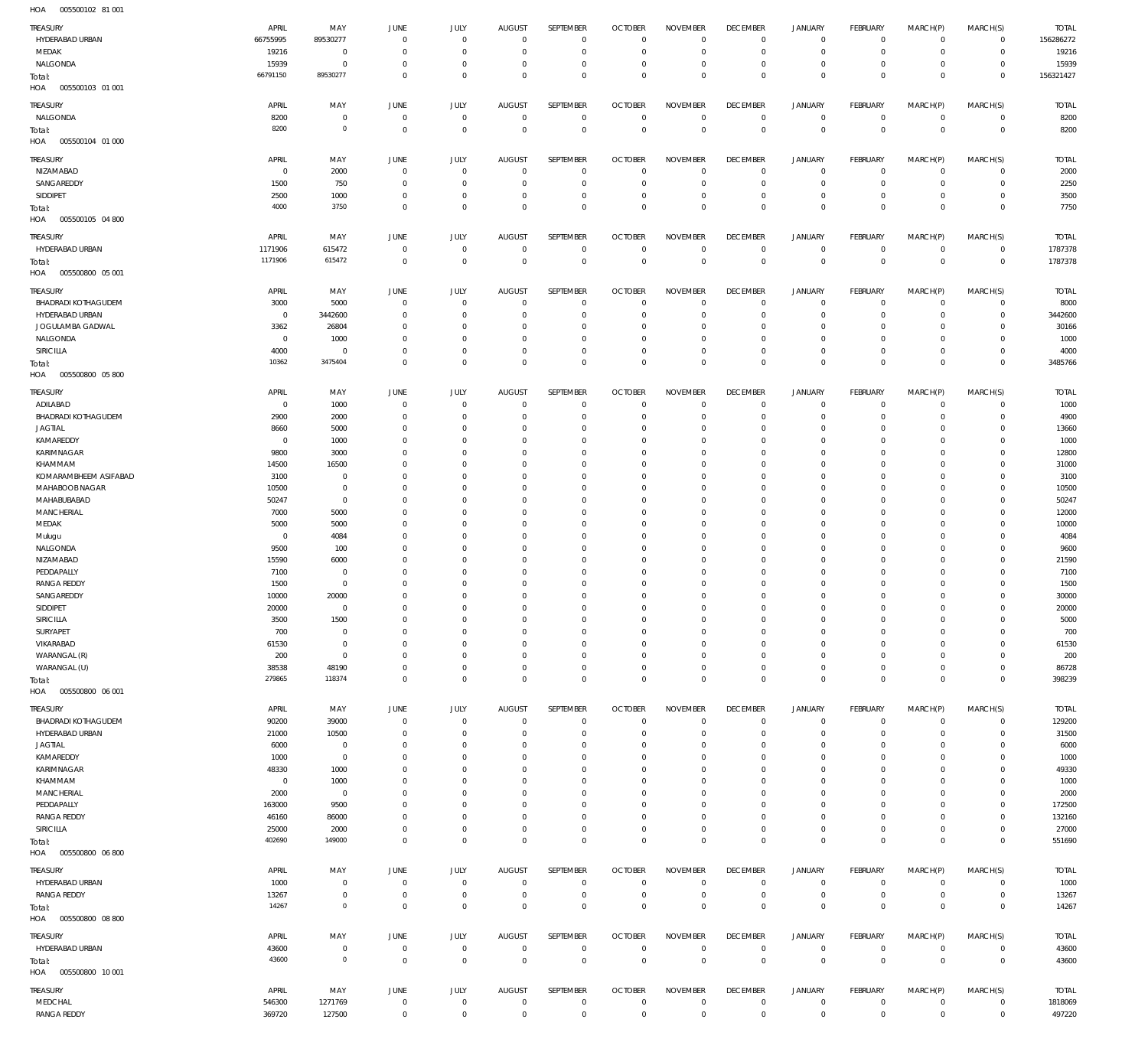005500102 81 001 HOA

| <b>TREASURY</b><br>HYDERABAD URBAN<br>MEDAK   | APRIL<br>66755995<br>19216 | MAY<br>89530277<br>$\overline{0}$ | JUNE<br>$\Omega$<br>$\Omega$ | <b>JULY</b><br>$\mathbf 0$<br>$\mathbf 0$ | <b>AUGUST</b><br>$\mathbf{0}$<br>$\Omega$ | SEPTEMBER<br>$\mathbf 0$<br>$\mathbf 0$ | <b>OCTOBER</b><br>$\circ$<br>$^{\circ}$ | <b>NOVEMBER</b><br>$\mathbf 0$<br>$\mathbf 0$ | <b>DECEMBER</b><br>$\mathbf 0$<br>$\mathbf 0$ | <b>JANUARY</b><br>$\overline{0}$<br>$\mathsf{O}\xspace$ | FEBRUARY<br>$\circ$<br>$\circ$ | MARCH(P)<br>$\mathbf 0$<br>$\mathbf 0$ | MARCH(S)<br>$\overline{0}$<br>$\overline{0}$ | <b>TOTAL</b><br>156286272<br>19216 |
|-----------------------------------------------|----------------------------|-----------------------------------|------------------------------|-------------------------------------------|-------------------------------------------|-----------------------------------------|-----------------------------------------|-----------------------------------------------|-----------------------------------------------|---------------------------------------------------------|--------------------------------|----------------------------------------|----------------------------------------------|------------------------------------|
| NALGONDA<br>Total:                            | 15939<br>66791150          | $\overline{0}$<br>89530277        | $\Omega$<br>$\overline{0}$   | $\mathbf 0$<br>$\mathbf 0$                | $\Omega$<br>$\Omega$                      | $\mathbf 0$<br>$\mathbf 0$              | $^{\circ}$<br>$\mathbf 0$               | $\mathbf 0$<br>$\mathbf 0$                    | $\overline{0}$<br>$\mathbf 0$                 | $\mathbf 0$<br>$\mathsf{O}\xspace$                      | $\circ$<br>$\overline{0}$      | 0<br>$\mathbf 0$                       | $\overline{0}$<br>$\overline{0}$             | 15939<br>156321427                 |
| HOA<br>005500103 01 001<br><b>TREASURY</b>    | APRIL                      | MAY                               | JUNE                         | <b>JULY</b>                               | <b>AUGUST</b>                             | SEPTEMBER                               | <b>OCTOBER</b>                          | <b>NOVEMBER</b>                               | <b>DECEMBER</b>                               | JANUARY                                                 | FEBRUARY                       | MARCH(P)                               | MARCH(S)                                     | <b>TOTAL</b>                       |
| NALGONDA<br>Total:                            | 8200<br>8200               | $\overline{0}$<br>$\circ$         | $^{\circ}$<br>$\overline{0}$ | $\mathbf 0$<br>$\mathbf 0$                | $^{\circ}$<br>$\Omega$                    | $\mathbf 0$<br>$\mathbb O$              | $^{\circ}$<br>$\Omega$                  | $^{\circ}$<br>$\mathbf 0$                     | $\mathbf 0$<br>$\mathbf 0$                    | $\overline{0}$<br>$\mathbf 0$                           | $\circ$<br>$\overline{0}$      | $\mathbf{0}$<br>$\mathbf 0$            | $\overline{0}$<br>$\overline{0}$             | 8200<br>8200                       |
| HOA<br>005500104 01 000<br><b>TREASURY</b>    | APRIL                      | MAY                               | JUNE                         | <b>JULY</b>                               | <b>AUGUST</b>                             | SEPTEMBER                               | <b>OCTOBER</b>                          | <b>NOVEMBER</b>                               | <b>DECEMBER</b>                               | <b>JANUARY</b>                                          | FEBRUARY                       | MARCH(P)                               | MARCH(S)                                     | <b>TOTAL</b>                       |
| NIZAMABAD<br>SANGAREDDY                       | $^{\circ}$<br>1500         | 2000<br>750                       | $\Omega$<br>$\Omega$         | $\mathbf 0$<br>$\overline{0}$             | $^{\circ}$<br>$\circ$                     | $\mathbf 0$<br>$\mathbf 0$              | $\mathbf 0$<br>$^{\circ}$               | $\mathbf 0$<br>$\mathbf 0$                    | $\overline{0}$<br>$\overline{0}$              | $\mathbf 0$<br>$\mathbf 0$                              | $\circ$<br>$\overline{0}$      | $\mathbf 0$<br>$\mathbf 0$             | $\overline{0}$<br>$\circ$                    | 2000<br>2250                       |
| SIDDIPET                                      | 2500                       | 1000                              | $^{\circ}$                   | $\mathbf 0$                               | $^{\circ}$                                | $\mathbf 0$                             | $\mathbf 0$                             | $\mathbf 0$                                   | $\mathbf 0$                                   | $\mathbf 0$                                             | $\circ$                        | 0                                      | $\circ$                                      | 3500                               |
| Total:<br>HOA<br>005500105 04 800             | 4000                       | 3750                              | $\overline{0}$               | $\mathbf 0$                               | $\Omega$                                  | $\mathbb O$                             | $\mathbf 0$                             | $\mathbb O$                                   | $\mathbf 0$                                   | $\bf 0$                                                 | $\overline{0}$                 | $\mathbf 0$                            | $\overline{0}$                               | 7750                               |
| TREASURY                                      | APRIL                      | MAY                               | JUNE                         | JULY                                      | <b>AUGUST</b>                             | SEPTEMBER                               | <b>OCTOBER</b>                          | <b>NOVEMBER</b>                               | <b>DECEMBER</b>                               | <b>JANUARY</b>                                          | FEBRUARY                       | MARCH(P)                               | MARCH(S)                                     | <b>TOTAL</b>                       |
| HYDERABAD URBAN                               | 1171906                    | 615472                            | $\overline{0}$               | $\overline{0}$                            | $^{\circ}$                                | $\mathbf 0$                             | $^{\circ}$                              | $^{\circ}$                                    | $\mathbf 0$                                   | $\mathbf 0$                                             | $\mathbf{0}$                   | $\mathbf{0}$                           | $\overline{0}$                               | 1787378                            |
| Total:<br>HOA<br>005500800 05 001             | 1171906                    | 615472                            | $\overline{0}$               | $\mathbf 0$                               | $\Omega$                                  | $\mathbf 0$                             | $\mathbf 0$                             | $\mathbf 0$                                   | $\mathbf 0$                                   | $\mathbf 0$                                             | $\overline{0}$                 | $\mathbf 0$                            | $\overline{0}$                               | 1787378                            |
| <b>TREASURY</b>                               | APRIL                      | MAY                               | <b>JUNE</b>                  | <b>JULY</b>                               | <b>AUGUST</b>                             | SEPTEMBER                               | <b>OCTOBER</b>                          | <b>NOVEMBER</b>                               | <b>DECEMBER</b>                               | <b>JANUARY</b>                                          | FEBRUARY                       | MARCH(P)                               | MARCH(S)                                     | <b>TOTAL</b>                       |
| <b>BHADRADI KOTHAGUDEM</b><br>HYDERABAD URBAN | 3000                       | 5000                              | $^{\circ}$<br>$\Omega$       | $\mathbf 0$<br>$\mathbf 0$                | $^{\circ}$<br>$\Omega$                    | $\mathbf 0$<br>$\mathbf 0$              | $^{\circ}$<br>$^{\circ}$                | 0<br>$\mathbf 0$                              | $\overline{0}$<br>$\overline{0}$              | 0<br>$\mathbf 0$                                        | $\overline{0}$<br>$\circ$      | $\mathbf 0$<br>$\mathbf 0$             | $\circ$<br>$\mathbf 0$                       | 8000                               |
| JOGULAMBA GADWAL                              | $\overline{0}$<br>3362     | 3442600<br>26804                  | $\Omega$                     | $\overline{0}$                            | $\Omega$                                  | $\mathbf 0$                             | $^{\circ}$                              | $\mathbf 0$                                   | $\overline{0}$                                | $\mathbf 0$                                             | $\circ$                        | 0                                      | $\circ$                                      | 3442600<br>30166                   |
| NALGONDA                                      | $\overline{0}$             | 1000                              | $\Omega$                     | $^{\circ}$                                | $\Omega$                                  | $\mathbf 0$                             | $^{\circ}$                              | $\mathbf 0$                                   | $\mathbf 0$                                   | $\mathbf 0$                                             | $\mathbf{0}$                   | 0                                      | $\mathbf 0$                                  | 1000                               |
| SIRICILLA                                     | 4000                       | $\overline{0}$                    | $\Omega$                     | $\mathbf 0$                               | $^{\circ}$                                | $\mathbf 0$                             | $^{\circ}$                              | $\mathbf 0$                                   | $\mathbf 0$                                   | $\mathsf{O}\xspace$                                     | $\circ$                        | 0                                      | $\circ$                                      | 4000                               |
| Total:<br>HOA<br>005500800 05 800             | 10362                      | 3475404                           | $\Omega$                     | $\mathbf 0$                               | $\Omega$                                  | $\mathbb O$                             | $\mathbf 0$                             | $\mathbf 0$                                   | $\mathbf 0$                                   | $\bf 0$                                                 | $\overline{0}$                 | $\mathbf 0$                            | $\overline{0}$                               | 3485766                            |
| TREASURY                                      | APRIL                      | MAY                               | JUNE                         | JULY                                      | <b>AUGUST</b>                             | SEPTEMBER                               | <b>OCTOBER</b>                          | <b>NOVEMBER</b>                               | <b>DECEMBER</b>                               | JANUARY                                                 | FEBRUARY                       | MARCH(P)                               | MARCH(S)                                     | <b>TOTAL</b>                       |
| ADILABAD                                      | $^{\circ}$                 | 1000                              | $\overline{0}$               | $\overline{0}$                            | $\Omega$                                  | $\mathbf{0}$                            | $^{\circ}$                              | $^{\circ}$                                    | $\mathbf{0}$                                  | $\mathbf 0$                                             | $\overline{0}$                 | $\mathbf 0$                            | $\overline{0}$                               | 1000                               |
| <b>BHADRADI KOTHAGUDEM</b>                    | 2900                       | 2000                              | $\Omega$                     | $\overline{0}$                            | $\Omega$                                  | $\mathbf 0$                             | 0                                       | $^{\circ}$                                    | $^{\circ}$                                    | $\mathbf 0$                                             | $\mathbf 0$                    | $\Omega$                               | $\mathbf 0$                                  | 4900                               |
| <b>JAGTIAL</b><br>KAMAREDDY                   | 8660<br>$^{\circ}$         | 5000<br>1000                      | $\Omega$<br>$\Omega$         | $^{\circ}$<br>$^{\circ}$                  | $\Omega$<br>$\Omega$                      | $\mathbf{0}$<br>$\mathbf{0}$            | 0<br>0                                  | $^{\circ}$<br>$^{\circ}$                      | $\mathbf{0}$<br>$\mathbf{0}$                  | $\mathbf 0$<br>$\mathbf 0$                              | $\mathbf{0}$<br>$\mathbf 0$    | $\Omega$<br>$\Omega$                   | $\mathbf 0$<br>$\mathbf 0$                   | 13660<br>1000                      |
| KARIMNAGAR                                    | 9800                       | 3000                              | $\Omega$                     | $\Omega$                                  | $\Omega$                                  | $^{\circ}$                              | $\Omega$                                | $^{\circ}$                                    | $\mathbf{0}$                                  | $\mathbf 0$                                             | $\mathbf 0$                    | $\Omega$                               | $\mathbf 0$                                  | 12800                              |
| KHAMMAM                                       | 14500                      | 16500                             | $\Omega$                     | $^{\circ}$                                | $\Omega$                                  | $\mathbf 0$                             | 0                                       | $^{\circ}$                                    | $\mathbf{0}$                                  | $\mathbf 0$                                             | $\mathbf 0$                    | $\Omega$                               | $\mathbf 0$                                  | 31000                              |
| KOMARAMBHEEM ASIFABAD                         | 3100                       | $\overline{0}$                    | n                            | $\Omega$                                  | $\Omega$                                  | $^{\circ}$                              | $\Omega$                                | $\Omega$                                      | $^{\circ}$                                    | $\mathbf 0$<br>$\mathbf 0$                              | $\mathbf 0$                    | $\Omega$<br>$\Omega$                   | $\mathbf 0$<br>$\mathbf 0$                   | 3100                               |
| MAHABOOB NAGAR<br>MAHABUBABAD                 | 10500<br>50247             | $\overline{0}$<br>$\overline{0}$  | $\Omega$<br>n                | $^{\circ}$<br>$\Omega$                    | $\Omega$<br>$\Omega$                      | $\mathbf 0$<br>$^{\circ}$               | 0<br>$\Omega$                           | $\mathbf 0$<br>$^{\circ}$                     | $\mathbf{0}$<br>$^{\circ}$                    | $\mathbf 0$                                             | $\mathbf 0$<br>$\mathbf 0$     | $\Omega$                               | $\mathbf 0$                                  | 10500<br>50247                     |
| <b>MANCHERIAL</b>                             | 7000                       | 5000                              | $\Omega$                     | $^{\circ}$                                | $\Omega$                                  | $\mathbf 0$                             | 0                                       | $\mathbf 0$                                   | $\mathbf{0}$                                  | $\mathbf 0$                                             | $^{\circ}$                     | $\Omega$                               | $\mathbf 0$                                  | 12000                              |
| MEDAK                                         | 5000                       | 5000                              | $\Omega$                     | $\Omega$                                  | $\Omega$                                  | $^{\circ}$                              | $\Omega$                                | $^{\circ}$                                    | $^{\circ}$                                    | $\mathbf 0$                                             | $^{\circ}$                     | $\Omega$                               | $\mathbf 0$                                  | 10000                              |
| Mulugu<br>NALGONDA                            | $\Omega$<br>9500           | 4084<br>100                       | $\Omega$<br>n                | $^{\circ}$<br>$\Omega$                    | $\Omega$<br>$\Omega$                      | $\mathbf 0$<br>$^{\circ}$               | $\Omega$<br>0                           | $^{\circ}$<br>$^{\circ}$                      | $\mathbf{0}$<br>$\mathbf{0}$                  | $\mathbf 0$<br>$\mathbf 0$                              | $^{\circ}$<br>$^{\circ}$       | $\Omega$<br>$\Omega$                   | $\mathbf 0$<br>$\mathbf 0$                   | 4084<br>9600                       |
| NIZAMABAD                                     | 15590                      | 6000                              | $\Omega$                     | $\Omega$                                  | $\Omega$                                  | $\mathbf 0$                             | $\Omega$                                | $^{\circ}$                                    | $\mathbf{0}$                                  | $\mathbf 0$                                             | $\mathbf 0$                    | $\Omega$                               | $\mathbf 0$                                  | 21590                              |
| PEDDAPALLY                                    | 7100                       | $\overline{0}$                    | $\Omega$                     | $^{\circ}$                                | $\Omega$                                  | $\mathbf{0}$                            | 0                                       | $^{\circ}$                                    | $\mathbf{0}$                                  | $\mathbf 0$                                             | $\mathbf 0$                    | $\Omega$                               | $\mathbf 0$                                  | 7100                               |
| <b>RANGA REDDY</b>                            | 1500                       | $\overline{0}$                    | $\Omega$                     | $\Omega$                                  | $\Omega$                                  | $\mathbf 0$                             | $\Omega$                                | $^{\circ}$                                    | $\mathbf{0}$                                  | $\mathbf 0$                                             | $\Omega$                       | $\Omega$                               | $\mathbf 0$                                  | 1500                               |
| SANGAREDDY<br>SIDDIPET                        | 10000<br>20000             | 20000<br>$\Omega$                 | $\Omega$<br>$\Omega$         | $\overline{0}$<br>$\overline{0}$          | $\mathbf{0}$<br>$\Omega$                  | $\mathbf 0$<br>$\Omega$                 | $\Omega$<br>$\Omega$                    | $\Omega$<br>$\Omega$                          | $\Omega$<br>$\Omega$                          | $\mathbf 0$<br>$\mathsf{O}\xspace$                      | $\mathbf{0}$<br>$\Omega$       | $\Omega$<br>$\Omega$                   | $\mathbf 0$<br>$\circ$                       | 30000<br>20000                     |
| SIRICILLA                                     | 3500                       | 1500                              | $\Omega$                     | $^{\circ}$                                | $\overline{0}$                            | $\mathbf 0$                             | $^{\circ}$                              | $^{\circ}$                                    | $\mathbf 0$                                   | $\mathbf 0$                                             | $\mathbf{0}$                   | $\mathbf 0$                            | $\circ$                                      | 5000                               |
| SURYAPET                                      | 700                        | $\overline{0}$                    | $\Omega$                     | $^{\circ}$                                | $\Omega$                                  | $\mathbf 0$                             | $^{\circ}$                              | $^{\circ}$                                    | $\mathbf{0}$                                  | $\mathbf 0$                                             | $\mathbf 0$                    | $\mathbf 0$                            | $\mathbf 0$                                  | 700                                |
| VIKARABAD                                     | 61530                      | $\overline{0}$                    | $\Omega$                     | $\Omega$                                  | $\Omega$                                  | $\mathbf{0}$                            | 0                                       | $^{\circ}$                                    | $\mathbf{0}$                                  | $\mathbf 0$                                             | $\mathbf 0$                    | $\Omega$                               | $\mathbf 0$                                  | 61530                              |
| WARANGAL (R)<br>WARANGAL (U)                  | 200<br>38538               | $\overline{0}$<br>48190           | $\Omega$<br>$\Omega$         | $^{\circ}$<br>$\overline{0}$              | $\Omega$<br>$\Omega$                      | $\mathbf 0$<br>$\mathbf{0}$             | 0<br>0                                  | $\mathbf 0$<br>$\mathbf 0$                    | $\mathbf 0$<br>$\mathbf{0}$                   | $\mathbf 0$<br>$\mathsf{O}\xspace$                      | $^{\circ}$<br>$\mathbf{0}$     | 0<br>$\mathbf 0$                       | $\mathbf 0$<br>$\circ$                       | 200<br>86728                       |
| Total:                                        | 279865                     | 118374                            | $\overline{0}$               | $\mathbf 0$                               | $\overline{0}$                            | $\mathbf 0$                             | $\mathbf 0$                             | $\mathbf 0$                                   | $\mathbf 0$                                   | $\mathbf 0$                                             | $\overline{0}$                 | $\mathbf 0$                            | $\overline{0}$                               | 398239                             |
| HOA<br>005500800 06 001                       |                            |                                   |                              |                                           |                                           |                                         |                                         |                                               |                                               |                                                         |                                |                                        |                                              |                                    |
| <b>TREASURY</b>                               | APRIL                      | MAY                               | JUNE                         | JULY                                      | <b>AUGUST</b>                             | SEPTEMBER                               | <b>OCTOBER</b>                          | <b>NOVEMBER</b>                               | <b>DECEMBER</b>                               | JANUARY                                                 | FEBRUARY                       | MARCH(P)                               | MARCH(S)                                     | <b>TOTAL</b>                       |
| <b>BHADRADI KOTHAGUDEM</b>                    | 90200                      | 39000                             | $\overline{0}$               | $\mathbf 0$                               | $\mathbf{0}$                              | $\mathbf 0$                             | $\mathbf 0$                             | $\mathbf 0$                                   | $\mathbf 0$                                   | $\mathbf 0$                                             | $\circ$                        | $\mathbf 0$                            | $\circ$                                      | 129200                             |
| HYDERABAD URBAN<br><b>JAGTIAL</b>             | 21000<br>6000              | 10500<br>$\overline{0}$           | $\Omega$<br>$\Omega$         | $\overline{0}$<br>$\overline{0}$          | $\circ$<br>$\Omega$                       | $\mathbf 0$<br>$\mathbf 0$              | $^{\circ}$<br>$^{\circ}$                | $\mathbf 0$<br>$\mathbf 0$                    | $\overline{0}$<br>$\overline{0}$              | $\mathbf 0$<br>$\mathbf 0$                              | $\overline{0}$<br>$\circ$      | $\mathbf 0$<br>0                       | $\circ$<br>$\mathbf 0$                       | 31500<br>6000                      |
| KAMAREDDY                                     | 1000                       | $\overline{0}$                    | $\Omega$                     | $\overline{0}$                            | $\Omega$                                  | $\mathbf 0$                             | 0                                       | $\mathbf 0$                                   | $^{\circ}$                                    | $\mathbf 0$                                             | $\circ$                        | 0                                      | $\mathbf 0$                                  | 1000                               |
| KARIMNAGAR                                    | 48330                      | 1000                              | $\Omega$                     | $^{\circ}$                                | $\Omega$                                  | $\mathbf 0$                             | $^{\circ}$                              | $\mathbf 0$                                   | $^{\circ}$                                    | $\mathbf 0$                                             | $\mathbf 0$                    | 0                                      | $\mathbf 0$                                  | 49330                              |
| KHAMMAM<br>MANCHERIAL                         | $\overline{0}$<br>2000     | 1000<br>$\overline{0}$            | $\Omega$<br>$\Omega$         | $^{\circ}$<br>$^{\circ}$                  | $\Omega$<br>$\Omega$                      | $\mathbf 0$<br>$\mathbf 0$              | 0<br>$\mathbf 0$                        | $\mathbf 0$<br>$\mathbf 0$                    | $\mathbf{0}$<br>$\mathbf 0$                   | $\mathbf 0$<br>$\mathbf 0$                              | $\mathbf{0}$<br>$\mathbf 0$    | $\Omega$<br>0                          | $\mathbf 0$<br>$\mathbf 0$                   | 1000<br>2000                       |
| PEDDAPALLY                                    | 163000                     | 9500                              | $\Omega$                     | $^{\circ}$                                | $\Omega$                                  | $\mathbf 0$                             | $\Omega$                                | $\mathbf 0$                                   | $\mathbf{0}$                                  | $\mathbf 0$                                             | $\mathbf{0}$                   | $\Omega$                               | $\mathbf 0$                                  | 172500                             |
| <b>RANGA REDDY</b>                            | 46160                      | 86000                             | $\Omega$                     | $\mathbf 0$                               | $\Omega$                                  | $\mathbf 0$                             | $\mathbf 0$                             | $\mathbf 0$                                   | $\mathbf{0}$                                  | $\mathbf 0$                                             | $\circ$                        | 0                                      | $\mathbf 0$                                  | 132160                             |
| SIRICILLA                                     | 25000                      | 2000                              | $\Omega$                     | $\mathbf 0$                               | $\Omega$                                  | $\mathbf 0$                             | $\mathbf 0$                             | $\mathbb O$                                   | $\mathbf 0$                                   | $\mathsf{O}\xspace$                                     | $\circ$                        | $\mathbf 0$                            | $\circ$                                      | 27000                              |
| Total:<br>HOA<br>005500800 06 800             | 402690                     | 149000                            | $\overline{0}$               | $\mathbf 0$                               | $\mathbf{0}$                              | $\mathbf 0$                             | $\mathbf 0$                             | $\mathbb O$                                   | $\mathbf 0$                                   | $\mathsf{O}\xspace$                                     | $\overline{0}$                 | $\mathbf 0$                            | $\overline{0}$                               | 551690                             |
| <b>TREASURY</b>                               | APRIL                      | MAY                               | JUNE                         | JULY                                      | <b>AUGUST</b>                             | SEPTEMBER                               | <b>OCTOBER</b>                          | <b>NOVEMBER</b>                               | <b>DECEMBER</b>                               | <b>JANUARY</b>                                          | FEBRUARY                       | MARCH(P)                               | MARCH(S)                                     | <b>TOTAL</b>                       |
| HYDERABAD URBAN                               | 1000                       | $\overline{0}$                    | $\Omega$                     | $\overline{0}$                            | $\overline{0}$                            | $\mathbf 0$                             | $^{\circ}$                              | $^{\circ}$                                    | $\mathbf 0$                                   | 0                                                       | $\mathbf{0}$                   | $\mathbf 0$                            | $\circ$                                      | 1000                               |
| <b>RANGA REDDY</b>                            | 13267                      | $\overline{0}$<br>$\overline{0}$  | $\overline{0}$               | $\mathbf 0$                               | $\overline{0}$                            | $\mathbf 0$                             | $^{\circ}$                              | $\mathbf 0$                                   | $\mathbf 0$                                   | $\mathsf{O}\xspace$                                     | $\overline{0}$                 | $\mathbf{0}$                           | $\overline{0}$                               | 13267                              |
| Total:<br>HOA   005500800   08 800            | 14267                      |                                   | $\Omega$                     | $\mathbf 0$                               | $\Omega$                                  | $\mathbf 0$                             | $\mathbf{0}$                            | $\mathbf 0$                                   | $\mathbf 0$                                   | $\bf 0$                                                 | $\overline{0}$                 | $\mathbf 0$                            | $\overline{0}$                               | 14267                              |
| TREASURY                                      | APRIL                      | MAY                               | <b>JUNE</b>                  | JULY                                      | <b>AUGUST</b>                             | SEPTEMBER                               | <b>OCTOBER</b>                          | <b>NOVEMBER</b>                               | <b>DECEMBER</b>                               | <b>JANUARY</b>                                          | FEBRUARY                       | MARCH(P)                               | MARCH(S)                                     | <b>TOTAL</b>                       |
| HYDERABAD URBAN                               | 43600<br>43600             | $\overline{0}$<br>$\overline{0}$  | $\overline{0}$               | $\overline{0}$                            | $\mathbf 0$                               | $\mathbf 0$                             | 0                                       | 0                                             | $\overline{0}$                                | $\overline{0}$                                          | $\overline{0}$                 | 0                                      | $\overline{0}$                               | 43600                              |
| Total:<br>HOA<br>005500800 10 001             |                            |                                   | $\mathbf 0$                  | $\,0\,$                                   | $\mathbb O$                               | $\mathbf 0$                             | $\mathbf 0$                             | $\mathbb O$                                   | $\mathbf 0$                                   | $\mathsf{O}\xspace$                                     | $\overline{0}$                 | $\overline{0}$                         | $\mathbf 0$                                  | 43600                              |
| TREASURY                                      | APRIL                      | MAY                               | JUNE                         | JULY                                      | <b>AUGUST</b>                             | SEPTEMBER                               | <b>OCTOBER</b>                          | <b>NOVEMBER</b>                               | <b>DECEMBER</b>                               | JANUARY                                                 | FEBRUARY                       | MARCH(P)                               | MARCH(S)                                     | <b>TOTAL</b>                       |
| MEDCHAL                                       | 546300                     | 1271769                           | $\overline{0}$               | $\overline{0}$                            | $\mathbb O$                               | $\mathbf 0$                             | $\mathbf 0$                             | $\mathbf 0$                                   | $\mathbf 0$                                   | $\overline{0}$                                          | $\overline{0}$                 | $\circ$                                | $\overline{0}$                               | 1818069                            |
| <b>RANGA REDDY</b>                            | 369720                     | 127500                            | $\overline{0}$               | $\mathbf 0$                               | $\overline{0}$                            | $\mathbf 0$                             | $\mathbf{0}$                            | $\mathbb O$                                   | $\mathbf 0$                                   | $\mathsf{O}\xspace$                                     | $\mathbf{0}$                   | $\mathbf 0$                            | $\overline{0}$                               | 497220                             |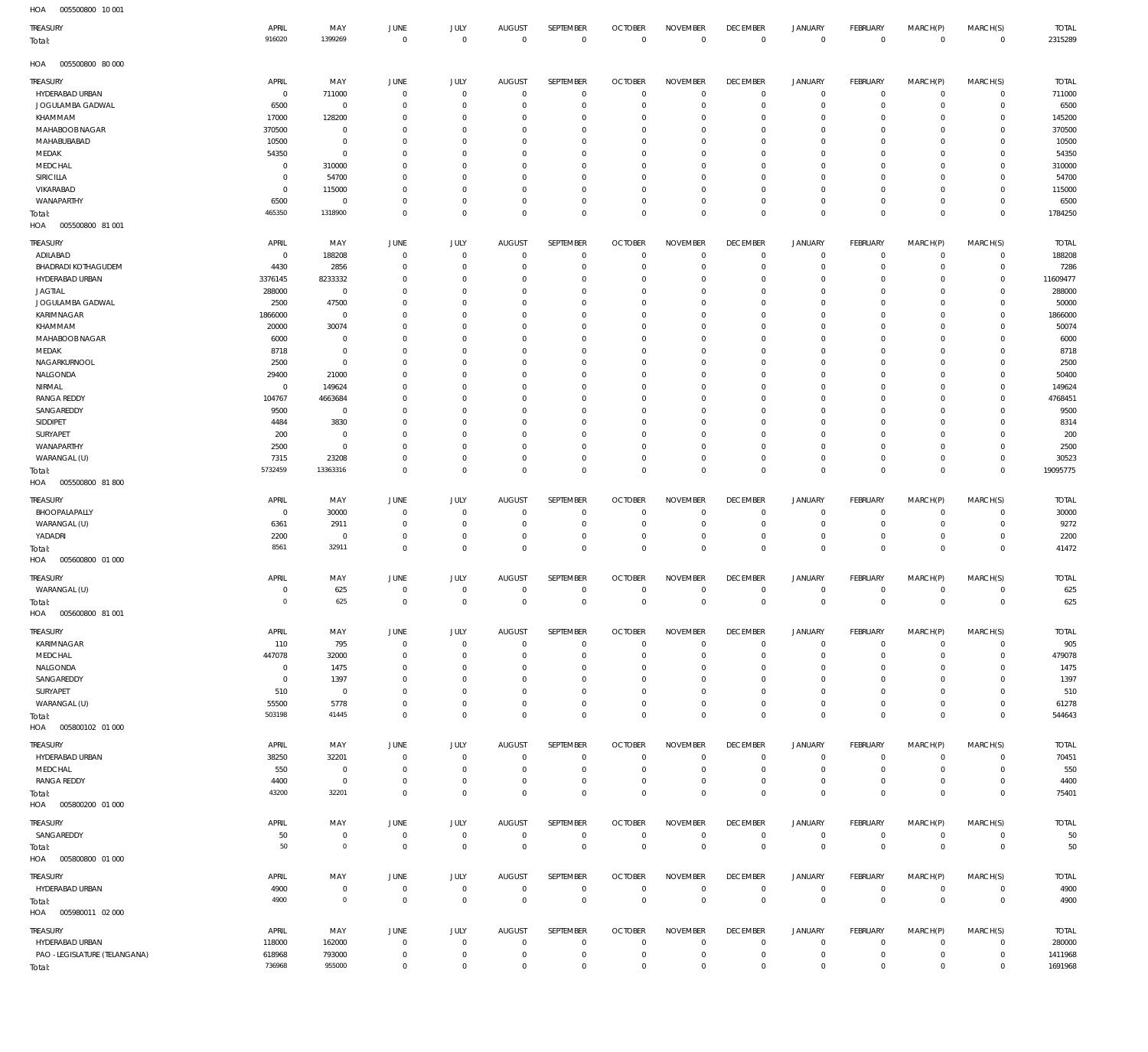005500800 10 001 HOA

| TREASURY<br>Total:                   | APRIL<br>916020    | MAY<br>1399269           | JUNE<br>$\mathbf 0$           | JULY<br>$\mathbf 0$              | AUGUST<br>$\mathbf 0$            | SEPTEMBER<br>$\mathbf 0$     | <b>OCTOBER</b><br>$\mathbf 0$    | <b>NOVEMBER</b><br>$\mathbf 0$ | <b>DECEMBER</b><br>$^{\circ}$ | <b>JANUARY</b><br>$\mathbf 0$      | FEBRUARY<br>$\mathbf 0$          | MARCH(P)<br>$\mathbf 0$    | MARCH(S)<br>$\overline{0}$       | <b>TOTAL</b><br>2315289 |
|--------------------------------------|--------------------|--------------------------|-------------------------------|----------------------------------|----------------------------------|------------------------------|----------------------------------|--------------------------------|-------------------------------|------------------------------------|----------------------------------|----------------------------|----------------------------------|-------------------------|
| 005500800 80 000<br>HOA              |                    |                          |                               |                                  |                                  |                              |                                  |                                |                               |                                    |                                  |                            |                                  |                         |
| <b>TREASURY</b>                      | APRIL              | MAY                      | JUNE                          | <b>JULY</b>                      | <b>AUGUST</b>                    | SEPTEMBER                    | <b>OCTOBER</b>                   | <b>NOVEMBER</b>                | <b>DECEMBER</b>               | <b>JANUARY</b>                     | FEBRUARY                         | MARCH(P)                   | MARCH(S)                         | <b>TOTAL</b>            |
| <b>HYDERABAD URBAN</b>               | $\overline{0}$     | 711000                   | $\overline{0}$                | $\overline{0}$                   | $^{\circ}$                       | $\mathbf{0}$                 | $\overline{0}$                   | $\mathbf 0$                    | $^{\circ}$                    | $\mathbf 0$                        | $\mathbf 0$                      | $\mathbf 0$                | $\mathbf{0}$                     | 711000                  |
| JOGULAMBA GADWAL<br>KHAMMAM          | 6500<br>17000      | $\mathbf 0$<br>128200    | $\Omega$<br>$\Omega$          | $^{\circ}$<br>$^{\circ}$         | 0<br>$\Omega$                    | $\mathbf{0}$<br>$\mathbf{0}$ | 0<br>- 0                         | $^{\circ}$<br>$^{\circ}$       | $^{\circ}$<br>$^{\circ}$      | $\mathbf 0$<br>$\mathbf 0$         | $^{\circ}$<br>$\mathbf 0$        | $\mathbf 0$<br>$\Omega$    | $\mathbf 0$<br>$\mathbf 0$       | 6500<br>145200          |
| MAHABOOB NAGAR                       | 370500             | $\overline{0}$           | $\Omega$                      | $\mathbf 0$                      | $\Omega$                         | $\mathbf{0}$                 | - 0                              | $\mathbf 0$                    | $^{\circ}$                    | $\mathbf 0$                        | $\mathbf 0$                      | $\Omega$                   | $\mathbf 0$                      | 370500                  |
| MAHABUBABAD                          | 10500              | $\mathbf 0$              | $\Omega$                      | $\Omega$                         | $\Omega$                         | $^{\circ}$                   | 0                                | $\mathbf 0$                    | $^{\circ}$                    | $\mathbf 0$                        | $\mathbf 0$                      | $\Omega$                   | $\mathbf 0$                      | 10500                   |
| MEDAK                                | 54350              | $\mathbf 0$              | $\Omega$                      | $\mathbf 0$                      | $\Omega$                         | $\mathbf{0}$                 | - 0                              | $\mathbf 0$                    | $^{\circ}$                    | $\mathbf 0$                        | $\mathbf 0$                      | $\Omega$                   | $\mathbf 0$                      | 54350                   |
| MEDCHAL                              | $\Omega$           | 310000                   | $\Omega$                      | $\Omega$                         | C                                | $^{\circ}$                   | 0                                | $\mathbf 0$                    | $^{\circ}$                    | $\mathbf 0$                        | $\mathbf 0$                      | $\Omega$                   | $\mathbf 0$                      | 310000                  |
| SIRICILLA                            | $\Omega$           | 54700                    | $\Omega$<br>$\Omega$          | $\mathbf 0$                      | $\Omega$                         | $^{\circ}$                   | - 0                              | $\mathbf 0$                    | $^{\circ}$                    | $\mathbf 0$                        | $\mathbf 0$                      | $\Omega$                   | $\mathbf 0$<br>$\mathbf 0$       | 54700                   |
| VIKARABAD<br>WANAPARTHY              | $\Omega$<br>6500   | 115000<br>$\overline{0}$ | $\Omega$                      | $\mathbf 0$<br>$\mathbf 0$       | $\Omega$<br>$\mathbf 0$          | $^{\circ}$<br>$\mathbf{0}$   | 0<br>- 0                         | $\mathbf 0$<br>$\mathbf 0$     | $^{\circ}$<br>$^{\circ}$      | $\mathbf 0$<br>$\mathbf 0$         | $\mathbf 0$<br>$\mathbf 0$       | $\mathbf 0$<br>$\mathbf 0$ | $\mathbf 0$                      | 115000<br>6500          |
| Total:                               | 465350             | 1318900                  | $\Omega$                      | $\mathbf 0$                      | $\Omega$                         | $\mathbf 0$                  | 0                                | $\mathbf 0$                    | $\mathbf 0$                   | $\mathbf 0$                        | $\mathbf 0$                      | $\mathbf 0$                | $\mathbf 0$                      | 1784250                 |
| HOA<br>005500800 81 001              |                    |                          |                               |                                  |                                  |                              |                                  |                                |                               |                                    |                                  |                            |                                  |                         |
| <b>TREASURY</b>                      | APRIL              | MAY                      | JUNE                          | JULY                             | <b>AUGUST</b>                    | SEPTEMBER                    | <b>OCTOBER</b>                   | <b>NOVEMBER</b>                | <b>DECEMBER</b>               | <b>JANUARY</b>                     | FEBRUARY                         | MARCH(P)                   | MARCH(S)                         | <b>TOTAL</b>            |
| ADILABAD                             | $\Omega$           | 188208                   | $^{\circ}$                    | $^{\circ}$                       | $\overline{0}$                   | $^{\circ}$                   | $\overline{0}$                   | $\mathbf 0$                    | $\mathbf 0$                   | $^{\circ}$                         | $\mathbf 0$                      | $\mathbf 0$                | $\mathbf 0$                      | 188208                  |
| <b>BHADRADI KOTHAGUDEM</b>           | 4430               | 2856                     | $\Omega$                      | $\mathbf 0$                      | 0                                | $^{\circ}$                   | - 0                              | $^{\circ}$                     | $^{\circ}$                    | $\mathbf 0$                        | $\mathbf 0$                      | $\mathbf 0$                | $\mathbf 0$                      | 7286                    |
| HYDERABAD URBAN                      | 3376145            | 8233332                  | $\Omega$                      | $\Omega$                         | C                                | $\mathbf 0$                  | 0                                | $\mathbf 0$                    | $^{\circ}$                    | $^{\circ}$                         | $\mathbf 0$                      | $\Omega$                   | $\circ$                          | 11609477                |
| <b>JAGTIAL</b><br>JOGULAMBA GADWAL   | 288000<br>2500     | $\overline{0}$<br>47500  | $\Omega$<br>-C                | $\mathbf 0$<br>$\Omega$          | $\Omega$<br>C                    | $^{\circ}$<br>$\mathbf 0$    | 0<br>$\Omega$                    | $\mathbf 0$<br>$^{\circ}$      | $\mathbf 0$<br>$^{\circ}$     | $\mathbf 0$<br>$^{\circ}$          | 0<br>$\mathbf 0$                 | 0<br>0                     | $\circ$<br>$\Omega$              | 288000<br>50000         |
| KARIMNAGAR                           | 1866000            | $\overline{0}$           | $\Omega$                      | $\Omega$                         | $\Omega$                         | $^{\circ}$                   | 0                                | $\mathbf 0$                    | $\mathbf 0$                   | $\mathbf 0$                        | $\mathbf 0$                      | 0                          | $\circ$                          | 1866000                 |
| KHAMMAM                              | 20000              | 30074                    |                               | $\Omega$                         | C                                | $\mathbf 0$                  | $\Omega$                         | $\mathbf 0$                    | 0                             | $^{\circ}$                         | $\mathbf 0$                      |                            | $\Omega$                         | 50074                   |
| MAHABOOB NAGAR                       | 6000               | $\overline{0}$           | $\Omega$                      | $\Omega$                         | $\Omega$                         | $^{\circ}$                   | 0                                | $\mathbf 0$                    | $^{\circ}$                    | $\mathbf 0$                        | $\mathbf 0$                      | 0                          | $\circ$                          | 6000                    |
| MEDAK                                | 8718               | $\overline{0}$           | -C                            | $\Omega$                         | C                                | $\mathbf 0$                  | $\Omega$                         | $^{\circ}$                     | 0                             | $^{\circ}$                         | $\mathbf 0$                      | 0                          | $\mathbf 0$                      | 8718                    |
| NAGARKURNOOL                         | 2500               | $\mathbf 0$              | $\Omega$                      | $\Omega$                         | C                                | $^{\circ}$                   | $\Omega$                         | $\mathbf 0$                    | $^{\circ}$                    | $\mathbf 0$                        | $\mathbf 0$                      | $\Omega$                   | $\circ$                          | 2500                    |
| NALGONDA                             | 29400              | 21000                    | -C                            | $\Omega$                         | C                                | $\mathbf 0$                  | 0                                | $\mathbf 0$                    | 0                             | $^{\circ}$                         | $\mathbf 0$                      | 0                          | $\circ$                          | 50400                   |
| NIRMAL<br><b>RANGA REDDY</b>         | $\Omega$<br>104767 | 149624<br>4663684        | -C<br>-C                      | $\Omega$<br>$\Omega$             | C<br>C                           | $^{\circ}$<br>$^{\circ}$     | $\Omega$<br>0                    | $\mathbf 0$<br>$\mathbf 0$     | $^{\circ}$<br>0               | $^{\circ}$<br>$^{\circ}$           | $\mathbf 0$<br>$\mathbf 0$       | $\Omega$<br>0              | $\circ$<br>$\circ$               | 149624<br>4768451       |
| SANGAREDDY                           | 9500               | $\overline{0}$           |                               | $\Omega$                         | C                                | $\mathbf 0$                  | $\Omega$                         | $\mathbf 0$                    | $^{\circ}$                    | $^{\circ}$                         | $\mathbf 0$                      | 0                          | $\mathbf 0$                      | 9500                    |
| SIDDIPET                             | 4484               | 3830                     | $\Omega$                      | $\Omega$                         | C                                | $^{\circ}$                   | 0                                | $\mathbf 0$                    | 0                             | $^{\circ}$                         | $\mathbf 0$                      | 0                          | $\mathbf 0$                      | 8314                    |
| SURYAPET                             | 200                | $\overline{0}$           | -C                            | $\Omega$                         | C                                | $\mathbf 0$                  | $\Omega$                         | $^{\circ}$                     | $^{\circ}$                    | $^{\circ}$                         | 0                                | 0                          | $\mathbf 0$                      | 200                     |
| WANAPARTHY                           | 2500               | $\overline{0}$           | $\Omega$                      | $\Omega$                         | C                                | $\mathbf 0$                  | $\Omega$                         | $^{\circ}$                     | $^{\circ}$                    | $\mathbf 0$                        | $\mathbf 0$                      | $\Omega$                   | $\mathbf 0$                      | 2500                    |
| WARANGAL (U)                         | 7315               | 23208                    | $\Omega$                      | $^{\circ}$                       | 0                                | $^{\circ}$                   | 0                                | $^{\circ}$                     | $^{\circ}$                    | $\mathbf 0$                        | $\mathbf 0$                      | 0                          | $\mathbf 0$                      | 30523                   |
| Total:                               | 5732459            | 13363316                 | $\Omega$                      | $\overline{0}$                   | $\Omega$                         | $\mathbf 0$                  | $\mathbf 0$                      | $\mathbf 0$                    | $^{\circ}$                    | $\mathbf 0$                        | $\mathbf 0$                      | $\mathbf 0$                | $\overline{0}$                   | 19095775                |
| HOA<br>005500800 81 800              |                    |                          |                               |                                  |                                  |                              |                                  |                                |                               |                                    |                                  |                            |                                  |                         |
| TREASURY                             | APRIL              | MAY                      | JUNE                          | <b>JULY</b>                      | <b>AUGUST</b>                    | SEPTEMBER                    | <b>OCTOBER</b>                   | <b>NOVEMBER</b>                | <b>DECEMBER</b>               | <b>JANUARY</b>                     | <b>FEBRUARY</b>                  | MARCH(P)                   | MARCH(S)                         | <b>TOTAL</b>            |
| BHOOPALAPALLY                        | $\Omega$           | 30000                    | 0                             | $\overline{0}$                   | $\overline{0}$                   | $^{\circ}$                   | 0                                | $^{\circ}$                     | $^{\circ}$                    | $^{\circ}$                         | $^{\circ}$                       | $\mathbf 0$                | $^{\circ}$                       | 30000                   |
| WARANGAL (U)<br>YADADRI              | 6361<br>2200       | 2911<br>$\mathbf 0$      | $^{\circ}$<br>0               | $\overline{0}$<br>$\overline{0}$ | $\overline{0}$<br>$\overline{0}$ | $\mathbf 0$<br>$\mathbf{0}$  | 0<br>0                           | $^{\circ}$<br>$^{\circ}$       | $^{\circ}$<br>$^{\circ}$      | $\mathbf 0$<br>$\mathbf 0$         | $^{\circ}$<br>$^{\circ}$         | $\mathbf 0$<br>$\mathbf 0$ | $\mathbf{0}$<br>$\mathbf 0$      | 9272<br>2200            |
| Total:                               | 8561               | 32911                    | $\Omega$                      | $\mathbf 0$                      | $\Omega$                         | $\mathbf 0$                  | $\overline{0}$                   | $\mathbf 0$                    | $\mathbf 0$                   | $\mathbf 0$                        | $\mathbf 0$                      | $\mathbf 0$                | $\overline{0}$                   | 41472                   |
| 005600800 01 000<br>HOA              |                    |                          |                               |                                  |                                  |                              |                                  |                                |                               |                                    |                                  |                            |                                  |                         |
| TREASURY                             | APRIL              | MAY                      | JUNE                          | <b>JULY</b>                      | <b>AUGUST</b>                    | <b>SEPTEMBER</b>             | <b>OCTOBER</b>                   | <b>NOVEMBER</b>                | <b>DECEMBER</b>               | <b>JANUARY</b>                     | FEBRUARY                         | MARCH(P)                   | MARCH(S)                         | <b>TOTAL</b>            |
| WARANGAL (U)                         | $\Omega$           | 625                      | $^{\circ}$                    | $\overline{0}$                   | $\overline{0}$                   | $^{\circ}$                   | $\overline{0}$                   | $^{\circ}$                     | $^{\circ}$                    | $^{\circ}$                         | $\mathbf 0$                      | $\mathbf 0$                | $\mathbf 0$                      | 625                     |
| Total:                               | $\Omega$           | 625                      | $\Omega$                      | $\mathbf 0$                      | $\Omega$                         | $\mathbb O$                  | $^{\circ}$                       | $\mathbf 0$                    | $\mathbf 0$                   | $\mathbf 0$                        | $\mathbf{0}$                     | $\mathbf 0$                | $\overline{0}$                   | 625                     |
| 005600800 81 001<br>HOA              |                    |                          |                               |                                  |                                  |                              |                                  |                                |                               |                                    |                                  |                            |                                  |                         |
| TREASURY                             | APRIL              | MAY                      | JUNE                          | <b>JULY</b>                      | <b>AUGUST</b>                    | SEPTEMBER                    | <b>OCTOBER</b>                   | <b>NOVEMBER</b>                | <b>DECEMBER</b>               | <b>JANUARY</b>                     | <b>FEBRUARY</b>                  | MARCH(P)                   | MARCH(S)                         | <b>TOTAL</b>            |
| KARIMNAGAR                           | 110                | 795                      | $\mathbf 0$                   | $\mathbf 0$                      | $^{\circ}$                       | $\mathbf{0}$                 | $\overline{0}$                   | $\mathbf 0$                    | $^{\circ}$                    | $\mathbf 0$                        | $\mathbf 0$                      | $\mathbf 0$                | $\mathbf{0}$                     | 905                     |
| MEDCHAL                              | 447078             | 32000                    | $^{\circ}$                    | $\overline{0}$                   | $^{\circ}$                       | $\mathbf{0}$                 | 0                                | $^{\circ}$                     | $^{\circ}$                    | $\mathbf 0$                        | $^{\circ}$                       | $\mathbf 0$                | $\mathbf 0$                      | 479078                  |
| NALGONDA<br>SANGAREDDY               | $^{\circ}$         | 1475                     | $^{\circ}$                    | $\overline{0}$                   | 0                                | $\mathbf{0}$                 | 0                                | $\mathbf 0$                    | $^{\circ}$                    | $\mathbf 0$                        | $^{\circ}$                       | $\mathbf 0$                | $\mathbf 0$                      | 1475                    |
| SURYAPET                             | $\Omega$<br>510    | 1397<br>$\overline{0}$   | $\Omega$<br>$^{\circ}$        | $^{\circ}$<br>$\overline{0}$     | 0<br>$\mathbf 0$                 | $\mathbf{0}$<br>$\mathbf{0}$ | - 0<br>$\overline{0}$            | $^{\circ}$<br>$\mathbf 0$      | $^{\circ}$<br>$^{\circ}$      | $\mathbf 0$<br>$\mathbf 0$         | $\mathbf 0$<br>$\mathbf 0$       | $\mathbf 0$<br>$\mathbf 0$ | $\mathbf 0$<br>$\mathbf 0$       | 1397<br>510             |
| WARANGAL (U)                         | 55500              | 5778                     | $^{\circ}$                    | $\mathbf 0$                      | $\mathbf 0$                      | $\mathbf{0}$                 | 0                                | $\mathbf 0$                    | $\mathbf 0$                   | $\mathbf 0$                        | $\mathbf 0$                      | $\mathbf 0$                | $\mathbf 0$                      | 61278                   |
| Total:                               | 503198             | 41445                    | $^{\circ}$                    | $\mathbf 0$                      | $\mathbf 0$                      | $\mathbf 0$                  | $\overline{0}$                   | $\mathbf 0$                    | $\mathbf 0$                   | $\mathbf 0$                        | $\overline{0}$                   | $\mathbf 0$                | $\overline{0}$                   | 544643                  |
| HOA   005800102   01   000           |                    |                          |                               |                                  |                                  |                              |                                  |                                |                               |                                    |                                  |                            |                                  |                         |
| <b>TREASURY</b>                      | APRIL              | MAY                      | JUNE                          | JULY                             | <b>AUGUST</b>                    | <b>SEPTEMBER</b>             | <b>OCTOBER</b>                   | <b>NOVEMBER</b>                | <b>DECEMBER</b>               | <b>JANUARY</b>                     | <b>FEBRUARY</b>                  | MARCH(P)                   | MARCH(S)                         | <b>TOTAL</b>            |
| HYDERABAD URBAN                      | 38250              | 32201                    | $^{\circ}$                    | $\overline{0}$                   | $^{\circ}$                       | $\mathbf{0}$                 | $\overline{0}$                   | $\mathbf 0$                    | $\mathbf 0$                   | $\mathbf 0$                        | $\mathbf 0$                      | $\mathbf 0$                | $\mathbf 0$                      | 70451                   |
| MEDCHAL                              | 550                | $\overline{0}$           | $^{\circ}$                    | $\overline{0}$                   | $\circ$                          | $\mathbf 0$                  | $\overline{0}$                   | $\mathbf 0$                    | $\mathbf 0$                   | $\mathbf 0$                        | $\mathbf 0$                      | $\mathbf 0$                | $\mathbf 0$                      | 550                     |
| <b>RANGA REDDY</b>                   | 4400               | $\overline{0}$           | $\overline{0}$                | $\overline{0}$                   | $\circ$                          | $\mathbf{0}$                 | $^{\circ}$                       | $\mathbf 0$                    | $\mathbf 0$                   | $\mathbf 0$                        | $\mathbf 0$                      | $\mathbf 0$                | $\mathbf 0$                      | 4400                    |
| Total:<br>005800200 01 000           | 43200              | 32201                    | $^{\circ}$                    | $\mathbf 0$                      | $^{\circ}$                       | $\mathbb O$                  | $^{\circ}$                       | $\mathbf 0$                    | $\mathbf 0$                   | $\mathbf 0$                        | $\mathbf 0$                      | $\mathbf 0$                | $\overline{0}$                   | 75401                   |
| HOA                                  |                    |                          |                               |                                  |                                  |                              |                                  |                                |                               |                                    |                                  |                            |                                  |                         |
| TREASURY                             | APRIL              | MAY                      | JUNE                          | JULY                             | <b>AUGUST</b>                    | SEPTEMBER                    | <b>OCTOBER</b>                   | <b>NOVEMBER</b>                | <b>DECEMBER</b>               | <b>JANUARY</b>                     | <b>FEBRUARY</b>                  | MARCH(P)                   | MARCH(S)                         | <b>TOTAL</b>            |
| SANGAREDDY                           | 50<br>50           | $\mathbf{0}$<br>$\circ$  | $\overline{0}$<br>$\mathbf 0$ | $\mathbf 0$<br>$\mathbf 0$       | $\overline{0}$<br>$\mathbf 0$    | $\mathbf{0}$<br>$\mathbf 0$  | $^{\circ}$<br>$\mathbf 0$        | $\mathbf 0$<br>$\mathsf 0$     | $\mathbf 0$<br>$\mathbf 0$    | $\mathbf 0$<br>$\mathsf{O}\xspace$ | $\mathbf 0$<br>$\mathbb O$       | $\mathbf 0$<br>$\mathbb O$ | $\overline{0}$<br>$\overline{0}$ | 50<br>50                |
| Total:<br>HOA   005800800   01   000 |                    |                          |                               |                                  |                                  |                              |                                  |                                |                               |                                    |                                  |                            |                                  |                         |
|                                      |                    |                          |                               |                                  |                                  |                              |                                  |                                |                               |                                    |                                  |                            |                                  |                         |
| TREASURY                             | APRIL              | MAY                      | <b>JUNE</b>                   | JULY<br>$\mathbf 0$              | <b>AUGUST</b>                    | SEPTEMBER                    | <b>OCTOBER</b><br>$\overline{0}$ | <b>NOVEMBER</b><br>$\mathbf 0$ | <b>DECEMBER</b>               | JANUARY                            | <b>FEBRUARY</b>                  | MARCH(P)<br>$\mathbf 0$    | MARCH(S)<br>$\mathbf{0}$         | <b>TOTAL</b>            |
| HYDERABAD URBAN<br>Total:            | 4900<br>4900       | $\mathbf{0}$<br>$\circ$  | $\overline{0}$<br>$\mathbf 0$ | $\mathbb O$                      | $\overline{0}$<br>$\mathbf 0$    | $\mathbf{0}$<br>$\mathbb O$  | $\mathbf 0$                      | $\mathbf 0$                    | $\mathbf 0$<br>$\mathbf 0$    | 0<br>$\mathbf 0$                   | $\overline{0}$<br>$\overline{0}$ | $\mathbf 0$                | $\overline{0}$                   | 4900<br>4900            |
| HOA   005980011   02   000           |                    |                          |                               |                                  |                                  |                              |                                  |                                |                               |                                    |                                  |                            |                                  |                         |
| TREASURY                             | APRIL              | MAY                      | JUNE                          | JULY                             | <b>AUGUST</b>                    | SEPTEMBER                    | <b>OCTOBER</b>                   | <b>NOVEMBER</b>                | <b>DECEMBER</b>               | <b>JANUARY</b>                     | <b>FEBRUARY</b>                  | MARCH(P)                   | MARCH(S)                         | <b>TOTAL</b>            |
| HYDERABAD URBAN                      | 118000             | 162000                   | $^{\circ}$                    | $\overline{0}$                   | $^{\circ}$                       | $\mathbf{0}$                 | $\overline{0}$                   | $\mathbf 0$                    | $\mathbf 0$                   | $\mathbf 0$                        | $\mathbf 0$                      | $\mathbf 0$                | $^{\circ}$                       | 280000                  |
| PAO -LEGISLATURE (TELANGANA)         | 618968             | 793000                   | $^{\circ}$                    | $\mathbf 0$                      | $^{\circ}$                       | $\mathbf 0$                  | $\overline{0}$                   | $\mathbf 0$                    | $^{\circ}$                    | $\mathbf 0$                        | $\overline{0}$                   | $\mathbf 0$                | $\circ$                          | 1411968                 |
| Total:                               | 736968             | 955000                   | $\mathbf 0$                   | $\mathbf 0$                      | $^{\circ}$                       | $\mathbf 0$                  | $^{\circ}$                       | $\mathbf 0$                    | $\mathbf 0$                   | $\mathbf 0$                        | $\mathbf 0$                      | $\mathbf 0$                | $\overline{0}$                   | 1691968                 |
|                                      |                    |                          |                               |                                  |                                  |                              |                                  |                                |                               |                                    |                                  |                            |                                  |                         |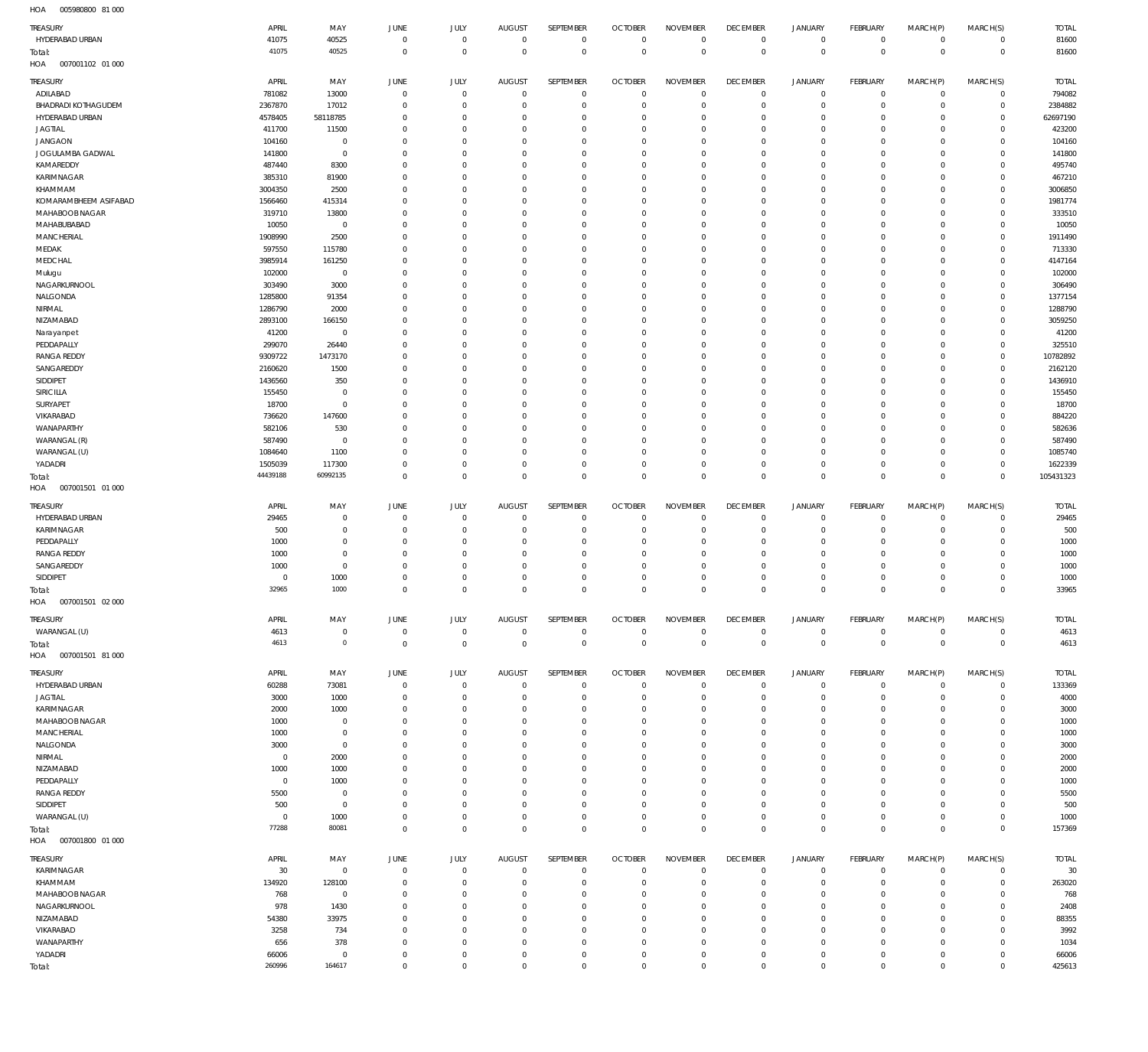| HOA<br>005980800 81 000                 |                    |                               |                            |                               |                                  |                            |                               |                               |                            |                                     |                                  |                            |                             |                    |
|-----------------------------------------|--------------------|-------------------------------|----------------------------|-------------------------------|----------------------------------|----------------------------|-------------------------------|-------------------------------|----------------------------|-------------------------------------|----------------------------------|----------------------------|-----------------------------|--------------------|
| TREASURY                                | APRIL              | MAY                           | JUNE                       | <b>JULY</b>                   | <b>AUGUST</b>                    | SEPTEMBER                  | <b>OCTOBER</b>                | <b>NOVEMBER</b>               | <b>DECEMBER</b>            | <b>JANUARY</b>                      | FEBRUARY                         | MARCH(P)                   | MARCH(S)                    | <b>TOTAL</b>       |
| HYDERABAD URBAN                         | 41075              | 40525                         | $\mathbf 0$                | $\mathbf 0$                   | $\mathbb O$                      | $\mathbf 0$                | $\mathbf{0}$                  | $\mathbf 0$                   | $\mathbf 0$                | $\mathbf 0$                         | $\mathsf 0$                      | $\mathbf 0$                | $\circ$                     | 81600              |
| Total:                                  | 41075              | 40525                         | $\mathbf 0$                | $\mathbf 0$                   | $\Omega$                         | $\mathbb O$                | $\mathbf 0$                   | $\mathbf 0$                   | $\mathbf 0$                | $\mathbf 0$                         | $\overline{0}$                   | $\mathbf 0$                | $\,0\,$                     | 81600              |
| HOA<br>007001102 01 000                 |                    |                               |                            |                               |                                  |                            |                               |                               |                            |                                     |                                  |                            |                             |                    |
| TREASURY                                | APRIL              | MAY                           | <b>JUNE</b>                | <b>JULY</b>                   | <b>AUGUST</b>                    | SEPTEMBER                  | <b>OCTOBER</b>                | <b>NOVEMBER</b>               | <b>DECEMBER</b>            | JANUARY                             | FEBRUARY                         | MARCH(P)                   | MARCH(S)                    | <b>TOTAL</b>       |
| ADILABAD                                | 781082             | 13000                         | $\overline{0}$             | $\mathbf 0$                   | $^{\circ}$                       | $\mathbf 0$                | $\overline{0}$                | $\mathbb O$                   | $\mathbf 0$                | $\mathbf 0$                         | $\overline{0}$                   | $\mathbf 0$                | $\overline{0}$              | 794082             |
| <b>BHADRADI KOTHAGUDEM</b>              | 2367870            | 17012                         | 0                          | $\mathbf 0$                   | $\Omega$                         | $\mathbf 0$                | 0                             | $\mathbf 0$                   | 0                          | $\mathbf 0$                         | $\overline{0}$                   | $\mathbf 0$                | $\circ$                     | 2384882            |
| HYDERABAD URBAN                         | 4578405            | 58118785                      | $\Omega$                   | $\overline{0}$                | $\Omega$                         | $\mathbf 0$                | 0                             | $\mathbf 0$                   | $^{\circ}$                 | $\mathbf 0$                         | $\mathbf 0$                      | $\mathbf 0$                | $\mathbf{0}$                | 62697190           |
| <b>JAGTIAL</b>                          | 411700             | 11500                         | $\Omega$                   | $\mathbf 0$                   | $\Omega$                         | $\mathbf 0$                | 0                             | $\mathbf 0$                   | $\mathbf 0$                | $\mathsf{O}$                        | $\mathbf 0$                      | $\mathbf 0$                | $\circ$                     | 423200             |
| <b>JANGAON</b>                          | 104160             | $\,0\,$                       | $\Omega$                   | $\overline{0}$                | $\Omega$                         | $\mathbf 0$                | 0                             | $\mathbf 0$                   | $\mathbf 0$                | $\mathbf 0$                         | $\mathbf 0$                      | $\Omega$                   | $\mathbf 0$                 | 104160             |
| JOGULAMBA GADWAL                        | 141800             | $\overline{0}$                | $\Omega$                   | $\mathbf 0$                   | $\Omega$                         | $\mathbf 0$                | $\Omega$                      | $\mathbf 0$                   | $\mathbf 0$                | $\mathbf 0$                         | $\mathbf 0$                      | $\mathbf 0$                | $\mathbf 0$                 | 141800             |
| KAMAREDDY                               | 487440             | 8300                          | $\Omega$                   | $\overline{0}$                | $\Omega$                         | $\mathbf 0$                | $\Omega$                      | $\mathbf 0$                   | $\mathbf 0$                | $\mathbf 0$                         | $\mathbf 0$                      | $\Omega$                   | $\mathbf 0$                 | 495740             |
| KARIMNAGAR                              | 385310             | 81900                         | $\Omega$                   | $\overline{0}$                | $\Omega$                         | $\mathbf 0$                | -0                            | $\mathbf 0$                   | $\mathbf 0$                | $\mathbf 0$                         | $\mathbf 0$                      | $\Omega$                   | $\mathbf 0$                 | 467210             |
| KHAMMAM                                 | 3004350            | 2500                          | $\Omega$                   | $\mathbf 0$                   | $\Omega$                         | $\mathbf 0$                | 0                             | $\mathbb O$                   | $\mathbf 0$                | $\mathbf 0$                         | $\mathbf 0$                      | $\mathbf 0$                | $\mathbf 0$                 | 3006850            |
| KOMARAMBHEEM ASIFABAD<br>MAHABOOB NAGAR | 1566460<br>319710  | 415314<br>13800               | $\Omega$<br>$\Omega$       | $\overline{0}$<br>$\mathbf 0$ | $\Omega$<br>$\Omega$             | $\mathbf 0$<br>$\mathbf 0$ | $\Omega$<br>0                 | $\mathbf 0$<br>$\mathbf 0$    | $^{\circ}$<br>$\mathbf 0$  | $\mathbf 0$<br>$\mathbf 0$          | $\mathbf 0$<br>$\mathbf 0$       | $\Omega$<br>$\mathbf 0$    | $\mathbf 0$<br>$\mathbf{0}$ | 1981774<br>333510  |
| MAHABUBABAD                             | 10050              | $\,0\,$                       | $\Omega$                   | $\overline{0}$                | $\Omega$                         | $\mathbf 0$                | -0                            | $\mathbf 0$                   | $^{\circ}$                 | $\mathbf 0$                         | $\mathbf 0$                      | $\Omega$                   | $\mathbf 0$                 | 10050              |
| MANCHERIAL                              | 1908990            | 2500                          | $\Omega$                   | $\mathbf 0$                   | $\Omega$                         | $\mathbf 0$                | 0                             | $\mathbb O$                   | $\mathbf 0$                | $\mathbf 0$                         | $\mathbf 0$                      | $\mathbf 0$                | $\mathbf{0}$                | 1911490            |
| MEDAK                                   | 597550             | 115780                        | $\Omega$                   | $\overline{0}$                | $\Omega$                         | $\mathbf 0$                | -0                            | $\mathbf 0$                   | $^{\circ}$                 | $\mathbf 0$                         | $\mathbf 0$                      | $\Omega$                   | $\mathbf 0$                 | 713330             |
| MEDCHAL                                 | 3985914            | 161250                        | $\Omega$                   | $\overline{0}$                | $\Omega$                         | $\mathbf 0$                | $\Omega$                      | $\mathbf 0$                   | $\mathbf 0$                | $\mathbf 0$                         | $\mathbf 0$                      | $\Omega$                   | $\mathbf{0}$                | 4147164            |
| Mulugu                                  | 102000             | $\,0\,$                       | $\Omega$                   | $\mathbf 0$                   | $\Omega$                         | $\mathbf 0$                | -0                            | $\mathbf 0$                   | $\mathbf 0$                | $\mathbf 0$                         | $\mathbf 0$                      | $\Omega$                   | $\mathbf 0$                 | 102000             |
| NAGARKURNOOL                            | 303490             | 3000                          | $\Omega$                   | $\overline{0}$                | $\Omega$                         | $\mathbf 0$                | $\Omega$                      | $\mathbf 0$                   | $\mathbf 0$                | $\mathbf 0$                         | $\mathbf 0$                      | $\Omega$                   | $\mathbf 0$                 | 306490             |
| NALGONDA                                | 1285800            | 91354                         | $\Omega$                   | $\mathbf 0$                   | $\Omega$                         | $\mathbf 0$                | -0                            | $\mathbf 0$                   | $\mathbf 0$                | $\mathbf 0$                         | $\mathbf 0$                      | $\mathbf 0$                | $\circ$                     | 1377154            |
| NIRMAL                                  | 1286790            | 2000                          | $\Omega$                   | $\overline{0}$                | $\Omega$                         | $\mathbf 0$                | $\Omega$                      | $\mathbf 0$                   | $^{\circ}$                 | $\mathbf 0$                         | $\mathbf 0$                      | $\Omega$                   | $\mathbf 0$                 | 1288790            |
| NIZAMABAD                               | 2893100            | 166150                        | $\Omega$                   | $\mathbf 0$                   | $\Omega$                         | $\mathbf 0$                | - 0                           | $\mathbf 0$                   | $\mathbf 0$                | $\mathbf 0$                         | $\mathbf 0$                      | $\mathbf 0$                | $\circ$                     | 3059250            |
| Narayanpet                              | 41200              | $\,0\,$                       | $\Omega$                   | $\overline{0}$                | $\Omega$                         | $\mathbf 0$                | $\Omega$                      | $\mathbf 0$                   | $\mathbf 0$                | $\mathbf 0$                         | $\mathbf 0$                      | $\Omega$                   | $\mathbf 0$                 | 41200              |
| PEDDAPALLY                              | 299070             | 26440                         | $\Omega$                   | $\mathbf 0$                   | $\Omega$                         | $\mathbf 0$                | $\Omega$                      | $\mathbf 0$                   | $\mathbf 0$                | $\mathbf 0$                         | $\mathbf 0$                      | $\mathbf 0$                | $\mathbf{0}$                | 325510             |
| <b>RANGA REDDY</b>                      | 9309722            | 1473170                       | $\Omega$                   | $\overline{0}$                | $\Omega$                         | $\mathbf 0$                | $\Omega$                      | $\mathbf 0$                   | $^{\circ}$                 | $\mathbf 0$                         | $\mathbf 0$                      | $\Omega$                   | $\mathbf 0$                 | 10782892           |
| SANGAREDDY<br>SIDDIPET                  | 2160620<br>1436560 | 1500<br>350                   | $\Omega$<br>$\Omega$       | $\mathbf 0$<br>$\mathbf 0$    | $\Omega$<br>$\Omega$             | $\mathbf 0$<br>$\mathbf 0$ | -0<br>0                       | $\mathbf 0$<br>$\mathbb O$    | $\mathbf 0$<br>$\mathbf 0$ | $\mathbf 0$<br>$\mathbf 0$          | $\mathbf 0$<br>$\mathbf 0$       | $\Omega$<br>$\mathbf 0$    | $\mathbf{0}$<br>$\mathbf 0$ | 2162120<br>1436910 |
| SIRICILLA                               | 155450             | $\,0\,$                       | $\Omega$                   | $\overline{0}$                | $\Omega$                         | $\mathbf 0$                | $\Omega$                      | $\mathbf 0$                   | $^{\circ}$                 | $\mathbf 0$                         | $\mathbf 0$                      | $\Omega$                   | $\mathbf 0$                 | 155450             |
| SURYAPET                                | 18700              | $\,0\,$                       | $\Omega$                   | $\overline{0}$                | $\Omega$                         | $\mathbf 0$                | $\Omega$                      | $\mathbf 0$                   | $\mathbf 0$                | $\mathbf 0$                         | $\mathbf 0$                      | $\mathbf 0$                | $\mathbf 0$                 | 18700              |
| VIKARABAD                               | 736620             | 147600                        | $\Omega$                   | $\overline{0}$                | $\Omega$                         | $\mathbf 0$                | -0                            | $\mathbf 0$                   | $^{\circ}$                 | $\mathbf 0$                         | $\mathbf 0$                      | $\Omega$                   | $\mathbf 0$                 | 884220             |
| WANAPARTHY                              | 582106             | 530                           | $\Omega$                   | $\mathbf 0$                   | $\Omega$                         | $\mathbf 0$                | 0                             | $\mathbb O$                   | $\mathbf 0$                | $\mathbf 0$                         | $\mathbf 0$                      | $\mathbf 0$                | $\mathbf 0$                 | 582636             |
| WARANGAL (R)                            | 587490             | $\,0\,$                       | $\Omega$                   | $\overline{0}$                | $\Omega$                         | $\mathbf 0$                | -0                            | $\mathbf 0$                   | $^{\circ}$                 | $\mathbf 0$                         | $\mathbf 0$                      | $\Omega$                   | $\mathbf 0$                 | 587490             |
| WARANGAL (U)                            | 1084640            | 1100                          | $\Omega$                   | $\mathbf 0$                   | $\Omega$                         | $\mathbf 0$                | $\Omega$                      | $\mathbf 0$                   | $\mathbf 0$                | $\mathbf 0$                         | $\mathbf 0$                      | $\mathbf 0$                | $\mathbf{0}$                | 1085740            |
| YADADRI                                 | 1505039            | 117300                        | $\Omega$                   | $\mathbf 0$                   | $\Omega$                         | $\mathbf 0$                | 0                             | $\mathbb O$                   | $\mathbf 0$                | $\mathbf 0$                         | $\mathbf 0$                      | $\mathbf 0$                | $\circ$                     | 1622339            |
| Total:                                  | 44439188           | 60992135                      | $\mathbf 0$                | $\mathbf 0$                   | $\Omega$                         | $\mathbf 0$                | $\overline{0}$                | $\mathbf 0$                   | $\mathbf 0$                | $\mathsf{O}\xspace$                 | $\mathbf 0$                      | $\mathbf 0$                | $\mathbb O$                 | 105431323          |
| HOA<br>007001501 01 000                 |                    |                               |                            |                               |                                  |                            |                               |                               |                            |                                     |                                  |                            |                             |                    |
|                                         |                    |                               |                            |                               |                                  |                            |                               |                               |                            |                                     |                                  |                            |                             |                    |
|                                         |                    |                               |                            |                               |                                  |                            |                               |                               |                            |                                     |                                  |                            |                             |                    |
| TREASURY                                | APRIL              | MAY                           | <b>JUNE</b><br>$^{\circ}$  | <b>JULY</b><br>$\mathbf 0$    | <b>AUGUST</b><br>$\overline{0}$  | SEPTEMBER<br>$\mathbf 0$   | <b>OCTOBER</b><br>0           | <b>NOVEMBER</b><br>$^{\circ}$ | <b>DECEMBER</b><br>0       | JANUARY<br>$\mathbf 0$              | FEBRUARY<br>$\mathbf 0$          | MARCH(P)<br>$\mathbf 0$    | MARCH(S)<br>$\circ$         | <b>TOTAL</b>       |
| HYDERABAD URBAN<br>KARIMNAGAR           | 29465<br>500       | $\overline{0}$<br>$\mathbf 0$ | $\Omega$                   | $\mathbf 0$                   | $\Omega$                         | $\mathbf 0$                | $\overline{0}$                | $\mathbf 0$                   | $\mathbf 0$                | $\mathbf 0$                         | $\mathbf 0$                      | $\mathbf 0$                | $\mathbf{0}$                | 29465<br>500       |
| PEDDAPALLY                              | 1000               | $\,0\,$                       | $\Omega$                   | $\mathbf 0$                   | $\Omega$                         | $\mathbf{0}$               | - 0                           | $\mathbf 0$                   | $\mathbf 0$                | $\mathbf 0$                         | $\mathbf 0$                      | $\Omega$                   | $\mathbf 0$                 | 1000               |
| <b>RANGA REDDY</b>                      | 1000               | $\mathbf 0$                   | $\Omega$                   | $^{\circ}$                    | $\Omega$                         | $\mathbf 0$                | $\Omega$                      | $\mathbf 0$                   | $\mathbf 0$                | $\mathbf 0$                         | $\mathbf 0$                      | $\Omega$                   | $\mathbf 0$                 | 1000               |
| SANGAREDDY                              | 1000               | $\mathbf 0$                   | $\Omega$                   | $^{\circ}$                    | $\Omega$                         | $^{\circ}$                 | $\Omega$                      | $\mathbf 0$                   | $\mathbf 0$                | $\mathbf 0$                         | $\mathbf 0$                      | $\Omega$                   | $\mathbf 0$                 | 1000               |
| SIDDIPET                                | - 0                | 1000                          | $\Omega$                   | $^{\circ}$                    | $\Omega$                         | $\mathbf 0$                | $\Omega$                      | $\mathbf 0$                   | $\mathbf 0$                | $\mathbf 0$                         | $\Omega$                         | $\Omega$                   | $\mathbf 0$                 | 1000               |
| Total:                                  | 32965              | 1000                          | $\overline{0}$             | $\overline{0}$                | $\circ$                          | $\mathbf 0$                | $\Omega$                      | $\mathbf 0$                   | $\mathbf 0$                | $\mathbf 0$                         | $\mathbf 0$                      | $\Omega$                   | $\mathbf{0}$                | 33965              |
| HOA<br>007001501 02 000                 |                    |                               |                            |                               |                                  |                            |                               |                               |                            |                                     |                                  |                            |                             |                    |
| TREASURY                                | APRIL              | MAY                           | JUNE                       | JULY                          | <b>AUGUST</b>                    | SEPTEMBER                  | <b>OCTOBER</b>                | <b>NOVEMBER</b>               | <b>DECEMBER</b>            | <b>JANUARY</b>                      | <b>FEBRUARY</b>                  | MARCH(P)                   | MARCH(S)                    | <b>TOTAL</b>       |
| WARANGAL (U)                            | 4613               | $\,0\,$                       | $\overline{0}$             | $\overline{0}$                | $\mathbb O$                      | $\mathbf 0$                | $\overline{0}$                | $\mathbb O$                   | $\mathbf 0$                | $\mathsf{O}\xspace$                 | $\overline{0}$                   | $\overline{0}$             | $\overline{0}$              | 4613               |
| Total:                                  | 4613               | $\circ$                       | $\mathbf 0$                | $\mathbf 0$                   | $\Omega$                         | $\mathbb O$                | $\mathbf{0}$                  | $\mathsf 0$                   | $\mathbf 0$                | $\mathsf{O}\xspace$                 | $\mathbf{0}$                     | $\mathbf 0$                | $\overline{0}$              | 4613               |
| HOA<br>007001501 81 000                 |                    |                               |                            |                               |                                  |                            |                               |                               |                            |                                     |                                  |                            |                             |                    |
| TREASURY                                | APRIL              | MAY                           | JUNE                       | JULY                          | <b>AUGUST</b>                    | <b>SEPTEMBER</b>           | <b>OCTOBER</b>                | <b>NOVEMBER</b>               | <b>DECEMBER</b>            | <b>JANUARY</b>                      | FEBRUARY                         | MARCH(P)                   | MARCH(S)                    | <b>TOTAL</b>       |
| HYDERABAD URBAN                         | 60288              | 73081                         | $^{\circ}$                 | $\mathbf 0$                   | $\overline{0}$                   | $\mathbf 0$                | $\overline{0}$                | $\mathbf 0$                   | $\mathbf 0$                | $\mathbf 0$                         | $\mathbf 0$                      | $\mathbf 0$                | $\circ$                     | 133369             |
| <b>JAGTIAL</b>                          | 3000               | 1000                          | $\overline{0}$             | $\mathbf 0$                   | $\Omega$                         | $\mathbf 0$                | $\overline{0}$                | $\mathbf 0$                   | $\mathbf 0$                | $\mathbf 0$                         | $\mathbf 0$                      | $\mathbf 0$                | $\mathbf{0}$                | 4000               |
| KARIMNAGAR                              | 2000               | 1000                          | $\Omega$                   | $^{\circ}$                    | $\Omega$                         | $^{\circ}$                 | 0                             | $\mathbf 0$                   | $\mathbf 0$                | $\mathbf 0$                         | $\mathbf 0$                      | $\Omega$                   | $\mathbf 0$                 | 3000               |
| MAHABOOB NAGAR                          | 1000               | $\,0\,$                       | $\Omega$                   | $^{\circ}$                    | $\Omega$                         | $\mathbf 0$                | 0                             | $\mathbf 0$                   | $\mathbf 0$                | $\mathbf 0$                         | $\mathbf 0$                      | $\Omega$                   | $\mathbf 0$                 | 1000               |
| MANCHERIAL                              | 1000               | $\overline{0}$                | $\Omega$                   | $^{\circ}$                    | $\Omega$                         | $\mathbf{0}$               | $\Omega$                      | $\mathbf 0$                   | $\mathbf 0$                | $\mathbf 0$                         | $\mathbf 0$                      | $\Omega$                   | $\mathbf 0$                 | 1000               |
| NALGONDA                                | 3000               | $\mathbf 0$                   | $\Omega$                   | $\overline{0}$                | $\Omega$                         | $\mathbf 0$                | $\Omega$                      | $\mathbf 0$                   | $^{\circ}$                 | $\mathbf 0$                         | $\mathbf 0$                      | $\Omega$                   | $\mathbf 0$                 | 3000               |
| NIRMAL                                  | $\overline{0}$     | 2000                          | $\Omega$                   | $^{\circ}$                    | $\Omega$                         | $\mathbf{0}$               | $\Omega$                      | $\mathbf 0$                   | $^{\circ}$                 | $\mathbf 0$                         | $\mathbf 0$                      | $\Omega$                   | $\mathbf 0$                 | 2000               |
| NIZAMABAD                               | 1000               | 1000                          | $\Omega$                   | $^{\circ}$                    | $\Omega$                         | $\mathbf 0$                | $\Omega$                      | $\mathbf 0$                   | $^{\circ}$                 | $\mathbf 0$                         | $\Omega$                         | $\Omega$                   | $\mathbf 0$                 | 2000               |
| PEDDAPALLY                              | $\overline{0}$     | 1000                          | $\Omega$                   | $^{\circ}$                    | $\Omega$                         | $\mathbf 0$                | $\Omega$                      | $\mathbf 0$                   | $^{\circ}$                 | $\mathbf 0$                         | $\mathbf 0$                      | $\Omega$                   | $\mathbf 0$                 | 1000               |
| <b>RANGA REDDY</b>                      | 5500               | $\,0\,$                       | $\Omega$                   | $\overline{0}$                | $\Omega$                         | $\mathbf 0$                | $\Omega$                      | $\mathbf 0$                   | $^{\circ}$                 | $\mathbf 0$                         | $\mathbf 0$                      | $\Omega$                   | $\mathbf 0$                 | 5500               |
| SIDDIPET                                | 500<br>$\Omega$    | $\overline{0}$                | $\Omega$<br>$\Omega$       | $\overline{0}$                | $\Omega$                         | $\mathbf{0}$               | $\Omega$<br>0                 | $\mathbf 0$                   | $^{\circ}$<br>$\mathbf 0$  | $\mathbf 0$                         | $\mathbf 0$<br>$\mathbf 0$       | $\Omega$<br>$\mathbf 0$    | $\mathbf 0$<br>$\mathbf 0$  | 500                |
| WARANGAL (U)<br>Total:                  | 77288              | 1000<br>80081                 | $\overline{0}$             | $\mathbf 0$<br>$\overline{0}$ | $\overline{0}$<br>$\overline{0}$ | $\mathbf 0$<br>$\mathbf 0$ | $\mathbf 0$                   | $\mathbb O$<br>$\mathbf 0$    | $\mathbf 0$                | $\mathsf{O}$<br>$\mathbf 0$         | $\mathbf 0$                      | $\mathbf 0$                | $\mathbf 0$                 | 1000<br>157369     |
| HOA<br>007001800 01 000                 |                    |                               |                            |                               |                                  |                            |                               |                               |                            |                                     |                                  |                            |                             |                    |
|                                         |                    |                               |                            |                               |                                  |                            |                               |                               |                            |                                     |                                  |                            |                             |                    |
| TREASURY                                | APRIL              | MAY                           | JUNE                       | JULY                          | <b>AUGUST</b>                    | SEPTEMBER                  | <b>OCTOBER</b>                | <b>NOVEMBER</b>               | <b>DECEMBER</b>            | JANUARY                             | <b>FEBRUARY</b>                  | MARCH(P)                   | MARCH(S)                    | <b>TOTAL</b>       |
| KARIMNAGAR                              | 30                 | $\,0\,$                       | $\overline{0}$             | $\mathbf 0$                   | $\mathbf 0$<br>$\Omega$          | $\mathbf 0$                | 0<br>$\overline{0}$           | $\mathbf 0$                   | $\mathbf 0$                | $\mathbf 0$                         | $\overline{0}$                   | $\mathbf 0$<br>$\mathbf 0$ | $\circ$                     | 30                 |
| KHAMMAM<br>MAHABOOB NAGAR               | 134920             | 128100<br>$\overline{0}$      | $\mathbf 0$<br>$^{\circ}$  | $\mathbf 0$<br>$\mathbf 0$    | $\Omega$                         | $\mathbf 0$<br>$\mathbf 0$ | 0                             | $\mathbb O$<br>$\mathbb O$    | $\mathbf 0$<br>$\mathbf 0$ | $\mathsf{O}$<br>$\mathsf{O}$        | $\overline{0}$<br>$\overline{0}$ | $\mathbf 0$                | $\overline{0}$<br>$\circ$   | 263020<br>768      |
| NAGARKURNOOL                            | 768<br>978         | 1430                          | $\Omega$                   | $\overline{0}$                | $\Omega$                         | $\mathbf 0$                | $\Omega$                      | $\mathbf 0$                   | $\mathbf 0$                | $\mathbf 0$                         | $\mathbf 0$                      | $\mathbf 0$                | $\mathbf{0}$                | 2408               |
| NIZAMABAD                               | 54380              | 33975                         | $\Omega$                   | $\mathbf 0$                   | $\Omega$                         | $\mathbf 0$                | 0                             | $\mathbf 0$                   | $\mathbf 0$                | $\mathsf{O}$                        | $\mathbf 0$                      | $\mathbf 0$                | $\circ$                     | 88355              |
| VIKARABAD                               | 3258               | 734                           | $\Omega$                   | $\overline{0}$                | $\Omega$                         | $\mathbf 0$                | $\overline{0}$                | $\mathbb O$                   | $\mathbf 0$                | $\mathbf 0$                         | $\mathbf 0$                      | $\mathbf 0$                | $\mathbf 0$                 | 3992               |
| WANAPARTHY                              | 656                | 378                           | $\Omega$                   | $\mathbf 0$                   | $\Omega$                         | $\mathbf 0$                | $\overline{0}$                | $\mathbf 0$                   | $\mathbf 0$                | $\mathsf{O}$                        | $\mathbf 0$                      | $\mathbf 0$                | $\circ$                     | 1034               |
| YADADRI<br>Total:                       | 66006<br>260996    | $\mathbf 0$<br>164617         | $\Omega$<br>$\overline{0}$ | $\mathbf 0$<br>$\overline{0}$ | $\Omega$<br>$\overline{0}$       | $\mathbf 0$<br>$\mathbf 0$ | $\overline{0}$<br>$\mathbf 0$ | $\mathbb O$<br>$\mathbf 0$    | $\mathbf 0$<br>$\mathbf 0$ | $\mathsf{O}$<br>$\mathsf{O}\xspace$ | $\mathbf 0$<br>$\mathbf 0$       | $\mathbf 0$<br>$\mathbf 0$ | $\circ$<br>$\mathbb O$      | 66006<br>425613    |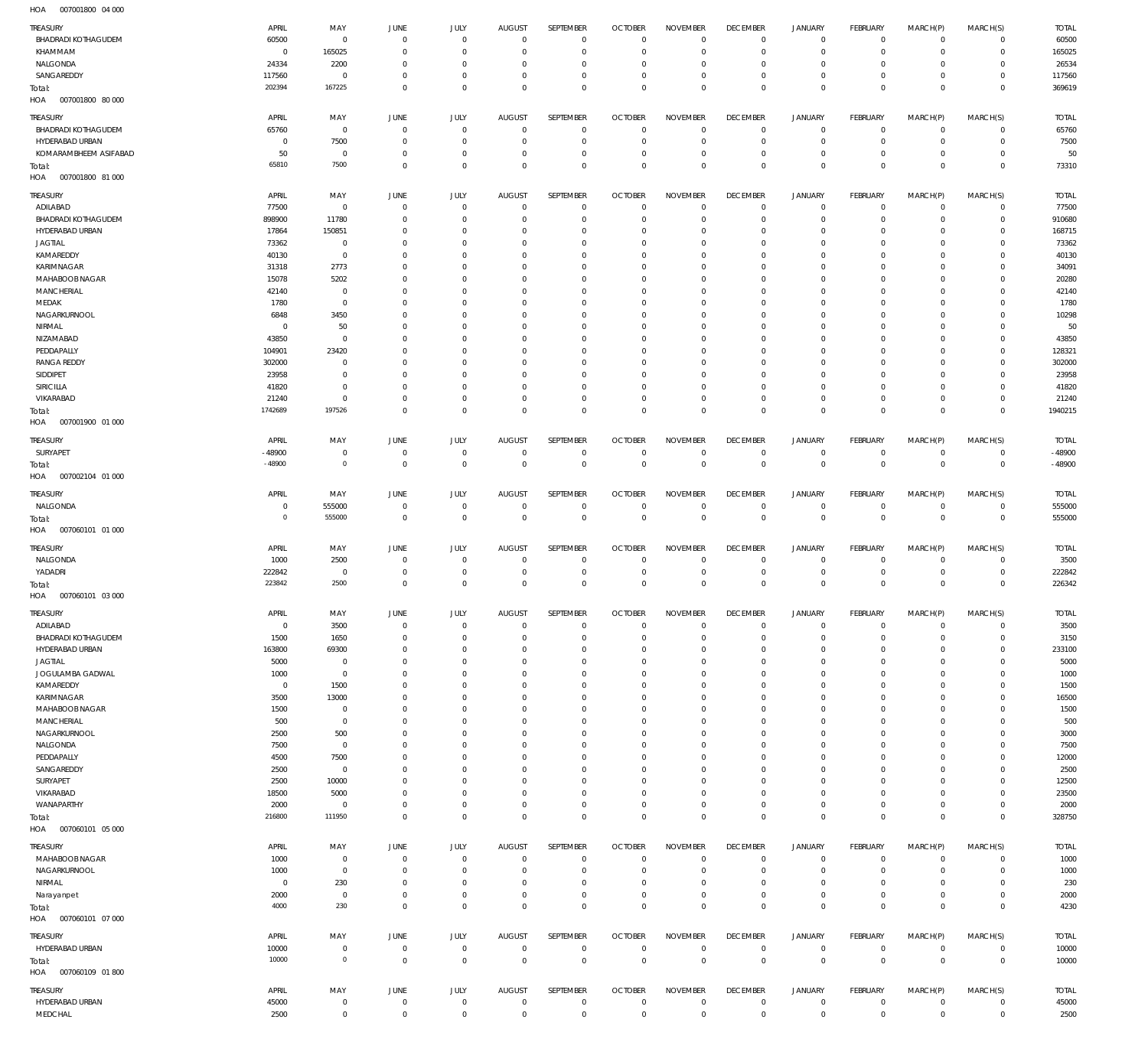007001800 04 000 HOA

| TREASURY<br>BHADRADI KOTHAGUDEM<br>KHAMMAM<br>NALGONDA<br>SANGAREDDY<br>Total:                                                                                                                                                                                                  | APRIL<br>60500<br>$\Omega$<br>24334<br>117560<br>202394                                                                                                   | MAY<br>$\mathbf 0$<br>165025<br>2200<br>$^{\circ}$<br>167225                                                                                                                                     | JUNE<br>$^{\circ}$<br>$\Omega$<br>$\Omega$<br>$\Omega$<br>$\Omega$                                                                                                  | JULY<br>$\overline{0}$<br>$\Omega$<br>$\Omega$<br>$\Omega$<br>$\overline{0}$                                                                                                                                           | <b>AUGUST</b><br>$\Omega$<br>$\Omega$<br>0<br>$\Omega$<br>$\Omega$                                                                                                              | SEPTEMBER<br>$\overline{0}$<br>$\Omega$<br>$\Omega$<br>$\overline{0}$<br>$\overline{0}$                                                                                                                                                   | <b>OCTOBER</b><br>$\Omega$<br>-C<br>$\Omega$<br>$\Omega$<br>$\Omega$                                                                                                                                                             | <b>NOVEMBER</b><br>$\Omega$<br>$\Omega$<br>$\Omega$<br>$\Omega$<br>$\Omega$                                                                                                                                                    | <b>DECEMBER</b><br>$\Omega$<br>$\Omega$<br>$\Omega$<br>$\Omega$<br>$\Omega$                                                                                                                                | <b>JANUARY</b><br>$\mathbf 0$<br>$\mathbf 0$<br>$\mathbf 0$<br>$\mathbf 0$<br>$\mathbf{0}$                                                                                                                                            | <b>FEBRUARY</b><br>$\mathbf 0$<br>$\Omega$<br>$\Omega$<br>$\Omega$<br>$\Omega$                                                                                                                                                | MARCH(P)<br>$\mathbf 0$<br>$\Omega$<br>$\Omega$<br>$\Omega$<br>$\Omega$                                                                                                                                       | MARCH(S)<br>$\mathbf 0$<br>$\mathbf 0$<br>$\Omega$<br>$\mathbf 0$<br>$\Omega$                                                                                                                                                     | <b>TOTAL</b><br>60500<br>165025<br>26534<br>117560<br>369619                                                                                                |
|---------------------------------------------------------------------------------------------------------------------------------------------------------------------------------------------------------------------------------------------------------------------------------|-----------------------------------------------------------------------------------------------------------------------------------------------------------|--------------------------------------------------------------------------------------------------------------------------------------------------------------------------------------------------|---------------------------------------------------------------------------------------------------------------------------------------------------------------------|------------------------------------------------------------------------------------------------------------------------------------------------------------------------------------------------------------------------|---------------------------------------------------------------------------------------------------------------------------------------------------------------------------------|-------------------------------------------------------------------------------------------------------------------------------------------------------------------------------------------------------------------------------------------|----------------------------------------------------------------------------------------------------------------------------------------------------------------------------------------------------------------------------------|--------------------------------------------------------------------------------------------------------------------------------------------------------------------------------------------------------------------------------|------------------------------------------------------------------------------------------------------------------------------------------------------------------------------------------------------------|---------------------------------------------------------------------------------------------------------------------------------------------------------------------------------------------------------------------------------------|-------------------------------------------------------------------------------------------------------------------------------------------------------------------------------------------------------------------------------|---------------------------------------------------------------------------------------------------------------------------------------------------------------------------------------------------------------|-----------------------------------------------------------------------------------------------------------------------------------------------------------------------------------------------------------------------------------|-------------------------------------------------------------------------------------------------------------------------------------------------------------|
| HOA   007001800   80   000<br>TREASURY<br>BHADRADI KOTHAGUDEM<br>HYDERABAD URBAN<br>KOMARAMBHEEM ASIFABAD<br>Total:<br>HOA<br>007001800 81 000                                                                                                                                  | APRIL<br>65760<br>$\overline{0}$<br>50<br>65810                                                                                                           | MAY<br>$\,0\,$<br>7500<br>$\,0\,$<br>7500                                                                                                                                                        | JUNE<br>$\overline{0}$<br>$\overline{0}$<br>$\Omega$<br>$\Omega$                                                                                                    | JULY<br>$\overline{0}$<br>$\mathbf 0$<br>$\mathbf 0$<br>$\mathbf 0$                                                                                                                                                    | <b>AUGUST</b><br>$\overline{0}$<br>$\Omega$<br>$\Omega$<br>$\Omega$                                                                                                             | SEPTEMBER<br>$\mathbf 0$<br>$\mathbf 0$<br>$\mathbf 0$<br>$\mathbf 0$                                                                                                                                                                     | <b>OCTOBER</b><br>C<br>$\overline{0}$<br>0<br>$\Omega$                                                                                                                                                                           | <b>NOVEMBER</b><br>$^{\circ}$<br>$\mathbf 0$<br>$\mathbf{0}$<br>$\mathbf 0$                                                                                                                                                    | <b>DECEMBER</b><br>$\overline{0}$<br>$^{\circ}$<br>$\overline{0}$<br>$\Omega$                                                                                                                              | <b>JANUARY</b><br>$\mathbf 0$<br>$\mathbf 0$<br>$\mathbf 0$<br>$\mathbf 0$                                                                                                                                                            | <b>FEBRUARY</b><br>$\circ$<br>$\mathbf 0$<br>$\circ$<br>$\Omega$                                                                                                                                                              | MARCH(P)<br>$\circ$<br>$\mathbf 0$<br>$\mathbf 0$<br>$\mathbf 0$                                                                                                                                              | MARCH(S)<br>$\mathbf 0$<br>$\mathbf 0$<br>$\mathbf 0$<br>$\mathbf 0$                                                                                                                                                              | <b>TOTAL</b><br>65760<br>7500<br>50<br>73310                                                                                                                |
| TREASURY<br>ADILABAD<br>BHADRADI KOTHAGUDEM<br>HYDERABAD URBAN<br><b>JAGTIAL</b><br>KAMAREDDY<br>KARIMNAGAR<br>MAHABOOB NAGAR<br><b>MANCHERIAL</b><br>MEDAK<br>NAGARKURNOOL<br>NIRMAL<br>NIZAMABAD<br>PEDDAPALLY<br><b>RANGA REDDY</b>                                          | APRIL<br>77500<br>898900<br>17864<br>73362<br>40130<br>31318<br>15078<br>42140<br>1780<br>6848<br>$\Omega$<br>43850<br>104901<br>302000                   | MAY<br>$\mathbb O$<br>11780<br>150851<br>$^{\circ}$<br>$\mathbb O$<br>2773<br>5202<br>$^{\circ}$<br>$\mathbb O$<br>3450<br>50<br>$\mathbf{0}$<br>23420<br>$\overline{0}$                         | JUNE<br>$\Omega$<br>$\Omega$<br>$\Omega$<br>$\Omega$<br>C<br>$\Omega$<br>C<br>C<br>C<br>C<br>C<br>C<br>C<br>$\Omega$                                                | JULY<br>$\mathbf{0}$<br>$\Omega$<br>$\Omega$<br>$\Omega$<br>$\Omega$<br>$\Omega$<br>$\Omega$<br>$\Omega$<br>$\Omega$<br>$\Omega$<br>$\Omega$<br>$\Omega$<br>$\Omega$<br>$\Omega$                                       | <b>AUGUST</b><br>$\Omega$<br>$\Omega$<br>0<br>0<br>0<br>$\Omega$<br>0<br>$\Omega$<br>0<br>0<br>0<br>0<br>0<br>0                                                                 | SEPTEMBER<br>$\overline{0}$<br>$\overline{0}$<br>$\Omega$<br>$\Omega$<br>$\Omega$<br>$\Omega$<br>$\Omega$<br>$\Omega$<br>$\Omega$<br>$\Omega$<br>$\Omega$<br>$\Omega$<br>$\Omega$<br>$\Omega$                                             | <b>OCTOBER</b><br>$\Omega$<br>$\Omega$<br>C<br>$\Omega$<br>C<br>$\Omega$<br>-C<br>C<br>C<br>-C<br>C<br>C<br>C<br>0                                                                                                               | <b>NOVEMBER</b><br>$\Omega$<br>$^{\circ}$<br>$\Omega$<br>$\Omega$<br>$\Omega$<br>$\Omega$<br>$\Omega$<br>$\Omega$<br>$\Omega$<br>$\Omega$<br>$\Omega$<br>$\Omega$<br>$\Omega$<br>$\Omega$                                      | <b>DECEMBER</b><br>$\Omega$<br>0<br>$\Omega$<br>$\Omega$<br>0<br>$\Omega$<br>0<br>$\Omega$<br>0<br>$\Omega$<br>0<br>$\Omega$<br>0<br>$\Omega$                                                              | <b>JANUARY</b><br>$\mathbf 0$<br>$\mathbf 0$<br>$\Omega$<br>$\Omega$<br>$\Omega$<br>$\Omega$<br>$\Omega$<br>$\Omega$<br>$\Omega$<br>$\Omega$<br>$\Omega$<br>$\Omega$<br>$\Omega$<br>$\Omega$                                          | <b>FEBRUARY</b><br>$\mathbf 0$<br>$\circ$<br>$\Omega$<br>$\Omega$<br>$\Omega$<br>$\Omega$<br>$\Omega$<br>$\Omega$<br>$\Omega$<br>$\Omega$<br>$\Omega$<br>$\Omega$<br>$\Omega$<br>$\Omega$                                     | MARCH(P)<br>$\mathbf 0$<br>$\mathbf 0$<br>$\Omega$<br>$\Omega$<br>$\Omega$<br>$\Omega$<br>$\Omega$<br>$\Omega$<br>$\Omega$<br>$\Omega$<br>$\Omega$<br>$\Omega$<br>$\Omega$<br>$\Omega$                        | MARCH(S)<br>$\mathbf 0$<br>$\mathbf 0$<br>$\Omega$<br>$\Omega$<br>$\Omega$<br>$\Omega$<br>$\Omega$<br>$\Omega$<br>$\Omega$<br>$\Omega$<br>$\Omega$<br>$\Omega$<br>$\Omega$<br>$\Omega$                                            | <b>TOTAL</b><br>77500<br>910680<br>168715<br>73362<br>40130<br>34091<br>20280<br>42140<br>1780<br>10298<br>50<br>43850<br>128321<br>302000                  |
| SIDDIPET<br><b>SIRICILLA</b><br>VIKARABAD<br>Total:<br>HOA<br>007001900 01 000<br>TREASURY<br>SURYAPET                                                                                                                                                                          | 23958<br>41820<br>21240<br>1742689<br>APRIL<br>$-48900$<br>$-48900$                                                                                       | $^{\circ}$<br>$\mathbb O$<br>$\mathbf{0}$<br>197526<br>MAY<br>$\mathbf 0$<br>$\mathbb O$                                                                                                         | C<br>$\Omega$<br>$\Omega$<br>$\Omega$<br>JUNE<br>$^{\circ}$<br>$\mathbf{0}$                                                                                         | $\Omega$<br>$\Omega$<br>$\Omega$<br>$\Omega$<br>JULY<br>$\mathbf 0$<br>$\mathbb O$                                                                                                                                     | -C<br>$\Omega$<br>$\Omega$<br>$\Omega$<br><b>AUGUST</b><br>$\overline{0}$<br>$\overline{0}$                                                                                     | $\Omega$<br>$\Omega$<br>$\Omega$<br>$\overline{0}$<br>SEPTEMBER<br>$\mathbf 0$<br>$\mathbb O$                                                                                                                                             | -C<br>$\Omega$<br>C<br>$\Omega$<br><b>OCTOBER</b><br>$\overline{0}$<br>$\mathbf{0}$                                                                                                                                              | $\Omega$<br>$\Omega$<br>$\Omega$<br>$\Omega$<br><b>NOVEMBER</b><br>$\mathbf 0$<br>$\mathbf 0$                                                                                                                                  | 0<br>$\Omega$<br>$\Omega$<br>$\Omega$<br><b>DECEMBER</b><br>$\mathbf 0$<br>$\overline{0}$                                                                                                                  | $\Omega$<br>$\Omega$<br>$^{\circ}$<br>$\Omega$<br><b>JANUARY</b><br>$\mathbf 0$<br>$\mathbf 0$                                                                                                                                        | $\Omega$<br>$\Omega$<br>$\circ$<br>$\Omega$<br><b>FEBRUARY</b><br>$\mathbf 0$<br>$\overline{0}$                                                                                                                               | $\Omega$<br>$\Omega$<br>$\Omega$<br>$\Omega$<br>MARCH(P)<br>$\mathbf 0$<br>$\mathbf 0$                                                                                                                        | $\Omega$<br>$\Omega$<br>$\mathbf 0$<br>$\Omega$<br>MARCH(S)<br>0<br>$\mathbf 0$                                                                                                                                                   | 23958<br>41820<br>21240<br>1940215<br><b>TOTAL</b><br>$-48900$<br>$-48900$                                                                                  |
| Total:<br>007002104 01 000<br>HOA<br>TREASURY<br>NALGONDA<br>Total:<br>HOA<br>007060101 01 000<br>TREASURY                                                                                                                                                                      | APRIL<br>$\mathsf{C}$<br>$\circ$<br>APRIL                                                                                                                 | MAY<br>555000<br>555000<br>MAY                                                                                                                                                                   | JUNE<br>$^{\circ}$<br>$^{\circ}$<br>JUNE                                                                                                                            | JULY<br>$\overline{0}$<br>$\mathbb O$<br>JULY                                                                                                                                                                          | <b>AUGUST</b><br>$\Omega$<br>$\Omega$<br><b>AUGUST</b>                                                                                                                          | SEPTEMBER<br>$\overline{0}$<br>$\mathbb O$<br>SEPTEMBER                                                                                                                                                                                   | <b>OCTOBER</b><br>$\Omega$<br>$\mathbf 0$<br><b>OCTOBER</b>                                                                                                                                                                      | <b>NOVEMBER</b><br>$^{\circ}$<br>$\mathbf 0$<br><b>NOVEMBER</b>                                                                                                                                                                | <b>DECEMBER</b><br>$^{\circ}$<br>$^{\circ}$<br><b>DECEMBER</b>                                                                                                                                             | <b>JANUARY</b><br>$\mathbf 0$<br>$\mathbf 0$<br><b>JANUARY</b>                                                                                                                                                                        | <b>FEBRUARY</b><br>$\mathbf 0$<br>$\mathbf 0$<br><b>FEBRUARY</b>                                                                                                                                                              | MARCH(P)<br>$\mathbf 0$<br>$\mathbf 0$<br>MARCH(P)                                                                                                                                                            | MARCH(S)<br>$\mathbf 0$<br>$\mathbf 0$<br>MARCH(S)                                                                                                                                                                                | <b>TOTAL</b><br>555000<br>555000<br><b>TOTAL</b>                                                                                                            |
| NALGONDA<br>YADADRI<br>Total:<br>HOA   007060101   03   000                                                                                                                                                                                                                     | 1000<br>222842<br>223842                                                                                                                                  | 2500<br>$\mathbf 0$<br>2500                                                                                                                                                                      | $\overline{0}$<br>$^{\circ}$<br>$\Omega$                                                                                                                            | $\overline{0}$<br>$\mathbf 0$<br>$\overline{0}$                                                                                                                                                                        | $\overline{0}$<br>$\Omega$<br>$\Omega$                                                                                                                                          | $\mathbf 0$<br>$\mathbf 0$<br>$\mathbf 0$<br>SEPTEMBER                                                                                                                                                                                    | C<br>$\overline{0}$<br>$\Omega$                                                                                                                                                                                                  | $\overline{0}$<br>$\mathbf{0}$<br>$\mathbf 0$                                                                                                                                                                                  | 0<br>$^{\circ}$<br>$\Omega$<br><b>DECEMBER</b>                                                                                                                                                             | $\mathbf 0$<br>$\mathsf{O}$<br>$\mathbf 0$                                                                                                                                                                                            | $\circ$<br>$\mathbf 0$<br>$\Omega$                                                                                                                                                                                            | $\circ$<br>$\mathbf 0$<br>$\Omega$                                                                                                                                                                            | $\mathbf 0$<br>$\mathbf 0$<br>$\mathbf 0$                                                                                                                                                                                         | 3500<br>222842<br>226342                                                                                                                                    |
| TREASURY<br>ADILABAD<br><b>BHADRADI KOTHAGUDEM</b><br>HYDERABAD URBAN<br><b>JAGTIAL</b><br>JOGULAMBA GADWAL<br>KAMAREDDY<br>KARIMNAGAR<br>MAHABOOB NAGAR<br>MANCHERIAL<br>NAGARKURNOOL<br>NALGONDA<br>PEDDAPALLY<br>SANGAREDDY<br>SURYAPET<br>VIKARABAD<br>WANAPARTHY<br>Total: | APRIL<br>$\Omega$<br>1500<br>163800<br>5000<br>1000<br>$\Omega$<br>3500<br>1500<br>500<br>2500<br>7500<br>4500<br>2500<br>2500<br>18500<br>2000<br>216800 | MAY<br>3500<br>1650<br>69300<br>$\mathbf 0$<br>$\mathbf 0$<br>1500<br>13000<br>$\mathbf 0$<br>$\mathbf 0$<br>500<br>$\mathbf 0$<br>7500<br>$\mathbb O$<br>10000<br>5000<br>$\mathbb O$<br>111950 | JUNE<br>$^{\circ}$<br>$^{\circ}$<br>$\Omega$<br>$\Omega$<br>$\Omega$<br>C<br>C<br>C<br>$\Omega$<br>C<br>$\Omega$<br>C<br>$\Omega$<br>C<br>C<br>$\Omega$<br>$\Omega$ | JULY<br>$\Omega$<br>$\Omega$<br>$\Omega$<br>$\Omega$<br>$\Omega$<br>$\Omega$<br>$\Omega$<br>$\Omega$<br>$\Omega$<br>$\Omega$<br>$\Omega$<br>$\Omega$<br>$\Omega$<br>$\Omega$<br>$\Omega$<br>$\Omega$<br>$\overline{0}$ | <b>AUGUST</b><br>$\Omega$<br>$\Omega$<br>0<br>0<br>$\Omega$<br>$\Omega$<br>0<br>$\Omega$<br>$\Omega$<br>0<br>$\Omega$<br>0<br>$\Omega$<br>0<br>$\Omega$<br>$\Omega$<br>$\Omega$ | $\overline{0}$<br>$\overline{0}$<br>$\Omega$<br>$\Omega$<br>$\mathbf{0}$<br>$\Omega$<br>$\overline{0}$<br>$\Omega$<br>$\mathbf{0}$<br>$\Omega$<br>$\mathbf{0}$<br>$\Omega$<br>$\Omega$<br>$\Omega$<br>$\Omega$<br>$\Omega$<br>$\mathbb O$ | <b>OCTOBER</b><br>$\Omega$<br>$\overline{0}$<br>$\Omega$<br>$\Omega$<br>$\Omega$<br>$\Omega$<br>$\Omega$<br>$\Omega$<br>$\Omega$<br>$\Omega$<br>$\Omega$<br>$\Omega$<br>$\Omega$<br>$\Omega$<br>$\Omega$<br>$\Omega$<br>$\Omega$ | <b>NOVEMBER</b><br>$\Omega$<br>$\Omega$<br>$\Omega$<br>$\Omega$<br>$\Omega$<br>$\Omega$<br>$\Omega$<br>$\Omega$<br>$\Omega$<br>$\Omega$<br>$\Omega$<br>$\Omega$<br>$\Omega$<br>$\Omega$<br>$\Omega$<br>$\Omega$<br>$\mathbf 0$ | $\Omega$<br>$\Omega$<br>$\Omega$<br>$\Omega$<br>$\Omega$<br>$\Omega$<br>$\Omega$<br>$\Omega$<br>$\Omega$<br>$\Omega$<br>$\Omega$<br>$\Omega$<br>$\Omega$<br>$\Omega$<br>$\Omega$<br>$\Omega$<br>$^{\circ}$ | JANUARY<br>$\mathbf 0$<br>$\mathbf 0$<br>$\mathbf 0$<br>$\Omega$<br>$\Omega$<br>$\Omega$<br>$\Omega$<br>$\Omega$<br>$\Omega$<br>$\Omega$<br>$\Omega$<br>$\Omega$<br>$\Omega$<br>$\Omega$<br>$\mathbf 0$<br>$\mathbf 0$<br>$\mathbf 0$ | FEBRUARY<br>$\mathbf 0$<br>$\mathbf 0$<br>$\Omega$<br>$\Omega$<br>$\Omega$<br>$\Omega$<br>$\Omega$<br>$\Omega$<br>$\Omega$<br>$\Omega$<br>$\Omega$<br>$\Omega$<br>$\Omega$<br>$\Omega$<br>$\Omega$<br>$\mathbf 0$<br>$\Omega$ | MARCH(P)<br>-0<br>$\circ$<br>$\Omega$<br>$\Omega$<br>$\Omega$<br>$\Omega$<br>$\Omega$<br>$\Omega$<br>$\Omega$<br>$\Omega$<br>$\Omega$<br>$\Omega$<br>$\Omega$<br>$\Omega$<br>$\Omega$<br>$\Omega$<br>$\Omega$ | MARCH(S)<br>$\mathbf 0$<br>$\mathbf 0$<br>$\Omega$<br>$\Omega$<br>$\Omega$<br>$\Omega$<br>$\Omega$<br>$\Omega$<br>$\Omega$<br>$\Omega$<br>$\Omega$<br>$\Omega$<br>$\Omega$<br>$\Omega$<br>$\Omega$<br>$\mathbf 0$<br>$\mathbf{0}$ | <b>TOTAL</b><br>3500<br>3150<br>233100<br>5000<br>1000<br>1500<br>16500<br>1500<br>500<br>3000<br>7500<br>12000<br>2500<br>12500<br>23500<br>2000<br>328750 |
| HOA<br>007060101 05 000<br>TREASURY<br>MAHABOOB NAGAR<br>NAGARKURNOOL<br>NIRMAL<br>Narayanpet<br>Total:<br>007060101 07 000<br>HOA                                                                                                                                              | APRIL<br>1000<br>1000<br>$\overline{0}$<br>2000<br>4000                                                                                                   | MAY<br>$\mathbb O$<br>$\mathbb O$<br>230<br>$\mathbf 0$<br>230                                                                                                                                   | JUNE<br>$^{\circ}$<br>$\Omega$<br>$\overline{0}$<br>$^{\circ}$<br>$\Omega$                                                                                          | JULY<br>$\overline{0}$<br>$\overline{0}$<br>$\overline{0}$<br>$\mathbb O$<br>$\mathbb O$                                                                                                                               | <b>AUGUST</b><br>$^{\circ}$<br>$\Omega$<br>$\Omega$<br>$\Omega$<br>$\Omega$                                                                                                     | SEPTEMBER<br>$\mathbb O$<br>$\overline{0}$<br>$\overline{0}$<br>$\mathbb O$<br>$\mathbb O$                                                                                                                                                | <b>OCTOBER</b><br>$\overline{0}$<br>-C<br>0<br>$^{\circ}$<br>$^{\circ}$                                                                                                                                                          | <b>NOVEMBER</b><br>$^{\circ}$<br>$^{\circ}$<br>$^{\circ}$<br>$\mathbf 0$<br>$\mathbf 0$                                                                                                                                        | <b>DECEMBER</b><br>$\overline{0}$<br>$\Omega$<br>$\overline{0}$<br>$^{\circ}$<br>$^{\circ}$                                                                                                                | <b>JANUARY</b><br>$\mathbf 0$<br>$\mathbf 0$<br>$\mathbf 0$<br>$\mathbf 0$<br>$\mathbf 0$                                                                                                                                             | <b>FEBRUARY</b><br>$\mathbf 0$<br>$\circ$<br>$\circ$<br>$\mathbf 0$<br>$\overline{0}$                                                                                                                                         | MARCH(P)<br>$\mathbf 0$<br>$\mathbf 0$<br>$\mathbf 0$<br>$\mathbf 0$<br>$\mathbf 0$                                                                                                                           | MARCH(S)<br>$\mathbf 0$<br>$\mathbf 0$<br>$\mathbf 0$<br>$\mathbf 0$<br>$\mathbf 0$                                                                                                                                               | <b>TOTAL</b><br>1000<br>1000<br>230<br>2000<br>4230                                                                                                         |
| TREASURY<br>HYDERABAD URBAN<br>Total:<br>HOA<br>007060109 01 800<br>TREASURY<br>HYDERABAD URBAN<br>MEDCHAL                                                                                                                                                                      | APRIL<br>10000<br>10000<br>APRIL<br>45000<br>2500                                                                                                         | MAY<br>$\mathbb O$<br>$\mathbb O$<br>MAY<br>$\boldsymbol{0}$<br>$\,0\,$                                                                                                                          | JUNE<br>$\mathbb O$<br>$\mathbf 0$<br>JUNE<br>$\mathbf 0$<br>$\mathbf 0$                                                                                            | JULY<br>$\mathbb O$<br>$\mathbf 0$<br>JULY<br>$\,0\,$<br>$\mathbf 0$                                                                                                                                                   | AUGUST<br>$^{\circ}$<br>$\mathbf 0$<br><b>AUGUST</b><br>$\mathbf 0$<br>$^{\circ}$                                                                                               | SEPTEMBER<br>$\overline{0}$<br>$\mathbf 0$<br>SEPTEMBER<br>$\,0\,$<br>$\mathbf 0$                                                                                                                                                         | <b>OCTOBER</b><br>$^{\circ}$<br>$\mathbf 0$<br><b>OCTOBER</b><br>$\mathbf 0$<br>$\mathbf{0}$                                                                                                                                     | <b>NOVEMBER</b><br>$^{\circ}$<br>$\mathbf 0$<br><b>NOVEMBER</b><br>$\mathbf 0$<br>$\mathbf 0$                                                                                                                                  | <b>DECEMBER</b><br>$^{\circ}$<br>$\mathbf 0$<br><b>DECEMBER</b><br>$\mathbf 0$<br>$\mathbf{0}$                                                                                                             | JANUARY<br>$\mathbf 0$<br>$\mathbf 0$<br><b>JANUARY</b><br>$\mathbf 0$<br>$\mathsf{O}$                                                                                                                                                | <b>FEBRUARY</b><br>$\mathbf 0$<br>$\mathbf 0$<br><b>FEBRUARY</b><br>$\mathbf 0$<br>$\mathbf 0$                                                                                                                                | MARCH(P)<br>$\mathbf 0$<br>$\mathbf 0$<br>MARCH(P)<br>$\mathbf 0$<br>$\mathbf 0$                                                                                                                              | MARCH(S)<br>$\mathbf 0$<br>$\mathbf 0$<br>MARCH(S)<br>0<br>$\mathbf 0$                                                                                                                                                            | <b>TOTAL</b><br>10000<br>10000<br><b>TOTAL</b><br>45000<br>2500                                                                                             |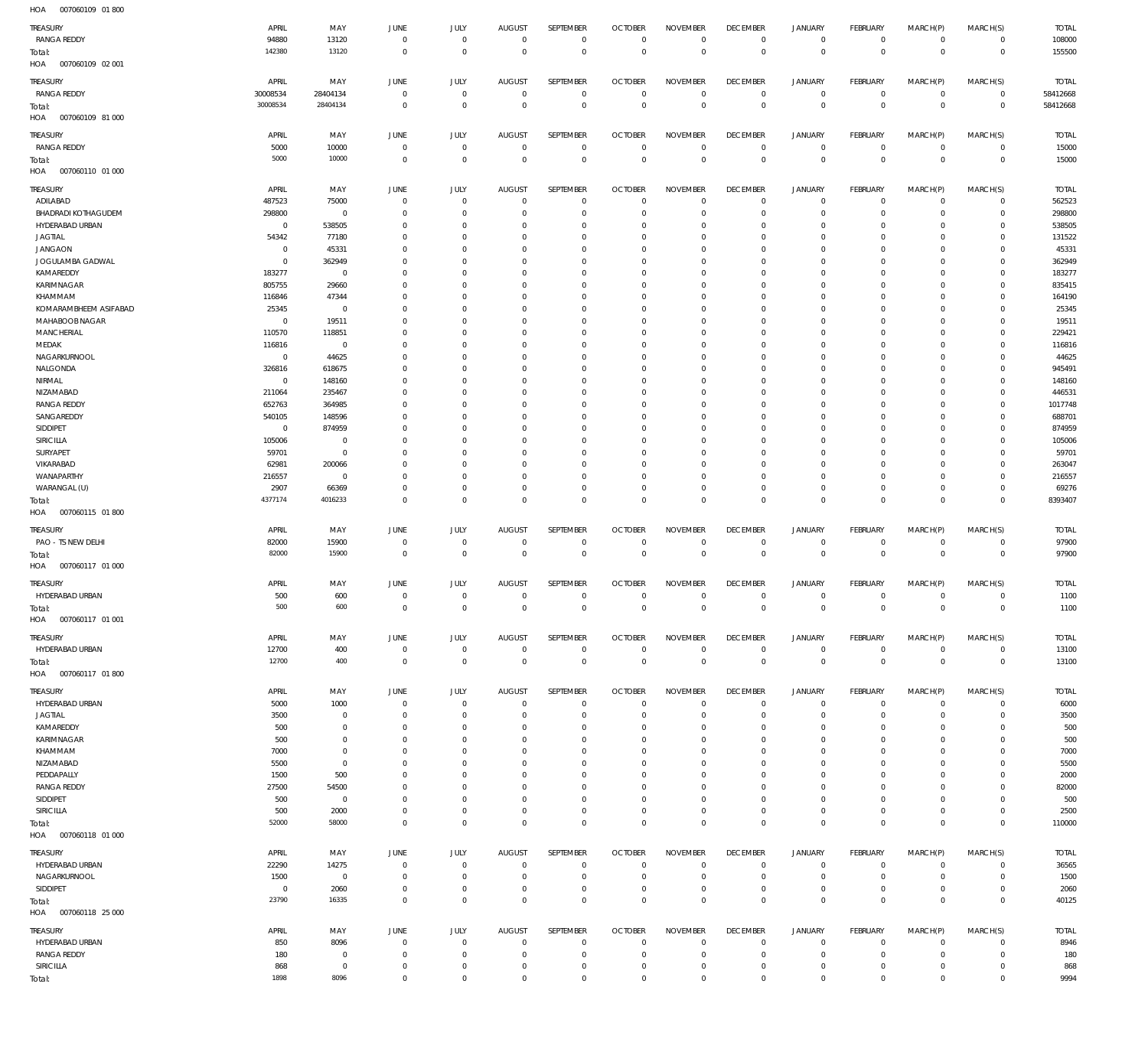007060109 01 800 HOA 007060109 02 001 HOA 007060109 81 000 HOA 007060110 01 000 HOA 007060115 01 800 HOA 007060117 01 000 HOA 007060117 01 001 HOA 007060117 01 800 HOA 007060118 01 000 HOA 007060118 25 000 HOA  $\Omega$   $\Omega$   $\Omega$  $\Omega$   $\Omega$   $\Omega$  $\Omega$   $\Omega$  $\Omega$  $\,$  0  $\,$   $\Omega$  $\Omega$   $\Omega$   $\Omega$  $\Omega$   $\Omega$   $\Omega$  $\Omega$   $\Omega$   $\Omega$   $\Omega$   $\boldsymbol{0}$   $\Omega$   $\boldsymbol{0}$   $\Omega$   $\Omega$   $\Omega$   $\Omega$   $\Omega$  RANGA REDDY RANGA REDDY RANGA REDDY ADILABAD BHADRADI KOTHAGUDEM HYDERABAD URBAN JAGTIAL JANGAON JOGULAMBA GADWAL KAMAREDDY KARIMNAGAR KHAMMAM KOMARAMBHEEM ASIFABAD MAHABOOB NAGAR **MANCHERIAL** MEDAK NAGARKURNOOL NALGONDA NIRMAL NIZAMABAD RANGA REDDY SANGAREDDY SIDDIPET SIRICILLA SURYAPET VIKARABAD WANAPARTHY WARANGAL (U) PAO - TS NEW DELHI HYDERABAD URBAN HYDERABAD URBAN HYDERABAD URBAN JAGTIAL KAMAREDDY KARIMNAGAR KHAMMAM NIZAMABAD PEDDAPALLY RANGA REDDY SIDDIPET SIRICILLA HYDERABAD URBAN NAGARKURNOOL SIDDIPET HYDERABAD URBAN RANGA REDDY SIRICILLA TREASURY TREASURY **TREASURY** TREASURY TREASURY **TREASURY** TREASURY TREASURY TREASURY TREASURY  $\sqrt{0}$   $\overline{0}$   $\Omega$   $\overline{0}$  APRIL APRIL APRIL APRIL APRIL APRIL APRIL APRIL APRIL APRIL  $\Omega$  MAY MAY MAY MAY MAY MAY MAY MAY MAY MAY  $\,$  0  $\,$   $\Omega$   $\Omega$  $\boldsymbol{0}$  $\Omega$   $\Omega$   $\Omega$   $\boldsymbol{0}$   $\Omega$   $\Omega$   $\boldsymbol{0}$  $\Omega$  JUNE JUNE JUNE JUNE JUNE **JUNE** JUNE JUNE JUNE JUNE  $\Omega$   $\Omega$  $\,$  0  $\,$  $\Omega$   $\Omega$   $\mathbf 0$   $\Omega$   $\,$  0  $\,$  $\Omega$   $\mathbf 0$  JULY JULY JULY JULY JULY JULY JULY JULY JULY JULY  $\,$  0  $\,$   $\Omega$   $\Omega$   $\Omega$   $\Omega$   $\Omega$  $\overline{0}$   $\Omega$   $\Omega$   $\Omega$   $\Omega$   $\Omega$   $\Omega$  AUGUST AUGUST AUGUST AUGUST AUGUST **AUGUST** AUGUST AUGUST AUGUST AUGUST  $\,$  0  $\,$   $\Omega$   $\Omega$  $\,$  0  $\,$  $\Omega$   $\Omega$   $\Omega$   $\,$  0  $\,$   $\Omega$   $\Omega$  $\,$  0  $\,$   $\Omega$   $\Omega$  $\,$  0  $\,$  $\Omega$  SEPTEMBER SEPTEMBER **SEPTEMBER** SEPTEMBER SEPTEMBER **SEPTEMBER** SEPTEMBER SEPTEMBER SEPTEMBER SEPTEMBER  $\Omega$   $\Omega$   $\Omega$   $\Omega$   $\Omega$  $\overline{0}$   $\Omega$   $\Omega$   $\Omega$   $\Omega$   $\Omega$   $\Omega$   $\Omega$  OCTOBER **OCTOBER OCTOBER** OCTOBER OCTOBER **OCTOBER** OCTOBER OCTOBER OCTOBER **OCTOBER**   $\Omega$   $\Omega$   $\Omega$   $\Omega$   $\Omega$   $\Omega$   $\Omega$   $\Omega$   $\Omega$   $\Omega$  NOVEMBER NOVEMBER NOVEMBER NOVEMBER NOVEMBER NOVEMBER NOVEMBER NOVEMBER NOVEMBER NOVEMBER  $\overline{0}$  $\Omega$   $\Omega$   $\Omega$   $\overline{0}$   $\Omega$  $\overline{0}$   $\overline{0}$   $\Omega$  $\overline{0}$   $\Omega$   $\Omega$   $\overline{0}$  $\Omega$   $\Omega$   $\Omega$  DECEMBER DECEMBER **DECEMBER** DECEMBER DECEMBER **DECEMBER** DECEMBER DECEMBER DECEMBER DECEMBER  $\Omega$   $\Omega$  $\,$  0  $\,$  $\Omega$   $\Omega$   $\Omega$   $\Omega$   $\Omega$   $\,$  0  $\,$  $\Omega$  JANUARY JANUARY JANUARY JANUARY JANUARY JANUARY JANUARY JANUARY JANUARY JANUARY  $\Omega$   $\Omega$  $\,$  0  $\,$   $\,$  0  $\,$   $\Omega$   $\,$  0  $\,$   $\Omega$   $\Omega$   $\Omega$   $\Omega$  $\,$  0  $\,$  $\Omega$  FEBRUARY FEBRUARY **FFBRUARY** FEBRUARY FEBRUARY **FFBRUARY** FEBRUARY FEBRUARY FEBRUARY FEBRUARY  $\Omega$   $\Omega$   $\Omega$   $\Omega$   $\Omega$   $\Omega$   $\Omega$   $\Omega$  MARCH(P) MARCH(P) MARCH(P) MARCH(P) MARCH(P) MARCH(P) MARCH(P) MARCH(P) MARCH(P) MARCH(P)  $\Omega$   $\Omega$   $\Omega$   $\Omega$   $\Omega$   $\Omega$   $\Omega$   $\Omega$   $\Omega$   $\Omega$  MARCH(S) MARCH(S) MARCH(S) MARCH(S) MARCH(S) MARCH(S) MARCH(S) MARCH(S) MARCH(S) MARCH(S) TOTAL TOTAL TOTAL TOTAL TOTAL TOTAL TOTAL TOTAL TOTAL TOTAL Total: Total: Total: Total: Total: Total: Total: Total: Total:

Total:

 $\boldsymbol{0}$ 

 $\boldsymbol{0}$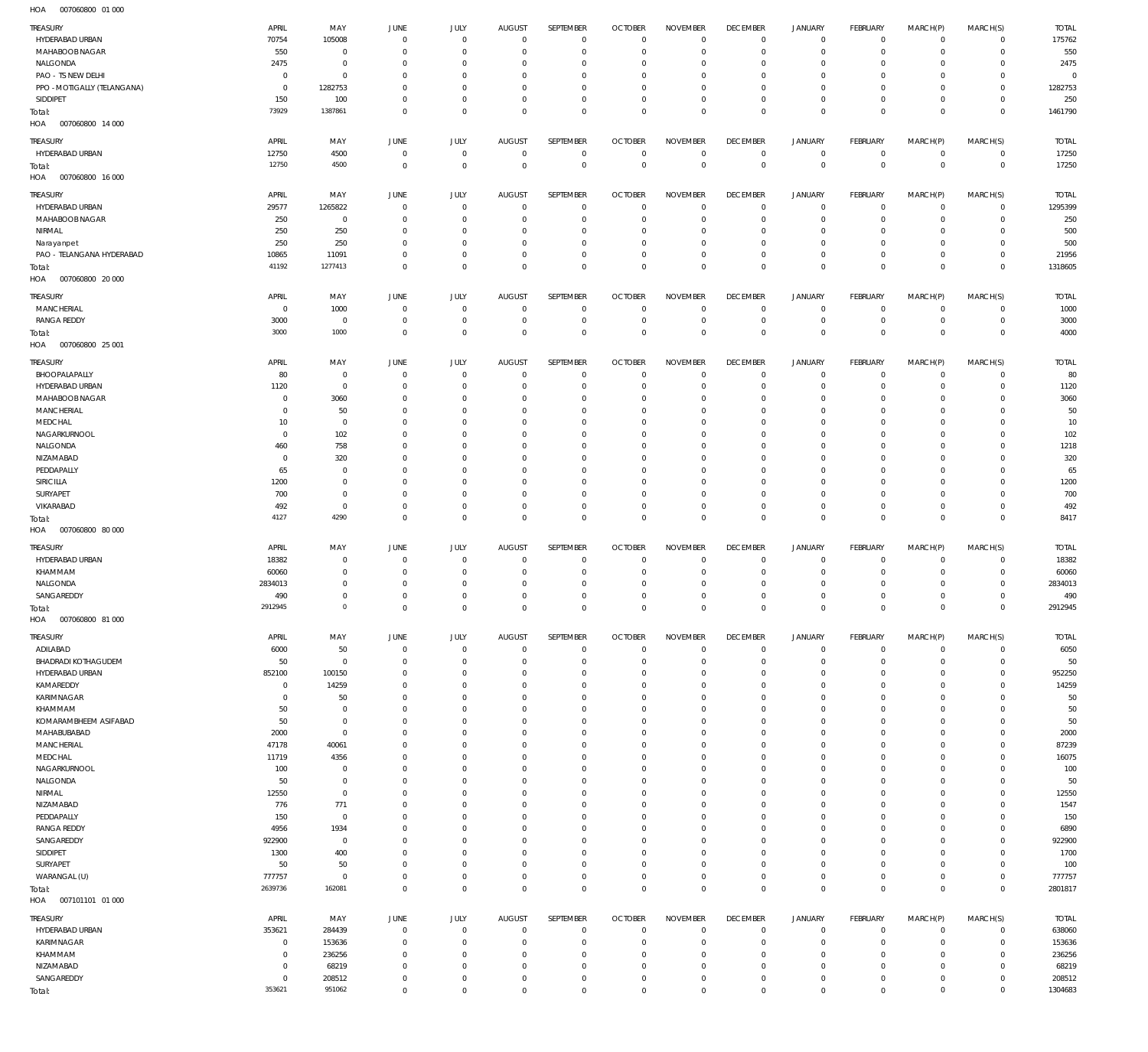007060800 01 000 HOA

| <b>TREASURY</b>                   | APRIL                | MAY              | JUNE                      | <b>JULY</b>               | <b>AUGUST</b>              | SEPTEMBER                  | <b>OCTOBER</b>               | <b>NOVEMBER</b>            | <b>DECEMBER</b>               | <b>JANUARY</b>                | <b>FEBRUARY</b>        | MARCH(P)               | MARCH(S)                   | <b>TOTAL</b>      |
|-----------------------------------|----------------------|------------------|---------------------------|---------------------------|----------------------------|----------------------------|------------------------------|----------------------------|-------------------------------|-------------------------------|------------------------|------------------------|----------------------------|-------------------|
| HYDERABAD URBAN                   | 70754                | 105008           | $\mathbf 0$               | $\mathbf 0$               | $\overline{0}$             | $\overline{0}$             | $\overline{0}$               | $^{\circ}$                 | $\overline{0}$                | $\overline{0}$                | $\circ$                | $\circ$                | $\mathbf 0$                | 175762            |
| MAHABOOB NAGAR                    | 550                  | $\overline{0}$   | $^{\circ}$                | $\mathbf 0$               | $\mathbf 0$                | $\mathbf 0$                | $\mathbf 0$                  | $\mathbf 0$                | $\mathbf 0$                   | $\mathbf 0$                   | $\mathbf{0}$           | $\circ$                | $\mathbf 0$                | 550               |
| NALGONDA                          | 2475                 | $\mathbf 0$      | 0                         | $\mathbf 0$               | 0                          | $\mathbf 0$                | $\mathbf 0$                  | $\mathbf 0$                | $^{\circ}$                    | $\mathbf 0$                   | $^{\circ}$             | $\Omega$               | $\mathbf 0$                | 2475              |
| PAO - TS NEW DELHI                | $\mathbf 0$          | $\mathbf 0$      | 0                         | $\mathbf 0$               | 0                          | $\mathbf 0$                | $\mathbf 0$                  | 0                          | $\mathbf 0$                   | 0                             | $^{\circ}$             | $\Omega$               | $\mathbf 0$                | $\overline{0}$    |
| PPO - MOTIGALLY (TELANGANA)       | $^{\circ}$           | 1282753          | 0                         | $\mathbf 0$               | $\mathbf 0$                | $\mathbf 0$                | $\mathbf 0$                  | $\mathbf 0$                | $\mathbf 0$                   | $\mathbf 0$                   | $\circ$                | $\Omega$               | $\Omega$                   | 1282753           |
| SIDDIPET                          | 150                  | 100              | $^{\circ}$                | $^{\circ}$                | $\mathbf 0$                | $\mathbf 0$                | $\mathbf 0$                  | $\mathbf 0$                | $\mathbf 0$                   | $\mathbf 0$                   | $\mathbf{0}$           | $\circ$                | $\Omega$                   | 250               |
| Total:                            | 73929                | 1387861          | $\mathbf 0$               | $\mathbf 0$               | $\mathbf 0$                | $\mathbf 0$                | $\overline{0}$               | $\mathbf 0$                | $\overline{0}$                | $\overline{0}$                | $\mathbb O$            | $^{\circ}$             | $\mathbf 0$                | 1461790           |
| HOA<br>007060800 14 000           |                      |                  |                           |                           |                            |                            |                              |                            |                               |                               |                        |                        |                            |                   |
|                                   |                      |                  |                           |                           |                            |                            |                              |                            |                               |                               |                        |                        |                            |                   |
| TREASURY                          | APRIL                | MAY              | JUNE                      | <b>JULY</b>               | <b>AUGUST</b>              | SEPTEMBER                  | <b>OCTOBER</b>               | <b>NOVEMBER</b>            | <b>DECEMBER</b>               | <b>JANUARY</b>                | FEBRUARY               | MARCH(P)               | MARCH(S)                   | <b>TOTAL</b>      |
| HYDERABAD URBAN                   | 12750                | 4500             | $^{\circ}$                | $\mathbf 0$               | $\mathbf 0$                | $\mathbf 0$                | $\overline{0}$               | $\overline{0}$             | $\overline{0}$                | $\circ$                       | $\overline{0}$         | $\mathbf 0$            | $\mathbf 0$                | 17250             |
| Total:                            | 12750                | 4500             | $^{\circ}$                | $\mathbf 0$               | $\mathbf 0$                | $\mathbf 0$                | $\overline{0}$               | $\overline{0}$             | $\mathbb O$                   | $\overline{0}$                | $\overline{0}$         | $\mathbf 0$            | $\overline{0}$             | 17250             |
| HOA<br>007060800 16 000           |                      |                  |                           |                           |                            |                            |                              |                            |                               |                               |                        |                        |                            |                   |
| TREASURY                          | APRIL                | MAY              | JUNE                      | JULY                      | AUGUST                     | <b>SEPTEMBER</b>           | <b>OCTOBER</b>               | <b>NOVEMBER</b>            | <b>DECEMBER</b>               | <b>JANUARY</b>                | FEBRUARY               | MARCH(P)               | MARCH(S)                   | <b>TOTAL</b>      |
| HYDERABAD URBAN                   | 29577                | 1265822          | 0                         | $\overline{0}$            | 0                          | $\mathbf 0$                | $\overline{0}$               | $^{\circ}$                 | $\mathbf 0$                   | $\overline{0}$                | $\mathbf 0$            | $\circ$                | $\mathbf 0$                | 1295399           |
| MAHABOOB NAGAR                    | 250                  | $\mathbf 0$      | $^{\circ}$                | $^{\circ}$                | $\mathbf 0$                | $\mathbf 0$                | $\overline{0}$               | $\mathbf 0$                | $\mathbf 0$                   | $\mathbf 0$                   | $\mathbf 0$            | $\circ$                | $\mathbf 0$                | 250               |
| NIRMAL                            | 250                  | 250              | $^{\circ}$                | $^{\circ}$                | 0                          | $\mathbf 0$                | $^{\circ}$                   | 0                          | $^{\circ}$                    | $\mathbf 0$                   | $^{\circ}$             | $\Omega$               | $\mathbf 0$                | 500               |
| Narayanpet                        | 250                  | 250              | $^{\circ}$                | $\mathbf 0$               | 0                          | $\mathbf 0$                | $\mathbf 0$                  | $\mathbf 0$                | $\mathbf 0$                   | $\mathbf 0$                   | $^{\circ}$             | $\Omega$               | $\Omega$                   | 500               |
| PAO - TELANGANA HYDERABAD         | 10865                | 11091            | $^{\circ}$                | $\mathbf 0$               | $\mathbf 0$                | $\mathbf 0$                | $\mathbf 0$                  | $\mathbf 0$                | $\mathbf{0}$                  | $\mathbf 0$                   | $\mathbf 0$            | $\circ$                | $\mathbf 0$                | 21956             |
|                                   | 41192                | 1277413          | $^{\circ}$                | $\mathbf 0$               | $\mathbf 0$                | $\mathbf 0$                | $\overline{0}$               | $\mathbf 0$                | $\mathbf{0}$                  | $\mathbf 0$                   | $\mathbf 0$            | $^{\circ}$             | $\mathbb O$                | 1318605           |
| Total:<br>HOA<br>007060800 20 000 |                      |                  |                           |                           |                            |                            |                              |                            |                               |                               |                        |                        |                            |                   |
|                                   |                      |                  |                           |                           |                            |                            |                              |                            |                               |                               |                        |                        |                            |                   |
| TREASURY                          | APRIL                | MAY              | JUNE                      | <b>JULY</b>               | AUGUST                     | SEPTEMBER                  | <b>OCTOBER</b>               | <b>NOVEMBER</b>            | <b>DECEMBER</b>               | JANUARY                       | FEBRUARY               | MARCH(P)               | MARCH(S)                   | <b>TOTAL</b>      |
| MANCHERIAL                        | $\overline{0}$       | 1000             | $^{\circ}$                | $\mathbf 0$               | $\mathbf 0$                | $^{\circ}$                 | $\overline{0}$               | $\mathbf 0$                | $\mathbf{0}$                  | $\circ$                       | $\overline{0}$         | $^{\circ}$             | $\mathbf 0$                | 1000              |
| <b>RANGA REDDY</b>                | 3000                 | $\mathbf 0$      | $^{\circ}$                | $\mathbf 0$               | $\mathbf 0$                | $\mathbf 0$                | $\overline{0}$               | $\mathbf 0$                | $\mathbf 0$                   | $\mathbf 0$                   | $\mathbf 0$            | $^{\circ}$             | $\mathbf 0$                | 3000              |
| Total:                            | 3000                 | 1000             | $\mathbf 0$               | $\mathbf 0$               | $\mathbf 0$                | $\mathbf 0$                | $\overline{0}$               | $\overline{0}$             | $\mathbb O$                   | $\overline{0}$                | $\overline{0}$         | $\mathbf 0$            | $\mathbb O$                | 4000              |
| HOA<br>007060800 25 001           |                      |                  |                           |                           |                            |                            |                              |                            |                               |                               |                        |                        |                            |                   |
|                                   |                      |                  |                           |                           |                            |                            |                              |                            |                               |                               |                        |                        |                            |                   |
| TREASURY                          | APRIL                | MAY              | JUNE                      | JULY                      | AUGUST                     | <b>SEPTEMBER</b>           | <b>OCTOBER</b>               | <b>NOVEMBER</b>            | <b>DECEMBER</b>               | JANUARY                       | FEBRUARY               | MARCH(P)               | MARCH(S)                   | <b>TOTAL</b>      |
| BHOOPALAPALLY                     | 80                   | $\mathbf 0$      | 0                         | $\overline{0}$            | $\mathbf 0$                | $\mathbf 0$                | $\overline{0}$               | $\mathbf 0$                | $\mathbf 0$                   | $\overline{0}$                | $\mathbf 0$            | $\circ$                | $\Omega$                   | 80                |
| HYDERABAD URBAN                   | 1120                 | $\mathbf 0$      | $^{\circ}$                | $\mathbf 0$               | $\mathbf 0$                | $\mathbf 0$                | $\overline{0}$               | $\mathbf 0$                | $\mathbf{0}$                  | $\mathbf 0$                   | $\mathbf 0$            | $\circ$                | $\mathbf 0$                | 1120              |
| MAHABOOB NAGAR                    | C                    | 3060             | 0                         | $\mathbf 0$               | 0                          | $\mathbf 0$                | $\mathbf 0$                  | 0                          | $^{\circ}$                    | $\mathbf 0$                   | $^{\circ}$             | $\Omega$               | $\mathbf 0$                | 3060              |
| MANCHERIAL                        | C                    | 50               | $^{\circ}$                | $\mathbf 0$               | 0                          | $\mathbf 0$                | $\mathbf 0$                  | 0                          | $\mathbf 0$                   | 0                             | $^{\circ}$             | $\Omega$               | $\Omega$                   | 50                |
| MEDCHAL                           | 10                   | $\mathbf 0$      | 0                         | 0                         | 0                          | $\mathbf 0$                | $\mathbf 0$                  | 0                          | $^{\circ}$                    | $\mathbf 0$                   | $^{\circ}$             | $\Omega$               | $\Omega$                   | 10                |
| NAGARKURNOOL                      | $\overline{0}$       | 102              | 0                         | $\mathbf 0$               | 0                          | $\mathbf 0$                | $\mathbf 0$                  | $\mathbf 0$                | $\mathbf 0$                   | 0                             | $^{\circ}$             | $\Omega$               | $\Omega$                   | 102               |
| NALGONDA                          | 460                  | 758              | 0                         | $\mathbf 0$               | $\mathbf 0$                | $\mathbf 0$                | $\mathbf 0$                  | $\mathbf 0$                | $\mathbf 0$                   | $\mathbf 0$                   | $^{\circ}$             | $\Omega$               | $\Omega$                   | 1218              |
| NIZAMABAD                         | C                    | 320              | 0                         | $\mathbf 0$               | 0                          | $\mathbf 0$                | $\mathbf 0$                  | 0                          | $\mathbf 0$                   | $\mathbf 0$                   | $^{\circ}$             | $\Omega$               | $\Omega$                   | 320               |
| PEDDAPALLY                        | 65                   | $\mathbf 0$      | 0                         | $\mathbf 0$               | $\mathbf 0$                | $\mathbf 0$                | $\mathbf 0$                  | $\mathbf 0$                | $\mathbf 0$                   | $\mathbf 0$                   | $^{\circ}$             | $\Omega$               | $\Omega$                   | 65                |
| SIRICILLA                         | 1200                 | $\mathbf 0$      | 0                         | $\mathbf 0$               | 0                          | $\mathbf 0$                | $\mathbf 0$                  | 0                          | $\mathbf 0$                   | 0                             | $^{\circ}$             | $\Omega$               | $\Omega$                   | 1200              |
| SURYAPET                          | 700                  | $\mathbf 0$      | 0                         | $\mathbf 0$               | $\mathbf 0$                | $\mathbf 0$                | $\mathbf 0$                  | $\mathbf 0$                | $\mathbf 0$                   | $\mathbf 0$                   | $\mathbf 0$            | $\Omega$               | $\Omega$                   | 700               |
| VIKARABAD                         | 492                  | $\mathbf 0$      | $^{\circ}$                | $\mathbf 0$               | $\mathbf 0$                | $\mathbf 0$                | $\mathbf 0$                  | $\mathbf 0$                | $\mathbf{0}$                  | $\mathbf 0$                   | $\mathbf 0$            | $\circ$                | $\mathbf 0$                | 492               |
|                                   |                      |                  |                           |                           |                            |                            |                              |                            |                               |                               |                        |                        |                            |                   |
|                                   | 4127                 | 4290             | $\mathbf 0$               | $\mathbf 0$               | $\mathbf 0$                | $\mathbf 0$                | $\overline{0}$               | $\mathbf 0$                | $\overline{0}$                | $\mathbf 0$                   | $\mathbb O$            | $\mathbf 0$            | $\mathbb O$                | 8417              |
| Total:<br>HOA<br>007060800 80 000 |                      |                  |                           |                           |                            |                            |                              |                            |                               |                               |                        |                        |                            |                   |
|                                   |                      |                  |                           |                           |                            |                            |                              |                            |                               |                               |                        |                        |                            |                   |
| TREASURY                          | APRIL                | MAY              | JUNE                      | <b>JULY</b>               | <b>AUGUST</b>              | SEPTEMBER                  | <b>OCTOBER</b>               | <b>NOVEMBER</b>            | <b>DECEMBER</b>               | <b>JANUARY</b>                | FEBRUARY               | MARCH(P)               | MARCH(S)                   | <b>TOTAL</b>      |
| HYDERABAD URBAN                   | 18382                | $\mathbf 0$      | $\mathbf 0$               | $\mathbf 0$               | $\mathbf 0$                | $\mathbf 0$                | $^{\circ}$                   | $\mathbf 0$                | $\mathbf 0$                   | $\circ$                       | $^{\circ}$             | $\circ$                | $\mathbf 0$                | 18382             |
| KHAMMAM                           | 60060                | $\mathbf 0$      | 0                         | $\mathbf 0$               | 0                          | $\mathbf 0$                | $\mathbf 0$                  | 0                          | $\mathbf{0}$                  | $\mathbf 0$                   | $^{\circ}$             | $\circ$                | $\mathbf 0$                | 60060             |
| NALGONDA                          | 2834013              | $\mathbf 0$      | $\mathbf 0$               | $\mathbf 0$               | $\mathbf 0$                | $\mathbf 0$                | $^{\circ}$                   | $\mathbf 0$                | $\overline{0}$                | $\mathbf 0$                   | $^{\circ}$             | $\circ$                | $\mathbf 0$                | 2834013           |
| SANGAREDDY                        | 490                  | $\mathbf 0$      | $^{\circ}$                | $\mathbf 0$               | $\mathbf 0$                | $\mathbf 0$                | $\mathbf 0$                  | $\mathbf 0$                | $\mathbb O$                   | $\mathbf 0$                   | $\mathbf 0$            | $\mathbf 0$            | $\mathbf 0$                | 490               |
| Total:                            | 2912945              | $\Omega$         | $\mathbf 0$               | $\mathbf 0$               | $\mathbf 0$                | $\mathbf 0$                | $\mathbf 0$                  | $\mathbf 0$                | $\overline{0}$                | $\mathbf{0}$                  | $\mathbf 0$            | $\mathbf 0$            | $\mathbb O$                | 2912945           |
| HOA<br>007060800 81 000           |                      |                  |                           |                           |                            |                            |                              |                            |                               |                               |                        |                        |                            |                   |
|                                   |                      |                  |                           |                           |                            |                            |                              |                            |                               |                               |                        |                        |                            |                   |
| TREASURY                          | APRIL                | MAY              | JUNE                      | <b>JULY</b>               | <b>AUGUST</b>              | SEPTEMBER                  | <b>OCTOBER</b>               | <b>NOVEMBER</b>            | <b>DECEMBER</b>               | JANUARY                       | FEBRUARY               | MARCH(P)               | MARCH(S)                   | <b>TOTAL</b>      |
| ADILABAD                          | 6000                 | 50               | $\mathbf 0$               | $\mathbf 0$               | $\mathbf 0$                | $\mathbf 0$                | $\overline{0}$               | $\overline{0}$             | $\overline{0}$                | $\mathsf 0$                   | $\mathbb O$            | 0                      | $\mathbf 0$                | 6050              |
| BHADRADI KOTHAGUDEM               | 50                   | $\mathbf 0$      | $^{\circ}$                | $^{\circ}$                | $\mathbf 0$                | $\mathbf 0$                | $\overline{0}$               | $\mathbf 0$                | $\mathbf{0}$                  | $\overline{0}$                | $\overline{0}$         | $\circ$                | $\mathbf 0$                | 50                |
| HYDERABAD URBAN                   | 852100               | 100150           | 0                         | $^{\circ}$                | 0                          | $\mathbf 0$                | $^{\circ}$                   | 0                          | $^{\circ}$                    | $\mathbf 0$                   | $\circ$                | $\circ$                | $\mathbf 0$                | 952250            |
| KAMAREDDY                         | $^{\circ}$           | 14259            | $^{\circ}$                | $^{\circ}$                | $\mathbf 0$                | $\mathbf 0$                | $\mathbf 0$                  | $\mathbf 0$                | $\mathbf{0}$                  | $\mathbf 0$                   | $\mathbf 0$            | $\Omega$               | $\mathbf 0$                | 14259             |
| KARIMNAGAR                        | 0                    | 50               | $^{\circ}$                | $^{\circ}$                | 0                          | $\mathbf 0$                | $\mathbf 0$                  | $\mathbf 0$                | $^{\circ}$                    | $\mathbf 0$                   | $^{\circ}$             | $\Omega$               | $\mathbf 0$                | 50                |
| KHAMMAM                           | 50                   | $\mathbf 0$      | $^{\circ}$                | $\mathbf 0$               | $\mathbf 0$                | $\mathbf 0$                | $\mathbf 0$                  | $\mathbf 0$                | $\mathbf{0}$                  | $\mathbf 0$                   | $\mathbf 0$            | $\Omega$               | $\Omega$                   | 50                |
| KOMARAMBHEEM ASIFABAD             | 50                   | $\mathbf 0$      | $^{\circ}$                | $\mathbf 0$               | 0                          | $\mathbf 0$                | $\mathbf 0$                  | $\mathbf 0$                | $\mathbf{0}$                  | $\mathbf 0$                   | $\circ$                | $\Omega$               | $\mathbf 0$                | 50                |
| MAHABUBABAD                       | 2000                 | $\mathbf 0$      | $^{\circ}$                | $\mathbf 0$               | $\mathbf 0$                | $\mathbf 0$                | $\mathbf 0$                  | $\mathbf 0$                | $\mathbf{0}$                  | $\mathbf 0$                   | $\mathbf 0$            | $\Omega$               | $\mathbf 0$                | 2000              |
| <b>MANCHERIAL</b>                 | 47178                | 40061            | $^{\circ}$                | $\mathbf 0$               | 0                          | $\mathbf 0$                | $\mathbf 0$                  | $\mathbf 0$                | $\mathbf{0}$                  | $\mathbf 0$                   | $\mathbf 0$            | $\Omega$               | $\Omega$                   | 87239             |
| MEDCHAL                           | 11719                | 4356             | 0                         | $\mathbf 0$               | $\mathbf 0$                | $\mathbf 0$                | $\mathbf 0$                  | $\mathbf 0$                | $\mathbf 0$                   | $\mathbf 0$                   | $\mathbf 0$            | $\Omega$               | $\mathbf 0$                | 16075             |
| NAGARKURNOOL                      | 100                  | $\mathbf 0$      | $^{\circ}$                | $\mathbf 0$               | $\mathbf 0$                | $\mathbf 0$                | $\mathbf 0$                  | $\mathbf 0$                | $\mathbf 0$                   | $\mathbf 0$                   | $\mathbf 0$            | $\Omega$               | $\Omega$                   | 100               |
| NALGONDA                          | 50                   | $\mathbf 0$      | 0                         | $\mathbf 0$               | $\mathbf 0$                | $\mathbf 0$                | $\mathbf 0$                  | $\mathbf 0$                | $^{\circ}$                    | $\mathbf 0$                   | $\mathbf 0$            | $\Omega$               | $\mathbf 0$                | 50                |
| NIRMAL                            | 12550                | $\mathbf 0$      | $^{\circ}$                | $\mathbf 0$               | $\mathbf 0$                | $\mathbf 0$                | $\mathbf 0$                  | $\mathbf 0$                | $\mathbf 0$                   | $\mathbf 0$                   | $\mathbf 0$            | $\Omega$               | $\mathbf 0$                | 12550             |
| NIZAMABAD                         | 776                  | 771              | 0                         | $\mathbf 0$               | 0                          | $\mathbf 0$                | $\mathbf 0$                  | $\mathbf 0$                | $^{\circ}$                    | $\mathbf 0$                   | $\circ$                | $\Omega$               | $\mathbf 0$                | 1547              |
| PEDDAPALLY                        | 150                  | $\mathbf 0$      | $^{\circ}$                | $\mathbf 0$               | $\mathbf 0$                | $\mathbf 0$                | $\mathbf 0$                  | $\mathbf 0$                | $\mathbf 0$                   | 0                             | $\mathbf 0$            | $\Omega$               | $\Omega$                   | 150               |
| <b>RANGA REDDY</b>                | 4956                 | 1934             | 0                         | $\mathbf 0$               | $\mathbf 0$                | $\mathbf 0$                | $\mathbf 0$                  | $\mathbf 0$                | $^{\circ}$                    | $\mathbf 0$                   | $\mathbf 0$            | $\Omega$               | $\mathbf 0$                | 6890              |
| SANGAREDDY                        | 922900               | $\mathbf 0$      | $^{\circ}$                | $\mathbf 0$               | 0                          | $\mathbf 0$                | $\mathbf 0$                  | $\mathbf 0$                | $\mathbf 0$                   | 0                             | $\mathbf{0}$           | $\Omega$               | $\mathbf 0$                | 922900            |
| SIDDIPET                          | 1300                 | 400              | 0                         | $\mathbf 0$               | $\mathbf 0$                | $\mathbf 0$                | $\mathbf 0$                  | $\mathbf 0$                | $\mathbf{0}$                  | $\mathbf 0$                   | $\circ$                | $\Omega$               | $\mathbf 0$                | 1700              |
| SURYAPET                          | 50                   | 50               | $^{\circ}$                | $^{\circ}$                | $\mathbf 0$                | $\mathbf 0$                | $\mathbf 0$                  | $\mathbf 0$                | $\mathbf{0}$                  | $\mathbf 0$                   | $\mathbf 0$            | 0                      | $\mathbf 0$                | 100               |
| WARANGAL (U)                      | 777757               | $\mathbf 0$      | $^{\circ}$                | $\mathbf 0$               | $\mathbf 0$                | $\mathbf 0$                | $\overline{0}$               | $\mathbf 0$                | $\mathbf{0}$                  | $\mathsf 0$                   | $\overline{0}$         | $\circ$                | $\circ$                    | 777757            |
| Total:                            | 2639736              | 162081           | $^{\circ}$                | $\mathbb O$               | $\mathbf 0$                | $\mathbf 0$                | $\overline{0}$               | $\mathbf 0$                | $\overline{0}$                | $\overline{0}$                | $\mathbb O$            | $\overline{0}$         | $\mathbb O$                | 2801817           |
| HOA<br>007101101 01 000           |                      |                  |                           |                           |                            |                            |                              |                            |                               |                               |                        |                        |                            |                   |
|                                   |                      |                  |                           |                           |                            |                            |                              |                            |                               |                               |                        |                        |                            |                   |
| TREASURY                          | APRIL                | MAY              | JUNE                      | <b>JULY</b>               | AUGUST                     | SEPTEMBER                  | <b>OCTOBER</b>               | <b>NOVEMBER</b>            | <b>DECEMBER</b>               | JANUARY                       | FEBRUARY               | MARCH(P)               | MARCH(S)                   | <b>TOTAL</b>      |
| HYDERABAD URBAN                   | 353621               | 284439           | $\mathbf 0$               | $^{\circ}$                | $\mathbf 0$                | $\mathbf 0$                | $\overline{0}$               | $\mathbf 0$                | $\mathbf{0}$                  | $\overline{0}$                | $\overline{0}$         | $^{\circ}$             | $\mathbf 0$                | 638060            |
| KARIMNAGAR                        | $^{\circ}$           | 153636           | $^{\circ}$                | $\mathbf 0$               | $\mathbf 0$                | $\mathbf 0$                | $\overline{0}$               | $\mathbf 0$                | $\overline{0}$                | $\overline{0}$                | $\overline{0}$         | $^{\circ}$             | $\circ$                    | 153636            |
| KHAMMAM                           | $^{\circ}$           | 236256           | $^{\circ}$                | $^{\circ}$                | $\mathbf 0$                | $\mathbf 0$                | $^{\circ}$                   | $\mathbf 0$                | $\mathbf{0}$                  | $\mathbf 0$                   | $\mathbf 0$            | $\circ$                | $\mathbf 0$                | 236256            |
| NIZAMABAD                         | $\circ$              | 68219            | 0                         | $\mathbf 0$               | $\mathbf 0$                | $\mathbf 0$                | $^{\circ}$                   | $^{\circ}$                 | $\overline{0}$                | $\overline{0}$                | $\circ$                | $\circ$                | $\mathbf 0$                | 68219             |
| SANGAREDDY<br>Total:              | $^{\circ}$<br>353621 | 208512<br>951062 | $^{\circ}$<br>$\mathbf 0$ | $^{\circ}$<br>$\mathbf 0$ | $\mathbf 0$<br>$\mathbf 0$ | $\mathbf 0$<br>$\mathbf 0$ | $^{\circ}$<br>$\overline{0}$ | $\mathbf 0$<br>$\mathbf 0$ | $\mathbf 0$<br>$\overline{0}$ | $\mathbf 0$<br>$\overline{0}$ | $\circ$<br>$\mathbb O$ | $\circ$<br>$\mathbf 0$ | $\mathbf 0$<br>$\mathbb O$ | 208512<br>1304683 |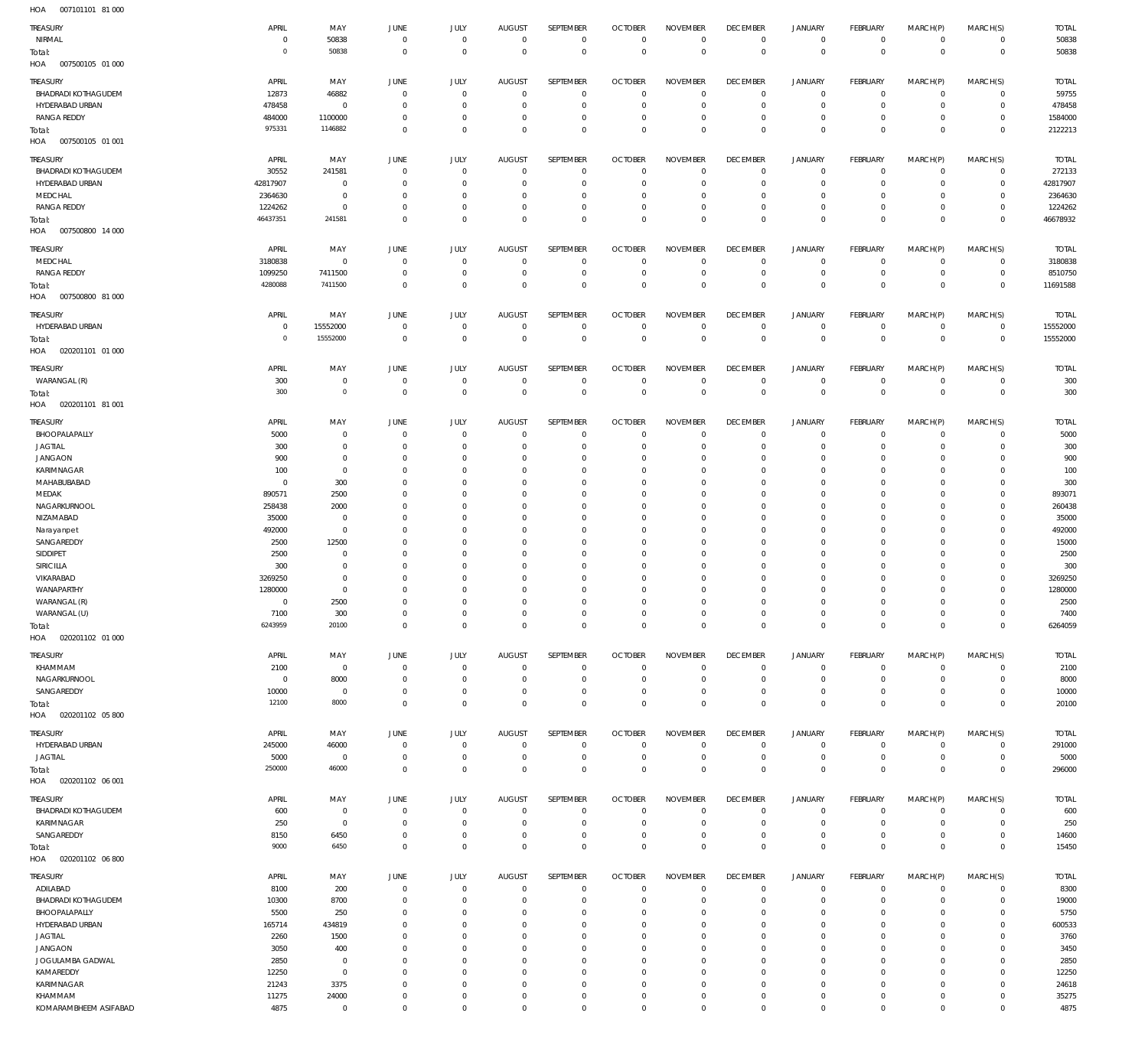007101101 81 000 HOA

| TREASURY<br>NIRMAL                |                |                      |                      |                         |                         |                         |                           |                            |                  |                            |                            |                            |                            |               |
|-----------------------------------|----------------|----------------------|----------------------|-------------------------|-------------------------|-------------------------|---------------------------|----------------------------|------------------|----------------------------|----------------------------|----------------------------|----------------------------|---------------|
|                                   | APRIL          | MAY                  | JUNE                 | JULY                    | <b>AUGUST</b>           | SEPTEMBER               | <b>OCTOBER</b>            | <b>NOVEMBER</b>            | <b>DECEMBER</b>  | JANUARY                    | FEBRUARY                   | MARCH(P)                   | MARCH(S)                   | <b>TOTAL</b>  |
|                                   | $\Omega$       | 50838                | $^{\circ}$           | $\mathbf 0$             | $\mathbf 0$             | $\mathbf 0$             | $\overline{0}$            | $\mathbf 0$                | $\mathbf{0}$     | $\mathbf 0$                | $\overline{0}$             | $\mathbf 0$                | $\mathbf{0}$               | 50838         |
| Total:                            | 0              | 50838                | $^{\circ}$           | $\mathbf 0$             | $\mathbf 0$             | $\mathbf 0$             | $\overline{0}$            | $\mathbf 0$                | $\mathbf 0$      | $\mathbf 0$                | $\overline{0}$             | $\mathbf 0$                | $\overline{0}$             | 50838         |
| HOA<br>007500105 01 000           |                |                      |                      |                         |                         |                         |                           |                            |                  |                            |                            |                            |                            |               |
|                                   |                |                      |                      |                         |                         |                         |                           |                            |                  |                            |                            |                            |                            |               |
| TREASURY                          | APRIL          | MAY                  | JUNE                 | JULY                    | <b>AUGUST</b>           | SEPTEMBER               | <b>OCTOBER</b>            | <b>NOVEMBER</b>            | <b>DECEMBER</b>  | <b>JANUARY</b>             | FEBRUARY                   | MARCH(P)                   | MARCH(S)                   | <b>TOTAL</b>  |
| <b>BHADRADI KOTHAGUDEM</b>        | 12873          | 46882                | 0                    | $\mathbf 0$             | $^{\circ}$              | $\mathbf 0$             | $\overline{0}$            | $^{\circ}$                 | 0                | 0                          | $\overline{0}$             | $\Omega$                   | $\mathbf{0}$               | 59755         |
| HYDERABAD URBAN                   | 478458         | $\mathbf 0$          | $\overline{0}$       | $\mathbf 0$             | $^{\circ}$              | $\mathbf 0$             | $\overline{0}$            | $\overline{0}$             | $\mathbf 0$      | $\mathbf 0$                | $\overline{0}$             | $\circ$                    | $\overline{0}$             | 478458        |
| <b>RANGA REDDY</b>                | 484000         | 1100000              | 0                    | $\mathbf 0$             | $^{\circ}$              | $\mathbf 0$             | $^{\circ}$                | $\overline{0}$             | $\mathbf 0$      | $\mathbf 0$                | $\overline{0}$             | $\circ$                    | $\mathbf{0}$               | 1584000       |
| Total:                            | 975331         | 1146882              | $\Omega$             | $\mathbf 0$             | $\Omega$                | $\mathbf 0$             | $\overline{0}$            | $\mathbf 0$                | $\mathbf 0$      | $\mathbf 0$                | $\overline{0}$             | $\mathbf 0$                | $\overline{0}$             | 2122213       |
| HOA<br>007500105 01 001           |                |                      |                      |                         |                         |                         |                           |                            |                  |                            |                            |                            |                            |               |
|                                   |                |                      |                      |                         |                         |                         |                           |                            |                  |                            |                            |                            |                            |               |
| TREASURY                          | APRIL          | MAY                  | JUNE                 | JULY                    | <b>AUGUST</b>           | SEPTEMBER               | <b>OCTOBER</b>            | <b>NOVEMBER</b>            | <b>DECEMBER</b>  | <b>JANUARY</b>             | FEBRUARY                   | MARCH(P)                   | MARCH(S)                   | <b>TOTAL</b>  |
| BHADRADI KOTHAGUDEM               | 30552          | 241581               | $\overline{0}$       | $\mathbf 0$             | $^{\circ}$              | $\mathbf 0$             | $\overline{0}$            | $^{\circ}$                 | $\mathbf 0$      | $\mathbf 0$                | $\mathbf 0$                | $\circ$                    | $\mathbf 0$                | 272133        |
| HYDERABAD URBAN                   | 42817907       | $^{\circ}$           | $\Omega$             | $\Omega$                | $\Omega$                | $\mathbf 0$             | $^{\circ}$                | $^{\circ}$                 | $\mathbf 0$      | $\mathbf 0$                | $\overline{0}$             | $\Omega$                   | $\mathbf{0}$               | 42817907      |
| MEDCHAL                           | 2364630        | $^{\circ}$           | $\Omega$             | $\Omega$                | $\Omega$                | $^{\circ}$              | $^{\circ}$                | $\Omega$                   | $\mathbf 0$      | $\mathbf 0$                | $^{\circ}$                 | $\Omega$                   | $\mathbf 0$                | 2364630       |
| <b>RANGA REDDY</b>                | 1224262        | $\mathbf{0}$         | -0                   | $\Omega$                | $\Omega$                | $\mathbf 0$             | $^{\circ}$                | $^{\circ}$                 | $\mathbf 0$      | $\mathbf 0$                | $\mathbf 0$                | $\Omega$                   | $\mathbf 0$                | 1224262       |
|                                   | 46437351       | 241581               | $\Omega$             | $\Omega$                | $\Omega$                | $\mathbf 0$             | $\overline{0}$            | $\Omega$                   | $\mathbf 0$      | $\mathbf 0$                | $\overline{0}$             | $\Omega$                   | $\mathbf 0$                | 46678932      |
| Total:<br>HOA<br>007500800 14 000 |                |                      |                      |                         |                         |                         |                           |                            |                  |                            |                            |                            |                            |               |
|                                   |                |                      |                      |                         |                         |                         |                           |                            |                  |                            |                            |                            |                            |               |
| TREASURY                          | APRIL          | MAY                  | JUNE                 | JULY                    | <b>AUGUST</b>           | SEPTEMBER               | <b>OCTOBER</b>            | <b>NOVEMBER</b>            | <b>DECEMBER</b>  | <b>JANUARY</b>             | <b>FEBRUARY</b>            | MARCH(P)                   | MARCH(S)                   | <b>TOTAL</b>  |
| MEDCHAL                           | 3180838        | $\mathbf 0$          | 0                    | $^{\circ}$              | $^{\circ}$              | $\mathbf 0$             | $\overline{0}$            | $^{\circ}$                 | $\mathbf 0$      | $\mathbf 0$                | $\overline{0}$             | $\mathbf 0$                | $^{\circ}$                 | 3180838       |
| <b>RANGA REDDY</b>                | 1099250        | 7411500              | $\overline{0}$       | $\mathbf 0$             | $^{\circ}$              | $\mathbb O$             | $\overline{0}$            | $\mathbf 0$                | $\mathbf 0$      | $\mathsf{O}\xspace$        | $\overline{0}$             | $\mathbf 0$                | $\overline{0}$             | 8510750       |
| Total:                            | 4280088        | 7411500              | $\overline{0}$       | $\mathbf 0$             | $\circ$                 | $\mathbf 0$             | $\overline{0}$            | $\mathbf 0$                | $\mathbf 0$      | $\bf 0$                    | $\overline{0}$             | $\mathbf 0$                | $\overline{0}$             | 11691588      |
| HOA<br>007500800 81 000           |                |                      |                      |                         |                         |                         |                           |                            |                  |                            |                            |                            |                            |               |
|                                   |                |                      |                      |                         |                         |                         |                           |                            |                  |                            |                            |                            |                            |               |
| TREASURY                          | APRIL          | MAY                  | JUNE                 | JULY                    | <b>AUGUST</b>           | SEPTEMBER               | <b>OCTOBER</b>            | <b>NOVEMBER</b>            | <b>DECEMBER</b>  | <b>JANUARY</b>             | FEBRUARY                   | MARCH(P)                   | MARCH(S)                   | <b>TOTAL</b>  |
| HYDERABAD URBAN                   | $\overline{0}$ | 15552000             | $\overline{0}$       | $\mathbf 0$             | $\mathbf 0$             | $\mathbf 0$             | $\overline{0}$            | $\overline{0}$             | $\mathbf 0$      | $\mathbf 0$                | $\overline{0}$             | $\mathbf 0$                | $\overline{0}$             | 15552000      |
| Total:                            | $\circ$        | 15552000             | $\overline{0}$       | $\mathbf 0$             | $^{\circ}$              | $\mathbf 0$             | $\overline{0}$            | $\mathbf 0$                | $\mathbf 0$      | $\mathbf 0$                | $\overline{0}$             | $\mathbf 0$                | $\,0\,$                    | 15552000      |
| HOA<br>020201101 01 000           |                |                      |                      |                         |                         |                         |                           |                            |                  |                            |                            |                            |                            |               |
|                                   |                |                      |                      |                         |                         |                         |                           |                            |                  |                            |                            |                            |                            |               |
| TREASURY                          | APRIL          | MAY                  | JUNE                 | JULY                    | <b>AUGUST</b>           | SEPTEMBER               | <b>OCTOBER</b>            | <b>NOVEMBER</b>            | <b>DECEMBER</b>  | <b>JANUARY</b>             | FEBRUARY                   | MARCH(P)                   | MARCH(S)                   | <b>TOTAL</b>  |
| WARANGAL (R)                      | 300            | $\mathbf 0$          | $\overline{0}$       | $\mathbb O$             | $^{\circ}$              | $\mathbf 0$             | $^{\circ}$                | $^{\circ}$                 | 0                | 0                          | $\overline{0}$             | $\mathbf 0$                | $\circ$                    | 300           |
| Total:                            | 300            | $\mathsf{O}\xspace$  | $\mathbf{0}$         | $\mathbf 0$             | $\circ$                 | $\mathbf 0$             | $\overline{0}$            | $\mathbb O$                | $\overline{0}$   | $\mathsf{O}\xspace$        | $\overline{0}$             | $\overline{0}$             | $\overline{0}$             | 300           |
| HOA<br>020201101 81 001           |                |                      |                      |                         |                         |                         |                           |                            |                  |                            |                            |                            |                            |               |
|                                   |                |                      |                      |                         |                         |                         |                           |                            |                  |                            |                            |                            |                            |               |
| TREASURY                          | APRIL          | MAY                  | JUNE                 | JULY                    | <b>AUGUST</b>           | SEPTEMBER               | <b>OCTOBER</b>            | <b>NOVEMBER</b>            | <b>DECEMBER</b>  | <b>JANUARY</b>             | FEBRUARY                   | MARCH(P)                   | MARCH(S)                   | <b>TOTAL</b>  |
| BHOOPALAPALLY                     | 5000           | $^{\circ}$           | $\overline{0}$       | $\mathbf 0$             | $\Omega$                | $\mathbf 0$             | $\overline{0}$            | $\Omega$                   | $\mathbf 0$      | $\mathbf 0$                | $\mathbf 0$                | $\Omega$                   | $\mathbf 0$                | 5000          |
| JAGTIAL                           | 300            | $\mathbf 0$          | 0                    | $\mathbf 0$             | $\Omega$                | $\mathbf 0$             | $^{\circ}$                | $\Omega$                   | $\mathbf 0$      | $\mathbf 0$                | $\mathbf 0$                | $\Omega$                   | $\mathbf 0$                | 300           |
| <b>JANGAON</b>                    | 900            | $^{\circ}$           | $\Omega$             | $\Omega$                | $\Omega$                | $\Omega$                | $\Omega$                  | $\Omega$                   | $\mathbf 0$      | $\mathbf 0$                | $\mathbf 0$                | $\Omega$                   | $\mathbf 0$                | 900           |
| KARIMNAGAR                        | 100            | $^{\circ}$           | $\Omega$             | $\Omega$                | $\Omega$                | $\Omega$                | $\Omega$                  | $\Omega$                   | $\Omega$         | $\Omega$                   | $\Omega$                   | $\Omega$                   | $\Omega$                   | 100           |
| MAHABUBABAD                       | $\overline{0}$ | 300                  | $\Omega$             | $\Omega$                | $\Omega$                | $\Omega$                | $\Omega$                  | $\Omega$                   | $\mathbf 0$      | $\mathbf 0$                | $\mathbf 0$                | 0                          | $\circ$                    | 300           |
| MEDAK                             | 890571         | 2500                 | $\Omega$             | $\Omega$                | $\Omega$                | $\Omega$                | $\Omega$                  | $\Omega$                   | $\Omega$         | $\Omega$                   | $\Omega$                   | $\Omega$                   | $\Omega$                   | 893071        |
| NAGARKURNOOL                      | 258438         | 2000                 | $\Omega$             | $\Omega$                | $\Omega$                | $\Omega$                | $\Omega$                  | $\Omega$                   | $\Omega$         | $\Omega$                   | $\mathbf 0$                | $\Omega$                   | $\circ$                    | 260438        |
| NIZAMABAD                         | 35000          | $^{\circ}$           | $\Omega$             | $\Omega$                | $\Omega$                | $\Omega$                | $\Omega$                  | $\Omega$                   | $\Omega$         | $\Omega$                   | $\Omega$                   | $\Omega$                   | $\Omega$                   | 35000         |
|                                   | 492000         | $\mathbf 0$          | $\Omega$             | $\Omega$                | $\Omega$                | $\Omega$                | $\Omega$                  | $\Omega$                   | $\Omega$         | $\Omega$                   | $\mathbf 0$                | $\Omega$                   | $\circ$                    | 492000        |
| Narayanpet                        |                |                      | $\Omega$             | $\Omega$                | $\Omega$                | $\Omega$                | $\Omega$                  | $\Omega$                   | $\mathbf 0$      | $\Omega$                   | $\Omega$                   | $\Omega$                   | $\circ$                    |               |
| SANGAREDDY                        | 2500           | 12500                |                      |                         |                         |                         |                           |                            |                  |                            |                            |                            |                            | 15000         |
| SIDDIPET                          | 2500           | $\overline{0}$       | $\Omega$             | $\Omega$                | $\Omega$                | $\Omega$                | $\Omega$                  | $\Omega$                   | $\Omega$         | $\Omega$                   | $\Omega$                   | $\Omega$                   | $\circ$                    | 2500          |
| SIRICILLA                         | 300            | $^{\circ}$           | $\Omega$             | $\Omega$                | $\Omega$                | $\Omega$                | $\Omega$                  | $\Omega$                   | $\mathbf 0$      | $\mathbf 0$                | $\Omega$                   | $\Omega$                   | $\mathbf 0$                | 300           |
| VIKARABAD                         | 3269250        | $\Omega$             | $\Omega$             | $\Omega$                | $\Omega$                | $\Omega$                | $\Omega$                  | $\Omega$                   | $\Omega$         | $\Omega$                   | $\Omega$                   | 0                          | $\Omega$                   | 3269250       |
| WANAPARTHY                        | 1280000        | $\mathbf{0}$         | $\Omega$             | $\Omega$                | $\Omega$                | $\Omega$                | $\Omega$                  | $\Omega$                   | $\Omega$         | $\Omega$                   | $\Omega$                   | $\Omega$                   | $\Omega$                   | 1280000       |
| WARANGAL (R)                      | $\Omega$       | 2500                 | $\Omega$             | $\Omega$                | $\Omega$                | $\Omega$                | $\Omega$                  | $\Omega$                   | $\Omega$         | $\Omega$                   | $\Omega$                   | $\Omega$                   | $\Omega$                   | 2500          |
| WARANGAL (U)                      | 7100           | 300                  | $\mathbf{0}$         | $\mathbf{0}$            | $\mathbf 0$             | $\mathbf{0}$            | $\mathbf 0$               | $\mathbf 0$                | $\mathbf 0$      | 0                          | $\overline{0}$             | $\mathbf 0$                | 0                          | 7400          |
| Total:                            | 6243959        | 20100                | $\mathbf{0}$         | $\mathbf 0$             | $\mathbf 0$             | $\mathbf 0$             | $\overline{0}$            | $\mathbf 0$                | $\mathbf 0$      | $\mathbf 0$                | $\overline{0}$             | $\mathbf 0$                | $\mathbf 0$                | 6264059       |
| HOA  020201102  01  000           |                |                      |                      |                         |                         |                         |                           |                            |                  |                            |                            |                            |                            |               |
|                                   |                |                      |                      |                         |                         |                         |                           |                            |                  |                            |                            |                            |                            |               |
| TREASURY                          | APRIL          | MAY                  | JUNE                 | JULY                    | <b>AUGUST</b>           | SEPTEMBER               |                           |                            |                  |                            |                            | MARCH(P)                   | MARCH(S)                   |               |
| KHAMMAM                           | 2100           | $\mathbf 0$          |                      |                         |                         |                         | <b>OCTOBER</b>            | <b>NOVEMBER</b>            | <b>DECEMBER</b>  | <b>JANUARY</b>             | FEBRUARY                   |                            |                            | <b>TOTAL</b>  |
| NAGARKURNOOL                      |                |                      | $\overline{0}$       | $\mathbf 0$             | $\mathbf 0$             | $\mathbf 0$             | $\overline{0}$            | $\mathbf 0$                | $\mathbf 0$      | $\mathbf 0$                | $\overline{0}$             | $\mathbf 0$                | $\mathbf{0}$               | 2100          |
|                                   | C              | 8000                 | $\overline{0}$       | $\mathbf 0$             | $\mathbf 0$             | $\mathbf 0$             | $\overline{0}$            | $\overline{0}$             | $\mathbf 0$      | $\mathsf{O}\xspace$        | $\overline{0}$             | $\mathbf 0$                | $\overline{0}$             | 8000          |
| SANGAREDDY                        | 10000          | $\mathbf 0$          | $\overline{0}$       | $\mathbf 0$             | $\mathbf 0$             | $\mathbf 0$             | $^{\circ}$                | $\mathbf 0$                | $\mathbf 0$      | $\mathbf 0$                | $\overline{0}$             | $\mathbf 0$                | $\circ$                    | 10000         |
| Total:                            | 12100          | 8000                 | $\mathbf{0}$         | $\mathbf 0$             | $\mathbf 0$             | $\mathbf 0$             | $\overline{0}$            | $\mathbf 0$                | $\mathbf 0$      | $\mathbf 0$                | $\overline{0}$             | $\mathbf 0$                | $\overline{0}$             | 20100         |
| HOA<br>020201102 05 800           |                |                      |                      |                         |                         |                         |                           |                            |                  |                            |                            |                            |                            |               |
|                                   |                |                      |                      |                         |                         |                         |                           |                            |                  |                            |                            |                            |                            |               |
| TREASURY                          | APRIL          | MAY                  | JUNE                 | JULY                    | <b>AUGUST</b>           | SEPTEMBER               | <b>OCTOBER</b>            | <b>NOVEMBER</b>            | <b>DECEMBER</b>  | <b>JANUARY</b>             | <b>FEBRUARY</b>            | MARCH(P)                   | MARCH(S)                   | <b>TOTAL</b>  |
| HYDERABAD URBAN                   | 245000         | 46000                | $\overline{0}$       | $\mathbf 0$             | $\mathbf 0$             | $\mathbf 0$             | $\overline{0}$            | $\overline{0}$             | $\mathbf 0$      | $\mathbf 0$                | $\mathbf 0$                | $\mathbf 0$                | $\circ$                    | 291000        |
| <b>JAGTIAL</b>                    | 5000           | $\mathbf 0$          | $^{\circ}$           | $\mathbf 0$             | $\mathbf 0$             | $\mathbf 0$             | $^{\circ}$                | $\overline{0}$             | $\mathbf 0$      | $\mathbf 0$                | $\overline{0}$             | $\mathbf 0$                | $\overline{0}$             | 5000          |
| Total:                            | 250000         | 46000                | $\overline{0}$       | $\mathbf 0$             | $\mathbf 0$             | $\mathbf 0$             | $\overline{0}$            | $\mathbf 0$                | $\mathbf 0$      | $\mathbf 0$                | $\overline{0}$             | $\mathbf 0$                | $\overline{0}$             | 296000        |
| HOA  020201102  06  001           |                |                      |                      |                         |                         |                         |                           |                            |                  |                            |                            |                            |                            |               |
|                                   |                |                      |                      |                         |                         |                         |                           |                            |                  |                            |                            |                            |                            |               |
| TREASURY                          | APRIL          | MAY                  | JUNE                 | JULY                    | <b>AUGUST</b>           | SEPTEMBER               | <b>OCTOBER</b>            | <b>NOVEMBER</b>            | <b>DECEMBER</b>  | <b>JANUARY</b>             | <b>FEBRUARY</b>            | MARCH(P)                   | MARCH(S)                   | <b>TOTAL</b>  |
| <b>BHADRADI KOTHAGUDEM</b>        | 600            | $\mathbf 0$          | $\overline{0}$       | $\mathbf 0$             | $\mathbf 0$             | $\mathbf 0$             | $\overline{0}$            | $\overline{0}$             | $\mathbf 0$      | $\mathbf 0$                | $\overline{0}$             | $\Omega$                   | $\mathbf{0}$               | 600           |
| KARIMNAGAR                        | 250            | $\mathbf 0$          | $\overline{0}$       | $\mathbf 0$             | $\mathbf 0$             | $\mathbb O$             | $\overline{0}$            | $^{\circ}$                 | $\mathbf 0$      | $\mathsf{O}\xspace$        | $\overline{0}$             | $\mathbf 0$                | $\overline{0}$             | 250           |
| SANGAREDDY                        | 8150           | 6450                 | $\overline{0}$       | $\mathbf 0$             | $\mathbf 0$             | $\mathbf 0$             | $^{\circ}$                | $\mathbf 0$                | $\mathbf 0$      | $\mathbf 0$                | $\overline{0}$             | $\mathbf 0$                | $\circ$                    | 14600         |
| Total:                            | 9000           | 6450                 | $\mathbf 0$          | $\mathbf 0$             | $\mathbf 0$             | $\mathbf 0$             | $\overline{0}$            | $\mathbf 0$                | $\mathbf 0$      | $\mathbf 0$                | $\overline{0}$             | $\mathbf 0$                | $\overline{0}$             | 15450         |
| HOA<br>020201102 06 800           |                |                      |                      |                         |                         |                         |                           |                            |                  |                            |                            |                            |                            |               |
|                                   |                |                      |                      |                         |                         |                         |                           |                            |                  |                            |                            |                            |                            |               |
| TREASURY                          | APRIL          | MAY                  | JUNE                 | JULY                    | <b>AUGUST</b>           | SEPTEMBER               | <b>OCTOBER</b>            | <b>NOVEMBER</b>            | <b>DECEMBER</b>  | <b>JANUARY</b>             | FEBRUARY                   | MARCH(P)                   | MARCH(S)                   | <b>TOTAL</b>  |
| ADILABAD                          | 8100           | 200                  | $\overline{0}$       | $\mathbf 0$             | $\mathbf 0$             | $\mathbf 0$             | $\overline{0}$            | $\overline{0}$             | $\mathbf 0$      | $\mathbf 0$                | $\mathbf 0$                | $\mathbf 0$                | $\mathbf 0$                | 8300          |
| BHADRADI KOTHAGUDEM               | 10300          | 8700                 | $\overline{0}$       | $\mathbf 0$             | $\mathbf 0$             | $\mathbf 0$             | $^{\circ}$                | $\Omega$                   | $\mathbf 0$      | $\mathbf 0$                | $\overline{0}$             | $\mathbf 0$                | $\mathbf{0}$               | 19000         |
| BHOOPALAPALLY                     | 5500           | 250                  | - 0                  | $\Omega$                | $\Omega$                | $\mathbf 0$             | $^{\circ}$                | $\Omega$                   | $\mathbf 0$      | $\mathbf 0$                | $\mathbf 0$                | $\Omega$                   | $\mathbf 0$                | 5750          |
| HYDERABAD URBAN                   | 165714         | 434819               | $\Omega$             | $\Omega$                | $\Omega$                | $\mathbf 0$             | $^{\circ}$                | $\Omega$                   | $\mathbf 0$      | $\mathbf 0$                | $\mathbf 0$                | $\Omega$                   | $\mathbf 0$                | 600533        |
| <b>JAGTIAL</b>                    | 2260           | 1500                 | $\Omega$             | $\Omega$                | $\Omega$                | $\mathbf 0$             | $^{\circ}$                | $\Omega$                   | $\mathbf 0$      | $\mathbf 0$                | $\mathbf 0$                | $\Omega$                   | $\mathbf 0$                | 3760          |
| <b>JANGAON</b>                    | 3050           | 400                  | -0                   | $\Omega$                | $\Omega$                | $\mathbf 0$             | $^{\circ}$                | $\Omega$                   | $\mathbf 0$      | $\Omega$                   | $\Omega$                   | $\Omega$                   | $\mathbf 0$                | 3450          |
| JOGULAMBA GADWAL                  | 2850           | $^{\circ}$           | -0                   | $\Omega$                | $\Omega$                | $\Omega$                | $^{\circ}$                | $\Omega$                   | $\mathbf 0$      | $\mathbf 0$                | $\mathbf 0$                | $\Omega$                   | $\mathbf 0$                | 2850          |
|                                   |                | $\mathbf 0$          | -0                   | $\Omega$                | $\Omega$                | $\Omega$                | $^{\circ}$                | $\Omega$                   | $\mathbf 0$      | $\mathbf 0$                | $\Omega$                   | $\Omega$                   | $\mathbf 0$                |               |
| KAMAREDDY                         | 12250          |                      | $\Omega$             | $\Omega$                | $\Omega$                |                         |                           | $\Omega$                   |                  |                            |                            | $\Omega$                   |                            | 12250         |
| KARIMNAGAR                        | 21243          | 3375                 |                      |                         |                         | $\mathbf 0$             | $\mathbf 0$               |                            | $\mathbf 0$      | $\mathbf 0$                | $\mathbf 0$                |                            | $\mathbf 0$                | 24618         |
| KHAMMAM<br>KOMARAMBHEEM ASIFABAD  | 11275<br>4875  | 24000<br>$\mathbf 0$ | $\Omega$<br>$\Omega$ | $\mathbf 0$<br>$\Omega$ | $\mathbf 0$<br>$\Omega$ | $\mathbf 0$<br>$\Omega$ | $^{\circ}$<br>$\mathbf 0$ | $\mathbf 0$<br>$\mathbf 0$ | 0<br>$\mathbf 0$ | $\mathbf 0$<br>$\mathbf 0$ | $\mathbf 0$<br>$\mathbf 0$ | $\mathbf 0$<br>$\mathbf 0$ | $\mathbf 0$<br>$\mathbf 0$ | 35275<br>4875 |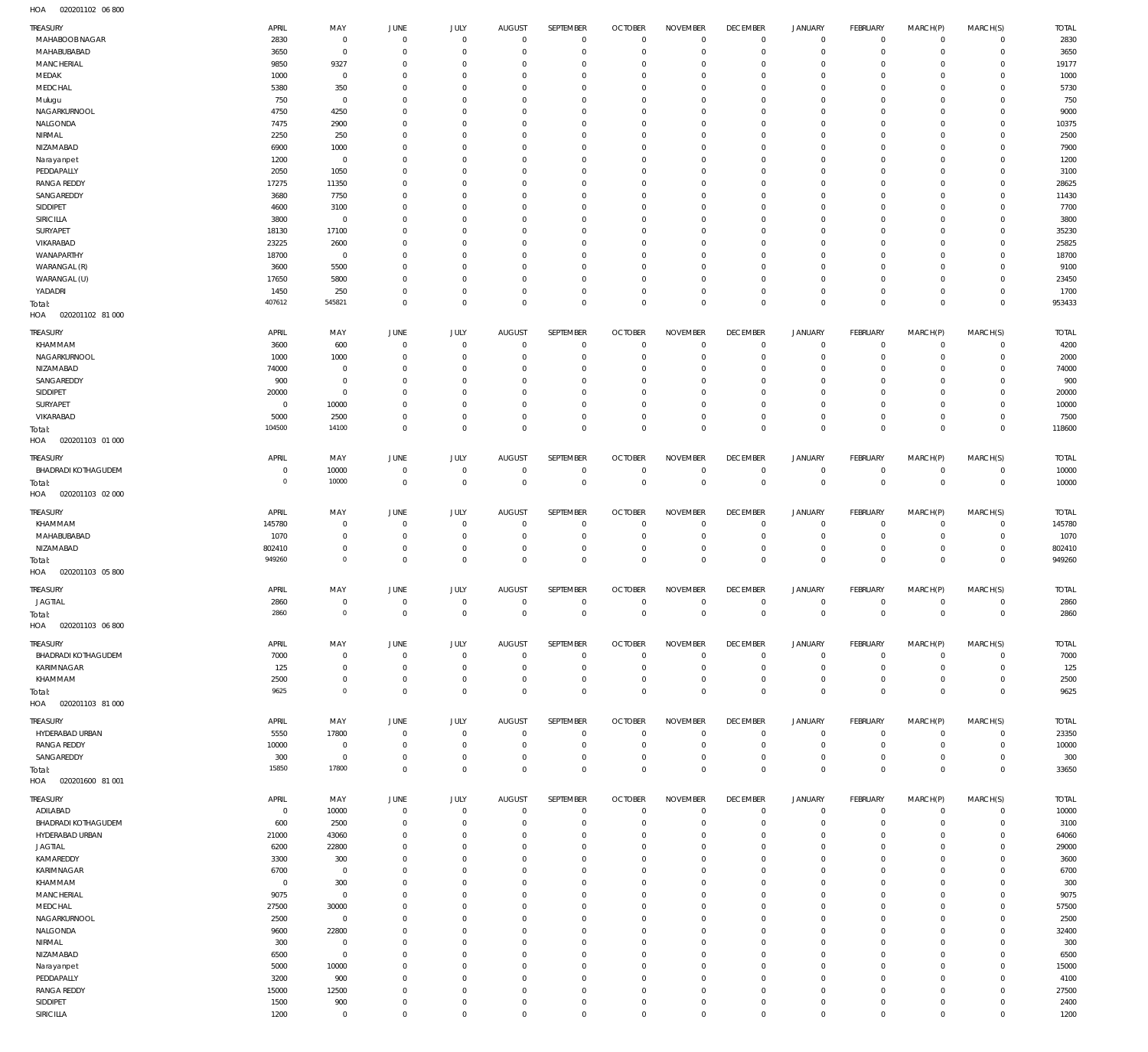020201102 06 800 HOA

| TREASURY                          | APRIL             | MAY                  | JUNE                             | JULY                       | <b>AUGUST</b>             | SEPTEMBER                  | <b>OCTOBER</b>            | <b>NOVEMBER</b>              | <b>DECEMBER</b>            | <b>JANUARY</b>             | <b>FEBRUARY</b>                  | MARCH(P)                | MARCH(S)                       | <b>TOTAL</b>  |
|-----------------------------------|-------------------|----------------------|----------------------------------|----------------------------|---------------------------|----------------------------|---------------------------|------------------------------|----------------------------|----------------------------|----------------------------------|-------------------------|--------------------------------|---------------|
| MAHABOOB NAGAR                    | 2830              | $\mathbf 0$          | $\mathbf 0$                      | $\mathbf{0}$               | $\mathbf 0$               | $\mathbf 0$                | $\overline{0}$            | $\mathbf 0$                  | $\mathbf 0$                | $\mathbf 0$                | $\overline{0}$                   | $\mathbf 0$             | $\mathbf{0}$                   | 2830          |
| MAHABUBABAD                       | 3650              | $\mathbf 0$          | $\overline{0}$                   | $\mathbf 0$                | $^{\circ}$                | $\mathbf 0$                | $^{\circ}$                | $\mathbf 0$                  | $\mathbf 0$                | $\mathbf 0$                | $\overline{0}$                   | $\mathbf 0$             | $\mathbf{0}$                   | 3650          |
| MANCHERIAL                        | 9850              | 9327                 | $\overline{0}$                   | $\mathbf 0$                | $^{\circ}$                | $\mathbf 0$                | $^{\circ}$                | $\mathbf{0}$                 | $\mathbf 0$                | $\mathbf 0$                | $\mathbf 0$                      | $\mathbf 0$             | $\mathbf{0}$                   | 19177         |
| MEDAK<br>MEDCHAL                  | 1000<br>5380      | $\mathbf 0$<br>350   | 0<br>0                           | $\mathbf 0$<br>$\mathbf 0$ | $^{\circ}$<br>$^{\circ}$  | $\mathbf 0$<br>$\mathbf 0$ | $^{\circ}$<br>$^{\circ}$  | $\mathbf 0$<br>$\mathbf{0}$  | $\mathbf 0$<br>$\mathbf 0$ | $\mathbf 0$<br>$\mathbf 0$ | $\mathbf 0$<br>$^{\circ}$        | $\mathbf 0$<br>$\Omega$ | $\mathbf 0$<br>$\mathbf 0$     | 1000<br>5730  |
| Mulugu                            | 750               | $\mathbf 0$          | 0                                | $\mathbf 0$                | $^{\circ}$                | $\mathbf 0$                | $^{\circ}$                | $\mathbf 0$                  | $\mathbf 0$                | $\mathbf 0$                | $\mathbf 0$                      | $\mathbf 0$             | $\mathbf 0$                    | 750           |
| NAGARKURNOOL                      | 4750              | 4250                 | 0                                | $\mathbf 0$                | $^{\circ}$                | $\mathbf 0$                | $^{\circ}$                | $\mathbf 0$                  | $\mathbf 0$                | $\mathbf 0$                | $\mathbf 0$                      | $\Omega$                | $\mathbf 0$                    | 9000          |
| NALGONDA                          | 7475              | 2900                 | 0                                | $\mathbf 0$                | $\mathbf 0$               | $\mathbf 0$                | $^{\circ}$                | $\mathbf 0$                  | $\mathbf 0$                | $\mathbf 0$                | $\mathbf 0$                      | $\mathbf 0$             | $\mathbf 0$                    | 10375         |
| NIRMAL                            | 2250              | 250                  | 0                                | $\mathbf 0$                | $\mathbf 0$               | $\mathbf 0$                | $^{\circ}$                | $\mathbf 0$                  | $\mathbf 0$                | $\mathbf 0$                | $\mathbf 0$                      | $\Omega$                | $\mathbf 0$                    | 2500          |
| NIZAMABAD                         | 6900              | 1000                 | 0                                | $\mathbf 0$                | $\mathbf 0$               | $\mathbf 0$                | $^{\circ}$                | $\mathbf 0$                  | $\mathbf 0$                | $\mathbf 0$                | $\mathbf 0$                      | $\Omega$                | $\mathbf 0$                    | 7900          |
| Narayanpet                        | 1200              | $\mathbf 0$          | 0                                | $\mathbf 0$                | $\mathbf 0$               | $\mathbf 0$                | $^{\circ}$                | $\mathbf{0}$                 | $\mathbf 0$                | $\mathbf 0$                | $\mathbf 0$                      | $\mathbf 0$             | $\mathbf 0$                    | 1200          |
| PEDDAPALLY                        | 2050              | 1050                 | 0                                | $\mathbf 0$                | $\mathbf 0$               | $\mathbf 0$                | $^{\circ}$                | $\mathbf 0$                  | $\mathbf 0$                | $\mathbf 0$                | $\mathbf 0$                      | $\Omega$                | $\mathbf 0$                    | 3100          |
| <b>RANGA REDDY</b>                | 17275             | 11350                | 0                                | $\mathbf 0$                | $^{\circ}$                | $\mathbf 0$                | $^{\circ}$                | $\mathbf 0$                  | $\mathbf 0$                | $\mathbf 0$                | $^{\circ}$                       | $\circ$                 | $\mathbf 0$                    | 28625         |
| SANGAREDDY<br>SIDDIPET            | 3680<br>4600      | 7750<br>3100         | 0<br>0                           | $\mathbf 0$<br>$\mathbf 0$ | $^{\circ}$<br>$^{\circ}$  | $\mathbf 0$<br>$\mathbf 0$ | $^{\circ}$<br>$^{\circ}$  | $\mathbf 0$<br>$\mathbf 0$   | $\mathbf 0$<br>$\mathbf 0$ | $\mathbf 0$<br>$\mathbf 0$ | $\mathbf 0$<br>$\mathbf 0$       | $\Omega$<br>$\circ$     | $\mathbf 0$<br>$\mathbf 0$     | 11430<br>7700 |
| SIRICILLA                         | 3800              | $\mathbf 0$          | 0                                | $\mathbf 0$                | $^{\circ}$                | $\mathbf 0$                | $^{\circ}$                | $\mathbf 0$                  | $\mathbf 0$                | $\mathbf 0$                | $\mathbf 0$                      | $\Omega$                | $\mathbf 0$                    | 3800          |
| SURYAPET                          | 18130             | 17100                | 0                                | $\mathbf 0$                | $^{\circ}$                | $\mathbf 0$                | $^{\circ}$                | $\mathbf{0}$                 | $\mathbf 0$                | $\mathbf 0$                | $\mathbf 0$                      | $\circ$                 | $\mathbf 0$                    | 35230         |
| VIKARABAD                         | 23225             | 2600                 | 0                                | $\mathbf 0$                | $^{\circ}$                | $\mathbf 0$                | $^{\circ}$                | $\mathbf 0$                  | $\mathbf 0$                | $\mathbf 0$                | $\mathbf 0$                      | $\circ$                 | $\mathbf 0$                    | 25825         |
| WANAPARTHY                        | 18700             | $\mathbf 0$          | 0                                | $\mathbf 0$                | $^{\circ}$                | $\mathbf 0$                | $^{\circ}$                | $\mathbf 0$                  | $\mathbf 0$                | $\mathbf 0$                | $\mathbf 0$                      | $\Omega$                | $\mathbf 0$                    | 18700         |
| WARANGAL (R)                      | 3600              | 5500                 | 0                                | $\mathbf 0$                | $^{\circ}$                | $\mathbf 0$                | $^{\circ}$                | $\mathbf 0$                  | $\mathbf 0$                | $\mathbf 0$                | $\mathbf 0$                      | $\mathbf 0$             | $\mathbf 0$                    | 9100          |
| WARANGAL (U)                      | 17650             | 5800                 | 0                                | $\mathbf 0$                | $^{\circ}$                | $\mathbf 0$                | $^{\circ}$                | $\mathbf 0$                  | $\mathbf 0$                | $\mathbf 0$                | $\mathbf 0$                      | $\mathbf 0$             | $\mathbf 0$                    | 23450         |
| YADADRI                           | 1450              | 250                  | 0                                | $\mathbf 0$                | $^{\circ}$                | $\mathbf 0$                | $^{\circ}$                | $\mathbf 0$                  | $\mathbf 0$                | $\mathbf 0$                | $\mathbf 0$                      | $\mathbf 0$             | $\mathbf{0}$                   | 1700          |
| Total:<br>HOA<br>020201102 81 000 | 407612            | 545821               | $\overline{0}$                   | $\mathbf 0$                | $\mathbf 0$               | $\mathsf 0$                | $\mathbf 0$               | $\mathbf 0$                  | $\mathbf 0$                | $\mathbf 0$                | $\overline{0}$                   | $\mathbf 0$             | $\overline{0}$                 | 953433        |
|                                   |                   |                      |                                  |                            |                           |                            |                           |                              |                            |                            |                                  |                         |                                |               |
| TREASURY                          | APRIL             | MAY                  | JUNE                             | JULY                       | AUGUST                    | SEPTEMBER                  | <b>OCTOBER</b>            | <b>NOVEMBER</b>              | <b>DECEMBER</b>            | <b>JANUARY</b>             | FEBRUARY                         | MARCH(P)                | MARCH(S)                       | <b>TOTAL</b>  |
| KHAMMAM                           | 3600              | 600                  | $\overline{0}$                   | $\mathbf 0$                | $^{\circ}$                | $\mathbf 0$                | $\overline{0}$            | $\mathbf 0$                  | $\mathbf 0$                | $\mathbf 0$                | $\mathbf 0$                      | $\mathbf 0$             | $\mathbf{0}$                   | 4200          |
| NAGARKURNOOL<br>NIZAMABAD         | 1000              | 1000<br>$\mathbf{0}$ | 0<br>0                           | $\mathbf 0$<br>$\mathbf 0$ | $^{\circ}$<br>$^{\circ}$  | $\mathbf 0$<br>$\mathbf 0$ | $^{\circ}$<br>$^{\circ}$  | $^{\circ}$<br>$\mathbf{0}$   | $\mathbf 0$<br>$\mathbf 0$ | $\mathbf 0$<br>$\mathbf 0$ | $\mathbf 0$<br>$\mathbf 0$       | $\mathbf 0$<br>$\Omega$ | $\mathbf 0$<br>$\mathbf 0$     | 2000          |
| SANGAREDDY                        | 74000<br>900      | $\mathbf 0$          | 0                                | $\mathbf 0$                | $\mathbf 0$               | $\mathbf 0$                | $^{\circ}$                | $\mathbf{0}$                 | $\mathbf 0$                | $\mathbf 0$                | $\mathbf 0$                      | $\circ$                 | $\mathbf 0$                    | 74000<br>900  |
| SIDDIPET                          | 20000             | $\mathbf 0$          | 0                                | $\mathbf 0$                | $^{\circ}$                | $\mathbf 0$                | $^{\circ}$                | $\mathbf{0}$                 | $\mathbf 0$                | $\mathbf 0$                | $\mathbf 0$                      | $\Omega$                | $\mathbf 0$                    | 20000         |
| SURYAPET                          | $\overline{0}$    | 10000                | 0                                | $\mathbf 0$                | $\mathbf 0$               | $\mathbf 0$                | $^{\circ}$                | $\mathbf{0}$                 | $\mathbf 0$                | $\mathbf 0$                | $\mathbf 0$                      | $\circ$                 | $\mathbf 0$                    | 10000         |
| VIKARABAD                         | 5000              | 2500                 | $\overline{0}$                   | $\mathbf 0$                | $^{\circ}$                | $\mathbf 0$                | $^{\circ}$                | $\mathbf 0$                  | $\mathbf 0$                | $\mathbf 0$                | $\mathbf 0$                      | $\mathbf 0$             | $\mathbf 0$                    | 7500          |
| Total:                            | 104500            | 14100                | $\mathbf{0}$                     | $\mathbf 0$                | $\mathbf 0$               | $\mathsf 0$                | $\mathbf 0$               | $\mathbf 0$                  | $\mathbf 0$                | $\mathbf 0$                | $\overline{0}$                   | $\mathbf 0$             | $\overline{0}$                 | 118600        |
| HOA<br>020201103 01 000           |                   |                      |                                  |                            |                           |                            |                           |                              |                            |                            |                                  |                         |                                |               |
| TREASURY                          | APRIL             | MAY                  | JUNE                             | JULY                       | <b>AUGUST</b>             | SEPTEMBER                  | <b>OCTOBER</b>            | <b>NOVEMBER</b>              | <b>DECEMBER</b>            | <b>JANUARY</b>             | <b>FEBRUARY</b>                  | MARCH(P)                | MARCH(S)                       | <b>TOTAL</b>  |
| <b>BHADRADI KOTHAGUDEM</b>        | $\overline{0}$    | 10000                | $\overline{0}$                   | $\mathbf 0$                | $^{\circ}$                | $\mathbf 0$                | $\overline{0}$            | $\mathbf 0$                  | $\mathbf 0$                | $\mathbf 0$                | $\overline{0}$                   | $\circ$                 | $\overline{0}$                 | 10000         |
| Total:                            | $\circ$           | 10000                | $\mathbf 0$                      | $\mathbf 0$                | $\mathbf 0$               | $\mathsf 0$                | $\overline{0}$            | $\mathbf 0$                  | $\overline{0}$             | $\mathbf 0$                | $\overline{0}$                   | $\mathbf 0$             | $\overline{0}$                 | 10000         |
| HOA<br>020201103 02 000           |                   |                      |                                  |                            |                           |                            |                           |                              |                            |                            |                                  |                         |                                |               |
| TREASURY                          | APRIL             | MAY                  | <b>JUNE</b>                      | JULY                       | <b>AUGUST</b>             | SEPTEMBER                  | <b>OCTOBER</b>            | <b>NOVEMBER</b>              | <b>DECEMBER</b>            | <b>JANUARY</b>             | <b>FEBRUARY</b>                  | MARCH(P)                | MARCH(S)                       | <b>TOTAL</b>  |
| KHAMMAM                           | 145780            | $\mathbf{0}$         | $\overline{0}$                   | $^{\circ}$                 | $^{\circ}$                | $^{\circ}$                 | $^{\circ}$                | $^{\circ}$                   | $\mathbf 0$                | $\mathbf 0$                | $^{\circ}$                       | $\circ$                 | $\mathbf{0}$                   | 145780        |
| MAHABUBABAD                       | 1070              | $\mathbf 0$          | $\overline{0}$                   | $\mathbf 0$                | $^{\circ}$                | $\mathbf 0$                | $^{\circ}$                | $\mathbf 0$                  | $\mathbf 0$                | $\mathbf 0$                | $\mathbf 0$                      | $\circ$                 | $\mathbf 0$                    | 1070          |
| NIZAMABAD                         | 802410            | $\mathbf 0$          | $\overline{0}$                   | $\mathbf 0$                | $^{\circ}$                | $\mathbf 0$                | $^{\circ}$                | $\mathbf{0}$                 | $\mathbf 0$                | $\mathbf 0$                | $\mathbf 0$                      | $\circ$                 | $\mathbf{0}$                   | 802410        |
| Total:                            | 949260            | $\mathsf{O}\xspace$  | $\mathbf 0$                      | $\mathbf 0$                | $\mathbf 0$               | $\mathsf 0$                | $\mathbf 0$               | $\mathbf 0$                  | $\mathbf 0$                | $\mathbf 0$                | $\overline{0}$                   | $\mathbf 0$             | $\mathbf 0$                    | 949260        |
| HOA  020201103  05  800           |                   |                      |                                  |                            |                           |                            |                           |                              |                            |                            |                                  |                         |                                |               |
| TREASURY                          | APRIL             | MAY                  | JUNE                             | JULY                       | AUGUST                    | SEPTEMBER                  | <b>OCTOBER</b>            | <b>NOVEMBER</b>              | <b>DECEMBER</b>            | <b>JANUARY</b>             | <b>FEBRUARY</b>                  | MARCH(P)                | MARCH(S)                       | <b>TOTAL</b>  |
| <b>JAGTIAL</b>                    | 2860              | $\mathbf 0$          | $\mathbf 0$                      | $\mathbf 0$                | $\mathbf 0$               | $\mathbf 0$                | $\mathbf 0$               | $\mathbf 0$                  | $\mathbf 0$                | $\mathbf 0$                | $\overline{0}$                   | $\mathbf 0$             | $\overline{0}$                 | 2860          |
| Total:                            | 2860              | $\mathsf{O}\xspace$  | $\mathbf{0}$                     | $\mathbf{0}$               | $\overline{0}$            | $\overline{0}$             | $\overline{0}$            | $\mathbf{0}$                 | $\overline{0}$             | $\mathbf{0}$               | $\overline{0}$                   | $\overline{0}$          | $\overline{0}$                 | 2860          |
| HOA<br>020201103 06 800           |                   |                      |                                  |                            |                           |                            |                           |                              |                            |                            |                                  |                         |                                |               |
| TREASURY                          | APRIL             | MAY                  | JUNE                             | JULY                       | <b>AUGUST</b>             | SEPTEMBER                  | <b>OCTOBER</b>            | <b>NOVEMBER</b>              | <b>DECEMBER</b>            | <b>JANUARY</b>             | FEBRUARY                         | MARCH(P)                | MARCH(S)                       | <b>TOTAL</b>  |
| <b>BHADRADI KOTHAGUDEM</b>        | 7000              | $^{\circ}$           | $\overline{0}$                   | $\mathbf 0$                | $^{\circ}$                | $\mathbf 0$                | $\overline{0}$            | $\mathbf 0$                  | $\mathbf 0$                | $\mathbf 0$                | $\mathbf 0$                      | $\circ$                 | $^{\circ}$                     | 7000          |
| KARIMNAGAR                        | 125               | $\mathbf 0$          | $\overline{0}$                   | $^{\circ}$                 | $^{\circ}$                | $\mathbf 0$                | $^{\circ}$                | $^{\circ}$                   | $\mathbf 0$                | $\mathbf 0$                | $^{\circ}$                       | $\circ$                 | $\mathbf{0}$                   | 125           |
| KHAMMAM                           | 2500              | $\mathbf 0$          | $\overline{0}$                   | $^{\circ}$                 | $^{\circ}$                | $\mathbf 0$                | $^{\circ}$                | $^{\circ}$                   | $\mathbf 0$                | $\mathbf 0$                | $\mathbf 0$                      | $\circ$                 | $\mathbf 0$                    | 2500          |
| Total:                            | 9625              | $\mathsf{O}\xspace$  | $^{\circ}$                       | $\mathbf 0$                | $\mathbf 0$               | $\mathbf 0$                | $^{\circ}$                | $\mathbf 0$                  | $\mathbf 0$                | $\mathbf 0$                | $\overline{0}$                   | $\mathbf 0$             | $\mathbf 0$                    | 9625          |
| HOA<br>020201103 81 000           |                   |                      |                                  |                            |                           |                            |                           |                              |                            |                            |                                  |                         |                                |               |
| TREASURY                          | APRIL             | MAY                  | JUNE                             | JULY                       | <b>AUGUST</b>             | SEPTEMBER                  | <b>OCTOBER</b>            | <b>NOVEMBER</b>              | <b>DECEMBER</b>            | <b>JANUARY</b>             | <b>FEBRUARY</b>                  | MARCH(P)                | MARCH(S)                       | <b>TOTAL</b>  |
| HYDERABAD URBAN                   | 5550              | 17800                | $\overline{0}$                   | $\mathbf 0$                | $^{\circ}$                | $\mathbf 0$                | $^{\circ}$                | $\mathbf 0$                  | $\mathbf 0$                | $\mathbf 0$                | $\overline{0}$                   | $\circ$                 | $\circ$                        | 23350         |
| <b>RANGA REDDY</b>                | 10000             | $\mathbf{0}$         | $\overline{0}$                   | $\mathbf 0$                | $^{\circ}$                | $\mathbf 0$                | $^{\circ}$                | $\overline{0}$               | $\mathbf 0$                | $\mathbf 0$                | $\overline{0}$                   | $\circ$                 | $\mathbf{0}$                   | 10000         |
| SANGAREDDY                        | 300<br>15850      | $\mathbf 0$<br>17800 | $\overline{0}$<br>$^{\circ}$     | $\mathbf 0$<br>$\mathbf 0$ | $^{\circ}$<br>$\mathbf 0$ | $\mathbf 0$<br>$\mathbf 0$ | $^{\circ}$<br>$\mathbf 0$ | $\mathbf{0}$<br>$\mathbf 0$  | $\mathbf 0$<br>$\mathbf 0$ | $\mathbf 0$<br>$\mathbf 0$ | $\overline{0}$<br>$\overline{0}$ | $\circ$<br>$\mathbf 0$  | $\mathbf{0}$<br>$\overline{0}$ | 300<br>33650  |
| Total:<br>HOA<br>020201600 81 001 |                   |                      |                                  |                            |                           |                            |                           |                              |                            |                            |                                  |                         |                                |               |
|                                   |                   |                      |                                  |                            |                           |                            |                           |                              |                            |                            |                                  |                         |                                |               |
| TREASURY                          | APRIL             | MAY                  | JUNE                             | JULY                       | <b>AUGUST</b>             | SEPTEMBER                  | <b>OCTOBER</b>            | <b>NOVEMBER</b>              | <b>DECEMBER</b>            | <b>JANUARY</b>             | <b>FEBRUARY</b>                  | MARCH(P)                | MARCH(S)                       | <b>TOTAL</b>  |
| ADILABAD<br>BHADRADI KOTHAGUDEM   | $^{\circ}$<br>600 | 10000<br>2500        | $\overline{0}$<br>$\overline{0}$ | $\mathbf 0$<br>$\mathbf 0$ | $\mathbf 0$<br>$^{\circ}$ | $\mathbf 0$<br>$\mathbf 0$ | $^{\circ}$<br>$^{\circ}$  | $^{\circ}$<br>$\overline{0}$ | $\mathbf 0$<br>$\mathbf 0$ | $\mathbf 0$<br>$\mathbf 0$ | $\mathbf 0$<br>$\mathbf 0$       | $\circ$<br>$\circ$      | $\mathbf 0$<br>$\mathbf 0$     | 10000<br>3100 |
| HYDERABAD URBAN                   | 21000             | 43060                | $\overline{0}$                   | $\mathbf 0$                | 0                         | $\mathbf 0$                | $^{\circ}$                | $^{\circ}$                   | $\mathbf 0$                | $\mathbf 0$                | $\mathbf 0$                      | $\circ$                 | $\mathbf 0$                    | 64060         |
| <b>JAGTIAL</b>                    | 6200              | 22800                | 0                                | $\mathbf 0$                | 0                         | $\mathbf 0$                | $^{\circ}$                | $^{\circ}$                   | $\mathbf 0$                | $\mathbf 0$                | $\mathbf 0$                      | $\Omega$                | $\mathbf 0$                    | 29000         |
| KAMAREDDY                         | 3300              | 300                  | - 0                              | $\mathbf 0$                | $\mathbf 0$               | $\mathbf 0$                | $^{\circ}$                | $\mathbf{0}$                 | $\mathbf 0$                | $\mathbf 0$                | $\mathbf 0$                      | $\circ$                 | $\mathbf 0$                    | 3600          |
| KARIMNAGAR                        | 6700              | $^{\circ}$           | - 0                              | $\mathbf 0$                | 0                         | $^{\circ}$                 | $^{\circ}$                | $^{\circ}$                   | $\mathbf 0$                | $\mathbf 0$                | $\mathbf 0$                      | $\Omega$                | $\circ$                        | 6700          |
| KHAMMAM                           | $\overline{0}$    | 300                  | - 0                              | $^{\circ}$                 | $^{\circ}$                | $\mathbf 0$                | $^{\circ}$                | $\mathbf{0}$                 | $\mathbf 0$                | $\mathbf 0$                | $\mathbf 0$                      | $\Omega$                | $\mathbf 0$                    | 300           |
| MANCHERIAL                        | 9075              | $\mathbf{0}$         | - 0                              | $^{\circ}$                 | 0                         | $^{\circ}$                 | $^{\circ}$                | $\mathbf{0}$                 | $\mathbf 0$                | $\mathbf 0$                | $\mathbf 0$                      | $\Omega$                | $\mathbf 0$                    | 9075          |
| MEDCHAL                           | 27500             | 30000                | 0                                | $\mathbf 0$                | $^{\circ}$                | $\mathbf 0$                | $^{\circ}$                | $\mathbf{0}$                 | $\mathbf 0$                | $\mathbf 0$                | $\mathbf 0$                      | $\Omega$                | $\mathbf 0$                    | 57500         |
| NAGARKURNOOL                      | 2500              | $\mathbf{0}$         | - 0                              | $^{\circ}$                 | 0                         | $\mathbf 0$                | $^{\circ}$                | $\mathbf{0}$                 | $\mathbf 0$                | $\mathbf 0$                | $\mathbf 0$                      | $\Omega$                | $\mathbf 0$                    | 2500          |
| NALGONDA<br>NIRMAL                | 9600<br>300       | 22800<br>$^{\circ}$  | 0<br>- 0                         | $^{\circ}$<br>$^{\circ}$   | $^{\circ}$<br>0           | $\mathbf 0$<br>$^{\circ}$  | $^{\circ}$<br>$^{\circ}$  | $\mathbf{0}$<br>$\mathbf{0}$ | $\mathbf 0$<br>$\mathbf 0$ | $\mathbf 0$<br>$\mathbf 0$ | $\mathbf 0$<br>$\mathbf 0$       | $\Omega$<br>$\Omega$    | $\mathbf 0$<br>$\mathbf 0$     | 32400<br>300  |
| NIZAMABAD                         | 6500              | $\mathbf 0$          | - 0                              | $^{\circ}$                 | $\mathbf 0$               | $\mathbf 0$                | $^{\circ}$                | $\mathbf{0}$                 | $\mathbf 0$                | $\mathbf 0$                | $\mathbf 0$                      | 0                       | $\mathbf 0$                    | 6500          |
| Narayanpet                        | 5000              | 10000                | 0                                | $\mathbf 0$                | 0                         | $\mathbf 0$                | $^{\circ}$                | $^{\circ}$                   | $\mathbf 0$                | $\mathbf 0$                | $\mathbf 0$                      | $\Omega$                | $\mathbf 0$                    | 15000         |
| PEDDAPALLY                        | 3200              | 900                  | - 0                              | $\mathbf 0$                | $\mathbf 0$               | $\mathbf 0$                | $^{\circ}$                | $\mathbf{0}$                 | $\mathbf 0$                | $\mathbf 0$                | $\mathbf 0$                      | $\mathbf 0$             | $\mathbf 0$                    | 4100          |
| <b>RANGA REDDY</b>                | 15000             | 12500                | 0                                | $\mathbf 0$                | 0                         | $\mathbf 0$                | $^{\circ}$                | $\mathbf{0}$                 | $\mathbf 0$                | $\mathbf 0$                | $\mathbf 0$                      | $\Omega$                | $\mathbf 0$                    | 27500         |
| SIDDIPET                          | 1500              | 900                  | - 0                              | $\mathbf 0$                | $\mathbf 0$               | $\mathbf 0$                | $^{\circ}$                | $\mathbf{0}$                 | $\mathbf 0$                | $\mathbf 0$                | $\mathbf 0$                      | $\mathbf 0$             | $\mathbf 0$                    | 2400          |
| SIRICILLA                         | 1200              | $\mathbf 0$          | $\overline{0}$                   | $\mathbf 0$                | $\mathbf 0$               | $\mathbf 0$                | $\mathbf 0$               | $\mathbf 0$                  | $\mathbf 0$                | $\mathbf 0$                | $\mathbf 0$                      | $\mathbf 0$             | $\mathbf 0$                    | 1200          |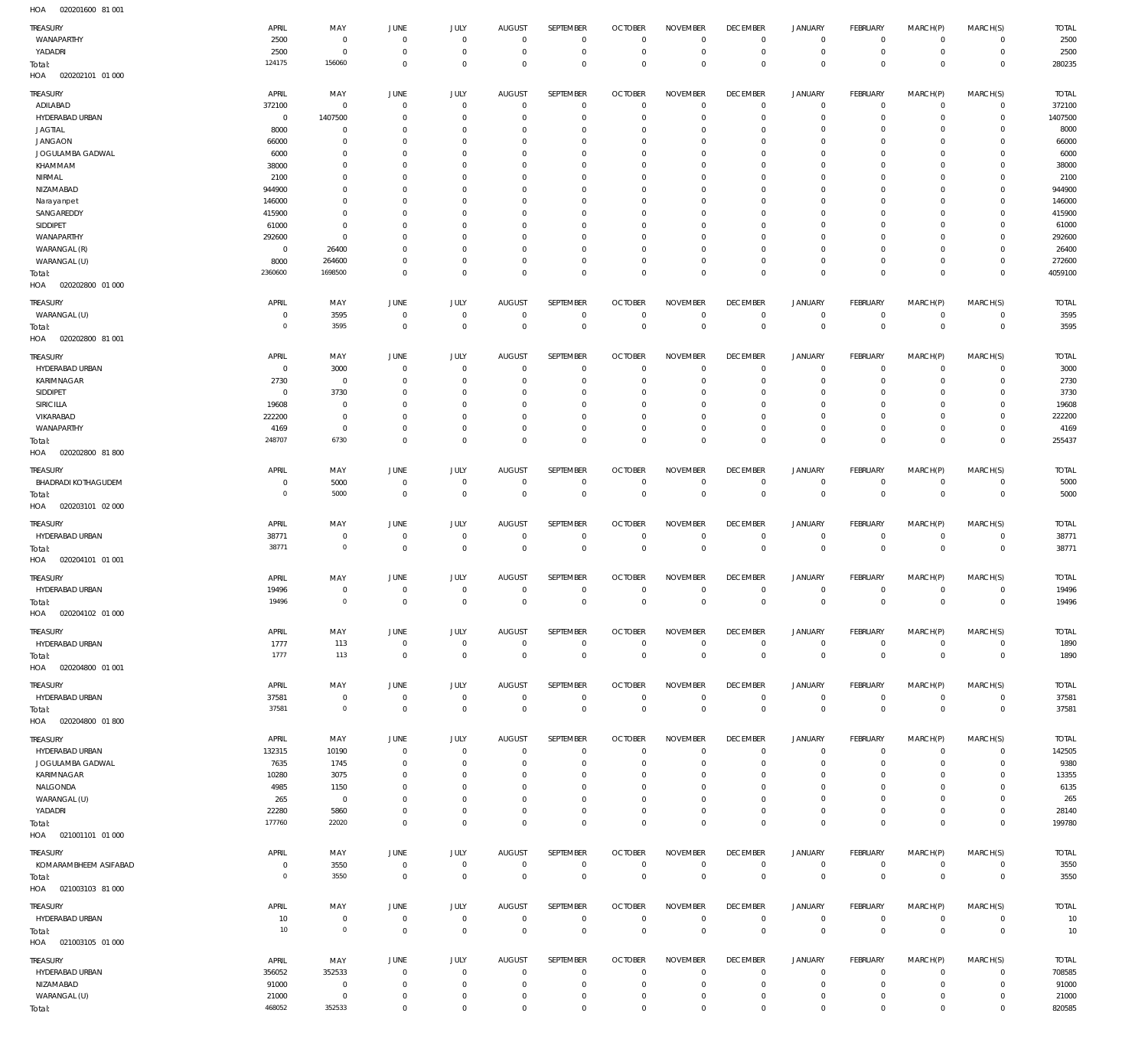020201600 81 001 HOA

| TREASURY<br>WANAPARTHY            | <b>APRIL</b><br>2500 | MAY<br>$\overline{0}$        | <b>JUNE</b><br>$\mathbf{0}$ | JULY<br>$\mathbf 0$           | <b>AUGUST</b><br>$^{\circ}$      | SEPTEMBER<br>$^{\circ}$    | <b>OCTOBER</b><br>$\Omega$ | <b>NOVEMBER</b><br>$^{\circ}$     | <b>DECEMBER</b><br>$^{\circ}$ | <b>JANUARY</b><br>$\mathbf 0$ | FEBRUARY<br>$^{\circ}$    | MARCH(P)<br>$\mathbf 0$     | MARCH(S)<br>$\mathbf 0$       | <b>TOTAL</b><br>2500   |
|-----------------------------------|----------------------|------------------------------|-----------------------------|-------------------------------|----------------------------------|----------------------------|----------------------------|-----------------------------------|-------------------------------|-------------------------------|---------------------------|-----------------------------|-------------------------------|------------------------|
| YADADRI<br>Total:                 | 2500<br>124175       | $\overline{0}$<br>156060     | $\mathbf 0$<br>$\mathbf 0$  | $^{\circ}$<br>$\overline{0}$  | $^{\circ}$<br>$^{\circ}$         | $^{\circ}$<br>$\mathbf{0}$ | $\Omega$<br>$\Omega$       | $\overline{0}$<br>$\mathbf 0$     | $^{\circ}$<br>$^{\circ}$      | $\mathbf 0$<br>$\mathbf 0$    | $^{\circ}$<br>$\mathbf 0$ | $\mathbf 0$<br>$\mathbf{0}$ | $\mathbf 0$<br>$\overline{0}$ | 2500<br>280235         |
| 020202101 01 000<br>HOA           |                      |                              |                             |                               |                                  |                            |                            |                                   |                               |                               |                           |                             |                               |                        |
| TREASURY<br>ADILABAD              | APRIL<br>372100      | MAY<br>$\overline{0}$        | <b>JUNE</b><br>$\mathbf 0$  | JULY<br>$\overline{0}$        | <b>AUGUST</b><br>$\overline{0}$  | SEPTEMBER<br>$^{\circ}$    | <b>OCTOBER</b><br>$\Omega$ | <b>NOVEMBER</b><br>$\overline{0}$ | <b>DECEMBER</b><br>$^{\circ}$ | JANUARY<br>$\mathbf 0$        | FEBRUARY<br>$^{\circ}$    | MARCH(P)<br>$\mathbf 0$     | MARCH(S)<br>$\mathbf 0$       | <b>TOTAL</b><br>372100 |
| HYDERABAD URBAN                   | $\mathbf 0$          | 1407500                      | $\mathbf 0$                 | $^{\circ}$                    | $^{\circ}$                       | $^{\circ}$                 | $\Omega$                   | $\mathbf 0$                       | $^{\circ}$                    | $\mathbf 0$                   | $^{\circ}$                | $^{\circ}$                  | $\mathbf 0$                   | 1407500                |
| <b>JAGTIAL</b>                    | 8000                 | $\overline{0}$               | 0                           | $^{\circ}$                    | 0                                | $^{\circ}$                 | $\Omega$                   | $\overline{0}$                    | $\circ$                       | $\circ$                       | $^{\circ}$                | $^{\circ}$                  | $\mathbf 0$                   | 8000                   |
| <b>JANGAON</b>                    | 66000                | $\overline{0}$               | 0                           | $\Omega$                      | 0                                | $^{\circ}$                 | $\Omega$                   | $\overline{0}$                    | $\circ$                       | $\mathbf 0$                   | $^{\circ}$                | $\mathbf 0$                 | $\mathbf 0$                   | 66000                  |
| JOGULAMBA GADWAL<br>KHAMMAM       | 6000<br>38000        | $\overline{0}$<br>$^{\circ}$ | 0<br>0                      | $^{\circ}$<br>$\Omega$        | 0<br>0                           | $^{\circ}$<br>$^{\circ}$   | $\Omega$<br>$\Omega$       | $\overline{0}$<br>$\overline{0}$  | $\circ$<br>$\circ$            | $\mathbf 0$<br>$\mathbf 0$    | $^{\circ}$<br>0           | $\mathbf 0$<br>0            | $\mathbf 0$<br>$\mathbf 0$    | 6000<br>38000          |
| NIRMAL                            | 2100                 | $\mathbf 0$                  | $\Omega$                    | $\Omega$                      | 0                                | $^{\circ}$                 | $\Omega$                   | $\overline{0}$                    | $\circ$                       | $\mathbf 0$                   | 0                         | $\mathbf 0$                 | $\mathbf 0$                   | 2100                   |
| NIZAMABAD                         | 944900               | $^{\circ}$                   | 0                           | $\Omega$                      | 0                                | $^{\circ}$                 | $\Omega$                   | $\overline{0}$                    | $\circ$                       | $\mathbf 0$                   | 0                         | $\mathbf 0$                 | $\mathbf 0$                   | 944900                 |
| Narayanpet                        | 146000               | $^{\circ}$                   | $\Omega$                    | $\Omega$                      | 0                                | $^{\circ}$                 | $\Omega$                   | $\overline{0}$                    | $\circ$                       | $\mathbf 0$                   | 0                         | $\mathbf 0$                 | $\mathbf 0$                   | 146000                 |
| SANGAREDDY<br>SIDDIPET            | 415900<br>61000      | $^{\circ}$<br>$\overline{0}$ | 0<br>$\Omega$               | $^{\circ}$<br>$\Omega$        | 0<br>0                           | $^{\circ}$<br>$^{\circ}$   | $\Omega$<br>$\Omega$       | $\overline{0}$<br>$\overline{0}$  | $\circ$<br>$\circ$            | $\mathbf 0$<br>$\mathbf 0$    | 0<br>0                    | 0<br>$^{\circ}$             | $\mathbf 0$<br>$\mathbf 0$    | 415900<br>61000        |
| WANAPARTHY                        | 292600               | $\overline{0}$               | 0                           | $\Omega$                      | 0                                | $^{\circ}$                 | $\Omega$                   | $\overline{0}$                    | $\circ$                       | $\mathbf 0$                   | 0                         | $\mathbf 0$                 | $\mathbf 0$                   | 292600                 |
| WARANGAL (R)                      | $\mathbf 0$          | 26400                        | $\Omega$                    | $^{\circ}$                    | 0                                | $^{\circ}$                 | - 0                        | $\overline{0}$                    | $\circ$                       | $\mathbf 0$                   | 0                         | $\mathbf 0$                 | $\mathbf 0$                   | 26400                  |
| WARANGAL (U)                      | 8000                 | 264600                       | $\mathbf 0$                 | $\overline{0}$                | $\overline{0}$                   | $^{\circ}$                 | $\circ$                    | $\overline{0}$                    | $\overline{0}$                | $\mathsf{O}$                  | 0                         | $\mathbf 0$                 | $\mathbf 0$                   | 272600                 |
| Total:<br>HOA<br>020202800 01 000 | 2360600              | 1698500                      | $\mathbf 0$                 | $\mathbf 0$                   | $\mathbf 0$                      | $\mathbf 0$                | $\Omega$                   | $\mathbf 0$                       | $\mathbb O$                   | $\mathbb O$                   | $\mathbf 0$               | $\overline{0}$              | $\mathbf 0$                   | 4059100                |
| TREASURY                          | APRIL                | MAY                          | <b>JUNE</b>                 | JULY                          | <b>AUGUST</b>                    | <b>SEPTEMBER</b>           | <b>OCTOBER</b>             | <b>NOVEMBER</b>                   | <b>DECEMBER</b>               | <b>JANUARY</b>                | <b>FEBRUARY</b>           | MARCH(P)                    | MARCH(S)                      | <b>TOTAL</b>           |
| WARANGAL (U)                      | 0                    | 3595                         | $\mathbf 0$                 | $\mathbf 0$                   | $^{\circ}$                       | $^{\circ}$                 | $\Omega$                   | $\overline{0}$                    | $\mathbf 0$                   | $\mathbf 0$                   | $^{\circ}$                | $^{\circ}$                  | $\mathbf 0$                   | 3595                   |
| Total:<br>HOA<br>020202800 81 001 | $\mathbf 0$          | 3595                         | $\mathbf 0$                 | $\mathbf 0$                   | $\mathbf 0$                      | $\overline{0}$             | $^{\circ}$                 | $\mathbf 0$                       | $\mathbf 0$                   | $\mathbb O$                   | $\mathbf 0$               | $\mathbf 0$                 | $\mathbf 0$                   | 3595                   |
| TREASURY                          | <b>APRIL</b>         | MAY                          | JUNE                        | JULY                          | <b>AUGUST</b>                    | SEPTEMBER                  | <b>OCTOBER</b>             | <b>NOVEMBER</b>                   | <b>DECEMBER</b>               | JANUARY                       | FEBRUARY                  | MARCH(P)                    | MARCH(S)                      | <b>TOTAL</b>           |
| HYDERABAD URBAN                   | $\mathbf 0$          | 3000                         | $\mathbf 0$                 | $^{\circ}$                    | $^{\circ}$                       | $^{\circ}$                 | $\Omega$                   | $^{\circ}$                        | 0                             | $\mathbf 0$                   | $^{\circ}$                | $^{\circ}$                  | $^{\circ}$                    | 3000                   |
| KARIMNAGAR                        | 2730                 | $\overline{0}$               | $\mathbf 0$                 | $^{\circ}$                    | $^{\circ}$                       | $^{\circ}$                 | $\Omega$                   | $\mathbf 0$                       | $^{\circ}$                    | $\mathbf 0$                   | $^{\circ}$                | $\mathbf 0$                 | $\mathbf 0$                   | 2730                   |
| SIDDIPET<br>SIRICILLA             | $^{\circ}$<br>19608  | 3730<br>$\overline{0}$       | 0<br>0                      | $^{\circ}$<br>$^{\circ}$      | 0<br>0                           | $^{\circ}$<br>$^{\circ}$   | $\Omega$<br>$\Omega$       | $\mathbf 0$<br>$\mathbf 0$        | $\circ$<br>$\circ$            | $\mathbf 0$<br>$\mathbf 0$    | 0<br>0                    | $^{\circ}$<br>$\mathbf 0$   | $\mathbf 0$<br>$\mathbf 0$    | 3730<br>19608          |
| VIKARABAD                         | 222200               | $\overline{0}$               | 0                           | $^{\circ}$                    | 0                                | $^{\circ}$                 | $\Omega$                   | $\mathbf 0$                       | $\circ$                       | $\circ$                       | 0                         | $\mathbf 0$                 | $\mathbf 0$                   | 222200                 |
| WANAPARTHY                        | 4169                 | $\overline{0}$               | $\mathbf 0$                 | $\overline{0}$                | $^{\circ}$                       | $^{\circ}$                 | $\Omega$                   | $\mathbf 0$                       | $\overline{0}$                | $\mathbf 0$                   | $^{\circ}$                | $\mathbf 0$                 | $\mathbf 0$                   | 4169                   |
| Total:<br>HOA<br>020202800 81 800 | 248707               | 6730                         | $\mathbf 0$                 | $\,0\,$                       | $\mathbf 0$                      | $\mathbf 0$                | $\Omega$                   | $\mathbf 0$                       | $\mathbf 0$                   | $\mathbb O$                   | $^{\circ}$                | $\mathbf 0$                 | $\mathbf 0$                   | 255437                 |
| TREASURY                          | APRIL                | MAY                          | <b>JUNE</b>                 | JULY                          | <b>AUGUST</b>                    | SEPTEMBER                  | <b>OCTOBER</b>             | <b>NOVEMBER</b>                   | <b>DECEMBER</b>               | <b>JANUARY</b>                | <b>FEBRUARY</b>           | MARCH(P)                    | MARCH(S)                      | <b>TOTAL</b>           |
| <b>BHADRADI KOTHAGUDEM</b>        | 0                    | 5000                         | $\mathbf 0$                 | $\mathbf 0$                   | $^{\circ}$                       | $^{\circ}$                 | $\Omega$                   | $^{\circ}$                        | $\mathbf 0$                   | $\mathbf 0$                   | 0                         | $^{\circ}$                  | $\overline{0}$                | 5000                   |
| Total:<br>HOA<br>020203101 02 000 | $\bf 0$              | 5000                         | $\mathbf 0$                 | $\mathbf 0$                   | $\mathbf 0$                      | $\overline{0}$             | $\overline{0}$             | $\mathbf 0$                       | $\mathbf 0$                   | $\mathbb O$                   | $\overline{0}$            | $\mathbf 0$                 | $\mathbf 0$                   | 5000                   |
| TREASURY                          | APRIL                | MAY                          | <b>JUNE</b>                 | JULY                          | <b>AUGUST</b>                    | SEPTEMBER                  | <b>OCTOBER</b>             | <b>NOVEMBER</b>                   | <b>DECEMBER</b>               | <b>JANUARY</b>                | FEBRUARY                  | MARCH(P)                    | MARCH(S)                      | <b>TOTAL</b>           |
| HYDERABAD URBAN                   | 38771                | $\overline{0}$               | $\mathbf 0$                 | $\mathbf 0$                   | $^{\circ}$                       | $^{\circ}$                 | $\Omega$                   | $^{\circ}$                        | $^{\circ}$                    | $\mathbf 0$                   | $^{\circ}$                | $\mathbf 0$                 | $\mathbf 0$                   | 38771                  |
| Total:<br>HOA<br>020204101 01 001 | 38771                | $\overline{0}$               | $\mathbf{0}$                | $\mathbf 0$                   | $\mathbf 0$                      | $\overline{0}$             | $\overline{0}$             | $\mathbf 0$                       | $\mathbb O$                   | $\mathbb O$                   | $\overline{0}$            | $\mathbf 0$                 | $\mathbf{0}$                  | 38771                  |
| TREASURY                          | APRIL                | MAY                          | <b>JUNE</b>                 | JULY                          | <b>AUGUST</b>                    | SEPTEMBER                  | <b>OCTOBER</b>             | <b>NOVEMBER</b>                   | <b>DECEMBER</b>               | <b>JANUARY</b>                | FEBRUARY                  | MARCH(P)                    | MARCH(S)                      | <b>TOTAL</b>           |
| HYDERABAD URBAN                   | 19496                | $\overline{0}$               | $\mathbf 0$                 | $^{\circ}$                    | - 0                              | $^{\circ}$                 | $\Omega$                   | $\mathbf 0$                       | $^{\circ}$                    | $\mathbf 0$                   | $^{\circ}$                | $^{\circ}$                  | $^{\circ}$                    | 19496                  |
| Total:<br>HOA<br>020204102 01 000 | 19496                | $\overline{0}$               | $\mathbf{0}$                | $\mathbf 0$                   | $\mathbf 0$                      | $\mathbf{0}$               | $^{\circ}$                 | $\mathbf 0$                       | $\overline{0}$                | $\mathbf 0$                   | $\mathbf 0$               | $\mathbf 0$                 | $\mathbf 0$                   | 19496                  |
| TREASURY                          | <b>APRIL</b>         | MAY                          | <b>JUNE</b>                 | JULY                          | <b>AUGUST</b>                    | SEPTEMBER                  | <b>OCTOBER</b>             | <b>NOVEMBER</b>                   | <b>DECEMBER</b>               | <b>JANUARY</b>                | <b>FEBRUARY</b>           | MARCH(P)                    | MARCH(S)                      | <b>TOTAL</b>           |
| HYDERABAD URBAN                   | 1777                 | 113                          | $\overline{0}$              | $\mathbb O$                   | $\mathbf 0$                      | $\overline{0}$             | $\overline{0}$             | $\mathbf 0$                       | $\mathbb O$                   | $\mathbf 0$                   | $\mathbf 0$               | $\mathbf 0$                 | $\overline{0}$                | 1890                   |
| Total:<br>HOA<br>020204800 01 001 | 1777                 | 113                          | $\overline{0}$              | $\mathbf 0$                   | $\mathbf 0$                      | $\overline{0}$             | $\mathbf 0$                | $\mathbb O$                       | $\mathbb O$                   | $\mathbf 0$                   | $\mathbf 0$               | $\mathbf 0$                 | $\mathbf 0$                   | 1890                   |
| TREASURY                          | APRIL                | MAY                          | <b>JUNE</b>                 | JULY                          | AUGUST                           | SEPTEMBER                  | <b>OCTOBER</b>             | <b>NOVEMBER</b>                   | <b>DECEMBER</b>               | <b>JANUARY</b>                | FEBRUARY                  | MARCH(P)                    | MARCH(S)                      | <b>TOTAL</b>           |
| HYDERABAD URBAN                   | 37581                | $\overline{0}$               | $\mathbf 0$                 | $\,0\,$                       | $\overline{0}$                   | $^{\circ}$                 | $^{\circ}$                 | $\overline{0}$                    | $\mathbf 0$                   | 0                             | $\mathbf 0$               | $^{\circ}$                  | $\overline{0}$                | 37581                  |
| Total:<br>HOA<br>020204800 01 800 | 37581                | $\overline{0}$               | $\overline{0}$              | $\mathbb O$                   | $\mathbf 0$                      | $\overline{0}$             | $\mathbf 0$                | $\mathbb O$                       | $\mathbb O$                   | $\mathbf 0$                   | $\overline{0}$            | $\mathbb O$                 | $\overline{0}$                | 37581                  |
| TREASURY                          | APRIL                | MAY                          | JUNE                        | JULY                          | <b>AUGUST</b>                    | SEPTEMBER                  | <b>OCTOBER</b>             | <b>NOVEMBER</b>                   | <b>DECEMBER</b>               | <b>JANUARY</b>                | FEBRUARY                  | MARCH(P)                    | MARCH(S)                      | <b>TOTAL</b>           |
| HYDERABAD URBAN                   | 132315               | 10190                        | $\mathbf 0$                 | $\mathbf 0$                   | $\mathbf 0$                      | $\overline{0}$             | $\overline{0}$             | $\mathbf 0$                       | $\overline{0}$                | 0                             | $\mathbf{0}$              | $\mathbf 0$                 | $\overline{0}$                | 142505                 |
| JOGULAMBA GADWAL                  | 7635                 | 1745                         | $\mathbf 0$                 | $\mathbf 0$                   | $^{\circ}$                       | $\mathbf 0$                | 0                          | $^{\circ}$                        | $^{\circ}$                    | $\mathbf 0$                   | $^{\circ}$                | $\mathbf 0$                 | $\mathbf 0$                   | 9380                   |
| KARIMNAGAR                        | 10280                | 3075                         | $\mathbf 0$                 | $\overline{0}$                | $\overline{0}$                   | $^{\circ}$                 | $\Omega$                   | $\overline{0}$                    | $\overline{0}$                | $\circ$                       | $^{\circ}$                | $\mathbf 0$                 | $^{\circ}$                    | 13355                  |
| NALGONDA<br>WARANGAL (U)          | 4985<br>265          | 1150<br>$\overline{0}$       | $\mathbf 0$<br>0            | $\mathbf 0$<br>$\overline{0}$ | $\overline{0}$<br>$\overline{0}$ | $^{\circ}$<br>$^{\circ}$   | $\Omega$<br>$\Omega$       | $\overline{0}$<br>$\overline{0}$  | $^{\circ}$<br>$\overline{0}$  | $\mathsf{O}$<br>$\mathbf 0$   | 0<br>0                    | $\mathbf 0$<br>$\mathbf 0$  | $\mathbf 0$<br>$\mathbf 0$    | 6135<br>265            |
| YADADRI                           | 22280                | 5860                         | $\mathbf 0$                 | $\mathbf 0$                   | $\overline{0}$                   | $^{\circ}$                 | $\circ$                    | $\mathbf 0$                       | $\overline{0}$                | $\mathbf 0$                   | $\mathbf 0$               | $\mathbf 0$                 | $\mathbf 0$                   | 28140                  |
| Total:                            | 177760               | 22020                        | $\mathbf 0$                 | $\mathbb O$                   | $\mathbf 0$                      | $\mathbb O$                | $\Omega$                   | $\mathbb O$                       | $\mathbb O$                   | $\mathbb O$                   | $\mathbf 0$               | $\mathbf 0$                 | $\mathbf{0}$                  | 199780                 |
| HOA<br>021001101 01 000           |                      |                              |                             |                               |                                  |                            |                            |                                   |                               |                               |                           |                             |                               |                        |
| TREASURY                          | <b>APRIL</b>         | MAY                          | JUNE                        | JULY                          | AUGUST                           | SEPTEMBER                  | <b>OCTOBER</b>             | <b>NOVEMBER</b>                   | <b>DECEMBER</b>               | <b>JANUARY</b>                | <b>FEBRUARY</b>           | MARCH(P)                    | MARCH(S)                      | <b>TOTAL</b>           |
| KOMARAMBHEEM ASIFABAD             | 0                    | 3550                         | $\mathbf 0$                 | $\,0\,$                       | $\mathbf 0$                      | $^{\circ}$                 | $^{\circ}$                 | $\mathbf 0$                       | $\mathbf 0$                   | $\mathbf 0$                   | $\mathbf 0$               | $\mathbf 0$                 | $\overline{0}$                | 3550                   |
| Total:<br>HOA<br>021003103 81 000 | $\bf 0$              | 3550                         | $\mathbf{0}$                | $\mathbb O$                   | $\mathbf 0$                      | $\overline{0}$             | $\overline{0}$             | $\mathbb O$                       | $\mathbb O$                   | $\mathbf 0$                   | $\mathbf 0$               | $\mathbb O$                 | $\overline{0}$                | 3550                   |
| TREASURY                          | APRIL                | MAY                          | JUNE                        | JULY                          | AUGUST                           | SEPTEMBER                  | <b>OCTOBER</b>             | <b>NOVEMBER</b>                   | <b>DECEMBER</b>               | <b>JANUARY</b>                | FEBRUARY                  | MARCH(P)                    | MARCH(S)                      | <b>TOTAL</b>           |
| HYDERABAD URBAN                   | 10                   | $\mathbf 0$                  | $\mathbf 0$                 | $\,0\,$                       | $\mathbf 0$                      | $^{\circ}$                 | $^{\circ}$                 | $\overline{0}$                    | $^{\circ}$                    | $\mathbf 0$                   | $\mathbf 0$               | 0                           | $\overline{0}$                | 10                     |
| Total:<br>HOA<br>021003105 01 000 | 10                   | $\overline{0}$               | $\mathbf 0$                 | $\mathbb O$                   | $\mathbb O$                      | $\overline{0}$             | $\mathbf 0$                | $\mathbb O$                       | $\mathbb O$                   | $\mathbb O$                   | $\overline{0}$            | $\mathbf 0$                 | $\mathbb O$                   | 10                     |
| TREASURY                          | APRIL                | MAY                          | JUNE                        | JULY                          | <b>AUGUST</b>                    | SEPTEMBER                  | <b>OCTOBER</b>             | <b>NOVEMBER</b>                   | <b>DECEMBER</b>               | <b>JANUARY</b>                | FEBRUARY                  | MARCH(P)                    | MARCH(S)                      | <b>TOTAL</b>           |
| HYDERABAD URBAN                   | 356052               | 352533                       | $\mathbf 0$                 | $\mathbf 0$                   | $\overline{0}$                   | $^{\circ}$                 | $\overline{0}$             | $\mathbf 0$                       | $\mathbf 0$                   | $\mathbf 0$                   | $\mathbf 0$               | 0                           | $\overline{0}$                | 708585                 |
| NIZAMABAD                         | 91000                | $\overline{0}$               | $^{\circ}$                  | $\overline{0}$                | $\overline{0}$                   | $^{\circ}$                 | $\circ$                    | $\mathbf 0$                       | $^{\circ}$                    | $\mathbf 0$                   | $\mathbf 0$               | $\mathbf 0$                 | $\overline{0}$                | 91000                  |
| WARANGAL (U)<br>Total:            | 21000<br>468052      | $\overline{0}$<br>352533     | $\mathbf 0$<br>$\mathbf 0$  | $\overline{0}$<br>$\mathbb O$ | 0<br>$\mathbf 0$                 | $^{\circ}$<br>$\mathbb O$  | $\circ$<br>$\mathbf{0}$    | $\overline{0}$<br>$\mathbb O$     | $^{\circ}$<br>$\mathbb O$     | $\mathbf 0$<br>$\mathbb O$    | 0<br>$\mathbf 0$          | 0<br>$\mathbf 0$            | $\mathbf 0$<br>$\mathbb O$    | 21000<br>820585        |
|                                   |                      |                              |                             |                               |                                  |                            |                            |                                   |                               |                               |                           |                             |                               |                        |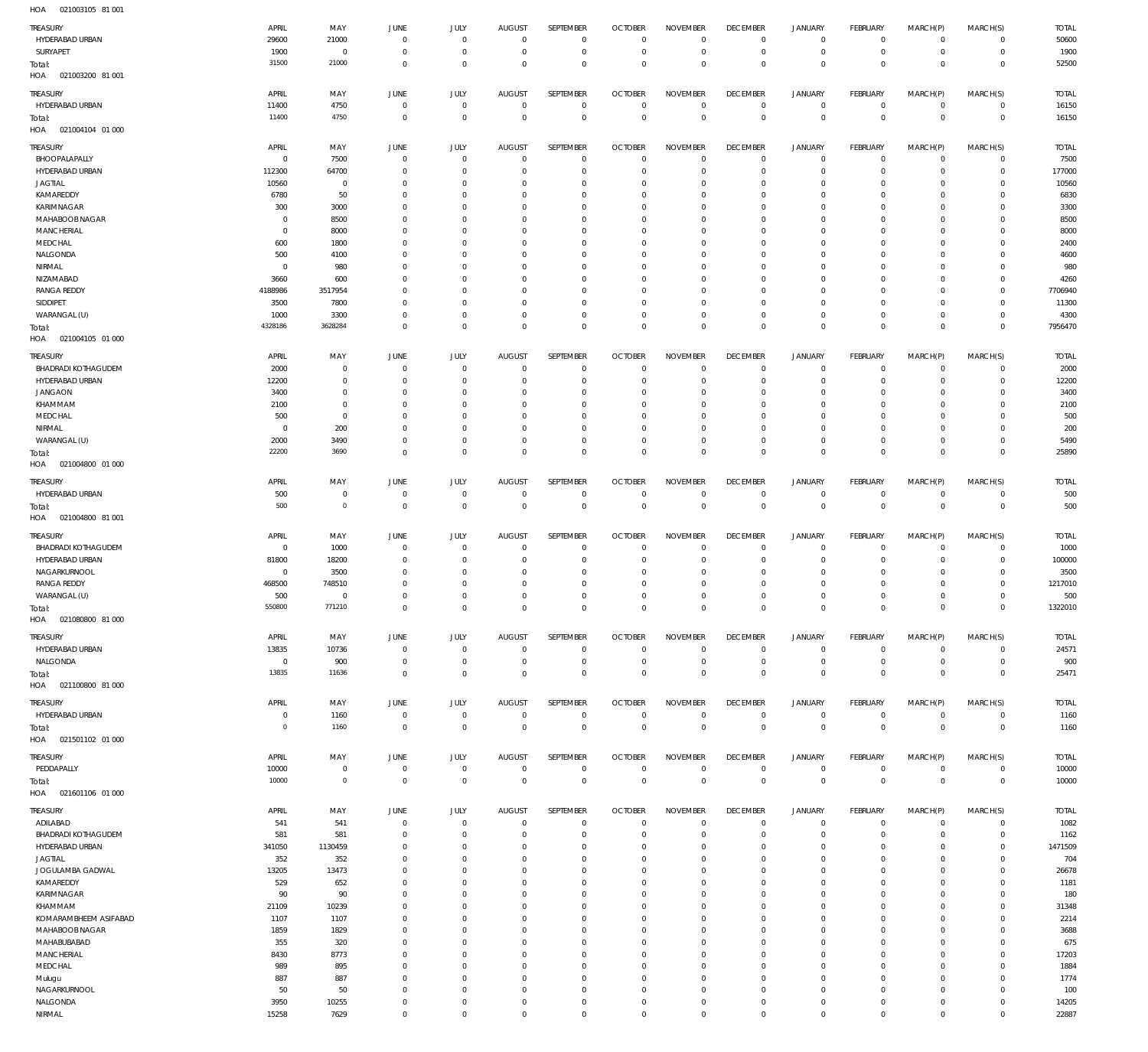021003105 81 001 HOA

| TREASURY                                      | APRIL                | MAY                      | JUNE                          | JULY                        | <b>AUGUST</b>                   | SEPTEMBER                        | <b>OCTOBER</b>                   | <b>NOVEMBER</b>                   | <b>DECEMBER</b>                  | <b>JANUARY</b>                | <b>FEBRUARY</b>              | MARCH(P)                   | MARCH(S)                         | <b>TOTAL</b>          |
|-----------------------------------------------|----------------------|--------------------------|-------------------------------|-----------------------------|---------------------------------|----------------------------------|----------------------------------|-----------------------------------|----------------------------------|-------------------------------|------------------------------|----------------------------|----------------------------------|-----------------------|
| HYDERABAD URBAN                               | 29600<br>1900        | 21000<br>$\overline{0}$  | $^{\circ}$<br>$^{\circ}$      | $^{\circ}$<br>$^{\circ}$    | $\Omega$<br>$^{\circ}$          | $\overline{0}$<br>$\mathbf 0$    | $\Omega$<br>$\overline{0}$       | $\mathbf 0$<br>$\mathbf 0$        | $\overline{0}$<br>$\overline{0}$ | $\mathbf 0$<br>$\mathbf 0$    | $^{\circ}$<br>$\overline{0}$ | $\mathbf 0$<br>0           | $\overline{0}$<br>$\overline{0}$ | 50600                 |
| SURYAPET<br>Total:<br>021003200 81 001<br>HOA | 31500                | 21000                    | $\Omega$                      | $\mathbf 0$                 | $\Omega$                        | $\mathbf 0$                      | $\Omega$                         | $\mathbb O$                       | $\overline{0}$                   | $\mathbf 0$                   | $\overline{0}$               | $\mathbf 0$                | $\overline{0}$                   | 1900<br>52500         |
|                                               |                      |                          |                               |                             |                                 | <b>SEPTEMBER</b>                 |                                  |                                   |                                  |                               |                              |                            |                                  |                       |
| <b>TREASURY</b><br>HYDERABAD URBAN            | APRIL<br>11400       | MAY<br>4750              | <b>JUNE</b><br>$^{\circ}$     | <b>JULY</b><br>$^{\circ}$   | <b>AUGUST</b><br>$^{\circ}$     | $\overline{0}$                   | <b>OCTOBER</b><br>$\overline{0}$ | <b>NOVEMBER</b><br>$^{\circ}$     | <b>DECEMBER</b><br>$^{\circ}$    | JANUARY<br>$\mathbf 0$        | FEBRUARY<br>$\overline{0}$   | MARCH(P)<br>$\mathbf 0$    | MARCH(S)<br>$\mathbf 0$          | <b>TOTAL</b><br>16150 |
| Total:<br>HOA  021004104  01 000              | 11400                | 4750                     | $^{\circ}$                    | $\mathbf 0$                 | $\Omega$                        | $\mathbf 0$                      | $\overline{0}$                   | $\overline{0}$                    | $\overline{0}$                   | $\mathbf 0$                   | $\overline{0}$               | $\mathbf 0$                | $\overline{0}$                   | 16150                 |
| <b>TREASURY</b>                               | APRIL                | MAY                      | <b>JUNE</b>                   | JULY                        | <b>AUGUST</b>                   | <b>SEPTEMBER</b>                 | <b>OCTOBER</b>                   | <b>NOVEMBER</b>                   | <b>DECEMBER</b>                  | <b>JANUARY</b>                | FEBRUARY                     | MARCH(P)                   | MARCH(S)                         | <b>TOTAL</b>          |
| BHOOPALAPALLY<br>HYDERABAD URBAN              | $\overline{0}$       | 7500                     | $^{\circ}$<br>$\Omega$        | $^{\circ}$<br>$\Omega$      | $^{\circ}$<br>$\Omega$          | $\overline{0}$<br>$\mathbf 0$    | $\overline{0}$<br>$\overline{0}$ | $^{\circ}$<br>$\mathbf{0}$        | $\overline{0}$<br>$\overline{0}$ | $\mathbf 0$<br>$\mathbf 0$    | $\overline{0}$<br>$^{\circ}$ | $\mathbf 0$<br>$\mathbf 0$ | $\overline{0}$<br>$\mathbf 0$    | 7500                  |
| <b>JAGTIAL</b>                                | 112300<br>10560      | 64700<br>$\overline{0}$  | $\Omega$                      | $\Omega$                    | $\Omega$                        | $\overline{0}$                   | $\Omega$                         | $^{\circ}$                        | 0                                | $\mathbf 0$                   | $^{\circ}$                   | $\Omega$                   | $\mathbf 0$                      | 177000<br>10560       |
| KAMAREDDY                                     | 6780                 | 50                       | $\Omega$                      | $\Omega$                    | $\Omega$                        | $\mathbf 0$                      | $^{\circ}$                       | $\overline{0}$                    | 0                                | $\mathbf 0$                   | $^{\circ}$                   | $\mathbf 0$                | $\mathbf 0$                      | 6830                  |
| KARIMNAGAR                                    | 300                  | 3000                     | $\Omega$                      | $\Omega$                    | $\Omega$                        | $\overline{0}$                   | $\Omega$                         | $\overline{0}$                    | 0                                | $\mathbf 0$                   | $^{\circ}$                   | $\Omega$                   | $\mathbf 0$                      | 3300                  |
| MAHABOOB NAGAR                                | $\mathbf 0$          | 8500                     | $\Omega$                      | $\Omega$                    | $\Omega$                        | $\overline{0}$                   | $^{\circ}$                       | $\overline{0}$                    | 0                                | $\mathbf 0$                   | $^{\circ}$                   | $\mathbf 0$                | $\mathbf 0$                      | 8500                  |
| <b>MANCHERIAL</b>                             | $\mathbf 0$          | 8000                     |                               | $\Omega$                    | $\Omega$                        | $\mathbf 0$                      | $\Omega$                         | $^{\circ}$                        | 0                                | $\mathbf 0$                   | $^{\circ}$                   | $\Omega$                   | $\mathbf 0$                      | 8000                  |
| MEDCHAL<br>NALGONDA                           | 600<br>500           | 1800<br>4100             | $\Omega$                      | $\Omega$<br>$\Omega$        | $\Omega$<br>$\Omega$            | $\overline{0}$<br>$\mathbf 0$    | $^{\circ}$<br>$\Omega$           | $\overline{0}$<br>$^{\circ}$      | 0<br>- 0                         | $\mathbf 0$<br>$\mathbf 0$    | $^{\circ}$<br>$^{\circ}$     | $\mathbf 0$<br>$\Omega$    | $\mathbf 0$<br>$\mathbf 0$       | 2400<br>4600          |
| NIRMAL                                        | $\overline{0}$       | 980                      | $\Omega$                      | $\Omega$                    | $\Omega$                        | $\overline{0}$                   | $^{\circ}$                       | $\overline{0}$                    | 0                                | $\mathbf 0$                   | $^{\circ}$                   | $\mathbf 0$                | $\mathbf 0$                      | 980                   |
| NIZAMABAD                                     | 3660                 | 600                      |                               | $\Omega$                    | $\Omega$                        | $\mathbf 0$                      | -C                               | $^{\circ}$                        | - 0                              | $\mathbf 0$                   | $^{\circ}$                   | $\Omega$                   | $\mathbf 0$                      | 4260                  |
| <b>RANGA REDDY</b>                            | 4188986              | 3517954                  | $\Omega$                      | $\Omega$                    | $\Omega$                        | $\overline{0}$                   | $^{\circ}$                       | $\overline{0}$                    | $\overline{0}$                   | $\mathbf 0$                   | $^{\circ}$                   | $\mathbf 0$                | $\mathbf 0$                      | 7706940               |
| SIDDIPET                                      | 3500                 | 7800                     |                               | $\Omega$                    | $\Omega$                        | $\mathbf 0$                      | -C                               | $^{\circ}$                        | $\overline{0}$                   | $\mathbf 0$                   | $^{\circ}$                   | $\mathbf 0$                | $\mathbf 0$                      | 11300                 |
| WARANGAL (U)<br>Total:                        | 1000<br>4328186      | 3300<br>3628284          | $\Omega$<br>$\Omega$          | $\Omega$<br>$\Omega$        | $\Omega$<br>$\Omega$            | $\overline{0}$<br>$\mathbf 0$    | $\overline{0}$<br>$\Omega$       | $\mathbb O$<br>$\mathbb O$        | $\overline{0}$<br>$^{\circ}$     | $\mathbf 0$<br>$\mathbf 0$    | $^{\circ}$<br>$\mathbf 0$    | $\mathbf 0$<br>$\mathbf 0$ | $\mathbf 0$<br>$\mathbf 0$       | 4300<br>7956470       |
| 021004105 01 000<br>HOA                       |                      |                          |                               |                             |                                 |                                  |                                  |                                   |                                  |                               |                              |                            |                                  |                       |
| <b>TREASURY</b>                               | APRIL                | MAY                      | <b>JUNE</b>                   | JULY                        | <b>AUGUST</b>                   | SEPTEMBER                        | <b>OCTOBER</b>                   | <b>NOVEMBER</b>                   | <b>DECEMBER</b>                  | <b>JANUARY</b>                | FEBRUARY                     | MARCH(P)                   | MARCH(S)                         | <b>TOTAL</b>          |
| <b>BHADRADI KOTHAGUDEM</b>                    | 2000                 | $\overline{0}$           | $\circ$                       | $^{\circ}$                  | $\circ$                         | $\overline{0}$                   | $\overline{0}$                   | $\overline{0}$                    | $\overline{0}$                   | $^{\circ}$                    | $^{\circ}$                   | $\mathbf 0$                | $\mathbf 0$                      | 2000                  |
| HYDERABAD URBAN                               | 12200                | $\mathbf 0$              | $\Omega$                      | $\Omega$                    | $\Omega$                        | $\overline{0}$                   | C                                | $\overline{0}$                    | 0                                | $\mathbf 0$                   | $^{\circ}$                   | $\mathbf 0$                | $\mathbf 0$                      | 12200                 |
| <b>JANGAON</b>                                | 3400                 | $\overline{0}$           | $\Omega$                      | $\Omega$                    |                                 | $\mathbf 0$                      | -C                               | $\overline{0}$                    | - 0                              | $\mathbf 0$                   | $^{\circ}$                   | $\Omega$                   | $\mathbf 0$                      | 3400                  |
| KHAMMAM                                       | 2100                 | $\overline{0}$           | $\Omega$                      | $\Omega$                    | $\Omega$                        | $\mathbf 0$                      | 0                                | $^{\circ}$                        | 0                                | $\mathbf 0$                   | $^{\circ}$                   | $\Omega$                   | $\mathbf 0$                      | 2100                  |
| MEDCHAL                                       | 500                  | $\overline{0}$           |                               | $\Omega$                    |                                 | $\mathbf 0$                      | -C                               | $^{\circ}$                        | 0                                | $\mathbf 0$                   | 0                            | $\Omega$                   | $\mathbf 0$                      | 500                   |
| NIRMAL<br>WARANGAL (U)                        | $\mathbf 0$<br>2000  | 200<br>3490              | $\Omega$<br>$\Omega$          | $\Omega$<br>$\Omega$        | $\Omega$<br>$\Omega$            | $\mathbf 0$<br>$\overline{0}$    | $\Omega$<br>$\Omega$             | $^{\circ}$<br>$^{\circ}$          | 0<br>$\overline{0}$              | $^{\circ}$<br>$\mathbf 0$     | $^{\circ}$<br>$^{\circ}$     | $\Omega$<br>$\mathbf 0$    | $\mathbf 0$<br>$\mathbf 0$       | 200<br>5490           |
| Total:                                        | 22200                | 3690                     | $\Omega$                      | $\Omega$                    | $\Omega$                        | $\mathbf 0$                      | $\Omega$                         | $\mathbf 0$                       | $^{\circ}$                       | $\mathbf 0$                   | $\mathbf 0$                  | $\mathbf 0$                | $\mathbf 0$                      | 25890                 |
| HOA  021004800  01 000                        |                      |                          |                               |                             |                                 |                                  |                                  |                                   |                                  |                               |                              |                            |                                  |                       |
| <b>TREASURY</b>                               | APRIL                | MAY                      | JUNE                          | JULY                        | <b>AUGUST</b>                   | SEPTEMBER                        | <b>OCTOBER</b>                   | <b>NOVEMBER</b>                   | <b>DECEMBER</b>                  | <b>JANUARY</b>                | <b>FEBRUARY</b>              | MARCH(P)                   | MARCH(S)                         | <b>TOTAL</b>          |
| HYDERABAD URBAN                               | 500                  | $\mathbf 0$              | $^{\circ}$                    | $^{\circ}$                  | 0                               | $\overline{0}$                   | $\overline{0}$                   | $\mathbf 0$                       | 0                                | $^{\circ}$                    | $^{\circ}$                   | $\mathbf 0$                | $^{\circ}$                       | 500                   |
| Total:<br>021004800 81 001<br>HOA             | 500                  | $\overline{0}$           | $\mathbb O$                   | $\overline{0}$              | $^{\circ}$                      | $\mathbb O$                      | $\mathbb O$                      | $\mathbb O$                       | $\mathbf{0}$                     | $\mathsf 0$                   | $\overline{0}$               | $\mathbf 0$                | $\overline{0}$                   | 500                   |
| <b>TREASURY</b>                               | APRIL                | MAY                      | JUNE                          | <b>JULY</b>                 | <b>AUGUST</b>                   | SEPTEMBER                        | <b>OCTOBER</b>                   | <b>NOVEMBER</b>                   | <b>DECEMBER</b>                  | <b>JANUARY</b>                | FEBRUARY                     | MARCH(P)                   | MARCH(S)                         | <b>TOTAL</b>          |
| <b>BHADRADI KOTHAGUDEM</b>                    | $\overline{0}$       | 1000                     | $^{\circ}$                    | $^{\circ}$                  | $\Omega$                        | $\overline{0}$                   | $\overline{0}$                   | $\overline{0}$                    | $\overline{0}$                   | $^{\circ}$                    | $^{\circ}$                   | $\mathbf 0$                | $\mathbf 0$                      | 1000                  |
| <b>HYDERABAD URBAN</b>                        | 81800                | 18200                    | $\Omega$                      | $\Omega$                    | $\Omega$                        | $\overline{0}$                   | $^{\circ}$                       | $\overline{0}$                    | 0                                | $^{\circ}$                    | $^{\circ}$                   | $\mathbf 0$                | $\mathbf 0$                      | 100000                |
| NAGARKURNOOL                                  | $\overline{0}$       | 3500                     |                               | $\Omega$                    | $\Omega$                        | $\mathbf 0$                      | 0                                | $^{\circ}$                        | 0                                | $^{\circ}$                    | $^{\circ}$                   | 0                          | $\mathbf 0$                      | 3500                  |
| <b>RANGA REDDY</b>                            | 468500               | 748510                   |                               | $\Omega$                    | $\Omega$                        | $\mathbf 0$                      | $\Omega$                         | $\mathbf 0$                       | 0                                | $^{\circ}$                    | 0                            | $\Omega$                   | $\mathbf 0$                      | 1217010               |
| WARANGAL (U)                                  | 500<br>550800        | $\overline{0}$<br>771210 | $\Omega$<br>$\Omega$          | $\Omega$<br>$\Omega$        | $\Omega$<br>$\Omega$            | $\mathbf 0$<br>$\Omega$          | $\Omega$<br>$\Omega$             | $\mathbf 0$<br>$\overline{0}$     | $\Omega$<br>$\Omega$             | $\mathbf 0$<br>$\Omega$       | $^{\circ}$<br>$\Omega$       | $\Omega$<br>$\Omega$       | $\mathbf 0$<br>$\Omega$          | 500<br>1322010        |
| Total:<br>HOA<br>021080800 81 000             |                      |                          |                               |                             |                                 |                                  |                                  |                                   |                                  |                               |                              |                            |                                  |                       |
|                                               |                      |                          |                               |                             |                                 |                                  |                                  |                                   | <b>DECEMBER</b>                  |                               |                              |                            |                                  |                       |
| <b>TREASURY</b><br>HYDERABAD URBAN            | APRIL<br>13835       | MAY<br>10736             | <b>JUNE</b><br>$\overline{0}$ | <b>JULY</b><br>$\mathbf{0}$ | <b>AUGUST</b><br>$\overline{0}$ | SEPTEMBER<br>$\overline{0}$      | <b>OCTOBER</b><br>$\overline{0}$ | <b>NOVEMBER</b><br>$\overline{0}$ | $^{\circ}$                       | <b>JANUARY</b><br>$\mathbf 0$ | FEBRUARY<br>$\overline{0}$   | MARCH(P)<br>0              | MARCH(S)<br>$\overline{0}$       | <b>TOTAL</b><br>24571 |
| NALGONDA                                      | $\overline{0}$       | 900                      | $^{\circ}$                    | $^{\circ}$                  | $^{\circ}$                      | $\mathbf 0$                      | $\overline{0}$                   | $\mathbf 0$                       | $\overline{0}$                   | $\mathbf 0$                   | $\overline{0}$               | $\mathbf 0$                | $\overline{0}$                   | 900                   |
| Total:<br>HOA  021100800  81 000              | 13835                | 11636                    | $\overline{0}$                | $\mathbf 0$                 | $\Omega$                        | $\mathbf 0$                      | $\overline{0}$                   | $\mathbb O$                       | $\mathbf 0$                      | $\mathbf 0$                   | $\overline{0}$               | $\mathbf 0$                | $\mathbf 0$                      | 25471                 |
|                                               |                      |                          |                               |                             |                                 |                                  |                                  |                                   |                                  |                               |                              |                            |                                  |                       |
| TREASURY<br>HYDERABAD URBAN                   | APRIL<br>$\mathbf 0$ | MAY<br>1160              | JUNE<br>$\overline{0}$        | JULY<br>$\mathbf{0}$        | <b>AUGUST</b><br>$\overline{0}$ | <b>SEPTEMBER</b><br>$\mathbf 0$  | <b>OCTOBER</b><br>$\overline{0}$ | <b>NOVEMBER</b><br>$\mathbb O$    | <b>DECEMBER</b><br>$\mathbf{0}$  | <b>JANUARY</b><br>$\mathbf 0$ | FEBRUARY<br>$\mathbf{0}$     | MARCH(P)<br>$\mathbf 0$    | MARCH(S)<br>$\circ$              | <b>TOTAL</b><br>1160  |
| Total:                                        | $\mathbf 0$          | 1160                     | $\overline{0}$                | $\mathbf{0}$                | $^{\circ}$                      | $\mathbf 0$                      | $\overline{0}$                   | $\mathbb O$                       | $\mathbf{0}$                     | $\mathsf 0$                   | $\overline{0}$               | $\mathbf 0$                | $\overline{0}$                   | 1160                  |
| 021501102 01 000<br>HOA                       |                      |                          |                               |                             |                                 |                                  |                                  |                                   |                                  |                               |                              |                            |                                  |                       |
| TREASURY                                      | APRIL                | MAY                      | JUNE                          | <b>JULY</b>                 | <b>AUGUST</b>                   | <b>SEPTEMBER</b>                 | <b>OCTOBER</b>                   | <b>NOVEMBER</b>                   | <b>DECEMBER</b>                  | <b>JANUARY</b>                | <b>FEBRUARY</b>              | MARCH(P)                   | MARCH(S)                         | <b>TOTAL</b>          |
| PEDDAPALLY                                    | 10000                | $\overline{0}$           | $\overline{0}$                | $\mathbf 0$                 | $^{\circ}$                      | $\overline{0}$                   | $\overline{0}$                   | $\overline{0}$                    | $\overline{0}$                   | $\mathbf 0$                   | $\mathbf{0}$                 | $\mathbf 0$                | $\overline{0}$                   | 10000                 |
| Total:<br>HOA<br>021601106 01 000             | 10000                | $\overline{0}$           | $\mathbb O$                   | $\mathbf 0$                 | $\overline{0}$                  | $\mathbf 0$                      | $\mathbb O$                      | $\mathbb O$                       | $\mathbf{0}$                     | $\mathbf 0$                   | $\overline{0}$               | $\mathbf 0$                | $\mathbb O$                      | 10000                 |
|                                               |                      |                          |                               |                             |                                 |                                  |                                  |                                   |                                  |                               |                              |                            |                                  |                       |
| TREASURY                                      | APRIL                | MAY<br>541               | JUNE                          | <b>JULY</b>                 | <b>AUGUST</b>                   | SEPTEMBER                        | <b>OCTOBER</b>                   | <b>NOVEMBER</b>                   | <b>DECEMBER</b>                  | <b>JANUARY</b>                | FEBRUARY                     | MARCH(P)                   | MARCH(S)                         | <b>TOTAL</b>          |
| ADILABAD<br><b>BHADRADI KOTHAGUDEM</b>        | 541<br>581           | 581                      | $^{\circ}$<br>$\Omega$        | $^{\circ}$<br>$^{\circ}$    | $^{\circ}$<br>$\Omega$          | $\overline{0}$<br>$\mathbf 0$    | $\overline{0}$<br>$\overline{0}$ | $\overline{0}$<br>$\mathbf{0}$    | $^{\circ}$<br>$\overline{0}$     | $\mathbf 0$<br>$\mathbf 0$    | $^{\circ}$<br>$^{\circ}$     | $\mathbf 0$<br>$\mathbf 0$ | $\mathbf 0$<br>$\mathbf 0$       | 1082<br>1162          |
| HYDERABAD URBAN                               | 341050               | 1130459                  | $\Omega$                      | $^{\circ}$                  | $\Omega$                        | $\overline{0}$                   | $^{\circ}$                       | $^{\circ}$                        | 0                                | $\mathbf 0$                   | $^{\circ}$                   | $\mathbf 0$                | $\mathbf 0$                      | 1471509               |
| <b>JAGTIAL</b>                                | 352                  | 352                      | $\Omega$                      | $\Omega$                    | $\Omega$                        | $\overline{0}$                   | $\overline{0}$                   | $^{\circ}$                        | $\overline{0}$                   | $\mathbf 0$                   | $^{\circ}$                   | $\mathbf 0$                | $\mathbf 0$                      | 704                   |
| JOGULAMBA GADWAL                              | 13205                | 13473                    | $\Omega$                      | $^{\circ}$                  | $\Omega$                        | $\overline{0}$                   | $\overline{0}$                   | $^{\circ}$                        | $^{\circ}$                       | $\mathbf 0$                   | $^{\circ}$                   | $\mathbf 0$                | $\mathbf 0$                      | 26678                 |
| KAMAREDDY                                     | 529                  | 652                      | $\Omega$                      | $\Omega$                    |                                 | $\overline{0}$                   | $\Omega$                         | $^{\circ}$                        | 0                                | $\mathbf 0$                   | $^{\circ}$                   | $\Omega$                   | $\mathbf 0$                      | 1181                  |
| KARIMNAGAR<br>KHAMMAM                         | 90<br>21109          | 90<br>10239              | $\Omega$<br>$\Omega$          | $^{\circ}$<br>$\Omega$      | $\Omega$                        | $\overline{0}$<br>$\mathbf 0$    | $\overline{0}$<br>$\Omega$       | $\overline{0}$<br>$^{\circ}$      | $^{\circ}$<br>0                  | $\mathbf 0$<br>$\mathbf 0$    | $^{\circ}$<br>$^{\circ}$     | $\mathbf 0$<br>$\Omega$    | $\mathbf 0$<br>$\mathbf 0$       | 180<br>31348          |
| KOMARAMBHEEM ASIFABAD                         | 1107                 | 1107                     | $\Omega$                      | $\Omega$                    | $\Omega$                        | $\overline{0}$                   | $\overline{0}$                   | $\overline{0}$                    | $^{\circ}$                       | $\mathbf 0$                   | $^{\circ}$                   | $\mathbf 0$                | $\mathbf 0$                      | 2214                  |
| MAHABOOB NAGAR                                | 1859                 | 1829                     | $\Omega$                      | $\Omega$                    | $\Omega$                        | $\mathbf 0$                      | $\Omega$                         | $^{\circ}$                        | 0                                | $\mathbf 0$                   | $^{\circ}$                   | $\Omega$                   | $\mathbf 0$                      | 3688                  |
| MAHABUBABAD                                   | 355                  | 320                      | $\Omega$                      | $\Omega$                    | $\Omega$                        | $\overline{0}$                   | $\mathbf 0$                      | $^{\circ}$                        | $^{\circ}$                       | $\mathbf 0$                   | $^{\circ}$                   | $\mathbf 0$                | $\mathbf 0$                      | 675                   |
| <b>MANCHERIAL</b>                             | 8430                 | 8773                     | $\Omega$                      | $\Omega$                    | $\Omega$                        | $\overline{0}$                   | $^{\circ}$                       | $^{\circ}$                        | 0                                | $\mathbf 0$                   | $^{\circ}$                   | 0                          | $\mathbf 0$                      | 17203                 |
| MEDCHAL                                       | 989<br>887           | 895<br>887               | $\Omega$<br>$\Omega$          | $\Omega$<br>$\Omega$        | $\Omega$<br>$\Omega$            | $\overline{0}$<br>$\overline{0}$ | $^{\circ}$<br>$^{\circ}$         | $^{\circ}$<br>$^{\circ}$          | $\overline{0}$<br>$\overline{0}$ | $\mathbf 0$<br>$\mathbf 0$    | $^{\circ}$<br>$^{\circ}$     | $\mathbf 0$<br>$\mathbf 0$ | $\mathbf 0$<br>$\mathbf 0$       | 1884<br>1774          |
| Mulugu<br>NAGARKURNOOL                        | 50                   | 50                       | $\Omega$                      | $\Omega$                    | $\Omega$                        | $\overline{0}$                   | $^{\circ}$                       | $\mathbf 0$                       | $\overline{0}$                   | $\mathbf 0$                   | $^{\circ}$                   | $\mathbf 0$                | $\mathbf 0$                      | 100                   |
| NALGONDA                                      | 3950                 | 10255                    | $^{\circ}$                    | $^{\circ}$                  | $\circ$                         | $\overline{0}$                   | $\overline{0}$                   | $\mathbf 0$                       | $^{\circ}$                       | $\mathbf 0$                   | $^{\circ}$                   | $\mathbf 0$                | $\mathbf 0$                      | 14205                 |
| NIRMAL                                        | 15258                | 7629                     | $\mathbf 0$                   | $\mathbf{0}$                | $\Omega$                        | $\mathbf 0$                      | $\overline{0}$                   | $\mathbb O$                       | $\mathbf 0$                      | $\mathsf{O}\xspace$           | $\mathbf 0$                  | $\mathbf 0$                | $\overline{0}$                   | 22887                 |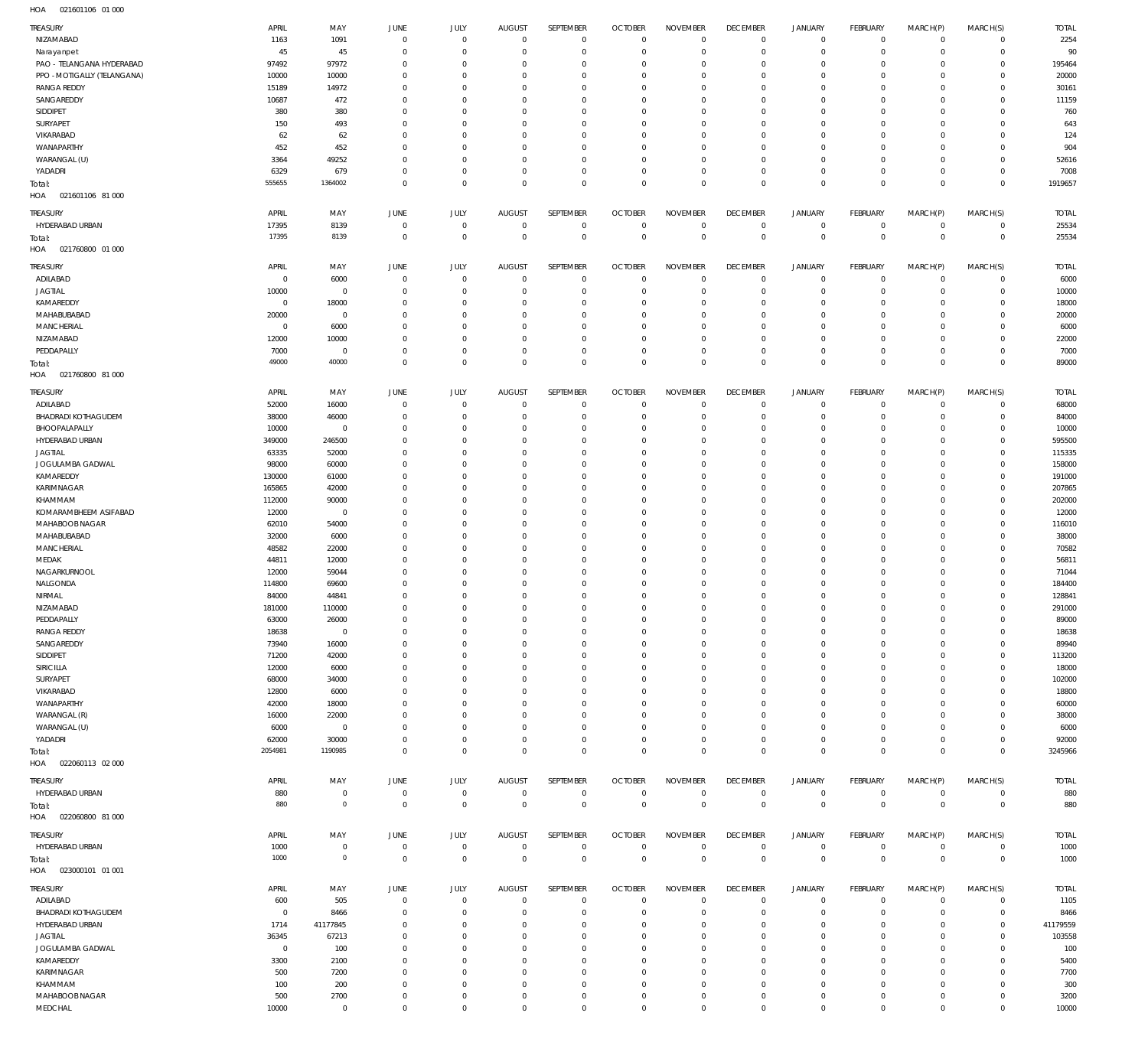021601106 01 000 HOA

| <b>TREASURY</b>             | APRIL          | MAY            | JUNE           | JULY           | <b>AUGUST</b>  | SEPTEMBER      | <b>OCTOBER</b> | <b>NOVEMBER</b> | <b>DECEMBER</b> | <b>JANUARY</b>      | FEBRUARY     | MARCH(P)       | MARCH(S)     | <b>TOTAL</b> |
|-----------------------------|----------------|----------------|----------------|----------------|----------------|----------------|----------------|-----------------|-----------------|---------------------|--------------|----------------|--------------|--------------|
| NIZAMABAD                   | 1163           | 1091           | $\circ$        | $\mathbf 0$    | $\overline{0}$ | $\,0\,$        | $\mathbf{0}$   | $\mathbf 0$     | $\mathbf 0$     | $\mathsf{O}\xspace$ | $\mathbf 0$  | $\overline{0}$ | $\mathbf 0$  | 2254         |
| Narayanpet                  | 45             | 45             | $\Omega$       | $\mathbf 0$    | $\Omega$       | $\mathbf 0$    | $\overline{0}$ | $\mathbf 0$     | $^{\circ}$      | $\mathsf{O}\xspace$ | $\mathbf 0$  | $\mathbf 0$    | $\mathbf 0$  | 90           |
|                             |                |                |                |                |                |                |                |                 |                 |                     |              |                |              |              |
| PAO - TELANGANA HYDERABAD   | 97492          | 97972          | $\Omega$       | $\overline{0}$ | $\Omega$       | $\mathbf 0$    | $\Omega$       | $\mathbf 0$     | $^{\circ}$      | $\mathsf{O}\xspace$ | $\circ$      | $\mathbf 0$    | $^{\circ}$   | 195464       |
| PPO - MOTIGALLY (TELANGANA) | 10000          | 10000          | $\Omega$       | $^{\circ}$     | $\Omega$       | $\mathbf 0$    | $\Omega$       | $\mathbf 0$     | $\Omega$        | $\mathbf 0$         | $\mathbf 0$  | $\mathbf 0$    | $^{\circ}$   | 20000        |
| <b>RANGA REDDY</b>          | 15189          | 14972          | $\Omega$       | $^{\circ}$     | $\Omega$       | $\mathbf 0$    | $\Omega$       | $\mathbf 0$     | $\circ$         | $\mathsf{O}\xspace$ | $\circ$      | $\mathbf 0$    | $^{\circ}$   | 30161        |
| SANGAREDDY                  | 10687          | 472            | $\Omega$       | $\Omega$       | $\Omega$       | $\mathbf 0$    | $\Omega$       | $\mathbf 0$     | $\Omega$        | $\mathbf 0$         | $\Omega$     | $\mathbf 0$    | $\mathbf 0$  | 11159        |
| SIDDIPET                    | 380            | 380            | $\Omega$       | $\mathbf 0$    | $\Omega$       | $\mathbf 0$    | $\Omega$       | $\mathbf 0$     | $\circ$         | $\mathbf 0$         | $\circ$      | $\mathbf 0$    | $\mathbf 0$  | 760          |
|                             |                |                |                |                |                |                |                |                 |                 |                     |              |                |              |              |
| SURYAPET                    | 150            | 493            | $\Omega$       | $\Omega$       | $\Omega$       | $\overline{0}$ | $\Omega$       | $\mathbf 0$     | $\Omega$        | $\mathbf 0$         | $\Omega$     | $\mathbf 0$    | $\mathbf 0$  | 643          |
| VIKARABAD                   | 62             | 62             | $\Omega$       | $\overline{0}$ | $\Omega$       | $\mathbf 0$    | $\Omega$       | $\mathbb O$     | $\circ$         | $\mathbf 0$         | $\Omega$     | $\mathbf 0$    | $\mathbf 0$  | 124          |
| WANAPARTHY                  | 452            | 452            | $\Omega$       | $^{\circ}$     | $\Omega$       | $\mathbb O$    | $\Omega$       | $\mathbb O$     | $\circ$         | $\mathbf 0$         | $\circ$      | $\mathbf 0$    | $\mathbf 0$  | 904          |
| WARANGAL (U)                | 3364           | 49252          | $\Omega$       | $\overline{0}$ | $\Omega$       | $\mathbb O$    | $\Omega$       | $\mathbb O$     | $^{\circ}$      | $\mathbf 0$         | $\Omega$     | $\mathbf 0$    | $\mathbf 0$  | 52616        |
| YADADRI                     | 6329           | 679            | $\Omega$       | $\mathbf 0$    | $\Omega$       | $\mathbb O$    | $\overline{0}$ | $\mathbb O$     | $^{\circ}$      | $\mathsf{O}\xspace$ | $\mathbf 0$  | $\mathbf 0$    | $\mathbf 0$  | 7008         |
|                             |                |                |                |                |                |                |                |                 |                 |                     |              |                |              |              |
| Total:                      | 555655         | 1364002        | $\Omega$       | $\overline{0}$ | $\Omega$       | $\mathbb O$    | $\Omega$       | $\mathbb O$     | $\Omega$        | $\mathbb O$         | $\Omega$     | $\mathbf 0$    | $\mathbf 0$  | 1919657      |
| HOA<br>021601106 81 000     |                |                |                |                |                |                |                |                 |                 |                     |              |                |              |              |
|                             |                |                |                |                |                |                |                |                 |                 |                     |              |                |              |              |
| TREASURY                    | APRIL          | MAY            | JUNE           | JULY           | <b>AUGUST</b>  | SEPTEMBER      | <b>OCTOBER</b> | <b>NOVEMBER</b> | <b>DECEMBER</b> | <b>JANUARY</b>      | FEBRUARY     | MARCH(P)       | MARCH(S)     | <b>TOTAL</b> |
| HYDERABAD URBAN             | 17395          | 8139           | $^{\circ}$     | $\overline{0}$ | $^{\circ}$     | $\mathbf 0$    | $^{\circ}$     | $^{\circ}$      | $\mathbf 0$     | 0                   | $\mathbf 0$  | $\mathbf 0$    | $\mathbf 0$  | 25534        |
| Total:                      | 17395          | 8139           | $\mathbf 0$    | $\mathbf 0$    | $\Omega$       | $\mathbb O$    | $\mathbf{0}$   | $\mathbb O$     | $\mathbf{0}$    | $\,0\,$             | $\mathbf{0}$ | $\mathbf{0}$   | $\mathbf 0$  | 25534        |
| HOA<br>021760800 01 000     |                |                |                |                |                |                |                |                 |                 |                     |              |                |              |              |
|                             |                |                |                |                |                |                |                |                 |                 |                     |              |                |              |              |
| TREASURY                    | APRIL          | MAY            | JUNE           | JULY           | <b>AUGUST</b>  | SEPTEMBER      | <b>OCTOBER</b> | <b>NOVEMBER</b> | <b>DECEMBER</b> | <b>JANUARY</b>      | FEBRUARY     | MARCH(P)       | MARCH(S)     | <b>TOTAL</b> |
| ADILABAD                    | $^{\circ}$     | 6000           | 0              | $\mathbf 0$    | $^{\circ}$     | $\mathbb O$    | $\overline{0}$ | $\mathbb O$     | $\mathbf 0$     | $\mathsf{O}\xspace$ | $\mathbf 0$  | $\mathbf 0$    | $\mathbf 0$  | 6000         |
|                             |                |                | $\Omega$       |                |                |                |                |                 |                 |                     |              |                |              |              |
| <b>JAGTIAL</b>              | 10000          | $\,0\,$        |                | $\overline{0}$ | $\Omega$       | $\mathbb O$    | $\overline{0}$ | $\mathbb O$     | $^{\circ}$      | $\mathsf{O}\xspace$ | $\mathbf 0$  | $\mathbf 0$    | $\mathbf 0$  | 10000        |
| KAMAREDDY                   | $\Omega$       | 18000          | $\Omega$       | $\mathbf 0$    | $\Omega$       | $\mathbb O$    | $\Omega$       | $\mathbb O$     | $^{\circ}$      | $\mathsf{O}\xspace$ | $\circ$      | $\mathbf 0$    | $\mathbf 0$  | 18000        |
| MAHABUBABAD                 | 20000          | $\,0\,$        | $\Omega$       | $^{\circ}$     | $\Omega$       | $\mathbb O$    | $\Omega$       | $\mathbb O$     | $\circ$         | $\mathsf{O}\xspace$ | $\mathbf 0$  | $\mathbf 0$    | $\mathbf 0$  | 20000        |
| <b>MANCHERIAL</b>           | $^{\circ}$     | 6000           | $\Omega$       | $\overline{0}$ | $\Omega$       | $\mathbb O$    | $\Omega$       | $\mathbb O$     | $^{\circ}$      | $\mathsf{O}\xspace$ | $\Omega$     | $\mathbf 0$    | $\mathbf 0$  | 6000         |
| NIZAMABAD                   | 12000          | 10000          | $\Omega$       | $\mathbf 0$    | $\Omega$       | $\mathbb O$    | $\Omega$       | $\mathbb O$     | $^{\circ}$      | $\mathsf{O}\xspace$ | $\mathbf 0$  | $\mathbf 0$    | $\mathbf 0$  | 22000        |
|                             |                |                |                |                |                |                |                |                 |                 |                     |              |                |              |              |
| PEDDAPALLY                  | 7000           | $\,0\,$        | $\Omega$       | $\mathbf 0$    | $\Omega$       | $\mathbb O$    | $\Omega$       | $\mathbb O$     | $^{\circ}$      | $\mathsf{O}\xspace$ | $\circ$      | $\mathbf 0$    | $\mathbf 0$  | 7000         |
| Total:                      | 49000          | 40000          | $\Omega$       | $\mathbf 0$    | $\Omega$       | $\mathbb O$    | $\Omega$       | $\mathbb O$     | $\mathbf{0}$    | $\mathbb O$         | $\Omega$     | $\mathbf 0$    | $\mathbf{0}$ | 89000        |
| HOA<br>021760800 81 000     |                |                |                |                |                |                |                |                 |                 |                     |              |                |              |              |
|                             |                |                |                |                |                |                |                |                 |                 |                     |              |                |              |              |
| TREASURY                    | APRIL          | MAY            | JUNE           | <b>JULY</b>    | <b>AUGUST</b>  | SEPTEMBER      | <b>OCTOBER</b> | <b>NOVEMBER</b> | <b>DECEMBER</b> | JANUARY             | FEBRUARY     | MARCH(P)       | MARCH(S)     | <b>TOTAL</b> |
| ADILABAD                    | 52000          | 16000          | $^{\circ}$     | $\overline{0}$ | $\Omega$       | $\overline{0}$ | $\mathbf{0}$   | $\mathbf{0}$    | $^{\circ}$      | $\mathbf 0$         | $\mathbf 0$  | $\mathbf 0$    | $\mathbf 0$  | 68000        |
| <b>BHADRADI KOTHAGUDEM</b>  | 38000          | 46000          | $\Omega$       | $^{\circ}$     | $\Omega$       | $\mathbb O$    | $\overline{0}$ | $\Omega$        | $^{\circ}$      | $\mathsf{O}\xspace$ | $\mathbf 0$  | $\mathbf 0$    | $\mathbf 0$  | 84000        |
|                             |                |                |                |                |                |                |                |                 |                 |                     |              |                |              |              |
| BHOOPALAPALLY               | 10000          | $\mathbf 0$    | $\Omega$       | $^{\circ}$     | $\Omega$       | $\mathbb O$    | $\Omega$       | $\mathbb O$     | $^{\circ}$      | $\mathsf{O}\xspace$ | $\mathbf 0$  | $\mathbf 0$    | 0            | 10000        |
| HYDERABAD URBAN             | 349000         | 246500         | $\Omega$       | $\Omega$       | $\Omega$       | $\mathbb O$    | $\Omega$       | $\circ$         | $\overline{0}$  | $\mathbf 0$         | $\Omega$     | $\Omega$       | $\mathbf 0$  | 595500       |
| <b>JAGTIAL</b>              | 63335          | 52000          | $\Omega$       | $\Omega$       | $\Omega$       | $\mathbb O$    | $\Omega$       | $\mathbb O$     | $\circ$         | $\mathbf 0$         | -0           | $\Omega$       | 0            | 115335       |
| JOGULAMBA GADWAL            | 98000          | 60000          | $\Omega$       | $\Omega$       | $\Omega$       | $\mathbb O$    | $\Omega$       | $\mathbb O$     | $\circ$         | $\mathbf 0$         | $\Omega$     | $\Omega$       | $\mathbf 0$  | 158000       |
|                             |                |                |                |                |                |                |                |                 |                 |                     |              |                |              |              |
| KAMAREDDY                   | 130000         | 61000          | $\Omega$       | $\Omega$       | $\Omega$       | $\overline{0}$ | $\Omega$       | $\overline{0}$  | $\Omega$        | $\mathbf 0$         | $\Omega$     | $\Omega$       | $\Omega$     | 191000       |
| KARIMNAGAR                  | 165865         | 42000          | $\Omega$       | $^{\circ}$     | $\Omega$       | $\mathbb O$    | $\Omega$       | $\mathbb O$     | $\mathbf{0}$    | $\mathbf 0$         | 0            | $\mathbf 0$    | $\mathbf 0$  | 207865       |
| KHAMMAM                     | 112000         | 90000          | $\Omega$       | $\Omega$       | $\Omega$       | $\mathbf{0}$   | $\Omega$       | $\overline{0}$  | $\Omega$        | $\mathbf 0$         | $\Omega$     | $\Omega$       | 0            | 202000       |
|                             |                |                |                |                |                |                |                |                 |                 |                     |              |                |              |              |
| KOMARAMBHEEM ASIFABAD       | 12000          | $\overline{0}$ | $\Omega$       | $^{\circ}$     | $\Omega$       | $\mathbb O$    | $\Omega$       | $\mathbb O$     | $\overline{0}$  | $\mathbf 0$         | $^{\circ}$   | $\mathbf 0$    | $\mathbf 0$  | 12000        |
| MAHABOOB NAGAR              | 62010          | 54000          | $\Omega$       | $\Omega$       | $\Omega$       | $\Omega$       | $\Omega$       | $\mathbf{0}$    | $\Omega$        | $\mathbf 0$         | $\Omega$     | $\Omega$       | 0            | 116010       |
| MAHABUBABAD                 | 32000          | 6000           | $\Omega$       | $^{\circ}$     | $\Omega$       | $\mathbb O$    | $\Omega$       | $\mathbb O$     | $\overline{0}$  | $\mathbf 0$         | $\Omega$     | $\mathbf 0$    | $\mathbf 0$  | 38000        |
| MANCHERIAL                  | 48582          | 22000          | $\Omega$       | $\Omega$       | $\Omega$       | $\overline{0}$ | $\Omega$       | $\mathbb O$     | $\circ$         | $\mathbf 0$         | $\Omega$     | $^{\circ}$     | 0            | 70582        |
|                             |                |                |                |                |                |                |                |                 |                 |                     |              |                |              |              |
| MEDAK                       | 44811          | 12000          | $\Omega$       | $^{\circ}$     | $\Omega$       | $\mathbb O$    | $\Omega$       | $\mathbb O$     | $\mathbf{0}$    | $\mathbf 0$         | $\Omega$     | $\mathbf 0$    | $\mathbf 0$  | 56811        |
| NAGARKURNOOL                | 12000          | 59044          | $\Omega$       | $\Omega$       | $\Omega$       | $\mathbb O$    | $\Omega$       | $\overline{0}$  | $\Omega$        | $\mathbf 0$         | -0           | $\mathbf 0$    | 0            | 71044        |
| NALGONDA                    | 114800         | 69600          | $\Omega$       | $\Omega$       | $\Omega$       | $\mathbb O$    | $\Omega$       | $\mathbb O$     | $\mathbf{0}$    | $\mathbf 0$         | $\Omega$     | $\Omega$       | $\mathbf 0$  | 184400       |
| NIRMAL                      | 84000          | 44841          | $\Omega$       | $\overline{0}$ | $^{\circ}$     | $\overline{0}$ | $\overline{0}$ | $\overline{0}$  | $\mathbf{0}$    | $\circ$             | $\Omega$     | $\circ$        | $\mathbf 0$  | 128841       |
|                             |                |                |                |                |                |                |                |                 |                 |                     |              |                |              |              |
| NIZAMABAD                   | 181000         | 110000         | $\Omega$       | $\overline{0}$ | $\Omega$       | $\Omega$       | $\Omega$       | $\Omega$        | $\Omega$        | $\Omega$            | $\Omega$     | $\circ$        | $\Omega$     | 291000       |
| PEDDAPALLY                  | 63000          | 26000          | $^{\circ}$     | $^{\circ}$     | $^{\circ}$     | $\mathbb O$    | $^{\circ}$     | $\overline{0}$  | $\overline{0}$  | $\mathsf{O}\xspace$ | $\mathbf 0$  | $\mathbf 0$    | $\mathbf 0$  | 89000        |
| <b>RANGA REDDY</b>          | 18638          | $\mathbf 0$    | $^{\circ}$     | $^{\circ}$     | $\Omega$       | $\mathbb O$    | $\overline{0}$ | $\mathbb O$     | $\overline{0}$  | $\mathsf{O}\xspace$ | $\mathbf 0$  | $\mathbf 0$    | $\mathbf 0$  | 18638        |
| SANGAREDDY                  | 73940          | 16000          | $\Omega$       | $\Omega$       | $\Omega$       | $\overline{0}$ | $\Omega$       | $\overline{0}$  | $\Omega$        | $\circ$             | 0            | $\Omega$       | 0            | 89940        |
|                             |                |                |                |                |                |                |                |                 |                 |                     |              |                |              |              |
| SIDDIPET                    | 71200          | 42000          | $\Omega$       | $^{\circ}$     | $\Omega$       | $\mathbb O$    | $\circ$        | $\mathbb O$     | $\mathbf{0}$    | $\mathbf 0$         | 0            | $\mathbf 0$    | $\mathbf 0$  | 113200       |
| SIRICILLA                   | 12000          | 6000           | $\Omega$       | $\Omega$       | $\Omega$       | $\overline{0}$ | $\Omega$       | $\overline{0}$  | $\circ$         | $\mathbf 0$         | $\Omega$     | $\Omega$       | 0            | 18000        |
| SURYAPET                    | 68000          | 34000          | $\Omega$       | $^{\circ}$     | $\Omega$       | $\mathbf 0$    | $\overline{0}$ | $\mathbf 0$     | $\overline{0}$  | $\mathbf 0$         | 0            | $\mathbf 0$    | $\mathbf 0$  | 102000       |
| VIKARABAD                   | 12800          | 6000           | $\Omega$       | $\Omega$       | $\Omega$       | $\overline{0}$ | $\Omega$       | $\mathbf{0}$    | $\Omega$        | $\mathbf 0$         | $\Omega$     | $\Omega$       | 0            | 18800        |
|                             |                |                | $\Omega$       | $^{\circ}$     | $\Omega$       | $\mathbf 0$    | $\Omega$       | $\mathbf 0$     | $\mathbf{0}$    | $\mathbf 0$         | $\Omega$     | $\mathbf 0$    | $\mathbf 0$  | 60000        |
| WANAPARTHY                  | 42000          | 18000          |                |                |                |                |                |                 |                 |                     |              |                |              |              |
| WARANGAL (R)                | 16000          | 22000          | $\Omega$       | $\Omega$       | $\Omega$       | $\overline{0}$ | $\Omega$       | $\overline{0}$  | $\mathbf{0}$    | $\mathbf 0$         | 0            | $\mathbf 0$    | 0            | 38000        |
| WARANGAL (U)                | 6000           | $\overline{0}$ | $\Omega$       | $\Omega$       | $\Omega$       | $\overline{0}$ | $\Omega$       | $\mathbf 0$     | $\overline{0}$  | $\mathbf 0$         | $\Omega$     | $\Omega$       | 0            | 6000         |
| YADADRI                     | 62000          | 30000          | $\Omega$       | $^{\circ}$     | $\Omega$       | $\mathbf 0$    | $^{\circ}$     | $\mathbf 0$     | $\overline{0}$  | $\mathsf{O}\xspace$ | $\mathbf 0$  | $\mathbf 0$    | $\mathbf 0$  | 92000        |
| Total:                      | 2054981        | 1190985        | $\Omega$       | $\overline{0}$ | $\Omega$       | $\mathbf 0$    | $\overline{0}$ | $\mathbf 0$     | $\overline{0}$  | $\mathbf 0$         | $\Omega$     | $\mathbf 0$    | $\mathbf 0$  | 3245966      |
|                             |                |                |                |                |                |                |                |                 |                 |                     |              |                |              |              |
| HOA<br>022060113 02 000     |                |                |                |                |                |                |                |                 |                 |                     |              |                |              |              |
| TREASURY                    | APRIL          | MAY            | JUNE           | JULY           | <b>AUGUST</b>  | SEPTEMBER      | <b>OCTOBER</b> | <b>NOVEMBER</b> | <b>DECEMBER</b> | <b>JANUARY</b>      | FEBRUARY     | MARCH(P)       | MARCH(S)     | <b>TOTAL</b> |
|                             |                |                |                |                |                |                |                |                 |                 |                     |              |                |              |              |
| HYDERABAD URBAN             | 880            | $\,0\,$        | $\overline{0}$ | $\overline{0}$ | $\mathbf 0$    | $\,0\,$        | $\,0\,$        | $\,0\,$         | $\,0\,$         | $\mathsf{O}\xspace$ | $\mathbf 0$  | $\mathbf 0$    | $\mathbf 0$  | 880          |
| Total:                      | 880            | $\circ$        | $\mathbf 0$    | $\mathbf 0$    | $\overline{0}$ | $\,0\,$        | $\mathbf 0$    | $\mathbb O$     | $\mathbf 0$     | $\,0\,$             | $\mathbf 0$  | $\mathbf 0$    | $\mathbf 0$  | 880          |
| HOA<br>022060800 81 000     |                |                |                |                |                |                |                |                 |                 |                     |              |                |              |              |
|                             |                |                |                |                |                |                |                |                 |                 |                     |              |                |              |              |
| TREASURY                    | APRIL          | MAY            | JUNE           | <b>JULY</b>    | <b>AUGUST</b>  | SEPTEMBER      | <b>OCTOBER</b> | <b>NOVEMBER</b> | <b>DECEMBER</b> | <b>JANUARY</b>      | FEBRUARY     | MARCH(P)       | MARCH(S)     | <b>TOTAL</b> |
| HYDERABAD URBAN             | 1000           | $\,0\,$        | $\overline{0}$ | $\mathbf 0$    | $\mathbf 0$    | $\mathbf 0$    | $\mathbf 0$    | $\mathbf 0$     | $\,0\,$         | $\mathsf{O}\xspace$ | $\mathbf 0$  | $\mathbf 0$    | $\mathsf{O}$ | 1000         |
| Total:                      | 1000           | $\circ$        | $\mathbf 0$    | $\mathbf 0$    | $^{\circ}$     | $\mathbf 0$    | $\mathbf 0$    | $\mathbb O$     | $\mathbf 0$     | $\,0\,$             | $\mathbf 0$  | $\mathbf 0$    | $\mathbf 0$  | 1000         |
|                             |                |                |                |                |                |                |                |                 |                 |                     |              |                |              |              |
| HOA<br>023000101 01 001     |                |                |                |                |                |                |                |                 |                 |                     |              |                |              |              |
| TREASURY                    | APRIL          | MAY            | JUNE           | JULY           | <b>AUGUST</b>  | SEPTEMBER      | <b>OCTOBER</b> | <b>NOVEMBER</b> | <b>DECEMBER</b> | <b>JANUARY</b>      | FEBRUARY     | MARCH(P)       | MARCH(S)     | <b>TOTAL</b> |
|                             |                |                |                |                |                |                |                |                 |                 |                     |              |                |              |              |
| ADILABAD                    | 600            | 505            | $^{\circ}$     | $\mathbf 0$    | $^{\circ}$     | $\,0\,$        | $\overline{0}$ | $^{\circ}$      | $^{\circ}$      | $\mathbf 0$         | $\circ$      | $\mathbf 0$    | $\mathbf 0$  | 1105         |
| <b>BHADRADI KOTHAGUDEM</b>  | $\overline{0}$ | 8466           | $^{\circ}$     | $\mathbf 0$    | $\Omega$       | $\mathbf 0$    | $^{\circ}$     | $\mathbf 0$     | $^{\circ}$      | $\mathsf{O}\xspace$ | $\mathbf 0$  | $\mathbf 0$    | $\mathbf 0$  | 8466         |
| HYDERABAD URBAN             | 1714           | 41177845       | $\Omega$       | $^{\circ}$     | $\Omega$       | $\mathbf 0$    | $\Omega$       | $\mathbf 0$     | $\circ$         | $\mathsf{O}\xspace$ | -0           | $\mathbf 0$    | $\mathbf 0$  | 41179559     |
|                             |                |                | $\Omega$       |                | $\Omega$       | $\mathbf 0$    | $^{\circ}$     | $\mathbf 0$     | $^{\circ}$      |                     | $\mathbf 0$  | $\mathbf 0$    | $\mathbf 0$  | 103558       |
| <b>JAGTIAL</b>              | 36345          | 67213          |                | $\overline{0}$ |                |                |                |                 |                 | $\mathsf{O}\xspace$ |              |                |              |              |
| JOGULAMBA GADWAL            | $^{\circ}$     | 100            | $\Omega$       | $^{\circ}$     | $\Omega$       | $\mathbb O$    | $\Omega$       | $\mathbb O$     | $\circ$         | $\mathsf{O}\xspace$ | -0           | $\mathbf 0$    | $\mathbf 0$  | 100          |
| KAMAREDDY                   | 3300           | 2100           | $\Omega$       | $^{\circ}$     | $\Omega$       | $\mathbb O$    | $\Omega$       | $\mathbb O$     | $\Omega$        | $\mathbf 0$         | $\mathbf 0$  | $\mathbf 0$    | $\mathbf 0$  | 5400         |
| KARIMNAGAR                  | 500            | 7200           | $\Omega$       | $^{\circ}$     | $\Omega$       | $\mathbb O$    | $^{\circ}$     | $\mathbb O$     | $\circ$         | $\mathsf{O}\xspace$ | 0            | $\mathbf 0$    | $\mathbf 0$  | 7700         |
|                             |                |                |                |                |                |                |                |                 |                 |                     |              |                |              |              |
| KHAMMAM                     | 100            | 200            | $\Omega$       | $^{\circ}$     | $\Omega$       | $\mathbb O$    | $^{\circ}$     | $\mathbb O$     | $^{\circ}$      | $\mathbf 0$         | $\mathbf 0$  | $\mathbf 0$    | $\mathbf 0$  | 300          |
| MAHABOOB NAGAR              | 500            | 2700           | 0              | $\mathbf 0$    | $\overline{0}$ | $\,0\,$        | $^{\circ}$     | $\,0\,$         | $\mathbf 0$     | $\mathsf{O}\xspace$ | $\mathbf 0$  | 0              | $\mathbf 0$  | 3200         |
| MEDCHAL                     | 10000          | $\overline{0}$ | $\Omega$       | $\mathbf 0$    | $\Omega$       | $\mathbb O$    | $\mathbb O$    | $\mathbb O$     | $\mathbb O$     | $\mathsf{O}\xspace$ | $\mathbf 0$  | $\mathbf 0$    | $\mathbf 0$  | 10000        |
|                             |                |                |                |                |                |                |                |                 |                 |                     |              |                |              |              |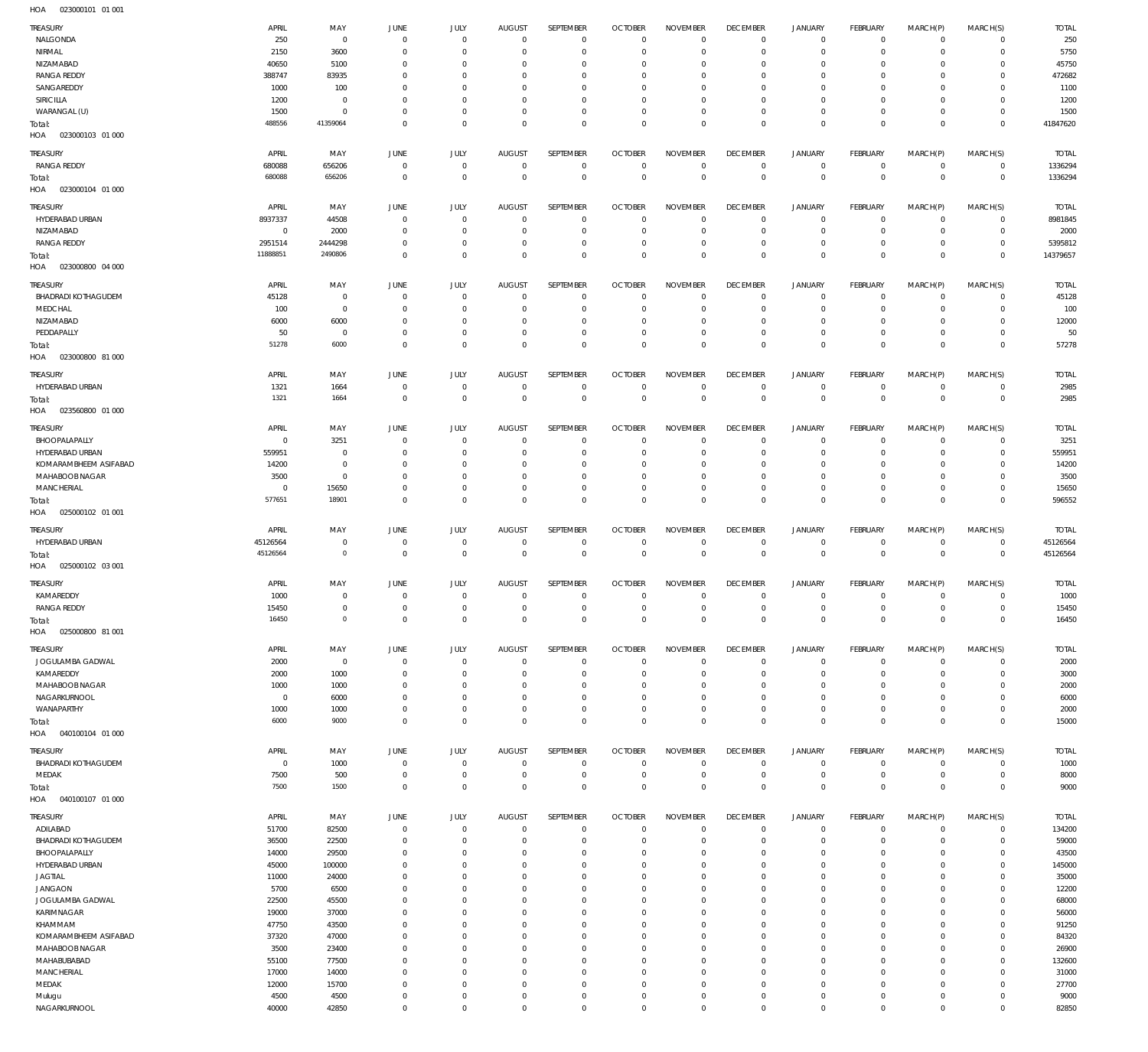023000101 01 001 HOA

| TREASURY                          | APRIL            | MAY                        | <b>JUNE</b>                  | JULY                           | <b>AUGUST</b>                | SEPTEMBER                    | <b>OCTOBER</b>             | <b>NOVEMBER</b>              | <b>DECEMBER</b>         | <b>JANUARY</b>                | <b>FEBRUARY</b>          | MARCH(P)                   | MARCH(S)              | <b>TOTAL</b>  |
|-----------------------------------|------------------|----------------------------|------------------------------|--------------------------------|------------------------------|------------------------------|----------------------------|------------------------------|-------------------------|-------------------------------|--------------------------|----------------------------|-----------------------|---------------|
| NALGONDA                          | 250              | $\overline{0}$             | $\overline{0}$               | $^{\circ}$                     | $^{\circ}$                   | $^{\circ}$                   | $\Omega$                   | $\Omega$                     | $\Omega$                | $\circ$                       | $^{\circ}$               | $\mathbf 0$                | $^{\circ}$            | 250           |
| NIRMAL                            | 2150             | 3600                       | 0                            | $^{\circ}$                     | $^{\circ}$                   | $^{\circ}$                   |                            | $\Omega$                     | $\Omega$                | $\circ$                       | $\Omega$                 | $\mathbf 0$                | $\mathbf 0$           | 5750          |
| NIZAMABAD                         | 40650            | 5100                       | $\Omega$                     | $\Omega$                       | $\Omega$                     | $\Omega$                     |                            | $\Omega$                     | $\Omega$                | $\mathbf 0$                   | $\Omega$                 | $\Omega$                   | $\Omega$              | 45750         |
| <b>RANGA REDDY</b>                | 388747           | 83935                      | $\Omega$                     | $^{\circ}$                     | $^{\circ}$                   | $^{\circ}$                   | $\Omega$                   | $\circ$                      | $\circ$                 | $\circ$                       | $\Omega$                 | $\Omega$                   | 0                     | 472682        |
| SANGAREDDY                        | 1000             | 100                        | $\Omega$                     | $\Omega$                       | $\Omega$                     | $\Omega$                     |                            | $\Omega$                     | $\Omega$                | $\mathbf 0$                   | $\epsilon$               | $\Omega$                   | $\Omega$              | 1100          |
| SIRICILLA                         | 1200             | $\overline{0}$             | $\Omega$                     | $^{\circ}$                     | $^{\circ}$                   | $^{\circ}$                   | $\Omega$                   | $^{\circ}$                   | $\Omega$                | $\circ$                       | $\Omega$                 | $\mathbf 0$                | 0                     | 1200          |
| WARANGAL (U)                      | 1500             | $\mathbf 0$                | $\Omega$                     | $^{\circ}$                     | $\Omega$                     | $^{\circ}$                   | $\Omega$                   | $\Omega$                     | $\Omega$                | $\mathbf 0$                   | $\Omega$                 | $\Omega$                   | $\mathbf 0$           | 1500          |
| Total:                            | 488556           | 41359064                   | $\Omega$                     | $\Omega$                       | $\Omega$                     | $\Omega$                     | $\Omega$                   | $\Omega$                     | $\Omega$                | $\mathbf 0$                   | $\Omega$                 | $\Omega$                   | $\mathbf 0$           | 41847620      |
| 023000103 01 000<br>HOA           |                  |                            |                              |                                |                              |                              |                            |                              |                         |                               |                          |                            |                       |               |
|                                   |                  |                            |                              |                                |                              |                              |                            |                              |                         |                               |                          |                            |                       |               |
| <b>TREASURY</b>                   | APRIL            | MAY                        | <b>JUNE</b>                  | JULY                           | <b>AUGUST</b>                | SEPTEMBER                    | <b>OCTOBER</b>             | <b>NOVEMBER</b>              | <b>DECEMBER</b>         | <b>JANUARY</b>                | <b>FEBRUARY</b>          | MARCH(P)                   | MARCH(S)              | <b>TOTAL</b>  |
| <b>RANGA REDDY</b>                | 680088<br>680088 | 656206<br>656206           | $\overline{0}$               | $\overline{0}$<br>$\mathbb O$  | $^{\circ}$                   | $^{\circ}$<br>$\mathbb O$    | $^{\circ}$<br>$\mathbf{0}$ | $^{\circ}$<br>$\overline{0}$ | $^{\circ}$              | $\circ$<br>$\mathbb O$        | $^{\circ}$<br>$\Omega$   | $\mathbf 0$<br>$\mathbb O$ | $\mathbf 0$           | 1336294       |
| Total:<br>023000104 01 000        |                  |                            | $\mathbf 0$                  |                                | $\mathbb O$                  |                              |                            |                              | $\mathbf 0$             |                               |                          |                            | $\mathbf 0$           | 1336294       |
| HOA                               |                  |                            |                              |                                |                              |                              |                            |                              |                         |                               |                          |                            |                       |               |
| <b>TREASURY</b>                   | APRIL            | MAY                        | <b>JUNE</b>                  | <b>JULY</b>                    | <b>AUGUST</b>                | SEPTEMBER                    | <b>OCTOBER</b>             | <b>NOVEMBER</b>              | <b>DECEMBER</b>         | <b>JANUARY</b>                | <b>FEBRUARY</b>          | MARCH(P)                   | MARCH(S)              | <b>TOTAL</b>  |
| HYDERABAD URBAN                   | 8937337          | 44508                      | $^{\circ}$                   | $^{\circ}$                     | $^{\circ}$                   | $^{\circ}$                   | $\circ$                    | $\Omega$                     | $^{\circ}$              | $\circ$                       | $^{\circ}$               | $\mathbf 0$                | $\mathbf 0$           | 8981845       |
| NIZAMABAD                         | $\overline{0}$   | 2000                       | $\mathbf 0$                  | $^{\circ}$                     | $\mathbf{0}$                 | $^{\circ}$                   | $\Omega$                   | $\Omega$                     | $\Omega$                | $\circ$                       | $^{\circ}$               | $\mathbf 0$                | $\mathbf 0$           | 2000          |
| <b>RANGA REDDY</b>                | 2951514          | 2444298                    | $\mathbf 0$                  | $^{\circ}$                     | $\mathbf{0}$                 | $^{\circ}$                   | $\circ$                    | $^{\circ}$                   | $^{\circ}$              | $\circ$                       | $\mathbf 0$              | $\mathbf 0$                | $\mathbf 0$           | 5395812       |
| Total:                            | 11888851         | 2490806                    | $\mathbf 0$                  | $\overline{0}$                 | $\mathbf{0}$                 | $\mathbf{0}$                 | $\Omega$                   | $\Omega$                     | $\Omega$                | $\mathbf 0$                   | $\Omega$                 | $\mathbf 0$                | $\mathbf 0$           | 14379657      |
| HOA  023000800  04  000           |                  |                            |                              |                                |                              |                              |                            |                              |                         |                               |                          |                            |                       |               |
| <b>TREASURY</b>                   | APRIL            | MAY                        | <b>JUNE</b>                  | JULY                           | <b>AUGUST</b>                | SEPTEMBER                    | <b>OCTOBER</b>             | <b>NOVEMBER</b>              | <b>DECEMBER</b>         | <b>JANUARY</b>                | <b>FEBRUARY</b>          | MARCH(P)                   | MARCH(S)              | <b>TOTAL</b>  |
| <b>BHADRADI KOTHAGUDEM</b>        | 45128            | $\overline{0}$             | $^{\circ}$                   | $^{\circ}$                     | $^{\circ}$                   | $^{\circ}$                   | $\Omega$                   | $\Omega$                     | $^{\circ}$              | $\circ$                       | $^{\circ}$               | $\mathbf 0$                | $^{\circ}$            | 45128         |
| MEDCHAL                           | 100              | $\overline{0}$             | $^{\circ}$                   | $^{\circ}$                     | $^{\circ}$                   | $^{\circ}$                   | $\Omega$                   | $^{\circ}$                   | $^{\circ}$              | $\circ$                       | $^{\circ}$               | $\mathbf 0$                | $^{\circ}$            | 100           |
| NIZAMABAD                         | 6000             | 6000                       | $\Omega$                     | $^{\circ}$                     | $\mathbf{0}$                 | $^{\circ}$                   | $\Omega$                   | $\Omega$                     | $^{\circ}$              | $\circ$                       | $\Omega$                 | $\mathbf 0$                | $\mathbf 0$           | 12000         |
| PEDDAPALLY                        | 50               | $\overline{0}$             | $^{\circ}$                   | $\overline{0}$                 | $\mathbf{0}$                 | $\mathbf{0}$                 | $^{\circ}$                 | $^{\circ}$                   | $\Omega$                | $\mathbf 0$                   | $^{\circ}$               | $\mathbf 0$                | $^{\circ}$            | 50            |
| Total:                            | 51278            | 6000                       | $\overline{0}$               | $\mathbb O$                    | $\overline{0}$               | $\mathbf{0}$                 | $\Omega$                   | $\Omega$                     | $\Omega$                | $\mathbb O$                   | $\Omega$                 | $\mathbf 0$                | $\mathbf 0$           | 57278         |
| HOA<br>023000800 81 000           |                  |                            |                              |                                |                              |                              |                            |                              |                         |                               |                          |                            |                       |               |
| <b>TREASURY</b>                   | APRIL            | MAY                        | JUNE                         | JULY                           | <b>AUGUST</b>                | SEPTEMBER                    | <b>OCTOBER</b>             | <b>NOVEMBER</b>              | <b>DECEMBER</b>         | <b>JANUARY</b>                | <b>FEBRUARY</b>          | MARCH(P)                   | MARCH(S)              | <b>TOTAL</b>  |
| HYDERABAD URBAN                   | 1321             |                            | $\overline{0}$               | $\overline{0}$                 | $^{\circ}$                   | $^{\circ}$                   | $\circ$                    | $\circ$                      | $\overline{0}$          | $\circ$                       | $^{\circ}$               | $\mathbf 0$                | $\mathbf 0$           | 2985          |
|                                   | 1321             | 1664<br>1664               | $\mathbf 0$                  | $\overline{0}$                 | $\mathbf{0}$                 | $\mathbf{0}$                 | $^{\circ}$                 | $\mathbf{0}$                 | $\mathbf{0}$            | $\mathbb O$                   | $\mathbf 0$              | $\mathbf 0$                | $\overline{0}$        | 2985          |
| Total:<br>HOA  023560800  01  000 |                  |                            |                              |                                |                              |                              |                            |                              |                         |                               |                          |                            |                       |               |
|                                   |                  |                            |                              |                                |                              |                              |                            |                              |                         |                               |                          |                            |                       |               |
| <b>TREASURY</b>                   | APRIL            | MAY                        | <b>JUNE</b>                  | JULY                           | <b>AUGUST</b>                | SEPTEMBER                    | <b>OCTOBER</b>             | <b>NOVEMBER</b>              | <b>DECEMBER</b>         | <b>JANUARY</b>                | <b>FEBRUARY</b>          | MARCH(P)                   | MARCH(S)              | <b>TOTAL</b>  |
| BHOOPALAPALLY                     | $\overline{0}$   | 3251                       | $^{\circ}$                   | $^{\circ}$                     | $^{\circ}$                   | $^{\circ}$                   | $\Omega$                   | $\Omega$                     | $^{\circ}$              | $\circ$                       | $^{\circ}$               | $\mathbf 0$                | $^{\circ}$            | 3251          |
| HYDERABAD URBAN                   | 559951           | $\overline{0}$             | $^{\circ}$                   | $^{\circ}$                     | $\mathbf{0}$                 | $^{\circ}$                   | $\Omega$                   | $\Omega$                     | $\Omega$                | $\circ$                       | $^{\circ}$               | $\mathbf 0$                | $^{\circ}$            | 559951        |
| KOMARAMBHEEM ASIFABAD             | 14200            | $\overline{0}$             | $\Omega$                     | $^{\circ}$                     | $\mathbf{0}$                 | $^{\circ}$                   | $\Omega$                   | $\Omega$                     | $\Omega$                | $\circ$                       | $\Omega$                 | $\mathbf 0$                | $\mathbf 0$           | 14200         |
| MAHABOOB NAGAR                    | 3500             | $^{\circ}$                 | $^{\circ}$                   | $\overline{0}$                 | $\mathbf{0}$                 | $^{\circ}$                   | $\Omega$                   | $^{\circ}$                   | $^{\circ}$              | $\circ$                       | $^{\circ}$               | $\mathbf 0$                | $\mathbf 0$           | 3500          |
| MANCHERIAL                        | $^{\circ}$       | 15650                      | $\Omega$                     | $\overline{0}$                 | $\mathbf{0}$                 | $\mathbf{0}$                 | $\Omega$                   | $^{\circ}$                   | $^{\circ}$              | $\mathbf 0$                   | $\mathbf 0$              | $\mathbf 0$                | $\mathbf 0$           | 15650         |
| Total:                            | 577651           | 18901                      | $\mathbf 0$                  | $\mathbb O$                    | $\Omega$                     | $\mathbf{0}$                 | $\Omega$                   | $\mathbf{0}$                 | $\Omega$                | $\,0\,$                       | $\mathbf 0$              | $\mathbf 0$                | $\mathbf 0$           | 596552        |
| HOA<br>025000102 01 001           |                  |                            |                              |                                |                              |                              |                            |                              |                         |                               |                          |                            |                       |               |
|                                   |                  |                            |                              |                                |                              |                              |                            |                              |                         |                               |                          |                            |                       |               |
| TREASURY                          | APRIL            | MAY                        | <b>JUNE</b>                  | JULY                           | <b>AUGUST</b>                | SEPTEMBER                    | <b>OCTOBER</b>             | <b>NOVEMBER</b>              | <b>DECEMBER</b>         | <b>JANUARY</b>                | <b>FEBRUARY</b>          | MARCH(P)                   | MARCH(S)              | <b>TOTAL</b>  |
| HYDERABAD URBAN                   | 45126564         | $\mathbf 0$                | $\overline{0}$               | $\overline{0}$                 | $^{\circ}$                   | $^{\circ}$                   | $^{\circ}$                 | $^{\circ}$                   | $^{\circ}$              | $\circ$                       | $^{\circ}$               | $\mathbf 0$                | $\mathbf 0$           | 45126564      |
| Total:                            | 45126564         | $\mathbf 0$                | $\mathbf 0$                  | $\mathbf 0$                    | $\mathbf 0$                  | $\mathbb O$                  | $\mathbf{0}$               | $\mathbf{0}$                 | $\mathbf{0}$            | $\,0\,$                       | $\mathbf 0$              | $\mathbf 0$                | $\mathbf 0$           | 45126564      |
| 025000102 03 001<br>HOA           |                  |                            |                              |                                |                              |                              |                            |                              |                         |                               |                          |                            |                       |               |
|                                   |                  |                            |                              |                                |                              |                              |                            |                              |                         |                               |                          |                            |                       |               |
| <b>TREASURY</b>                   | APRIL            | MAY                        | JUNE                         | JULY                           | <b>AUGUST</b>                | SEPTEMBER                    | <b>OCTOBER</b>             | <b>NOVEMBER</b>              | <b>DECEMBER</b>         | <b>JANUARY</b>                | <b>FEBRUARY</b>          | MARCH(P)                   | MARCH(S)              | <b>TOTAL</b>  |
| KAMAREDDY                         | 1000             | $^{\circ}$<br>$\mathbf{0}$ | $^{\circ}$<br>$\overline{0}$ | $\overline{0}$<br>$\mathbf{0}$ | $^{\circ}$<br>$\overline{0}$ | $^{\circ}$<br>$\overline{0}$ | $^{\circ}$<br>$\Omega$     | $^{\circ}$<br>$\mathbf{0}$   | $^{\circ}$<br>$\Omega$  | $\circ$                       | $^{\circ}$<br>$^{\circ}$ | $\mathbf 0$<br>$\circ$     | $^{\circ}$<br>$\circ$ | 1000          |
| <b>RANGA REDDY</b>                | 15450<br>16450   | $\mathbb O$                | $\mathbf 0$                  | $\mathbf 0$                    | $\mathbb O$                  | $\mathbb O$                  | $\mathbb O$                | $\mathbf 0$                  | $\overline{0}$          | $\mathbf 0$<br>$\overline{0}$ | $\mathbf 0$              | $\mathbf 0$                | $\overline{0}$        | 15450         |
| Total:<br>HOA<br>025000800 81 001 |                  |                            |                              |                                |                              |                              |                            |                              |                         |                               |                          |                            |                       | 16450         |
|                                   |                  |                            |                              |                                |                              |                              |                            |                              |                         |                               |                          |                            |                       |               |
| TREASURY                          | APRIL            | MAY                        | <b>JUNE</b>                  | JULY                           | <b>AUGUST</b>                | <b>SEPTEMBER</b>             | <b>OCTOBER</b>             | <b>NOVEMBER</b>              | <b>DECEMBER</b>         | <b>JANUARY</b>                | <b>FEBRUARY</b>          | MARCH(P)                   | MARCH(S)              | <b>TOTAL</b>  |
| JOGULAMBA GADWAL                  | 2000             | $\overline{0}$             | $\overline{0}$               | $\overline{0}$                 | $^{\circ}$                   | $^{\circ}$                   | $\Omega$                   | $\Omega$                     | $^{\circ}$              | $\circ$                       | $^{\circ}$               | $^{\circ}$                 | $^{\circ}$            | 2000          |
| KAMAREDDY                         | 2000             | 1000                       | 0                            | $^{\circ}$                     | $\circ$                      | $^{\circ}$                   | $\Omega$                   | $\Omega$                     | $\circ$                 | $\circ$                       | $\mathbf 0$              | $\mathbf 0$                | $^{\circ}$            | 3000          |
| MAHABOOB NAGAR                    | 1000             | 1000                       | $\Omega$                     | $\Omega$                       | $\Omega$                     | $^{\circ}$                   | $\Omega$                   | $\Omega$                     | $\Omega$                | $\mathbf 0$                   | $\Omega$                 | $\Omega$                   | $\Omega$              | 2000          |
| NAGARKURNOOL                      | $\overline{0}$   | 6000                       | $\Omega$                     | $^{\circ}$                     | $^{\circ}$                   | $^{\circ}$                   | $\Omega$                   | $^{\circ}$                   | $\circ$                 | $\circ$                       | $\Omega$                 | $\mathbf 0$                | $\mathbf 0$           | 6000          |
| WANAPARTHY                        | 1000             | 1000                       | $\mathbf 0$                  | $^{\circ}$                     | $\mathbf{0}$                 | $^{\circ}$                   | $\Omega$                   | $\Omega$                     | $\Omega$                | $\mathbf 0$                   | $\Omega$                 | $\mathbf 0$                | $\mathbf 0$           | 2000          |
| Total:                            | 6000             | 9000                       | $\overline{0}$               | $\overline{0}$                 | $\Omega$                     | $\Omega$                     | $\Omega$                   | $\Omega$                     | $\Omega$                | $\,0\,$                       | $\Omega$                 | $\overline{0}$             | $\mathbf 0$           | 15000         |
| 040100104 01 000<br>HOA           |                  |                            |                              |                                |                              |                              |                            |                              |                         |                               |                          |                            |                       |               |
| <b>TREASURY</b>                   | APRIL            | MAY                        | <b>JUNE</b>                  | JULY                           | <b>AUGUST</b>                | SEPTEMBER                    | <b>OCTOBER</b>             | <b>NOVEMBER</b>              | <b>DECEMBER</b>         | <b>JANUARY</b>                | <b>FEBRUARY</b>          | MARCH(P)                   | MARCH(S)              | <b>TOTAL</b>  |
| <b>BHADRADI KOTHAGUDEM</b>        | $\overline{0}$   | 1000                       | $\overline{0}$               | $\overline{0}$                 | $\overline{0}$               | $^{\circ}$                   | $^{\circ}$                 | $^{\circ}$                   | $\overline{0}$          | $\circ$                       | $^{\circ}$               | $\mathbf 0$                | $\mathbf 0$           | 1000          |
| MEDAK                             | 7500             | 500                        | $^{\circ}$                   | $\overline{0}$                 | $\mathbf{0}$                 | $\mathbf{0}$                 | $\Omega$                   | $\Omega$                     | $^{\circ}$              | $\mathbf 0$                   | $^{\circ}$               | $\mathbf 0$                | $^{\circ}$            | 8000          |
| Total:                            | 7500             | 1500                       | $\mathbf 0$                  | $\mathbf 0$                    | $^{\circ}$                   | $\mathbf{0}$                 | $^{\circ}$                 | $\mathbf{0}$                 | $^{\circ}$              | $\mathbf 0$                   | $\overline{0}$           | $\mathbf 0$                | $\overline{0}$        | 9000          |
| 040100107 01 000<br>HOA           |                  |                            |                              |                                |                              |                              |                            |                              |                         |                               |                          |                            |                       |               |
| TREASURY                          | APRIL            | MAY                        | JUNE                         | JULY                           | <b>AUGUST</b>                | SEPTEMBER                    | <b>OCTOBER</b>             | <b>NOVEMBER</b>              | <b>DECEMBER</b>         | <b>JANUARY</b>                | <b>FEBRUARY</b>          | MARCH(P)                   | MARCH(S)              | <b>TOTAL</b>  |
| ADILABAD                          | 51700            | 82500                      | $^{\circ}$                   | $^{\circ}$                     | $^{\circ}$                   | $^{\circ}$                   | $\Omega$                   | $\Omega$                     | $^{\circ}$              | $\circ$                       | $^{\circ}$               | $^{\circ}$                 | $^{\circ}$            | 134200        |
| <b>BHADRADI KOTHAGUDEM</b>        | 36500            | 22500                      | $^{\circ}$                   | $^{\circ}$                     | $^{\circ}$                   | $^{\circ}$                   | $\Omega$                   | $\Omega$                     | $\Omega$                | $\circ$                       | 0                        | $^{\circ}$                 | $\mathbf 0$           | 59000         |
| BHOOPALAPALLY                     | 14000            | 29500                      | $\Omega$                     | $\Omega$                       | $\Omega$                     | $^{\circ}$                   | $\Omega$                   | $\Omega$                     | $\Omega$                | $\mathbf 0$                   | $\epsilon$               | $\Omega$                   | $\Omega$              | 43500         |
| HYDERABAD URBAN                   | 45000            | 100000                     | $\Omega$                     | $\Omega$                       | $\Omega$                     | $^{\circ}$                   | $\Omega$                   | $\Omega$                     | $\Omega$                | $\circ$                       | $\Omega$                 | $\mathbf 0$                | $\mathbf 0$           | 145000        |
| <b>JAGTIAL</b>                    | 11000            | 24000                      | $\Omega$                     | $\Omega$                       | $\Omega$                     | $^{\circ}$                   | $\Omega$                   | $\Omega$                     | $\Omega$                | $\mathbf 0$                   | $\epsilon$               | $\Omega$                   | $\Omega$              | 35000         |
| <b>JANGAON</b>                    | 5700             | 6500                       | $\Omega$                     | $\Omega$                       | $\Omega$                     | $^{\circ}$                   | $\Omega$                   | $\Omega$                     | $\Omega$                | $\mathbf 0$                   | $\epsilon$               | $\Omega$                   | $\mathbf 0$           | 12200         |
| JOGULAMBA GADWAL                  | 22500            | 45500                      | $\Omega$                     | $\Omega$                       | $\Omega$                     | $^{\circ}$                   | $\Omega$                   | $\Omega$                     | $\Omega$                | $\mathbf 0$                   | $\Omega$                 | $\Omega$                   | $\Omega$              | 68000         |
| KARIMNAGAR                        | 19000            | 37000                      | $\Omega$                     | $\Omega$                       | $\Omega$                     | $^{\circ}$                   |                            | $\Omega$                     | $\Omega$                | $\mathbf 0$                   | $\epsilon$               | $\Omega$                   | $\mathbf 0$           | 56000         |
| KHAMMAM                           | 47750            | 43500                      | $\Omega$                     | $\Omega$                       | $\Omega$                     | $^{\circ}$                   | $\Omega$                   | $\Omega$                     | $\Omega$                | $\mathbf 0$                   | $\Omega$                 | $\Omega$                   | $\Omega$              | 91250         |
| KOMARAMBHEEM ASIFABAD             | 37320            | 47000                      | $\Omega$                     | $\Omega$                       | $\Omega$                     | $^{\circ}$                   | $\Omega$                   | $\Omega$                     | $\Omega$                | $\mathbf 0$                   | $\epsilon$               | $\Omega$                   | 0                     | 84320         |
| MAHABOOB NAGAR                    | 3500             | 23400                      | $\Omega$                     | $\Omega$                       | $\Omega$                     | $\Omega$                     | $\Omega$                   | $\Omega$                     | $\Omega$                | $\mathbf 0$                   | $\epsilon$               | $\Omega$                   | $\Omega$              | 26900         |
| MAHABUBABAD                       | 55100            | 77500                      | $\Omega$                     | $^{\circ}$                     | $^{\circ}$                   | $^{\circ}$                   | $\Omega$                   | $^{\circ}$                   | $\Omega$                | $\circ$                       | $\Omega$                 | $\mathbf 0$                | $\mathbf 0$           | 132600        |
| MANCHERIAL                        | 17000            | 14000                      | $\Omega$                     | $\Omega$                       | $\Omega$                     | $\Omega$                     | $\Omega$                   | $\Omega$                     | $\Omega$                | $\Omega$                      | $\epsilon$               | $\Omega$                   | $\Omega$              | 31000         |
| MEDAK                             | 12000            | 15700                      | $\Omega$                     | $^{\circ}$                     | $\mathbf{0}$                 | $^{\circ}$                   | $\Omega$                   | $^{\circ}$                   | $\Omega$                | $\circ$                       | $\Omega$                 | $\mathbf 0$                | $^{\circ}$            | 27700         |
| Mulugu<br>NAGARKURNOOL            | 4500<br>40000    | 4500<br>42850              | 0<br>$\mathbf 0$             | $^{\circ}$<br>$\mathbb O$      | $^{\circ}$<br>$\mathbf 0$    | $^{\circ}$<br>$\mathbf 0$    | $\Omega$<br>$\overline{0}$ | $^{\circ}$<br>$\mathbb O$    | $\Omega$<br>$\mathbf 0$ | $\circ$<br>$\mathbb O$        | $\Omega$<br>$\mathbf 0$  | $\mathbf 0$<br>$\mathbf 0$ | 0<br>$\mathbf 0$      | 9000<br>82850 |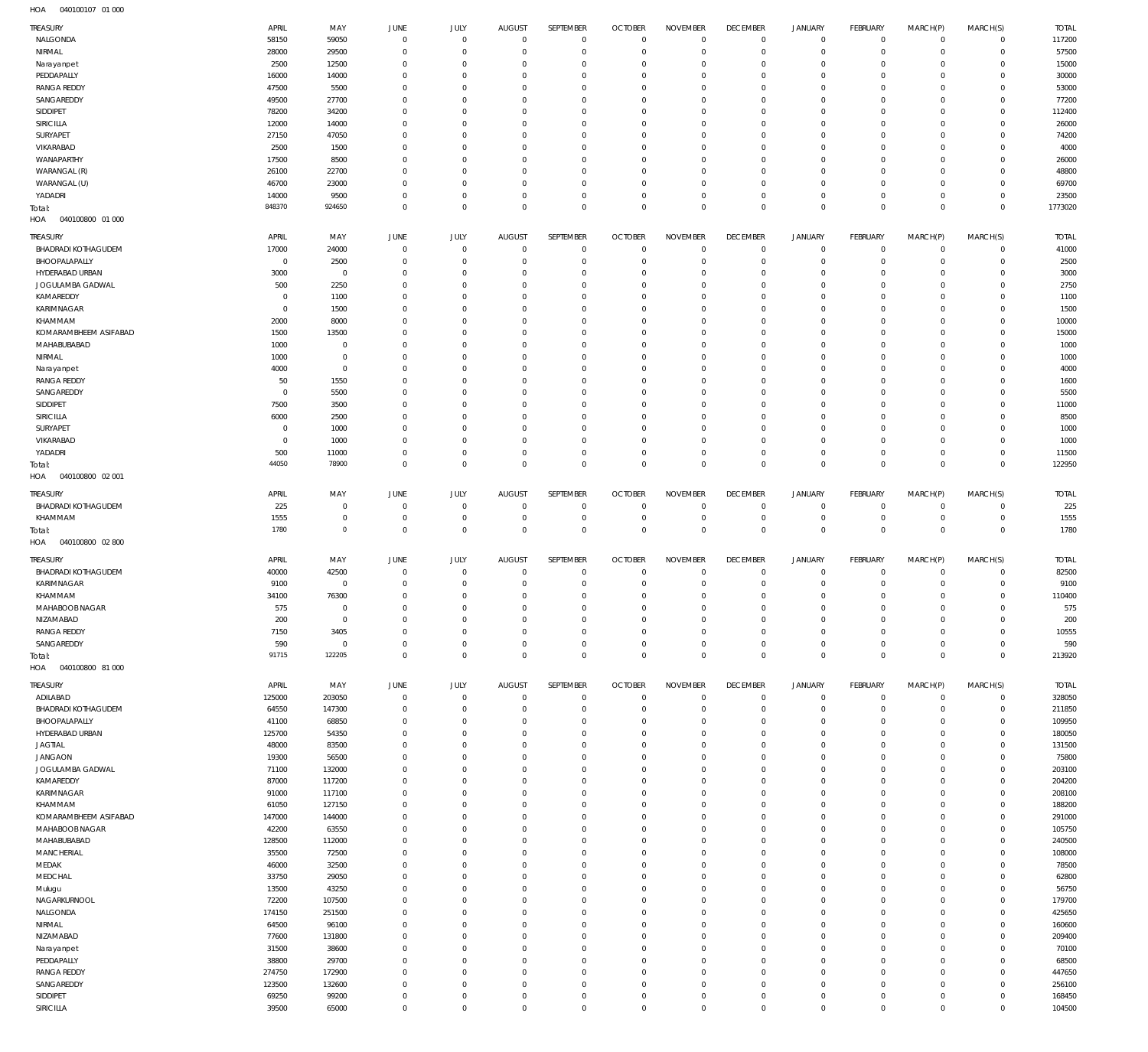040100107 01 000 HOA

| TREASURY                         | APRIL         |                |                               |                     | AUGUST         | SEPTEMBER      | <b>OCTOBER</b> | <b>NOVEMBER</b> | <b>DECEMBER</b> |                           |                         | MARCH(P)       | MARCH(S)    | <b>TOTAL</b> |
|----------------------------------|---------------|----------------|-------------------------------|---------------------|----------------|----------------|----------------|-----------------|-----------------|---------------------------|-------------------------|----------------|-------------|--------------|
| NALGONDA                         | 58150         | MAY<br>59050   | <b>JUNE</b><br>$\overline{0}$ | JULY<br>$\mathbf 0$ | $\overline{0}$ | $\mathbf 0$    | $\overline{0}$ | $\mathbf{0}$    | $\overline{0}$  | <b>JANUARY</b><br>$\circ$ | FEBRUARY<br>$\mathbf 0$ | $\mathbf{0}$   | $\mathbf 0$ | 117200       |
| NIRMAL                           | 28000         | 29500          | $\overline{0}$                | $\mathbf 0$         | $\overline{0}$ | $\mathbf 0$    | $\overline{0}$ | $\mathbf 0$     | $\overline{0}$  | $\mathbf 0$               | $\mathbf 0$             | $^{\circ}$     | $\mathbf 0$ | 57500        |
|                                  |               |                | $\mathbf 0$                   | $\mathbf 0$         | $\mathbf 0$    | $\mathbf 0$    | $^{\circ}$     | 0               | $\mathbf{0}$    |                           | $^{\circ}$              | $\Omega$       | $\mathbf 0$ | 15000        |
| Narayanpet<br>PEDDAPALLY         | 2500<br>16000 | 12500          | $\mathbf 0$                   | $\mathbf 0$         | $\mathbf 0$    | $\mathbf 0$    | $\mathbf 0$    | $\mathbf 0$     | $\mathbf{0}$    | $\circ$<br>$\mathbf 0$    | $\mathbf{0}$            | $\Omega$       | $\Omega$    | 30000        |
|                                  |               | 14000          |                               |                     |                |                |                |                 | $\mathbf{0}$    |                           |                         |                |             |              |
| <b>RANGA REDDY</b><br>SANGAREDDY | 47500         | 5500           | $\mathbf 0$                   | $\mathbf 0$         | $\mathbf 0$    | $\mathbf 0$    | $^{\circ}$     | $\mathbf 0$     |                 | $\mathbf 0$               | $^{\circ}$              | $\Omega$       | $\mathbf 0$ | 53000        |
|                                  | 49500         | 27700          | $\mathbf 0$                   | $\mathbf 0$         | $\mathbf 0$    | $\mathbf 0$    | $\mathbf 0$    | $\mathbf 0$     | $\mathbf{0}$    | $\mathbf 0$               | $^{\circ}$              | $\Omega$       | $\mathbf 0$ | 77200        |
| SIDDIPET                         | 78200         | 34200          | $\mathbf 0$                   | $\Omega$            | $\mathbf 0$    | $\mathbf 0$    | $\mathbf 0$    | $\mathbf 0$     | $\mathbf{0}$    | $\mathbf 0$               | $\mathbf{0}$            | $\Omega$       | $\mathbf 0$ | 112400       |
| SIRICILLA                        | 12000         | 14000          | $\mathbf 0$                   | $\mathbf 0$         | $\mathbf 0$    | $\mathbf 0$    | $\mathbf 0$    | $\mathbf 0$     | $\mathbf 0$     | $\mathbf 0$               | $^{\circ}$              | $\Omega$       | $\mathbf 0$ | 26000        |
| SURYAPET                         | 27150         | 47050          | $\mathbf 0$                   | $\Omega$            | $\mathbf 0$    | $\mathbf 0$    | $\mathbf 0$    | $\mathbf 0$     | $\mathbf 0$     | $\mathbf 0$               | $^{\circ}$              | $\Omega$       | $\mathbf 0$ | 74200        |
| VIKARABAD                        | 2500          | 1500           | $\mathbf 0$                   | $\mathbf 0$         | $\mathbf 0$    | $\mathbf 0$    | $\mathbf 0$    | $\mathbf 0$     | $\mathbf 0$     | $\mathbf 0$               | $^{\circ}$              | $\Omega$       | $\mathbf 0$ | 4000         |
| WANAPARTHY                       | 17500         | 8500           | $\mathbf 0$                   | $\Omega$            | $\mathbf 0$    | $\mathbf 0$    | $\mathbf 0$    | $\mathbf 0$     | $\mathbf 0$     | $\mathbf 0$               | $\mathbf{0}$            | $\Omega$       | $\mathbf 0$ | 26000        |
| WARANGAL (R)                     | 26100         | 22700          | $\mathbf 0$                   | $\mathbf 0$         | $\mathbf 0$    | $\mathbf 0$    | $\mathbf 0$    | $\mathbf 0$     | $\mathbf 0$     | $\mathbf 0$               | $^{\circ}$              | $\Omega$       | $\mathbf 0$ | 48800        |
| WARANGAL (U)                     | 46700         | 23000          | $\mathbf 0$                   | $\mathbf 0$         | $\mathbf 0$    | $\mathbf 0$    | $^{\circ}$     | $\mathbf 0$     | $\mathbf 0$     | $\mathbf 0$               | $^{\circ}$              | $\Omega$       | $\mathbf 0$ | 69700        |
| YADADRI                          | 14000         | 9500           | $\mathbf 0$                   | $\mathbf 0$         | $\mathbf 0$    | $\mathbf 0$    | $\mathbf 0$    | $\mathbf 0$     | $\mathbf 0$     | $\mathbf 0$               | $\mathbf 0$             | $\circ$        | $\mathbf 0$ | 23500        |
| Total:                           | 848370        | 924650         | $\mathbf 0$                   | $\mathbf 0$         | $\overline{0}$ | $\mathbf 0$    | $\overline{0}$ | $\mathbf 0$     | $\overline{0}$  | $\overline{0}$            | $\mathbb O$             | $^{\circ}$     | $\mathbf 0$ | 1773020      |
| 040100800 01 000<br>HOA          |               |                |                               |                     |                |                |                |                 |                 |                           |                         |                |             |              |
|                                  |               |                |                               |                     |                |                |                |                 |                 |                           |                         |                |             |              |
| TREASURY                         | APRIL         | MAY            | JUNE                          | JULY                | AUGUST         | SEPTEMBER      | <b>OCTOBER</b> | <b>NOVEMBER</b> | <b>DECEMBER</b> | <b>JANUARY</b>            | FEBRUARY                | MARCH(P)       | MARCH(S)    | <b>TOTAL</b> |
| <b>BHADRADI KOTHAGUDEM</b>       | 17000         | 24000          | $\overline{0}$                | $\mathbf 0$         | $\overline{0}$ | $\mathbf 0$    | $\overline{0}$ | $\mathbf 0$     | $\overline{0}$  | 0                         | $\mathbf 0$             | $\circ$        | $\Omega$    | 41000        |
| BHOOPALAPALLY                    | $^{\circ}$    | 2500           | 0                             | $\mathbf 0$         | $\mathbf 0$    | $\mathbf 0$    | $\overline{0}$ | $\mathbf 0$     | $\mathbf 0$     | $\mathbf 0$               | $\mathbf 0$             | $\circ$        | $\mathbf 0$ | 2500         |
| HYDERABAD URBAN                  | 3000          | $\overline{0}$ | $\mathbf 0$                   | $\mathbf 0$         | $\mathbf 0$    | $\mathbf 0$    | $\overline{0}$ | $\mathbf 0$     | $\mathbf 0$     | $\circ$                   | $^{\circ}$              | $\Omega$       | $\Omega$    | 3000         |
| JOGULAMBA GADWAL                 | 500           | 2250           | $\mathbf 0$                   | $\mathbf 0$         | $\mathbf 0$    | $\mathbf 0$    | $\mathbf 0$    | 0               | $\overline{0}$  | $^{\circ}$                | $^{\circ}$              |                | $\Omega$    | 2750         |
| KAMAREDDY                        | $^{\circ}$    | 1100           | $\mathbf 0$                   | $\mathbf 0$         | $\mathbf 0$    | $\mathbf 0$    | $\mathbf 0$    | $\mathbf 0$     | $\mathbf 0$     | $\mathbf 0$               | $^{\circ}$              | $\Omega$       | $\Omega$    | 1100         |
| <b>KARIMNAGAR</b>                | $^{\circ}$    | 1500           | $\mathbf 0$                   | $\mathbf 0$         | $\mathbf 0$    | $\mathbf 0$    | $\mathbf 0$    | 0               | $\mathbf 0$     | $\mathbf 0$               | $^{\circ}$              | $\Omega$       | $\Omega$    | 1500         |
| KHAMMAM                          | 2000          | 8000           | $\mathbf 0$                   | $\mathbf 0$         | $\mathbf 0$    | $\mathbf 0$    | $\mathbf 0$    | 0               | $\mathbf 0$     | $\mathbf 0$               | $^{\circ}$              | $\Omega$       | $\Omega$    | 10000        |
| KOMARAMBHEEM ASIFABAD            | 1500          | 13500          | $\mathbf 0$                   | $\mathbf 0$         | $\mathbf 0$    | $\mathbf 0$    | $\mathbf 0$    | 0               | $\mathbf 0$     | $\mathbf 0$               | $^{\circ}$              | $\Omega$       | $\Omega$    | 15000        |
| MAHABUBABAD                      | 1000          | $\mathbf 0$    | 0                             | $\mathbf 0$         | $\mathbf 0$    | $\mathbf 0$    | $\mathbf 0$    | 0               | $\mathbf 0$     | $\mathbf 0$               | $^{\circ}$              |                | $\Omega$    | 1000         |
| NIRMAL                           | 1000          | $\mathbf 0$    | $\mathbf 0$                   | $\mathbf 0$         | $\mathbf 0$    | $\mathbf 0$    | $\mathbf 0$    | $\mathbf 0$     | $\mathbf 0$     | $\mathbf 0$               | $^{\circ}$              | $\Omega$       | $\Omega$    | 1000         |
| Narayanpet                       | 4000          | $\mathbb O$    | 0                             | $\mathbf 0$         | $\mathbf 0$    | $\mathbf 0$    | $\mathbf 0$    | 0               | $\mathbf 0$     | $\mathbf 0$               | $^{\circ}$              | $\Omega$       | $\Omega$    | 4000         |
| <b>RANGA REDDY</b>               | 50            | 1550           | $\mathbf 0$                   | $\Omega$            | $\mathbf 0$    | $\mathbf 0$    | $\mathbf 0$    | $\mathbf 0$     | $\mathbf 0$     | $\mathbf 0$               | $^{\circ}$              | $\Omega$       | $\Omega$    | 1600         |
| SANGAREDDY                       | $^{\circ}$    | 5500           | 0                             | $\mathbf 0$         | $\mathbf 0$    | $\mathbf 0$    | $^{\circ}$     | 0               | $\mathbf 0$     | $\mathbf 0$               | $^{\circ}$              | $\Omega$       | $\Omega$    | 5500         |
| SIDDIPET                         | 7500          | 3500           | $\mathbf 0$                   | $\mathbf 0$         | $\mathbf 0$    | $\mathbf 0$    | $\mathbf 0$    | $\mathbf 0$     | $\mathbf 0$     | $\mathbf 0$               | $^{\circ}$              | $\Omega$       | $\Omega$    | 11000        |
| SIRICILLA                        | 6000          | 2500           | 0                             | $\mathbf 0$         | $\mathbf 0$    | $\mathbf 0$    | $\mathbf 0$    | 0               | $\mathbf 0$     | $\mathbf 0$               | $^{\circ}$              | $\Omega$       | $\Omega$    | 8500         |
| SURYAPET                         | $^{\circ}$    | 1000           | $\mathbf 0$                   | $\Omega$            | $\mathbf 0$    | $\mathbf 0$    | $\overline{0}$ | 0               | $\mathbf 0$     | $\mathbf 0$               | $^{\circ}$              |                | $\Omega$    | 1000         |
| VIKARABAD                        | $^{\circ}$    | 1000           | 0                             | $\mathbf 0$         | $\mathbf 0$    | $\mathbf 0$    | $\mathbf 0$    | 0               | $^{\circ}$      | $\circ$                   | $\mathbf 0$             | $\Omega$       | $\Omega$    | 1000         |
| YADADRI                          | 500           | 11000          | $\mathbf 0$                   | $\mathbf 0$         | $\mathbf 0$    | $\mathbf 0$    | $\mathbf 0$    | $\mathbf 0$     | $\mathbf{0}$    | $\mathbf 0$               | $\mathbf 0$             | 0              | $\mathbf 0$ | 11500        |
|                                  | 44050         | 78900          | $\mathbf 0$                   | $\mathbf 0$         | $\overline{0}$ | $\mathbf 0$    | $\overline{0}$ | $\mathbf 0$     | $\mathbb O$     | $\,0\,$                   | $\mathbb O$             |                |             |              |
| Total:                           |               |                |                               |                     |                |                |                |                 |                 |                           |                         | $\mathbf 0$    | $\mathbb O$ | 122950       |
| 040100800 02 001<br>HOA          |               |                |                               |                     |                |                |                |                 |                 |                           |                         |                |             |              |
| TREASURY                         | APRIL         | MAY            | JUNE                          | JULY                | AUGUST         | SEPTEMBER      | <b>OCTOBER</b> | <b>NOVEMBER</b> | <b>DECEMBER</b> | <b>JANUARY</b>            | <b>FEBRUARY</b>         | MARCH(P)       | MARCH(S)    | <b>TOTAL</b> |
| <b>BHADRADI KOTHAGUDEM</b>       | 225           | $\mathbf 0$    | $\mathbf 0$                   | $\mathbf 0$         | $\overline{0}$ | $\mathbf 0$    | $\overline{0}$ | $\mathbf 0$     | $\mathbf 0$     | 0                         | $^{\circ}$              | $^{\circ}$     | $\mathbf 0$ | 225          |
| KHAMMAM                          | 1555          | $\mathbb O$    | $\mathbf 0$                   | $\mathbf 0$         | $\overline{0}$ | $\mathbf 0$    | $\overline{0}$ | $\mathbf 0$     | $\mathbf 0$     | $\mathbb O$               | $\overline{0}$          | $^{\circ}$     | $\mathbf 0$ | 1555         |
| Total:                           | 1780          | $\mathbf 0$    | $\mathbf 0$                   | $\mathbf 0$         | $\overline{0}$ | $\overline{0}$ | $\overline{0}$ | $\mathbf 0$     | $\mathbb O$     | $\mathbb O$               | $\mathbb O$             | $\mathbf 0$    | $\mathbb O$ | 1780         |
| 040100800 02 800<br>HOA          |               |                |                               |                     |                |                |                |                 |                 |                           |                         |                |             |              |
|                                  |               |                |                               |                     |                |                |                |                 |                 |                           |                         |                |             |              |
| TREASURY                         | APRIL         | MAY            | JUNE                          | JULY                | AUGUST         | SEPTEMBER      | <b>OCTOBER</b> | <b>NOVEMBER</b> | <b>DECEMBER</b> | <b>JANUARY</b>            | FEBRUARY                | MARCH(P)       | MARCH(S)    | <b>TOTAL</b> |
| <b>BHADRADI KOTHAGUDEM</b>       | 40000         | 42500          | 0                             | $\mathbf 0$         | $\overline{0}$ | $\mathbf 0$    | $\overline{0}$ | $\mathbf{0}$    | $^{\circ}$      | $\circ$                   | $\mathbf 0$             | $\circ$        | $\mathbf 0$ | 82500        |
| KARIMNAGAR                       | 9100          | $\overline{0}$ | 0                             | $\mathbf 0$         | $\mathbf 0$    | $\mathbf 0$    | $^{\circ}$     | 0               | $\mathbf 0$     | $\circ$                   | $^{\circ}$              | 0              | $\mathbf 0$ | 9100         |
| KHAMMAM                          | 34100         | 76300          | $\mathbf 0$                   | $\mathbf 0$         | $\overline{0}$ | $\mathbf 0$    | $\overline{0}$ | $\mathbf 0$     | $\mathbf 0$     | $\mathbf 0$               | $\mathbf{0}$            | $\Omega$       | $\Omega$    | 110400       |
| MAHABOOB NAGAR                   | 575           | $\mathbf 0$    | $\Omega$                      | $\Omega$            | $\Omega$       | $\Omega$       | $\Omega$       | $\Omega$        | $\overline{0}$  | $\circ$                   | $\Omega$                | $\Omega$       | $\circ$     | 575          |
| NIZAMABAD                        |               |                |                               |                     |                |                |                |                 |                 |                           |                         |                |             |              |
| <b>RANGA REDDY</b>               |               | $\mathbb O$    | $\mathbf 0$                   | $\mathbf 0$         | $\mathbf 0$    | $\mathbf 0$    | $\overline{0}$ | $\mathbf 0$     | $\mathbf 0$     | $\mathbf 0$               | $^{\circ}$              | $\Omega$       | $\mathbf 0$ |              |
|                                  | 200           |                | 0                             | $\mathbf 0$         | $\mathbf 0$    | $\mathbf 0$    | $\overline{0}$ | $\mathbf 0$     | $\mathbf 0$     |                           | $\mathbf 0$             | $\circ$        | $\mathbf 0$ | 200          |
|                                  | 7150          | 3405           |                               | $\mathbf 0$         | $\mathbf 0$    | $\mathbf 0$    |                |                 | $\mathbf 0$     | 0                         |                         | $\circ$        | $\mathbf 0$ | 10555        |
| SANGAREDDY                       | 590           | $\mathbf 0$    | $\mathbf 0$                   |                     |                |                | $\overline{0}$ | $\bf 0$         |                 | $\mathbb O$               | $\mathbf 0$             |                |             | 590          |
| Total:                           | 91715         | 122205         | $\mathbf{0}$                  | $\mathbf 0$         | $\overline{0}$ | $\overline{0}$ | $\overline{0}$ | $\mathbf 0$     | $\mathbb O$     | $\mathbb O$               | $\overline{0}$          | $\overline{0}$ | $\mathbb O$ | 213920       |
| HOA<br>040100800 81 000          |               |                |                               |                     |                |                |                |                 |                 |                           |                         |                |             |              |
| <b>TREASURY</b>                  | APRIL         | MAY            | JUNE                          | JULY                | <b>AUGUST</b>  | SEPTEMBER      | <b>OCTOBER</b> | <b>NOVEMBER</b> | <b>DECEMBER</b> | <b>JANUARY</b>            | FEBRUARY                | MARCH(P)       | MARCH(S)    | <b>TOTAL</b> |
| ADILABAD                         | 125000        | 203050         | $\mathbf 0$                   | $\bf 0$             | $\overline{0}$ | $\mathbf 0$    | $\overline{0}$ | $\mathbf 0$     | $\mathbf 0$     | $\mathbb O$               | $\mathbf 0$             | $^{\circ}$     | $\mathbf 0$ | 328050       |
| <b>BHADRADI KOTHAGUDEM</b>       | 64550         | 147300         | $\overline{0}$                | $\mathbf 0$         | $\overline{0}$ | $\mathbf 0$    | $\overline{0}$ | $\mathbf 0$     | $\overline{0}$  | $\circ$                   | $\mathbf 0$             | $^{\circ}$     | $\mathbf 0$ | 211850       |
| BHOOPALAPALLY                    | 41100         | 68850          | $\mathbf 0$                   | $\mathbf 0$         | $\mathbf 0$    | $\mathbf 0$    | $^{\circ}$     | $\mathbf 0$     | $\mathbf{0}$    | $\mathbf 0$               | $\mathbf{0}$            | $\circ$        | $\mathbf 0$ | 109950       |
| HYDERABAD URBAN                  | 125700        | 54350          | $\mathbf 0$                   | $\mathbf 0$         | $\mathbf 0$    | $\mathbf 0$    | $\overline{0}$ | $\mathbf 0$     | $\mathbf{0}$    | $\circ$                   | $\mathbf 0$             | $\Omega$       | $\mathbf 0$ | 180050       |
| <b>JAGTIAL</b>                   | 48000         | 83500          | $\mathbf 0$                   | $\mathbf 0$         | $\mathbf 0$    | $\mathbf 0$    | $\overline{0}$ | $\mathbf 0$     | $\mathbf{0}$    | $\mathbf 0$               | $\mathbf 0$             | $\Omega$       | $\mathbf 0$ | 131500       |
| <b>JANGAON</b>                   | 19300         | 56500          | $\mathbf 0$                   | $\mathbf 0$         | $\mathbf 0$    | $\mathbf 0$    | $\overline{0}$ | $\mathbf 0$     | $\mathbf 0$     | $\mathbf 0$               | $\mathbf 0$             | $\Omega$       | $\mathbf 0$ | 75800        |
| JOGULAMBA GADWAL                 | 71100         | 132000         | $\mathbf 0$                   | $\mathbf 0$         | $\mathbf 0$    | $\mathbf 0$    | $\overline{0}$ | $\mathbf 0$     | $\mathbf 0$     | $\mathbf 0$               | $\mathbf 0$             | $\circ$        | $\mathbf 0$ | 203100       |
| KAMAREDDY                        | 87000         | 117200         | $\mathbf 0$                   | $\mathbf 0$         | $\mathbf 0$    | $\mathbf 0$    | $\mathbf 0$    | $\mathbf 0$     | $\mathbf 0$     | $\mathbf 0$               | $\mathbf{0}$            | $\Omega$       | $\mathbf 0$ | 204200       |
|                                  |               |                | $\mathbf 0$                   | $\mathbf 0$         | $\mathbf 0$    | $\mathbf 0$    | $\overline{0}$ | $\mathbf 0$     | $\mathbf 0$     | $\mathbf 0$               | $\mathbf 0$             | $\Omega$       | $\mathbf 0$ |              |
| KARIMNAGAR                       | 91000         | 117100         | $\mathbf 0$                   | $\mathbf 0$         | $\mathbf 0$    | $\mathbf 0$    | $\overline{0}$ | $\mathbf 0$     | $\mathbf 0$     | $\mathbf 0$               | $\mathbf 0$             | $\Omega$       | $\mathbf 0$ | 208100       |
| KHAMMAM                          | 61050         | 127150         | $\mathbf 0$                   | $\mathbf 0$         | $\mathbf 0$    | $\mathbf 0$    | $\overline{0}$ | $\mathbf 0$     | $\mathbf 0$     | $\mathbf 0$               | $\mathbf 0$             | $\Omega$       | $\mathbf 0$ | 188200       |
| KOMARAMBHEEM ASIFABAD            | 147000        | 144000         | $\mathbf 0$                   | $\mathbf 0$         | $\mathbf 0$    | $\mathbf 0$    | $\overline{0}$ | $\mathbf 0$     | $\mathbf 0$     | $\mathbf 0$               | $^{\circ}$              | $\Omega$       | $\mathbf 0$ | 291000       |
| MAHABOOB NAGAR                   | 42200         | 63550          | $\mathbf 0$                   | $\mathbf 0$         | $\mathbf 0$    | $\mathbf 0$    | $\overline{0}$ | $\mathbf 0$     | $\mathbf 0$     | $\mathbf 0$               |                         | $\Omega$       | $\mathbf 0$ | 105750       |
| MAHABUBABAD                      | 128500        | 112000         | $\mathbf 0$                   | $\mathbf 0$         | $\mathbf 0$    | $\mathbf 0$    | $\overline{0}$ | $\mathbf 0$     | $\mathbf 0$     | $\mathbf 0$               | $\mathbf 0$             | $\Omega$       | $\mathbf 0$ | 240500       |
| MANCHERIAL                       | 35500         | 72500          |                               |                     |                |                |                |                 |                 |                           | $\mathbf 0$             | $\Omega$       |             | 108000       |
| MEDAK                            | 46000         | 32500          | $\mathbf 0$                   | $\mathbf 0$         | $\mathbf 0$    | $\mathbf 0$    | $\overline{0}$ | $\mathbf 0$     | $\mathbf 0$     | $\mathbf 0$               | $\mathbf 0$             |                | $\mathbf 0$ | 78500        |
| MEDCHAL                          | 33750         | 29050          | $\mathbf 0$                   | $\mathbf 0$         | $\mathbf 0$    | $\mathbf 0$    | $\overline{0}$ | $\mathbf 0$     | $\mathbf 0$     | $\mathbf 0$               | $\mathbf 0$             | $\circ$        | $\mathbf 0$ | 62800        |
| Mulugu                           | 13500         | 43250          | $\mathbf 0$                   | $\mathbf 0$         | $\mathbf 0$    | $\mathbf 0$    | $\overline{0}$ | $\mathbf 0$     | $\mathbf 0$     | $\mathbf 0$               | $\mathbf 0$             | $\Omega$       | $\mathbf 0$ | 56750        |
| NAGARKURNOOL                     | 72200         | 107500         | $\mathbf 0$                   | $\mathbf 0$         | $\mathbf 0$    | $\mathbf 0$    | $\overline{0}$ | $\mathbf 0$     | $\mathbf{0}$    | $\mathbf 0$               | $\mathbf 0$             | $\Omega$       | $\mathbf 0$ | 179700       |
| NALGONDA                         | 174150        | 251500         | $\mathbf 0$                   | $\mathbf 0$         | $\mathbf 0$    | $\mathbf 0$    | $\overline{0}$ | $\mathbf 0$     | $\mathbf{0}$    | $\mathbf 0$               | $\mathbf 0$             | $\Omega$       | $\mathbf 0$ | 425650       |
| NIRMAL                           | 64500         | 96100          | $\mathbf 0$                   | $\mathbf 0$         | $\mathbf 0$    | $\mathbf 0$    | $\overline{0}$ | $\mathbf 0$     | $\mathbf{0}$    | $\mathbf 0$               | $\mathbf 0$             | $\Omega$       | $\mathbf 0$ | 160600       |
| NIZAMABAD                        | 77600         | 131800         | $\mathbf 0$                   | $\mathbf 0$         | $\mathbf 0$    | $\mathbf 0$    | $\overline{0}$ | $\mathbf 0$     | $\mathbf 0$     | $\mathbf 0$               | $\mathbf 0$             | $\Omega$       | $\mathbf 0$ | 209400       |
| Narayanpet                       | 31500         | 38600          | $\mathbf 0$                   | $\mathbf 0$         | $\mathbf 0$    | $\mathbf 0$    | $\overline{0}$ | $\mathbf 0$     | $\mathbf 0$     | $\mathbf 0$               | $\mathbf 0$             | $\Omega$       | $\mathbf 0$ | 70100        |
| PEDDAPALLY                       | 38800         | 29700          | $\mathbf 0$                   | $\mathbf 0$         | $\mathbf 0$    | $\mathbf 0$    | $\overline{0}$ | $\mathbf 0$     | $\mathbf 0$     | $\mathbf 0$               | $\mathbf 0$             | $\circ$        | $\mathbf 0$ | 68500        |
| <b>RANGA REDDY</b>               | 274750        | 172900         | $\mathbf 0$                   | $\mathbf 0$         | $\mathbf 0$    | $\mathbf 0$    | $\mathbf 0$    | $\mathbf 0$     | $\mathbf 0$     | $\mathbf 0$               | $^{\circ}$              | $\Omega$       | $\mathbf 0$ | 447650       |
| SANGAREDDY                       | 123500        | 132600         | $\mathbf 0$                   | $\mathbf 0$         | $\mathbf 0$    | $\mathbf 0$    | $^{\circ}$     | $\mathbf 0$     | $\mathbf 0$     | $\circ$                   | $\mathbf 0$             | $\Omega$       | $\mathbf 0$ | 256100       |
| SIDDIPET                         | 69250         | 99200          | $\mathbf 0$                   | $\mathbf 0$         | $\mathbf 0$    | $\mathbf 0$    | $\mathbf 0$    | $\mathbf 0$     | $\mathbf 0$     | $\mathbf 0$               | $^{\circ}$              | $\Omega$       | $\mathbf 0$ | 168450       |
| SIRICILLA                        | 39500         | 65000          | $\mathbf 0$                   | $\mathbf 0$         | $\overline{0}$ | $\mathbf 0$    | $\overline{0}$ | $\mathbf 0$     | $\mathbb O$     | $\mathbb O$               | $\mathbb O$             | $\mathbf 0$    | $\circ$     | 104500       |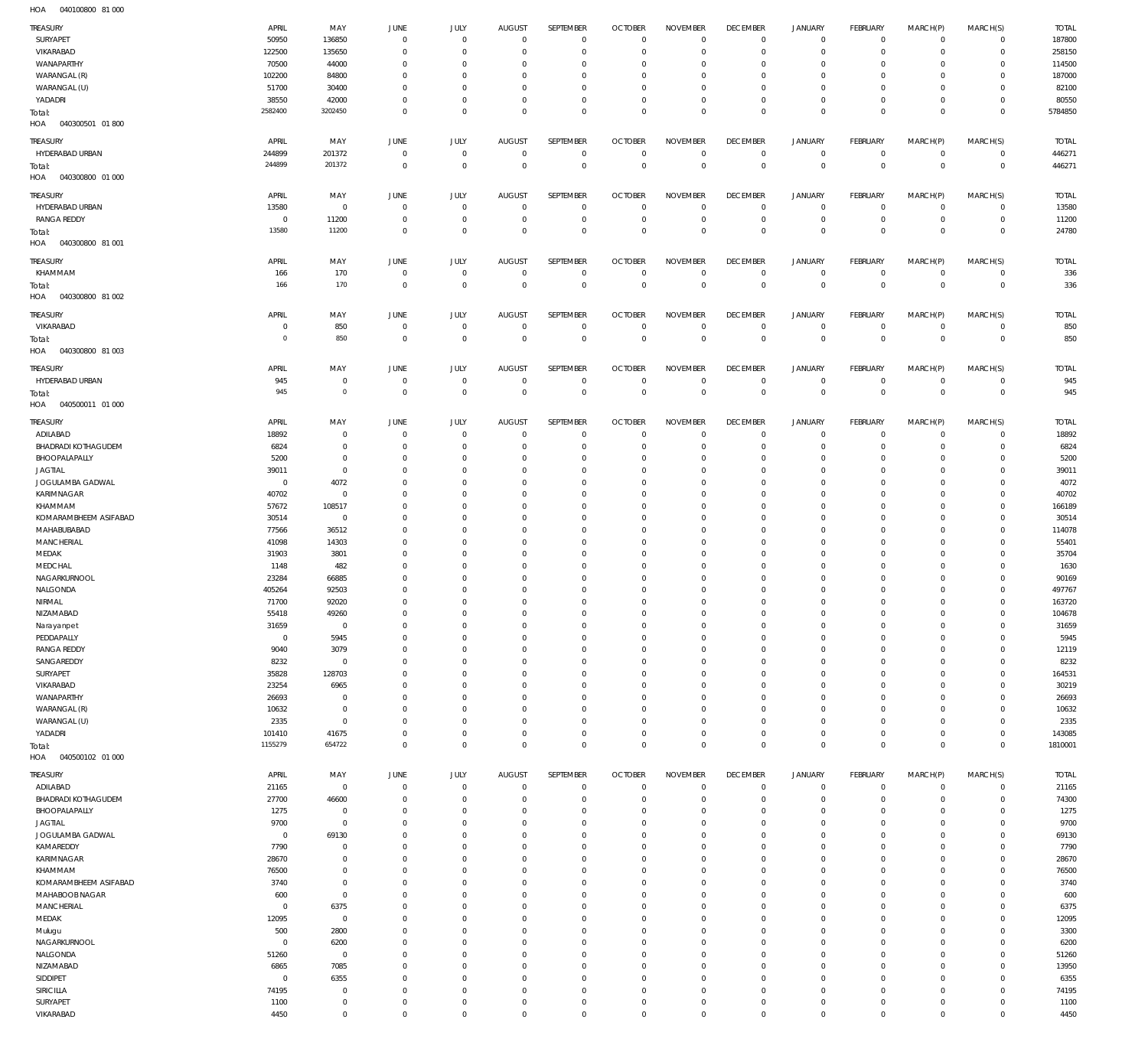040100800 81 000 HOA

| <b>TREASURY</b>            | APRIL          | MAY         | JUNE           | JULY         | <b>AUGUST</b>  | SEPTEMBER    | <b>OCTOBER</b> | <b>NOVEMBER</b> | <b>DECEMBER</b> | <b>JANUARY</b>      | <b>FEBRUARY</b> | MARCH(P)     | MARCH(S)       | <b>TOTAL</b> |
|----------------------------|----------------|-------------|----------------|--------------|----------------|--------------|----------------|-----------------|-----------------|---------------------|-----------------|--------------|----------------|--------------|
| SURYAPET                   | 50950          | 136850      | $\mathbf 0$    | $\mathbf 0$  | $\mathbf 0$    | $\mathbf 0$  | $\circ$        | $\circ$         | $\mathbf 0$     | $\mathsf{O}\xspace$ | $\overline{0}$  | $\mathbf 0$  | $\circ$        | 187800       |
| VIKARABAD                  | 122500         | 135650      | $^{\circ}$     | $\mathbf 0$  | $\Omega$       | $\mathbf 0$  | $^{\circ}$     | $\mathbf 0$     | $^{\circ}$      | $\mathsf{O}\xspace$ | $\mathbf 0$     | $\mathbf 0$  | $\circ$        | 258150       |
|                            |                |             |                |              |                |              |                |                 |                 |                     |                 |              |                |              |
| WANAPARTHY                 | 70500          | 44000       | $\overline{0}$ | $\mathbf{0}$ | $\Omega$       | $\mathbf 0$  | $^{\circ}$     | $\mathbf 0$     | $\overline{0}$  | $\mathsf{O}\xspace$ | $\overline{0}$  | $\mathbf 0$  | $\circ$        | 114500       |
| WARANGAL (R)               | 102200         | 84800       | $\Omega$       | $\mathbf{0}$ | $\Omega$       | $\mathbf 0$  | $^{\circ}$     | $\mathbf 0$     | $\mathbf 0$     | $\mathbf 0$         | $\mathbf 0$     | $\mathbf 0$  | $\mathbf{0}$   | 187000       |
| WARANGAL (U)               | 51700          | 30400       | $\Omega$       | $\mathbf{0}$ | $\Omega$       | $\mathbf 0$  | 0              | $\mathbf 0$     | $^{\circ}$      | $\mathsf{O}\xspace$ | $^{\circ}$      | $\mathbf 0$  | $\circ$        | 82100        |
| YADADRI                    | 38550          | 42000       | $^{\circ}$     | $\mathbf 0$  | $\Omega$       | $\mathbf 0$  | $^{\circ}$     | $\mathbf 0$     | $\overline{0}$  | $\mathsf{O}\xspace$ | $\mathbf 0$     | $\mathbf 0$  | $\circ$        | 80550        |
| Total:                     | 2582400        | 3202450     | $\mathbf 0$    | $\mathbf 0$  | $\Omega$       | $\mathbf 0$  | $\mathbf 0$    | $\mathbf 0$     | $\mathbf 0$     | $\mathbb O$         | $\overline{0}$  | $\mathbf 0$  | $\overline{0}$ | 5784850      |
| HOA<br>040300501 01800     |                |             |                |              |                |              |                |                 |                 |                     |                 |              |                |              |
|                            |                |             |                |              |                |              |                |                 |                 |                     |                 |              |                |              |
| TREASURY                   | APRIL          | MAY         | JUNE           | JULY         | <b>AUGUST</b>  | SEPTEMBER    | <b>OCTOBER</b> | <b>NOVEMBER</b> | <b>DECEMBER</b> | <b>JANUARY</b>      | <b>FEBRUARY</b> | MARCH(P)     | MARCH(S)       | <b>TOTAL</b> |
| HYDERABAD URBAN            | 244899         | 201372      | $\mathbb O$    | $\mathbf{0}$ | $^{\circ}$     | $\mathbf 0$  | $^{\circ}$     | $^{\circ}$      | $\mathbf 0$     | $\mathbf 0$         | $\mathbf 0$     | $\mathbf 0$  | $\circ$        | 446271       |
|                            |                |             |                |              |                |              |                |                 |                 |                     |                 |              |                |              |
| Total:                     | 244899         | 201372      | $\mathbb O$    | $\mathbf 0$  | $^{\circ}$     | $\mathbf 0$  | $\overline{0}$ | $\overline{0}$  | $\mathbf 0$     | $\mathbf 0$         | $\overline{0}$  | $\mathbf 0$  | $\,0\,$        | 446271       |
| HOA<br>040300800 01 000    |                |             |                |              |                |              |                |                 |                 |                     |                 |              |                |              |
|                            |                |             |                |              |                |              |                |                 |                 |                     |                 |              |                |              |
| TREASURY                   | APRIL          | MAY         | JUNE           | JULY         | <b>AUGUST</b>  | SEPTEMBER    | <b>OCTOBER</b> | <b>NOVEMBER</b> | <b>DECEMBER</b> | <b>JANUARY</b>      | <b>FEBRUARY</b> | MARCH(P)     | MARCH(S)       | <b>TOTAL</b> |
| HYDERABAD URBAN            | 13580          | $\mathbb O$ | $\overline{0}$ | $\mathbf 0$  | $\overline{0}$ | $\mathbf 0$  | 0              | 0               | $\overline{0}$  | 0                   | $\overline{0}$  | $\mathbf 0$  | $\circ$        | 13580        |
| <b>RANGA REDDY</b>         | $^{\circ}$     | 11200       | $^{\circ}$     | $\mathbf 0$  | $\overline{0}$ | $\mathbf 0$  | $\circ$        | $\mathbf 0$     | $\mathbf 0$     | $\mathsf{O}\xspace$ | $\overline{0}$  | $\mathbf 0$  | $\overline{0}$ | 11200        |
| Total:                     | 13580          | 11200       | $\mathbf 0$    | $\mathbf 0$  | $\overline{0}$ | $\mathbf 0$  | $\mathbf 0$    | $\mathbb O$     | $\mathbf 0$     | $\mathbb O$         | $\overline{0}$  | $\mathbf 0$  | $\overline{0}$ | 24780        |
| HOA<br>040300800 81 001    |                |             |                |              |                |              |                |                 |                 |                     |                 |              |                |              |
|                            |                |             |                |              |                |              |                |                 |                 |                     |                 |              |                |              |
| TREASURY                   | APRIL          | MAY         | JUNE           | JULY         | <b>AUGUST</b>  | SEPTEMBER    | <b>OCTOBER</b> | <b>NOVEMBER</b> | <b>DECEMBER</b> | <b>JANUARY</b>      | <b>FEBRUARY</b> | MARCH(P)     | MARCH(S)       | <b>TOTAL</b> |
| KHAMMAM                    | 166            | 170         | $\overline{0}$ | $\mathbf 0$  | $\overline{0}$ | $\mathbf 0$  | $\mathbf 0$    | $^{\circ}$      | $\mathbf 0$     | 0                   | $\mathbf 0$     | $\mathbf 0$  | $\circ$        | 336          |
|                            | 166            | 170         | $\mathbf 0$    | $\mathbf 0$  | $^{\circ}$     | $\mathsf 0$  | $\overline{0}$ | $\overline{0}$  | $\mathbf 0$     | $\mathbf 0$         | $\overline{0}$  | $\mathbf 0$  | $\,0\,$        | 336          |
| Total:                     |                |             |                |              |                |              |                |                 |                 |                     |                 |              |                |              |
| HOA<br>040300800 81 002    |                |             |                |              |                |              |                |                 |                 |                     |                 |              |                |              |
|                            | APRIL          | MAY         | JUNE           | JULY         | <b>AUGUST</b>  | SEPTEMBER    | <b>OCTOBER</b> | <b>NOVEMBER</b> | <b>DECEMBER</b> | <b>JANUARY</b>      | <b>FEBRUARY</b> | MARCH(P)     | MARCH(S)       | <b>TOTAL</b> |
| TREASURY                   |                |             |                |              |                |              |                |                 |                 |                     |                 |              |                |              |
| VIKARABAD                  | 0              | 850         | $\mathbf{0}$   | $\mathbf 0$  | $\overline{0}$ | $\mathbf 0$  | $\circ$        | $\circ$         | $\overline{0}$  | $\mathsf{O}\xspace$ | $\overline{0}$  | $\mathbf 0$  | $\circ$        | 850          |
| Total:                     | $\circ$        | 850         | $\mathbf 0$    | $\mathbf 0$  | $^{\circ}$     | $\mathsf 0$  | $\overline{0}$ | $\mathbb O$     | $\mathbf 0$     | $\mathbb O$         | $\overline{0}$  | $\mathbf 0$  | $\overline{0}$ | 850          |
| HOA<br>040300800 81 003    |                |             |                |              |                |              |                |                 |                 |                     |                 |              |                |              |
|                            |                |             |                |              |                |              |                |                 |                 |                     |                 |              |                |              |
| TREASURY                   | APRIL          | MAY         | JUNE           | JULY         | <b>AUGUST</b>  | SEPTEMBER    | <b>OCTOBER</b> | <b>NOVEMBER</b> | <b>DECEMBER</b> | <b>JANUARY</b>      | <b>FEBRUARY</b> | MARCH(P)     | MARCH(S)       | <b>TOTAL</b> |
| HYDERABAD URBAN            | 945            | $\,0\,$     | $\mathbf 0$    | $\mathbf 0$  | $\overline{0}$ | $\mathbf 0$  | $\mathbf 0$    | $^{\circ}$      | $\overline{0}$  | 0                   | $\mathbf 0$     | $\mathbf 0$  | $\circ$        | 945          |
| Total:                     | 945            | $\circ$     | $\mathbf 0$    | $\mathbf 0$  | $\mathbf{0}$   | $\mathsf 0$  | $\mathbf 0$    | $\mathbf 0$     | $\mathbf 0$     | $\mathbf 0$         | $\overline{0}$  | $\mathbf{0}$ | $\overline{0}$ | 945          |
|                            |                |             |                |              |                |              |                |                 |                 |                     |                 |              |                |              |
| HOA<br>040500011 01 000    |                |             |                |              |                |              |                |                 |                 |                     |                 |              |                |              |
| TREASURY                   | APRIL          | MAY         | JUNE           | JULY         | <b>AUGUST</b>  | SEPTEMBER    | <b>OCTOBER</b> | <b>NOVEMBER</b> | <b>DECEMBER</b> | <b>JANUARY</b>      | <b>FEBRUARY</b> | MARCH(P)     | MARCH(S)       | <b>TOTAL</b> |
|                            |                |             |                |              |                |              |                |                 |                 |                     |                 |              |                |              |
| ADILABAD                   | 18892          | $\,0\,$     | $^{\circ}$     | $\mathbf 0$  | $\overline{0}$ | $\mathbf 0$  | $\circ$        | $\mathbf 0$     | $\overline{0}$  | 0                   | $\overline{0}$  | 0            | $\circ$        | 18892        |
| <b>BHADRADI KOTHAGUDEM</b> | 6824           | $\,0\,$     | $^{\circ}$     | $\mathbf{0}$ | $\Omega$       | $\mathbf 0$  | $^{\circ}$     | $^{\circ}$      | $^{\circ}$      | $\mathbf 0$         | $\overline{0}$  | $\mathbf 0$  | $\circ$        | 6824         |
| BHOOPALAPALLY              | 5200           | $\,0\,$     | $^{\circ}$     | $\mathbf{0}$ | $\Omega$       | $\mathbf 0$  | $^{\circ}$     | $\mathbf 0$     | $^{\circ}$      | $\mathsf{O}\xspace$ | $\overline{0}$  | $\mathbf 0$  | $\circ$        | 5200         |
| <b>JAGTIAL</b>             | 39011          | $\,0\,$     | $\Omega$       | $\mathbf{0}$ | $\Omega$       | $\mathbf 0$  | $^{\circ}$     | $^{\circ}$      | $^{\circ}$      | $\mathsf{O}\xspace$ | $\mathbf 0$     | $\mathbf 0$  | $\mathbf 0$    | 39011        |
| JOGULAMBA GADWAL           | $\overline{0}$ | 4072        | $^{\circ}$     | $\mathbf{0}$ | $\Omega$       | $\mathbf 0$  | $^{\circ}$     | $\mathbf 0$     | $^{\circ}$      | $\mathbf 0$         | $\mathbf 0$     | $\mathbf 0$  | $\mathbf{0}$   | 4072         |
|                            |                |             |                |              |                |              |                |                 |                 |                     |                 |              |                |              |
| KARIMNAGAR                 | 40702          | $\,0\,$     | $\Omega$       | $\mathbf{0}$ | $\Omega$       | $\mathbf 0$  | $^{\circ}$     | $\mathbf 0$     | $^{\circ}$      | $\mathsf{O}\xspace$ | $\mathbf 0$     | $\mathbf 0$  | $\mathbf 0$    | 40702        |
| KHAMMAM                    | 57672          | 108517      | $\Omega$       | $\mathbf 0$  | $\Omega$       | $\mathbf 0$  | $^{\circ}$     | $\mathbf 0$     | $^{\circ}$      | $\mathbf 0$         | $\mathbf 0$     | $\mathbf 0$  | $\mathbf{0}$   | 166189       |
| KOMARAMBHEEM ASIFABAD      | 30514          | $\,0\,$     | $\Omega$       | $\mathbf{0}$ | $\Omega$       | $\mathbf 0$  | $^{\circ}$     | $\mathbf 0$     | $^{\circ}$      | $\mathsf{O}\xspace$ | $\mathbf 0$     | $\mathbf 0$  | $\mathbf 0$    | 30514        |
| MAHABUBABAD                | 77566          | 36512       | $\Omega$       | $\mathbf 0$  | $\Omega$       | $\mathbf 0$  | $^{\circ}$     | $\mathbf 0$     | $^{\circ}$      | $\mathbf 0$         | $\mathbf 0$     | $\mathbf 0$  | $\mathbf 0$    | 114078       |
|                            |                |             |                |              |                |              |                |                 |                 |                     |                 |              |                |              |
| MANCHERIAL                 | 41098          | 14303       | $\Omega$       | $\mathbf 0$  | $\Omega$       | $\mathbf 0$  | $^{\circ}$     | $\mathbf 0$     | $^{\circ}$      | $\mathbf 0$         | $\mathbf 0$     | $\mathbf 0$  | $\circ$        | 55401        |
| MEDAK                      | 31903          | 3801        | $\Omega$       | $\mathbf 0$  | $\Omega$       | $\mathbf 0$  | $^{\circ}$     | $\mathbf 0$     | $^{\circ}$      | $\mathbf 0$         | $\mathbf 0$     | $\mathbf 0$  | $\mathbf 0$    | 35704        |
| MEDCHAL                    | 1148           | 482         | $\Omega$       | $\mathbf{0}$ | $\Omega$       | $\mathbf 0$  | $^{\circ}$     | $\mathbf 0$     | $^{\circ}$      | $\mathbf 0$         | $\mathbf 0$     | $\mathbf 0$  | $\circ$        | 1630         |
| NAGARKURNOOL               | 23284          | 66885       | $\Omega$       | $\mathbf{0}$ | $\Omega$       | $\mathbf 0$  | $^{\circ}$     | $\mathbf 0$     | $^{\circ}$      | $\mathbf 0$         | $\mathbf 0$     | $\mathbf 0$  | $\mathbf 0$    | 90169        |
| NALGONDA                   | 405264         | 92503       | $\Omega$       | $\mathbf{0}$ | $\Omega$       | $\mathbf 0$  | $^{\circ}$     | $\mathbf 0$     | $^{\circ}$      | $\mathbf 0$         | $\mathbf 0$     | $\mathbf 0$  | $\mathbf{0}$   | 497767       |
|                            |                |             |                |              |                |              |                |                 |                 |                     |                 |              |                |              |
| NIRMAL                     | 71700          | 92020       | $\Omega$       | $\mathbf 0$  | $\mathbf{0}$   | $\mathbf 0$  | $\mathbf 0$    | $\mathbf 0$     | $\mathbf 0$     | $\mathbf 0$         | $\mathbf 0$     | $\mathbf 0$  | $\mathbf{0}$   | 163720       |
| NIZAMABAD                  | 55418          | 49260       | 0              | $\Omega$     | 0              | $\mathbf 0$  | 0              | 0               | 0               | 0                   | $\Omega$        | $\Omega$     | $\mathbf 0$    | 104678       |
| Narayanpet                 | 31659          | $\,0\,$     | $\overline{0}$ | $\mathbf 0$  | $^{\circ}$     | $\mathbf 0$  | $\mathbf 0$    | $\mathbb O$     | $\mathbf 0$     | $\mathsf{O}\xspace$ | $\overline{0}$  | $\mathbf 0$  | $\circ$        | 31659        |
| PEDDAPALLY                 | $\overline{0}$ | 5945        | $^{\circ}$     | $\mathbf 0$  | $\Omega$       | $\mathbf 0$  | $\circ$        | $\mathbf 0$     | $\overline{0}$  | $\mathsf{O}\xspace$ | $\overline{0}$  | $\mathbf 0$  | $\mathbf{0}$   | 5945         |
| <b>RANGA REDDY</b>         | 9040           | 3079        | $^{\circ}$     | $\mathbf 0$  | $\Omega$       | $\mathbf 0$  | $\mathbf 0$    | $\mathbb O$     | $\mathbf 0$     | $\mathbf 0$         | $\mathbf 0$     | $\mathbf 0$  | $\mathbf{0}$   | 12119        |
|                            |                |             |                |              |                |              |                |                 |                 |                     |                 |              |                |              |
| SANGAREDDY                 | 8232           | $\mathbb O$ | $\Omega$       | $\mathbf 0$  | $\Omega$       | $\mathbf 0$  | $^{\circ}$     | $\mathbf 0$     | $\mathbf 0$     | $\mathsf{O}\xspace$ | $\mathbf 0$     | $\mathbf 0$  | $\mathbf{0}$   | 8232         |
| SURYAPET                   | 35828          | 128703      | $\Omega$       | $\mathbf 0$  | $\Omega$       | $\mathbf 0$  | $^{\circ}$     | $\mathbf 0$     | $^{\circ}$      | $\mathbf 0$         | $\mathbf 0$     | $\mathbf 0$  | $\mathbf{0}$   | 164531       |
| VIKARABAD                  | 23254          | 6965        | $\Omega$       | $\mathbf 0$  | $\Omega$       | $\mathbf 0$  | $^{\circ}$     | $^{\circ}$      | $^{\circ}$      | $\mathsf{O}\xspace$ | $\mathbf 0$     | $\mathbf 0$  | $\mathbf{0}$   | 30219        |
| WANAPARTHY                 | 26693          | $\mathbb O$ | $\Omega$       | $\mathbf 0$  | $\Omega$       | $\mathbf 0$  | $^{\circ}$     | $\mathbf 0$     | $^{\circ}$      | $\mathbf 0$         | $\mathbf 0$     | $\Omega$     | $\mathbf 0$    | 26693        |
| WARANGAL (R)               | 10632          | $\mathbb O$ | $\Omega$       | $\mathbf 0$  | $\Omega$       | $\mathbf 0$  | $^{\circ}$     | $\mathbf 0$     | $^{\circ}$      | $\mathbf 0$         | $\mathbf 0$     | $\mathbf 0$  | $\circ$        | 10632        |
| WARANGAL (U)               | 2335           |             | $\Omega$       | $\mathbf 0$  | $\Omega$       | $\mathbf 0$  | $^{\circ}$     | $\mathbf 0$     | $\mathbf 0$     | $\mathsf{O}\xspace$ | $\mathbf 0$     | $\mathbf 0$  | $\mathbf{0}$   |              |
|                            |                | $\mathbb O$ |                |              |                |              |                |                 |                 |                     |                 |              |                | 2335         |
| YADADRI                    | 101410         | 41675       | $\Omega$       | $\mathbf 0$  | $^{\circ}$     | $\mathbf 0$  | $^{\circ}$     | $\mathbb O$     | $\mathbf 0$     | $\mathsf{O}\xspace$ | $\mathbf 0$     | $\mathbf 0$  | $\circ$        | 143085       |
| Total:                     | 1155279        | 654722      | $\mathbf{0}$   | $\mathbf 0$  | $\overline{0}$ | $\mathbf 0$  | $\circ$        | $\mathbb O$     | $\mathbf 0$     | $\mathbb O$         | $\mathbf 0$     | $\mathbf 0$  | $\mathbf 0$    | 1810001      |
| HOA<br>040500102 01 000    |                |             |                |              |                |              |                |                 |                 |                     |                 |              |                |              |
|                            |                |             |                |              |                |              |                |                 |                 |                     |                 |              |                |              |
| TREASURY                   | APRIL          | MAY         | JUNE           | JULY         | <b>AUGUST</b>  | SEPTEMBER    | <b>OCTOBER</b> | <b>NOVEMBER</b> | <b>DECEMBER</b> | <b>JANUARY</b>      | FEBRUARY        | MARCH(P)     | MARCH(S)       | <b>TOTAL</b> |
| ADILABAD                   | 21165          | $\mathbb O$ | $\mathbf{0}$   | $\mathbf 0$  | $^{\circ}$     | $\mathbf 0$  | $\circ$        | $\circ$         | $\mathbf 0$     | $\mathbf 0$         | $\mathbf 0$     | $\mathbf 0$  | $\circ$        | 21165        |
| <b>BHADRADI KOTHAGUDEM</b> |                |             |                | $\mathbf 0$  |                | $\mathbf 0$  | $^{\circ}$     | $\mathbf 0$     | $\mathbf 0$     | $\mathsf{O}\xspace$ | $\mathbf 0$     | $\mathbf 0$  | $\circ$        | 74300        |
|                            |                |             |                |              |                |              |                |                 |                 |                     |                 |              |                |              |
|                            | 27700          | 46600       | $^{\circ}$     |              | $\circ$        |              |                |                 |                 |                     |                 |              |                |              |
| BHOOPALAPALLY              | 1275           | $\mathbb O$ | $\Omega$       | $^{\circ}$   | $\Omega$       | $\mathbf{0}$ | $^{\circ}$     | $\circ$         | $^{\circ}$      | $\mathsf{O}\xspace$ | $\mathbf 0$     | $\Omega$     | $\mathbf 0$    | 1275         |
| <b>JAGTIAL</b>             | 9700           | $\mathbb O$ | $\Omega$       | $\mathbf{0}$ | $\Omega$       | $\mathbf 0$  | $^{\circ}$     | $\mathbf 0$     | $\mathbf 0$     | $\mathbf 0$         | $\mathbf 0$     | $\Omega$     | $\mathbf 0$    | 9700         |
| JOGULAMBA GADWAL           | $^{\circ}$     | 69130       | $\Omega$       | $\Omega$     | $\Omega$       | $\mathbf 0$  | $^{\circ}$     | $^{\circ}$      | $\mathbf 0$     | $\mathbf 0$         | $\mathbf 0$     | $\Omega$     | $\mathbf 0$    | 69130        |
| KAMAREDDY                  | 7790           | $\,0\,$     | $\Omega$       | $\mathbf{0}$ | $\Omega$       | $\mathbf 0$  | $^{\circ}$     | $\mathbf 0$     | $\mathbf 0$     | $\mathbf 0$         | $\mathbf 0$     | $\Omega$     | $\mathbf 0$    | 7790         |
|                            |                |             | $\Omega$       |              | $\Omega$       |              |                |                 |                 |                     |                 | $\Omega$     |                |              |
| KARIMNAGAR                 | 28670          | $\,0\,$     |                | $\mathbf{0}$ |                | $\mathbf 0$  | $^{\circ}$     | $\mathbf 0$     | $\mathbf 0$     | $\mathbf 0$         | $\mathbf 0$     |              | $\mathbf 0$    | 28670        |
| KHAMMAM                    | 76500          | $\,0\,$     | $\Omega$       | $\Omega$     | $\Omega$       | $\mathbf 0$  | $^{\circ}$     | $\mathbf 0$     | $\mathbf 0$     | $\mathbf 0$         | $\mathbf 0$     | $\Omega$     | $\mathbf 0$    | 76500        |
| KOMARAMBHEEM ASIFABAD      | 3740           | $\,0\,$     | $\Omega$       | $\mathbf{0}$ | $\Omega$       | $\mathbf 0$  | $^{\circ}$     | $\mathbf 0$     | $\mathbf 0$     | $\mathbf 0$         | $\mathbf 0$     | $\Omega$     | $\mathbf 0$    | 3740         |
| MAHABOOB NAGAR             | 600            | $\mathbb O$ | $\Omega$       | $\mathbf{0}$ | $\Omega$       | $\mathbf 0$  | $^{\circ}$     | $\mathbf 0$     | $\mathbf 0$     | $\mathbf 0$         | $\mathbf 0$     | $\Omega$     | $\mathbf 0$    | 600          |
| MANCHERIAL                 | $\overline{0}$ | 6375        | $\Omega$       | $\mathbf{0}$ | $\Omega$       | $\mathbf 0$  | $^{\circ}$     | $\mathbf 0$     | $\mathbf 0$     | $\mathbf 0$         | $\mathbf 0$     | $\Omega$     | $\mathbf 0$    | 6375         |
|                            |                |             |                |              |                |              |                |                 |                 |                     |                 |              |                |              |
| MEDAK                      | 12095          | $\,0\,$     | $\Omega$       | $\Omega$     | $\Omega$       | $\mathbf 0$  | $^{\circ}$     | $\mathbf 0$     | $\mathbf 0$     | $\mathbf 0$         | $\mathbf 0$     | $\Omega$     | $\mathbf 0$    | 12095        |
| Mulugu                     | 500            | 2800        | $\Omega$       | $\mathbf{0}$ | $\Omega$       | $\mathbf 0$  | $^{\circ}$     | $\Omega$        | $\mathbf 0$     | $\mathbf 0$         | $\mathbf 0$     | $\Omega$     | $\mathbf 0$    | 3300         |
| NAGARKURNOOL               | 0              | 6200        | $^{\circ}$     | $\mathbf{0}$ | $\Omega$       | $\mathbf 0$  | $^{\circ}$     | $\mathbf 0$     | $\mathbf 0$     | $\mathbf 0$         | $\mathbf 0$     | $\mathbf 0$  | $\mathbf 0$    | 6200         |
| NALGONDA                   | 51260          | $\,0\,$     | $\Omega$       | $\Omega$     | $\Omega$       | $\mathbf{0}$ | $^{\circ}$     | $\circ$         | $\mathbf 0$     | $\mathbf 0$         | $\mathbf 0$     | $\Omega$     | $\mathbf 0$    | 51260        |
|                            |                |             | $\Omega$       | $\mathbf{0}$ | $\Omega$       | $\mathbf 0$  | $^{\circ}$     | $\mathbf 0$     | $\mathbf 0$     | $\mathbf 0$         | $\mathbf 0$     | $\Omega$     | $\mathbf 0$    |              |
| NIZAMABAD                  | 6865           | 7085        |                |              |                |              |                |                 |                 |                     |                 |              |                | 13950        |
| SIDDIPET                   | $\Omega$       | 6355        | $\Omega$       | $\Omega$     | $\Omega$       | $\mathbf 0$  | $^{\circ}$     | $\circ$         | $\mathbf 0$     | $\mathbf 0$         | $\mathbf 0$     | $\Omega$     | $\mathbf 0$    | 6355         |
| SIRICILLA                  | 74195          | $\,0\,$     | $\Omega$       | $\mathbf 0$  | $\Omega$       | $\mathbf 0$  | $\mathbf 0$    | $\mathbf 0$     | $\mathbf 0$     | $\mathbf 0$         | $\mathbf 0$     | $\mathbf 0$  | $\mathbf{0}$   | 74195        |
| SURYAPET                   | 1100           | $\,0\,$     | $^{\circ}$     | $\mathbf 0$  | $\circ$        | $\mathbf 0$  | $\mathbf 0$    | $\mathbf 0$     | $\mathbf 0$     | $\mathsf{O}\xspace$ | $\mathbf 0$     | $\mathbf 0$  | $\mathbf 0$    | 1100         |
| VIKARABAD                  | 4450           | $\,0\,$     | $\mathbb O$    | $\mathbf 0$  | $\mathbf 0$    | $\mathbf 0$  | $\mathbf 0$    | $\mathbf 0$     | $\mathbb O$     | $\mathsf{O}\xspace$ | $\mathbf 0$     | 0            | $\mathbf 0$    | 4450         |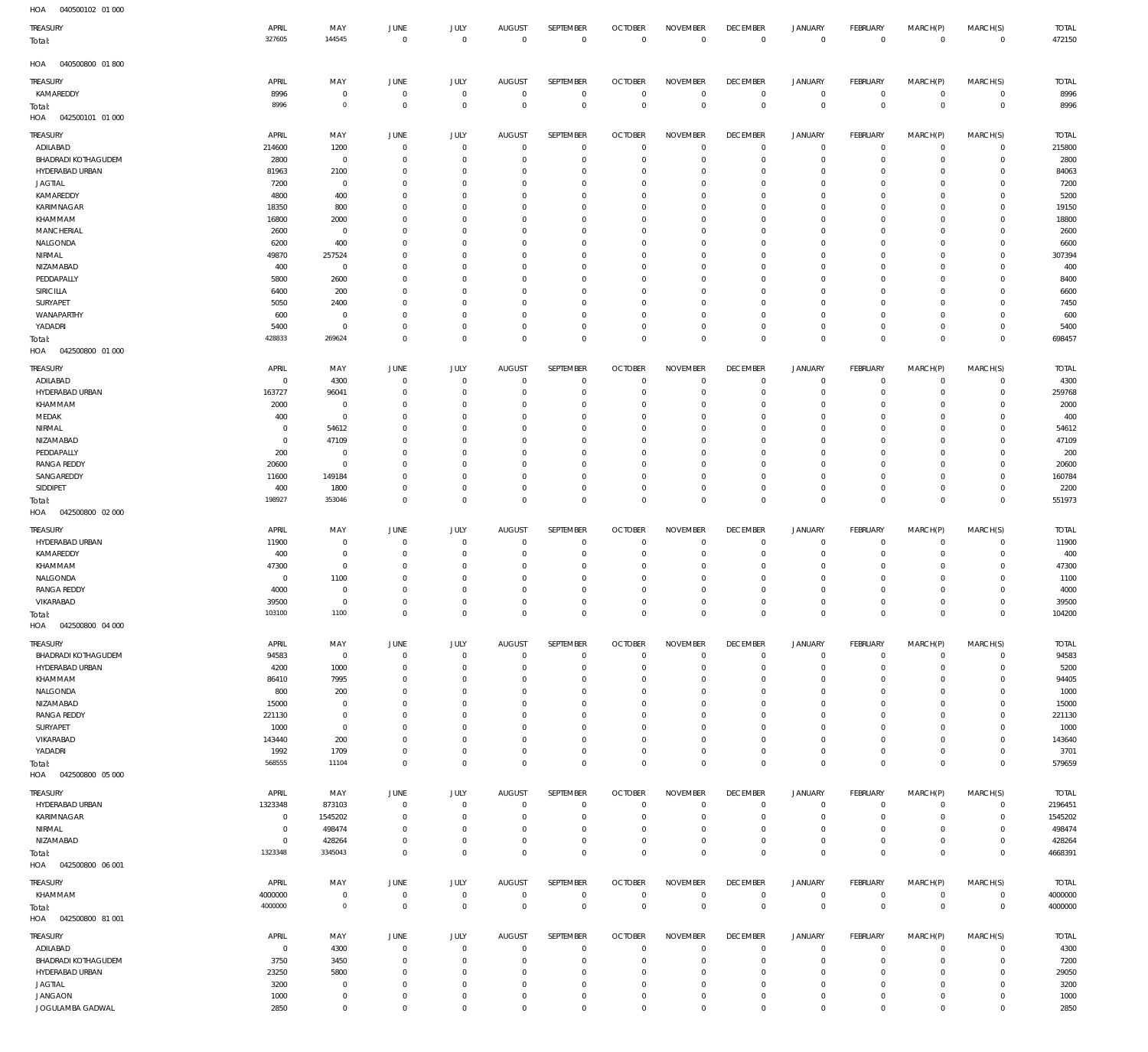040500102 01 000 HOA 040500800 01 800 HOA 042500101 01 000 HOA 042500800 01 000 HOA 042500800 02 000 HOA 042500800 04 000 HOA 042500800 05 000 HOA 042500800 06 001 HOA 042500800 81 001 HOA  $\Omega$   $\Omega$   $\Omega$  $\Omega$   $\Omega$   $\Omega$   $\Omega$  $\Omega$   $\Omega$   $\Omega$  $\Omega$   $\Omega$   $\Omega$   $\Omega$  $\Omega$   $\Omega$   $\Omega$   $\Omega$  $\Omega$  $\overline{0}$  $\Omega$   $\Omega$   $\mathbf 0$   $\Omega$   $\Omega$   $\Omega$  KAMAREDDY ADILABAD BHADRADI KOTHAGUDEM HYDERABAD URBAN JAGTIAL KAMAREDDY KARIMNAGAR KHAMMAM MANCHERIAL NALGONDA NIRMAL NIZAMABAD PEDDAPALLY SIRICILLA SURYAPET WANAPARTHY YADADRI ADILABAD HYDERABAD URBAN KHAMMAM MEDAK NIRMAL NIZAMABAD PEDDAPALLY RANGA REDDY SANGAREDDY SIDDIPET HYDERABAD URBAN KAMAREDDY KHAMMAM NALGONDA RANGA REDDY VIKARABAD BHADRADI KOTHAGUDEM HYDERABAD URBAN KHAMMAM NALGONDA NIZAMABAD RANGA REDDY SURYAPET VIKARABAD YADADRI HYDERABAD URBAN KARIMNAGAR NIRMAL NIZAMABAD KHAMMAM ADILABAD BHADRADI KOTHAGUDEM HYDERABAD URBAN JAGTIAL TREASURY TREASURY TREASURY TREASURY TREASURY **TREASURY** TREASURY TREASURY TREASURY  $\Omega$   $\Omega$   $\overline{0}$   $\overline{0}$   $\Omega$  APRIL APRIL APRIL APRIL APRIL APRIL APRIL APRIL APRIL  $\Omega$   $\,$  0  $\,$   $\Omega$   $\Omega$   $\Omega$   $\Omega$   $\Omega$ MAY MAY MAY MAY MAY MAY MAY MAY MAY  $\Omega$   $\Omega$   $\Omega$  $\overline{0}$   $\boldsymbol{0}$   $\Omega$   $\Omega$   $\Omega$   $\overline{0}$   $\Omega$   $\Omega$  JUNE JUNE JUNE JUNE JUNE JUNE JUNE JUNE JUNE  $\Omega$   $\Omega$   $\Omega$   $\Omega$   $\Omega$  JULY JULY JULY JULY JULY JULY JULY JULY JULY  $\Omega$   $\Omega$   $\Omega$   $\Omega$  $\overline{0}$   $\Omega$   $\Omega$   $\Omega$   $\overline{0}$   $\Omega$   $\Omega$  $\overline{0}$   $\,$  0  $\,$   $\Omega$   $\Omega$ AUGUST AUGUST AUGUST AUGUST AUGUST AUGUST AUGUST AUGUST AUGUST  $\Omega$   $\Omega$   $\,$  0  $\,$   $\Omega$   $\Omega$   $\overline{0}$   $\Omega$   $\Omega$   $\,$  0  $\,$   $\Omega$  SEPTEMBER SEPTEMBER SEPTEMBER SEPTEMBER SEPTEMBER **SEPTEMBER** SEPTEMBER SEPTEMBER SEPTEMBER  $\Omega$   $\Omega$   $\Omega$  $\overline{0}$   $\Omega$   $\Omega$   $\Omega$  $\overline{0}$   $\Omega$   $\Omega$  $\overline{0}$   $\Omega$  $\Omega$   $\Omega$   $\Omega$  OCTOBER **OCTOBER OCTOBER** OCTOBER OCTOBER **OCTOBER** OCTOBER OCTOBER OCTOBER  $\Omega$   $\Omega$   $\Omega$   $\Omega$   $\Omega$   $\Omega$   $\Omega$   $\Omega$   $\Omega$  NOVEMBER NOVEMBER NOVEMBER NOVEMBER NOVEMBER NOVEMBER NOVEMBER NOVEMBER NOVEMBER  $\Omega$   $\overline{0}$   $\Omega$  $\overline{0}$   $\Omega$  $\overline{0}$   $\Omega$  $\overline{0}$   $\overline{0}$   $\Omega$  $\overline{0}$   $\Omega$  $\overline{0}$   $\overline{0}$   $\overline{0}$   $\Omega$  $\overline{0}$   $\Omega$  $\overline{0}$   $\Omega$   $\overline{0}$ DECEMBER DECEMBER DECEMBER DECEMBER DECEMBER **DECEMBER** DECEMBER DECEMBER DECEMBER  $\Omega$   $\Omega$   $\Omega$   $\Omega$   $\Omega$   $\Omega$   $\Omega$   $\Omega$  JANUARY JANUARY JANUARY JANUARY JANUARY JANUARY JANUARY JANUARY JANUARY  $\Omega$   $\Omega$   $\Omega$   $\Omega$   $\Omega$   $\Omega$   $\,$  0  $\,$   $\Omega$  FEBRUARY FEBRUARY FEBRUARY FEBRUARY FEBRUARY **FFBRUARY** FEBRUARY FEBRUARY FEBRUARY  $\Omega$   $\Omega$   $\Omega$   $\Omega$   $\Omega$   $\Omega$   $\Omega$  $\Omega$   $\Omega$   $\Omega$  MARCH(P) MARCH(P) MARCH(P) MARCH(P) MARCH(P) MARCH(P) MARCH(P) MARCH(P) MARCH(P)  $\Omega$   $\Omega$   $\Omega$   $\Omega$   $\Omega$   $\Omega$   $\Omega$   $\Omega$  $\Omega$   $\Omega$   $\Omega$   $\Omega$ MARCH(S) MARCH(S) MARCH(S) MARCH(S) MARCH(S) MARCH(S) MARCH(S) MARCH(S) MARCH(S) TOTAL TOTAL TOTAL TOTAL TOTAL TOTAL TOTAL TOTAL TOTAL Total: Total: Total: Total: Total: Total: Total: Total:

JANGAON JOGULAMBA GADWAL

       $\mathbf 0$ 

  $\Omega$ 

 

 

  $\Omega$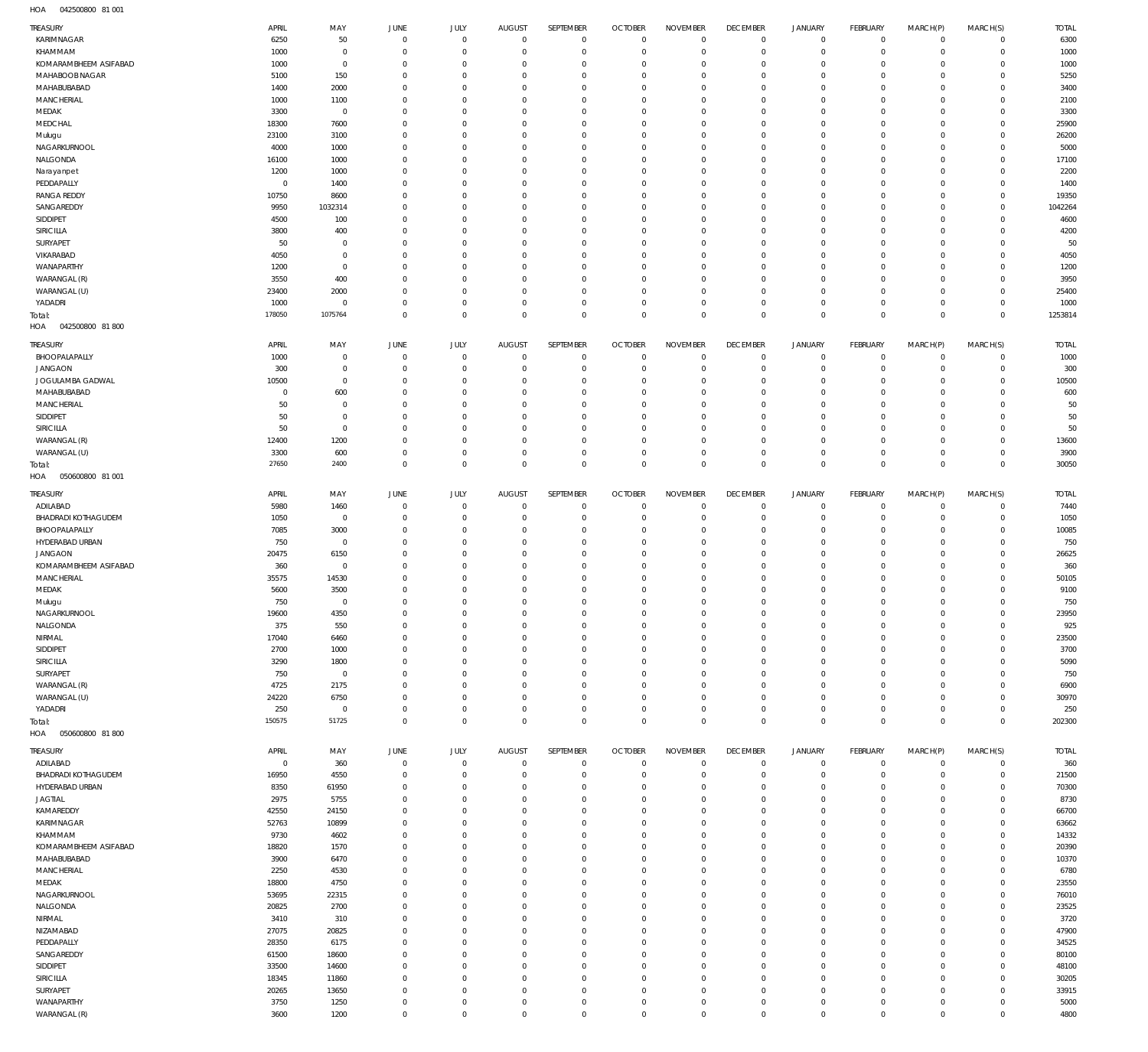042500800 81 001 HOA

| TREASURY                                | APRIL          | MAY                 | JUNE                          | JULY                        | AUGUST                        | SEPTEMBER                   | <b>OCTOBER</b>                | <b>NOVEMBER</b>               | <b>DECEMBER</b>              | <b>JANUARY</b>                     | FEBRUARY                  | MARCH(P)                   | MARCH(S)                   | <b>TOTAL</b>    |
|-----------------------------------------|----------------|---------------------|-------------------------------|-----------------------------|-------------------------------|-----------------------------|-------------------------------|-------------------------------|------------------------------|------------------------------------|---------------------------|----------------------------|----------------------------|-----------------|
| KARIMNAGAR                              | 6250           | 50                  | $\mathbf 0$                   | $\mathbf 0$                 | $\mathbf 0$                   | $\mathbf 0$                 | $\mathbf 0$                   | $\mathbf 0$                   | $\mathbf 0$                  | $\mathbf 0$                        | $\circ$                   | $\mathbf 0$                | $\mathbf 0$                | 6300            |
| KHAMMAM                                 | 1000           | $\mathbf 0$         | $\overline{0}$                | $\mathbf{0}$                | 0                             | $\mathbf 0$                 | 0                             | $\overline{0}$                | $\mathbf 0$                  | $\mathbf 0$                        | $\mathbf 0$               | $\mathbf 0$                | $\mathbf 0$                | 1000            |
| KOMARAMBHEEM ASIFABAD<br>MAHABOOB NAGAR | 1000<br>5100   | $\mathbf 0$<br>150  | $\overline{0}$<br>0           | $\mathbf{0}$<br>$\mathbf 0$ | $\Omega$<br>$\Omega$          | $\mathbf 0$<br>$\mathbf 0$  | 0<br>0                        | $\mathbf{0}$<br>$\mathbf{0}$  | $\mathbf 0$<br>$\mathbf 0$   | $\mathbf 0$<br>$\mathbf 0$         | $^{\circ}$<br>$^{\circ}$  | $\mathbf 0$<br>$\mathbf 0$ | $^{\circ}$<br>$\mathbf 0$  | 1000<br>5250    |
| MAHABUBABAD                             | 1400           | 2000                | $\Omega$                      | $\mathbf{0}$                | $\Omega$                      | $\mathbf 0$                 | 0                             | $\mathbf{0}$                  | $\mathbf{0}$                 | $\mathbf 0$                        | $^{\circ}$                | $\mathbf 0$                | $\mathbf 0$                | 3400            |
| MANCHERIAL                              | 1000           | 1100                | 0                             | $\mathbf 0$                 | $\Omega$                      | $\mathbf 0$                 | 0                             | $\mathbf 0$                   | $\mathbf{0}$                 | $\mathbf 0$                        | $^{\circ}$                | $\mathbf 0$                | $\mathbf 0$                | 2100            |
| MEDAK                                   | 3300           | $\mathbf 0$         | $\Omega$                      | $\mathbf{0}$                | $\Omega$                      | $\mathbf 0$                 | 0                             | $\mathbf{0}$                  | $^{\circ}$                   | $\mathbf 0$                        | $^{\circ}$                | $\mathbf 0$                | $\mathbf 0$                | 3300            |
| MEDCHAL                                 | 18300          | 7600                | $\Omega$                      | $\mathbf{0}$                | $\Omega$                      | $\mathbf 0$                 | $\Omega$                      | $\mathbf{0}$                  | $^{\circ}$                   | $\mathbf 0$                        | $^{\circ}$                | $\mathbf 0$                | $\mathbf 0$                | 25900           |
| Mulugu                                  | 23100          | 3100                | $\overline{0}$                | $\mathbf{0}$                | $\Omega$                      | $\mathbf 0$                 | 0                             | $\mathbf 0$                   | $\mathbf{0}$                 | $\mathbf 0$                        | $^{\circ}$                | $\mathbf 0$                | $\mathbf 0$                | 26200           |
| NAGARKURNOOL                            | 4000           | 1000                | $\Omega$                      | $\mathbf{0}$                | $\Omega$                      | $\mathbf 0$                 | $\Omega$                      | $\mathbf{0}$                  | $^{\circ}$                   | $\mathbf 0$                        | $^{\circ}$                | $\mathbf 0$                | $\mathbf 0$                | 5000            |
| NALGONDA                                | 16100          | 1000                | $\overline{0}$                | $\mathbf{0}$                | $\Omega$                      | $\mathbf 0$                 | 0                             | $\mathbf{0}$                  | $\mathbf{0}$                 | $\mathbf 0$                        | $^{\circ}$                | $\mathbf 0$                | $\mathbf 0$                | 17100           |
| Narayanpet                              | 1200           | 1000                | $\Omega$                      | $\mathbf{0}$                | $\Omega$                      | $\mathbf 0$                 | $\Omega$                      | $\mathbf{0}$                  | $^{\circ}$                   | $\mathbf 0$                        | $^{\circ}$                | $\mathbf 0$                | $\mathbf 0$                | 2200            |
| PEDDAPALLY                              | $\overline{0}$ | 1400                | $\overline{0}$                | $\mathbf{0}$                | $\Omega$                      | $\mathbf 0$                 | 0                             | $\mathbf 0$                   | $\mathbf{0}$                 | $\mathbf 0$                        | $^{\circ}$                | $\mathbf 0$                | $\mathbf 0$                | 1400            |
| <b>RANGA REDDY</b>                      | 10750          | 8600                | 0<br>$\Omega$                 | $\mathbf 0$<br>$\mathbf 0$  | $\Omega$<br>$\Omega$          | $\mathbf 0$                 | 0<br>$\Omega$                 | $\mathbf 0$<br>$\mathbf 0$    | $^{\circ}$                   | $\mathbf 0$<br>$\mathbf 0$         | $^{\circ}$                | $\mathbf 0$                | 0                          | 19350           |
| SANGAREDDY<br>SIDDIPET                  | 9950<br>4500   | 1032314<br>100      | -0                            | $\mathbf 0$                 | $\Omega$                      | $\mathbf 0$<br>$\mathbf 0$  | 0                             | $\mathbf 0$                   | $^{\circ}$<br>$\mathbf{0}$   | $\mathbf 0$                        | $^{\circ}$<br>$^{\circ}$  | $\mathbf 0$<br>$\mathbf 0$ | $\mathbf 0$<br>$\mathbf 0$ | 1042264<br>4600 |
| SIRICILLA                               | 3800           | 400                 | 0                             | $^{\circ}$                  | $\Omega$                      | $\mathbf 0$                 | 0                             | $\mathbf 0$                   | $\mathbf 0$                  | $\mathbf 0$                        | $^{\circ}$                | $\mathbf 0$                | $\mathbf 0$                | 4200            |
| SURYAPET                                | 50             | $\mathbf 0$         | $\Omega$                      | $\mathbf 0$                 | $\Omega$                      | $\mathbf 0$                 | $\Omega$                      | $\mathbf 0$                   | $\mathbf 0$                  | $\mathbf 0$                        | $^{\circ}$                | $\mathbf 0$                | $\mathbf 0$                | 50              |
| VIKARABAD                               | 4050           | $\mathbf 0$         | 0                             | $\mathbf 0$                 | $\Omega$                      | $\mathbf 0$                 | 0                             | $\mathbf 0$                   | $\mathbf 0$                  | $\mathbf 0$                        | $^{\circ}$                | $\mathbf 0$                | $\mathbf 0$                | 4050            |
| WANAPARTHY                              | 1200           | $\mathbf 0$         | -0                            | $\mathbf 0$                 | $\Omega$                      | $\mathbf 0$                 | $\Omega$                      | $\mathbf 0$                   | $\mathbf 0$                  | $\mathbf 0$                        | $^{\circ}$                | $\mathbf 0$                | $\mathbf 0$                | 1200            |
| WARANGAL (R)                            | 3550           | 400                 | $\overline{0}$                | $\mathbf 0$                 | $\Omega$                      | $\mathbf 0$                 | 0                             | $\mathbf 0$                   | $\mathbf{0}$                 | $\mathbf 0$                        | $^{\circ}$                | $\mathbf 0$                | $\mathbf 0$                | 3950            |
| WARANGAL (U)                            | 23400          | 2000                | -0                            | $\mathbf 0$                 | $\Omega$                      | $\mathbf 0$                 | 0                             | $\mathbf 0$                   | $\mathbf 0$                  | $\mathbf 0$                        | $^{\circ}$                | $\mathbf 0$                | 0                          | 25400           |
| YADADRI                                 | 1000           | $\mathbf 0$         | $\overline{0}$                | $\mathbf 0$                 | $\Omega$                      | $\mathbf 0$                 | 0                             | $\mathbf 0$                   | $\mathbf{0}$                 | $\mathbf 0$                        | $\mathbf 0$               | $\mathbf 0$                | $\mathbf 0$                | 1000            |
| Total:<br>042500800 81 800<br>HOA       | 178050         | 1075764             | $\mathbf 0$                   | $\mathbf 0$                 | $\Omega$                      | $\mathbb O$                 | $\overline{0}$                | $\mathbf 0$                   | $\mathbf 0$                  | $\mathsf 0$                        | $\mathbf 0$               | $\mathbf 0$                | $\mathbf 0$                | 1253814         |
| TREASURY                                | APRIL          | MAY                 | JUNE                          | JULY                        | AUGUST                        | SEPTEMBER                   | <b>OCTOBER</b>                | <b>NOVEMBER</b>               | <b>DECEMBER</b>              | <b>JANUARY</b>                     | FEBRUARY                  | MARCH(P)                   | MARCH(S)                   | <b>TOTAL</b>    |
| BHOOPALAPALLY                           | 1000           | $\mathbf 0$         | $\overline{0}$                | $^{\circ}$                  | $\overline{0}$                | $\mathbf 0$                 | $\overline{0}$                | $\overline{0}$                | $\mathbf 0$                  | 0                                  | 0                         | $^{\circ}$                 | $\mathbf 0$                | 1000            |
| <b>JANGAON</b>                          | 300            | $\mathbf 0$         | $\overline{0}$                | $\mathbf 0$                 | $\Omega$                      | $\mathbf 0$                 | 0                             | $\overline{0}$                | $\mathbf{0}$                 | $\mathbf 0$                        | $^{\circ}$                | $\mathbf 0$                | $\mathbf 0$                | 300             |
| JOGULAMBA GADWAL                        | 10500          | $\mathbf 0$         | $\overline{0}$                | $^{\circ}$                  | $\Omega$                      | $\mathbf 0$                 | - 0                           | $^{\circ}$                    | $\mathbf{0}$                 | $\mathbf 0$                        | $^{\circ}$                | $^{\circ}$                 | $\mathbf 0$                | 10500           |
| MAHABUBABAD                             | $\overline{0}$ | 600                 | 0                             | $\Omega$                    | $\Omega$                      | $\mathbf{0}$                | 0                             | $\mathbf{0}$                  | $\mathbf{0}$                 | $\mathbf 0$                        | $^{\circ}$                | $\Omega$                   | $^{\circ}$                 | 600             |
| MANCHERIAL                              | 50             | $\mathbf 0$         | $\overline{0}$                | $^{\circ}$                  | $\Omega$                      | $\mathbf 0$                 | 0                             | $\mathbf{0}$                  | $\mathbf{0}$                 | $\mathbf 0$                        | $^{\circ}$                | $^{\circ}$                 | $^{\circ}$                 | 50              |
| SIDDIPET                                | 50             | $\mathbf 0$         | -0                            | $\Omega$                    | $\Omega$                      | $\mathbf{0}$                | -0                            | $\Omega$                      | $\mathbf 0$                  | $\mathbf 0$                        | $^{\circ}$                | $\Omega$                   | $^{\circ}$                 | 50              |
| SIRICILLA                               | 50             | $\mathbf 0$         | $\overline{0}$                | $\mathbf{0}$                | $\Omega$                      | $\mathbf 0$                 | $\overline{0}$                | $\mathbf{0}$                  | $\mathbf{0}$                 | $\mathbf 0$                        | $^{\circ}$                | $\mathbf 0$                | $\mathbf 0$                | 50              |
| WARANGAL (R)<br>WARANGAL (U)            | 12400<br>3300  | 1200<br>600         | -0<br>$\overline{0}$          | $^{\circ}$<br>$\mathbf{0}$  | $\Omega$<br>$^{\circ}$        | $\mathbf{0}$<br>$\mathbf 0$ | -0<br>0                       | $\overline{0}$<br>$^{\circ}$  | $\mathbf{0}$<br>$\mathbf{0}$ | $\mathbf 0$<br>$\mathbf 0$         | $^{\circ}$<br>$^{\circ}$  | $^{\circ}$<br>$\mathbf 0$  | $^{\circ}$<br>$^{\circ}$   | 13600<br>3900   |
|                                         | 27650          | 2400                | $\mathbf 0$                   | $\mathbf 0$                 | $\mathbf 0$                   | $\mathbb O$                 | $\mathbf 0$                   | $\mathbf 0$                   | $\mathbf 0$                  | $\mathsf 0$                        | $\mathbf 0$               | $\mathbf 0$                | $\mathbf 0$                | 30050           |
| Total:<br>HOA<br>050600800 81 001       |                |                     |                               |                             |                               |                             |                               |                               |                              |                                    |                           |                            |                            |                 |
| TREASURY                                | APRIL          | MAY                 | JUNE                          | JULY                        | AUGUST                        | SEPTEMBER                   | <b>OCTOBER</b>                | <b>NOVEMBER</b>               | <b>DECEMBER</b>              | <b>JANUARY</b>                     | FEBRUARY                  | MARCH(P)                   | MARCH(S)                   | <b>TOTAL</b>    |
| ADILABAD                                | 5980           | 1460                | 0                             | $\mathbf 0$                 | $\overline{0}$                | $\mathbf 0$                 | 0                             | $\overline{0}$                | $\mathbf 0$                  | $\mathbf 0$                        | 0                         | 0                          | $\mathbf 0$                | 7440            |
| BHADRADI KOTHAGUDEM                     | 1050           | $\mathbf 0$         | $\overline{0}$                | $\mathbf 0$                 | $\overline{0}$                | $\mathbf 0$                 | $\overline{0}$                | $\mathbf 0$                   | $\mathbf 0$                  | $\mathbf 0$                        | $\mathbf 0$               | $\mathbf 0$                | $\mathbf 0$                | 1050            |
| BHOOPALAPALLY                           | 7085           | 3000                | 0                             | $^{\circ}$                  | 0                             | $\mathbf 0$                 | 0                             | $\mathbf 0$                   | $\mathbf 0$                  | $\mathbf 0$                        | $^{\circ}$                | $^{\circ}$                 | 0                          | 10085           |
| HYDERABAD URBAN                         | 750            | $\mathbf 0$         | $\Omega$                      | $\mathbf 0$                 | $\Omega$                      | $\mathbf 0$                 | $\overline{0}$                | $\mathbf 0$                   | $\mathbf{0}$                 | $\mathbf 0$                        | $^{\circ}$                | $\mathbf 0$                | $^{\circ}$                 | 750             |
| <b>JANGAON</b>                          | 20475          | 6150                | - 0                           | $^{\circ}$                  | $\overline{0}$                | $\mathbf 0$                 | 0                             | $\mathbf 0$                   | $\mathbf 0$                  | $\mathbf 0$                        | $^{\circ}$                | $\mathbf 0$                | 0                          | 26625           |
| KOMARAMBHEEM ASIFABAD                   | 360            | $\mathbf 0$         | $\Omega$                      | $^{\circ}$                  | $\Omega$                      | $\mathbf 0$                 | 0                             | $\mathbf 0$                   | $^{\circ}$                   | $\mathbf 0$                        | $^{\circ}$                | $\mathbf 0$                | $\mathbf 0$                | 360             |
| MANCHERIAL                              | 35575          | 14530               | - 0                           | $\mathbf 0$                 | $\overline{0}$                | $\mathbf 0$                 | 0                             | $\mathbf 0$                   | $\mathbf{0}$                 | $\mathbf 0$                        | $^{\circ}$                | $\mathbf 0$                | 0                          | 50105           |
| MEDAK<br>Mulugu                         | 5600<br>750    | 3500<br>$\mathbf 0$ | $\Omega$<br>$\mathbf 0$       | $\mathbf 0$<br>$\mathbf 0$  | $\Omega$<br>$\mathbf 0$       | $\mathbf 0$<br>$\mathbf 0$  | $\overline{0}$<br>$\mathbf 0$ | $\mathbf 0$<br>$\mathbf 0$    | $^{\circ}$<br>$\mathbf 0$    | $\mathbf 0$<br>$\mathbf 0$         | $^{\circ}$<br>$\mathbf 0$ | $\mathbf 0$<br>$\mathbf 0$ | $\mathbf 0$<br>$\mathbf 0$ | 9100<br>750     |
| NAGARKURNOOL                            | 19600          | 4350                | $\cap$                        | $\cap$                      | $\cap$                        | $\cap$                      | $\cap$                        | $\cap$                        | $\cap$                       | $\cap$                             | $\Omega$                  | $\cap$                     | $\Omega$                   | 23950           |
| NALGONDA                                | 375            | 550                 | $\overline{0}$                | $^{\circ}$                  | 0                             | $\mathbf 0$                 | $\overline{0}$                | $\overline{0}$                | 0                            | $\mathbf 0$                        |                           |                            |                            | 925             |
| NIRMAL                                  | 17040          | 6460                |                               |                             |                               |                             |                               |                               |                              |                                    |                           |                            |                            |                 |
| SIDDIPET                                |                |                     | $\mathbf 0$                   |                             | $\circ$                       |                             | $^{\circ}$                    |                               | $\mathbf{0}$                 |                                    | $^{\circ}$<br>0           | $\mathbf 0$<br>$\mathbf 0$ | 0<br>0                     |                 |
| SIRICILLA                               | 2700           | 1000                | $\overline{0}$                | $\mathbf 0$<br>$^{\circ}$   | $\Omega$                      | $\mathbf 0$<br>$\mathbf 0$  | $\overline{0}$                | $\mathbf 0$<br>$\mathbf 0$    | $^{\circ}$                   | $\mathbf 0$<br>$\mathbf 0$         | $^{\circ}$                | $\mathbf 0$                | $\mathbf 0$                | 23500<br>3700   |
|                                         | 3290           | 1800                | $\overline{0}$                | $^{\circ}$                  | $\Omega$                      | $\mathbf 0$                 | $\overline{0}$                | $\mathbf 0$                   | $\mathbf{0}$                 | $\mathbf 0$                        | $^{\circ}$                | $\mathbf 0$                | $\mathbf 0$                | 5090            |
| SURYAPET                                | 750            | $\mathbf 0$         | $\overline{0}$                | $\mathbf{0}$                | $\circ$                       | $\mathbf 0$                 | $\overline{0}$                | $\mathbf 0$                   | $\mathbf 0$                  | $\mathbf 0$                        | $^{\circ}$                | $\mathbf 0$                | 0                          | 750             |
| WARANGAL (R)                            | 4725           | 2175                | $\overline{0}$                | $^{\circ}$                  | $\Omega$                      | $\mathbf 0$                 | $\overline{0}$                | $\mathbf 0$                   | $\mathbf{0}$                 | $\mathbf 0$                        | $^{\circ}$                | $\mathbf 0$                | $\mathbf 0$                | 6900            |
| WARANGAL (U)                            | 24220          | 6750                | 0                             | $\mathbf{0}$                | $^{\circ}$                    | $\mathbf 0$                 | $\overline{0}$                | $\mathbf 0$                   | $\mathbf 0$                  | $\mathbf 0$                        | $\mathbf 0$               | $\mathbf 0$                | 0                          | 30970           |
| YADADRI                                 | 250            | $\mathbf 0$         | $\overline{0}$                | $\mathbf 0$                 | $^{\circ}$                    | $\mathbf 0$                 | $\overline{0}$                | $\mathbf 0$                   | $\mathbf 0$                  | $\mathbf 0$                        | $\mathbf 0$               | $\mathbf 0$                | $\mathbf 0$                | 250             |
| Total:<br>HOA<br>050600800 81 800       | 150575         | 51725               | $\mathbf 0$                   | $\mathbf 0$                 | $\mathbf 0$                   | $\mathbf 0$                 | $\mathbf 0$                   | $\mathbf 0$                   | $\mathbf 0$                  | $\mathsf 0$                        | $\mathbf 0$               | $\mathbf 0$                | $\mathbf 0$                | 202300          |
|                                         |                |                     |                               |                             |                               |                             |                               |                               |                              |                                    |                           |                            |                            |                 |
| TREASURY                                | APRIL          | MAY                 | JUNE                          | JULY                        | AUGUST                        | SEPTEMBER                   | <b>OCTOBER</b>                | <b>NOVEMBER</b>               | <b>DECEMBER</b>              | <b>JANUARY</b>                     | FEBRUARY                  | MARCH(P)                   | MARCH(S)                   | <b>TOTAL</b>    |
| ADILABAD                                | $\mathbf 0$    | 360                 | $\mathbf 0$<br>$\overline{0}$ | $\mathbf 0$<br>$^{\circ}$   | $\mathbf 0$<br>0              | $\mathbf 0$<br>$\mathbf 0$  | $\overline{0}$<br>0           | $\mathbf 0$<br>$\overline{0}$ | $\mathbf 0$<br>$^{\circ}$    | 0<br>$\mathbf 0$                   | 0<br>0                    | 0<br>$\mathbf 0$           | 0<br>0                     | 360             |
| BHADRADI KOTHAGUDEM<br>HYDERABAD URBAN  | 16950<br>8350  | 4550<br>61950       | $^{\circ}$                    | $^{\circ}$                  | $\circ$                       | $\mathbf 0$                 | $\overline{0}$                | $^{\circ}$                    | $\mathbf{0}$                 | $\mathbf 0$                        | $\mathbf 0$               | $\mathbf 0$                | $\mathbf 0$                | 21500<br>70300  |
| JAGTIAL                                 | 2975           | 5755                | 0                             | $^{\circ}$                  | $\Omega$                      | $^{\circ}$                  | 0                             | $^{\circ}$                    | $^{\circ}$                   | 0                                  | 0                         | $\mathbf 0$                | $\mathbf 0$                | 8730            |
| KAMAREDDY                               | 42550          | 24150               | 0                             | $^{\circ}$                  | $\Omega$                      | $\mathbf 0$                 | $\overline{0}$                | $^{\circ}$                    | $\mathbf{0}$                 | $\mathbf 0$                        | $\mathbf 0$               | $\mathbf 0$                | $\mathbf 0$                | 66700           |
| KARIMNAGAR                              | 52763          | 10899               | 0                             | $^{\circ}$                  | $\Omega$                      | $\mathbf 0$                 | 0                             | $^{\circ}$                    | $^{\circ}$                   | 0                                  | 0                         | $\mathbf 0$                | $\mathbf 0$                | 63662           |
| KHAMMAM                                 | 9730           | 4602                | $\overline{0}$                | $\Omega$                    | $\Omega$                      | $\mathbf 0$                 | 0                             | $\mathbf{0}$                  | $\mathbf{0}$                 | $\mathbf 0$                        | $\mathbf 0$               | $\mathbf 0$                | $\mathbf 0$                | 14332           |
| KOMARAMBHEEM ASIFABAD                   | 18820          | 1570                | $\overline{0}$                | $^{\circ}$                  | $\Omega$                      | $\mathbf{0}$                | 0                             | $^{\circ}$                    | $^{\circ}$                   | 0                                  | $\mathbf 0$               | $\mathbf 0$                | $\mathbf 0$                | 20390           |
| MAHABUBABAD                             | 3900           | 6470                | 0                             | $^{\circ}$                  | $\Omega$                      | $\mathbf 0$                 | 0                             | $^{\circ}$                    | $\mathbf{0}$                 | $\mathbf 0$                        | 0                         | $\mathbf 0$                | $\mathbf 0$                | 10370           |
| MANCHERIAL                              | 2250           | 4530                | 0                             | $\Omega$                    | $\Omega$                      | $\mathbf{0}$                | 0                             | $^{\circ}$                    | $^{\circ}$                   | $\mathbf 0$                        | $^{\circ}$                | $\mathbf 0$                | $\mathbf 0$                | 6780            |
| MEDAK                                   | 18800          | 4750                | $\overline{0}$                | $^{\circ}$                  | $\circ$                       | $\mathbf 0$                 | $\overline{0}$                | $^{\circ}$                    | $\mathbf{0}$                 | $\mathbf 0$                        | $\mathbf 0$               | $\mathbf 0$                | $\mathbf 0$                | 23550           |
| NAGARKURNOOL                            | 53695          | 22315               | 0                             | $\Omega$                    | $\Omega$                      | $^{\circ}$                  | 0                             | $^{\circ}$                    | $^{\circ}$                   | 0                                  | 0                         | $\mathbf 0$                | $\mathbf 0$                | 76010           |
| NALGONDA                                | 20825          | 2700                | $\overline{0}$                | $^{\circ}$                  | $\Omega$                      | $\mathbf 0$                 | $\overline{0}$                | $\mathbf{0}$                  | $\mathbf{0}$                 | $\mathbf 0$                        | $\mathbf 0$               | $\mathbf 0$                | $\mathbf 0$                | 23525           |
| NIRMAL                                  | 3410           | 310                 | 0                             | $\Omega$                    | $\Omega$<br>$\Omega$          | $^{\circ}$                  | - 0                           | $^{\circ}$                    | $^{\circ}$                   | 0                                  | 0                         | $\mathbf 0$                | $\mathbf 0$                | 3720            |
| NIZAMABAD                               | 27075          | 20825               | $\overline{0}$<br>0           | $^{\circ}$<br>$^{\circ}$    | $\Omega$                      | $\mathbf 0$<br>$^{\circ}$   | $\overline{0}$<br>0           | $\mathbf{0}$<br>$^{\circ}$    | $\mathbf{0}$<br>$^{\circ}$   | $\mathbf 0$                        | $\mathbf 0$<br>0          | $\mathbf 0$<br>$\mathbf 0$ | $\mathbf 0$<br>$\mathbf 0$ | 47900           |
| PEDDAPALLY                              | 28350<br>61500 | 6175                | 0                             | $\Omega$                    | $\Omega$                      | $\mathbf 0$                 | 0                             | $\mathbf{0}$                  | $\mathbf{0}$                 | 0<br>$\mathbf 0$                   | 0                         | $\mathbf 0$                | $\mathbf 0$                | 34525<br>80100  |
| SANGAREDDY<br>SIDDIPET                  | 33500          | 18600<br>14600      | $\overline{0}$                | $^{\circ}$                  | $\Omega$                      | $\mathbf 0$                 | 0                             | $^{\circ}$                    | $^{\circ}$                   | $\mathbf 0$                        | $\mathbf 0$               | $\mathbf 0$                | $\mathbf 0$                | 48100           |
| SIRICILLA                               | 18345          | 11860               | $\Omega$                      | $^{\circ}$                  | $\Omega$                      | $\mathbf 0$                 | 0                             | $\mathbf{0}$                  | $\mathbf{0}$                 | $\mathbf 0$                        | 0                         | $\mathbf 0$                | $\mathbf 0$                | 30205           |
| SURYAPET                                | 20265          | 13650               | 0                             | $^{\circ}$                  | $\circ$                       | $\mathbf{0}$                | $\overline{0}$                | $\mathbf{0}$                  | $\mathbf{0}$                 | 0                                  | 0                         | $\mathbf 0$                | $\mathbf 0$                | 33915           |
| WANAPARTHY<br>WARANGAL (R)              | 3750<br>3600   | 1250<br>1200        | 0<br>$\mathbf{0}$             | $\mathbf 0$<br>$\mathbf 0$  | $\overline{0}$<br>$\mathbf 0$ | $\mathbf 0$<br>$\mathbf 0$  | 0<br>$\mathbf{0}$             | $\mathbf 0$<br>$\mathbf 0$    | 0<br>$\mathbf 0$             | $\mathbf 0$<br>$\mathsf{O}\xspace$ | 0<br>$\mathbf 0$          | 0<br>$\mathbf 0$           | 0<br>$\mathbf 0$           | 5000<br>4800    |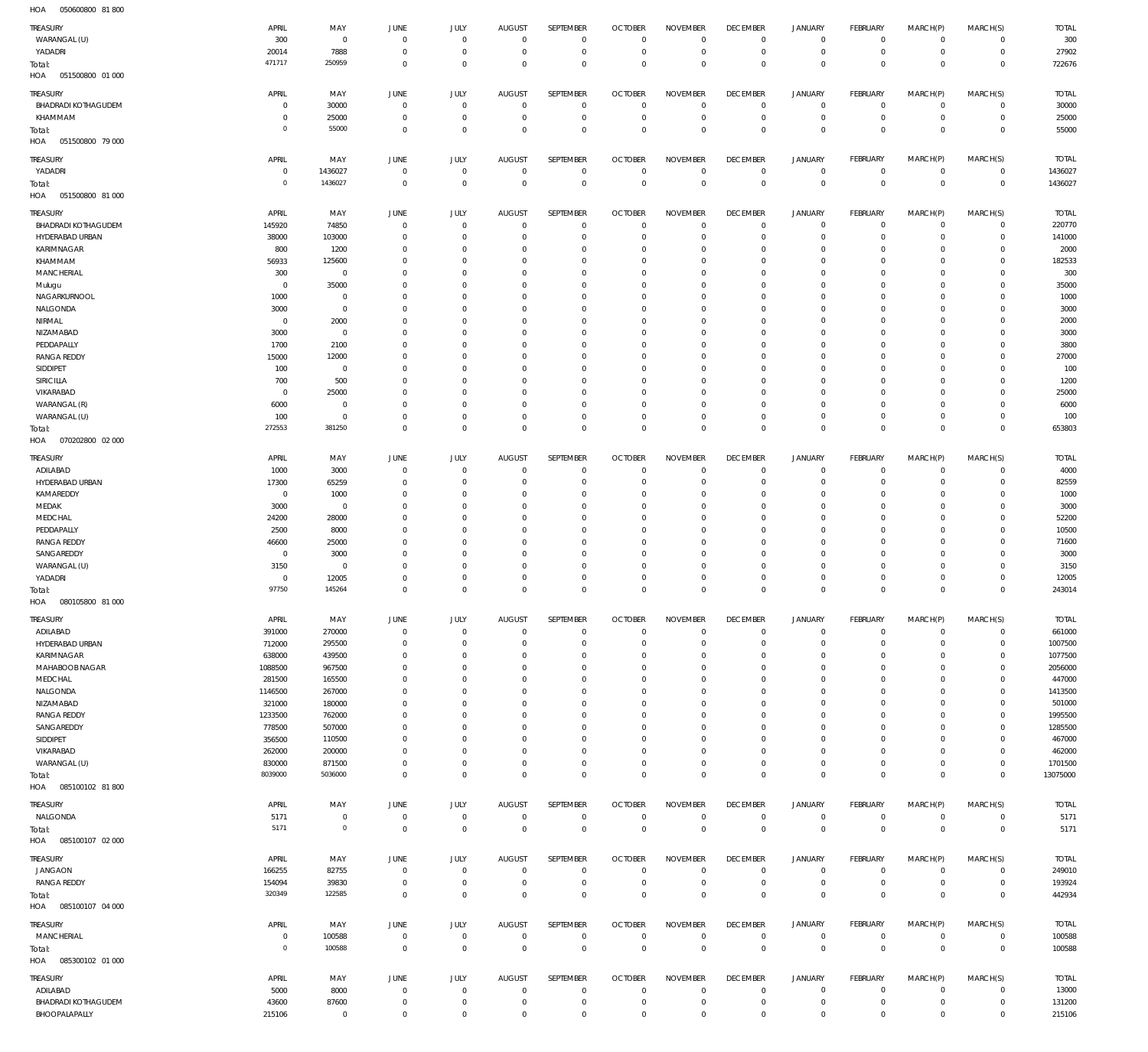051500800 01 000 HOA 051500800 79 000 HOA 051500800 81 000 070202800 02 000 HOA 080105800 81 000 085100102 81 800 HOA 085100107 02 000 085100107 04 000 HOA 085300102 01 000 HOA HOA HOA HOA  $\overline{0}$   $\overline{0}$   $\Omega$   $\overline{0}$   $\Omega$   $\Omega$   $\overline{0}$   $\Omega$   $\Omega$   $\overline{0}$   $\overline{0}$  $\overline{0}$  $\overline{0}$   $\Omega$   $\Omega$   $\Omega$   $\overline{0}$   $\Omega$   $\Omega$   $\Omega$  WARANGAL (U) YADADRI BHADRADI KOTHAGUDEM KHAMMAM YADADRI BHADRADI KOTHAGUDEM HYDERABAD URBAN KARIMNAGAR KHAMMAM MANCHERIAL Mulugu NAGARKURNOOL NALGONDA NIRMAL NIZAMABAD PEDDAPALLY RANGA REDDY SIDDIPET SIRICILLA VIKARABAD WARANGAL (R) WARANGAL (U) ADILABAD HYDERABAD URBAN KAMAREDDY MEDAK MEDCHAL PEDDAPALLY RANGA REDDY SANGAREDDY WARANGAL (U) YADADRI ADILABAD HYDERABAD URBAN KARIMNAGAR MAHABOOB NAGAR MEDCHAL NALGONDA NIZAMABAD RANGA REDDY SANGAREDDY SIDDIPET VIKARABAD WARANGAL (U) NALGONDA JANGAON RANGA REDDY MANCHERIAL ADILABAD BHADRADI KOTHAGUDEM TREASURY TREASURY **TREASURY** TREASURY TREASURY TREASURY **TREASURY** TREASURY TREASURY TREASURY  $\Omega$   $\Omega$   $\overline{0}$   $\overline{0}$  APRIL APRIL APRIL APRIL APRIL APRIL APRIL APRIL APRIL APRIL  $\Omega$   $\Omega$  MAY MAY **MAY** MAY MAY MAY MAY MAY **MAY** MAY  $\Omega$   $\Omega$   $\Omega$   $\Omega$   $\Omega$  $\overline{0}$   $\boldsymbol{0}$   $\Omega$   $\Omega$  $\overline{0}$   $\boldsymbol{0}$   $\Omega$  $\boldsymbol{0}$   $\boldsymbol{0}$   $\boldsymbol{0}$ JUNE JUNE **JUNE** JUNE JUNE JUNE JUNE JUNE JUNE JUNE  $\mathbf 0$   $\Omega$   $\Omega$   $\Omega$   $\Omega$   $\Omega$   $\Omega$  JULY JULY JULY JULY JULY JULY JULY JULY JULY JULY  $\Omega$   $\Omega$   $\Omega$   $\Omega$   $\Omega$  $\overline{0}$   $\Omega$   $\Omega$   $\Omega$   $\,$  0  $\,$  AUGUST AUGUST **AUGUST** AUGUST AUGUST AUGUST AUGUST AUGUST AUGUST AUGUST  $\,$  0  $\,$   $\Omega$   $\Omega$   $\Omega$   $\Omega$   $\,$  0  $\,$   $\Omega$  $\overline{0}$   $\Omega$   $\Omega$   $\,$  0  $\,$   $\,$  0  $\,$ SEPTEMBER SEPTEMBER **SEPTEMBER** SEPTEMBER **SEPTEMBER** SEPTEMBER SEPTEMBER SEPTEMBER SEPTEMBER SEPTEMBER  $\Omega$   $\Omega$   $\Omega$   $\Omega$   $\Omega$  $\overline{0}$   $\Omega$   $\Omega$  $\overline{0}$   $\Omega$   $\Omega$  $\Omega$  OCTOBER OCTOBER **OCTOBER** OCTOBER OCTOBER OCTOBER **OCTOBER** OCTOBER **OCTOBER** OCTOBER  $\Omega$   $\Omega$   $\Omega$   $\Omega$   $\Omega$   $\,$  0  $\,$   $\Omega$  $\overline{0}$   $\Omega$   $\Omega$   $\Omega$   $\,$  0  $\,$  NOVEMBER NOVEMBER NOVEMBER NOVEMBER NOVEMBER NOVEMBER NOVEMBER NOVEMBER NOVEMBER NOVEMBER  $\Omega$   $\Omega$   $\Omega$   $\overline{0}$   $\Omega$  $\overline{0}$   $\Omega$  $\overline{0}$   $\Omega$  $\overline{0}$   $\Omega$  $\overline{0}$   $\Omega$  $\overline{0}$  DECEMBER DECEMBER **DECEMBER** DECEMBER **DECEMBER** DECEMBER DECEMBER DECEMBER DECEMBER DECEMBER  $\Omega$   $\Omega$   $\Omega$   $\Omega$   $\Omega$   $\Omega$   $\Omega$   $\,$  0  $\,$  JANUARY JANUARY JANUARY JANUARY JANUARY JANUARY **JANUARY** JANUARY JANUARY JANUARY  $\Omega$   $\Omega$   $\Omega$   $\Omega$   $\Omega$   $\Omega$   $\Omega$   $\,$  0  $\,$  FEBRUARY FEBRUARY **FFBRUARY** FEBRUARY **FFBRUARY FFBRUARY FFBRUARY** FEBRUARY FEBRUARY FEBRUARY  $\Omega$   $\Omega$   $\Omega$   $\Omega$   $\Omega$  $\overline{0}$   $\Omega$   $\Omega$   $\Omega$  $\Omega$  MARCH(P) MARCH(P) MARCH(P) MARCH(P) MARCH(P) MARCH(P) MARCH(P) MARCH(P) MARCH(P) MARCH(P)  $\Omega$   $\Omega$   $\Omega$   $\Omega$   $\Omega$   $\Omega$   $\Omega$   $\Omega$   $\Omega$  $\Omega$  MARCH(S) MARCH(S) MARCH(S) MARCH(S) MARCH(S) MARCH(S) MARCH(S) MARCH(S) MARCH(S) MARCH(S) TOTAL TOTAL TOTAL TOTAL TOTAL TOTAL TOTAL TOTAL TOTAL TOTAL Total: Total: Total: Total: Total: Total: Total: Total: Total:

050600800 81 800 HOA

BHOOPALAPALLY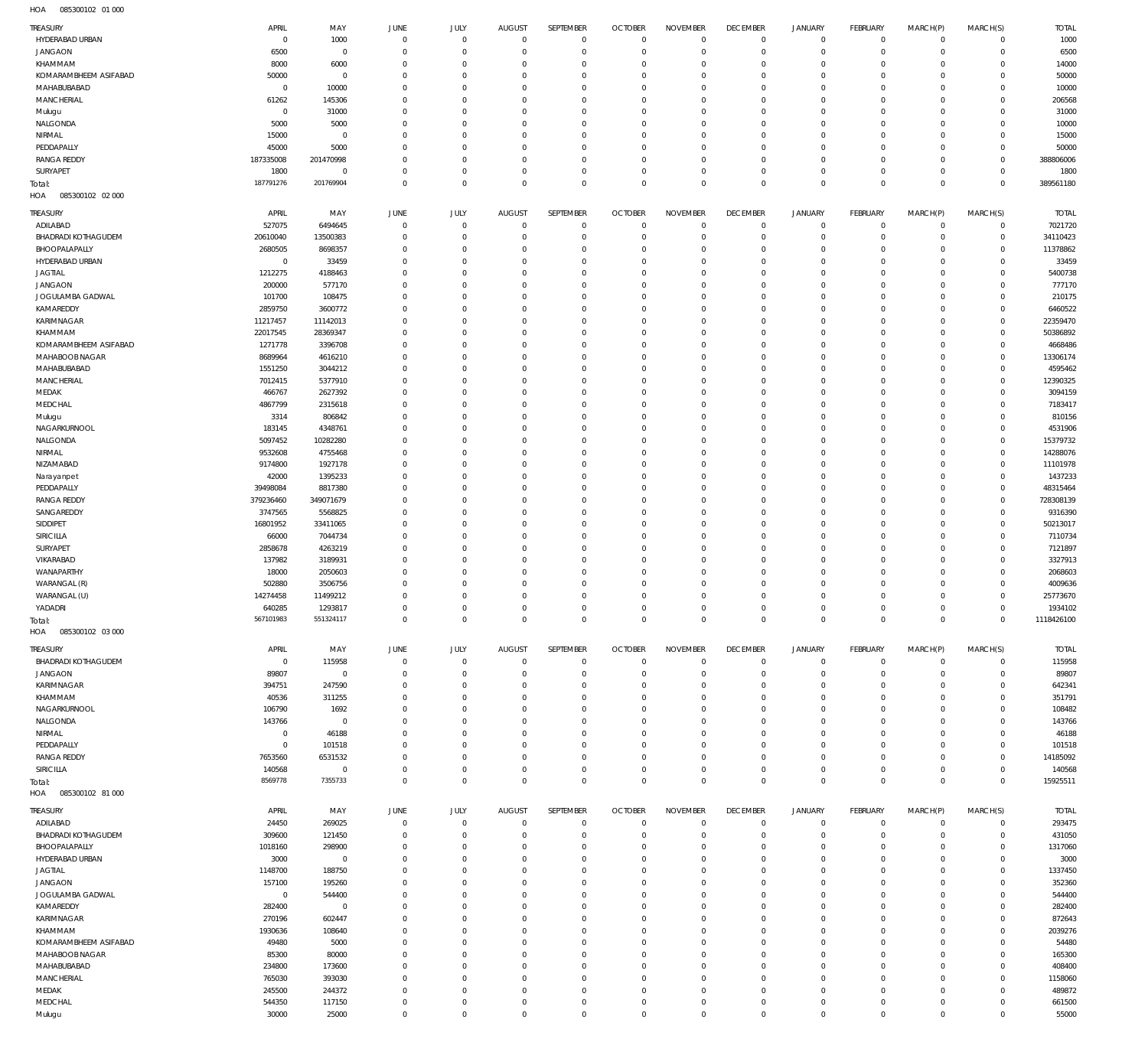085300102 01 000 HOA

| <b>TREASURY</b>                    | APRIL                    | MAY                      | JUNE                 | <b>JULY</b>                | <b>AUGUST</b>             | SEPTEMBER                        | <b>OCTOBER</b>                   | <b>NOVEMBER</b>               | <b>DECEMBER</b>                   | <b>JANUARY</b>                | <b>FEBRUARY</b>          | MARCH(P)                   | MARCH(S)                   | <b>TOTAL</b>          |
|------------------------------------|--------------------------|--------------------------|----------------------|----------------------------|---------------------------|----------------------------------|----------------------------------|-------------------------------|-----------------------------------|-------------------------------|--------------------------|----------------------------|----------------------------|-----------------------|
| HYDERABAD URBAN                    | $\overline{0}$           | 1000                     | $\overline{0}$       | $\overline{0}$             | $^{\circ}$                | $\overline{0}$                   | $\mathbf{0}$                     | $\mathbb O$                   | $^{\circ}$                        | $\circ$                       | $^{\circ}$               | $\mathbf 0$                | $\mathbf 0$                | 1000                  |
| <b>JANGAON</b><br>KHAMMAM          | 6500<br>8000             | $\mathbf 0$<br>6000      | $\Omega$<br>$\Omega$ | $\mathbf 0$<br>$\mathbf 0$ | $\Omega$<br>$\Omega$      | $\mathbb O$<br>$\overline{0}$    | $\mathbf 0$<br>$\mathbf 0$       | $\overline{0}$<br>$^{\circ}$  | $\overline{0}$<br>$\overline{0}$  | $\mathbf 0$<br>$\mathbf 0$    | $^{\circ}$<br>$^{\circ}$ | $\mathbf 0$<br>$\mathbf 0$ | $\mathbf 0$<br>$\mathbf 0$ | 6500<br>14000         |
| KOMARAMBHEEM ASIFABAD              | 50000                    | $\overline{0}$           | $\Omega$             | $\mathbf 0$                | $\Omega$                  | $\mathbf 0$                      | $\mathsf{C}$                     | $\mathbf{0}$                  | $\overline{0}$                    | $\mathbf 0$                   | $^{\circ}$               | $\mathbf 0$                | $\mathbf 0$                | 50000                 |
| MAHABUBABAD                        | $^{\circ}$               | 10000                    | $\Omega$             | $\mathbf 0$                | $\Omega$                  | $\mathbb O$                      | $\mathbf 0$                      | $\mathbf{0}$                  | $\mathbf 0$                       | $\mathbf 0$                   | $^{\circ}$               | $\mathbf 0$                | $^{\circ}$                 | 10000                 |
| <b>MANCHERIAL</b>                  | 61262                    | 145306                   | $\Omega$             | $\mathbf 0$                | $\Omega$                  | $\mathbf 0$                      | $\mathsf{C}$                     | $^{\circ}$                    | $\mathbf 0$                       | $\mathbf 0$                   | $^{\circ}$               | $\mathbf 0$                | $^{\circ}$                 | 206568                |
| Mulugu                             | $^{\circ}$               | 31000                    | $\Omega$             | $\Omega$                   | $\Omega$                  | $\mathbb O$                      | $\Omega$                         | $\mathbf{0}$                  | $\mathbf 0$                       | $\mathbf 0$                   | $^{\circ}$               | $\mathbf 0$                | $\mathbf 0$                | 31000                 |
| NALGONDA                           | 5000                     | 5000                     | $\Omega$             | $\mathbf 0$                | $\Omega$                  | $\overline{0}$                   | $\mathsf{C}$                     | $\mathbb O$                   | $\overline{0}$                    | $\mathbf 0$                   | $^{\circ}$               | $\mathbf 0$                | $^{\circ}$                 | 10000                 |
| NIRMAL<br>PEDDAPALLY               | 15000<br>45000           | $\overline{0}$<br>5000   | $\Omega$<br>$\Omega$ | $\Omega$<br>$\mathbf 0$    | $\Omega$<br>$\Omega$      | $\mathbf 0$<br>$\mathbb O$       | $\mathsf{C}$<br>$\mathsf{C}$     | $\mathbf{0}$<br>$\mathbb O$   | $\mathbf 0$<br>$\overline{0}$     | $\mathbf 0$<br>$\mathbf 0$    | $^{\circ}$<br>$^{\circ}$ | $\mathbf 0$<br>$\mathbf 0$ | $^{\circ}$<br>$^{\circ}$   | 15000<br>50000        |
| <b>RANGA REDDY</b>                 | 187335008                | 201470998                | $\Omega$             | $\mathbf 0$                | $\Omega$                  | $\mathbb O$                      | C                                | $^{\circ}$                    | $\mathbf 0$                       | $\mathbf 0$                   | $^{\circ}$               | $\mathbf 0$                | $\mathbf 0$                | 388806006             |
| SURYAPET                           | 1800                     | $\mathbf 0$              | $\Omega$             | $\mathbf 0$                | $\Omega$                  | $\mathbb O$                      | $\mathbf 0$                      | $\mathbb O$                   | $\overline{0}$                    | $\mathbf 0$                   | $^{\circ}$               | $\mathbf 0$                | $\mathbf 0$                | 1800                  |
| Total:                             | 187791276                | 201769904                | $\Omega$             | $\mathbf 0$                | $\Omega$                  | $\mathbb O$                      | $\mathbf 0$                      | $\mathbb O$                   | $\mathbf{0}$                      | $\mathsf 0$                   | $\mathbf 0$              | $\mathbf 0$                | $\mathbf 0$                | 389561180             |
| 085300102 02 000<br>HOA            |                          |                          |                      |                            |                           |                                  |                                  |                               |                                   |                               |                          |                            |                            |                       |
| TREASURY                           | APRIL                    | MAY                      | JUNE                 | <b>JULY</b>                | <b>AUGUST</b>             | SEPTEMBER                        | <b>OCTOBER</b>                   | <b>NOVEMBER</b>               | <b>DECEMBER</b>                   | <b>JANUARY</b>                | <b>FEBRUARY</b>          | MARCH(P)                   | MARCH(S)                   | <b>TOTAL</b>          |
| ADILABAD                           | 527075                   | 6494645                  | $\Omega$             | $\mathbf 0$                | $\Omega$                  | $\overline{0}$                   | $\overline{0}$                   | $\mathbf{0}$                  | $\overline{0}$                    | $^{\circ}$                    | $^{\circ}$               | $^{\circ}$                 | $^{\circ}$                 | 7021720               |
| <b>BHADRADI KOTHAGUDEM</b>         | 20610040                 | 13500383                 | $\Omega$             | $\mathbf 0$                | 0                         | $\mathbb O$                      | $\overline{0}$                   | $\mathbf{0}$                  | $\overline{0}$                    | $\mathbf 0$                   | $^{\circ}$               | $^{\circ}$                 | $^{\circ}$                 | 34110423              |
| BHOOPALAPALLY<br>HYDERABAD URBAN   | 2680505<br>$^{\circ}$    | 8698357<br>33459         | $\Omega$<br>$\Omega$ | $\Omega$<br>$\Omega$       | $\Omega$                  | $\mathbf 0$<br>$\overline{0}$    | $\mathsf{C}$<br>$\Omega$         | $\mathbf{0}$<br>$^{\circ}$    | $\mathbf 0$<br>$\mathbf 0$        | $\mathbf 0$<br>$\mathbf 0$    | $^{\circ}$<br>$^{\circ}$ | $^{\circ}$<br>$^{\circ}$   | $^{\circ}$<br>$^{\circ}$   | 11378862<br>33459     |
| <b>JAGTIAL</b>                     | 1212275                  | 4188463                  |                      | $\Omega$                   | $\Omega$                  | $\mathbf 0$                      | $\mathsf{C}$                     | $\mathbf 0$                   | $\Omega$                          | $^{\circ}$                    | $^{\circ}$               | $^{\circ}$                 | $^{\circ}$                 | 5400738               |
| <b>JANGAON</b>                     | 200000                   | 577170                   |                      | $\Omega$                   | $\Omega$                  | $\mathbf 0$                      | $\mathsf{C}$                     | $\mathbf 0$                   | $\Omega$                          | $\mathbf 0$                   | $^{\circ}$               | $\mathbf 0$                | $^{\circ}$                 | 777170                |
| JOGULAMBA GADWAL                   | 101700                   | 108475                   | $\Omega$             | $\Omega$                   | $\Omega$                  | $^{\circ}$                       | $\Omega$                         | $^{\circ}$                    | 0                                 | $\mathbf 0$                   | $^{\circ}$               | $^{\circ}$                 | $^{\circ}$                 | 210175                |
| KAMAREDDY                          | 2859750                  | 3600772                  |                      | $\Omega$                   | $\Omega$                  | $\Omega$                         | $\mathsf{C}$                     | $\mathbf 0$                   | $\Omega$                          | $\mathbf 0$                   | $^{\circ}$               | 0                          | $^{\circ}$                 | 6460522               |
| KARIMNAGAR<br>KHAMMAM              | 11217457<br>22017545     | 11142013<br>28369347     | $\Omega$             | $\Omega$<br>$\Omega$       | $\Omega$<br>$\Omega$      | $\mathbf 0$<br>$\mathbf 0$       | $\Omega$<br>C                    | $\mathbf 0$<br>$\mathbf 0$    | $\Omega$<br>0                     | $\mathbf 0$<br>$\mathbf 0$    | $^{\circ}$<br>$^{\circ}$ | $^{\circ}$<br>0            | $^{\circ}$<br>$^{\circ}$   | 22359470<br>50386892  |
| KOMARAMBHEEM ASIFABAD              | 1271778                  | 3396708                  | $\Omega$             | $\Omega$                   | $\Omega$                  | $\Omega$                         | $\Omega$                         | $\mathbf 0$                   | $\Omega$                          | $\mathbf 0$                   | $^{\circ}$               | $^{\circ}$                 | $^{\circ}$                 | 4668486               |
| MAHABOOB NAGAR                     | 8689964                  | 4616210                  | $\Omega$             | $\Omega$                   | $\Omega$                  | $\mathbf 0$                      | C                                | $^{\circ}$                    | 0                                 | $\mathbf 0$                   | $^{\circ}$               | $^{\circ}$                 | $^{\circ}$                 | 13306174              |
| MAHABUBABAD                        | 1551250                  | 3044212                  |                      | $\Omega$                   | $\Omega$                  | $\Omega$                         | $\mathsf{C}$                     | $\Omega$                      | $\Omega$                          | $\mathbf 0$                   | $^{\circ}$               | $\Omega$                   | $^{\circ}$                 | 4595462               |
| MANCHERIAL                         | 7012415                  | 5377910                  | $\Omega$             | $\Omega$                   | $\Omega$                  | $\overline{0}$                   | $\Omega$                         | $^{\circ}$                    | 0                                 | $\mathbf 0$                   | $^{\circ}$               | $\mathbf 0$                | $^{\circ}$                 | 12390325              |
| MEDAK                              | 466767                   | 2627392                  |                      | $\Omega$                   |                           | $\Omega$                         | $\mathsf{C}$                     | $\mathbf 0$                   | $\Omega$                          | $\mathbf 0$                   | $^{\circ}$               | $\Omega$                   | $^{\circ}$                 | 3094159               |
| MEDCHAL                            | 4867799                  | 2315618                  | $\Omega$             | $\Omega$<br>$\Omega$       | $\Omega$                  | $\overline{0}$<br>$\Omega$       | $\Omega$<br>$\mathsf{C}$         | $^{\circ}$<br>$\Omega$        | 0<br>$\Omega$                     | $\mathbf 0$<br>$\mathbf 0$    | $^{\circ}$<br>$^{\circ}$ | $\mathbf 0$<br>0           | $^{\circ}$<br>$^{\circ}$   | 7183417<br>810156     |
| Mulugu<br>NAGARKURNOOL             | 3314<br>183145           | 806842<br>4348761        |                      | $\Omega$                   | $\Omega$                  | $\mathbf 0$                      | $\Omega$                         | $^{\circ}$                    | 0                                 | $\mathbf 0$                   | $^{\circ}$               | $\mathbf 0$                | $^{\circ}$                 | 4531906               |
| NALGONDA                           | 5097452                  | 10282280                 | $\Omega$             | $\Omega$                   | $\Omega$                  | $\mathbf 0$                      | $\Omega$                         | $^{\circ}$                    | 0                                 | $\mathbf 0$                   | $^{\circ}$               | $^{\circ}$                 | $^{\circ}$                 | 15379732              |
| NIRMAL                             | 9532608                  | 4755468                  |                      | $\Omega$                   | $\Omega$                  | $\Omega$                         | $\mathsf{C}$                     | $\Omega$                      | $\Omega$                          | $\mathbf 0$                   | $^{\circ}$               | $\Omega$                   | $\mathbf 0$                | 14288076              |
| NIZAMABAD                          | 9174800                  | 1927178                  | $\Omega$             | $\Omega$                   | $\Omega$                  | $\mathbf 0$                      | $\mathsf{C}$                     | $\mathbf 0$                   | $\Omega$                          | $\mathbf 0$                   | $^{\circ}$               | $^{\circ}$                 | $\mathbf 0$                | 11101978              |
| Narayanpet                         | 42000                    | 1395233                  |                      | $\Omega$                   | $\Omega$                  | $\mathbf 0$                      | C                                | $\mathbf 0$                   | $\Omega$                          | $\mathbf 0$                   | $^{\circ}$               | 0                          | $\mathbf 0$                | 1437233               |
| PEDDAPALLY<br><b>RANGA REDDY</b>   | 39498084<br>379236460    | 8817380<br>349071679     | $\Omega$             | $\Omega$<br>$\Omega$       | $\Omega$<br>$\Omega$      | $\mathbf 0$<br>$\mathbf 0$       | $\Omega$<br>C                    | $\mathbf 0$<br>$\mathbf 0$    | $\Omega$<br>0                     | $\mathbf 0$<br>$\mathbf 0$    | $^{\circ}$<br>$^{\circ}$ | $^{\circ}$<br>$^{\circ}$   | $^{\circ}$<br>$^{\circ}$   | 48315464<br>728308139 |
| SANGAREDDY                         | 3747565                  | 5568825                  |                      | $\Omega$                   | $\Omega$                  | $\Omega$                         | $\mathsf{C}$                     | $\Omega$                      | $\Omega$                          | $\mathbf 0$                   | $^{\circ}$               | $\Omega$                   | $^{\circ}$                 | 9316390               |
| SIDDIPET                           | 16801952                 | 33411065                 | $\Omega$             | $\Omega$                   | $\Omega$                  | $\overline{0}$                   | $\Omega$                         | $^{\circ}$                    | 0                                 | $\mathbf 0$                   | $^{\circ}$               | $\mathbf 0$                | $^{\circ}$                 | 50213017              |
| SIRICILLA                          | 66000                    | 7044734                  |                      | $\Omega$                   |                           | $\Omega$                         | $\mathsf{C}$                     | $\mathbf 0$                   | $\Omega$                          | $\mathbf 0$                   | $^{\circ}$               | $\Omega$                   | $^{\circ}$                 | 7110734               |
| SURYAPET                           | 2858678                  | 4263219                  | $\Omega$             | $\Omega$                   | $\Omega$                  | $\overline{0}$                   | $\Omega$                         | $^{\circ}$                    | 0                                 | $\mathbf 0$                   | $^{\circ}$               | $\mathbf 0$                | $^{\circ}$                 | 7121897               |
| VIKARABAD                          | 137982                   | 3189931                  |                      | $\Omega$                   |                           | $\Omega$                         | $\mathsf{C}$                     | $\Omega$                      | $\Omega$                          | $\mathbf 0$                   | $^{\circ}$               | 0                          | $^{\circ}$                 | 3327913               |
| WANAPARTHY<br>WARANGAL (R)         | 18000<br>502880          | 2050603<br>3506756       |                      | $\Omega$<br>$\Omega$       | $\Omega$<br>$\Omega$      | $\mathbf 0$<br>$\mathbf 0$       | $\Omega$<br>$\mathsf{C}$         | $^{\circ}$<br>$\mathbf 0$     | 0<br>$\Omega$                     | $\mathbf 0$<br>$\mathbf 0$    | $^{\circ}$<br>$^{\circ}$ | $\mathbf 0$<br>$^{\circ}$  | $^{\circ}$<br>$^{\circ}$   | 2068603<br>4009636    |
| WARANGAL (U)                       | 14274458                 | 11499212                 |                      | $\Omega$                   | $\Omega$                  | $\overline{0}$                   | C                                | $\mathbf 0$                   | $\Omega$                          | $\mathbf 0$                   | $^{\circ}$               | $\mathbf 0$                | $^{\circ}$                 | 25773670              |
| YADADRI                            | 640285                   | 1293817                  | $\Omega$             | $\mathbf 0$                | $\Omega$                  | $\mathbb O$                      | $\Omega$                         | $\mathbb O$                   | $\Omega$                          | $\mathbf 0$                   | $\mathbf 0$              | $\mathbf 0$                | $\mathbf 0$                | 1934102               |
| Total:                             | 567101983                | 551324117                | $\mathbf{0}$         | $\mathbf 0$                | $\overline{0}$            | $\overline{0}$                   | $\overline{0}$                   | $\overline{0}$                | $\mathbf{0}$                      | 0                             | $\mathbf{0}$             | $\mathbf{0}$               | $\mathbf 0$                | 1118426100            |
| HOA<br>085300102 03 000            |                          |                          |                      |                            |                           |                                  |                                  |                               |                                   |                               |                          |                            |                            |                       |
| <b>TREASURY</b>                    | APRIL                    | MAY                      | JUNE                 | <b>JULY</b>                | <b>AUGUST</b>             | SEPTEMBER                        | <b>OCTOBER</b>                   | <b>NOVEMBER</b>               | <b>DECEMBER</b>                   | <b>JANUARY</b>                | <b>FEBRUARY</b>          | MARCH(P)                   | MARCH(S)                   | <b>TOTAL</b>          |
| <b>BHADRADI KOTHAGUDEM</b>         | $\overline{0}$           | 115958                   | $\overline{0}$       | $\overline{0}$             | $^{\circ}$                | $\overline{0}$                   | $\mathbf{0}$                     | $\overline{0}$                | $^{\circ}$                        | $\circ$                       | $^{\circ}$               | $\mathbf 0$                | $\mathbf 0$                | 115958                |
| <b>JANGAON</b>                     | 89807                    | $\overline{0}$           | $\Omega$             | $\mathbf 0$                | $\Omega$                  | $\overline{0}$                   | C                                | $^{\circ}$                    | - 0                               | $\mathbf 0$                   | $^{\circ}$               | $\mathbf 0$                | $^{\circ}$                 | 89807                 |
| KARIMNAGAR<br>KHAMMAM              | 394751<br>40536          | 247590<br>311255         | $\Omega$<br>$\Omega$ | $\mathbf 0$<br>$\mathbf 0$ | $\Omega$<br>$\Omega$      | $\overline{0}$                   | $\overline{0}$                   | $^{\circ}$                    | $\overline{0}$<br>0               | $\mathbf 0$                   | $^{\circ}$               | $\mathbf 0$                | $^{\circ}$                 | 642341<br>351791      |
| NAGARKURNOOL                       | 106790                   |                          |                      |                            |                           |                                  |                                  |                               |                                   |                               |                          |                            |                            |                       |
| NALGONDA                           |                          | 1692                     | $\Omega$             | $\Omega$                   | $\Omega$                  | $\overline{0}$<br>$\overline{0}$ | C<br>$\Omega$                    | $^{\circ}$<br>$^{\circ}$      | $\mathbf 0$                       | $\mathbf 0$<br>$\mathbf 0$    | $^{\circ}$<br>$^{\circ}$ | $\mathbf 0$<br>$\mathbf 0$ | $^{\circ}$<br>$^{\circ}$   |                       |
|                                    | 143766                   | $\overline{0}$           | $\Omega$             | $\mathbf 0$                | $\Omega$                  | $\overline{0}$                   | $\Omega$                         | $\overline{0}$                | 0                                 | $\mathbf 0$                   | $^{\circ}$               | $\mathbf 0$                | $^{\circ}$                 | 108482<br>143766      |
| NIRMAL                             | $^{\circ}$               | 46188                    | $\Omega$             | $\Omega$                   | $\Omega$                  | $\mathbf 0$                      | $\mathbf 0$                      | $^{\circ}$                    | 0                                 | $\mathbf 0$                   | $^{\circ}$               | $\mathbf 0$                | $^{\circ}$                 | 46188                 |
| PEDDAPALLY                         | $^{\circ}$               | 101518                   | $\Omega$             | $\Omega$                   | $\Omega$                  | $\overline{0}$                   | $\mathsf{C}$                     | $^{\circ}$                    | $\overline{0}$                    | $\mathbf 0$                   | $^{\circ}$               | $\mathbf 0$                | $^{\circ}$                 | 101518                |
| <b>RANGA REDDY</b>                 | 7653560                  | 6531532                  | $\Omega$             | $\mathbf 0$                | $\Omega$                  | $\overline{0}$                   | $\mathbf 0$                      | $\overline{0}$                | $\overline{0}$                    | $\mathbf 0$                   | $^{\circ}$               | $\mathbf 0$                | $\mathbf 0$                | 14185092              |
| SIRICILLA                          | 140568<br>8569778        | $\overline{0}$           | $\Omega$<br>$\Omega$ | $\mathbf 0$                | $\Omega$<br>$\Omega$      | $\overline{0}$                   | $\mathbf 0$<br>$\overline{0}$    | $\overline{0}$                | $\overline{0}$<br>$^{\circ}$      | $\circ$                       | $^{\circ}$<br>$^{\circ}$ | $\mathbf 0$<br>$\mathbf 0$ | $\mathbf 0$<br>$^{\circ}$  | 140568                |
| Total:<br>HOA   085300102   81 000 |                          | 7355733                  |                      | $\mathbf 0$                |                           | $\mathbf 0$                      |                                  | $\mathbf 0$                   |                                   | $\mathbf 0$                   |                          |                            |                            | 15925511              |
|                                    |                          |                          |                      |                            |                           |                                  |                                  |                               |                                   |                               |                          |                            |                            |                       |
| <b>TREASURY</b><br>ADILABAD        | APRIL<br>24450           | MAY                      | JUNE<br>$\Omega$     | <b>JULY</b><br>$\mathbf 0$ | <b>AUGUST</b><br>$\Omega$ | SEPTEMBER<br>$\overline{0}$      | <b>OCTOBER</b><br>$\overline{0}$ | <b>NOVEMBER</b><br>$^{\circ}$ | <b>DECEMBER</b><br>$\overline{0}$ | <b>JANUARY</b><br>$\mathbf 0$ | FEBRUARY<br>$^{\circ}$   | MARCH(P)<br>$^{\circ}$     | MARCH(S)<br>$^{\circ}$     | <b>TOTAL</b>          |
| <b>BHADRADI KOTHAGUDEM</b>         | 309600                   | 269025<br>121450         | $\Omega$             | $\mathbf 0$                | 0                         | $\overline{0}$                   | $\overline{0}$                   | $^{\circ}$                    | 0                                 | $\mathbf 0$                   | $^{\circ}$               | $^{\circ}$                 | $\mathbf 0$                | 293475<br>431050      |
| BHOOPALAPALLY                      | 1018160                  | 298900                   | $\Omega$             | $\Omega$                   | -C                        | $^{\circ}$                       | C                                | $\overline{0}$                | 0                                 | $\mathbf 0$                   | $^{\circ}$               | $^{\circ}$                 | $^{\circ}$                 | 1317060               |
| HYDERABAD URBAN                    | 3000                     | $\overline{0}$           | $\Omega$             | $\Omega$                   | $\Omega$                  | $\overline{0}$                   | 0                                | $^{\circ}$                    | 0                                 | $\mathbf 0$                   | $^{\circ}$               | $\mathbf 0$                | $^{\circ}$                 | 3000                  |
| <b>JAGTIAL</b>                     | 1148700                  | 188750                   |                      | $\Omega$                   | $\Omega$                  | $\mathbf 0$                      | $\mathsf{C}$                     | $\mathbf 0$                   | 0                                 | $\mathbf 0$                   | $^{\circ}$               | $^{\circ}$                 | $^{\circ}$                 | 1337450               |
| <b>JANGAON</b>                     | 157100                   | 195260                   | $\Omega$             | $\Omega$<br>$\Omega$       | $\Omega$<br>$\Omega$      | $\overline{0}$<br>$\mathbf 0$    | $\Omega$<br>$\mathbf 0$          | $^{\circ}$<br>$^{\circ}$      | 0<br>0                            | $\mathbf 0$<br>$\mathbf 0$    | $^{\circ}$<br>$^{\circ}$ | $\mathbf 0$<br>$^{\circ}$  | $^{\circ}$<br>$^{\circ}$   | 352360                |
| JOGULAMBA GADWAL<br>KAMAREDDY      | $\overline{0}$<br>282400 | 544400<br>$\overline{0}$ |                      | $\Omega$                   | $\Omega$                  | $\Omega$                         | C                                | $\mathbf 0$                   | 0                                 | $\mathbf 0$                   | $^{\circ}$               | 0                          | $^{\circ}$                 | 544400<br>282400      |
| KARIMNAGAR                         | 270196                   | 602447                   | $\Omega$             | $\Omega$                   | $\Omega$                  | $^{\circ}$                       | $\Omega$                         | $^{\circ}$                    | 0                                 | $\mathbf 0$                   | $^{\circ}$               | $^{\circ}$                 | $^{\circ}$                 | 872643                |
| KHAMMAM                            | 1930636                  | 108640                   |                      | $\Omega$                   | $\Omega$                  | $^{\circ}$                       | C                                | $^{\circ}$                    | 0                                 | $\mathbf 0$                   | $^{\circ}$               | $^{\circ}$                 | $^{\circ}$                 | 2039276               |
| KOMARAMBHEEM ASIFABAD              | 49480                    | 5000                     | $\Omega$             | $\Omega$                   | $\Omega$                  | $^{\circ}$                       | $\Omega$                         | $^{\circ}$                    | 0                                 | $\mathbf 0$                   | $^{\circ}$               | $^{\circ}$                 | $^{\circ}$                 | 54480                 |
| MAHABOOB NAGAR                     | 85300                    | 80000                    | $\Omega$             | $\Omega$                   | $\Omega$                  | $^{\circ}$                       | $\Omega$                         | $^{\circ}$                    | 0                                 | $\mathbf 0$                   | $^{\circ}$               | $^{\circ}$                 | $^{\circ}$                 | 165300                |
| MAHABUBABAD<br><b>MANCHERIAL</b>   | 234800<br>765030         | 173600<br>393030         | $\Omega$<br>$\Omega$ | $\Omega$<br>$\Omega$       | $\Omega$<br>$\Omega$      | $\Omega$<br>$\overline{0}$       | $\mathsf{C}$<br>0                | $\Omega$<br>$^{\circ}$        | $\Omega$<br>$\circ$               | $\mathbf 0$<br>$\mathbf 0$    | $^{\circ}$<br>$^{\circ}$ | 0<br>$\mathbf 0$           | $^{\circ}$<br>$\mathbf 0$  | 408400<br>1158060     |
| MEDAK                              | 245500                   | 244372                   |                      | $\Omega$                   | $\Omega$                  | $\Omega$                         | $\Omega$                         | $^{\circ}$                    | 0                                 | $\mathbf 0$                   | $^{\circ}$               | $^{\circ}$                 | $^{\circ}$                 | 489872                |
| MEDCHAL                            | 544350<br>30000          | 117150<br>25000          | $\Omega$             | $\mathbf 0$<br>$\mathbf 0$ | 0                         | $\overline{0}$<br>$\mathbf 0$    | 0                                | $\overline{0}$<br>$\mathbf 0$ | $\circ$                           | $\mathbf 0$<br>$\mathbf 0$    | $^{\circ}$               | $\mathbf 0$<br>$\mathbf 0$ | $\mathbf 0$                | 661500<br>55000       |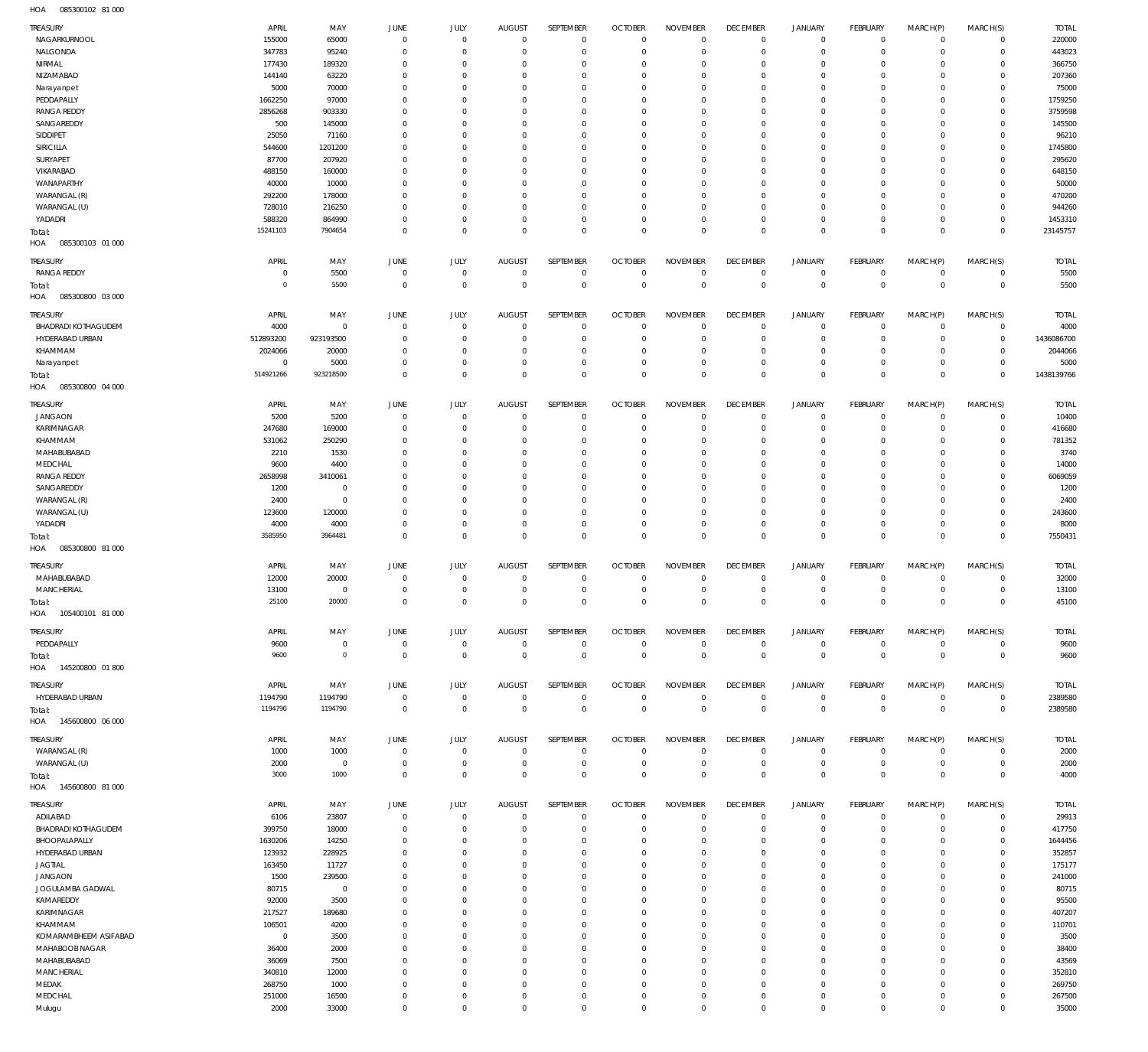085300102 81 000 HOA

| NAGARKURNOOL<br>65000<br>220000<br>155000<br>$\overline{0}$<br>$\mathbf 0$<br>$\overline{0}$<br>$\overline{0}$<br>$\overline{0}$<br>$\mathbf{0}$<br>$\mathbf 0$<br>$\circ$<br>$^{\circ}$<br>$\mathbf 0$<br>$\mathbf 0$<br>NALGONDA<br>347783<br>443023<br>95240<br>$\overline{0}$<br>$\mathbf 0$<br>$\mathbf 0$<br>$\mathbf 0$<br>$\mathbf{0}$<br>$\mathbf 0$<br>$\mathbf 0$<br>$\mathbf 0$<br>$\mathbf{0}$<br>$\mathbf 0$<br>$\Omega$<br>366750<br>NIRMAL<br>177430<br>189320<br>$\overline{0}$<br>$\overline{0}$<br>$\mathbf 0$<br>0<br>$\mathbf 0$<br>$\overline{0}$<br>0<br>$\circ$<br>$^{\circ}$<br>$\mathbf 0$<br>$\Omega$<br>NIZAMABAD<br>207360<br>144140<br>63220<br>$\mathbf{0}$<br>$\mathbf 0$<br>$\mathbf 0$<br>$\Omega$<br>$\Omega$<br>$\mathbf 0$<br>0<br>$\circ$<br>$^{\circ}$<br>$\Omega$<br>$\Omega$<br>75000<br>5000<br>70000<br>$\mathbf 0$<br>Narayanpet<br>$\overline{0}$<br>$\Omega$<br>$\mathbf 0$<br>$\mathbf 0$<br>$^{\circ}$<br>0<br>$\circ$<br>$^{\circ}$<br>$\mathbf 0$<br>$\Omega$<br>PEDDAPALLY<br>1662250<br>1759250<br>97000<br>$\overline{0}$<br>$\Omega$<br>$\mathbf 0$<br>$\Omega$<br>$\Omega$<br>0<br>$^{\circ}$<br>0<br>$\mathbf 0$<br>$^{\circ}$<br>$\Omega$<br><b>RANGA REDDY</b><br>3759598<br>2856268<br>903330<br>$\mathbf{0}$<br>$\mathbf 0$<br>$\mathbf 0$<br>$\Omega$<br>$\mathbf 0$<br>$\mathbf 0$<br>0<br>$\mathbf 0$<br>$^{\circ}$<br>$\Omega$<br>$\Omega$<br>SANGAREDDY<br>145500<br>500<br>145000<br>$\mathbf{0}$<br>$\mathbf 0$<br>$\mathbf 0$<br>$\Omega$<br>0<br>$\mathbf 0$<br>0<br>$\mathbf 0$<br>$^{\circ}$<br>$\Omega$<br>$\Omega$<br>SIDDIPET<br>96210<br>25050<br>71160<br>$\mathbf 0$<br>$\mathbf 0$<br>$\Omega$<br>$\Omega$<br>$\mathbf 0$<br>$\mathbf 0$<br>0<br>$\circ$<br>$^{\circ}$<br>$\Omega$<br>$\Omega$<br>1745800<br>SIRICILLA<br>544600<br>1201200<br>$\mathbf 0$<br>$\mathbf 0$<br>$\Omega$<br>0<br>$\mathbf 0$<br>$^{\circ}$<br>0<br>$\mathbf 0$<br>$^{\circ}$<br>$\Omega$<br>$\Omega$<br>295620<br>SURYAPET<br>87700<br>207920<br>$\mathbf 0$<br>$\mathbf 0$<br>$\mathbf 0$<br>$\Omega$<br>$\Omega$<br>$\mathbf 0$<br>0<br>$\mathbf 0$<br>$^{\circ}$<br>$\Omega$<br>$\Omega$<br>VIKARABAD<br>648150<br>488150<br>160000<br>$\mathbf 0$<br>$\overline{0}$<br>$\Omega$<br>$^{\circ}$<br>$\mathbf 0$<br>$^{\circ}$<br>0<br>$\mathbf 0$<br>$^{\circ}$<br>$\Omega$<br>$\Omega$<br>WANAPARTHY<br>50000<br>40000<br>10000<br>$\overline{0}$<br>$\mathbf 0$<br>$\Omega$<br>0<br>0<br>$\mathbf 0$<br>0<br>$\mathbf 0$<br>$^{\circ}$<br>$\Omega$<br>$\Omega$<br>WARANGAL (R)<br>470200<br>292200<br>178000<br>$\mathbf 0$<br>$\mathbf 0$<br>$\Omega$<br>$^{\circ}$<br>$\mathbf 0$<br>$^{\circ}$<br>0<br>$\circ$<br>$^{\circ}$<br>$\Omega$<br>$\Omega$<br>944260<br>WARANGAL (U)<br>728010<br>216250<br>$\overline{0}$<br>$\mathbf 0$<br>$\Omega$<br>0<br>0<br>$\mathbf 0$<br>0<br>$\mathbf 0$<br>$^{\circ}$<br>$\mathbf 0$<br>$\Omega$<br>864990<br>1453310<br>YADADRI<br>588320<br>$\mathbf 0$<br>$\mathbf 0$<br>$\mathbf{0}$<br>$\mathbf 0$<br>$\mathbf 0$<br>$\mathbf 0$<br>$\mathbf 0$<br>$\mathbf 0$<br>$\mathbf 0$<br>0<br>$\Omega$<br>15241103<br>7904654<br>$\,0\,$<br>23145757<br>$\overline{0}$<br>$\mathbf 0$<br>$\mathbf 0$<br>$\mathbf 0$<br>$\overline{0}$<br>0<br>$\mathbf 0$<br>$\mathbf 0$<br>$\mathbf 0$<br>$\Omega$<br>Total:<br>085300103 01 000<br>HOA<br>TREASURY<br>APRIL<br>JUNE<br>SEPTEMBER<br><b>OCTOBER</b><br><b>NOVEMBER</b><br><b>DECEMBER</b><br>MARCH(S)<br><b>TOTAL</b><br><b>JULY</b><br><b>AUGUST</b><br><b>JANUARY</b><br>FEBRUARY<br>MARCH(P)<br>MAY<br>5500<br><b>RANGA REDDY</b><br>5500<br>$\overline{0}$<br>$\mathbf 0$<br>$\overline{0}$<br>$\mathbf 0$<br>$\mathbf 0$<br>$\mathbf 0$<br>$\mathbf 0$<br>0<br>$^{\circ}$<br>$\mathbf 0$<br>0<br>$\circ$<br>$\circ$<br>5500<br>$\overline{0}$<br>$\overline{0}$<br>$\overline{0}$<br>$\mathbb O$<br>$\overline{0}$<br>$\,0\,$<br>$\,0\,$<br>$\mathbb O$<br>5500<br>$\mathbf 0$<br>$\mathbf 0$<br>$^{\circ}$<br>Total:<br>085300800 03 000<br>HOA<br>APRIL<br>JUNE<br>SEPTEMBER<br><b>OCTOBER</b><br><b>NOVEMBER</b><br><b>DECEMBER</b><br><b>JANUARY</b><br>FEBRUARY<br>MARCH(P)<br>MARCH(S)<br><b>TOTAL</b><br><b>TREASURY</b><br>MAY<br><b>JULY</b><br><b>AUGUST</b><br><b>BHADRADI KOTHAGUDEM</b><br>4000<br>4000<br>$\mathbf 0$<br>$\overline{0}$<br>$\mathbf 0$<br>$\mathbf 0$<br>$\overline{0}$<br>$\mathbf 0$<br>$\mathbf 0$<br>$\mathbf 0$<br>$^{\circ}$<br>$\circ$<br>$^{\circ}$<br>$\Omega$<br>HYDERABAD URBAN<br>512893200<br>1436086700<br>923193500<br>$\mathbf{0}$<br>$\overline{0}$<br>$\mathbf 0$<br>$\overline{0}$<br>$\mathbf 0$<br>$^{\circ}$<br>$\mathbf 0$<br>$\mathbf 0$<br>$\circ$<br>$^{\circ}$<br>$\circ$<br>KHAMMAM<br>2044066<br>2024066<br>20000<br>$\mathbf{0}$<br>$\mathbf 0$<br>$\mathbf 0$<br>$\overline{0}$<br>$\Omega$<br>$^{\circ}$<br>$\mathbf 0$<br>0<br>$\circ$<br>$^{\circ}$<br>$\Omega$<br>5000<br>$\overline{0}$<br>$\mathbf 0$<br>$\mathbf{0}$<br>$\mathbf 0$<br>$\mathbf 0$<br>$\mathbf 0$<br>5000<br>$\mathbf 0$<br>$\mathbf 0$<br>$\mathbf 0$<br>$\mathbf 0$<br>$\circ$<br>Narayanpet<br>$\circ$<br>514921266<br>923218500<br>$\overline{0}$<br>$\Omega$<br>$\mathbf 0$<br>$\overline{0}$<br>$\,0\,$<br>$\,0\,$<br>$\mathbb O$<br>$\mathbb O$<br>1438139766<br>$\Omega$<br>$\mathbf 0$<br>$\Omega$<br>Total:<br>HOA<br>085300800 04 000<br>TREASURY<br>APRIL<br>JUNE<br>SEPTEMBER<br><b>OCTOBER</b><br><b>NOVEMBER</b><br><b>DECEMBER</b><br>MARCH(S)<br><b>TOTAL</b><br>MAY<br><b>JULY</b><br><b>AUGUST</b><br><b>JANUARY</b><br>FEBRUARY<br>MARCH(P)<br>10400<br><b>JANGAON</b><br>5200<br>5200<br>$\overline{0}$<br>$\mathbf 0$<br>$\mathbf 0$<br>$^{\circ}$<br>$\mathbf 0$<br>$^{\circ}$<br>$^{\circ}$<br>0<br>0<br>$\circ$<br>$\circ$<br>KARIMNAGAR<br>247680<br>416680<br>169000<br>$\overline{0}$<br>$\mathbf{0}$<br>$\overline{0}$<br>$\mathbf{0}$<br>$\Omega$<br>$\mathbf 0$<br>$^{\circ}$<br>$\mathbf 0$<br>0<br>$^{\circ}$<br>$\Omega$<br>781352<br>KHAMMAM<br>531062<br>250290<br>$\overline{0}$<br>$\mathbf 0$<br>$^{\circ}$<br>$\overline{0}$<br>$^{\circ}$<br>$^{\circ}$<br>$^{\circ}$<br>$\Omega$<br>0<br>0<br>$\Omega$<br>MAHABUBABAD<br>2210<br>1530<br>$\mathbf 0$<br>$\overline{0}$<br>3740<br>0<br>$\mathbf 0$<br>0<br>$^{\circ}$<br>$\Omega$<br>0<br>0<br>0<br>14000<br>MEDCHAL<br>9600<br>4400<br>$\mathbf{0}$<br>$\mathbf 0$<br>$\mathbf 0$<br>$\mathbf 0$<br>$^{\circ}$<br>$\mathbf 0$<br>$^{\circ}$<br>$\Omega$<br>$\Omega$<br>0<br>$\Omega$<br><b>RANGA REDDY</b><br>2658998<br>6069059<br>3410061<br>$\mathbf 0$<br>0<br>0<br>$\mathbf 0$<br>0<br>$\overline{0}$<br>$^{\circ}$<br>$\Omega$<br>0<br>0<br>SANGAREDDY<br>1200<br>1200<br>$\mathbf 0$<br>$\mathbf{0}$<br>$\mathbf 0$<br>$\Omega$<br>$\mathbf 0$<br>$\mathbf 0$<br>$\mathbf 0$<br>0<br>$\mathbf 0$<br>$^{\circ}$<br>$\Omega$<br>$\Omega$<br>WARANGAL (R)<br>2400<br>2400<br>$\mathbf 0$<br>$\mathbf 0$<br>0<br>$\mathbf 0$<br>0<br>$\overline{0}$<br>$^{\circ}$<br>$\Omega$<br>0<br>0<br>0<br>$\Omega$<br>243600<br>WARANGAL (U)<br>123600<br>120000<br>$\mathbf 0$<br>$\mathbf{0}$<br>$\Omega$<br>$\mathbf 0$<br>$\Omega$<br>$\mathbf 0$<br>$\mathbf 0$<br>0<br>$\mathbf 0$<br>$^{\circ}$<br>$\Omega$<br>YADADRI<br>4000<br>4000<br>$\overline{0}$<br>$\mathbf 0$<br>$\overline{0}$<br>$\overline{0}$<br>$\mathbf{0}$<br>8000<br>$\mathbf 0$<br>$\mathbf 0$<br>0<br>$\circ$<br>$\Omega$<br>$\Omega$<br>3585950<br>3964481<br>$\overline{0}$<br>$\Omega$<br>$\overline{0}$<br>$\,0\,$<br>$\mathbf 0$<br>$\mathbb O$<br>$\mathbb O$<br>7550431<br>$\mathbf 0$<br>$\mathbf 0$<br>$\mathbf 0$<br>$\Omega$<br>Total:<br>HOA<br>085300800 81 000<br>APRIL<br>JUNE<br><b>JULY</b><br><b>TOTAL</b><br><b>TREASURY</b><br>MAY<br><b>AUGUST</b><br>SEPTEMBER<br><b>OCTOBER</b><br><b>NOVEMBER</b><br><b>DECEMBER</b><br><b>JANUARY</b><br>FEBRUARY<br>MARCH(P)<br>MARCH(S)<br>MAHABUBABAD<br>32000<br>12000<br>20000<br>$\overline{0}$<br>$\mathbf 0$<br>$\mathbf 0$<br>$^{\circ}$<br>$\mathbf 0$<br>$\overline{0}$<br>$^{\circ}$<br>$\circ$<br>$^{\circ}$<br>$\mathbf 0$<br>$\circ$<br>MANCHERIAL<br>13100<br>13100<br>$\mathbf{0}$<br>$\overline{0}$<br>$\mathbf 0$<br>$^{\circ}$<br>$\mathbf 0$<br>$\mathbf 0$<br>$\mathbf 0$<br>$\mathbf 0$<br>$\circ$<br>$^{\circ}$<br>$\mathbf 0$<br>$\circ$<br>25100<br>20000<br>$\overline{0}$<br>$\,0\,$<br>45100<br>$\overline{0}$<br>$\mathbf 0$<br>$\mathbf 0$<br>$\mathbf 0$<br>$\mathbf 0$<br>$\mathbf 0$<br>$\mathbf 0$<br>$\mathbf 0$<br>$\mathbf{0}$<br>Total:<br>105400101 81 000<br>HOA<br>AUGUST<br>SEPTEMBER<br>MARCH(S)<br><b>TOTAL</b><br>TREASURY<br>APRIL<br>JUNE<br>JULY<br><b>OCTOBER</b><br><b>NOVEMBER</b><br><b>DECEMBER</b><br><b>JANUARY</b><br>FEBRUARY<br>MARCH(P)<br>MAY<br>9600<br>$\overline{0}$<br>$\overline{0}$<br>$\mathbf 0$<br>9600<br>PEDDAPALLY<br>$\bf 0$<br>$\mathbf 0$<br>$\overline{0}$<br>$\overline{0}$<br>$\,0\,$<br>$\circ$<br>0<br>$\mathbf 0$<br>$\mathbf 0$<br>$\mathbf 0$<br>9600<br>$\overline{0}$<br>$\mathbb O$<br>$\,0\,$<br>9600<br>$\mathbf 0$<br>$\overline{0}$<br>$\overline{0}$<br>$\overline{0}$<br>$\mathbf 0$<br>$\overline{0}$<br>$\overline{0}$<br>$\overline{0}$<br>Total:<br>145200800 01800<br>HOA<br>APRIL<br>JUNE<br>JULY<br>AUGUST<br><b>NOVEMBER</b><br>TREASURY<br>MAY<br><b>SEPTEMBER</b><br><b>OCTOBER</b><br><b>DECEMBER</b><br><b>JANUARY</b><br>FEBRUARY<br>MARCH(P)<br>MARCH(S)<br><b>TOTAL</b><br>1194790<br>1194790<br>2389580<br>HYDERABAD URBAN<br>$\overline{0}$<br>$\mathbf 0$<br>$\overline{0}$<br>$\overline{0}$<br>$\overline{0}$<br>$\mathbf 0$<br>$\,0\,$<br>$\mathbf 0$<br>0<br>$^{\circ}$<br>$\mathbf 0$<br>1194790<br>1194790<br>$\overline{0}$<br>$\overline{0}$<br>$\overline{0}$<br>$\overline{0}$<br>$\mathbb O$<br>$\mathbb O$<br>$\mathbb O$<br>$\mathbb O$<br>$\overline{0}$<br>2389580<br>$\mathbb O$<br>$\overline{0}$<br>Total:<br>HOA<br>145600800 06 000<br>JUNE<br>AUGUST<br>SEPTEMBER<br><b>NOVEMBER</b><br><b>DECEMBER</b><br>MARCH(S)<br><b>TOTAL</b><br><b>TREASURY</b><br>APRIL<br><b>JULY</b><br><b>OCTOBER</b><br><b>JANUARY</b><br>FEBRUARY<br>MARCH(P)<br>MAY<br>WARANGAL (R)<br>1000<br>1000<br>$\overline{0}$<br>$\mathbf 0$<br>$\overline{0}$<br>$\overline{0}$<br>$\,0\,$<br>2000<br>$\overline{0}$<br>$^{\circ}$<br>0<br>$\mathbf 0$<br>$\mathbf 0$<br>$\circ$<br>2000<br>$\overline{0}$<br>$\overline{0}$<br>$\mathbf 0$<br>$\overline{0}$<br>$\mathbf 0$<br>$\overline{0}$<br>$\mathbf 0$<br>$\mathbf 0$<br>$\mathbb O$<br>$\circ$<br>$\overline{0}$<br>2000<br>WARANGAL (U)<br>$\mathbf 0$<br>1000<br>3000<br>$\overline{0}$<br>$\mathbb O$<br>$\mathbb O$<br>$\mathbb O$<br>$\overline{0}$<br>4000<br>$\mathbf 0$<br>$\overline{0}$<br>$\mathbf 0$<br>$\mathbf{0}$<br>$\mathbf{0}$<br>$^{\circ}$<br>Total:<br>HOA<br>145600800 81 000<br>APRIL<br>JUNE<br><b>JULY</b><br>SEPTEMBER<br><b>NOVEMBER</b><br><b>JANUARY</b><br>MARCH(S)<br><b>TOTAL</b><br><b>TREASURY</b><br>MAY<br><b>AUGUST</b><br><b>OCTOBER</b><br><b>DECEMBER</b><br>FEBRUARY<br>MARCH(P)<br>29913<br>ADILABAD<br>6106<br>23807<br>$\overline{0}$<br>$\mathbf 0$<br>$\overline{0}$<br>$\overline{0}$<br>$\overline{0}$<br>$\mathbf{0}$<br>$\mathbf 0$<br>$\circ$<br>$\mathbf 0$<br>$\mathbf 0$<br>$\mathbf 0$<br>417750<br>BHADRADI KOTHAGUDEM<br>399750<br>18000<br>$\overline{0}$<br>$\overline{0}$<br>$\mathbf 0$<br>$\mathbf 0$<br>$\mathbf{0}$<br>$\mathbf 0$<br>$\mathbf 0$<br>$\mathbf 0$<br>$\mathbf 0$<br>$\circ$<br>$\circ$<br>BHOOPALAPALLY<br>14250<br>1630206<br>$\overline{0}$<br>$\mathbf{0}$<br>$\mathbf 0$<br>$\mathbf 0$<br>1644456<br>$\mathbf 0$<br>$^{\circ}$<br>$\mathbf 0$<br>$\circ$<br>$^{\circ}$<br>$\mathbf 0$<br>$\circ$<br>352857<br>HYDERABAD URBAN<br>123932<br>228925<br>$\overline{0}$<br>$\mathbf{0}$<br>$\mathbf 0$<br>$\mathbf 0$<br>$^{\circ}$<br>$\mathbf 0$<br>0<br>$\circ$<br>$^{\circ}$<br>$\mathbf 0$<br>$\Omega$<br>11727<br>175177<br><b>JAGTIAL</b><br>163450<br>$\overline{0}$<br>$\mathbf 0$<br>$\mathbf{0}$<br>$\mathbf 0$<br>$\mathbf 0$<br>$\mathbf 0$<br>$\mathbf 0$<br>$\Omega$<br>$\mathbf 0$<br>$\mathbf 0$<br>$\Omega$<br><b>JANGAON</b><br>1500<br>239500<br>$\mathbf 0$<br>241000<br>$\overline{0}$<br>$\mathbf 0$<br>$^{\circ}$<br>$\mathbf 0$<br>$^{\circ}$<br>0<br>$\circ$<br>$^{\circ}$<br>$\mathbf 0$<br>$\Omega$<br>80715<br>80715<br>JOGULAMBA GADWAL<br>$\mathbf 0$<br>$\mathbf{0}$<br>$\mathbf 0$<br>$\mathbf 0$<br>$\mathbf 0$<br>$\Omega$<br>$\mathbf 0$<br>$\mathbf 0$<br>$\circ$<br>$^{\circ}$<br>$\mathbf 0$<br>$\Omega$<br>KAMAREDDY<br>3500<br>95500<br>92000<br>$\overline{0}$<br>$\mathbf{0}$<br>0<br>$\mathbf 0$<br>$\mathbf 0$<br>$\Omega$<br>$^{\circ}$<br>$\mathbf 0$<br>$\circ$<br>$\mathbf 0$<br>$\Omega$<br>KARIMNAGAR<br>407207<br>217527<br>189680<br>$\mathbf{0}$<br>$\mathbf 0$<br>$\mathbf 0$<br>$\mathbf 0$<br>$\mathbf 0$<br>$^{\circ}$<br>$\mathbf 0$<br>0<br>$\circ$<br>$^{\circ}$<br>$\Omega$<br>110701<br>KHAMMAM<br>106501<br>4200<br>$\mathbf{0}$<br>0<br>$\mathbf 0$<br>$\mathbf 0$<br>$\Omega$<br>$^{\circ}$<br>$\mathbf 0$<br>$\circ$<br>$^{\circ}$<br>$\mathbf 0$<br>$\Omega$<br>KOMARAMBHEEM ASIFABAD<br>3500<br>$\mathbf{0}$<br>$\mathbf 0$<br>3500<br>$\mathbf 0$<br>$\overline{0}$<br>$\mathbf 0$<br>$^{\circ}$<br>$\mathbf 0$<br>$\mathbf 0$<br>$\circ$<br>$^{\circ}$<br>$\mathbf 0$<br>$\Omega$<br>MAHABOOB NAGAR<br>38400<br>36400<br>2000<br>$\mathbf{0}$<br>0<br>$\mathbf 0$<br>$\mathbf 0$<br>$\Omega$<br>$^{\circ}$<br>$\mathbf 0$<br>$\circ$<br>$^{\circ}$<br>$\mathbf 0$<br>$\Omega$<br>MAHABUBABAD<br>7500<br>$\mathbf{0}$<br>$\mathbf 0$<br>43569<br>36069<br>$\overline{0}$<br>$\mathbf 0$<br>$^{\circ}$<br>$\mathbf 0$<br>$\mathbf 0$<br>$\circ$<br>$^{\circ}$<br>$\mathbf 0$<br>$\circ$<br>MANCHERIAL<br>352810<br>340810<br>12000<br>$\mathbf{0}$<br>0<br>$\mathbf 0$<br>$\mathbf 0$<br>$\Omega$<br>$\mathbf 0$<br>$\mathbf 0$<br>$\circ$<br>$^{\circ}$<br>$\mathbf 0$<br>$\Omega$<br>MEDAK<br>268750<br>1000<br>$\mathbf 0$<br>$\mathbf 0$<br>$\mathbf 0$<br>269750<br>$\overline{0}$<br>$\mathbf 0$<br>$^{\circ}$<br>$\mathbf 0$<br>$\circ$<br>$\mathbf 0$<br>$\mathbf 0$<br>$\circ$<br>MEDCHAL<br>267500<br>251000<br>16500<br>$\mathbf 0$<br>$\,0\,$<br>$\mathbf 0$<br>$\mathbf 0$<br>$^{\circ}$<br>$\mathbf 0$<br>0<br>0<br>$^{\circ}$<br>$\mathbf 0$<br>$\circ$<br>$\overline{0}$<br>$\mathbf 0$<br>$\overline{0}$<br>$\,0\,$<br>$\mathbb O$<br>$\mathbb O$<br>35000<br>Mulugu<br>2000<br>33000<br>$\overline{0}$<br>$\mathbf 0$<br>$\mathbf 0$<br>$\mathbf 0$<br>$\circ$ | TREASURY | APRIL | MAY | JUNE | <b>JULY</b> | <b>AUGUST</b> | SEPTEMBER | <b>OCTOBER</b> | <b>NOVEMBER</b> | <b>DECEMBER</b> | <b>JANUARY</b> | <b>FEBRUARY</b> | MARCH(P) | MARCH(S) | <b>TOTAL</b> |
|-------------------------------------------------------------------------------------------------------------------------------------------------------------------------------------------------------------------------------------------------------------------------------------------------------------------------------------------------------------------------------------------------------------------------------------------------------------------------------------------------------------------------------------------------------------------------------------------------------------------------------------------------------------------------------------------------------------------------------------------------------------------------------------------------------------------------------------------------------------------------------------------------------------------------------------------------------------------------------------------------------------------------------------------------------------------------------------------------------------------------------------------------------------------------------------------------------------------------------------------------------------------------------------------------------------------------------------------------------------------------------------------------------------------------------------------------------------------------------------------------------------------------------------------------------------------------------------------------------------------------------------------------------------------------------------------------------------------------------------------------------------------------------------------------------------------------------------------------------------------------------------------------------------------------------------------------------------------------------------------------------------------------------------------------------------------------------------------------------------------------------------------------------------------------------------------------------------------------------------------------------------------------------------------------------------------------------------------------------------------------------------------------------------------------------------------------------------------------------------------------------------------------------------------------------------------------------------------------------------------------------------------------------------------------------------------------------------------------------------------------------------------------------------------------------------------------------------------------------------------------------------------------------------------------------------------------------------------------------------------------------------------------------------------------------------------------------------------------------------------------------------------------------------------------------------------------------------------------------------------------------------------------------------------------------------------------------------------------------------------------------------------------------------------------------------------------------------------------------------------------------------------------------------------------------------------------------------------------------------------------------------------------------------------------------------------------------------------------------------------------------------------------------------------------------------------------------------------------------------------------------------------------------------------------------------------------------------------------------------------------------------------------------------------------------------------------------------------------------------------------------------------------------------------------------------------------------------------------------------------------------------------------------------------------------------------------------------------------------------------------------------------------------------------------------------------------------------------------------------------------------------------------------------------------------------------------------------------------------------------------------------------------------------------------------------------------------------------------------------------------------------------------------------------------------------------------------------------------------------------------------------------------------------------------------------------------------------------------------------------------------------------------------------------------------------------------------------------------------------------------------------------------------------------------------------------------------------------------------------------------------------------------------------------------------------------------------------------------------------------------------------------------------------------------------------------------------------------------------------------------------------------------------------------------------------------------------------------------------------------------------------------------------------------------------------------------------------------------------------------------------------------------------------------------------------------------------------------------------------------------------------------------------------------------------------------------------------------------------------------------------------------------------------------------------------------------------------------------------------------------------------------------------------------------------------------------------------------------------------------------------------------------------------------------------------------------------------------------------------------------------------------------------------------------------------------------------------------------------------------------------------------------------------------------------------------------------------------------------------------------------------------------------------------------------------------------------------------------------------------------------------------------------------------------------------------------------------------------------------------------------------------------------------------------------------------------------------------------------------------------------------------------------------------------------------------------------------------------------------------------------------------------------------------------------------------------------------------------------------------------------------------------------------------------------------------------------------------------------------------------------------------------------------------------------------------------------------------------------------------------------------------------------------------------------------------------------------------------------------------------------------------------------------------------------------------------------------------------------------------------------------------------------------------------------------------------------------------------------------------------------------------------------------------------------------------------------------------------------------------------------------------------------------------------------------------------------------------------------------------------------------------------------------------------------------------------------------------------------------------------------------------------------------------------------------------------------------------------------------------------------------------------------------------------------------------------------------------------------------------------------------------------------------------------------------------------------------------------------------------------------------------------------------------------------------------------------------------------------------------------------------------------------------------------------------------------------------------------------------------------------------------------------------------------------------------------------------------------------------------------------------------------------------------------------------------------------------------------------------------------------------------------------------------------------------------------------------------------------------------------------------------------------------------------------------------------------------------------------------------------------------------------------------------------------------------------------------------------------------------------------------------------------------------------------------------------------------------------------------------------------------------------------------------------------------------------------------------------------------------------------------------------------------------------------------------------------------------------------------------------------------------------------------------------------------------------------------------------------------------------------------------------------------------------------------------------------------------------------------------------------------------------------------------------------------------------------------------------------------------------------------------------------------------------------------------------------------------------------------------------------------------------------------------------------------------------------------------------------------------------------------------------------------------------------------------------------------------------------------------------------------------------------------------------------------------------------------------------------------------------------------------------------------------------------------------------------------------------------------------------------------------------------------------------------------------------------------------------------------------------------------------------------------------------------------------------------------------------------------------------------------------------------------------------------------------------------------------------------------------------------------------------------------------------------------------------------------------------------------------------------------------------------------------------------------------------------------------------------------------------------------------------------------------------------------------------------------------------------------------------------------------------------------------------------------------------------------------------------------------------------------------------------------------------------------------------------------------------------------------------------------------------------------------------------------------------------------------------------------------------------------------------------------------------------------------------------------------------------------------------------------------------------------------------------------------------------------------------------------------------------------------------------------------------------------------------------------------------------------------------------------------------------------------------------------------------------------------------------------------------------------------------------------------------------------------------------------------------------------------------------------------------------------------------------------------------------------------------------------------------------------------------------------------------------------------------------------------------------------------------------------------------------------------------------------------------------------------------------------------------------------------------------------------------------------------------------------------------------------------------------------------------------------------------------------------------------------------------------------------------------------------------------------------------------------------------------------------------------------------------------------------------------------------------------------------------------------------------------------------------------------------------------------------------------------------------------------------------------------------------------------------------------------------------------------------------------------------------------------------------------------------------------------------------------------------------------------------------------------------------------------------------------------------------------------------------------------------------------------------------------------------------------------------------------------------------------------------------------------------------------------------------------------------------------------------------------------------------------------------------------------------------------------------------------------------------------------------------------------------------------------------------------------------------------------------------------------------------------------------------------------------------------|----------|-------|-----|------|-------------|---------------|-----------|----------------|-----------------|-----------------|----------------|-----------------|----------|----------|--------------|
|                                                                                                                                                                                                                                                                                                                                                                                                                                                                                                                                                                                                                                                                                                                                                                                                                                                                                                                                                                                                                                                                                                                                                                                                                                                                                                                                                                                                                                                                                                                                                                                                                                                                                                                                                                                                                                                                                                                                                                                                                                                                                                                                                                                                                                                                                                                                                                                                                                                                                                                                                                                                                                                                                                                                                                                                                                                                                                                                                                                                                                                                                                                                                                                                                                                                                                                                                                                                                                                                                                                                                                                                                                                                                                                                                                                                                                                                                                                                                                                                                                                                                                                                                                                                                                                                                                                                                                                                                                                                                                                                                                                                                                                                                                                                                                                                                                                                                                                                                                                                                                                                                                                                                                                                                                                                                                                                                                                                                                                                                                                                                                                                                                                                                                                                                                                                                                                                                                                                                                                                                                                                                                                                                                                                                                                                                                                                                                                                                                                                                                                                                                                                                                                                                                                                                                                                                                                                                                                                                                                                                                                                                                                                                                                                                                                                                                                                                                                                                                                                                                                                                                                                                                                                                                                                                                                                                                                                                                                                                                                                                                                                                                                                                                                                                                                                                                                                                                                                                                                                                                                                                                                                                                                                                                                                                                                                                                                                                                                                                                                                                                                                                                                                                                                                                                                                                                                                                                                                                                                                                                                                                                                                                                                                                                                                                                                                                                                                                                                                                                                                                                                                                                                                                                                                                                                                                                                                                                                                                                                                                                                                                                                                                                                                                                                                                                                                                                                                                                                                                                                                                                                                                                                                                                                                                                                                                                                                                                                                                                                                                                                                                                                                                                                                                                                                                                                                                                                                                                                                                                                                                                                                                                                                                                                                                                                                                                                                                                                                                                                                                                                                                                                                                                                                                                                                                                                                                                                                                                                                                                                                                                                                                                                                                                                                                                                                                                                                                                                                                                                                                                                                                                                                                                                                                                                                                                                                                                                                                                                                                                                                                                                                                                                                                                                                                                                                                                                                                                                                                                                                                                                               |          |       |     |      |             |               |           |                |                 |                 |                |                 |          |          |              |
|                                                                                                                                                                                                                                                                                                                                                                                                                                                                                                                                                                                                                                                                                                                                                                                                                                                                                                                                                                                                                                                                                                                                                                                                                                                                                                                                                                                                                                                                                                                                                                                                                                                                                                                                                                                                                                                                                                                                                                                                                                                                                                                                                                                                                                                                                                                                                                                                                                                                                                                                                                                                                                                                                                                                                                                                                                                                                                                                                                                                                                                                                                                                                                                                                                                                                                                                                                                                                                                                                                                                                                                                                                                                                                                                                                                                                                                                                                                                                                                                                                                                                                                                                                                                                                                                                                                                                                                                                                                                                                                                                                                                                                                                                                                                                                                                                                                                                                                                                                                                                                                                                                                                                                                                                                                                                                                                                                                                                                                                                                                                                                                                                                                                                                                                                                                                                                                                                                                                                                                                                                                                                                                                                                                                                                                                                                                                                                                                                                                                                                                                                                                                                                                                                                                                                                                                                                                                                                                                                                                                                                                                                                                                                                                                                                                                                                                                                                                                                                                                                                                                                                                                                                                                                                                                                                                                                                                                                                                                                                                                                                                                                                                                                                                                                                                                                                                                                                                                                                                                                                                                                                                                                                                                                                                                                                                                                                                                                                                                                                                                                                                                                                                                                                                                                                                                                                                                                                                                                                                                                                                                                                                                                                                                                                                                                                                                                                                                                                                                                                                                                                                                                                                                                                                                                                                                                                                                                                                                                                                                                                                                                                                                                                                                                                                                                                                                                                                                                                                                                                                                                                                                                                                                                                                                                                                                                                                                                                                                                                                                                                                                                                                                                                                                                                                                                                                                                                                                                                                                                                                                                                                                                                                                                                                                                                                                                                                                                                                                                                                                                                                                                                                                                                                                                                                                                                                                                                                                                                                                                                                                                                                                                                                                                                                                                                                                                                                                                                                                                                                                                                                                                                                                                                                                                                                                                                                                                                                                                                                                                                                                                                                                                                                                                                                                                                                                                                                                                                                                                                                                                                                               |          |       |     |      |             |               |           |                |                 |                 |                |                 |          |          |              |
|                                                                                                                                                                                                                                                                                                                                                                                                                                                                                                                                                                                                                                                                                                                                                                                                                                                                                                                                                                                                                                                                                                                                                                                                                                                                                                                                                                                                                                                                                                                                                                                                                                                                                                                                                                                                                                                                                                                                                                                                                                                                                                                                                                                                                                                                                                                                                                                                                                                                                                                                                                                                                                                                                                                                                                                                                                                                                                                                                                                                                                                                                                                                                                                                                                                                                                                                                                                                                                                                                                                                                                                                                                                                                                                                                                                                                                                                                                                                                                                                                                                                                                                                                                                                                                                                                                                                                                                                                                                                                                                                                                                                                                                                                                                                                                                                                                                                                                                                                                                                                                                                                                                                                                                                                                                                                                                                                                                                                                                                                                                                                                                                                                                                                                                                                                                                                                                                                                                                                                                                                                                                                                                                                                                                                                                                                                                                                                                                                                                                                                                                                                                                                                                                                                                                                                                                                                                                                                                                                                                                                                                                                                                                                                                                                                                                                                                                                                                                                                                                                                                                                                                                                                                                                                                                                                                                                                                                                                                                                                                                                                                                                                                                                                                                                                                                                                                                                                                                                                                                                                                                                                                                                                                                                                                                                                                                                                                                                                                                                                                                                                                                                                                                                                                                                                                                                                                                                                                                                                                                                                                                                                                                                                                                                                                                                                                                                                                                                                                                                                                                                                                                                                                                                                                                                                                                                                                                                                                                                                                                                                                                                                                                                                                                                                                                                                                                                                                                                                                                                                                                                                                                                                                                                                                                                                                                                                                                                                                                                                                                                                                                                                                                                                                                                                                                                                                                                                                                                                                                                                                                                                                                                                                                                                                                                                                                                                                                                                                                                                                                                                                                                                                                                                                                                                                                                                                                                                                                                                                                                                                                                                                                                                                                                                                                                                                                                                                                                                                                                                                                                                                                                                                                                                                                                                                                                                                                                                                                                                                                                                                                                                                                                                                                                                                                                                                                                                                                                                                                                                                                                                                               |          |       |     |      |             |               |           |                |                 |                 |                |                 |          |          |              |
|                                                                                                                                                                                                                                                                                                                                                                                                                                                                                                                                                                                                                                                                                                                                                                                                                                                                                                                                                                                                                                                                                                                                                                                                                                                                                                                                                                                                                                                                                                                                                                                                                                                                                                                                                                                                                                                                                                                                                                                                                                                                                                                                                                                                                                                                                                                                                                                                                                                                                                                                                                                                                                                                                                                                                                                                                                                                                                                                                                                                                                                                                                                                                                                                                                                                                                                                                                                                                                                                                                                                                                                                                                                                                                                                                                                                                                                                                                                                                                                                                                                                                                                                                                                                                                                                                                                                                                                                                                                                                                                                                                                                                                                                                                                                                                                                                                                                                                                                                                                                                                                                                                                                                                                                                                                                                                                                                                                                                                                                                                                                                                                                                                                                                                                                                                                                                                                                                                                                                                                                                                                                                                                                                                                                                                                                                                                                                                                                                                                                                                                                                                                                                                                                                                                                                                                                                                                                                                                                                                                                                                                                                                                                                                                                                                                                                                                                                                                                                                                                                                                                                                                                                                                                                                                                                                                                                                                                                                                                                                                                                                                                                                                                                                                                                                                                                                                                                                                                                                                                                                                                                                                                                                                                                                                                                                                                                                                                                                                                                                                                                                                                                                                                                                                                                                                                                                                                                                                                                                                                                                                                                                                                                                                                                                                                                                                                                                                                                                                                                                                                                                                                                                                                                                                                                                                                                                                                                                                                                                                                                                                                                                                                                                                                                                                                                                                                                                                                                                                                                                                                                                                                                                                                                                                                                                                                                                                                                                                                                                                                                                                                                                                                                                                                                                                                                                                                                                                                                                                                                                                                                                                                                                                                                                                                                                                                                                                                                                                                                                                                                                                                                                                                                                                                                                                                                                                                                                                                                                                                                                                                                                                                                                                                                                                                                                                                                                                                                                                                                                                                                                                                                                                                                                                                                                                                                                                                                                                                                                                                                                                                                                                                                                                                                                                                                                                                                                                                                                                                                                                                                                                               |          |       |     |      |             |               |           |                |                 |                 |                |                 |          |          |              |
|                                                                                                                                                                                                                                                                                                                                                                                                                                                                                                                                                                                                                                                                                                                                                                                                                                                                                                                                                                                                                                                                                                                                                                                                                                                                                                                                                                                                                                                                                                                                                                                                                                                                                                                                                                                                                                                                                                                                                                                                                                                                                                                                                                                                                                                                                                                                                                                                                                                                                                                                                                                                                                                                                                                                                                                                                                                                                                                                                                                                                                                                                                                                                                                                                                                                                                                                                                                                                                                                                                                                                                                                                                                                                                                                                                                                                                                                                                                                                                                                                                                                                                                                                                                                                                                                                                                                                                                                                                                                                                                                                                                                                                                                                                                                                                                                                                                                                                                                                                                                                                                                                                                                                                                                                                                                                                                                                                                                                                                                                                                                                                                                                                                                                                                                                                                                                                                                                                                                                                                                                                                                                                                                                                                                                                                                                                                                                                                                                                                                                                                                                                                                                                                                                                                                                                                                                                                                                                                                                                                                                                                                                                                                                                                                                                                                                                                                                                                                                                                                                                                                                                                                                                                                                                                                                                                                                                                                                                                                                                                                                                                                                                                                                                                                                                                                                                                                                                                                                                                                                                                                                                                                                                                                                                                                                                                                                                                                                                                                                                                                                                                                                                                                                                                                                                                                                                                                                                                                                                                                                                                                                                                                                                                                                                                                                                                                                                                                                                                                                                                                                                                                                                                                                                                                                                                                                                                                                                                                                                                                                                                                                                                                                                                                                                                                                                                                                                                                                                                                                                                                                                                                                                                                                                                                                                                                                                                                                                                                                                                                                                                                                                                                                                                                                                                                                                                                                                                                                                                                                                                                                                                                                                                                                                                                                                                                                                                                                                                                                                                                                                                                                                                                                                                                                                                                                                                                                                                                                                                                                                                                                                                                                                                                                                                                                                                                                                                                                                                                                                                                                                                                                                                                                                                                                                                                                                                                                                                                                                                                                                                                                                                                                                                                                                                                                                                                                                                                                                                                                                                                                                                               |          |       |     |      |             |               |           |                |                 |                 |                |                 |          |          |              |
|                                                                                                                                                                                                                                                                                                                                                                                                                                                                                                                                                                                                                                                                                                                                                                                                                                                                                                                                                                                                                                                                                                                                                                                                                                                                                                                                                                                                                                                                                                                                                                                                                                                                                                                                                                                                                                                                                                                                                                                                                                                                                                                                                                                                                                                                                                                                                                                                                                                                                                                                                                                                                                                                                                                                                                                                                                                                                                                                                                                                                                                                                                                                                                                                                                                                                                                                                                                                                                                                                                                                                                                                                                                                                                                                                                                                                                                                                                                                                                                                                                                                                                                                                                                                                                                                                                                                                                                                                                                                                                                                                                                                                                                                                                                                                                                                                                                                                                                                                                                                                                                                                                                                                                                                                                                                                                                                                                                                                                                                                                                                                                                                                                                                                                                                                                                                                                                                                                                                                                                                                                                                                                                                                                                                                                                                                                                                                                                                                                                                                                                                                                                                                                                                                                                                                                                                                                                                                                                                                                                                                                                                                                                                                                                                                                                                                                                                                                                                                                                                                                                                                                                                                                                                                                                                                                                                                                                                                                                                                                                                                                                                                                                                                                                                                                                                                                                                                                                                                                                                                                                                                                                                                                                                                                                                                                                                                                                                                                                                                                                                                                                                                                                                                                                                                                                                                                                                                                                                                                                                                                                                                                                                                                                                                                                                                                                                                                                                                                                                                                                                                                                                                                                                                                                                                                                                                                                                                                                                                                                                                                                                                                                                                                                                                                                                                                                                                                                                                                                                                                                                                                                                                                                                                                                                                                                                                                                                                                                                                                                                                                                                                                                                                                                                                                                                                                                                                                                                                                                                                                                                                                                                                                                                                                                                                                                                                                                                                                                                                                                                                                                                                                                                                                                                                                                                                                                                                                                                                                                                                                                                                                                                                                                                                                                                                                                                                                                                                                                                                                                                                                                                                                                                                                                                                                                                                                                                                                                                                                                                                                                                                                                                                                                                                                                                                                                                                                                                                                                                                                                                                                                               |          |       |     |      |             |               |           |                |                 |                 |                |                 |          |          |              |
|                                                                                                                                                                                                                                                                                                                                                                                                                                                                                                                                                                                                                                                                                                                                                                                                                                                                                                                                                                                                                                                                                                                                                                                                                                                                                                                                                                                                                                                                                                                                                                                                                                                                                                                                                                                                                                                                                                                                                                                                                                                                                                                                                                                                                                                                                                                                                                                                                                                                                                                                                                                                                                                                                                                                                                                                                                                                                                                                                                                                                                                                                                                                                                                                                                                                                                                                                                                                                                                                                                                                                                                                                                                                                                                                                                                                                                                                                                                                                                                                                                                                                                                                                                                                                                                                                                                                                                                                                                                                                                                                                                                                                                                                                                                                                                                                                                                                                                                                                                                                                                                                                                                                                                                                                                                                                                                                                                                                                                                                                                                                                                                                                                                                                                                                                                                                                                                                                                                                                                                                                                                                                                                                                                                                                                                                                                                                                                                                                                                                                                                                                                                                                                                                                                                                                                                                                                                                                                                                                                                                                                                                                                                                                                                                                                                                                                                                                                                                                                                                                                                                                                                                                                                                                                                                                                                                                                                                                                                                                                                                                                                                                                                                                                                                                                                                                                                                                                                                                                                                                                                                                                                                                                                                                                                                                                                                                                                                                                                                                                                                                                                                                                                                                                                                                                                                                                                                                                                                                                                                                                                                                                                                                                                                                                                                                                                                                                                                                                                                                                                                                                                                                                                                                                                                                                                                                                                                                                                                                                                                                                                                                                                                                                                                                                                                                                                                                                                                                                                                                                                                                                                                                                                                                                                                                                                                                                                                                                                                                                                                                                                                                                                                                                                                                                                                                                                                                                                                                                                                                                                                                                                                                                                                                                                                                                                                                                                                                                                                                                                                                                                                                                                                                                                                                                                                                                                                                                                                                                                                                                                                                                                                                                                                                                                                                                                                                                                                                                                                                                                                                                                                                                                                                                                                                                                                                                                                                                                                                                                                                                                                                                                                                                                                                                                                                                                                                                                                                                                                                                                                                                                               |          |       |     |      |             |               |           |                |                 |                 |                |                 |          |          |              |
|                                                                                                                                                                                                                                                                                                                                                                                                                                                                                                                                                                                                                                                                                                                                                                                                                                                                                                                                                                                                                                                                                                                                                                                                                                                                                                                                                                                                                                                                                                                                                                                                                                                                                                                                                                                                                                                                                                                                                                                                                                                                                                                                                                                                                                                                                                                                                                                                                                                                                                                                                                                                                                                                                                                                                                                                                                                                                                                                                                                                                                                                                                                                                                                                                                                                                                                                                                                                                                                                                                                                                                                                                                                                                                                                                                                                                                                                                                                                                                                                                                                                                                                                                                                                                                                                                                                                                                                                                                                                                                                                                                                                                                                                                                                                                                                                                                                                                                                                                                                                                                                                                                                                                                                                                                                                                                                                                                                                                                                                                                                                                                                                                                                                                                                                                                                                                                                                                                                                                                                                                                                                                                                                                                                                                                                                                                                                                                                                                                                                                                                                                                                                                                                                                                                                                                                                                                                                                                                                                                                                                                                                                                                                                                                                                                                                                                                                                                                                                                                                                                                                                                                                                                                                                                                                                                                                                                                                                                                                                                                                                                                                                                                                                                                                                                                                                                                                                                                                                                                                                                                                                                                                                                                                                                                                                                                                                                                                                                                                                                                                                                                                                                                                                                                                                                                                                                                                                                                                                                                                                                                                                                                                                                                                                                                                                                                                                                                                                                                                                                                                                                                                                                                                                                                                                                                                                                                                                                                                                                                                                                                                                                                                                                                                                                                                                                                                                                                                                                                                                                                                                                                                                                                                                                                                                                                                                                                                                                                                                                                                                                                                                                                                                                                                                                                                                                                                                                                                                                                                                                                                                                                                                                                                                                                                                                                                                                                                                                                                                                                                                                                                                                                                                                                                                                                                                                                                                                                                                                                                                                                                                                                                                                                                                                                                                                                                                                                                                                                                                                                                                                                                                                                                                                                                                                                                                                                                                                                                                                                                                                                                                                                                                                                                                                                                                                                                                                                                                                                                                                                                                                                               |          |       |     |      |             |               |           |                |                 |                 |                |                 |          |          |              |
|                                                                                                                                                                                                                                                                                                                                                                                                                                                                                                                                                                                                                                                                                                                                                                                                                                                                                                                                                                                                                                                                                                                                                                                                                                                                                                                                                                                                                                                                                                                                                                                                                                                                                                                                                                                                                                                                                                                                                                                                                                                                                                                                                                                                                                                                                                                                                                                                                                                                                                                                                                                                                                                                                                                                                                                                                                                                                                                                                                                                                                                                                                                                                                                                                                                                                                                                                                                                                                                                                                                                                                                                                                                                                                                                                                                                                                                                                                                                                                                                                                                                                                                                                                                                                                                                                                                                                                                                                                                                                                                                                                                                                                                                                                                                                                                                                                                                                                                                                                                                                                                                                                                                                                                                                                                                                                                                                                                                                                                                                                                                                                                                                                                                                                                                                                                                                                                                                                                                                                                                                                                                                                                                                                                                                                                                                                                                                                                                                                                                                                                                                                                                                                                                                                                                                                                                                                                                                                                                                                                                                                                                                                                                                                                                                                                                                                                                                                                                                                                                                                                                                                                                                                                                                                                                                                                                                                                                                                                                                                                                                                                                                                                                                                                                                                                                                                                                                                                                                                                                                                                                                                                                                                                                                                                                                                                                                                                                                                                                                                                                                                                                                                                                                                                                                                                                                                                                                                                                                                                                                                                                                                                                                                                                                                                                                                                                                                                                                                                                                                                                                                                                                                                                                                                                                                                                                                                                                                                                                                                                                                                                                                                                                                                                                                                                                                                                                                                                                                                                                                                                                                                                                                                                                                                                                                                                                                                                                                                                                                                                                                                                                                                                                                                                                                                                                                                                                                                                                                                                                                                                                                                                                                                                                                                                                                                                                                                                                                                                                                                                                                                                                                                                                                                                                                                                                                                                                                                                                                                                                                                                                                                                                                                                                                                                                                                                                                                                                                                                                                                                                                                                                                                                                                                                                                                                                                                                                                                                                                                                                                                                                                                                                                                                                                                                                                                                                                                                                                                                                                                                                                                               |          |       |     |      |             |               |           |                |                 |                 |                |                 |          |          |              |
|                                                                                                                                                                                                                                                                                                                                                                                                                                                                                                                                                                                                                                                                                                                                                                                                                                                                                                                                                                                                                                                                                                                                                                                                                                                                                                                                                                                                                                                                                                                                                                                                                                                                                                                                                                                                                                                                                                                                                                                                                                                                                                                                                                                                                                                                                                                                                                                                                                                                                                                                                                                                                                                                                                                                                                                                                                                                                                                                                                                                                                                                                                                                                                                                                                                                                                                                                                                                                                                                                                                                                                                                                                                                                                                                                                                                                                                                                                                                                                                                                                                                                                                                                                                                                                                                                                                                                                                                                                                                                                                                                                                                                                                                                                                                                                                                                                                                                                                                                                                                                                                                                                                                                                                                                                                                                                                                                                                                                                                                                                                                                                                                                                                                                                                                                                                                                                                                                                                                                                                                                                                                                                                                                                                                                                                                                                                                                                                                                                                                                                                                                                                                                                                                                                                                                                                                                                                                                                                                                                                                                                                                                                                                                                                                                                                                                                                                                                                                                                                                                                                                                                                                                                                                                                                                                                                                                                                                                                                                                                                                                                                                                                                                                                                                                                                                                                                                                                                                                                                                                                                                                                                                                                                                                                                                                                                                                                                                                                                                                                                                                                                                                                                                                                                                                                                                                                                                                                                                                                                                                                                                                                                                                                                                                                                                                                                                                                                                                                                                                                                                                                                                                                                                                                                                                                                                                                                                                                                                                                                                                                                                                                                                                                                                                                                                                                                                                                                                                                                                                                                                                                                                                                                                                                                                                                                                                                                                                                                                                                                                                                                                                                                                                                                                                                                                                                                                                                                                                                                                                                                                                                                                                                                                                                                                                                                                                                                                                                                                                                                                                                                                                                                                                                                                                                                                                                                                                                                                                                                                                                                                                                                                                                                                                                                                                                                                                                                                                                                                                                                                                                                                                                                                                                                                                                                                                                                                                                                                                                                                                                                                                                                                                                                                                                                                                                                                                                                                                                                                                                                                                                                               |          |       |     |      |             |               |           |                |                 |                 |                |                 |          |          |              |
|                                                                                                                                                                                                                                                                                                                                                                                                                                                                                                                                                                                                                                                                                                                                                                                                                                                                                                                                                                                                                                                                                                                                                                                                                                                                                                                                                                                                                                                                                                                                                                                                                                                                                                                                                                                                                                                                                                                                                                                                                                                                                                                                                                                                                                                                                                                                                                                                                                                                                                                                                                                                                                                                                                                                                                                                                                                                                                                                                                                                                                                                                                                                                                                                                                                                                                                                                                                                                                                                                                                                                                                                                                                                                                                                                                                                                                                                                                                                                                                                                                                                                                                                                                                                                                                                                                                                                                                                                                                                                                                                                                                                                                                                                                                                                                                                                                                                                                                                                                                                                                                                                                                                                                                                                                                                                                                                                                                                                                                                                                                                                                                                                                                                                                                                                                                                                                                                                                                                                                                                                                                                                                                                                                                                                                                                                                                                                                                                                                                                                                                                                                                                                                                                                                                                                                                                                                                                                                                                                                                                                                                                                                                                                                                                                                                                                                                                                                                                                                                                                                                                                                                                                                                                                                                                                                                                                                                                                                                                                                                                                                                                                                                                                                                                                                                                                                                                                                                                                                                                                                                                                                                                                                                                                                                                                                                                                                                                                                                                                                                                                                                                                                                                                                                                                                                                                                                                                                                                                                                                                                                                                                                                                                                                                                                                                                                                                                                                                                                                                                                                                                                                                                                                                                                                                                                                                                                                                                                                                                                                                                                                                                                                                                                                                                                                                                                                                                                                                                                                                                                                                                                                                                                                                                                                                                                                                                                                                                                                                                                                                                                                                                                                                                                                                                                                                                                                                                                                                                                                                                                                                                                                                                                                                                                                                                                                                                                                                                                                                                                                                                                                                                                                                                                                                                                                                                                                                                                                                                                                                                                                                                                                                                                                                                                                                                                                                                                                                                                                                                                                                                                                                                                                                                                                                                                                                                                                                                                                                                                                                                                                                                                                                                                                                                                                                                                                                                                                                                                                                                                                                                                               |          |       |     |      |             |               |           |                |                 |                 |                |                 |          |          |              |
|                                                                                                                                                                                                                                                                                                                                                                                                                                                                                                                                                                                                                                                                                                                                                                                                                                                                                                                                                                                                                                                                                                                                                                                                                                                                                                                                                                                                                                                                                                                                                                                                                                                                                                                                                                                                                                                                                                                                                                                                                                                                                                                                                                                                                                                                                                                                                                                                                                                                                                                                                                                                                                                                                                                                                                                                                                                                                                                                                                                                                                                                                                                                                                                                                                                                                                                                                                                                                                                                                                                                                                                                                                                                                                                                                                                                                                                                                                                                                                                                                                                                                                                                                                                                                                                                                                                                                                                                                                                                                                                                                                                                                                                                                                                                                                                                                                                                                                                                                                                                                                                                                                                                                                                                                                                                                                                                                                                                                                                                                                                                                                                                                                                                                                                                                                                                                                                                                                                                                                                                                                                                                                                                                                                                                                                                                                                                                                                                                                                                                                                                                                                                                                                                                                                                                                                                                                                                                                                                                                                                                                                                                                                                                                                                                                                                                                                                                                                                                                                                                                                                                                                                                                                                                                                                                                                                                                                                                                                                                                                                                                                                                                                                                                                                                                                                                                                                                                                                                                                                                                                                                                                                                                                                                                                                                                                                                                                                                                                                                                                                                                                                                                                                                                                                                                                                                                                                                                                                                                                                                                                                                                                                                                                                                                                                                                                                                                                                                                                                                                                                                                                                                                                                                                                                                                                                                                                                                                                                                                                                                                                                                                                                                                                                                                                                                                                                                                                                                                                                                                                                                                                                                                                                                                                                                                                                                                                                                                                                                                                                                                                                                                                                                                                                                                                                                                                                                                                                                                                                                                                                                                                                                                                                                                                                                                                                                                                                                                                                                                                                                                                                                                                                                                                                                                                                                                                                                                                                                                                                                                                                                                                                                                                                                                                                                                                                                                                                                                                                                                                                                                                                                                                                                                                                                                                                                                                                                                                                                                                                                                                                                                                                                                                                                                                                                                                                                                                                                                                                                                                                                                                               |          |       |     |      |             |               |           |                |                 |                 |                |                 |          |          |              |
|                                                                                                                                                                                                                                                                                                                                                                                                                                                                                                                                                                                                                                                                                                                                                                                                                                                                                                                                                                                                                                                                                                                                                                                                                                                                                                                                                                                                                                                                                                                                                                                                                                                                                                                                                                                                                                                                                                                                                                                                                                                                                                                                                                                                                                                                                                                                                                                                                                                                                                                                                                                                                                                                                                                                                                                                                                                                                                                                                                                                                                                                                                                                                                                                                                                                                                                                                                                                                                                                                                                                                                                                                                                                                                                                                                                                                                                                                                                                                                                                                                                                                                                                                                                                                                                                                                                                                                                                                                                                                                                                                                                                                                                                                                                                                                                                                                                                                                                                                                                                                                                                                                                                                                                                                                                                                                                                                                                                                                                                                                                                                                                                                                                                                                                                                                                                                                                                                                                                                                                                                                                                                                                                                                                                                                                                                                                                                                                                                                                                                                                                                                                                                                                                                                                                                                                                                                                                                                                                                                                                                                                                                                                                                                                                                                                                                                                                                                                                                                                                                                                                                                                                                                                                                                                                                                                                                                                                                                                                                                                                                                                                                                                                                                                                                                                                                                                                                                                                                                                                                                                                                                                                                                                                                                                                                                                                                                                                                                                                                                                                                                                                                                                                                                                                                                                                                                                                                                                                                                                                                                                                                                                                                                                                                                                                                                                                                                                                                                                                                                                                                                                                                                                                                                                                                                                                                                                                                                                                                                                                                                                                                                                                                                                                                                                                                                                                                                                                                                                                                                                                                                                                                                                                                                                                                                                                                                                                                                                                                                                                                                                                                                                                                                                                                                                                                                                                                                                                                                                                                                                                                                                                                                                                                                                                                                                                                                                                                                                                                                                                                                                                                                                                                                                                                                                                                                                                                                                                                                                                                                                                                                                                                                                                                                                                                                                                                                                                                                                                                                                                                                                                                                                                                                                                                                                                                                                                                                                                                                                                                                                                                                                                                                                                                                                                                                                                                                                                                                                                                                                                                                                               |          |       |     |      |             |               |           |                |                 |                 |                |                 |          |          |              |
|                                                                                                                                                                                                                                                                                                                                                                                                                                                                                                                                                                                                                                                                                                                                                                                                                                                                                                                                                                                                                                                                                                                                                                                                                                                                                                                                                                                                                                                                                                                                                                                                                                                                                                                                                                                                                                                                                                                                                                                                                                                                                                                                                                                                                                                                                                                                                                                                                                                                                                                                                                                                                                                                                                                                                                                                                                                                                                                                                                                                                                                                                                                                                                                                                                                                                                                                                                                                                                                                                                                                                                                                                                                                                                                                                                                                                                                                                                                                                                                                                                                                                                                                                                                                                                                                                                                                                                                                                                                                                                                                                                                                                                                                                                                                                                                                                                                                                                                                                                                                                                                                                                                                                                                                                                                                                                                                                                                                                                                                                                                                                                                                                                                                                                                                                                                                                                                                                                                                                                                                                                                                                                                                                                                                                                                                                                                                                                                                                                                                                                                                                                                                                                                                                                                                                                                                                                                                                                                                                                                                                                                                                                                                                                                                                                                                                                                                                                                                                                                                                                                                                                                                                                                                                                                                                                                                                                                                                                                                                                                                                                                                                                                                                                                                                                                                                                                                                                                                                                                                                                                                                                                                                                                                                                                                                                                                                                                                                                                                                                                                                                                                                                                                                                                                                                                                                                                                                                                                                                                                                                                                                                                                                                                                                                                                                                                                                                                                                                                                                                                                                                                                                                                                                                                                                                                                                                                                                                                                                                                                                                                                                                                                                                                                                                                                                                                                                                                                                                                                                                                                                                                                                                                                                                                                                                                                                                                                                                                                                                                                                                                                                                                                                                                                                                                                                                                                                                                                                                                                                                                                                                                                                                                                                                                                                                                                                                                                                                                                                                                                                                                                                                                                                                                                                                                                                                                                                                                                                                                                                                                                                                                                                                                                                                                                                                                                                                                                                                                                                                                                                                                                                                                                                                                                                                                                                                                                                                                                                                                                                                                                                                                                                                                                                                                                                                                                                                                                                                                                                                                                                                                               |          |       |     |      |             |               |           |                |                 |                 |                |                 |          |          |              |
|                                                                                                                                                                                                                                                                                                                                                                                                                                                                                                                                                                                                                                                                                                                                                                                                                                                                                                                                                                                                                                                                                                                                                                                                                                                                                                                                                                                                                                                                                                                                                                                                                                                                                                                                                                                                                                                                                                                                                                                                                                                                                                                                                                                                                                                                                                                                                                                                                                                                                                                                                                                                                                                                                                                                                                                                                                                                                                                                                                                                                                                                                                                                                                                                                                                                                                                                                                                                                                                                                                                                                                                                                                                                                                                                                                                                                                                                                                                                                                                                                                                                                                                                                                                                                                                                                                                                                                                                                                                                                                                                                                                                                                                                                                                                                                                                                                                                                                                                                                                                                                                                                                                                                                                                                                                                                                                                                                                                                                                                                                                                                                                                                                                                                                                                                                                                                                                                                                                                                                                                                                                                                                                                                                                                                                                                                                                                                                                                                                                                                                                                                                                                                                                                                                                                                                                                                                                                                                                                                                                                                                                                                                                                                                                                                                                                                                                                                                                                                                                                                                                                                                                                                                                                                                                                                                                                                                                                                                                                                                                                                                                                                                                                                                                                                                                                                                                                                                                                                                                                                                                                                                                                                                                                                                                                                                                                                                                                                                                                                                                                                                                                                                                                                                                                                                                                                                                                                                                                                                                                                                                                                                                                                                                                                                                                                                                                                                                                                                                                                                                                                                                                                                                                                                                                                                                                                                                                                                                                                                                                                                                                                                                                                                                                                                                                                                                                                                                                                                                                                                                                                                                                                                                                                                                                                                                                                                                                                                                                                                                                                                                                                                                                                                                                                                                                                                                                                                                                                                                                                                                                                                                                                                                                                                                                                                                                                                                                                                                                                                                                                                                                                                                                                                                                                                                                                                                                                                                                                                                                                                                                                                                                                                                                                                                                                                                                                                                                                                                                                                                                                                                                                                                                                                                                                                                                                                                                                                                                                                                                                                                                                                                                                                                                                                                                                                                                                                                                                                                                                                                                                                                               |          |       |     |      |             |               |           |                |                 |                 |                |                 |          |          |              |
|                                                                                                                                                                                                                                                                                                                                                                                                                                                                                                                                                                                                                                                                                                                                                                                                                                                                                                                                                                                                                                                                                                                                                                                                                                                                                                                                                                                                                                                                                                                                                                                                                                                                                                                                                                                                                                                                                                                                                                                                                                                                                                                                                                                                                                                                                                                                                                                                                                                                                                                                                                                                                                                                                                                                                                                                                                                                                                                                                                                                                                                                                                                                                                                                                                                                                                                                                                                                                                                                                                                                                                                                                                                                                                                                                                                                                                                                                                                                                                                                                                                                                                                                                                                                                                                                                                                                                                                                                                                                                                                                                                                                                                                                                                                                                                                                                                                                                                                                                                                                                                                                                                                                                                                                                                                                                                                                                                                                                                                                                                                                                                                                                                                                                                                                                                                                                                                                                                                                                                                                                                                                                                                                                                                                                                                                                                                                                                                                                                                                                                                                                                                                                                                                                                                                                                                                                                                                                                                                                                                                                                                                                                                                                                                                                                                                                                                                                                                                                                                                                                                                                                                                                                                                                                                                                                                                                                                                                                                                                                                                                                                                                                                                                                                                                                                                                                                                                                                                                                                                                                                                                                                                                                                                                                                                                                                                                                                                                                                                                                                                                                                                                                                                                                                                                                                                                                                                                                                                                                                                                                                                                                                                                                                                                                                                                                                                                                                                                                                                                                                                                                                                                                                                                                                                                                                                                                                                                                                                                                                                                                                                                                                                                                                                                                                                                                                                                                                                                                                                                                                                                                                                                                                                                                                                                                                                                                                                                                                                                                                                                                                                                                                                                                                                                                                                                                                                                                                                                                                                                                                                                                                                                                                                                                                                                                                                                                                                                                                                                                                                                                                                                                                                                                                                                                                                                                                                                                                                                                                                                                                                                                                                                                                                                                                                                                                                                                                                                                                                                                                                                                                                                                                                                                                                                                                                                                                                                                                                                                                                                                                                                                                                                                                                                                                                                                                                                                                                                                                                                                                                                                                               |          |       |     |      |             |               |           |                |                 |                 |                |                 |          |          |              |
|                                                                                                                                                                                                                                                                                                                                                                                                                                                                                                                                                                                                                                                                                                                                                                                                                                                                                                                                                                                                                                                                                                                                                                                                                                                                                                                                                                                                                                                                                                                                                                                                                                                                                                                                                                                                                                                                                                                                                                                                                                                                                                                                                                                                                                                                                                                                                                                                                                                                                                                                                                                                                                                                                                                                                                                                                                                                                                                                                                                                                                                                                                                                                                                                                                                                                                                                                                                                                                                                                                                                                                                                                                                                                                                                                                                                                                                                                                                                                                                                                                                                                                                                                                                                                                                                                                                                                                                                                                                                                                                                                                                                                                                                                                                                                                                                                                                                                                                                                                                                                                                                                                                                                                                                                                                                                                                                                                                                                                                                                                                                                                                                                                                                                                                                                                                                                                                                                                                                                                                                                                                                                                                                                                                                                                                                                                                                                                                                                                                                                                                                                                                                                                                                                                                                                                                                                                                                                                                                                                                                                                                                                                                                                                                                                                                                                                                                                                                                                                                                                                                                                                                                                                                                                                                                                                                                                                                                                                                                                                                                                                                                                                                                                                                                                                                                                                                                                                                                                                                                                                                                                                                                                                                                                                                                                                                                                                                                                                                                                                                                                                                                                                                                                                                                                                                                                                                                                                                                                                                                                                                                                                                                                                                                                                                                                                                                                                                                                                                                                                                                                                                                                                                                                                                                                                                                                                                                                                                                                                                                                                                                                                                                                                                                                                                                                                                                                                                                                                                                                                                                                                                                                                                                                                                                                                                                                                                                                                                                                                                                                                                                                                                                                                                                                                                                                                                                                                                                                                                                                                                                                                                                                                                                                                                                                                                                                                                                                                                                                                                                                                                                                                                                                                                                                                                                                                                                                                                                                                                                                                                                                                                                                                                                                                                                                                                                                                                                                                                                                                                                                                                                                                                                                                                                                                                                                                                                                                                                                                                                                                                                                                                                                                                                                                                                                                                                                                                                                                                                                                                                                                                               |          |       |     |      |             |               |           |                |                 |                 |                |                 |          |          |              |
|                                                                                                                                                                                                                                                                                                                                                                                                                                                                                                                                                                                                                                                                                                                                                                                                                                                                                                                                                                                                                                                                                                                                                                                                                                                                                                                                                                                                                                                                                                                                                                                                                                                                                                                                                                                                                                                                                                                                                                                                                                                                                                                                                                                                                                                                                                                                                                                                                                                                                                                                                                                                                                                                                                                                                                                                                                                                                                                                                                                                                                                                                                                                                                                                                                                                                                                                                                                                                                                                                                                                                                                                                                                                                                                                                                                                                                                                                                                                                                                                                                                                                                                                                                                                                                                                                                                                                                                                                                                                                                                                                                                                                                                                                                                                                                                                                                                                                                                                                                                                                                                                                                                                                                                                                                                                                                                                                                                                                                                                                                                                                                                                                                                                                                                                                                                                                                                                                                                                                                                                                                                                                                                                                                                                                                                                                                                                                                                                                                                                                                                                                                                                                                                                                                                                                                                                                                                                                                                                                                                                                                                                                                                                                                                                                                                                                                                                                                                                                                                                                                                                                                                                                                                                                                                                                                                                                                                                                                                                                                                                                                                                                                                                                                                                                                                                                                                                                                                                                                                                                                                                                                                                                                                                                                                                                                                                                                                                                                                                                                                                                                                                                                                                                                                                                                                                                                                                                                                                                                                                                                                                                                                                                                                                                                                                                                                                                                                                                                                                                                                                                                                                                                                                                                                                                                                                                                                                                                                                                                                                                                                                                                                                                                                                                                                                                                                                                                                                                                                                                                                                                                                                                                                                                                                                                                                                                                                                                                                                                                                                                                                                                                                                                                                                                                                                                                                                                                                                                                                                                                                                                                                                                                                                                                                                                                                                                                                                                                                                                                                                                                                                                                                                                                                                                                                                                                                                                                                                                                                                                                                                                                                                                                                                                                                                                                                                                                                                                                                                                                                                                                                                                                                                                                                                                                                                                                                                                                                                                                                                                                                                                                                                                                                                                                                                                                                                                                                                                                                                                                                                                                                               |          |       |     |      |             |               |           |                |                 |                 |                |                 |          |          |              |
|                                                                                                                                                                                                                                                                                                                                                                                                                                                                                                                                                                                                                                                                                                                                                                                                                                                                                                                                                                                                                                                                                                                                                                                                                                                                                                                                                                                                                                                                                                                                                                                                                                                                                                                                                                                                                                                                                                                                                                                                                                                                                                                                                                                                                                                                                                                                                                                                                                                                                                                                                                                                                                                                                                                                                                                                                                                                                                                                                                                                                                                                                                                                                                                                                                                                                                                                                                                                                                                                                                                                                                                                                                                                                                                                                                                                                                                                                                                                                                                                                                                                                                                                                                                                                                                                                                                                                                                                                                                                                                                                                                                                                                                                                                                                                                                                                                                                                                                                                                                                                                                                                                                                                                                                                                                                                                                                                                                                                                                                                                                                                                                                                                                                                                                                                                                                                                                                                                                                                                                                                                                                                                                                                                                                                                                                                                                                                                                                                                                                                                                                                                                                                                                                                                                                                                                                                                                                                                                                                                                                                                                                                                                                                                                                                                                                                                                                                                                                                                                                                                                                                                                                                                                                                                                                                                                                                                                                                                                                                                                                                                                                                                                                                                                                                                                                                                                                                                                                                                                                                                                                                                                                                                                                                                                                                                                                                                                                                                                                                                                                                                                                                                                                                                                                                                                                                                                                                                                                                                                                                                                                                                                                                                                                                                                                                                                                                                                                                                                                                                                                                                                                                                                                                                                                                                                                                                                                                                                                                                                                                                                                                                                                                                                                                                                                                                                                                                                                                                                                                                                                                                                                                                                                                                                                                                                                                                                                                                                                                                                                                                                                                                                                                                                                                                                                                                                                                                                                                                                                                                                                                                                                                                                                                                                                                                                                                                                                                                                                                                                                                                                                                                                                                                                                                                                                                                                                                                                                                                                                                                                                                                                                                                                                                                                                                                                                                                                                                                                                                                                                                                                                                                                                                                                                                                                                                                                                                                                                                                                                                                                                                                                                                                                                                                                                                                                                                                                                                                                                                                                                                                                               |          |       |     |      |             |               |           |                |                 |                 |                |                 |          |          |              |
|                                                                                                                                                                                                                                                                                                                                                                                                                                                                                                                                                                                                                                                                                                                                                                                                                                                                                                                                                                                                                                                                                                                                                                                                                                                                                                                                                                                                                                                                                                                                                                                                                                                                                                                                                                                                                                                                                                                                                                                                                                                                                                                                                                                                                                                                                                                                                                                                                                                                                                                                                                                                                                                                                                                                                                                                                                                                                                                                                                                                                                                                                                                                                                                                                                                                                                                                                                                                                                                                                                                                                                                                                                                                                                                                                                                                                                                                                                                                                                                                                                                                                                                                                                                                                                                                                                                                                                                                                                                                                                                                                                                                                                                                                                                                                                                                                                                                                                                                                                                                                                                                                                                                                                                                                                                                                                                                                                                                                                                                                                                                                                                                                                                                                                                                                                                                                                                                                                                                                                                                                                                                                                                                                                                                                                                                                                                                                                                                                                                                                                                                                                                                                                                                                                                                                                                                                                                                                                                                                                                                                                                                                                                                                                                                                                                                                                                                                                                                                                                                                                                                                                                                                                                                                                                                                                                                                                                                                                                                                                                                                                                                                                                                                                                                                                                                                                                                                                                                                                                                                                                                                                                                                                                                                                                                                                                                                                                                                                                                                                                                                                                                                                                                                                                                                                                                                                                                                                                                                                                                                                                                                                                                                                                                                                                                                                                                                                                                                                                                                                                                                                                                                                                                                                                                                                                                                                                                                                                                                                                                                                                                                                                                                                                                                                                                                                                                                                                                                                                                                                                                                                                                                                                                                                                                                                                                                                                                                                                                                                                                                                                                                                                                                                                                                                                                                                                                                                                                                                                                                                                                                                                                                                                                                                                                                                                                                                                                                                                                                                                                                                                                                                                                                                                                                                                                                                                                                                                                                                                                                                                                                                                                                                                                                                                                                                                                                                                                                                                                                                                                                                                                                                                                                                                                                                                                                                                                                                                                                                                                                                                                                                                                                                                                                                                                                                                                                                                                                                                                                                                                                                                               |          |       |     |      |             |               |           |                |                 |                 |                |                 |          |          |              |
|                                                                                                                                                                                                                                                                                                                                                                                                                                                                                                                                                                                                                                                                                                                                                                                                                                                                                                                                                                                                                                                                                                                                                                                                                                                                                                                                                                                                                                                                                                                                                                                                                                                                                                                                                                                                                                                                                                                                                                                                                                                                                                                                                                                                                                                                                                                                                                                                                                                                                                                                                                                                                                                                                                                                                                                                                                                                                                                                                                                                                                                                                                                                                                                                                                                                                                                                                                                                                                                                                                                                                                                                                                                                                                                                                                                                                                                                                                                                                                                                                                                                                                                                                                                                                                                                                                                                                                                                                                                                                                                                                                                                                                                                                                                                                                                                                                                                                                                                                                                                                                                                                                                                                                                                                                                                                                                                                                                                                                                                                                                                                                                                                                                                                                                                                                                                                                                                                                                                                                                                                                                                                                                                                                                                                                                                                                                                                                                                                                                                                                                                                                                                                                                                                                                                                                                                                                                                                                                                                                                                                                                                                                                                                                                                                                                                                                                                                                                                                                                                                                                                                                                                                                                                                                                                                                                                                                                                                                                                                                                                                                                                                                                                                                                                                                                                                                                                                                                                                                                                                                                                                                                                                                                                                                                                                                                                                                                                                                                                                                                                                                                                                                                                                                                                                                                                                                                                                                                                                                                                                                                                                                                                                                                                                                                                                                                                                                                                                                                                                                                                                                                                                                                                                                                                                                                                                                                                                                                                                                                                                                                                                                                                                                                                                                                                                                                                                                                                                                                                                                                                                                                                                                                                                                                                                                                                                                                                                                                                                                                                                                                                                                                                                                                                                                                                                                                                                                                                                                                                                                                                                                                                                                                                                                                                                                                                                                                                                                                                                                                                                                                                                                                                                                                                                                                                                                                                                                                                                                                                                                                                                                                                                                                                                                                                                                                                                                                                                                                                                                                                                                                                                                                                                                                                                                                                                                                                                                                                                                                                                                                                                                                                                                                                                                                                                                                                                                                                                                                                                                                                                                                               |          |       |     |      |             |               |           |                |                 |                 |                |                 |          |          |              |
|                                                                                                                                                                                                                                                                                                                                                                                                                                                                                                                                                                                                                                                                                                                                                                                                                                                                                                                                                                                                                                                                                                                                                                                                                                                                                                                                                                                                                                                                                                                                                                                                                                                                                                                                                                                                                                                                                                                                                                                                                                                                                                                                                                                                                                                                                                                                                                                                                                                                                                                                                                                                                                                                                                                                                                                                                                                                                                                                                                                                                                                                                                                                                                                                                                                                                                                                                                                                                                                                                                                                                                                                                                                                                                                                                                                                                                                                                                                                                                                                                                                                                                                                                                                                                                                                                                                                                                                                                                                                                                                                                                                                                                                                                                                                                                                                                                                                                                                                                                                                                                                                                                                                                                                                                                                                                                                                                                                                                                                                                                                                                                                                                                                                                                                                                                                                                                                                                                                                                                                                                                                                                                                                                                                                                                                                                                                                                                                                                                                                                                                                                                                                                                                                                                                                                                                                                                                                                                                                                                                                                                                                                                                                                                                                                                                                                                                                                                                                                                                                                                                                                                                                                                                                                                                                                                                                                                                                                                                                                                                                                                                                                                                                                                                                                                                                                                                                                                                                                                                                                                                                                                                                                                                                                                                                                                                                                                                                                                                                                                                                                                                                                                                                                                                                                                                                                                                                                                                                                                                                                                                                                                                                                                                                                                                                                                                                                                                                                                                                                                                                                                                                                                                                                                                                                                                                                                                                                                                                                                                                                                                                                                                                                                                                                                                                                                                                                                                                                                                                                                                                                                                                                                                                                                                                                                                                                                                                                                                                                                                                                                                                                                                                                                                                                                                                                                                                                                                                                                                                                                                                                                                                                                                                                                                                                                                                                                                                                                                                                                                                                                                                                                                                                                                                                                                                                                                                                                                                                                                                                                                                                                                                                                                                                                                                                                                                                                                                                                                                                                                                                                                                                                                                                                                                                                                                                                                                                                                                                                                                                                                                                                                                                                                                                                                                                                                                                                                                                                                                                                                                                                                               |          |       |     |      |             |               |           |                |                 |                 |                |                 |          |          |              |
|                                                                                                                                                                                                                                                                                                                                                                                                                                                                                                                                                                                                                                                                                                                                                                                                                                                                                                                                                                                                                                                                                                                                                                                                                                                                                                                                                                                                                                                                                                                                                                                                                                                                                                                                                                                                                                                                                                                                                                                                                                                                                                                                                                                                                                                                                                                                                                                                                                                                                                                                                                                                                                                                                                                                                                                                                                                                                                                                                                                                                                                                                                                                                                                                                                                                                                                                                                                                                                                                                                                                                                                                                                                                                                                                                                                                                                                                                                                                                                                                                                                                                                                                                                                                                                                                                                                                                                                                                                                                                                                                                                                                                                                                                                                                                                                                                                                                                                                                                                                                                                                                                                                                                                                                                                                                                                                                                                                                                                                                                                                                                                                                                                                                                                                                                                                                                                                                                                                                                                                                                                                                                                                                                                                                                                                                                                                                                                                                                                                                                                                                                                                                                                                                                                                                                                                                                                                                                                                                                                                                                                                                                                                                                                                                                                                                                                                                                                                                                                                                                                                                                                                                                                                                                                                                                                                                                                                                                                                                                                                                                                                                                                                                                                                                                                                                                                                                                                                                                                                                                                                                                                                                                                                                                                                                                                                                                                                                                                                                                                                                                                                                                                                                                                                                                                                                                                                                                                                                                                                                                                                                                                                                                                                                                                                                                                                                                                                                                                                                                                                                                                                                                                                                                                                                                                                                                                                                                                                                                                                                                                                                                                                                                                                                                                                                                                                                                                                                                                                                                                                                                                                                                                                                                                                                                                                                                                                                                                                                                                                                                                                                                                                                                                                                                                                                                                                                                                                                                                                                                                                                                                                                                                                                                                                                                                                                                                                                                                                                                                                                                                                                                                                                                                                                                                                                                                                                                                                                                                                                                                                                                                                                                                                                                                                                                                                                                                                                                                                                                                                                                                                                                                                                                                                                                                                                                                                                                                                                                                                                                                                                                                                                                                                                                                                                                                                                                                                                                                                                                                                                                                                               |          |       |     |      |             |               |           |                |                 |                 |                |                 |          |          |              |
|                                                                                                                                                                                                                                                                                                                                                                                                                                                                                                                                                                                                                                                                                                                                                                                                                                                                                                                                                                                                                                                                                                                                                                                                                                                                                                                                                                                                                                                                                                                                                                                                                                                                                                                                                                                                                                                                                                                                                                                                                                                                                                                                                                                                                                                                                                                                                                                                                                                                                                                                                                                                                                                                                                                                                                                                                                                                                                                                                                                                                                                                                                                                                                                                                                                                                                                                                                                                                                                                                                                                                                                                                                                                                                                                                                                                                                                                                                                                                                                                                                                                                                                                                                                                                                                                                                                                                                                                                                                                                                                                                                                                                                                                                                                                                                                                                                                                                                                                                                                                                                                                                                                                                                                                                                                                                                                                                                                                                                                                                                                                                                                                                                                                                                                                                                                                                                                                                                                                                                                                                                                                                                                                                                                                                                                                                                                                                                                                                                                                                                                                                                                                                                                                                                                                                                                                                                                                                                                                                                                                                                                                                                                                                                                                                                                                                                                                                                                                                                                                                                                                                                                                                                                                                                                                                                                                                                                                                                                                                                                                                                                                                                                                                                                                                                                                                                                                                                                                                                                                                                                                                                                                                                                                                                                                                                                                                                                                                                                                                                                                                                                                                                                                                                                                                                                                                                                                                                                                                                                                                                                                                                                                                                                                                                                                                                                                                                                                                                                                                                                                                                                                                                                                                                                                                                                                                                                                                                                                                                                                                                                                                                                                                                                                                                                                                                                                                                                                                                                                                                                                                                                                                                                                                                                                                                                                                                                                                                                                                                                                                                                                                                                                                                                                                                                                                                                                                                                                                                                                                                                                                                                                                                                                                                                                                                                                                                                                                                                                                                                                                                                                                                                                                                                                                                                                                                                                                                                                                                                                                                                                                                                                                                                                                                                                                                                                                                                                                                                                                                                                                                                                                                                                                                                                                                                                                                                                                                                                                                                                                                                                                                                                                                                                                                                                                                                                                                                                                                                                                                                                                                                               |          |       |     |      |             |               |           |                |                 |                 |                |                 |          |          |              |
|                                                                                                                                                                                                                                                                                                                                                                                                                                                                                                                                                                                                                                                                                                                                                                                                                                                                                                                                                                                                                                                                                                                                                                                                                                                                                                                                                                                                                                                                                                                                                                                                                                                                                                                                                                                                                                                                                                                                                                                                                                                                                                                                                                                                                                                                                                                                                                                                                                                                                                                                                                                                                                                                                                                                                                                                                                                                                                                                                                                                                                                                                                                                                                                                                                                                                                                                                                                                                                                                                                                                                                                                                                                                                                                                                                                                                                                                                                                                                                                                                                                                                                                                                                                                                                                                                                                                                                                                                                                                                                                                                                                                                                                                                                                                                                                                                                                                                                                                                                                                                                                                                                                                                                                                                                                                                                                                                                                                                                                                                                                                                                                                                                                                                                                                                                                                                                                                                                                                                                                                                                                                                                                                                                                                                                                                                                                                                                                                                                                                                                                                                                                                                                                                                                                                                                                                                                                                                                                                                                                                                                                                                                                                                                                                                                                                                                                                                                                                                                                                                                                                                                                                                                                                                                                                                                                                                                                                                                                                                                                                                                                                                                                                                                                                                                                                                                                                                                                                                                                                                                                                                                                                                                                                                                                                                                                                                                                                                                                                                                                                                                                                                                                                                                                                                                                                                                                                                                                                                                                                                                                                                                                                                                                                                                                                                                                                                                                                                                                                                                                                                                                                                                                                                                                                                                                                                                                                                                                                                                                                                                                                                                                                                                                                                                                                                                                                                                                                                                                                                                                                                                                                                                                                                                                                                                                                                                                                                                                                                                                                                                                                                                                                                                                                                                                                                                                                                                                                                                                                                                                                                                                                                                                                                                                                                                                                                                                                                                                                                                                                                                                                                                                                                                                                                                                                                                                                                                                                                                                                                                                                                                                                                                                                                                                                                                                                                                                                                                                                                                                                                                                                                                                                                                                                                                                                                                                                                                                                                                                                                                                                                                                                                                                                                                                                                                                                                                                                                                                                                                                                                                                               |          |       |     |      |             |               |           |                |                 |                 |                |                 |          |          |              |
|                                                                                                                                                                                                                                                                                                                                                                                                                                                                                                                                                                                                                                                                                                                                                                                                                                                                                                                                                                                                                                                                                                                                                                                                                                                                                                                                                                                                                                                                                                                                                                                                                                                                                                                                                                                                                                                                                                                                                                                                                                                                                                                                                                                                                                                                                                                                                                                                                                                                                                                                                                                                                                                                                                                                                                                                                                                                                                                                                                                                                                                                                                                                                                                                                                                                                                                                                                                                                                                                                                                                                                                                                                                                                                                                                                                                                                                                                                                                                                                                                                                                                                                                                                                                                                                                                                                                                                                                                                                                                                                                                                                                                                                                                                                                                                                                                                                                                                                                                                                                                                                                                                                                                                                                                                                                                                                                                                                                                                                                                                                                                                                                                                                                                                                                                                                                                                                                                                                                                                                                                                                                                                                                                                                                                                                                                                                                                                                                                                                                                                                                                                                                                                                                                                                                                                                                                                                                                                                                                                                                                                                                                                                                                                                                                                                                                                                                                                                                                                                                                                                                                                                                                                                                                                                                                                                                                                                                                                                                                                                                                                                                                                                                                                                                                                                                                                                                                                                                                                                                                                                                                                                                                                                                                                                                                                                                                                                                                                                                                                                                                                                                                                                                                                                                                                                                                                                                                                                                                                                                                                                                                                                                                                                                                                                                                                                                                                                                                                                                                                                                                                                                                                                                                                                                                                                                                                                                                                                                                                                                                                                                                                                                                                                                                                                                                                                                                                                                                                                                                                                                                                                                                                                                                                                                                                                                                                                                                                                                                                                                                                                                                                                                                                                                                                                                                                                                                                                                                                                                                                                                                                                                                                                                                                                                                                                                                                                                                                                                                                                                                                                                                                                                                                                                                                                                                                                                                                                                                                                                                                                                                                                                                                                                                                                                                                                                                                                                                                                                                                                                                                                                                                                                                                                                                                                                                                                                                                                                                                                                                                                                                                                                                                                                                                                                                                                                                                                                                                                                                                                                                                                               |          |       |     |      |             |               |           |                |                 |                 |                |                 |          |          |              |
|                                                                                                                                                                                                                                                                                                                                                                                                                                                                                                                                                                                                                                                                                                                                                                                                                                                                                                                                                                                                                                                                                                                                                                                                                                                                                                                                                                                                                                                                                                                                                                                                                                                                                                                                                                                                                                                                                                                                                                                                                                                                                                                                                                                                                                                                                                                                                                                                                                                                                                                                                                                                                                                                                                                                                                                                                                                                                                                                                                                                                                                                                                                                                                                                                                                                                                                                                                                                                                                                                                                                                                                                                                                                                                                                                                                                                                                                                                                                                                                                                                                                                                                                                                                                                                                                                                                                                                                                                                                                                                                                                                                                                                                                                                                                                                                                                                                                                                                                                                                                                                                                                                                                                                                                                                                                                                                                                                                                                                                                                                                                                                                                                                                                                                                                                                                                                                                                                                                                                                                                                                                                                                                                                                                                                                                                                                                                                                                                                                                                                                                                                                                                                                                                                                                                                                                                                                                                                                                                                                                                                                                                                                                                                                                                                                                                                                                                                                                                                                                                                                                                                                                                                                                                                                                                                                                                                                                                                                                                                                                                                                                                                                                                                                                                                                                                                                                                                                                                                                                                                                                                                                                                                                                                                                                                                                                                                                                                                                                                                                                                                                                                                                                                                                                                                                                                                                                                                                                                                                                                                                                                                                                                                                                                                                                                                                                                                                                                                                                                                                                                                                                                                                                                                                                                                                                                                                                                                                                                                                                                                                                                                                                                                                                                                                                                                                                                                                                                                                                                                                                                                                                                                                                                                                                                                                                                                                                                                                                                                                                                                                                                                                                                                                                                                                                                                                                                                                                                                                                                                                                                                                                                                                                                                                                                                                                                                                                                                                                                                                                                                                                                                                                                                                                                                                                                                                                                                                                                                                                                                                                                                                                                                                                                                                                                                                                                                                                                                                                                                                                                                                                                                                                                                                                                                                                                                                                                                                                                                                                                                                                                                                                                                                                                                                                                                                                                                                                                                                                                                                                                                                                               |          |       |     |      |             |               |           |                |                 |                 |                |                 |          |          |              |
|                                                                                                                                                                                                                                                                                                                                                                                                                                                                                                                                                                                                                                                                                                                                                                                                                                                                                                                                                                                                                                                                                                                                                                                                                                                                                                                                                                                                                                                                                                                                                                                                                                                                                                                                                                                                                                                                                                                                                                                                                                                                                                                                                                                                                                                                                                                                                                                                                                                                                                                                                                                                                                                                                                                                                                                                                                                                                                                                                                                                                                                                                                                                                                                                                                                                                                                                                                                                                                                                                                                                                                                                                                                                                                                                                                                                                                                                                                                                                                                                                                                                                                                                                                                                                                                                                                                                                                                                                                                                                                                                                                                                                                                                                                                                                                                                                                                                                                                                                                                                                                                                                                                                                                                                                                                                                                                                                                                                                                                                                                                                                                                                                                                                                                                                                                                                                                                                                                                                                                                                                                                                                                                                                                                                                                                                                                                                                                                                                                                                                                                                                                                                                                                                                                                                                                                                                                                                                                                                                                                                                                                                                                                                                                                                                                                                                                                                                                                                                                                                                                                                                                                                                                                                                                                                                                                                                                                                                                                                                                                                                                                                                                                                                                                                                                                                                                                                                                                                                                                                                                                                                                                                                                                                                                                                                                                                                                                                                                                                                                                                                                                                                                                                                                                                                                                                                                                                                                                                                                                                                                                                                                                                                                                                                                                                                                                                                                                                                                                                                                                                                                                                                                                                                                                                                                                                                                                                                                                                                                                                                                                                                                                                                                                                                                                                                                                                                                                                                                                                                                                                                                                                                                                                                                                                                                                                                                                                                                                                                                                                                                                                                                                                                                                                                                                                                                                                                                                                                                                                                                                                                                                                                                                                                                                                                                                                                                                                                                                                                                                                                                                                                                                                                                                                                                                                                                                                                                                                                                                                                                                                                                                                                                                                                                                                                                                                                                                                                                                                                                                                                                                                                                                                                                                                                                                                                                                                                                                                                                                                                                                                                                                                                                                                                                                                                                                                                                                                                                                                                                                                                                                               |          |       |     |      |             |               |           |                |                 |                 |                |                 |          |          |              |
|                                                                                                                                                                                                                                                                                                                                                                                                                                                                                                                                                                                                                                                                                                                                                                                                                                                                                                                                                                                                                                                                                                                                                                                                                                                                                                                                                                                                                                                                                                                                                                                                                                                                                                                                                                                                                                                                                                                                                                                                                                                                                                                                                                                                                                                                                                                                                                                                                                                                                                                                                                                                                                                                                                                                                                                                                                                                                                                                                                                                                                                                                                                                                                                                                                                                                                                                                                                                                                                                                                                                                                                                                                                                                                                                                                                                                                                                                                                                                                                                                                                                                                                                                                                                                                                                                                                                                                                                                                                                                                                                                                                                                                                                                                                                                                                                                                                                                                                                                                                                                                                                                                                                                                                                                                                                                                                                                                                                                                                                                                                                                                                                                                                                                                                                                                                                                                                                                                                                                                                                                                                                                                                                                                                                                                                                                                                                                                                                                                                                                                                                                                                                                                                                                                                                                                                                                                                                                                                                                                                                                                                                                                                                                                                                                                                                                                                                                                                                                                                                                                                                                                                                                                                                                                                                                                                                                                                                                                                                                                                                                                                                                                                                                                                                                                                                                                                                                                                                                                                                                                                                                                                                                                                                                                                                                                                                                                                                                                                                                                                                                                                                                                                                                                                                                                                                                                                                                                                                                                                                                                                                                                                                                                                                                                                                                                                                                                                                                                                                                                                                                                                                                                                                                                                                                                                                                                                                                                                                                                                                                                                                                                                                                                                                                                                                                                                                                                                                                                                                                                                                                                                                                                                                                                                                                                                                                                                                                                                                                                                                                                                                                                                                                                                                                                                                                                                                                                                                                                                                                                                                                                                                                                                                                                                                                                                                                                                                                                                                                                                                                                                                                                                                                                                                                                                                                                                                                                                                                                                                                                                                                                                                                                                                                                                                                                                                                                                                                                                                                                                                                                                                                                                                                                                                                                                                                                                                                                                                                                                                                                                                                                                                                                                                                                                                                                                                                                                                                                                                                                                                                                                               |          |       |     |      |             |               |           |                |                 |                 |                |                 |          |          |              |
|                                                                                                                                                                                                                                                                                                                                                                                                                                                                                                                                                                                                                                                                                                                                                                                                                                                                                                                                                                                                                                                                                                                                                                                                                                                                                                                                                                                                                                                                                                                                                                                                                                                                                                                                                                                                                                                                                                                                                                                                                                                                                                                                                                                                                                                                                                                                                                                                                                                                                                                                                                                                                                                                                                                                                                                                                                                                                                                                                                                                                                                                                                                                                                                                                                                                                                                                                                                                                                                                                                                                                                                                                                                                                                                                                                                                                                                                                                                                                                                                                                                                                                                                                                                                                                                                                                                                                                                                                                                                                                                                                                                                                                                                                                                                                                                                                                                                                                                                                                                                                                                                                                                                                                                                                                                                                                                                                                                                                                                                                                                                                                                                                                                                                                                                                                                                                                                                                                                                                                                                                                                                                                                                                                                                                                                                                                                                                                                                                                                                                                                                                                                                                                                                                                                                                                                                                                                                                                                                                                                                                                                                                                                                                                                                                                                                                                                                                                                                                                                                                                                                                                                                                                                                                                                                                                                                                                                                                                                                                                                                                                                                                                                                                                                                                                                                                                                                                                                                                                                                                                                                                                                                                                                                                                                                                                                                                                                                                                                                                                                                                                                                                                                                                                                                                                                                                                                                                                                                                                                                                                                                                                                                                                                                                                                                                                                                                                                                                                                                                                                                                                                                                                                                                                                                                                                                                                                                                                                                                                                                                                                                                                                                                                                                                                                                                                                                                                                                                                                                                                                                                                                                                                                                                                                                                                                                                                                                                                                                                                                                                                                                                                                                                                                                                                                                                                                                                                                                                                                                                                                                                                                                                                                                                                                                                                                                                                                                                                                                                                                                                                                                                                                                                                                                                                                                                                                                                                                                                                                                                                                                                                                                                                                                                                                                                                                                                                                                                                                                                                                                                                                                                                                                                                                                                                                                                                                                                                                                                                                                                                                                                                                                                                                                                                                                                                                                                                                                                                                                                                                                                                                               |          |       |     |      |             |               |           |                |                 |                 |                |                 |          |          |              |
|                                                                                                                                                                                                                                                                                                                                                                                                                                                                                                                                                                                                                                                                                                                                                                                                                                                                                                                                                                                                                                                                                                                                                                                                                                                                                                                                                                                                                                                                                                                                                                                                                                                                                                                                                                                                                                                                                                                                                                                                                                                                                                                                                                                                                                                                                                                                                                                                                                                                                                                                                                                                                                                                                                                                                                                                                                                                                                                                                                                                                                                                                                                                                                                                                                                                                                                                                                                                                                                                                                                                                                                                                                                                                                                                                                                                                                                                                                                                                                                                                                                                                                                                                                                                                                                                                                                                                                                                                                                                                                                                                                                                                                                                                                                                                                                                                                                                                                                                                                                                                                                                                                                                                                                                                                                                                                                                                                                                                                                                                                                                                                                                                                                                                                                                                                                                                                                                                                                                                                                                                                                                                                                                                                                                                                                                                                                                                                                                                                                                                                                                                                                                                                                                                                                                                                                                                                                                                                                                                                                                                                                                                                                                                                                                                                                                                                                                                                                                                                                                                                                                                                                                                                                                                                                                                                                                                                                                                                                                                                                                                                                                                                                                                                                                                                                                                                                                                                                                                                                                                                                                                                                                                                                                                                                                                                                                                                                                                                                                                                                                                                                                                                                                                                                                                                                                                                                                                                                                                                                                                                                                                                                                                                                                                                                                                                                                                                                                                                                                                                                                                                                                                                                                                                                                                                                                                                                                                                                                                                                                                                                                                                                                                                                                                                                                                                                                                                                                                                                                                                                                                                                                                                                                                                                                                                                                                                                                                                                                                                                                                                                                                                                                                                                                                                                                                                                                                                                                                                                                                                                                                                                                                                                                                                                                                                                                                                                                                                                                                                                                                                                                                                                                                                                                                                                                                                                                                                                                                                                                                                                                                                                                                                                                                                                                                                                                                                                                                                                                                                                                                                                                                                                                                                                                                                                                                                                                                                                                                                                                                                                                                                                                                                                                                                                                                                                                                                                                                                                                                                                                                                                               |          |       |     |      |             |               |           |                |                 |                 |                |                 |          |          |              |
|                                                                                                                                                                                                                                                                                                                                                                                                                                                                                                                                                                                                                                                                                                                                                                                                                                                                                                                                                                                                                                                                                                                                                                                                                                                                                                                                                                                                                                                                                                                                                                                                                                                                                                                                                                                                                                                                                                                                                                                                                                                                                                                                                                                                                                                                                                                                                                                                                                                                                                                                                                                                                                                                                                                                                                                                                                                                                                                                                                                                                                                                                                                                                                                                                                                                                                                                                                                                                                                                                                                                                                                                                                                                                                                                                                                                                                                                                                                                                                                                                                                                                                                                                                                                                                                                                                                                                                                                                                                                                                                                                                                                                                                                                                                                                                                                                                                                                                                                                                                                                                                                                                                                                                                                                                                                                                                                                                                                                                                                                                                                                                                                                                                                                                                                                                                                                                                                                                                                                                                                                                                                                                                                                                                                                                                                                                                                                                                                                                                                                                                                                                                                                                                                                                                                                                                                                                                                                                                                                                                                                                                                                                                                                                                                                                                                                                                                                                                                                                                                                                                                                                                                                                                                                                                                                                                                                                                                                                                                                                                                                                                                                                                                                                                                                                                                                                                                                                                                                                                                                                                                                                                                                                                                                                                                                                                                                                                                                                                                                                                                                                                                                                                                                                                                                                                                                                                                                                                                                                                                                                                                                                                                                                                                                                                                                                                                                                                                                                                                                                                                                                                                                                                                                                                                                                                                                                                                                                                                                                                                                                                                                                                                                                                                                                                                                                                                                                                                                                                                                                                                                                                                                                                                                                                                                                                                                                                                                                                                                                                                                                                                                                                                                                                                                                                                                                                                                                                                                                                                                                                                                                                                                                                                                                                                                                                                                                                                                                                                                                                                                                                                                                                                                                                                                                                                                                                                                                                                                                                                                                                                                                                                                                                                                                                                                                                                                                                                                                                                                                                                                                                                                                                                                                                                                                                                                                                                                                                                                                                                                                                                                                                                                                                                                                                                                                                                                                                                                                                                                                                                                                                               |          |       |     |      |             |               |           |                |                 |                 |                |                 |          |          |              |
|                                                                                                                                                                                                                                                                                                                                                                                                                                                                                                                                                                                                                                                                                                                                                                                                                                                                                                                                                                                                                                                                                                                                                                                                                                                                                                                                                                                                                                                                                                                                                                                                                                                                                                                                                                                                                                                                                                                                                                                                                                                                                                                                                                                                                                                                                                                                                                                                                                                                                                                                                                                                                                                                                                                                                                                                                                                                                                                                                                                                                                                                                                                                                                                                                                                                                                                                                                                                                                                                                                                                                                                                                                                                                                                                                                                                                                                                                                                                                                                                                                                                                                                                                                                                                                                                                                                                                                                                                                                                                                                                                                                                                                                                                                                                                                                                                                                                                                                                                                                                                                                                                                                                                                                                                                                                                                                                                                                                                                                                                                                                                                                                                                                                                                                                                                                                                                                                                                                                                                                                                                                                                                                                                                                                                                                                                                                                                                                                                                                                                                                                                                                                                                                                                                                                                                                                                                                                                                                                                                                                                                                                                                                                                                                                                                                                                                                                                                                                                                                                                                                                                                                                                                                                                                                                                                                                                                                                                                                                                                                                                                                                                                                                                                                                                                                                                                                                                                                                                                                                                                                                                                                                                                                                                                                                                                                                                                                                                                                                                                                                                                                                                                                                                                                                                                                                                                                                                                                                                                                                                                                                                                                                                                                                                                                                                                                                                                                                                                                                                                                                                                                                                                                                                                                                                                                                                                                                                                                                                                                                                                                                                                                                                                                                                                                                                                                                                                                                                                                                                                                                                                                                                                                                                                                                                                                                                                                                                                                                                                                                                                                                                                                                                                                                                                                                                                                                                                                                                                                                                                                                                                                                                                                                                                                                                                                                                                                                                                                                                                                                                                                                                                                                                                                                                                                                                                                                                                                                                                                                                                                                                                                                                                                                                                                                                                                                                                                                                                                                                                                                                                                                                                                                                                                                                                                                                                                                                                                                                                                                                                                                                                                                                                                                                                                                                                                                                                                                                                                                                                                                                                                               |          |       |     |      |             |               |           |                |                 |                 |                |                 |          |          |              |
|                                                                                                                                                                                                                                                                                                                                                                                                                                                                                                                                                                                                                                                                                                                                                                                                                                                                                                                                                                                                                                                                                                                                                                                                                                                                                                                                                                                                                                                                                                                                                                                                                                                                                                                                                                                                                                                                                                                                                                                                                                                                                                                                                                                                                                                                                                                                                                                                                                                                                                                                                                                                                                                                                                                                                                                                                                                                                                                                                                                                                                                                                                                                                                                                                                                                                                                                                                                                                                                                                                                                                                                                                                                                                                                                                                                                                                                                                                                                                                                                                                                                                                                                                                                                                                                                                                                                                                                                                                                                                                                                                                                                                                                                                                                                                                                                                                                                                                                                                                                                                                                                                                                                                                                                                                                                                                                                                                                                                                                                                                                                                                                                                                                                                                                                                                                                                                                                                                                                                                                                                                                                                                                                                                                                                                                                                                                                                                                                                                                                                                                                                                                                                                                                                                                                                                                                                                                                                                                                                                                                                                                                                                                                                                                                                                                                                                                                                                                                                                                                                                                                                                                                                                                                                                                                                                                                                                                                                                                                                                                                                                                                                                                                                                                                                                                                                                                                                                                                                                                                                                                                                                                                                                                                                                                                                                                                                                                                                                                                                                                                                                                                                                                                                                                                                                                                                                                                                                                                                                                                                                                                                                                                                                                                                                                                                                                                                                                                                                                                                                                                                                                                                                                                                                                                                                                                                                                                                                                                                                                                                                                                                                                                                                                                                                                                                                                                                                                                                                                                                                                                                                                                                                                                                                                                                                                                                                                                                                                                                                                                                                                                                                                                                                                                                                                                                                                                                                                                                                                                                                                                                                                                                                                                                                                                                                                                                                                                                                                                                                                                                                                                                                                                                                                                                                                                                                                                                                                                                                                                                                                                                                                                                                                                                                                                                                                                                                                                                                                                                                                                                                                                                                                                                                                                                                                                                                                                                                                                                                                                                                                                                                                                                                                                                                                                                                                                                                                                                                                                                                                                                                                               |          |       |     |      |             |               |           |                |                 |                 |                |                 |          |          |              |
|                                                                                                                                                                                                                                                                                                                                                                                                                                                                                                                                                                                                                                                                                                                                                                                                                                                                                                                                                                                                                                                                                                                                                                                                                                                                                                                                                                                                                                                                                                                                                                                                                                                                                                                                                                                                                                                                                                                                                                                                                                                                                                                                                                                                                                                                                                                                                                                                                                                                                                                                                                                                                                                                                                                                                                                                                                                                                                                                                                                                                                                                                                                                                                                                                                                                                                                                                                                                                                                                                                                                                                                                                                                                                                                                                                                                                                                                                                                                                                                                                                                                                                                                                                                                                                                                                                                                                                                                                                                                                                                                                                                                                                                                                                                                                                                                                                                                                                                                                                                                                                                                                                                                                                                                                                                                                                                                                                                                                                                                                                                                                                                                                                                                                                                                                                                                                                                                                                                                                                                                                                                                                                                                                                                                                                                                                                                                                                                                                                                                                                                                                                                                                                                                                                                                                                                                                                                                                                                                                                                                                                                                                                                                                                                                                                                                                                                                                                                                                                                                                                                                                                                                                                                                                                                                                                                                                                                                                                                                                                                                                                                                                                                                                                                                                                                                                                                                                                                                                                                                                                                                                                                                                                                                                                                                                                                                                                                                                                                                                                                                                                                                                                                                                                                                                                                                                                                                                                                                                                                                                                                                                                                                                                                                                                                                                                                                                                                                                                                                                                                                                                                                                                                                                                                                                                                                                                                                                                                                                                                                                                                                                                                                                                                                                                                                                                                                                                                                                                                                                                                                                                                                                                                                                                                                                                                                                                                                                                                                                                                                                                                                                                                                                                                                                                                                                                                                                                                                                                                                                                                                                                                                                                                                                                                                                                                                                                                                                                                                                                                                                                                                                                                                                                                                                                                                                                                                                                                                                                                                                                                                                                                                                                                                                                                                                                                                                                                                                                                                                                                                                                                                                                                                                                                                                                                                                                                                                                                                                                                                                                                                                                                                                                                                                                                                                                                                                                                                                                                                                                                                                                                               |          |       |     |      |             |               |           |                |                 |                 |                |                 |          |          |              |
|                                                                                                                                                                                                                                                                                                                                                                                                                                                                                                                                                                                                                                                                                                                                                                                                                                                                                                                                                                                                                                                                                                                                                                                                                                                                                                                                                                                                                                                                                                                                                                                                                                                                                                                                                                                                                                                                                                                                                                                                                                                                                                                                                                                                                                                                                                                                                                                                                                                                                                                                                                                                                                                                                                                                                                                                                                                                                                                                                                                                                                                                                                                                                                                                                                                                                                                                                                                                                                                                                                                                                                                                                                                                                                                                                                                                                                                                                                                                                                                                                                                                                                                                                                                                                                                                                                                                                                                                                                                                                                                                                                                                                                                                                                                                                                                                                                                                                                                                                                                                                                                                                                                                                                                                                                                                                                                                                                                                                                                                                                                                                                                                                                                                                                                                                                                                                                                                                                                                                                                                                                                                                                                                                                                                                                                                                                                                                                                                                                                                                                                                                                                                                                                                                                                                                                                                                                                                                                                                                                                                                                                                                                                                                                                                                                                                                                                                                                                                                                                                                                                                                                                                                                                                                                                                                                                                                                                                                                                                                                                                                                                                                                                                                                                                                                                                                                                                                                                                                                                                                                                                                                                                                                                                                                                                                                                                                                                                                                                                                                                                                                                                                                                                                                                                                                                                                                                                                                                                                                                                                                                                                                                                                                                                                                                                                                                                                                                                                                                                                                                                                                                                                                                                                                                                                                                                                                                                                                                                                                                                                                                                                                                                                                                                                                                                                                                                                                                                                                                                                                                                                                                                                                                                                                                                                                                                                                                                                                                                                                                                                                                                                                                                                                                                                                                                                                                                                                                                                                                                                                                                                                                                                                                                                                                                                                                                                                                                                                                                                                                                                                                                                                                                                                                                                                                                                                                                                                                                                                                                                                                                                                                                                                                                                                                                                                                                                                                                                                                                                                                                                                                                                                                                                                                                                                                                                                                                                                                                                                                                                                                                                                                                                                                                                                                                                                                                                                                                                                                                                                                                                                                               |          |       |     |      |             |               |           |                |                 |                 |                |                 |          |          |              |
|                                                                                                                                                                                                                                                                                                                                                                                                                                                                                                                                                                                                                                                                                                                                                                                                                                                                                                                                                                                                                                                                                                                                                                                                                                                                                                                                                                                                                                                                                                                                                                                                                                                                                                                                                                                                                                                                                                                                                                                                                                                                                                                                                                                                                                                                                                                                                                                                                                                                                                                                                                                                                                                                                                                                                                                                                                                                                                                                                                                                                                                                                                                                                                                                                                                                                                                                                                                                                                                                                                                                                                                                                                                                                                                                                                                                                                                                                                                                                                                                                                                                                                                                                                                                                                                                                                                                                                                                                                                                                                                                                                                                                                                                                                                                                                                                                                                                                                                                                                                                                                                                                                                                                                                                                                                                                                                                                                                                                                                                                                                                                                                                                                                                                                                                                                                                                                                                                                                                                                                                                                                                                                                                                                                                                                                                                                                                                                                                                                                                                                                                                                                                                                                                                                                                                                                                                                                                                                                                                                                                                                                                                                                                                                                                                                                                                                                                                                                                                                                                                                                                                                                                                                                                                                                                                                                                                                                                                                                                                                                                                                                                                                                                                                                                                                                                                                                                                                                                                                                                                                                                                                                                                                                                                                                                                                                                                                                                                                                                                                                                                                                                                                                                                                                                                                                                                                                                                                                                                                                                                                                                                                                                                                                                                                                                                                                                                                                                                                                                                                                                                                                                                                                                                                                                                                                                                                                                                                                                                                                                                                                                                                                                                                                                                                                                                                                                                                                                                                                                                                                                                                                                                                                                                                                                                                                                                                                                                                                                                                                                                                                                                                                                                                                                                                                                                                                                                                                                                                                                                                                                                                                                                                                                                                                                                                                                                                                                                                                                                                                                                                                                                                                                                                                                                                                                                                                                                                                                                                                                                                                                                                                                                                                                                                                                                                                                                                                                                                                                                                                                                                                                                                                                                                                                                                                                                                                                                                                                                                                                                                                                                                                                                                                                                                                                                                                                                                                                                                                                                                                                                                                               |          |       |     |      |             |               |           |                |                 |                 |                |                 |          |          |              |
|                                                                                                                                                                                                                                                                                                                                                                                                                                                                                                                                                                                                                                                                                                                                                                                                                                                                                                                                                                                                                                                                                                                                                                                                                                                                                                                                                                                                                                                                                                                                                                                                                                                                                                                                                                                                                                                                                                                                                                                                                                                                                                                                                                                                                                                                                                                                                                                                                                                                                                                                                                                                                                                                                                                                                                                                                                                                                                                                                                                                                                                                                                                                                                                                                                                                                                                                                                                                                                                                                                                                                                                                                                                                                                                                                                                                                                                                                                                                                                                                                                                                                                                                                                                                                                                                                                                                                                                                                                                                                                                                                                                                                                                                                                                                                                                                                                                                                                                                                                                                                                                                                                                                                                                                                                                                                                                                                                                                                                                                                                                                                                                                                                                                                                                                                                                                                                                                                                                                                                                                                                                                                                                                                                                                                                                                                                                                                                                                                                                                                                                                                                                                                                                                                                                                                                                                                                                                                                                                                                                                                                                                                                                                                                                                                                                                                                                                                                                                                                                                                                                                                                                                                                                                                                                                                                                                                                                                                                                                                                                                                                                                                                                                                                                                                                                                                                                                                                                                                                                                                                                                                                                                                                                                                                                                                                                                                                                                                                                                                                                                                                                                                                                                                                                                                                                                                                                                                                                                                                                                                                                                                                                                                                                                                                                                                                                                                                                                                                                                                                                                                                                                                                                                                                                                                                                                                                                                                                                                                                                                                                                                                                                                                                                                                                                                                                                                                                                                                                                                                                                                                                                                                                                                                                                                                                                                                                                                                                                                                                                                                                                                                                                                                                                                                                                                                                                                                                                                                                                                                                                                                                                                                                                                                                                                                                                                                                                                                                                                                                                                                                                                                                                                                                                                                                                                                                                                                                                                                                                                                                                                                                                                                                                                                                                                                                                                                                                                                                                                                                                                                                                                                                                                                                                                                                                                                                                                                                                                                                                                                                                                                                                                                                                                                                                                                                                                                                                                                                                                                                                                                                                               |          |       |     |      |             |               |           |                |                 |                 |                |                 |          |          |              |
|                                                                                                                                                                                                                                                                                                                                                                                                                                                                                                                                                                                                                                                                                                                                                                                                                                                                                                                                                                                                                                                                                                                                                                                                                                                                                                                                                                                                                                                                                                                                                                                                                                                                                                                                                                                                                                                                                                                                                                                                                                                                                                                                                                                                                                                                                                                                                                                                                                                                                                                                                                                                                                                                                                                                                                                                                                                                                                                                                                                                                                                                                                                                                                                                                                                                                                                                                                                                                                                                                                                                                                                                                                                                                                                                                                                                                                                                                                                                                                                                                                                                                                                                                                                                                                                                                                                                                                                                                                                                                                                                                                                                                                                                                                                                                                                                                                                                                                                                                                                                                                                                                                                                                                                                                                                                                                                                                                                                                                                                                                                                                                                                                                                                                                                                                                                                                                                                                                                                                                                                                                                                                                                                                                                                                                                                                                                                                                                                                                                                                                                                                                                                                                                                                                                                                                                                                                                                                                                                                                                                                                                                                                                                                                                                                                                                                                                                                                                                                                                                                                                                                                                                                                                                                                                                                                                                                                                                                                                                                                                                                                                                                                                                                                                                                                                                                                                                                                                                                                                                                                                                                                                                                                                                                                                                                                                                                                                                                                                                                                                                                                                                                                                                                                                                                                                                                                                                                                                                                                                                                                                                                                                                                                                                                                                                                                                                                                                                                                                                                                                                                                                                                                                                                                                                                                                                                                                                                                                                                                                                                                                                                                                                                                                                                                                                                                                                                                                                                                                                                                                                                                                                                                                                                                                                                                                                                                                                                                                                                                                                                                                                                                                                                                                                                                                                                                                                                                                                                                                                                                                                                                                                                                                                                                                                                                                                                                                                                                                                                                                                                                                                                                                                                                                                                                                                                                                                                                                                                                                                                                                                                                                                                                                                                                                                                                                                                                                                                                                                                                                                                                                                                                                                                                                                                                                                                                                                                                                                                                                                                                                                                                                                                                                                                                                                                                                                                                                                                                                                                                                                                                                               |          |       |     |      |             |               |           |                |                 |                 |                |                 |          |          |              |
|                                                                                                                                                                                                                                                                                                                                                                                                                                                                                                                                                                                                                                                                                                                                                                                                                                                                                                                                                                                                                                                                                                                                                                                                                                                                                                                                                                                                                                                                                                                                                                                                                                                                                                                                                                                                                                                                                                                                                                                                                                                                                                                                                                                                                                                                                                                                                                                                                                                                                                                                                                                                                                                                                                                                                                                                                                                                                                                                                                                                                                                                                                                                                                                                                                                                                                                                                                                                                                                                                                                                                                                                                                                                                                                                                                                                                                                                                                                                                                                                                                                                                                                                                                                                                                                                                                                                                                                                                                                                                                                                                                                                                                                                                                                                                                                                                                                                                                                                                                                                                                                                                                                                                                                                                                                                                                                                                                                                                                                                                                                                                                                                                                                                                                                                                                                                                                                                                                                                                                                                                                                                                                                                                                                                                                                                                                                                                                                                                                                                                                                                                                                                                                                                                                                                                                                                                                                                                                                                                                                                                                                                                                                                                                                                                                                                                                                                                                                                                                                                                                                                                                                                                                                                                                                                                                                                                                                                                                                                                                                                                                                                                                                                                                                                                                                                                                                                                                                                                                                                                                                                                                                                                                                                                                                                                                                                                                                                                                                                                                                                                                                                                                                                                                                                                                                                                                                                                                                                                                                                                                                                                                                                                                                                                                                                                                                                                                                                                                                                                                                                                                                                                                                                                                                                                                                                                                                                                                                                                                                                                                                                                                                                                                                                                                                                                                                                                                                                                                                                                                                                                                                                                                                                                                                                                                                                                                                                                                                                                                                                                                                                                                                                                                                                                                                                                                                                                                                                                                                                                                                                                                                                                                                                                                                                                                                                                                                                                                                                                                                                                                                                                                                                                                                                                                                                                                                                                                                                                                                                                                                                                                                                                                                                                                                                                                                                                                                                                                                                                                                                                                                                                                                                                                                                                                                                                                                                                                                                                                                                                                                                                                                                                                                                                                                                                                                                                                                                                                                                                                                                                                                               |          |       |     |      |             |               |           |                |                 |                 |                |                 |          |          |              |
|                                                                                                                                                                                                                                                                                                                                                                                                                                                                                                                                                                                                                                                                                                                                                                                                                                                                                                                                                                                                                                                                                                                                                                                                                                                                                                                                                                                                                                                                                                                                                                                                                                                                                                                                                                                                                                                                                                                                                                                                                                                                                                                                                                                                                                                                                                                                                                                                                                                                                                                                                                                                                                                                                                                                                                                                                                                                                                                                                                                                                                                                                                                                                                                                                                                                                                                                                                                                                                                                                                                                                                                                                                                                                                                                                                                                                                                                                                                                                                                                                                                                                                                                                                                                                                                                                                                                                                                                                                                                                                                                                                                                                                                                                                                                                                                                                                                                                                                                                                                                                                                                                                                                                                                                                                                                                                                                                                                                                                                                                                                                                                                                                                                                                                                                                                                                                                                                                                                                                                                                                                                                                                                                                                                                                                                                                                                                                                                                                                                                                                                                                                                                                                                                                                                                                                                                                                                                                                                                                                                                                                                                                                                                                                                                                                                                                                                                                                                                                                                                                                                                                                                                                                                                                                                                                                                                                                                                                                                                                                                                                                                                                                                                                                                                                                                                                                                                                                                                                                                                                                                                                                                                                                                                                                                                                                                                                                                                                                                                                                                                                                                                                                                                                                                                                                                                                                                                                                                                                                                                                                                                                                                                                                                                                                                                                                                                                                                                                                                                                                                                                                                                                                                                                                                                                                                                                                                                                                                                                                                                                                                                                                                                                                                                                                                                                                                                                                                                                                                                                                                                                                                                                                                                                                                                                                                                                                                                                                                                                                                                                                                                                                                                                                                                                                                                                                                                                                                                                                                                                                                                                                                                                                                                                                                                                                                                                                                                                                                                                                                                                                                                                                                                                                                                                                                                                                                                                                                                                                                                                                                                                                                                                                                                                                                                                                                                                                                                                                                                                                                                                                                                                                                                                                                                                                                                                                                                                                                                                                                                                                                                                                                                                                                                                                                                                                                                                                                                                                                                                                                                                                                               |          |       |     |      |             |               |           |                |                 |                 |                |                 |          |          |              |
|                                                                                                                                                                                                                                                                                                                                                                                                                                                                                                                                                                                                                                                                                                                                                                                                                                                                                                                                                                                                                                                                                                                                                                                                                                                                                                                                                                                                                                                                                                                                                                                                                                                                                                                                                                                                                                                                                                                                                                                                                                                                                                                                                                                                                                                                                                                                                                                                                                                                                                                                                                                                                                                                                                                                                                                                                                                                                                                                                                                                                                                                                                                                                                                                                                                                                                                                                                                                                                                                                                                                                                                                                                                                                                                                                                                                                                                                                                                                                                                                                                                                                                                                                                                                                                                                                                                                                                                                                                                                                                                                                                                                                                                                                                                                                                                                                                                                                                                                                                                                                                                                                                                                                                                                                                                                                                                                                                                                                                                                                                                                                                                                                                                                                                                                                                                                                                                                                                                                                                                                                                                                                                                                                                                                                                                                                                                                                                                                                                                                                                                                                                                                                                                                                                                                                                                                                                                                                                                                                                                                                                                                                                                                                                                                                                                                                                                                                                                                                                                                                                                                                                                                                                                                                                                                                                                                                                                                                                                                                                                                                                                                                                                                                                                                                                                                                                                                                                                                                                                                                                                                                                                                                                                                                                                                                                                                                                                                                                                                                                                                                                                                                                                                                                                                                                                                                                                                                                                                                                                                                                                                                                                                                                                                                                                                                                                                                                                                                                                                                                                                                                                                                                                                                                                                                                                                                                                                                                                                                                                                                                                                                                                                                                                                                                                                                                                                                                                                                                                                                                                                                                                                                                                                                                                                                                                                                                                                                                                                                                                                                                                                                                                                                                                                                                                                                                                                                                                                                                                                                                                                                                                                                                                                                                                                                                                                                                                                                                                                                                                                                                                                                                                                                                                                                                                                                                                                                                                                                                                                                                                                                                                                                                                                                                                                                                                                                                                                                                                                                                                                                                                                                                                                                                                                                                                                                                                                                                                                                                                                                                                                                                                                                                                                                                                                                                                                                                                                                                                                                                                                                                                               |          |       |     |      |             |               |           |                |                 |                 |                |                 |          |          |              |
|                                                                                                                                                                                                                                                                                                                                                                                                                                                                                                                                                                                                                                                                                                                                                                                                                                                                                                                                                                                                                                                                                                                                                                                                                                                                                                                                                                                                                                                                                                                                                                                                                                                                                                                                                                                                                                                                                                                                                                                                                                                                                                                                                                                                                                                                                                                                                                                                                                                                                                                                                                                                                                                                                                                                                                                                                                                                                                                                                                                                                                                                                                                                                                                                                                                                                                                                                                                                                                                                                                                                                                                                                                                                                                                                                                                                                                                                                                                                                                                                                                                                                                                                                                                                                                                                                                                                                                                                                                                                                                                                                                                                                                                                                                                                                                                                                                                                                                                                                                                                                                                                                                                                                                                                                                                                                                                                                                                                                                                                                                                                                                                                                                                                                                                                                                                                                                                                                                                                                                                                                                                                                                                                                                                                                                                                                                                                                                                                                                                                                                                                                                                                                                                                                                                                                                                                                                                                                                                                                                                                                                                                                                                                                                                                                                                                                                                                                                                                                                                                                                                                                                                                                                                                                                                                                                                                                                                                                                                                                                                                                                                                                                                                                                                                                                                                                                                                                                                                                                                                                                                                                                                                                                                                                                                                                                                                                                                                                                                                                                                                                                                                                                                                                                                                                                                                                                                                                                                                                                                                                                                                                                                                                                                                                                                                                                                                                                                                                                                                                                                                                                                                                                                                                                                                                                                                                                                                                                                                                                                                                                                                                                                                                                                                                                                                                                                                                                                                                                                                                                                                                                                                                                                                                                                                                                                                                                                                                                                                                                                                                                                                                                                                                                                                                                                                                                                                                                                                                                                                                                                                                                                                                                                                                                                                                                                                                                                                                                                                                                                                                                                                                                                                                                                                                                                                                                                                                                                                                                                                                                                                                                                                                                                                                                                                                                                                                                                                                                                                                                                                                                                                                                                                                                                                                                                                                                                                                                                                                                                                                                                                                                                                                                                                                                                                                                                                                                                                                                                                                                                                                                                               |          |       |     |      |             |               |           |                |                 |                 |                |                 |          |          |              |
|                                                                                                                                                                                                                                                                                                                                                                                                                                                                                                                                                                                                                                                                                                                                                                                                                                                                                                                                                                                                                                                                                                                                                                                                                                                                                                                                                                                                                                                                                                                                                                                                                                                                                                                                                                                                                                                                                                                                                                                                                                                                                                                                                                                                                                                                                                                                                                                                                                                                                                                                                                                                                                                                                                                                                                                                                                                                                                                                                                                                                                                                                                                                                                                                                                                                                                                                                                                                                                                                                                                                                                                                                                                                                                                                                                                                                                                                                                                                                                                                                                                                                                                                                                                                                                                                                                                                                                                                                                                                                                                                                                                                                                                                                                                                                                                                                                                                                                                                                                                                                                                                                                                                                                                                                                                                                                                                                                                                                                                                                                                                                                                                                                                                                                                                                                                                                                                                                                                                                                                                                                                                                                                                                                                                                                                                                                                                                                                                                                                                                                                                                                                                                                                                                                                                                                                                                                                                                                                                                                                                                                                                                                                                                                                                                                                                                                                                                                                                                                                                                                                                                                                                                                                                                                                                                                                                                                                                                                                                                                                                                                                                                                                                                                                                                                                                                                                                                                                                                                                                                                                                                                                                                                                                                                                                                                                                                                                                                                                                                                                                                                                                                                                                                                                                                                                                                                                                                                                                                                                                                                                                                                                                                                                                                                                                                                                                                                                                                                                                                                                                                                                                                                                                                                                                                                                                                                                                                                                                                                                                                                                                                                                                                                                                                                                                                                                                                                                                                                                                                                                                                                                                                                                                                                                                                                                                                                                                                                                                                                                                                                                                                                                                                                                                                                                                                                                                                                                                                                                                                                                                                                                                                                                                                                                                                                                                                                                                                                                                                                                                                                                                                                                                                                                                                                                                                                                                                                                                                                                                                                                                                                                                                                                                                                                                                                                                                                                                                                                                                                                                                                                                                                                                                                                                                                                                                                                                                                                                                                                                                                                                                                                                                                                                                                                                                                                                                                                                                                                                                                                                                                                               |          |       |     |      |             |               |           |                |                 |                 |                |                 |          |          |              |
|                                                                                                                                                                                                                                                                                                                                                                                                                                                                                                                                                                                                                                                                                                                                                                                                                                                                                                                                                                                                                                                                                                                                                                                                                                                                                                                                                                                                                                                                                                                                                                                                                                                                                                                                                                                                                                                                                                                                                                                                                                                                                                                                                                                                                                                                                                                                                                                                                                                                                                                                                                                                                                                                                                                                                                                                                                                                                                                                                                                                                                                                                                                                                                                                                                                                                                                                                                                                                                                                                                                                                                                                                                                                                                                                                                                                                                                                                                                                                                                                                                                                                                                                                                                                                                                                                                                                                                                                                                                                                                                                                                                                                                                                                                                                                                                                                                                                                                                                                                                                                                                                                                                                                                                                                                                                                                                                                                                                                                                                                                                                                                                                                                                                                                                                                                                                                                                                                                                                                                                                                                                                                                                                                                                                                                                                                                                                                                                                                                                                                                                                                                                                                                                                                                                                                                                                                                                                                                                                                                                                                                                                                                                                                                                                                                                                                                                                                                                                                                                                                                                                                                                                                                                                                                                                                                                                                                                                                                                                                                                                                                                                                                                                                                                                                                                                                                                                                                                                                                                                                                                                                                                                                                                                                                                                                                                                                                                                                                                                                                                                                                                                                                                                                                                                                                                                                                                                                                                                                                                                                                                                                                                                                                                                                                                                                                                                                                                                                                                                                                                                                                                                                                                                                                                                                                                                                                                                                                                                                                                                                                                                                                                                                                                                                                                                                                                                                                                                                                                                                                                                                                                                                                                                                                                                                                                                                                                                                                                                                                                                                                                                                                                                                                                                                                                                                                                                                                                                                                                                                                                                                                                                                                                                                                                                                                                                                                                                                                                                                                                                                                                                                                                                                                                                                                                                                                                                                                                                                                                                                                                                                                                                                                                                                                                                                                                                                                                                                                                                                                                                                                                                                                                                                                                                                                                                                                                                                                                                                                                                                                                                                                                                                                                                                                                                                                                                                                                                                                                                                                                                                                                               |          |       |     |      |             |               |           |                |                 |                 |                |                 |          |          |              |
|                                                                                                                                                                                                                                                                                                                                                                                                                                                                                                                                                                                                                                                                                                                                                                                                                                                                                                                                                                                                                                                                                                                                                                                                                                                                                                                                                                                                                                                                                                                                                                                                                                                                                                                                                                                                                                                                                                                                                                                                                                                                                                                                                                                                                                                                                                                                                                                                                                                                                                                                                                                                                                                                                                                                                                                                                                                                                                                                                                                                                                                                                                                                                                                                                                                                                                                                                                                                                                                                                                                                                                                                                                                                                                                                                                                                                                                                                                                                                                                                                                                                                                                                                                                                                                                                                                                                                                                                                                                                                                                                                                                                                                                                                                                                                                                                                                                                                                                                                                                                                                                                                                                                                                                                                                                                                                                                                                                                                                                                                                                                                                                                                                                                                                                                                                                                                                                                                                                                                                                                                                                                                                                                                                                                                                                                                                                                                                                                                                                                                                                                                                                                                                                                                                                                                                                                                                                                                                                                                                                                                                                                                                                                                                                                                                                                                                                                                                                                                                                                                                                                                                                                                                                                                                                                                                                                                                                                                                                                                                                                                                                                                                                                                                                                                                                                                                                                                                                                                                                                                                                                                                                                                                                                                                                                                                                                                                                                                                                                                                                                                                                                                                                                                                                                                                                                                                                                                                                                                                                                                                                                                                                                                                                                                                                                                                                                                                                                                                                                                                                                                                                                                                                                                                                                                                                                                                                                                                                                                                                                                                                                                                                                                                                                                                                                                                                                                                                                                                                                                                                                                                                                                                                                                                                                                                                                                                                                                                                                                                                                                                                                                                                                                                                                                                                                                                                                                                                                                                                                                                                                                                                                                                                                                                                                                                                                                                                                                                                                                                                                                                                                                                                                                                                                                                                                                                                                                                                                                                                                                                                                                                                                                                                                                                                                                                                                                                                                                                                                                                                                                                                                                                                                                                                                                                                                                                                                                                                                                                                                                                                                                                                                                                                                                                                                                                                                                                                                                                                                                                                                                                                               |          |       |     |      |             |               |           |                |                 |                 |                |                 |          |          |              |
|                                                                                                                                                                                                                                                                                                                                                                                                                                                                                                                                                                                                                                                                                                                                                                                                                                                                                                                                                                                                                                                                                                                                                                                                                                                                                                                                                                                                                                                                                                                                                                                                                                                                                                                                                                                                                                                                                                                                                                                                                                                                                                                                                                                                                                                                                                                                                                                                                                                                                                                                                                                                                                                                                                                                                                                                                                                                                                                                                                                                                                                                                                                                                                                                                                                                                                                                                                                                                                                                                                                                                                                                                                                                                                                                                                                                                                                                                                                                                                                                                                                                                                                                                                                                                                                                                                                                                                                                                                                                                                                                                                                                                                                                                                                                                                                                                                                                                                                                                                                                                                                                                                                                                                                                                                                                                                                                                                                                                                                                                                                                                                                                                                                                                                                                                                                                                                                                                                                                                                                                                                                                                                                                                                                                                                                                                                                                                                                                                                                                                                                                                                                                                                                                                                                                                                                                                                                                                                                                                                                                                                                                                                                                                                                                                                                                                                                                                                                                                                                                                                                                                                                                                                                                                                                                                                                                                                                                                                                                                                                                                                                                                                                                                                                                                                                                                                                                                                                                                                                                                                                                                                                                                                                                                                                                                                                                                                                                                                                                                                                                                                                                                                                                                                                                                                                                                                                                                                                                                                                                                                                                                                                                                                                                                                                                                                                                                                                                                                                                                                                                                                                                                                                                                                                                                                                                                                                                                                                                                                                                                                                                                                                                                                                                                                                                                                                                                                                                                                                                                                                                                                                                                                                                                                                                                                                                                                                                                                                                                                                                                                                                                                                                                                                                                                                                                                                                                                                                                                                                                                                                                                                                                                                                                                                                                                                                                                                                                                                                                                                                                                                                                                                                                                                                                                                                                                                                                                                                                                                                                                                                                                                                                                                                                                                                                                                                                                                                                                                                                                                                                                                                                                                                                                                                                                                                                                                                                                                                                                                                                                                                                                                                                                                                                                                                                                                                                                                                                                                                                                                                                                                               |          |       |     |      |             |               |           |                |                 |                 |                |                 |          |          |              |
|                                                                                                                                                                                                                                                                                                                                                                                                                                                                                                                                                                                                                                                                                                                                                                                                                                                                                                                                                                                                                                                                                                                                                                                                                                                                                                                                                                                                                                                                                                                                                                                                                                                                                                                                                                                                                                                                                                                                                                                                                                                                                                                                                                                                                                                                                                                                                                                                                                                                                                                                                                                                                                                                                                                                                                                                                                                                                                                                                                                                                                                                                                                                                                                                                                                                                                                                                                                                                                                                                                                                                                                                                                                                                                                                                                                                                                                                                                                                                                                                                                                                                                                                                                                                                                                                                                                                                                                                                                                                                                                                                                                                                                                                                                                                                                                                                                                                                                                                                                                                                                                                                                                                                                                                                                                                                                                                                                                                                                                                                                                                                                                                                                                                                                                                                                                                                                                                                                                                                                                                                                                                                                                                                                                                                                                                                                                                                                                                                                                                                                                                                                                                                                                                                                                                                                                                                                                                                                                                                                                                                                                                                                                                                                                                                                                                                                                                                                                                                                                                                                                                                                                                                                                                                                                                                                                                                                                                                                                                                                                                                                                                                                                                                                                                                                                                                                                                                                                                                                                                                                                                                                                                                                                                                                                                                                                                                                                                                                                                                                                                                                                                                                                                                                                                                                                                                                                                                                                                                                                                                                                                                                                                                                                                                                                                                                                                                                                                                                                                                                                                                                                                                                                                                                                                                                                                                                                                                                                                                                                                                                                                                                                                                                                                                                                                                                                                                                                                                                                                                                                                                                                                                                                                                                                                                                                                                                                                                                                                                                                                                                                                                                                                                                                                                                                                                                                                                                                                                                                                                                                                                                                                                                                                                                                                                                                                                                                                                                                                                                                                                                                                                                                                                                                                                                                                                                                                                                                                                                                                                                                                                                                                                                                                                                                                                                                                                                                                                                                                                                                                                                                                                                                                                                                                                                                                                                                                                                                                                                                                                                                                                                                                                                                                                                                                                                                                                                                                                                                                                                                                                                                               |          |       |     |      |             |               |           |                |                 |                 |                |                 |          |          |              |
|                                                                                                                                                                                                                                                                                                                                                                                                                                                                                                                                                                                                                                                                                                                                                                                                                                                                                                                                                                                                                                                                                                                                                                                                                                                                                                                                                                                                                                                                                                                                                                                                                                                                                                                                                                                                                                                                                                                                                                                                                                                                                                                                                                                                                                                                                                                                                                                                                                                                                                                                                                                                                                                                                                                                                                                                                                                                                                                                                                                                                                                                                                                                                                                                                                                                                                                                                                                                                                                                                                                                                                                                                                                                                                                                                                                                                                                                                                                                                                                                                                                                                                                                                                                                                                                                                                                                                                                                                                                                                                                                                                                                                                                                                                                                                                                                                                                                                                                                                                                                                                                                                                                                                                                                                                                                                                                                                                                                                                                                                                                                                                                                                                                                                                                                                                                                                                                                                                                                                                                                                                                                                                                                                                                                                                                                                                                                                                                                                                                                                                                                                                                                                                                                                                                                                                                                                                                                                                                                                                                                                                                                                                                                                                                                                                                                                                                                                                                                                                                                                                                                                                                                                                                                                                                                                                                                                                                                                                                                                                                                                                                                                                                                                                                                                                                                                                                                                                                                                                                                                                                                                                                                                                                                                                                                                                                                                                                                                                                                                                                                                                                                                                                                                                                                                                                                                                                                                                                                                                                                                                                                                                                                                                                                                                                                                                                                                                                                                                                                                                                                                                                                                                                                                                                                                                                                                                                                                                                                                                                                                                                                                                                                                                                                                                                                                                                                                                                                                                                                                                                                                                                                                                                                                                                                                                                                                                                                                                                                                                                                                                                                                                                                                                                                                                                                                                                                                                                                                                                                                                                                                                                                                                                                                                                                                                                                                                                                                                                                                                                                                                                                                                                                                                                                                                                                                                                                                                                                                                                                                                                                                                                                                                                                                                                                                                                                                                                                                                                                                                                                                                                                                                                                                                                                                                                                                                                                                                                                                                                                                                                                                                                                                                                                                                                                                                                                                                                                                                                                                                                                                                                               |          |       |     |      |             |               |           |                |                 |                 |                |                 |          |          |              |
|                                                                                                                                                                                                                                                                                                                                                                                                                                                                                                                                                                                                                                                                                                                                                                                                                                                                                                                                                                                                                                                                                                                                                                                                                                                                                                                                                                                                                                                                                                                                                                                                                                                                                                                                                                                                                                                                                                                                                                                                                                                                                                                                                                                                                                                                                                                                                                                                                                                                                                                                                                                                                                                                                                                                                                                                                                                                                                                                                                                                                                                                                                                                                                                                                                                                                                                                                                                                                                                                                                                                                                                                                                                                                                                                                                                                                                                                                                                                                                                                                                                                                                                                                                                                                                                                                                                                                                                                                                                                                                                                                                                                                                                                                                                                                                                                                                                                                                                                                                                                                                                                                                                                                                                                                                                                                                                                                                                                                                                                                                                                                                                                                                                                                                                                                                                                                                                                                                                                                                                                                                                                                                                                                                                                                                                                                                                                                                                                                                                                                                                                                                                                                                                                                                                                                                                                                                                                                                                                                                                                                                                                                                                                                                                                                                                                                                                                                                                                                                                                                                                                                                                                                                                                                                                                                                                                                                                                                                                                                                                                                                                                                                                                                                                                                                                                                                                                                                                                                                                                                                                                                                                                                                                                                                                                                                                                                                                                                                                                                                                                                                                                                                                                                                                                                                                                                                                                                                                                                                                                                                                                                                                                                                                                                                                                                                                                                                                                                                                                                                                                                                                                                                                                                                                                                                                                                                                                                                                                                                                                                                                                                                                                                                                                                                                                                                                                                                                                                                                                                                                                                                                                                                                                                                                                                                                                                                                                                                                                                                                                                                                                                                                                                                                                                                                                                                                                                                                                                                                                                                                                                                                                                                                                                                                                                                                                                                                                                                                                                                                                                                                                                                                                                                                                                                                                                                                                                                                                                                                                                                                                                                                                                                                                                                                                                                                                                                                                                                                                                                                                                                                                                                                                                                                                                                                                                                                                                                                                                                                                                                                                                                                                                                                                                                                                                                                                                                                                                                                                                                                                                                                               |          |       |     |      |             |               |           |                |                 |                 |                |                 |          |          |              |
|                                                                                                                                                                                                                                                                                                                                                                                                                                                                                                                                                                                                                                                                                                                                                                                                                                                                                                                                                                                                                                                                                                                                                                                                                                                                                                                                                                                                                                                                                                                                                                                                                                                                                                                                                                                                                                                                                                                                                                                                                                                                                                                                                                                                                                                                                                                                                                                                                                                                                                                                                                                                                                                                                                                                                                                                                                                                                                                                                                                                                                                                                                                                                                                                                                                                                                                                                                                                                                                                                                                                                                                                                                                                                                                                                                                                                                                                                                                                                                                                                                                                                                                                                                                                                                                                                                                                                                                                                                                                                                                                                                                                                                                                                                                                                                                                                                                                                                                                                                                                                                                                                                                                                                                                                                                                                                                                                                                                                                                                                                                                                                                                                                                                                                                                                                                                                                                                                                                                                                                                                                                                                                                                                                                                                                                                                                                                                                                                                                                                                                                                                                                                                                                                                                                                                                                                                                                                                                                                                                                                                                                                                                                                                                                                                                                                                                                                                                                                                                                                                                                                                                                                                                                                                                                                                                                                                                                                                                                                                                                                                                                                                                                                                                                                                                                                                                                                                                                                                                                                                                                                                                                                                                                                                                                                                                                                                                                                                                                                                                                                                                                                                                                                                                                                                                                                                                                                                                                                                                                                                                                                                                                                                                                                                                                                                                                                                                                                                                                                                                                                                                                                                                                                                                                                                                                                                                                                                                                                                                                                                                                                                                                                                                                                                                                                                                                                                                                                                                                                                                                                                                                                                                                                                                                                                                                                                                                                                                                                                                                                                                                                                                                                                                                                                                                                                                                                                                                                                                                                                                                                                                                                                                                                                                                                                                                                                                                                                                                                                                                                                                                                                                                                                                                                                                                                                                                                                                                                                                                                                                                                                                                                                                                                                                                                                                                                                                                                                                                                                                                                                                                                                                                                                                                                                                                                                                                                                                                                                                                                                                                                                                                                                                                                                                                                                                                                                                                                                                                                                                                                                                                               |          |       |     |      |             |               |           |                |                 |                 |                |                 |          |          |              |
|                                                                                                                                                                                                                                                                                                                                                                                                                                                                                                                                                                                                                                                                                                                                                                                                                                                                                                                                                                                                                                                                                                                                                                                                                                                                                                                                                                                                                                                                                                                                                                                                                                                                                                                                                                                                                                                                                                                                                                                                                                                                                                                                                                                                                                                                                                                                                                                                                                                                                                                                                                                                                                                                                                                                                                                                                                                                                                                                                                                                                                                                                                                                                                                                                                                                                                                                                                                                                                                                                                                                                                                                                                                                                                                                                                                                                                                                                                                                                                                                                                                                                                                                                                                                                                                                                                                                                                                                                                                                                                                                                                                                                                                                                                                                                                                                                                                                                                                                                                                                                                                                                                                                                                                                                                                                                                                                                                                                                                                                                                                                                                                                                                                                                                                                                                                                                                                                                                                                                                                                                                                                                                                                                                                                                                                                                                                                                                                                                                                                                                                                                                                                                                                                                                                                                                                                                                                                                                                                                                                                                                                                                                                                                                                                                                                                                                                                                                                                                                                                                                                                                                                                                                                                                                                                                                                                                                                                                                                                                                                                                                                                                                                                                                                                                                                                                                                                                                                                                                                                                                                                                                                                                                                                                                                                                                                                                                                                                                                                                                                                                                                                                                                                                                                                                                                                                                                                                                                                                                                                                                                                                                                                                                                                                                                                                                                                                                                                                                                                                                                                                                                                                                                                                                                                                                                                                                                                                                                                                                                                                                                                                                                                                                                                                                                                                                                                                                                                                                                                                                                                                                                                                                                                                                                                                                                                                                                                                                                                                                                                                                                                                                                                                                                                                                                                                                                                                                                                                                                                                                                                                                                                                                                                                                                                                                                                                                                                                                                                                                                                                                                                                                                                                                                                                                                                                                                                                                                                                                                                                                                                                                                                                                                                                                                                                                                                                                                                                                                                                                                                                                                                                                                                                                                                                                                                                                                                                                                                                                                                                                                                                                                                                                                                                                                                                                                                                                                                                                                                                                                                                                                               |          |       |     |      |             |               |           |                |                 |                 |                |                 |          |          |              |
|                                                                                                                                                                                                                                                                                                                                                                                                                                                                                                                                                                                                                                                                                                                                                                                                                                                                                                                                                                                                                                                                                                                                                                                                                                                                                                                                                                                                                                                                                                                                                                                                                                                                                                                                                                                                                                                                                                                                                                                                                                                                                                                                                                                                                                                                                                                                                                                                                                                                                                                                                                                                                                                                                                                                                                                                                                                                                                                                                                                                                                                                                                                                                                                                                                                                                                                                                                                                                                                                                                                                                                                                                                                                                                                                                                                                                                                                                                                                                                                                                                                                                                                                                                                                                                                                                                                                                                                                                                                                                                                                                                                                                                                                                                                                                                                                                                                                                                                                                                                                                                                                                                                                                                                                                                                                                                                                                                                                                                                                                                                                                                                                                                                                                                                                                                                                                                                                                                                                                                                                                                                                                                                                                                                                                                                                                                                                                                                                                                                                                                                                                                                                                                                                                                                                                                                                                                                                                                                                                                                                                                                                                                                                                                                                                                                                                                                                                                                                                                                                                                                                                                                                                                                                                                                                                                                                                                                                                                                                                                                                                                                                                                                                                                                                                                                                                                                                                                                                                                                                                                                                                                                                                                                                                                                                                                                                                                                                                                                                                                                                                                                                                                                                                                                                                                                                                                                                                                                                                                                                                                                                                                                                                                                                                                                                                                                                                                                                                                                                                                                                                                                                                                                                                                                                                                                                                                                                                                                                                                                                                                                                                                                                                                                                                                                                                                                                                                                                                                                                                                                                                                                                                                                                                                                                                                                                                                                                                                                                                                                                                                                                                                                                                                                                                                                                                                                                                                                                                                                                                                                                                                                                                                                                                                                                                                                                                                                                                                                                                                                                                                                                                                                                                                                                                                                                                                                                                                                                                                                                                                                                                                                                                                                                                                                                                                                                                                                                                                                                                                                                                                                                                                                                                                                                                                                                                                                                                                                                                                                                                                                                                                                                                                                                                                                                                                                                                                                                                                                                                                                                                                                               |          |       |     |      |             |               |           |                |                 |                 |                |                 |          |          |              |
|                                                                                                                                                                                                                                                                                                                                                                                                                                                                                                                                                                                                                                                                                                                                                                                                                                                                                                                                                                                                                                                                                                                                                                                                                                                                                                                                                                                                                                                                                                                                                                                                                                                                                                                                                                                                                                                                                                                                                                                                                                                                                                                                                                                                                                                                                                                                                                                                                                                                                                                                                                                                                                                                                                                                                                                                                                                                                                                                                                                                                                                                                                                                                                                                                                                                                                                                                                                                                                                                                                                                                                                                                                                                                                                                                                                                                                                                                                                                                                                                                                                                                                                                                                                                                                                                                                                                                                                                                                                                                                                                                                                                                                                                                                                                                                                                                                                                                                                                                                                                                                                                                                                                                                                                                                                                                                                                                                                                                                                                                                                                                                                                                                                                                                                                                                                                                                                                                                                                                                                                                                                                                                                                                                                                                                                                                                                                                                                                                                                                                                                                                                                                                                                                                                                                                                                                                                                                                                                                                                                                                                                                                                                                                                                                                                                                                                                                                                                                                                                                                                                                                                                                                                                                                                                                                                                                                                                                                                                                                                                                                                                                                                                                                                                                                                                                                                                                                                                                                                                                                                                                                                                                                                                                                                                                                                                                                                                                                                                                                                                                                                                                                                                                                                                                                                                                                                                                                                                                                                                                                                                                                                                                                                                                                                                                                                                                                                                                                                                                                                                                                                                                                                                                                                                                                                                                                                                                                                                                                                                                                                                                                                                                                                                                                                                                                                                                                                                                                                                                                                                                                                                                                                                                                                                                                                                                                                                                                                                                                                                                                                                                                                                                                                                                                                                                                                                                                                                                                                                                                                                                                                                                                                                                                                                                                                                                                                                                                                                                                                                                                                                                                                                                                                                                                                                                                                                                                                                                                                                                                                                                                                                                                                                                                                                                                                                                                                                                                                                                                                                                                                                                                                                                                                                                                                                                                                                                                                                                                                                                                                                                                                                                                                                                                                                                                                                                                                                                                                                                                                                                                                                               |          |       |     |      |             |               |           |                |                 |                 |                |                 |          |          |              |
|                                                                                                                                                                                                                                                                                                                                                                                                                                                                                                                                                                                                                                                                                                                                                                                                                                                                                                                                                                                                                                                                                                                                                                                                                                                                                                                                                                                                                                                                                                                                                                                                                                                                                                                                                                                                                                                                                                                                                                                                                                                                                                                                                                                                                                                                                                                                                                                                                                                                                                                                                                                                                                                                                                                                                                                                                                                                                                                                                                                                                                                                                                                                                                                                                                                                                                                                                                                                                                                                                                                                                                                                                                                                                                                                                                                                                                                                                                                                                                                                                                                                                                                                                                                                                                                                                                                                                                                                                                                                                                                                                                                                                                                                                                                                                                                                                                                                                                                                                                                                                                                                                                                                                                                                                                                                                                                                                                                                                                                                                                                                                                                                                                                                                                                                                                                                                                                                                                                                                                                                                                                                                                                                                                                                                                                                                                                                                                                                                                                                                                                                                                                                                                                                                                                                                                                                                                                                                                                                                                                                                                                                                                                                                                                                                                                                                                                                                                                                                                                                                                                                                                                                                                                                                                                                                                                                                                                                                                                                                                                                                                                                                                                                                                                                                                                                                                                                                                                                                                                                                                                                                                                                                                                                                                                                                                                                                                                                                                                                                                                                                                                                                                                                                                                                                                                                                                                                                                                                                                                                                                                                                                                                                                                                                                                                                                                                                                                                                                                                                                                                                                                                                                                                                                                                                                                                                                                                                                                                                                                                                                                                                                                                                                                                                                                                                                                                                                                                                                                                                                                                                                                                                                                                                                                                                                                                                                                                                                                                                                                                                                                                                                                                                                                                                                                                                                                                                                                                                                                                                                                                                                                                                                                                                                                                                                                                                                                                                                                                                                                                                                                                                                                                                                                                                                                                                                                                                                                                                                                                                                                                                                                                                                                                                                                                                                                                                                                                                                                                                                                                                                                                                                                                                                                                                                                                                                                                                                                                                                                                                                                                                                                                                                                                                                                                                                                                                                                                                                                                                                                                                                                               |          |       |     |      |             |               |           |                |                 |                 |                |                 |          |          |              |
|                                                                                                                                                                                                                                                                                                                                                                                                                                                                                                                                                                                                                                                                                                                                                                                                                                                                                                                                                                                                                                                                                                                                                                                                                                                                                                                                                                                                                                                                                                                                                                                                                                                                                                                                                                                                                                                                                                                                                                                                                                                                                                                                                                                                                                                                                                                                                                                                                                                                                                                                                                                                                                                                                                                                                                                                                                                                                                                                                                                                                                                                                                                                                                                                                                                                                                                                                                                                                                                                                                                                                                                                                                                                                                                                                                                                                                                                                                                                                                                                                                                                                                                                                                                                                                                                                                                                                                                                                                                                                                                                                                                                                                                                                                                                                                                                                                                                                                                                                                                                                                                                                                                                                                                                                                                                                                                                                                                                                                                                                                                                                                                                                                                                                                                                                                                                                                                                                                                                                                                                                                                                                                                                                                                                                                                                                                                                                                                                                                                                                                                                                                                                                                                                                                                                                                                                                                                                                                                                                                                                                                                                                                                                                                                                                                                                                                                                                                                                                                                                                                                                                                                                                                                                                                                                                                                                                                                                                                                                                                                                                                                                                                                                                                                                                                                                                                                                                                                                                                                                                                                                                                                                                                                                                                                                                                                                                                                                                                                                                                                                                                                                                                                                                                                                                                                                                                                                                                                                                                                                                                                                                                                                                                                                                                                                                                                                                                                                                                                                                                                                                                                                                                                                                                                                                                                                                                                                                                                                                                                                                                                                                                                                                                                                                                                                                                                                                                                                                                                                                                                                                                                                                                                                                                                                                                                                                                                                                                                                                                                                                                                                                                                                                                                                                                                                                                                                                                                                                                                                                                                                                                                                                                                                                                                                                                                                                                                                                                                                                                                                                                                                                                                                                                                                                                                                                                                                                                                                                                                                                                                                                                                                                                                                                                                                                                                                                                                                                                                                                                                                                                                                                                                                                                                                                                                                                                                                                                                                                                                                                                                                                                                                                                                                                                                                                                                                                                                                                                                                                                                                                                                               |          |       |     |      |             |               |           |                |                 |                 |                |                 |          |          |              |
|                                                                                                                                                                                                                                                                                                                                                                                                                                                                                                                                                                                                                                                                                                                                                                                                                                                                                                                                                                                                                                                                                                                                                                                                                                                                                                                                                                                                                                                                                                                                                                                                                                                                                                                                                                                                                                                                                                                                                                                                                                                                                                                                                                                                                                                                                                                                                                                                                                                                                                                                                                                                                                                                                                                                                                                                                                                                                                                                                                                                                                                                                                                                                                                                                                                                                                                                                                                                                                                                                                                                                                                                                                                                                                                                                                                                                                                                                                                                                                                                                                                                                                                                                                                                                                                                                                                                                                                                                                                                                                                                                                                                                                                                                                                                                                                                                                                                                                                                                                                                                                                                                                                                                                                                                                                                                                                                                                                                                                                                                                                                                                                                                                                                                                                                                                                                                                                                                                                                                                                                                                                                                                                                                                                                                                                                                                                                                                                                                                                                                                                                                                                                                                                                                                                                                                                                                                                                                                                                                                                                                                                                                                                                                                                                                                                                                                                                                                                                                                                                                                                                                                                                                                                                                                                                                                                                                                                                                                                                                                                                                                                                                                                                                                                                                                                                                                                                                                                                                                                                                                                                                                                                                                                                                                                                                                                                                                                                                                                                                                                                                                                                                                                                                                                                                                                                                                                                                                                                                                                                                                                                                                                                                                                                                                                                                                                                                                                                                                                                                                                                                                                                                                                                                                                                                                                                                                                                                                                                                                                                                                                                                                                                                                                                                                                                                                                                                                                                                                                                                                                                                                                                                                                                                                                                                                                                                                                                                                                                                                                                                                                                                                                                                                                                                                                                                                                                                                                                                                                                                                                                                                                                                                                                                                                                                                                                                                                                                                                                                                                                                                                                                                                                                                                                                                                                                                                                                                                                                                                                                                                                                                                                                                                                                                                                                                                                                                                                                                                                                                                                                                                                                                                                                                                                                                                                                                                                                                                                                                                                                                                                                                                                                                                                                                                                                                                                                                                                                                                                                                                                                                                               |          |       |     |      |             |               |           |                |                 |                 |                |                 |          |          |              |
|                                                                                                                                                                                                                                                                                                                                                                                                                                                                                                                                                                                                                                                                                                                                                                                                                                                                                                                                                                                                                                                                                                                                                                                                                                                                                                                                                                                                                                                                                                                                                                                                                                                                                                                                                                                                                                                                                                                                                                                                                                                                                                                                                                                                                                                                                                                                                                                                                                                                                                                                                                                                                                                                                                                                                                                                                                                                                                                                                                                                                                                                                                                                                                                                                                                                                                                                                                                                                                                                                                                                                                                                                                                                                                                                                                                                                                                                                                                                                                                                                                                                                                                                                                                                                                                                                                                                                                                                                                                                                                                                                                                                                                                                                                                                                                                                                                                                                                                                                                                                                                                                                                                                                                                                                                                                                                                                                                                                                                                                                                                                                                                                                                                                                                                                                                                                                                                                                                                                                                                                                                                                                                                                                                                                                                                                                                                                                                                                                                                                                                                                                                                                                                                                                                                                                                                                                                                                                                                                                                                                                                                                                                                                                                                                                                                                                                                                                                                                                                                                                                                                                                                                                                                                                                                                                                                                                                                                                                                                                                                                                                                                                                                                                                                                                                                                                                                                                                                                                                                                                                                                                                                                                                                                                                                                                                                                                                                                                                                                                                                                                                                                                                                                                                                                                                                                                                                                                                                                                                                                                                                                                                                                                                                                                                                                                                                                                                                                                                                                                                                                                                                                                                                                                                                                                                                                                                                                                                                                                                                                                                                                                                                                                                                                                                                                                                                                                                                                                                                                                                                                                                                                                                                                                                                                                                                                                                                                                                                                                                                                                                                                                                                                                                                                                                                                                                                                                                                                                                                                                                                                                                                                                                                                                                                                                                                                                                                                                                                                                                                                                                                                                                                                                                                                                                                                                                                                                                                                                                                                                                                                                                                                                                                                                                                                                                                                                                                                                                                                                                                                                                                                                                                                                                                                                                                                                                                                                                                                                                                                                                                                                                                                                                                                                                                                                                                                                                                                                                                                                                                                                                                               |          |       |     |      |             |               |           |                |                 |                 |                |                 |          |          |              |
|                                                                                                                                                                                                                                                                                                                                                                                                                                                                                                                                                                                                                                                                                                                                                                                                                                                                                                                                                                                                                                                                                                                                                                                                                                                                                                                                                                                                                                                                                                                                                                                                                                                                                                                                                                                                                                                                                                                                                                                                                                                                                                                                                                                                                                                                                                                                                                                                                                                                                                                                                                                                                                                                                                                                                                                                                                                                                                                                                                                                                                                                                                                                                                                                                                                                                                                                                                                                                                                                                                                                                                                                                                                                                                                                                                                                                                                                                                                                                                                                                                                                                                                                                                                                                                                                                                                                                                                                                                                                                                                                                                                                                                                                                                                                                                                                                                                                                                                                                                                                                                                                                                                                                                                                                                                                                                                                                                                                                                                                                                                                                                                                                                                                                                                                                                                                                                                                                                                                                                                                                                                                                                                                                                                                                                                                                                                                                                                                                                                                                                                                                                                                                                                                                                                                                                                                                                                                                                                                                                                                                                                                                                                                                                                                                                                                                                                                                                                                                                                                                                                                                                                                                                                                                                                                                                                                                                                                                                                                                                                                                                                                                                                                                                                                                                                                                                                                                                                                                                                                                                                                                                                                                                                                                                                                                                                                                                                                                                                                                                                                                                                                                                                                                                                                                                                                                                                                                                                                                                                                                                                                                                                                                                                                                                                                                                                                                                                                                                                                                                                                                                                                                                                                                                                                                                                                                                                                                                                                                                                                                                                                                                                                                                                                                                                                                                                                                                                                                                                                                                                                                                                                                                                                                                                                                                                                                                                                                                                                                                                                                                                                                                                                                                                                                                                                                                                                                                                                                                                                                                                                                                                                                                                                                                                                                                                                                                                                                                                                                                                                                                                                                                                                                                                                                                                                                                                                                                                                                                                                                                                                                                                                                                                                                                                                                                                                                                                                                                                                                                                                                                                                                                                                                                                                                                                                                                                                                                                                                                                                                                                                                                                                                                                                                                                                                                                                                                                                                                                                                                                                                                                               |          |       |     |      |             |               |           |                |                 |                 |                |                 |          |          |              |
|                                                                                                                                                                                                                                                                                                                                                                                                                                                                                                                                                                                                                                                                                                                                                                                                                                                                                                                                                                                                                                                                                                                                                                                                                                                                                                                                                                                                                                                                                                                                                                                                                                                                                                                                                                                                                                                                                                                                                                                                                                                                                                                                                                                                                                                                                                                                                                                                                                                                                                                                                                                                                                                                                                                                                                                                                                                                                                                                                                                                                                                                                                                                                                                                                                                                                                                                                                                                                                                                                                                                                                                                                                                                                                                                                                                                                                                                                                                                                                                                                                                                                                                                                                                                                                                                                                                                                                                                                                                                                                                                                                                                                                                                                                                                                                                                                                                                                                                                                                                                                                                                                                                                                                                                                                                                                                                                                                                                                                                                                                                                                                                                                                                                                                                                                                                                                                                                                                                                                                                                                                                                                                                                                                                                                                                                                                                                                                                                                                                                                                                                                                                                                                                                                                                                                                                                                                                                                                                                                                                                                                                                                                                                                                                                                                                                                                                                                                                                                                                                                                                                                                                                                                                                                                                                                                                                                                                                                                                                                                                                                                                                                                                                                                                                                                                                                                                                                                                                                                                                                                                                                                                                                                                                                                                                                                                                                                                                                                                                                                                                                                                                                                                                                                                                                                                                                                                                                                                                                                                                                                                                                                                                                                                                                                                                                                                                                                                                                                                                                                                                                                                                                                                                                                                                                                                                                                                                                                                                                                                                                                                                                                                                                                                                                                                                                                                                                                                                                                                                                                                                                                                                                                                                                                                                                                                                                                                                                                                                                                                                                                                                                                                                                                                                                                                                                                                                                                                                                                                                                                                                                                                                                                                                                                                                                                                                                                                                                                                                                                                                                                                                                                                                                                                                                                                                                                                                                                                                                                                                                                                                                                                                                                                                                                                                                                                                                                                                                                                                                                                                                                                                                                                                                                                                                                                                                                                                                                                                                                                                                                                                                                                                                                                                                                                                                                                                                                                                                                                                                                                                                                                               |          |       |     |      |             |               |           |                |                 |                 |                |                 |          |          |              |
|                                                                                                                                                                                                                                                                                                                                                                                                                                                                                                                                                                                                                                                                                                                                                                                                                                                                                                                                                                                                                                                                                                                                                                                                                                                                                                                                                                                                                                                                                                                                                                                                                                                                                                                                                                                                                                                                                                                                                                                                                                                                                                                                                                                                                                                                                                                                                                                                                                                                                                                                                                                                                                                                                                                                                                                                                                                                                                                                                                                                                                                                                                                                                                                                                                                                                                                                                                                                                                                                                                                                                                                                                                                                                                                                                                                                                                                                                                                                                                                                                                                                                                                                                                                                                                                                                                                                                                                                                                                                                                                                                                                                                                                                                                                                                                                                                                                                                                                                                                                                                                                                                                                                                                                                                                                                                                                                                                                                                                                                                                                                                                                                                                                                                                                                                                                                                                                                                                                                                                                                                                                                                                                                                                                                                                                                                                                                                                                                                                                                                                                                                                                                                                                                                                                                                                                                                                                                                                                                                                                                                                                                                                                                                                                                                                                                                                                                                                                                                                                                                                                                                                                                                                                                                                                                                                                                                                                                                                                                                                                                                                                                                                                                                                                                                                                                                                                                                                                                                                                                                                                                                                                                                                                                                                                                                                                                                                                                                                                                                                                                                                                                                                                                                                                                                                                                                                                                                                                                                                                                                                                                                                                                                                                                                                                                                                                                                                                                                                                                                                                                                                                                                                                                                                                                                                                                                                                                                                                                                                                                                                                                                                                                                                                                                                                                                                                                                                                                                                                                                                                                                                                                                                                                                                                                                                                                                                                                                                                                                                                                                                                                                                                                                                                                                                                                                                                                                                                                                                                                                                                                                                                                                                                                                                                                                                                                                                                                                                                                                                                                                                                                                                                                                                                                                                                                                                                                                                                                                                                                                                                                                                                                                                                                                                                                                                                                                                                                                                                                                                                                                                                                                                                                                                                                                                                                                                                                                                                                                                                                                                                                                                                                                                                                                                                                                                                                                                                                                                                                                                                                                                                               |          |       |     |      |             |               |           |                |                 |                 |                |                 |          |          |              |
|                                                                                                                                                                                                                                                                                                                                                                                                                                                                                                                                                                                                                                                                                                                                                                                                                                                                                                                                                                                                                                                                                                                                                                                                                                                                                                                                                                                                                                                                                                                                                                                                                                                                                                                                                                                                                                                                                                                                                                                                                                                                                                                                                                                                                                                                                                                                                                                                                                                                                                                                                                                                                                                                                                                                                                                                                                                                                                                                                                                                                                                                                                                                                                                                                                                                                                                                                                                                                                                                                                                                                                                                                                                                                                                                                                                                                                                                                                                                                                                                                                                                                                                                                                                                                                                                                                                                                                                                                                                                                                                                                                                                                                                                                                                                                                                                                                                                                                                                                                                                                                                                                                                                                                                                                                                                                                                                                                                                                                                                                                                                                                                                                                                                                                                                                                                                                                                                                                                                                                                                                                                                                                                                                                                                                                                                                                                                                                                                                                                                                                                                                                                                                                                                                                                                                                                                                                                                                                                                                                                                                                                                                                                                                                                                                                                                                                                                                                                                                                                                                                                                                                                                                                                                                                                                                                                                                                                                                                                                                                                                                                                                                                                                                                                                                                                                                                                                                                                                                                                                                                                                                                                                                                                                                                                                                                                                                                                                                                                                                                                                                                                                                                                                                                                                                                                                                                                                                                                                                                                                                                                                                                                                                                                                                                                                                                                                                                                                                                                                                                                                                                                                                                                                                                                                                                                                                                                                                                                                                                                                                                                                                                                                                                                                                                                                                                                                                                                                                                                                                                                                                                                                                                                                                                                                                                                                                                                                                                                                                                                                                                                                                                                                                                                                                                                                                                                                                                                                                                                                                                                                                                                                                                                                                                                                                                                                                                                                                                                                                                                                                                                                                                                                                                                                                                                                                                                                                                                                                                                                                                                                                                                                                                                                                                                                                                                                                                                                                                                                                                                                                                                                                                                                                                                                                                                                                                                                                                                                                                                                                                                                                                                                                                                                                                                                                                                                                                                                                                                                                                                                                                                               |          |       |     |      |             |               |           |                |                 |                 |                |                 |          |          |              |
|                                                                                                                                                                                                                                                                                                                                                                                                                                                                                                                                                                                                                                                                                                                                                                                                                                                                                                                                                                                                                                                                                                                                                                                                                                                                                                                                                                                                                                                                                                                                                                                                                                                                                                                                                                                                                                                                                                                                                                                                                                                                                                                                                                                                                                                                                                                                                                                                                                                                                                                                                                                                                                                                                                                                                                                                                                                                                                                                                                                                                                                                                                                                                                                                                                                                                                                                                                                                                                                                                                                                                                                                                                                                                                                                                                                                                                                                                                                                                                                                                                                                                                                                                                                                                                                                                                                                                                                                                                                                                                                                                                                                                                                                                                                                                                                                                                                                                                                                                                                                                                                                                                                                                                                                                                                                                                                                                                                                                                                                                                                                                                                                                                                                                                                                                                                                                                                                                                                                                                                                                                                                                                                                                                                                                                                                                                                                                                                                                                                                                                                                                                                                                                                                                                                                                                                                                                                                                                                                                                                                                                                                                                                                                                                                                                                                                                                                                                                                                                                                                                                                                                                                                                                                                                                                                                                                                                                                                                                                                                                                                                                                                                                                                                                                                                                                                                                                                                                                                                                                                                                                                                                                                                                                                                                                                                                                                                                                                                                                                                                                                                                                                                                                                                                                                                                                                                                                                                                                                                                                                                                                                                                                                                                                                                                                                                                                                                                                                                                                                                                                                                                                                                                                                                                                                                                                                                                                                                                                                                                                                                                                                                                                                                                                                                                                                                                                                                                                                                                                                                                                                                                                                                                                                                                                                                                                                                                                                                                                                                                                                                                                                                                                                                                                                                                                                                                                                                                                                                                                                                                                                                                                                                                                                                                                                                                                                                                                                                                                                                                                                                                                                                                                                                                                                                                                                                                                                                                                                                                                                                                                                                                                                                                                                                                                                                                                                                                                                                                                                                                                                                                                                                                                                                                                                                                                                                                                                                                                                                                                                                                                                                                                                                                                                                                                                                                                                                                                                                                                                                                                                                                               |          |       |     |      |             |               |           |                |                 |                 |                |                 |          |          |              |
|                                                                                                                                                                                                                                                                                                                                                                                                                                                                                                                                                                                                                                                                                                                                                                                                                                                                                                                                                                                                                                                                                                                                                                                                                                                                                                                                                                                                                                                                                                                                                                                                                                                                                                                                                                                                                                                                                                                                                                                                                                                                                                                                                                                                                                                                                                                                                                                                                                                                                                                                                                                                                                                                                                                                                                                                                                                                                                                                                                                                                                                                                                                                                                                                                                                                                                                                                                                                                                                                                                                                                                                                                                                                                                                                                                                                                                                                                                                                                                                                                                                                                                                                                                                                                                                                                                                                                                                                                                                                                                                                                                                                                                                                                                                                                                                                                                                                                                                                                                                                                                                                                                                                                                                                                                                                                                                                                                                                                                                                                                                                                                                                                                                                                                                                                                                                                                                                                                                                                                                                                                                                                                                                                                                                                                                                                                                                                                                                                                                                                                                                                                                                                                                                                                                                                                                                                                                                                                                                                                                                                                                                                                                                                                                                                                                                                                                                                                                                                                                                                                                                                                                                                                                                                                                                                                                                                                                                                                                                                                                                                                                                                                                                                                                                                                                                                                                                                                                                                                                                                                                                                                                                                                                                                                                                                                                                                                                                                                                                                                                                                                                                                                                                                                                                                                                                                                                                                                                                                                                                                                                                                                                                                                                                                                                                                                                                                                                                                                                                                                                                                                                                                                                                                                                                                                                                                                                                                                                                                                                                                                                                                                                                                                                                                                                                                                                                                                                                                                                                                                                                                                                                                                                                                                                                                                                                                                                                                                                                                                                                                                                                                                                                                                                                                                                                                                                                                                                                                                                                                                                                                                                                                                                                                                                                                                                                                                                                                                                                                                                                                                                                                                                                                                                                                                                                                                                                                                                                                                                                                                                                                                                                                                                                                                                                                                                                                                                                                                                                                                                                                                                                                                                                                                                                                                                                                                                                                                                                                                                                                                                                                                                                                                                                                                                                                                                                                                                                                                                                                                                                                                                               |          |       |     |      |             |               |           |                |                 |                 |                |                 |          |          |              |
|                                                                                                                                                                                                                                                                                                                                                                                                                                                                                                                                                                                                                                                                                                                                                                                                                                                                                                                                                                                                                                                                                                                                                                                                                                                                                                                                                                                                                                                                                                                                                                                                                                                                                                                                                                                                                                                                                                                                                                                                                                                                                                                                                                                                                                                                                                                                                                                                                                                                                                                                                                                                                                                                                                                                                                                                                                                                                                                                                                                                                                                                                                                                                                                                                                                                                                                                                                                                                                                                                                                                                                                                                                                                                                                                                                                                                                                                                                                                                                                                                                                                                                                                                                                                                                                                                                                                                                                                                                                                                                                                                                                                                                                                                                                                                                                                                                                                                                                                                                                                                                                                                                                                                                                                                                                                                                                                                                                                                                                                                                                                                                                                                                                                                                                                                                                                                                                                                                                                                                                                                                                                                                                                                                                                                                                                                                                                                                                                                                                                                                                                                                                                                                                                                                                                                                                                                                                                                                                                                                                                                                                                                                                                                                                                                                                                                                                                                                                                                                                                                                                                                                                                                                                                                                                                                                                                                                                                                                                                                                                                                                                                                                                                                                                                                                                                                                                                                                                                                                                                                                                                                                                                                                                                                                                                                                                                                                                                                                                                                                                                                                                                                                                                                                                                                                                                                                                                                                                                                                                                                                                                                                                                                                                                                                                                                                                                                                                                                                                                                                                                                                                                                                                                                                                                                                                                                                                                                                                                                                                                                                                                                                                                                                                                                                                                                                                                                                                                                                                                                                                                                                                                                                                                                                                                                                                                                                                                                                                                                                                                                                                                                                                                                                                                                                                                                                                                                                                                                                                                                                                                                                                                                                                                                                                                                                                                                                                                                                                                                                                                                                                                                                                                                                                                                                                                                                                                                                                                                                                                                                                                                                                                                                                                                                                                                                                                                                                                                                                                                                                                                                                                                                                                                                                                                                                                                                                                                                                                                                                                                                                                                                                                                                                                                                                                                                                                                                                                                                                                                                                                                                                               |          |       |     |      |             |               |           |                |                 |                 |                |                 |          |          |              |
|                                                                                                                                                                                                                                                                                                                                                                                                                                                                                                                                                                                                                                                                                                                                                                                                                                                                                                                                                                                                                                                                                                                                                                                                                                                                                                                                                                                                                                                                                                                                                                                                                                                                                                                                                                                                                                                                                                                                                                                                                                                                                                                                                                                                                                                                                                                                                                                                                                                                                                                                                                                                                                                                                                                                                                                                                                                                                                                                                                                                                                                                                                                                                                                                                                                                                                                                                                                                                                                                                                                                                                                                                                                                                                                                                                                                                                                                                                                                                                                                                                                                                                                                                                                                                                                                                                                                                                                                                                                                                                                                                                                                                                                                                                                                                                                                                                                                                                                                                                                                                                                                                                                                                                                                                                                                                                                                                                                                                                                                                                                                                                                                                                                                                                                                                                                                                                                                                                                                                                                                                                                                                                                                                                                                                                                                                                                                                                                                                                                                                                                                                                                                                                                                                                                                                                                                                                                                                                                                                                                                                                                                                                                                                                                                                                                                                                                                                                                                                                                                                                                                                                                                                                                                                                                                                                                                                                                                                                                                                                                                                                                                                                                                                                                                                                                                                                                                                                                                                                                                                                                                                                                                                                                                                                                                                                                                                                                                                                                                                                                                                                                                                                                                                                                                                                                                                                                                                                                                                                                                                                                                                                                                                                                                                                                                                                                                                                                                                                                                                                                                                                                                                                                                                                                                                                                                                                                                                                                                                                                                                                                                                                                                                                                                                                                                                                                                                                                                                                                                                                                                                                                                                                                                                                                                                                                                                                                                                                                                                                                                                                                                                                                                                                                                                                                                                                                                                                                                                                                                                                                                                                                                                                                                                                                                                                                                                                                                                                                                                                                                                                                                                                                                                                                                                                                                                                                                                                                                                                                                                                                                                                                                                                                                                                                                                                                                                                                                                                                                                                                                                                                                                                                                                                                                                                                                                                                                                                                                                                                                                                                                                                                                                                                                                                                                                                                                                                                                                                                                                                                                                                                               |          |       |     |      |             |               |           |                |                 |                 |                |                 |          |          |              |
|                                                                                                                                                                                                                                                                                                                                                                                                                                                                                                                                                                                                                                                                                                                                                                                                                                                                                                                                                                                                                                                                                                                                                                                                                                                                                                                                                                                                                                                                                                                                                                                                                                                                                                                                                                                                                                                                                                                                                                                                                                                                                                                                                                                                                                                                                                                                                                                                                                                                                                                                                                                                                                                                                                                                                                                                                                                                                                                                                                                                                                                                                                                                                                                                                                                                                                                                                                                                                                                                                                                                                                                                                                                                                                                                                                                                                                                                                                                                                                                                                                                                                                                                                                                                                                                                                                                                                                                                                                                                                                                                                                                                                                                                                                                                                                                                                                                                                                                                                                                                                                                                                                                                                                                                                                                                                                                                                                                                                                                                                                                                                                                                                                                                                                                                                                                                                                                                                                                                                                                                                                                                                                                                                                                                                                                                                                                                                                                                                                                                                                                                                                                                                                                                                                                                                                                                                                                                                                                                                                                                                                                                                                                                                                                                                                                                                                                                                                                                                                                                                                                                                                                                                                                                                                                                                                                                                                                                                                                                                                                                                                                                                                                                                                                                                                                                                                                                                                                                                                                                                                                                                                                                                                                                                                                                                                                                                                                                                                                                                                                                                                                                                                                                                                                                                                                                                                                                                                                                                                                                                                                                                                                                                                                                                                                                                                                                                                                                                                                                                                                                                                                                                                                                                                                                                                                                                                                                                                                                                                                                                                                                                                                                                                                                                                                                                                                                                                                                                                                                                                                                                                                                                                                                                                                                                                                                                                                                                                                                                                                                                                                                                                                                                                                                                                                                                                                                                                                                                                                                                                                                                                                                                                                                                                                                                                                                                                                                                                                                                                                                                                                                                                                                                                                                                                                                                                                                                                                                                                                                                                                                                                                                                                                                                                                                                                                                                                                                                                                                                                                                                                                                                                                                                                                                                                                                                                                                                                                                                                                                                                                                                                                                                                                                                                                                                                                                                                                                                                                                                                                                                                                               |          |       |     |      |             |               |           |                |                 |                 |                |                 |          |          |              |
|                                                                                                                                                                                                                                                                                                                                                                                                                                                                                                                                                                                                                                                                                                                                                                                                                                                                                                                                                                                                                                                                                                                                                                                                                                                                                                                                                                                                                                                                                                                                                                                                                                                                                                                                                                                                                                                                                                                                                                                                                                                                                                                                                                                                                                                                                                                                                                                                                                                                                                                                                                                                                                                                                                                                                                                                                                                                                                                                                                                                                                                                                                                                                                                                                                                                                                                                                                                                                                                                                                                                                                                                                                                                                                                                                                                                                                                                                                                                                                                                                                                                                                                                                                                                                                                                                                                                                                                                                                                                                                                                                                                                                                                                                                                                                                                                                                                                                                                                                                                                                                                                                                                                                                                                                                                                                                                                                                                                                                                                                                                                                                                                                                                                                                                                                                                                                                                                                                                                                                                                                                                                                                                                                                                                                                                                                                                                                                                                                                                                                                                                                                                                                                                                                                                                                                                                                                                                                                                                                                                                                                                                                                                                                                                                                                                                                                                                                                                                                                                                                                                                                                                                                                                                                                                                                                                                                                                                                                                                                                                                                                                                                                                                                                                                                                                                                                                                                                                                                                                                                                                                                                                                                                                                                                                                                                                                                                                                                                                                                                                                                                                                                                                                                                                                                                                                                                                                                                                                                                                                                                                                                                                                                                                                                                                                                                                                                                                                                                                                                                                                                                                                                                                                                                                                                                                                                                                                                                                                                                                                                                                                                                                                                                                                                                                                                                                                                                                                                                                                                                                                                                                                                                                                                                                                                                                                                                                                                                                                                                                                                                                                                                                                                                                                                                                                                                                                                                                                                                                                                                                                                                                                                                                                                                                                                                                                                                                                                                                                                                                                                                                                                                                                                                                                                                                                                                                                                                                                                                                                                                                                                                                                                                                                                                                                                                                                                                                                                                                                                                                                                                                                                                                                                                                                                                                                                                                                                                                                                                                                                                                                                                                                                                                                                                                                                                                                                                                                                                                                                                                                                                                               |          |       |     |      |             |               |           |                |                 |                 |                |                 |          |          |              |
|                                                                                                                                                                                                                                                                                                                                                                                                                                                                                                                                                                                                                                                                                                                                                                                                                                                                                                                                                                                                                                                                                                                                                                                                                                                                                                                                                                                                                                                                                                                                                                                                                                                                                                                                                                                                                                                                                                                                                                                                                                                                                                                                                                                                                                                                                                                                                                                                                                                                                                                                                                                                                                                                                                                                                                                                                                                                                                                                                                                                                                                                                                                                                                                                                                                                                                                                                                                                                                                                                                                                                                                                                                                                                                                                                                                                                                                                                                                                                                                                                                                                                                                                                                                                                                                                                                                                                                                                                                                                                                                                                                                                                                                                                                                                                                                                                                                                                                                                                                                                                                                                                                                                                                                                                                                                                                                                                                                                                                                                                                                                                                                                                                                                                                                                                                                                                                                                                                                                                                                                                                                                                                                                                                                                                                                                                                                                                                                                                                                                                                                                                                                                                                                                                                                                                                                                                                                                                                                                                                                                                                                                                                                                                                                                                                                                                                                                                                                                                                                                                                                                                                                                                                                                                                                                                                                                                                                                                                                                                                                                                                                                                                                                                                                                                                                                                                                                                                                                                                                                                                                                                                                                                                                                                                                                                                                                                                                                                                                                                                                                                                                                                                                                                                                                                                                                                                                                                                                                                                                                                                                                                                                                                                                                                                                                                                                                                                                                                                                                                                                                                                                                                                                                                                                                                                                                                                                                                                                                                                                                                                                                                                                                                                                                                                                                                                                                                                                                                                                                                                                                                                                                                                                                                                                                                                                                                                                                                                                                                                                                                                                                                                                                                                                                                                                                                                                                                                                                                                                                                                                                                                                                                                                                                                                                                                                                                                                                                                                                                                                                                                                                                                                                                                                                                                                                                                                                                                                                                                                                                                                                                                                                                                                                                                                                                                                                                                                                                                                                                                                                                                                                                                                                                                                                                                                                                                                                                                                                                                                                                                                                                                                                                                                                                                                                                                                                                                                                                                                                                                                                                                                               |          |       |     |      |             |               |           |                |                 |                 |                |                 |          |          |              |
|                                                                                                                                                                                                                                                                                                                                                                                                                                                                                                                                                                                                                                                                                                                                                                                                                                                                                                                                                                                                                                                                                                                                                                                                                                                                                                                                                                                                                                                                                                                                                                                                                                                                                                                                                                                                                                                                                                                                                                                                                                                                                                                                                                                                                                                                                                                                                                                                                                                                                                                                                                                                                                                                                                                                                                                                                                                                                                                                                                                                                                                                                                                                                                                                                                                                                                                                                                                                                                                                                                                                                                                                                                                                                                                                                                                                                                                                                                                                                                                                                                                                                                                                                                                                                                                                                                                                                                                                                                                                                                                                                                                                                                                                                                                                                                                                                                                                                                                                                                                                                                                                                                                                                                                                                                                                                                                                                                                                                                                                                                                                                                                                                                                                                                                                                                                                                                                                                                                                                                                                                                                                                                                                                                                                                                                                                                                                                                                                                                                                                                                                                                                                                                                                                                                                                                                                                                                                                                                                                                                                                                                                                                                                                                                                                                                                                                                                                                                                                                                                                                                                                                                                                                                                                                                                                                                                                                                                                                                                                                                                                                                                                                                                                                                                                                                                                                                                                                                                                                                                                                                                                                                                                                                                                                                                                                                                                                                                                                                                                                                                                                                                                                                                                                                                                                                                                                                                                                                                                                                                                                                                                                                                                                                                                                                                                                                                                                                                                                                                                                                                                                                                                                                                                                                                                                                                                                                                                                                                                                                                                                                                                                                                                                                                                                                                                                                                                                                                                                                                                                                                                                                                                                                                                                                                                                                                                                                                                                                                                                                                                                                                                                                                                                                                                                                                                                                                                                                                                                                                                                                                                                                                                                                                                                                                                                                                                                                                                                                                                                                                                                                                                                                                                                                                                                                                                                                                                                                                                                                                                                                                                                                                                                                                                                                                                                                                                                                                                                                                                                                                                                                                                                                                                                                                                                                                                                                                                                                                                                                                                                                                                                                                                                                                                                                                                                                                                                                                                                                                                                                                                                                               |          |       |     |      |             |               |           |                |                 |                 |                |                 |          |          |              |
|                                                                                                                                                                                                                                                                                                                                                                                                                                                                                                                                                                                                                                                                                                                                                                                                                                                                                                                                                                                                                                                                                                                                                                                                                                                                                                                                                                                                                                                                                                                                                                                                                                                                                                                                                                                                                                                                                                                                                                                                                                                                                                                                                                                                                                                                                                                                                                                                                                                                                                                                                                                                                                                                                                                                                                                                                                                                                                                                                                                                                                                                                                                                                                                                                                                                                                                                                                                                                                                                                                                                                                                                                                                                                                                                                                                                                                                                                                                                                                                                                                                                                                                                                                                                                                                                                                                                                                                                                                                                                                                                                                                                                                                                                                                                                                                                                                                                                                                                                                                                                                                                                                                                                                                                                                                                                                                                                                                                                                                                                                                                                                                                                                                                                                                                                                                                                                                                                                                                                                                                                                                                                                                                                                                                                                                                                                                                                                                                                                                                                                                                                                                                                                                                                                                                                                                                                                                                                                                                                                                                                                                                                                                                                                                                                                                                                                                                                                                                                                                                                                                                                                                                                                                                                                                                                                                                                                                                                                                                                                                                                                                                                                                                                                                                                                                                                                                                                                                                                                                                                                                                                                                                                                                                                                                                                                                                                                                                                                                                                                                                                                                                                                                                                                                                                                                                                                                                                                                                                                                                                                                                                                                                                                                                                                                                                                                                                                                                                                                                                                                                                                                                                                                                                                                                                                                                                                                                                                                                                                                                                                                                                                                                                                                                                                                                                                                                                                                                                                                                                                                                                                                                                                                                                                                                                                                                                                                                                                                                                                                                                                                                                                                                                                                                                                                                                                                                                                                                                                                                                                                                                                                                                                                                                                                                                                                                                                                                                                                                                                                                                                                                                                                                                                                                                                                                                                                                                                                                                                                                                                                                                                                                                                                                                                                                                                                                                                                                                                                                                                                                                                                                                                                                                                                                                                                                                                                                                                                                                                                                                                                                                                                                                                                                                                                                                                                                                                                                                                                                                                                                                                                               |          |       |     |      |             |               |           |                |                 |                 |                |                 |          |          |              |
|                                                                                                                                                                                                                                                                                                                                                                                                                                                                                                                                                                                                                                                                                                                                                                                                                                                                                                                                                                                                                                                                                                                                                                                                                                                                                                                                                                                                                                                                                                                                                                                                                                                                                                                                                                                                                                                                                                                                                                                                                                                                                                                                                                                                                                                                                                                                                                                                                                                                                                                                                                                                                                                                                                                                                                                                                                                                                                                                                                                                                                                                                                                                                                                                                                                                                                                                                                                                                                                                                                                                                                                                                                                                                                                                                                                                                                                                                                                                                                                                                                                                                                                                                                                                                                                                                                                                                                                                                                                                                                                                                                                                                                                                                                                                                                                                                                                                                                                                                                                                                                                                                                                                                                                                                                                                                                                                                                                                                                                                                                                                                                                                                                                                                                                                                                                                                                                                                                                                                                                                                                                                                                                                                                                                                                                                                                                                                                                                                                                                                                                                                                                                                                                                                                                                                                                                                                                                                                                                                                                                                                                                                                                                                                                                                                                                                                                                                                                                                                                                                                                                                                                                                                                                                                                                                                                                                                                                                                                                                                                                                                                                                                                                                                                                                                                                                                                                                                                                                                                                                                                                                                                                                                                                                                                                                                                                                                                                                                                                                                                                                                                                                                                                                                                                                                                                                                                                                                                                                                                                                                                                                                                                                                                                                                                                                                                                                                                                                                                                                                                                                                                                                                                                                                                                                                                                                                                                                                                                                                                                                                                                                                                                                                                                                                                                                                                                                                                                                                                                                                                                                                                                                                                                                                                                                                                                                                                                                                                                                                                                                                                                                                                                                                                                                                                                                                                                                                                                                                                                                                                                                                                                                                                                                                                                                                                                                                                                                                                                                                                                                                                                                                                                                                                                                                                                                                                                                                                                                                                                                                                                                                                                                                                                                                                                                                                                                                                                                                                                                                                                                                                                                                                                                                                                                                                                                                                                                                                                                                                                                                                                                                                                                                                                                                                                                                                                                                                                                                                                                                                                                                                               |          |       |     |      |             |               |           |                |                 |                 |                |                 |          |          |              |
|                                                                                                                                                                                                                                                                                                                                                                                                                                                                                                                                                                                                                                                                                                                                                                                                                                                                                                                                                                                                                                                                                                                                                                                                                                                                                                                                                                                                                                                                                                                                                                                                                                                                                                                                                                                                                                                                                                                                                                                                                                                                                                                                                                                                                                                                                                                                                                                                                                                                                                                                                                                                                                                                                                                                                                                                                                                                                                                                                                                                                                                                                                                                                                                                                                                                                                                                                                                                                                                                                                                                                                                                                                                                                                                                                                                                                                                                                                                                                                                                                                                                                                                                                                                                                                                                                                                                                                                                                                                                                                                                                                                                                                                                                                                                                                                                                                                                                                                                                                                                                                                                                                                                                                                                                                                                                                                                                                                                                                                                                                                                                                                                                                                                                                                                                                                                                                                                                                                                                                                                                                                                                                                                                                                                                                                                                                                                                                                                                                                                                                                                                                                                                                                                                                                                                                                                                                                                                                                                                                                                                                                                                                                                                                                                                                                                                                                                                                                                                                                                                                                                                                                                                                                                                                                                                                                                                                                                                                                                                                                                                                                                                                                                                                                                                                                                                                                                                                                                                                                                                                                                                                                                                                                                                                                                                                                                                                                                                                                                                                                                                                                                                                                                                                                                                                                                                                                                                                                                                                                                                                                                                                                                                                                                                                                                                                                                                                                                                                                                                                                                                                                                                                                                                                                                                                                                                                                                                                                                                                                                                                                                                                                                                                                                                                                                                                                                                                                                                                                                                                                                                                                                                                                                                                                                                                                                                                                                                                                                                                                                                                                                                                                                                                                                                                                                                                                                                                                                                                                                                                                                                                                                                                                                                                                                                                                                                                                                                                                                                                                                                                                                                                                                                                                                                                                                                                                                                                                                                                                                                                                                                                                                                                                                                                                                                                                                                                                                                                                                                                                                                                                                                                                                                                                                                                                                                                                                                                                                                                                                                                                                                                                                                                                                                                                                                                                                                                                                                                                                                                                                                                                               |          |       |     |      |             |               |           |                |                 |                 |                |                 |          |          |              |
|                                                                                                                                                                                                                                                                                                                                                                                                                                                                                                                                                                                                                                                                                                                                                                                                                                                                                                                                                                                                                                                                                                                                                                                                                                                                                                                                                                                                                                                                                                                                                                                                                                                                                                                                                                                                                                                                                                                                                                                                                                                                                                                                                                                                                                                                                                                                                                                                                                                                                                                                                                                                                                                                                                                                                                                                                                                                                                                                                                                                                                                                                                                                                                                                                                                                                                                                                                                                                                                                                                                                                                                                                                                                                                                                                                                                                                                                                                                                                                                                                                                                                                                                                                                                                                                                                                                                                                                                                                                                                                                                                                                                                                                                                                                                                                                                                                                                                                                                                                                                                                                                                                                                                                                                                                                                                                                                                                                                                                                                                                                                                                                                                                                                                                                                                                                                                                                                                                                                                                                                                                                                                                                                                                                                                                                                                                                                                                                                                                                                                                                                                                                                                                                                                                                                                                                                                                                                                                                                                                                                                                                                                                                                                                                                                                                                                                                                                                                                                                                                                                                                                                                                                                                                                                                                                                                                                                                                                                                                                                                                                                                                                                                                                                                                                                                                                                                                                                                                                                                                                                                                                                                                                                                                                                                                                                                                                                                                                                                                                                                                                                                                                                                                                                                                                                                                                                                                                                                                                                                                                                                                                                                                                                                                                                                                                                                                                                                                                                                                                                                                                                                                                                                                                                                                                                                                                                                                                                                                                                                                                                                                                                                                                                                                                                                                                                                                                                                                                                                                                                                                                                                                                                                                                                                                                                                                                                                                                                                                                                                                                                                                                                                                                                                                                                                                                                                                                                                                                                                                                                                                                                                                                                                                                                                                                                                                                                                                                                                                                                                                                                                                                                                                                                                                                                                                                                                                                                                                                                                                                                                                                                                                                                                                                                                                                                                                                                                                                                                                                                                                                                                                                                                                                                                                                                                                                                                                                                                                                                                                                                                                                                                                                                                                                                                                                                                                                                                                                                                                                                                                                                                               |          |       |     |      |             |               |           |                |                 |                 |                |                 |          |          |              |
|                                                                                                                                                                                                                                                                                                                                                                                                                                                                                                                                                                                                                                                                                                                                                                                                                                                                                                                                                                                                                                                                                                                                                                                                                                                                                                                                                                                                                                                                                                                                                                                                                                                                                                                                                                                                                                                                                                                                                                                                                                                                                                                                                                                                                                                                                                                                                                                                                                                                                                                                                                                                                                                                                                                                                                                                                                                                                                                                                                                                                                                                                                                                                                                                                                                                                                                                                                                                                                                                                                                                                                                                                                                                                                                                                                                                                                                                                                                                                                                                                                                                                                                                                                                                                                                                                                                                                                                                                                                                                                                                                                                                                                                                                                                                                                                                                                                                                                                                                                                                                                                                                                                                                                                                                                                                                                                                                                                                                                                                                                                                                                                                                                                                                                                                                                                                                                                                                                                                                                                                                                                                                                                                                                                                                                                                                                                                                                                                                                                                                                                                                                                                                                                                                                                                                                                                                                                                                                                                                                                                                                                                                                                                                                                                                                                                                                                                                                                                                                                                                                                                                                                                                                                                                                                                                                                                                                                                                                                                                                                                                                                                                                                                                                                                                                                                                                                                                                                                                                                                                                                                                                                                                                                                                                                                                                                                                                                                                                                                                                                                                                                                                                                                                                                                                                                                                                                                                                                                                                                                                                                                                                                                                                                                                                                                                                                                                                                                                                                                                                                                                                                                                                                                                                                                                                                                                                                                                                                                                                                                                                                                                                                                                                                                                                                                                                                                                                                                                                                                                                                                                                                                                                                                                                                                                                                                                                                                                                                                                                                                                                                                                                                                                                                                                                                                                                                                                                                                                                                                                                                                                                                                                                                                                                                                                                                                                                                                                                                                                                                                                                                                                                                                                                                                                                                                                                                                                                                                                                                                                                                                                                                                                                                                                                                                                                                                                                                                                                                                                                                                                                                                                                                                                                                                                                                                                                                                                                                                                                                                                                                                                                                                                                                                                                                                                                                                                                                                                                                                                                                                                                                               |          |       |     |      |             |               |           |                |                 |                 |                |                 |          |          |              |
|                                                                                                                                                                                                                                                                                                                                                                                                                                                                                                                                                                                                                                                                                                                                                                                                                                                                                                                                                                                                                                                                                                                                                                                                                                                                                                                                                                                                                                                                                                                                                                                                                                                                                                                                                                                                                                                                                                                                                                                                                                                                                                                                                                                                                                                                                                                                                                                                                                                                                                                                                                                                                                                                                                                                                                                                                                                                                                                                                                                                                                                                                                                                                                                                                                                                                                                                                                                                                                                                                                                                                                                                                                                                                                                                                                                                                                                                                                                                                                                                                                                                                                                                                                                                                                                                                                                                                                                                                                                                                                                                                                                                                                                                                                                                                                                                                                                                                                                                                                                                                                                                                                                                                                                                                                                                                                                                                                                                                                                                                                                                                                                                                                                                                                                                                                                                                                                                                                                                                                                                                                                                                                                                                                                                                                                                                                                                                                                                                                                                                                                                                                                                                                                                                                                                                                                                                                                                                                                                                                                                                                                                                                                                                                                                                                                                                                                                                                                                                                                                                                                                                                                                                                                                                                                                                                                                                                                                                                                                                                                                                                                                                                                                                                                                                                                                                                                                                                                                                                                                                                                                                                                                                                                                                                                                                                                                                                                                                                                                                                                                                                                                                                                                                                                                                                                                                                                                                                                                                                                                                                                                                                                                                                                                                                                                                                                                                                                                                                                                                                                                                                                                                                                                                                                                                                                                                                                                                                                                                                                                                                                                                                                                                                                                                                                                                                                                                                                                                                                                                                                                                                                                                                                                                                                                                                                                                                                                                                                                                                                                                                                                                                                                                                                                                                                                                                                                                                                                                                                                                                                                                                                                                                                                                                                                                                                                                                                                                                                                                                                                                                                                                                                                                                                                                                                                                                                                                                                                                                                                                                                                                                                                                                                                                                                                                                                                                                                                                                                                                                                                                                                                                                                                                                                                                                                                                                                                                                                                                                                                                                                                                                                                                                                                                                                                                                                                                                                                                                                                                                                                                                                               |          |       |     |      |             |               |           |                |                 |                 |                |                 |          |          |              |
|                                                                                                                                                                                                                                                                                                                                                                                                                                                                                                                                                                                                                                                                                                                                                                                                                                                                                                                                                                                                                                                                                                                                                                                                                                                                                                                                                                                                                                                                                                                                                                                                                                                                                                                                                                                                                                                                                                                                                                                                                                                                                                                                                                                                                                                                                                                                                                                                                                                                                                                                                                                                                                                                                                                                                                                                                                                                                                                                                                                                                                                                                                                                                                                                                                                                                                                                                                                                                                                                                                                                                                                                                                                                                                                                                                                                                                                                                                                                                                                                                                                                                                                                                                                                                                                                                                                                                                                                                                                                                                                                                                                                                                                                                                                                                                                                                                                                                                                                                                                                                                                                                                                                                                                                                                                                                                                                                                                                                                                                                                                                                                                                                                                                                                                                                                                                                                                                                                                                                                                                                                                                                                                                                                                                                                                                                                                                                                                                                                                                                                                                                                                                                                                                                                                                                                                                                                                                                                                                                                                                                                                                                                                                                                                                                                                                                                                                                                                                                                                                                                                                                                                                                                                                                                                                                                                                                                                                                                                                                                                                                                                                                                                                                                                                                                                                                                                                                                                                                                                                                                                                                                                                                                                                                                                                                                                                                                                                                                                                                                                                                                                                                                                                                                                                                                                                                                                                                                                                                                                                                                                                                                                                                                                                                                                                                                                                                                                                                                                                                                                                                                                                                                                                                                                                                                                                                                                                                                                                                                                                                                                                                                                                                                                                                                                                                                                                                                                                                                                                                                                                                                                                                                                                                                                                                                                                                                                                                                                                                                                                                                                                                                                                                                                                                                                                                                                                                                                                                                                                                                                                                                                                                                                                                                                                                                                                                                                                                                                                                                                                                                                                                                                                                                                                                                                                                                                                                                                                                                                                                                                                                                                                                                                                                                                                                                                                                                                                                                                                                                                                                                                                                                                                                                                                                                                                                                                                                                                                                                                                                                                                                                                                                                                                                                                                                                                                                                                                                                                                                                                                                                                               |          |       |     |      |             |               |           |                |                 |                 |                |                 |          |          |              |
|                                                                                                                                                                                                                                                                                                                                                                                                                                                                                                                                                                                                                                                                                                                                                                                                                                                                                                                                                                                                                                                                                                                                                                                                                                                                                                                                                                                                                                                                                                                                                                                                                                                                                                                                                                                                                                                                                                                                                                                                                                                                                                                                                                                                                                                                                                                                                                                                                                                                                                                                                                                                                                                                                                                                                                                                                                                                                                                                                                                                                                                                                                                                                                                                                                                                                                                                                                                                                                                                                                                                                                                                                                                                                                                                                                                                                                                                                                                                                                                                                                                                                                                                                                                                                                                                                                                                                                                                                                                                                                                                                                                                                                                                                                                                                                                                                                                                                                                                                                                                                                                                                                                                                                                                                                                                                                                                                                                                                                                                                                                                                                                                                                                                                                                                                                                                                                                                                                                                                                                                                                                                                                                                                                                                                                                                                                                                                                                                                                                                                                                                                                                                                                                                                                                                                                                                                                                                                                                                                                                                                                                                                                                                                                                                                                                                                                                                                                                                                                                                                                                                                                                                                                                                                                                                                                                                                                                                                                                                                                                                                                                                                                                                                                                                                                                                                                                                                                                                                                                                                                                                                                                                                                                                                                                                                                                                                                                                                                                                                                                                                                                                                                                                                                                                                                                                                                                                                                                                                                                                                                                                                                                                                                                                                                                                                                                                                                                                                                                                                                                                                                                                                                                                                                                                                                                                                                                                                                                                                                                                                                                                                                                                                                                                                                                                                                                                                                                                                                                                                                                                                                                                                                                                                                                                                                                                                                                                                                                                                                                                                                                                                                                                                                                                                                                                                                                                                                                                                                                                                                                                                                                                                                                                                                                                                                                                                                                                                                                                                                                                                                                                                                                                                                                                                                                                                                                                                                                                                                                                                                                                                                                                                                                                                                                                                                                                                                                                                                                                                                                                                                                                                                                                                                                                                                                                                                                                                                                                                                                                                                                                                                                                                                                                                                                                                                                                                                                                                                                                                                                                                                                               |          |       |     |      |             |               |           |                |                 |                 |                |                 |          |          |              |
|                                                                                                                                                                                                                                                                                                                                                                                                                                                                                                                                                                                                                                                                                                                                                                                                                                                                                                                                                                                                                                                                                                                                                                                                                                                                                                                                                                                                                                                                                                                                                                                                                                                                                                                                                                                                                                                                                                                                                                                                                                                                                                                                                                                                                                                                                                                                                                                                                                                                                                                                                                                                                                                                                                                                                                                                                                                                                                                                                                                                                                                                                                                                                                                                                                                                                                                                                                                                                                                                                                                                                                                                                                                                                                                                                                                                                                                                                                                                                                                                                                                                                                                                                                                                                                                                                                                                                                                                                                                                                                                                                                                                                                                                                                                                                                                                                                                                                                                                                                                                                                                                                                                                                                                                                                                                                                                                                                                                                                                                                                                                                                                                                                                                                                                                                                                                                                                                                                                                                                                                                                                                                                                                                                                                                                                                                                                                                                                                                                                                                                                                                                                                                                                                                                                                                                                                                                                                                                                                                                                                                                                                                                                                                                                                                                                                                                                                                                                                                                                                                                                                                                                                                                                                                                                                                                                                                                                                                                                                                                                                                                                                                                                                                                                                                                                                                                                                                                                                                                                                                                                                                                                                                                                                                                                                                                                                                                                                                                                                                                                                                                                                                                                                                                                                                                                                                                                                                                                                                                                                                                                                                                                                                                                                                                                                                                                                                                                                                                                                                                                                                                                                                                                                                                                                                                                                                                                                                                                                                                                                                                                                                                                                                                                                                                                                                                                                                                                                                                                                                                                                                                                                                                                                                                                                                                                                                                                                                                                                                                                                                                                                                                                                                                                                                                                                                                                                                                                                                                                                                                                                                                                                                                                                                                                                                                                                                                                                                                                                                                                                                                                                                                                                                                                                                                                                                                                                                                                                                                                                                                                                                                                                                                                                                                                                                                                                                                                                                                                                                                                                                                                                                                                                                                                                                                                                                                                                                                                                                                                                                                                                                                                                                                                                                                                                                                                                                                                                                                                                                                                                                                                               |          |       |     |      |             |               |           |                |                 |                 |                |                 |          |          |              |
|                                                                                                                                                                                                                                                                                                                                                                                                                                                                                                                                                                                                                                                                                                                                                                                                                                                                                                                                                                                                                                                                                                                                                                                                                                                                                                                                                                                                                                                                                                                                                                                                                                                                                                                                                                                                                                                                                                                                                                                                                                                                                                                                                                                                                                                                                                                                                                                                                                                                                                                                                                                                                                                                                                                                                                                                                                                                                                                                                                                                                                                                                                                                                                                                                                                                                                                                                                                                                                                                                                                                                                                                                                                                                                                                                                                                                                                                                                                                                                                                                                                                                                                                                                                                                                                                                                                                                                                                                                                                                                                                                                                                                                                                                                                                                                                                                                                                                                                                                                                                                                                                                                                                                                                                                                                                                                                                                                                                                                                                                                                                                                                                                                                                                                                                                                                                                                                                                                                                                                                                                                                                                                                                                                                                                                                                                                                                                                                                                                                                                                                                                                                                                                                                                                                                                                                                                                                                                                                                                                                                                                                                                                                                                                                                                                                                                                                                                                                                                                                                                                                                                                                                                                                                                                                                                                                                                                                                                                                                                                                                                                                                                                                                                                                                                                                                                                                                                                                                                                                                                                                                                                                                                                                                                                                                                                                                                                                                                                                                                                                                                                                                                                                                                                                                                                                                                                                                                                                                                                                                                                                                                                                                                                                                                                                                                                                                                                                                                                                                                                                                                                                                                                                                                                                                                                                                                                                                                                                                                                                                                                                                                                                                                                                                                                                                                                                                                                                                                                                                                                                                                                                                                                                                                                                                                                                                                                                                                                                                                                                                                                                                                                                                                                                                                                                                                                                                                                                                                                                                                                                                                                                                                                                                                                                                                                                                                                                                                                                                                                                                                                                                                                                                                                                                                                                                                                                                                                                                                                                                                                                                                                                                                                                                                                                                                                                                                                                                                                                                                                                                                                                                                                                                                                                                                                                                                                                                                                                                                                                                                                                                                                                                                                                                                                                                                                                                                                                                                                                                                                                                                                                               |          |       |     |      |             |               |           |                |                 |                 |                |                 |          |          |              |
|                                                                                                                                                                                                                                                                                                                                                                                                                                                                                                                                                                                                                                                                                                                                                                                                                                                                                                                                                                                                                                                                                                                                                                                                                                                                                                                                                                                                                                                                                                                                                                                                                                                                                                                                                                                                                                                                                                                                                                                                                                                                                                                                                                                                                                                                                                                                                                                                                                                                                                                                                                                                                                                                                                                                                                                                                                                                                                                                                                                                                                                                                                                                                                                                                                                                                                                                                                                                                                                                                                                                                                                                                                                                                                                                                                                                                                                                                                                                                                                                                                                                                                                                                                                                                                                                                                                                                                                                                                                                                                                                                                                                                                                                                                                                                                                                                                                                                                                                                                                                                                                                                                                                                                                                                                                                                                                                                                                                                                                                                                                                                                                                                                                                                                                                                                                                                                                                                                                                                                                                                                                                                                                                                                                                                                                                                                                                                                                                                                                                                                                                                                                                                                                                                                                                                                                                                                                                                                                                                                                                                                                                                                                                                                                                                                                                                                                                                                                                                                                                                                                                                                                                                                                                                                                                                                                                                                                                                                                                                                                                                                                                                                                                                                                                                                                                                                                                                                                                                                                                                                                                                                                                                                                                                                                                                                                                                                                                                                                                                                                                                                                                                                                                                                                                                                                                                                                                                                                                                                                                                                                                                                                                                                                                                                                                                                                                                                                                                                                                                                                                                                                                                                                                                                                                                                                                                                                                                                                                                                                                                                                                                                                                                                                                                                                                                                                                                                                                                                                                                                                                                                                                                                                                                                                                                                                                                                                                                                                                                                                                                                                                                                                                                                                                                                                                                                                                                                                                                                                                                                                                                                                                                                                                                                                                                                                                                                                                                                                                                                                                                                                                                                                                                                                                                                                                                                                                                                                                                                                                                                                                                                                                                                                                                                                                                                                                                                                                                                                                                                                                                                                                                                                                                                                                                                                                                                                                                                                                                                                                                                                                                                                                                                                                                                                                                                                                                                                                                                                                                                                                                                                               |          |       |     |      |             |               |           |                |                 |                 |                |                 |          |          |              |
|                                                                                                                                                                                                                                                                                                                                                                                                                                                                                                                                                                                                                                                                                                                                                                                                                                                                                                                                                                                                                                                                                                                                                                                                                                                                                                                                                                                                                                                                                                                                                                                                                                                                                                                                                                                                                                                                                                                                                                                                                                                                                                                                                                                                                                                                                                                                                                                                                                                                                                                                                                                                                                                                                                                                                                                                                                                                                                                                                                                                                                                                                                                                                                                                                                                                                                                                                                                                                                                                                                                                                                                                                                                                                                                                                                                                                                                                                                                                                                                                                                                                                                                                                                                                                                                                                                                                                                                                                                                                                                                                                                                                                                                                                                                                                                                                                                                                                                                                                                                                                                                                                                                                                                                                                                                                                                                                                                                                                                                                                                                                                                                                                                                                                                                                                                                                                                                                                                                                                                                                                                                                                                                                                                                                                                                                                                                                                                                                                                                                                                                                                                                                                                                                                                                                                                                                                                                                                                                                                                                                                                                                                                                                                                                                                                                                                                                                                                                                                                                                                                                                                                                                                                                                                                                                                                                                                                                                                                                                                                                                                                                                                                                                                                                                                                                                                                                                                                                                                                                                                                                                                                                                                                                                                                                                                                                                                                                                                                                                                                                                                                                                                                                                                                                                                                                                                                                                                                                                                                                                                                                                                                                                                                                                                                                                                                                                                                                                                                                                                                                                                                                                                                                                                                                                                                                                                                                                                                                                                                                                                                                                                                                                                                                                                                                                                                                                                                                                                                                                                                                                                                                                                                                                                                                                                                                                                                                                                                                                                                                                                                                                                                                                                                                                                                                                                                                                                                                                                                                                                                                                                                                                                                                                                                                                                                                                                                                                                                                                                                                                                                                                                                                                                                                                                                                                                                                                                                                                                                                                                                                                                                                                                                                                                                                                                                                                                                                                                                                                                                                                                                                                                                                                                                                                                                                                                                                                                                                                                                                                                                                                                                                                                                                                                                                                                                                                                                                                                                                                                                                                                                                               |          |       |     |      |             |               |           |                |                 |                 |                |                 |          |          |              |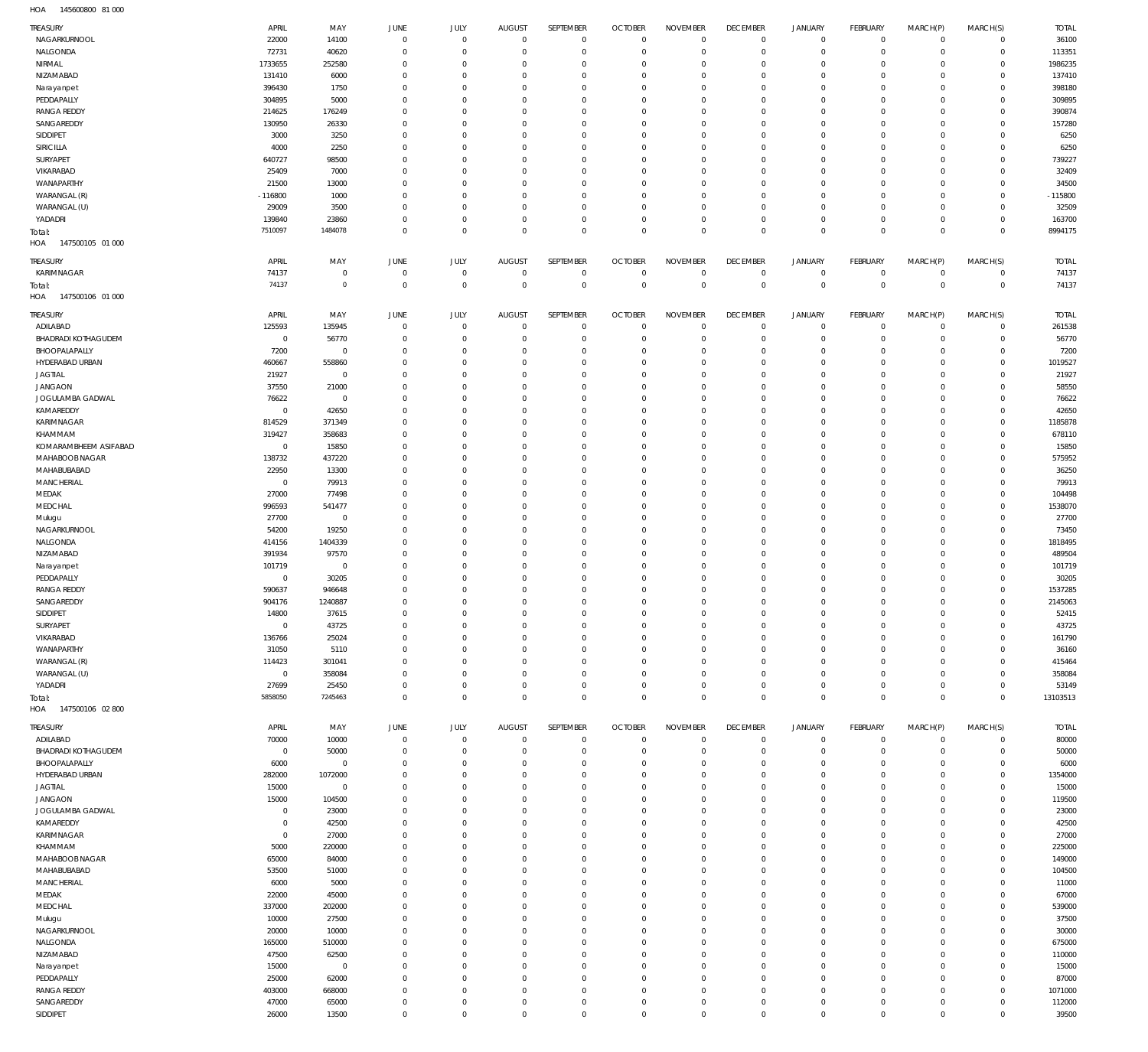145600800 81 000 HOA

| TREASURY                   | APRIL               |                  | JUNE           |                     | AUGUST                        | SEPTEMBER                  | <b>OCTOBER</b>                   | <b>NOVEMBER</b>            | <b>DECEMBER</b> | <b>JANUARY</b>                | <b>FEBRUARY</b> | MARCH(P)     | MARCH(S)    | <b>TOTAL</b> |
|----------------------------|---------------------|------------------|----------------|---------------------|-------------------------------|----------------------------|----------------------------------|----------------------------|-----------------|-------------------------------|-----------------|--------------|-------------|--------------|
| NAGARKURNOOL               | 22000               | MAY<br>14100     | $\overline{0}$ | JULY<br>$\mathbf 0$ | $\overline{0}$                | $\mathbf 0$                | $\overline{0}$                   | $\mathbf 0$                | $\overline{0}$  | $\circ$                       | $\mathbf 0$     | $^{\circ}$   | $\mathbf 0$ | 36100        |
| NALGONDA                   | 72731               | 40620            | $\overline{0}$ | $\mathbf 0$         | $\mathbf 0$                   | $\mathbf 0$                | $\overline{0}$                   | $\mathbf 0$                | $\mathbb O$     | $\mathbf 0$                   | $\mathbf 0$     | $^{\circ}$   | $\mathbf 0$ | 113351       |
| NIRMAL                     |                     |                  | $\mathbf 0$    | $\mathbf 0$         | $\mathbf 0$                   | $\mathbf 0$                | $\overline{0}$                   | 0                          | $\mathbf 0$     |                               | $\mathbf{0}$    | $\Omega$     | $\mathbf 0$ | 1986235      |
| NIZAMABAD                  | 1733655             | 252580           | $\mathbf 0$    | $\mathbf 0$         | $\mathbf 0$                   | $\mathbf 0$                | $\mathbf 0$                      | $\mathbf 0$                | $\mathbf{0}$    | $\circ$<br>$\mathbf 0$        | $\mathbf{0}$    | $\Omega$     | $\Omega$    | 137410       |
|                            | 131410              | 6000             | $\mathbf 0$    | $\mathbf 0$         | $\mathbf 0$                   | $\mathbf 0$                | $\overline{0}$                   | $\mathbf 0$                | $\mathbf{0}$    | $\mathbf 0$                   | $\mathbf{0}$    | $\Omega$     | $\mathbf 0$ | 398180       |
| Narayanpet<br>PEDDAPALLY   | 396430              | 1750             |                |                     |                               |                            | $\mathbf 0$                      |                            | $\mathbf{0}$    | $\mathbf 0$                   | $\mathbf{0}$    |              |             |              |
|                            | 304895              | 5000             | $\mathbf 0$    | $\mathbf 0$         | $\mathbf 0$                   | $\mathbf 0$                |                                  | $\mathbf 0$                |                 |                               |                 | $\Omega$     | $\mathbf 0$ | 309895       |
| <b>RANGA REDDY</b>         | 214625              | 176249           | $\mathbf 0$    | $\Omega$            | $\mathbf 0$                   | $\mathbf 0$                | $\mathbf 0$                      | $\mathbf 0$                | $\mathbf{0}$    | $\mathbf 0$                   | $\mathbf{0}$    | $\Omega$     | $\mathbf 0$ | 390874       |
| SANGAREDDY                 | 130950              | 26330            | $\mathbf 0$    | $\mathbf 0$         | $\mathbf 0$                   | $\mathbf 0$                | $\mathbf 0$                      | $\mathbf 0$                | $\mathbf{0}$    | $\mathbf 0$                   | $\mathbf{0}$    | $\Omega$     | $\mathbf 0$ | 157280       |
| SIDDIPET                   | 3000                | 3250             | $\mathbf 0$    | $\Omega$            | $\mathbf 0$                   | $\mathbf 0$                | $\mathbf 0$                      | $\mathbf 0$                | $\mathbf 0$     | $\mathbf 0$                   | $\mathbf{0}$    | $\Omega$     | $\mathbf 0$ | 6250         |
| SIRICILLA                  | 4000                | 2250             | $\mathbf 0$    | $\mathbf 0$         | $\mathbf 0$                   | $\mathbf 0$                | $\mathbf 0$                      | $\mathbf 0$                | $\mathbf 0$     | $\mathbf 0$                   | $\mathbf{0}$    | $\Omega$     | $\Omega$    | 6250         |
| SURYAPET                   | 640727              | 98500            | $\mathbf 0$    | $\Omega$            | $\mathbf 0$                   | $\mathbf 0$                | $\mathbf 0$                      | $\mathbf 0$                | $\mathbf 0$     | $\mathbf 0$                   | $\mathbf{0}$    | $\Omega$     | $\Omega$    | 739227       |
| VIKARABAD                  | 25409               | 7000             | $\mathbf 0$    | $\mathbf 0$         | $\mathbf 0$                   | $\mathbf 0$                | $\mathbf 0$                      | $\mathbf 0$                | $\mathbf 0$     | $\mathbf 0$                   | $\mathbf{0}$    | $\Omega$     | $\Omega$    | 32409        |
| WANAPARTHY                 | 21500               | 13000            | $\mathbf 0$    | $\Omega$            | $\mathbf 0$                   | $\mathbf 0$                | $\mathbf 0$                      | $\mathbf 0$                | $\mathbf 0$     | $\mathbf 0$                   | $\mathbf{0}$    | $\Omega$     | $\mathbf 0$ | 34500        |
| WARANGAL (R)               | $-116800$           | 1000             | $\mathbf 0$    | $\mathbf 0$         | $\mathbf 0$                   | $\mathbf 0$                | $\overline{0}$                   | $\mathbf 0$                | $\mathbf 0$     | $\mathbf 0$                   | $\mathbf{0}$    | $\Omega$     | $\mathbf 0$ | $-115800$    |
| WARANGAL (U)               | 29009               | 3500             | $\mathbf 0$    | $\mathbf 0$         | $\mathbf 0$                   | $\mathbf 0$                | $\overline{0}$                   | 0                          | $\mathbf 0$     | $\mathbf 0$                   | $\mathbf{0}$    | $\Omega$     | $\mathbf 0$ | 32509        |
| YADADRI                    | 139840              | 23860            | $\mathbf 0$    | $\mathbf 0$         | $\mathbf 0$                   | $\mathbf 0$                | $\overline{0}$                   | $\mathbf 0$                | $\mathbf 0$     | $\mathbf 0$                   | $\mathbf 0$     | $\Omega$     | $\mathbf 0$ | 163700       |
| Total:                     | 7510097             | 1484078          | $\mathbf 0$    | $\mathbf 0$         | $\mathbf 0$                   | $\mathbf 0$                | $\overline{0}$                   | $\mathbf 0$                | $\overline{0}$  | $\overline{0}$                | $\mathbb O$     | $\Omega$     | $\mathbf 0$ | 8994175      |
| 147500105 01 000<br>HOA    |                     |                  |                |                     |                               |                            |                                  |                            |                 |                               |                 |              |             |              |
| TREASURY                   | APRIL               | MAY              | JUNE           | JULY                | AUGUST                        | SEPTEMBER                  | <b>OCTOBER</b>                   | <b>NOVEMBER</b>            | <b>DECEMBER</b> | <b>JANUARY</b>                | <b>FEBRUARY</b> | MARCH(P)     | MARCH(S)    | <b>TOTAL</b> |
| KARIMNAGAR                 | 74137               | $\mathbf 0$      | 0              | $\mathbf 0$         | $\overline{0}$                | $\mathbf 0$                | $\overline{0}$                   | $\mathbf 0$                | $\mathbf 0$     | 0                             | 0               | $\circ$      | $\mathbf 0$ | 74137        |
|                            | 74137               | $\mathbb O$      | $\overline{0}$ | $\mathbf 0$         | $\overline{0}$                | $\mathbf 0$                | $\overline{0}$                   | $\overline{0}$             | $\mathbb O$     | $\,0\,$                       | $\overline{0}$  | $\mathbf 0$  | $\mathbf 0$ | 74137        |
| Total:                     |                     |                  |                |                     |                               |                            |                                  |                            |                 |                               |                 |              |             |              |
| HOA<br>147500106 01 000    |                     |                  |                |                     |                               |                            |                                  |                            |                 |                               |                 |              |             |              |
| <b>TREASURY</b>            | APRIL               | MAY              | JUNE           | JULY                | AUGUST                        | SEPTEMBER                  | <b>OCTOBER</b>                   | <b>NOVEMBER</b>            | <b>DECEMBER</b> | <b>JANUARY</b>                | <b>FEBRUARY</b> | MARCH(P)     | MARCH(S)    | <b>TOTAL</b> |
| ADILABAD                   | 125593              | 135945           | $\overline{0}$ | $\mathbf 0$         | $\overline{0}$                | $\mathbf 0$                | $\overline{0}$                   | $\mathbf 0$                | $\overline{0}$  | $\circ$                       | $\circ$         | $\Omega$     | $\mathbf 0$ | 261538       |
| <b>BHADRADI KOTHAGUDEM</b> | $^{\circ}$          | 56770            | $\mathbf 0$    | $\mathbf 0$         | $\mathbf 0$                   | $\mathbf 0$                | $\overline{0}$                   | $\mathbf 0$                | $\mathbf 0$     | $\mathbf 0$                   | $\mathbf{0}$    | $\circ$      | $\mathbf 0$ | 56770        |
| BHOOPALAPALLY              | 7200                | $\overline{0}$   | $\mathbf 0$    | $\mathbf 0$         | $\mathbf 0$                   | $\mathbf 0$                | $\overline{0}$                   | $\mathbf 0$                | $\mathbf 0$     | $\circ$                       | $\mathbf{0}$    | $\Omega$     | $\mathbf 0$ | 7200         |
| HYDERABAD URBAN            | 460667              | 558860           | $\mathbf 0$    | $\mathbf 0$         | $\mathbf 0$                   | $\mathbf 0$                | $\overline{0}$                   | $\mathbf 0$                | $\mathbf 0$     | $\circ$                       | $\mathbf{0}$    | $\Omega$     | $\Omega$    | 1019527      |
| <b>JAGTIAL</b>             | 21927               | $\mathbf 0$      | $\mathbf 0$    | $\Omega$            | $\mathbf 0$                   | $\mathbf 0$                | $\mathbf 0$                      | $\mathbf 0$                | $\mathbf 0$     | $\mathbf 0$                   | $\mathbf{0}$    | $\Omega$     | $\mathbf 0$ | 21927        |
| <b>JANGAON</b>             | 37550               | 21000            | $\mathbf 0$    | $\mathbf 0$         | $\mathbf 0$                   | $\mathbf 0$                | $\overline{0}$                   | $\mathbf 0$                | $\mathbf 0$     | $\mathbf 0$                   | $\mathbf{0}$    | $\Omega$     | $\Omega$    | 58550        |
| JOGULAMBA GADWAL           | 76622               | $\mathbf 0$      | $\mathbf 0$    | $\mathbf 0$         | $\mathbf 0$                   | $\mathbf 0$                | $\mathbf 0$                      | $\mathbf 0$                | $\mathbf 0$     | $\mathbf 0$                   | $\mathbf{0}$    | $\Omega$     | $\mathbf 0$ | 76622        |
| KAMAREDDY                  | $^{\circ}$          | 42650            | $\mathbf 0$    | $\mathbf 0$         | $\mathbf 0$                   | $\mathbf 0$                | $\overline{0}$                   | $\mathbf 0$                | $\mathbf 0$     | $\mathbf 0$                   | $\mathbf 0$     | $\Omega$     | $\Omega$    | 42650        |
| KARIMNAGAR                 | 814529              |                  | $\mathbf 0$    | $\mathbf 0$         | $\mathbf 0$                   | $\mathbf 0$                | $\mathbf 0$                      | 0                          | $\mathbf{0}$    | $\mathbf 0$                   | $\mathbf{0}$    | $\Omega$     | $\mathbf 0$ | 1185878      |
|                            |                     | 371349           |                |                     |                               |                            |                                  |                            |                 |                               |                 |              | $\Omega$    |              |
| KHAMMAM                    | 319427              | 358683           | $\mathbf 0$    | $\mathbf 0$         | $\mathbf 0$                   | $\mathbf 0$                | $\overline{0}$                   | $\mathbf 0$                | $\mathbf{0}$    | $\mathbf 0$                   | $\mathbf{0}$    | $\Omega$     |             | 678110       |
| KOMARAMBHEEM ASIFABAD      | $^{\circ}$          | 15850            | $\mathbf 0$    | $\mathbf 0$         | $\mathbf 0$                   | $\mathbf 0$                | $\mathbf 0$                      | 0                          | $\mathbf{0}$    | $\mathbf 0$                   | $\mathbf{0}$    | $\Omega$     | $\mathbf 0$ | 15850        |
| MAHABOOB NAGAR             | 138732              | 437220           | $\mathbf 0$    | $\mathbf 0$         | $\mathbf 0$                   | $\mathbf 0$                | $\mathbf 0$                      | $\mathbf 0$                | $\mathbf{0}$    | $\mathbf 0$                   | $\mathbf{0}$    | $\Omega$     | $\Omega$    | 575952       |
| MAHABUBABAD                | 22950               | 13300            | $\mathbf 0$    | $\mathbf 0$         | $\mathbf 0$                   | $\mathbf 0$                | $\mathbf 0$                      | $\mathbf 0$                | $\mathbf{0}$    | $\mathbf 0$                   | $\mathbf{0}$    | $\Omega$     | $\mathbf 0$ | 36250        |
| MANCHERIAL                 | $^{\circ}$          | 79913            | $\mathbf 0$    | $\mathbf 0$         | $\mathbf 0$                   | $\mathbf 0$                | $\mathbf 0$                      | $\mathbf 0$                | $\mathbf{0}$    | $\mathbf 0$                   | $\mathbf{0}$    | $\Omega$     | $\Omega$    | 79913        |
| MEDAK                      | 27000               | 77498            | $\mathbf 0$    | $\mathbf 0$         | $\mathbf 0$                   | $\mathbf 0$                | $\overline{0}$                   | $\mathbf 0$                | $\mathbf{0}$    | $\mathbf 0$                   | $\mathbf{0}$    | $\Omega$     | $\mathbf 0$ | 104498       |
| MEDCHAL                    | 996593              | 541477           | $\mathbf 0$    | $\mathbf 0$         | $\mathbf 0$                   | $\mathbf 0$                | $\mathbf 0$                      | $\mathbf 0$                | $\mathbf{0}$    | $\mathbf 0$                   | $\mathbf{0}$    | $\Omega$     | $\Omega$    | 1538070      |
| Mulugu                     | 27700               | $\overline{0}$   | $\mathbf 0$    | $\Omega$            | $\mathbf 0$                   | $\mathbf 0$                | $\mathbf 0$                      | $\mathbf 0$                | $\mathbf{0}$    | $\mathbf 0$                   | $\mathbf{0}$    | $\Omega$     | $\mathbf 0$ | 27700        |
| NAGARKURNOOL               | 54200               | 19250            | $\mathbf 0$    | $\mathbf 0$         | $\mathbf 0$                   | $\mathbf 0$                | $\mathbf 0$                      | $\mathbf 0$                | $\mathbf{0}$    | $\mathbf 0$                   | $\mathbf{0}$    | $\Omega$     | $\mathbf 0$ | 73450        |
| NALGONDA                   | 414156              | 1404339          | $\mathbf 0$    | $\Omega$            | $\mathbf 0$                   | $\mathbf 0$                | $\mathbf 0$                      | $\mathbf 0$                | $\mathbf{0}$    | $\mathbf 0$                   | $\mathbf{0}$    | $\Omega$     | $\mathbf 0$ | 1818495      |
| NIZAMABAD                  | 391934              | 97570            | $\mathbf 0$    | $\mathbf 0$         | $\mathbf 0$                   | $\mathbf 0$                | $^{\circ}$                       | $\mathbf 0$                | $\mathbf{0}$    | $\mathbf 0$                   | $\mathbf{0}$    | $\Omega$     | $\mathbf 0$ | 489504       |
| Narayanpet                 | 101719              | $\mathbf 0$      | $\mathbf 0$    | $\mathbf 0$         | $\mathbf 0$                   | $\mathbf 0$                | $\mathbf 0$                      | $\mathbf 0$                | $\mathbf{0}$    | $\mathbf 0$                   | $\mathbf{0}$    | $\Omega$     | $\mathbf 0$ | 101719       |
| PEDDAPALLY                 | $^{\circ}$          | 30205            | $\mathbf 0$    | $\mathbf 0$         | $\mathbf 0$                   | $\mathbf 0$                | $^{\circ}$                       | $\mathbf 0$                | $\mathbf{0}$    | $\mathbf 0$                   | $^{\circ}$      | $\Omega$     | $\mathbf 0$ | 30205        |
| <b>RANGA REDDY</b>         | 590637              | 946648           | $\mathbf 0$    | $\mathbf 0$         | $\mathbf 0$                   | $\mathbf 0$                | $\mathbf 0$                      | 0                          | $\mathbf{0}$    | $\mathbf 0$                   | $\mathbf{0}$    | $\Omega$     | $\mathbf 0$ | 1537285      |
| SANGAREDDY                 | 904176              | 1240887          | $\Omega$       | $\Omega$            | $\Omega$                      | $\mathbf 0$                | $\overline{0}$                   | $\Omega$                   | $\Omega$        | $\mathbf 0$                   | $\circ$         | $\mathbf{0}$ | $\circ$     | 2145063      |
| SIDDIPET                   | 14800               | 37615            | C              |                     |                               |                            |                                  |                            |                 |                               |                 |              |             | 52415        |
| SURYAPET                   | $\mathbf 0$         | 43725            | $\mathbf 0$    | $\mathbf 0$         | $\overline{0}$                | $\mathbf 0$                | $\overline{0}$                   | $\mathbf 0$                | $\mathbf{0}$    | $\mathbf 0$                   | $\mathbf 0$     | $^{\circ}$   | $\mathbf 0$ | 43725        |
| VIKARABAD                  | 136766              | 25024            | $\mathbf 0$    | $\mathbf 0$         | $\mathbf 0$                   | $\mathbf 0$                | $\overline{0}$                   | $\mathbf 0$                | $\mathbf{0}$    | $\mathbf 0$                   | $\mathbf 0$     | $^{\circ}$   | $\mathbf 0$ | 161790       |
| WANAPARTHY                 | 31050               | 5110             | $\mathbf 0$    | $\mathbf 0$         | $\mathbf 0$                   | $\mathbf 0$                | $\overline{0}$                   | $\mathbf 0$                | $\mathbf{0}$    | $\mathbf 0$                   | $\mathbf 0$     | $\Omega$     | $\mathbf 0$ | 36160        |
| WARANGAL (R)               | 114423              |                  | $\mathbf 0$    | $\mathbf 0$         | $\mathbf 0$                   | $\mathbf 0$                | $\mathbf 0$                      | $\mathbf 0$                | $\mathbf{0}$    | $\mathbf 0$                   | $^{\circ}$      | $\Omega$     | $\mathbf 0$ |              |
|                            | $\mathbf 0$         | 301041           |                | $\mathbf 0$         | $\mathbf 0$                   | $\mathbf 0$                | $\mathbf 0$                      | $\mathbf 0$                | $\mathbf 0$     |                               |                 | $\Omega$     | $\mathbf 0$ | 415464       |
| WARANGAL (U)               |                     | 358084           | $\mathbf 0$    |                     |                               |                            |                                  |                            |                 | $\mathbf 0$                   | $\mathbf 0$     |              |             | 358084       |
| YADADRI                    | 27699<br>5858050    | 25450<br>7245463 | $\mathbf 0$    | $\mathbf 0$         | $\overline{0}$<br>$\mathbf 0$ | $\mathbf 0$<br>$\mathbf 0$ | $\overline{0}$<br>$\overline{0}$ | $\mathbf 0$<br>$\mathbf 0$ | $\overline{0}$  | $\mathbb O$<br>$\overline{0}$ | $\mathbf 0$     | $^{\circ}$   | $\mathbf 0$ | 53149        |
| Total:                     |                     |                  | $\mathbf 0$    | $\mathbf 0$         |                               |                            |                                  |                            | $\mathbb O$     |                               | $\mathbb O$     | $\mathbf 0$  | $\mathbf 0$ | 13103513     |
| HOA<br>147500106 02 800    |                     |                  |                |                     |                               |                            |                                  |                            |                 |                               |                 |              |             |              |
| TREASURY                   | APRIL               | MAY              | JUNE           | JULY                | AUGUST                        | SEPTEMBER                  | <b>OCTOBER</b>                   | <b>NOVEMBER</b>            | <b>DECEMBER</b> | <b>JANUARY</b>                | FEBRUARY        | MARCH(P)     | MARCH(S)    | <b>TOTAL</b> |
| ADILABAD                   | 70000               | 10000            | $\overline{0}$ | $\mathbf 0$         | $\overline{0}$                | $\mathbf 0$                | $\mathbf 0$                      | $\mathbf 0$                | $\overline{0}$  | $\mathbb O$                   | $\mathbf 0$     | $^{\circ}$   | $\mathbf 0$ | 80000        |
| <b>BHADRADI KOTHAGUDEM</b> | $\mathbf 0$         | 50000            | 0              | $\mathbf 0$         | $\mathbf 0$                   | $\mathbf 0$                | $\overline{0}$                   | $\mathbf 0$                | $\mathbf 0$     | 0                             | $\mathbf 0$     | $\circ$      | $\mathbf 0$ | 50000        |
| BHOOPALAPALLY              | 6000                | $\mathbf 0$      | $\mathbf 0$    | $\mathbf 0$         | $\mathbf 0$                   | $\mathbf 0$                | $\overline{0}$                   | $\mathbf 0$                | $\mathbf 0$     | $\circ$                       | $\mathbf 0$     | $\circ$      | $\mathbf 0$ | 6000         |
| HYDERABAD URBAN            | 282000              | 1072000          | $\mathbf 0$    | $\mathbf 0$         | $\mathbf 0$                   | $\mathbf 0$                | $\overline{0}$                   | 0                          | $\mathbf 0$     | $\mathbf 0$                   | $^{\circ}$      | $\Omega$     | $\mathbf 0$ | 1354000      |
| <b>JAGTIAL</b>             | 15000               | $\mathbf 0$      | $\mathbf 0$    | $\mathbf 0$         | $\mathbf 0$                   | $\mathbf 0$                | $\overline{0}$                   | $\mathbf 0$                | $\mathbf 0$     | $\mathbf 0$                   | $\mathbf{0}$    | $\Omega$     | $\Omega$    | 15000        |
| <b>JANGAON</b>             | 15000               | 104500           | $\mathbf 0$    | $\mathbf 0$         | $\mathbf 0$                   | $\mathbf 0$                | $\overline{0}$                   | $\mathbf 0$                | $\mathbf 0$     | $\mathbf 0$                   | $\mathbf 0$     | $\Omega$     | $\mathbf 0$ | 119500       |
| JOGULAMBA GADWAL           | $\mathbf 0$         | 23000            | $\mathbf 0$    | $\mathbf 0$         | $\mathbf 0$                   | $\mathbf 0$                | $\mathbf 0$                      | $\mathbf 0$                | $\mathbf 0$     | $\mathbf 0$                   | $\mathbf{0}$    | $\Omega$     | $\Omega$    | 23000        |
| KAMAREDDY                  | $\mathbf 0$         | 42500            | $\mathbf 0$    | $\mathbf 0$         | $\mathbf 0$                   | $\mathbf 0$                | $\overline{0}$                   | $\mathbf 0$                | $\mathbf{0}$    | $\mathbf 0$                   | $^{\circ}$      | $\Omega$     | $\mathbf 0$ | 42500        |
| KARIMNAGAR                 |                     |                  | $\mathbf 0$    | $\mathbf 0$         | $\mathbf 0$                   | $\mathbf 0$                | $\mathbf 0$                      | $\mathbf 0$                | $\mathbf 0$     | $\mathbf 0$                   | $\mathbf{0}$    | $\Omega$     | $\Omega$    | 27000        |
| KHAMMAM                    | $\mathbf 0$<br>5000 | 27000<br>220000  | $\mathbf 0$    | $\mathbf 0$         | $\mathbf 0$                   | $\mathbf 0$                | $\overline{0}$                   | $\mathbf 0$                | $\mathbf{0}$    | $\mathbf 0$                   | $\mathbf 0$     | $\Omega$     | $\mathbf 0$ | 225000       |
|                            |                     |                  |                |                     |                               |                            |                                  |                            |                 |                               |                 |              |             |              |
| MAHABOOB NAGAR             | 65000               | 84000            | $\mathbf 0$    | 0                   | $\mathbf 0$                   | $\mathbf 0$                | $\mathbf 0$                      | $\mathbf 0$                | $\mathbf{0}$    | $\mathbf 0$                   | $\mathbf{0}$    | $\Omega$     | $\Omega$    | 149000       |
| MAHABUBABAD                | 53500               | 51000            | $\mathbf 0$    | $\mathbf 0$         | $\mathbf 0$                   | $\mathbf 0$                | $\overline{0}$                   | $\mathbf 0$                | $\mathbf{0}$    | $\mathbf 0$                   | $\mathbf 0$     | $\Omega$     | $\Omega$    | 104500       |
| MANCHERIAL                 | 6000                | 5000             | $\mathbf 0$    | $\mathbf 0$         | $\mathbf 0$                   | $\mathbf 0$                | $\mathbf 0$                      | 0                          | $\mathbf{0}$    | $\mathbf 0$                   | $\mathbf{0}$    | $\Omega$     | $\Omega$    | 11000        |
| MEDAK                      | 22000               | 45000            | $\mathbf 0$    | $\mathbf 0$         | $\mathbf 0$                   | $\mathbf 0$                | $\overline{0}$                   | $\mathbf 0$                | $\mathbf{0}$    | $\mathbf 0$                   | $\mathbf 0$     | $\Omega$     | $\Omega$    | 67000        |
| MEDCHAL                    | 337000              | 202000           | $\mathbf 0$    | $\mathbf 0$         | $\mathbf 0$                   | $\mathbf 0$                | $\overline{0}$                   | $\mathbf 0$                | $\mathbf{0}$    | $\mathbf 0$                   | $^{\circ}$      | $\Omega$     | $\Omega$    | 539000       |
| Mulugu                     | 10000               | 27500            | $\mathbf 0$    | $\mathbf 0$         | $\mathbf 0$                   | $\mathbf 0$                | $\overline{0}$                   | $\mathbf 0$                | $\mathbf{0}$    | $\mathbf 0$                   | $\mathbf 0$     | $\Omega$     | $\Omega$    | 37500        |
| NAGARKURNOOL               | 20000               | 10000            | $\mathbf 0$    | $\mathbf 0$         | $\mathbf 0$                   | $\mathbf 0$                | $\overline{0}$                   | $\mathbf 0$                | $\mathbf{0}$    | $\mathbf 0$                   | $^{\circ}$      | $\Omega$     | $\Omega$    | 30000        |
| NALGONDA                   | 165000              | 510000           | $\mathbf 0$    | $\mathbf 0$         | $\mathbf 0$                   | $\mathbf 0$                | $\overline{0}$                   | $\mathbf 0$                | $\mathbf{0}$    | $\mathbf 0$                   | $\mathbf 0$     | $\Omega$     | $\mathbf 0$ | 675000       |
| NIZAMABAD                  | 47500               | 62500            | $\mathbf 0$    | $\mathbf 0$         | $\mathbf 0$                   | $\mathbf 0$                | $\overline{0}$                   | $\mathbf 0$                | $\mathbf{0}$    | $\mathbf 0$                   | $^{\circ}$      | $\Omega$     | $\Omega$    | 110000       |
| Narayanpet                 | 15000               | $\overline{0}$   | $\mathbf 0$    | $\mathbf 0$         | $\mathbf 0$                   | $\mathbf 0$                | $\overline{0}$                   | $\mathbf 0$                | $\mathbf{0}$    | $\mathbf 0$                   | $\mathbf{0}$    | $\Omega$     | $\mathbf 0$ | 15000        |
| PEDDAPALLY                 | 25000               | 62000            | $\mathbf 0$    | $\Omega$            | $\mathbf 0$                   | $\mathbf 0$                | $\overline{0}$                   | $\mathbf 0$                | $\mathbf{0}$    | $\mathbf 0$                   | $\mathbf 0$     | $\Omega$     | $\Omega$    | 87000        |
| <b>RANGA REDDY</b>         | 403000              | 668000           | $\mathbf 0$    | $\mathbf 0$         | $\mathbf 0$                   | $\mathbf 0$                | $\overline{0}$                   | $\mathbf 0$                | $\mathbf{0}$    | $\mathbf 0$                   | $\mathbf 0$     | $\Omega$     | $\mathbf 0$ | 1071000      |
| SANGAREDDY                 | 47000               | 65000            | $\mathbf 0$    | $\mathbf 0$         | $\mathbf 0$                   | $\mathbf 0$                | $\mathbf 0$                      | $\mathbf 0$                | $\mathbf{0}$    | 0                             | $\mathbf 0$     | 0            | $\mathbf 0$ | 112000       |
| SIDDIPET                   | 26000               | 13500            | $\mathbf 0$    | $\mathbf 0$         | $\overline{0}$                | $\mathbf 0$                | $\overline{0}$                   | $\mathbf 0$                | $\overline{0}$  | $\mathbb O$                   | $\mathbb O$     | $^{\circ}$   | $\mathbf 0$ | 39500        |
|                            |                     |                  |                |                     |                               |                            |                                  |                            |                 |                               |                 |              |             |              |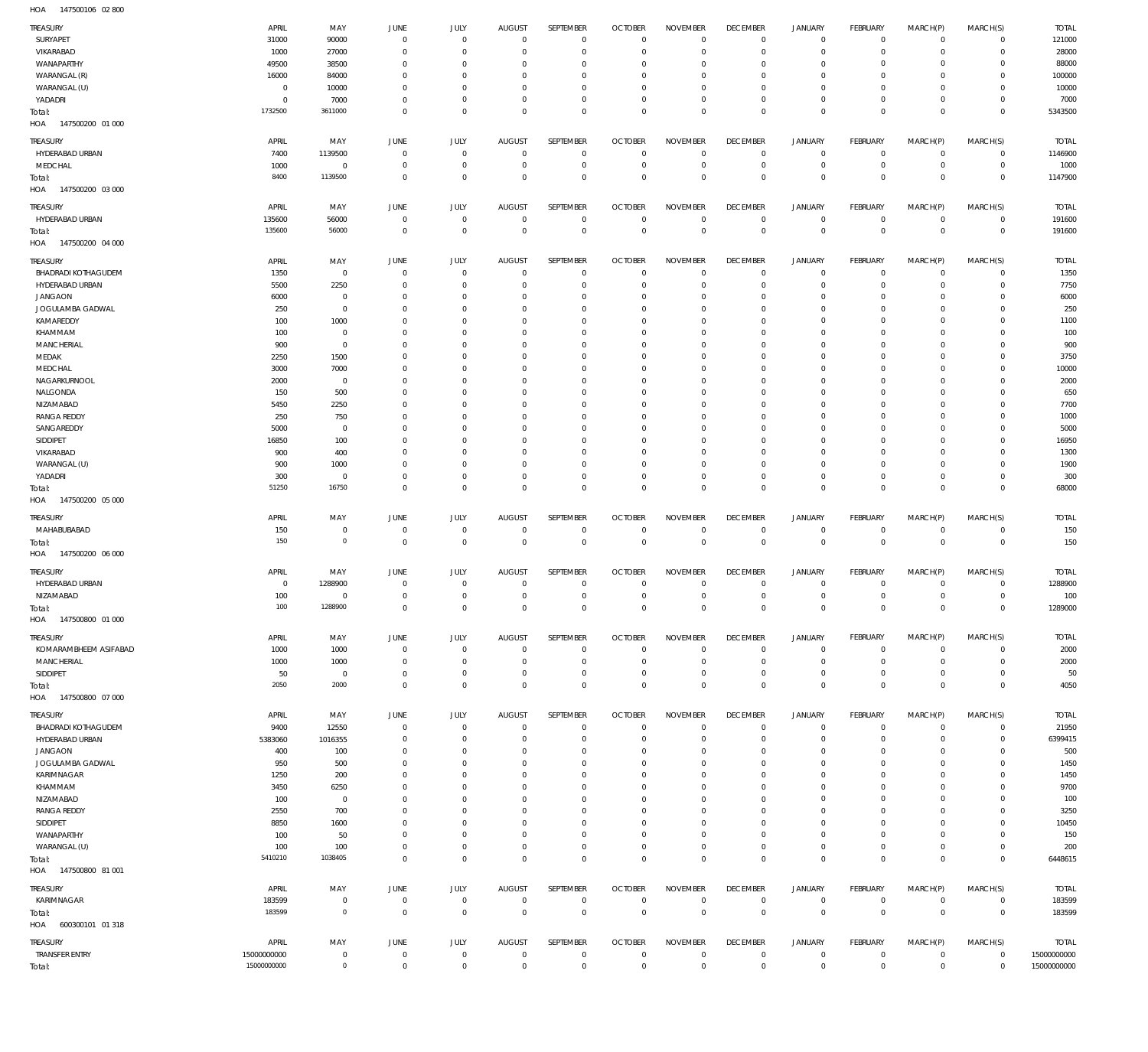147500106 02 800 HOA

| TREASURY<br>SURYAPET              | APRIL<br>31000             | MAY<br>90000           | JUNE<br>$^{\circ}$               | JULY<br>$\mathbf 0$              | <b>AUGUST</b><br>$^{\circ}$      | SEPTEMBER<br>$\mathbf 0$     | <b>OCTOBER</b><br>$\overline{0}$ | <b>NOVEMBER</b><br>$\overline{0}$ | <b>DECEMBER</b><br>$^{\circ}$ | <b>JANUARY</b><br>0        | FEBRUARY<br>$^{\circ}$    | MARCH(P)<br>$^{\circ}$    | MARCH(S)<br>$\mathbf 0$     | <b>TOTAL</b><br>121000 |
|-----------------------------------|----------------------------|------------------------|----------------------------------|----------------------------------|----------------------------------|------------------------------|----------------------------------|-----------------------------------|-------------------------------|----------------------------|---------------------------|---------------------------|-----------------------------|------------------------|
| VIKARABAD                         | 1000                       | 27000                  | $\Omega$                         | $^{\circ}$                       | $\Omega$                         | $\mathbf 0$                  | $\mathsf{C}$                     | $\mathbf{0}$                      | $\Omega$                      | $\mathbf 0$                | $\circ$                   | $^{\circ}$                | $\mathbf 0$                 | 28000                  |
| WANAPARTHY                        | 49500                      | 38500                  | $\Omega$                         | $^{\circ}$                       | $\Omega$                         | $\overline{0}$               | $\Omega$                         | $\overline{0}$                    | $\Omega$                      | $\circ$                    | $\Omega$                  | $\Omega$                  | $\mathbf 0$                 | 88000                  |
| WARANGAL (R)                      | 16000                      | 84000                  | $\Omega$                         | $\Omega$                         | $\Omega$                         | $\mathbf{0}$                 | $\Omega$                         | $\overline{0}$                    | $\Omega$                      | $\mathbf 0$                | $\Omega$                  | $^{\circ}$                | $\Omega$                    | 100000                 |
| WARANGAL (U)                      | $\overline{0}$             | 10000                  | $\Omega$                         | $\Omega$                         | $\Omega$                         | $\mathbf{0}$                 | $\Omega$                         | $\overline{0}$                    | $\Omega$                      | $\circ$                    | $\Omega$                  | $\Omega$                  | $\Omega$                    | 10000                  |
| YADADRI                           | $\Omega$                   | 7000                   | $\Omega$                         | $^{\circ}$                       | $\Omega$                         | $\mathbb O$                  | $\overline{0}$                   | $\overline{0}$                    | $^{\circ}$                    | $\mathbf 0$                | $\circ$                   | $\mathbf 0$               | $\mathbf 0$                 | 7000                   |
| Total:<br>HOA<br>147500200 01 000 | 1732500                    | 3611000                | $\Omega$                         | $\overline{0}$                   | $\Omega$                         | $\mathbb O$                  | $\Omega$                         | $\mathbb O$                       | $\mathbf{0}$                  | $\mathbb O$                | $\Omega$                  | $\mathbf 0$               | $\overline{0}$              | 5343500                |
| <b>TREASURY</b>                   | APRIL                      | MAY                    | JUNE                             | JULY                             | <b>AUGUST</b>                    | SEPTEMBER                    | <b>OCTOBER</b>                   | <b>NOVEMBER</b>                   | <b>DECEMBER</b>               | <b>JANUARY</b>             | FEBRUARY                  | MARCH(P)                  | MARCH(S)                    | <b>TOTAL</b>           |
| HYDERABAD URBAN<br>MEDCHAL        | 7400<br>1000               | 1139500<br>$\mathbf 0$ | $^{\circ}$<br>$\Omega$           | $\overline{0}$<br>$\overline{0}$ | $^{\circ}$<br>$\Omega$           | $\overline{0}$<br>$\,0\,$    | $^{\circ}$<br>$\overline{0}$     | $\overline{0}$<br>$\mathbf{0}$    | $\overline{0}$<br>$^{\circ}$  | $\mathbf 0$<br>$\mathbf 0$ | $\mathbf 0$<br>$^{\circ}$ | $^{\circ}$<br>$\mathbf 0$ | $\mathbf 0$<br>$\mathbf 0$  | 1146900<br>1000        |
| Total:<br>HOA<br>147500200 03 000 | 8400                       | 1139500                | $^{\circ}$                       | $\overline{0}$                   | $\Omega$                         | $\mathbb O$                  | $\Omega$                         | $\overline{0}$                    | $\Omega$                      | $\mathbb O$                | $\Omega$                  | $\Omega$                  | $\Omega$                    | 1147900                |
| TREASURY                          | APRIL                      | MAY                    | JUNE                             | <b>JULY</b>                      | <b>AUGUST</b>                    | SEPTEMBER                    | <b>OCTOBER</b>                   | <b>NOVEMBER</b>                   | <b>DECEMBER</b>               | <b>JANUARY</b>             | FEBRUARY                  | MARCH(P)                  | MARCH(S)                    | <b>TOTAL</b>           |
| HYDERABAD URBAN                   | 135600                     | 56000                  | $^{\circ}$                       | $\mathbf 0$                      | $^{\circ}$                       | $\,0\,$                      | $\mathbf{0}$                     | $\,0\,$                           | $^{\circ}$                    | $\mathsf{O}\xspace$        | $^{\circ}$                | $\mathbf 0$               | $\mathbf 0$                 | 191600                 |
| Total:                            | 135600                     | 56000                  | $\overline{0}$                   | $\mathbf 0$                      | $\Omega$                         | $\,0\,$                      | $\mathbb O$                      | $\mathbb O$                       | $\mathbf{0}$                  | $\,0\,$                    | $\mathbf{0}$              | $\mathbf 0$               | $\mathbf{0}$                | 191600                 |
| HOA<br>147500200 04 000           |                            |                        |                                  |                                  |                                  |                              |                                  |                                   |                               |                            |                           |                           |                             |                        |
| <b>TREASURY</b>                   | APRIL                      | MAY                    | JUNE                             | JULY                             | <b>AUGUST</b>                    | SEPTEMBER                    | <b>OCTOBER</b>                   | <b>NOVEMBER</b>                   | <b>DECEMBER</b>               | <b>JANUARY</b>             | FEBRUARY                  | MARCH(P)                  | MARCH(S)                    | <b>TOTAL</b>           |
| <b>BHADRADI KOTHAGUDEM</b>        | 1350                       | $\overline{0}$         | $\Omega$                         | $\overline{0}$                   | $\Omega$                         | $\overline{0}$               | $\overline{0}$                   | $^{\circ}$                        | $^{\circ}$                    | $\mathbf 0$                | $^{\circ}$                | -0                        | $\mathbf 0$                 | 1350                   |
| HYDERABAD URBAN                   | 5500                       | 2250                   | $\Omega$                         | $\Omega$                         | $\Omega$                         | $\Omega$                     | $\Omega$                         | $\Omega$                          | $\Omega$                      | $^{\circ}$                 | $\Omega$                  | $\Omega$                  | $\Omega$                    | 7750                   |
| <b>JANGAON</b>                    | 6000                       | $\overline{0}$         | $\Omega$                         | $\Omega$                         | $\Omega$                         | $\overline{0}$               | $\Omega$                         | $\Omega$                          | $\Omega$                      | $\mathbf 0$                | $\Omega$                  | $\Omega$                  | $\mathbf 0$                 | 6000                   |
| JOGULAMBA GADWAL                  | 250                        | $\mathbf 0$            | $\Omega$                         | $\Omega$                         | $\Omega$                         | $\Omega$                     | $\Omega$                         | $\Omega$                          | $\Omega$                      | $\Omega$                   | $\Omega$                  | $\Omega$                  | $\Omega$                    | 250                    |
| KAMAREDDY<br>KHAMMAM              | 100<br>100                 | 1000<br>$\overline{0}$ | $\Omega$<br>$\sqrt{ }$           | $\Omega$<br>$\Omega$             | $\Omega$<br>$\Omega$             | $\mathbf{0}$<br>$\Omega$     | $\Omega$<br>-C                   | $\mathbf{0}$<br>$\Omega$          | $\Omega$<br>$\Omega$          | $\Omega$<br>$\Omega$       | $\Omega$<br>0             | $\Omega$<br>$\Omega$      | $\Omega$<br>$\Omega$        | 1100                   |
| <b>MANCHERIAL</b>                 | 900                        | $\overline{0}$         | $\Omega$                         | $\Omega$                         | $\Omega$                         | $\mathbf{0}$                 | $\Omega$                         | $\mathbf{0}$                      | $\Omega$                      | $\Omega$                   | $\Omega$                  | $\Omega$                  | $\Omega$                    | 100<br>900             |
| MEDAK                             | 2250                       | 1500                   | n                                | $\Omega$                         | $\Omega$                         | $\Omega$                     | $\Omega$                         | $\Omega$                          | $\Omega$                      | $\Omega$                   | $\Omega$                  | $\Omega$                  | $\Omega$                    | 3750                   |
| MEDCHAL                           | 3000                       | 7000                   | ſ                                | $\Omega$                         | $\Omega$                         | $\Omega$                     | $\Omega$                         | $\Omega$                          | $\Omega$                      | $\Omega$                   | $\Omega$                  | $\Omega$                  | $\Omega$                    | 10000                  |
| NAGARKURNOOL                      | 2000                       | $\overline{0}$         | $\Omega$                         | $\Omega$                         | $\Omega$                         | $\Omega$                     | $\Omega$                         | $\Omega$                          | $\Omega$                      | $\Omega$                   | $\Omega$                  | $\Omega$                  | $\Omega$                    | 2000                   |
| NALGONDA                          | 150                        | 500                    | ſ                                | $\Omega$                         | $\Omega$                         | $\Omega$                     | $\Omega$                         | $\Omega$                          | $\Omega$                      | $\Omega$                   | $\Omega$                  | $\Omega$                  | $\Omega$                    | 650                    |
| NIZAMABAD                         | 5450                       | 2250                   | $\Omega$                         | $\Omega$                         | $\Omega$                         | $\Omega$                     | $\Omega$                         | $\Omega$                          | $\Omega$                      | $\Omega$                   | $\Omega$                  | $\Omega$                  | $\Omega$                    | 7700                   |
| <b>RANGA REDDY</b>                | 250                        | 750                    | n                                | $\Omega$                         | $\Omega$                         | $\Omega$                     | $\Omega$                         | $\Omega$                          | $\Omega$                      | $\Omega$                   | 0                         | $\Omega$                  | $\Omega$                    | 1000                   |
| SANGAREDDY                        | 5000                       | $\overline{0}$         | $\sqrt{ }$                       | $\Omega$                         | $\Omega$                         | $\Omega$                     | $\Omega$                         | $\Omega$                          | $\Omega$                      | $\Omega$                   | $\Omega$                  | $\Omega$                  | $\Omega$                    | 5000                   |
| SIDDIPET                          | 16850                      | 100                    | $\Omega$                         | $\Omega$                         | $\Omega$                         | $\mathbf{0}$                 | $\Omega$                         | $\mathbf{0}$                      | $\Omega$                      | $\Omega$                   | $\Omega$                  | $\Omega$                  | $\Omega$                    | 16950                  |
| VIKARABAD                         | 900                        | 400                    | ſ                                | $\Omega$                         | $\Omega$                         | $\Omega$                     | -C                               | $\Omega$                          | $\Omega$                      | $\Omega$                   | 0                         | $\Omega$                  | $\Omega$                    | 1300                   |
| WARANGAL (U)                      | 900                        | 1000                   | $\Omega$                         | $^{\circ}$                       | $\Omega$                         | $\mathbf{0}$                 | $\Omega$                         | $\mathbf{0}$                      | $\Omega$                      | $\mathbf 0$                | $\Omega$                  | $\Omega$                  | $\Omega$                    | 1900                   |
| YADADRI                           | 300                        | $\overline{0}$         | $\Omega$                         | $\Omega$                         | $\Omega$                         | $\Omega$                     | $\Omega$                         | $^{\circ}$                        | $\Omega$                      | $\mathbf 0$                | $\Omega$                  | $\Omega$                  | $\circ$                     | 300                    |
| Total:<br>HOA<br>147500200 05 000 | 51250                      | 16750                  | $\Omega$                         | $\overline{0}$                   | $\Omega$                         | $\overline{0}$               | $\Omega$                         | $\overline{0}$                    | $\Omega$                      | $\mathbf 0$                | $\Omega$                  | $\Omega$                  | $\Omega$                    | 68000                  |
| TREASURY                          | APRIL                      | MAY                    | JUNE                             | JULY                             | <b>AUGUST</b>                    | SEPTEMBER                    | <b>OCTOBER</b>                   | <b>NOVEMBER</b>                   | <b>DECEMBER</b>               | <b>JANUARY</b>             | FEBRUARY                  | MARCH(P)                  | MARCH(S)                    | <b>TOTAL</b>           |
| MAHABUBABAD                       | 150                        | $\overline{0}$         | $^{\circ}$                       | $\overline{0}$                   | $^{\circ}$                       | $\,0\,$                      | $\mathbf 0$                      | $\mathbf 0$                       | $\mathbf 0$                   | 0                          | $\mathbf 0$               | $\mathbf 0$               | $\mathbf 0$                 | 150                    |
| Total:                            | 150                        | $\,0\,$                | $\mathbf 0$                      | $\mathbf 0$                      | $\overline{0}$                   | $\,0\,$                      | $\mathbf 0$                      | $\mathbb O$                       | $\mathbf 0$                   | $\,0\,$                    | $\mathbf 0$               | $\mathbf 0$               | $\mathbf 0$                 | 150                    |
| HOA<br>147500200 06 000           |                            |                        |                                  |                                  |                                  |                              |                                  |                                   |                               |                            |                           |                           |                             |                        |
| <b>TREASURY</b>                   | APRIL                      | MAY                    | JUNE                             | JULY                             | <b>AUGUST</b>                    | SEPTEMBER                    | <b>OCTOBER</b>                   | <b>NOVEMBER</b>                   | <b>DECEMBER</b>               | <b>JANUARY</b>             | FEBRUARY                  | MARCH(P)                  | MARCH(S)                    | <b>TOTAL</b>           |
| HYDERABAD URBAN                   | $\overline{0}$             | 1288900                | $\Omega$                         | $\overline{0}$                   | $\Omega$                         | $\overline{0}$               | $^{\circ}$                       | $^{\circ}$                        | $^{\circ}$                    | $\mathbf 0$                | 0                         | 0                         | $\mathbf 0$                 | 1288900                |
| NIZAMABAD                         | 100                        | $\overline{0}$         | $\Omega$                         | $\overline{0}$                   | $\Omega$                         | $\overline{0}$               | $\Omega$                         | $\overline{0}$                    | $\Omega$                      | $\circ$                    | $\Omega$                  | $\Omega$                  | $\Omega$                    | 100                    |
| Total:<br>HOA<br>147500800 01 000 | 100                        | 1288900                | $\Omega$                         | $^{\circ}$                       | $\Omega$                         | $\overline{0}$               | $\Omega$                         | $\overline{0}$                    | $\Omega$                      | $\mathbf{0}$               | $\Omega$                  | $\mathbf{0}$              | $\Omega$                    | 1289000                |
|                                   |                            |                        |                                  |                                  |                                  |                              |                                  | <b>NOVEMBER</b>                   |                               |                            |                           |                           |                             |                        |
| TREASURY<br>KOMARAMBHEEM ASIFABAD | APRIL<br>1000              | MAY<br>1000            | JUNE<br>$\overline{0}$           | JULY<br>$\mathbf 0$              | <b>AUGUST</b><br>$\overline{0}$  | SEPTEMBER<br>$\mathbf 0$     | <b>OCTOBER</b><br>$\mathbf{0}$   | $\,0\,$                           | <b>DECEMBER</b><br>$^{\circ}$ | <b>JANUARY</b><br>0        | FEBRUARY<br>$^{\circ}$    | MARCH(P)<br>$\mathbf 0$   | MARCH(S)<br>$\mathbf 0$     | <b>TOTAL</b><br>2000   |
| MANCHERIAL                        | 1000                       | 1000                   | $^{\circ}$                       | $\overline{0}$                   | $\Omega$                         | $\mathbf 0$                  | $^{\circ}$                       | $\mathbf 0$                       | $^{\circ}$                    | $\mathsf{O}\xspace$        | $^{\circ}$                | $\mathbf 0$               | $\mathbf 0$                 | 2000                   |
| SIDDIPET                          | 50                         | $\overline{0}$         | $^{\circ}$                       | $\mathbf 0$                      | $\Omega$                         | $\mathbf 0$                  | $^{\circ}$                       | $\mathbf 0$                       | $^{\circ}$                    | $\mathsf{O}\xspace$        | $^{\circ}$                | $\mathbf 0$               | $\mathbf 0$                 | 50                     |
| Total:                            | 2050                       | 2000                   | $\overline{0}$                   | $\overline{0}$                   | $\Omega$                         | $\mathbf 0$                  | $\Omega$                         | $\mathbf 0$                       | $\mathbf 0$                   | $\mathbf 0$                | $\Omega$                  | $\mathbf 0$               | $\mathbf{0}$                | 4050                   |
| 147500800 07 000<br>HOA           |                            |                        |                                  |                                  |                                  |                              |                                  |                                   |                               |                            |                           |                           |                             |                        |
| <b>TREASURY</b>                   | APRIL                      | MAY                    | JUNE                             | JULY                             | <b>AUGUST</b>                    | SEPTEMBER                    | <b>OCTOBER</b>                   | <b>NOVEMBER</b>                   | <b>DECEMBER</b>               | <b>JANUARY</b>             | FEBRUARY                  | MARCH(P)                  | MARCH(S)                    | <b>TOTAL</b>           |
| <b>BHADRADI KOTHAGUDEM</b>        | 9400                       | 12550                  | $^{\circ}$                       | $\overline{0}$                   | $^{\circ}$                       | $\overline{0}$               | $\overline{0}$                   | $^{\circ}$                        | $\overline{0}$                | $\mathbf 0$                | $^{\circ}$                | 0                         | $\mathbf 0$                 | 21950                  |
| HYDERABAD URBAN                   | 5383060                    | 1016355                | $\Omega$                         | $^{\circ}$                       | $\Omega$                         | $\mathbf 0$                  | $\Omega$                         | $\Omega$                          | $\Omega$                      | $\mathbf 0$                | $^{\circ}$                | $\Omega$                  | $\mathbf 0$                 | 6399415                |
| JANGAON                           | 400                        | 100                    | $\Omega$                         | $^{\circ}$                       | $\Omega$                         | $\overline{0}$               | $\Omega$                         | $\Omega$                          | $\Omega$                      | $\mathbf 0$                | $\Omega$                  | $\Omega$                  | $\mathbf 0$                 | 500                    |
| JOGULAMBA GADWAL                  | 950                        | 500                    | $\Omega$                         | $\Omega$                         | $\Omega$                         | $\overline{0}$               | $\Omega$                         | $\Omega$                          | $\Omega$                      | $\mathbf 0$                | $\Omega$                  | $\Omega$                  | $\Omega$                    | 1450                   |
| KARIMNAGAR                        | 1250                       | 200                    | $\Omega$                         | $\Omega$                         | $\Omega$                         | $\mathbf{0}$                 | $\Omega$                         | $\mathbf{0}$                      | $\mathbf{0}$                  | $\Omega$                   | $\Omega$                  | $\Omega$                  | $\Omega$                    | 1450                   |
| KHAMMAM                           | 3450                       | 6250                   | $\Omega$                         | $\Omega$                         | $\Omega$                         | $\mathbf{0}$                 | $\Omega$                         | $\Omega$                          | $\Omega$                      | $\Omega$                   | $\Omega$                  | $\Omega$                  | $\Omega$                    | 9700                   |
| NIZAMABAD                         | 100                        | $\mathbf 0$            | $\Omega$                         | $\Omega$                         | $\Omega$                         | $\mathbf{0}$                 | $\Omega$                         | $\mathbf{0}$                      | $\Omega$                      | $\Omega$                   | $\Omega$                  | $\Omega$                  | $\Omega$                    | 100                    |
| <b>RANGA REDDY</b>                | 2550                       | 700                    | $\Omega$                         | $\Omega$                         | $\Omega$                         | $\mathbf{0}$                 | $\Omega$                         | $\mathbf{0}$                      | $\Omega$                      | $\Omega$                   | $\Omega$                  | $\Omega$                  | $\Omega$                    | 3250                   |
| SIDDIPET                          | 8850                       | 1600                   | $\Omega$<br>$\Omega$             | $\Omega$<br>$\Omega$             | $\Omega$<br>$\Omega$             | $\mathbf{0}$<br>$\mathbf{0}$ | $\Omega$<br>$\Omega$             | $\mathbf{0}$<br>$\mathbf{0}$      | $\Omega$<br>$\Omega$          | $\Omega$<br>$\Omega$       | $\Omega$<br>$\Omega$      | $\Omega$<br>$\Omega$      | $\Omega$<br>$\Omega$        | 10450                  |
| WANAPARTHY<br>WARANGAL (U)        | 100<br>100                 | 50<br>100              | $\Omega$                         | $\overline{0}$                   | $^{\circ}$                       | $\mathbf 0$                  | $^{\circ}$                       | $\mathbf 0$                       | $\overline{0}$                | $\mathbf 0$                | $^{\circ}$                | $^{\circ}$                | $\mathbf 0$                 | 150<br>200             |
| Total:                            | 5410210                    | 1038405                | $\Omega$                         | $\overline{0}$                   | $\Omega$                         | $\overline{0}$               | $\Omega$                         | $\overline{0}$                    | $\overline{0}$                | $\mathbf 0$                | $\Omega$                  | $\Omega$                  | $\mathbf{0}$                | 6448615                |
| HOA 147500800 81001               |                            |                        |                                  |                                  |                                  |                              |                                  |                                   |                               |                            |                           |                           |                             |                        |
| TREASURY                          | APRIL                      | MAY                    | JUNE                             | JULY                             | <b>AUGUST</b>                    | SEPTEMBER                    | <b>OCTOBER</b>                   | <b>NOVEMBER</b>                   | <b>DECEMBER</b>               | JANUARY                    | FEBRUARY                  | MARCH(P)                  | MARCH(S)                    | <b>TOTAL</b>           |
| KARIMNAGAR                        | 183599                     | $\mathbf 0$            | $\overline{0}$                   | $\overline{0}$                   | $\overline{0}$                   | $\,0\,$                      | $\overline{0}$                   | $\mathbf 0$                       | $\mathbf 0$                   | 0                          | $^{\circ}$                | $\mathbf 0$               | $\mathbf 0$                 | 183599                 |
| Total:                            | 183599                     | $\mathbb O$            | $\mathbf 0$                      | $\mathbf 0$                      | $\mathbf 0$                      | $\mathbb O$                  | $\mathbf 0$                      | $\mathbb O$                       | $\mathbf 0$                   | $\,0\,$                    | $\mathbf 0$               | $\mathbf 0$               | $\mathbf 0$                 | 183599                 |
| HOA<br>600300101 01 318           |                            |                        |                                  |                                  |                                  |                              |                                  |                                   |                               |                            |                           |                           |                             |                        |
| TREASURY                          | APRIL                      | MAY                    | JUNE                             | JULY                             | <b>AUGUST</b>                    | SEPTEMBER                    | <b>OCTOBER</b>                   | <b>NOVEMBER</b>                   | <b>DECEMBER</b>               | JANUARY                    | FEBRUARY                  | MARCH(P)                  | MARCH(S)                    | <b>TOTAL</b>           |
| <b>TRANSFER ENTRY</b>             | 15000000000<br>15000000000 | $\mathbf 0$<br>$\,0\,$ | $\overline{0}$<br>$\overline{0}$ | $\mathbf 0$                      | $\overline{0}$<br>$\overline{0}$ | $\mathbf 0$                  | $\mathbf 0$<br>$\mathbf{0}$      | $\mathbf 0$                       | $\overline{0}$                | 0                          | $\mathbf 0$               | $\mathbf 0$               | $\mathbf 0$<br>$\mathbf{0}$ | 15000000000            |
| Total:                            |                            |                        |                                  | $\mathbf 0$                      |                                  | $\mathbf 0$                  |                                  | $\mathbf 0$                       | $^{\circ}$                    | $\mathbf 0$                | $^{\circ}$                | $\mathbf 0$               |                             | 15000000000            |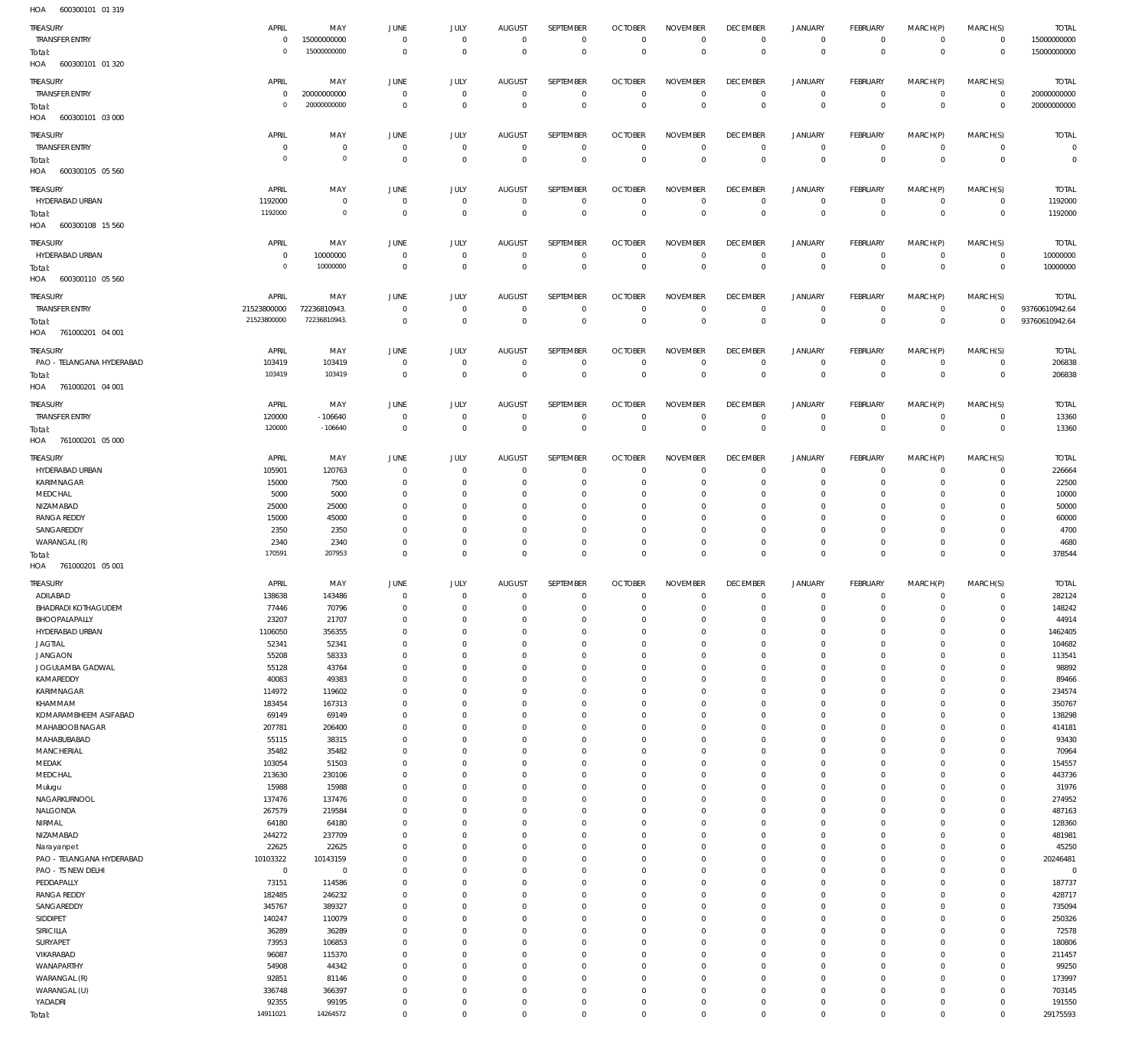600300101 01 319 HOA

| TREASURY                   | APRIL          | MAY            | <b>JUNE</b>    | JULY           | <b>AUGUST</b>  | SEPTEMBER        | <b>OCTOBER</b> | <b>NOVEMBER</b> | <b>DECEMBER</b> | <b>JANUARY</b> | FEBRUARY       | MARCH(P)       | MARCH(S)       | <b>TOTAL</b>   |
|----------------------------|----------------|----------------|----------------|----------------|----------------|------------------|----------------|-----------------|-----------------|----------------|----------------|----------------|----------------|----------------|
| <b>TRANSFER ENTRY</b>      | $\,0\,$        | 15000000000    | $\overline{0}$ | $\overline{0}$ | $\overline{0}$ | $\overline{0}$   | $\mathbf 0$    | $\mathbf 0$     | $\overline{0}$  | $\overline{0}$ | $\overline{0}$ | $\mathbf{0}$   | $\overline{0}$ | 15000000000    |
|                            | $\circ$        | 15000000000    |                | $\mathbf{0}$   | $\mathbb O$    | $\overline{0}$   | $\mathbf 0$    | $\overline{0}$  | $\mathbf 0$     | $\overline{0}$ | $\overline{0}$ | $\mathbf 0$    |                | 15000000000    |
| Total:                     |                |                | $\overline{0}$ |                |                |                  |                |                 |                 |                |                |                | $\overline{0}$ |                |
| HOA 600300101 01 320       |                |                |                |                |                |                  |                |                 |                 |                |                |                |                |                |
|                            |                |                |                |                |                | SEPTEMBER        |                |                 |                 |                |                |                |                |                |
| TREASURY                   | APRIL          | MAY            | <b>JUNE</b>    | JULY           | <b>AUGUST</b>  |                  | <b>OCTOBER</b> | <b>NOVEMBER</b> | <b>DECEMBER</b> | <b>JANUARY</b> | FEBRUARY       | MARCH(P)       | MARCH(S)       | <b>TOTAL</b>   |
| <b>TRANSFER ENTRY</b>      | $\,0\,$        | 20000000000    | $\overline{0}$ | $\mathbf 0$    | $\overline{0}$ | $\mathbf 0$      | $\overline{0}$ | $\mathbf 0$     | $\overline{0}$  | $\mathbf 0$    | $\overline{0}$ | $\mathbf 0$    | $\overline{0}$ | 20000000000    |
| Total:                     | $\circ$        | 20000000000    | $\overline{0}$ | $\mathbf 0$    | $\mathbb O$    | $\mathbf 0$      | $\mathbf 0$    | $\mathbf 0$     | $\mathbf 0$     | $\overline{0}$ | $\mathbf 0$    | $\overline{0}$ | $\overline{0}$ | 20000000000    |
| HOA<br>600300101 03 000    |                |                |                |                |                |                  |                |                 |                 |                |                |                |                |                |
|                            |                |                |                |                |                |                  |                |                 |                 |                |                |                |                |                |
| <b>TREASURY</b>            | APRIL          | MAY            | <b>JUNE</b>    | JULY           | <b>AUGUST</b>  | SEPTEMBER        | <b>OCTOBER</b> | <b>NOVEMBER</b> | <b>DECEMBER</b> | <b>JANUARY</b> | FEBRUARY       | MARCH(P)       | MARCH(S)       | <b>TOTAL</b>   |
| <b>TRANSFER ENTRY</b>      | $\overline{0}$ | $\mathbf 0$    | $\overline{0}$ | $\mathbf 0$    | $\overline{0}$ | $\mathbf 0$      | $\overline{0}$ | $\mathbf{0}$    | $\overline{0}$  | $\mathbf 0$    | $\overline{0}$ | $\mathbf{0}$   | $\overline{0}$ | $\mathbf 0$    |
|                            |                |                |                |                |                |                  |                |                 |                 |                |                |                |                |                |
| Total:                     | $\overline{0}$ | $\circ$        | $\mathbf 0$    | $\overline{0}$ | $\overline{0}$ | $\overline{0}$   | $\overline{0}$ | $\overline{0}$  | $\overline{0}$  | $\overline{0}$ | $\overline{0}$ | $\overline{0}$ | $\overline{0}$ | $\mathbf 0$    |
| HOA<br>600300105 05 560    |                |                |                |                |                |                  |                |                 |                 |                |                |                |                |                |
|                            |                |                |                |                |                |                  |                |                 |                 |                |                |                |                |                |
| TREASURY                   | APRIL          | MAY            | <b>JUNE</b>    | JULY           | <b>AUGUST</b>  | <b>SEPTEMBER</b> | <b>OCTOBER</b> | <b>NOVEMBER</b> | <b>DECEMBER</b> | <b>JANUARY</b> | FEBRUARY       | MARCH(P)       | MARCH(S)       | <b>TOTAL</b>   |
| HYDERABAD URBAN            | 1192000        | $\overline{0}$ | $\overline{0}$ | $\overline{0}$ | $\overline{0}$ | $\mathbf 0$      | $\overline{0}$ | $\mathbf 0$     | $\overline{0}$  | $\mathbf 0$    | $\overline{0}$ | $\circ$        | $\overline{0}$ | 1192000        |
| Total:                     | 1192000        | $\mathbf{0}$   | $\mathbf 0$    | $\mathbf{0}$   | $\mathbb O$    | $\mathbf 0$      | $\overline{0}$ | $\overline{0}$  | $\mathbf 0$     | $\overline{0}$ | $\overline{0}$ | $\overline{0}$ | $\overline{0}$ | 1192000        |
|                            |                |                |                |                |                |                  |                |                 |                 |                |                |                |                |                |
| HOA 600300108 15 560       |                |                |                |                |                |                  |                |                 |                 |                |                |                |                |                |
| <b>TREASURY</b>            | APRIL          | MAY            | <b>JUNE</b>    | JULY           | <b>AUGUST</b>  | SEPTEMBER        | <b>OCTOBER</b> | <b>NOVEMBER</b> | <b>DECEMBER</b> | <b>JANUARY</b> | FEBRUARY       | MARCH(P)       | MARCH(S)       | <b>TOTAL</b>   |
|                            |                |                |                |                |                |                  |                |                 |                 |                |                |                |                |                |
| HYDERABAD URBAN            | $\overline{0}$ | 10000000       | $\overline{0}$ | $\mathbf 0$    | $\overline{0}$ | $\mathbf 0$      | $\overline{0}$ | $\mathbf 0$     | $\overline{0}$  | $\mathbf 0$    | $\overline{0}$ | $\mathbf{0}$   | $\overline{0}$ | 10000000       |
| Total:                     | $^{\circ}$     | 10000000       | $\overline{0}$ | $\mathbf{0}$   | $\overline{0}$ | $\mathbf 0$      | $\mathbf 0$    | $\overline{0}$  | $\mathbf 0$     | $\overline{0}$ | $\overline{0}$ | $\overline{0}$ | $\overline{0}$ | 10000000       |
| HOA 600300110 05 560       |                |                |                |                |                |                  |                |                 |                 |                |                |                |                |                |
|                            |                |                |                |                |                |                  |                |                 |                 |                |                |                |                |                |
| TREASURY                   | APRIL          | MAY            | <b>JUNE</b>    | JULY           | <b>AUGUST</b>  | SEPTEMBER        | <b>OCTOBER</b> | <b>NOVEMBER</b> | <b>DECEMBER</b> | <b>JANUARY</b> | FEBRUARY       | MARCH(P)       | MARCH(S)       | <b>TOTAL</b>   |
| <b>TRANSFER ENTRY</b>      | 21523800000    | 72236810943.   | $\overline{0}$ | $\mathbf 0$    | $\overline{0}$ | $\mathbf 0$      | $\overline{0}$ | $\mathbf 0$     | $\overline{0}$  | $\mathbf 0$    | $\overline{0}$ | $\mathbf{0}$   | $\circ$        | 93760610942.64 |
|                            |                |                |                |                |                |                  |                |                 |                 |                |                |                |                |                |
| Total:                     | 21523800000    | 72236810943.   | $\overline{0}$ | $\overline{0}$ | $\mathbb O$    | $\mathbf{0}$     | $\overline{0}$ | $\mathbf 0$     | $\mathbf 0$     | $\overline{0}$ | $\mathbf 0$    | $\overline{0}$ | $\overline{0}$ | 93760610942.64 |
| HOA 761000201 04 001       |                |                |                |                |                |                  |                |                 |                 |                |                |                |                |                |
|                            |                |                |                |                |                |                  |                |                 |                 |                |                |                |                |                |
| TREASURY                   | APRIL          | MAY            | <b>JUNE</b>    | JULY           | <b>AUGUST</b>  | SEPTEMBER        | <b>OCTOBER</b> | <b>NOVEMBER</b> | <b>DECEMBER</b> | <b>JANUARY</b> | FEBRUARY       | MARCH(P)       | MARCH(S)       | <b>TOTAL</b>   |
| PAO - TELANGANA HYDERABAD  | 103419         | 103419         | $\overline{0}$ | $\overline{0}$ | $\overline{0}$ | $\mathbf 0$      | $\overline{0}$ | $\mathbf 0$     | $\overline{0}$  | $\circ$        | $\overline{0}$ | $\mathbf 0$    | $\circ$        | 206838         |
|                            | 103419         | 103419         | $\overline{0}$ | $\overline{0}$ | $\mathbb O$    | $\overline{0}$   | $\overline{0}$ | $\overline{0}$  | $\overline{0}$  | $\overline{0}$ | $\overline{0}$ | $\overline{0}$ | $\overline{0}$ | 206838         |
| Total:                     |                |                |                |                |                |                  |                |                 |                 |                |                |                |                |                |
| HOA 761000201 04 001       |                |                |                |                |                |                  |                |                 |                 |                |                |                |                |                |
|                            |                |                |                |                |                |                  |                |                 |                 |                |                |                |                |                |
| TREASURY                   | APRIL          | MAY            | <b>JUNE</b>    | JULY           | <b>AUGUST</b>  | SEPTEMBER        | <b>OCTOBER</b> | <b>NOVEMBER</b> | <b>DECEMBER</b> | <b>JANUARY</b> | FEBRUARY       | MARCH(P)       | MARCH(S)       | <b>TOTAL</b>   |
| <b>TRANSFER ENTRY</b>      | 120000         | $-106640$      | $\overline{0}$ | $\overline{0}$ | $\overline{0}$ | $\mathbf 0$      | $\overline{0}$ | $\mathbf 0$     | $\overline{0}$  | $\overline{0}$ | $\overline{0}$ | $\circ$        | $\overline{0}$ | 13360          |
| Total:                     | 120000         | $-106640$      | $\overline{0}$ | $\overline{0}$ | $\overline{0}$ | $\mathbf 0$      | $\mathbf 0$    | $\mathbf{0}$    | $\overline{0}$  | $\overline{0}$ | $\overline{0}$ | $\mathbf 0$    | $\overline{0}$ | 13360          |
| HOA 761000201 05 000       |                |                |                |                |                |                  |                |                 |                 |                |                |                |                |                |
|                            |                |                |                |                |                |                  |                |                 |                 |                |                |                |                |                |
| TREASURY                   | APRIL          | MAY            | <b>JUNE</b>    | JULY           | <b>AUGUST</b>  | SEPTEMBER        | <b>OCTOBER</b> | <b>NOVEMBER</b> | <b>DECEMBER</b> | <b>JANUARY</b> | FEBRUARY       | MARCH(P)       | MARCH(S)       | <b>TOTAL</b>   |
| HYDERABAD URBAN            | 105901         | 120763         | $\overline{0}$ | $\mathbf{0}$   | $\mathbf{0}$   | $\mathbf{0}$     | $\overline{0}$ | $\mathbf{0}$    | $\overline{0}$  | $\circ$        | $\overline{0}$ | $\mathbf 0$    | $\mathbf{0}$   | 226664         |
|                            |                |                |                |                |                |                  |                |                 |                 |                |                |                |                |                |
| KARIMNAGAR                 | 15000          | 7500           | $\overline{0}$ | $\mathbf 0$    | $^{\circ}$     | $\mathbf 0$      | $\mathbf 0$    | $\mathbf 0$     | $\overline{0}$  | $\mathbf 0$    | $\overline{0}$ | $\mathbf 0$    | $\circ$        | 22500          |
| MEDCHAL                    | 5000           | 5000           | $\overline{0}$ | $\Omega$       | $\mathbf 0$    | $\mathbf 0$      | $\mathbf 0$    | $\Omega$        | $\mathbf 0$     | 0              | $^{\circ}$     | $\Omega$       | $\mathbf 0$    | 10000          |
| NIZAMABAD                  | 25000          | 25000          | $\overline{0}$ | $\Omega$       | $\mathbf 0$    | $\mathbf 0$      | $^{\circ}$     | $\Omega$        | $\mathbf 0$     | 0              | $^{\circ}$     | $\Omega$       | $\mathbf 0$    | 50000          |
|                            |                |                |                |                |                |                  |                |                 |                 |                |                |                |                |                |
| <b>RANGA REDDY</b>         | 15000          | 45000          | $\overline{0}$ | $\Omega$       | $^{\circ}$     | $\mathbf 0$      | $\mathbf 0$    | $\Omega$        | $\mathbf 0$     | 0              | $^{\circ}$     | $\Omega$       | $^{\circ}$     | 60000          |
| SANGAREDDY                 | 2350           | 2350           | $\overline{0}$ | $\Omega$       | $\mathbf 0$    | $\mathbf 0$      | $\mathbf 0$    | $\Omega$        | $\mathbf 0$     | 0              | $^{\circ}$     | $\Omega$       | $\mathbf 0$    | 4700           |
| WARANGAL (R)               | 2340           | 2340           | $\overline{0}$ | $\mathbf 0$    | $\mathbf 0$    | $\mathbf 0$      | $\mathbf 0$    | $\mathbf 0$     | $\overline{0}$  | $\mathbf 0$    | $\overline{0}$ | $\mathbf 0$    | $\circ$        | 4680           |
| Total:                     | 170591         | 207953         | $\overline{0}$ | $\mathbf 0$    | $\overline{0}$ | $\mathbf 0$      | $\mathbf 0$    | $\mathbf 0$     | $\overline{0}$  | $\overline{0}$ | $\overline{0}$ | $\mathbf 0$    | $\overline{0}$ | 378544         |
|                            |                |                |                |                |                |                  |                |                 |                 |                |                |                |                |                |
|                            |                |                |                |                |                |                  |                |                 |                 |                |                |                |                |                |
| HOA 761000201 05 001       |                |                |                |                |                |                  |                |                 |                 |                |                |                |                |                |
|                            |                |                |                |                |                |                  |                |                 |                 |                |                |                |                |                |
| Treasury                   | APRIL          | MAY            | <b>JUNE</b>    | JULY           | <b>AUGUST</b>  | SEPTEMBER        | <b>OCTOBER</b> | <b>NOVEMBER</b> | <b>DECEMBER</b> | <b>JANUARY</b> | FEBRUARY       | MARCH(P)       | MARCH(S)       | <b>TOTAL</b>   |
| ADILABAD                   | 138638         | 143486         | $\overline{0}$ | $\overline{0}$ | $\overline{0}$ | $\mathbf 0$      | $\overline{0}$ | $\mathbf 0$     | $\overline{0}$  | $\circ$        | $\overline{0}$ | $\mathbf{0}$   | $\mathbf{0}$   | 282124         |
| <b>BHADRADI KOTHAGUDEM</b> | 77446          | 70796          | $\Omega$       | $\cap$         | $\Omega$       | $\cap$           | $\Omega$       | $\cap$          | $\cap$          | $\Omega$       | $\cap$         | $\cap$         | $\cap$         | 148242         |
|                            |                |                |                |                |                |                  |                |                 |                 |                |                |                |                |                |
| BHOOPALAPALLY              | 23207          | 21707          | $\overline{0}$ | 0              | $\mathbf 0$    | $\mathbf 0$      | $\mathbf 0$    | $\mathbf 0$     | $\overline{0}$  | $\mathbf 0$    | $\mathbf{0}$   | 0              | $\mathbf 0$    | 44914          |
| HYDERABAD URBAN            | 1106050        | 356355         | $\overline{0}$ | $\mathbf 0$    | $\mathbf{0}$   | $\mathbf 0$      | $\mathbf 0$    | $\mathbf 0$     | $\overline{0}$  | $\mathbf 0$    | $\circ$        | $\mathbf 0$    | $\mathbf{0}$   | 1462405        |
| <b>JAGTIAL</b>             | 52341          | 52341          | $\overline{0}$ | $\Omega$       | $\mathbf 0$    | $\mathbf 0$      | $\mathbf 0$    | $\mathbf 0$     | $\mathbf 0$     | $\mathbf 0$    | $\mathbf{0}$   | $\Omega$       | $\mathbf{0}$   | 104682         |
| <b>JANGAON</b>             | 55208          | 58333          | $\overline{0}$ | $\Omega$       | $\Omega$       | $\mathbf 0$      | $\mathbf{0}$   | $\mathbf 0$     | $\mathbf 0$     | $\mathbf 0$    | $\mathbf{0}$   | $\Omega$       | $\mathbf{0}$   | 113541         |
|                            |                |                |                | $\Omega$       | $\mathbf 0$    | $\mathbf 0$      | $\mathbf 0$    | $\mathbf 0$     | $\overline{0}$  | 0              | $\mathbf{0}$   | 0              | $\mathbf{0}$   |                |
| JOGULAMBA GADWAL           | 55128          | 43764          | $\overline{0}$ |                |                |                  |                |                 |                 |                |                |                |                | 98892          |
| KAMAREDDY                  | 40083          | 49383          | $\overline{0}$ | $\Omega$       | $\Omega$       | $\mathbf 0$      | $\mathbf{0}$   | $\mathbf 0$     | $\mathbf 0$     | $\mathbf 0$    | $\mathbf 0$    | $\Omega$       | $\mathbf 0$    | 89466          |
| KARIMNAGAR                 | 114972         | 119602         | $\overline{0}$ | $\Omega$       | $\mathbf 0$    | $\mathbf 0$      | $\mathbf{0}$   | $\Omega$        | $\overline{0}$  | 0              | $\mathbf{0}$   | $\Omega$       | $\mathbf{0}$   | 234574         |
| KHAMMAM                    | 183454         | 167313         | $\overline{0}$ | $\Omega$       | $\mathbf 0$    | $\mathbf 0$      | $\mathbf{0}$   | $\mathbf 0$     | $\mathbf 0$     | $\mathbf 0$    | $\mathbf{0}$   | 0              | $\mathbf{0}$   | 350767         |
|                            |                |                |                | $\Omega$       | $\mathbf 0$    | $\mathbf 0$      | $\mathbf{0}$   | $\Omega$        | $\mathbf 0$     | $\mathbf 0$    | $\mathbf{0}$   | $\Omega$       | $\mathbf{0}$   |                |
| KOMARAMBHEEM ASIFABAD      | 69149          | 69149          | $\overline{0}$ |                |                |                  |                |                 |                 |                |                |                |                | 138298         |
| MAHABOOB NAGAR             | 207781         | 206400         | $\overline{0}$ | $\Omega$       | $\mathbf 0$    | $\mathbf 0$      | $\mathbf{0}$   | $\mathbf 0$     | $\overline{0}$  | $\mathbf 0$    | $\mathbf{0}$   | 0              | $\mathbf{0}$   | 414181         |
| MAHABUBABAD                | 55115          | 38315          | $\overline{0}$ | $\Omega$       | $\mathbf 0$    | $\mathbf 0$      | $\mathbf{0}$   | $\mathbf 0$     | $\mathbf 0$     | 0              | $\mathbf{0}$   | $\Omega$       | $\mathbf{0}$   | 93430          |
| <b>MANCHERIAL</b>          | 35482          | 35482          | $\overline{0}$ | $\Omega$       | $\Omega$       | $\mathbf 0$      | $\mathbf{0}$   | $\Omega$        | $\mathbf 0$     | $\mathbf 0$    | $\mathbf{0}$   | $\Omega$       | $\mathbf{0}$   | 70964          |
|                            |                |                |                | $\Omega$       | $\mathbf 0$    | $\mathbf 0$      | $\mathbf 0$    | $\mathbf 0$     | $\overline{0}$  | 0              | $\mathbf{0}$   | 0              | $\mathbf{0}$   |                |
| MEDAK                      | 103054         | 51503          | $\overline{0}$ |                |                |                  |                |                 |                 |                |                |                |                | 154557         |
| MEDCHAL                    | 213630         | 230106         | $\overline{0}$ | $\Omega$       | $\Omega$       | $\mathbf 0$      | $\mathbf{0}$   | $\mathbf 0$     | $\mathbf 0$     | $\mathbf 0$    | $\mathbf 0$    | $\Omega$       | $\mathbf 0$    | 443736         |
| Mulugu                     | 15988          | 15988          | $\overline{0}$ | $\Omega$       | $\mathbf 0$    | $\mathbf 0$      | $\mathbf{0}$   | $\mathbf 0$     | $\overline{0}$  | 0              | $\mathbf{0}$   | $\Omega$       | $\mathbf{0}$   | 31976          |
| NAGARKURNOOL               | 137476         | 137476         | $\overline{0}$ | $\Omega$       | $\mathbf 0$    | $\mathbf 0$      | $\mathbf{0}$   | $\mathbf 0$     | $\mathbf 0$     | $\mathbf 0$    | $\mathbf{0}$   | 0              | $\mathbf{0}$   | 274952         |
|                            |                |                | $\overline{0}$ | $\Omega$       | $\mathbf 0$    | $\mathbf 0$      | $\mathbf{0}$   | $\Omega$        | $\mathbf 0$     | $\mathbf 0$    | $\mathbf{0}$   | $\Omega$       | $\mathbf{0}$   |                |
| NALGONDA                   | 267579         | 219584         |                |                |                |                  |                |                 |                 |                |                |                |                | 487163         |
| NIRMAL                     | 64180          | 64180          | $\overline{0}$ | $\Omega$       | $\mathbf 0$    | $\mathbf 0$      | $\mathbf{0}$   | $\mathbf 0$     | $\overline{0}$  | $\mathbf 0$    | $\mathbf{0}$   | 0              | $\mathbf{0}$   | 128360         |
| NIZAMABAD                  | 244272         | 237709         | $\overline{0}$ | $\Omega$       | $\mathbf 0$    | $\mathbf 0$      | $\mathbf 0$    | $\mathbf 0$     | $\mathbf 0$     | 0              | $\mathbf{0}$   | $\Omega$       | $\mathbf{0}$   | 481981         |
| Narayanpet                 | 22625          | 22625          | $\overline{0}$ | $\Omega$       | $\Omega$       | $\mathbf 0$      | $\mathbf 0$    | $\Omega$        | $\mathbf 0$     | $\mathbf 0$    | $\mathbf{0}$   | $\Omega$       | $\mathbf{0}$   | 45250          |
|                            |                |                |                | $\Omega$       |                |                  |                |                 |                 |                |                |                |                |                |
| PAO - TELANGANA HYDERABAD  | 10103322       | 10143159       | $\overline{0}$ |                | $\mathbf 0$    | $\mathbf 0$      | $\mathbf 0$    | $\mathbf 0$     | $\overline{0}$  | 0              | $\mathbf{0}$   | 0              | $\circ$        | 20246481       |
| PAO - TS NEW DELHI         | $\,0\,$        | $\overline{0}$ | $\overline{0}$ | $\Omega$       | $\Omega$       | $\mathbf 0$      | $\mathbf 0$    | $\mathbf 0$     | $\mathbf 0$     | $\mathbf 0$    | $\mathbf 0$    | $\Omega$       | $\mathbf{0}$   | $\mathbf 0$    |
| PEDDAPALLY                 | 73151          | 114586         | $\overline{0}$ | $\Omega$       | $\mathbf 0$    | $\mathbf 0$      | $\mathbf 0$    | $\mathbf 0$     | $\overline{0}$  | 0              | $\mathbf{0}$   | $\Omega$       | $\mathbf{0}$   | 187737         |
| <b>RANGA REDDY</b>         | 182485         | 246232         | $\overline{0}$ | $\Omega$       | $\mathbf 0$    | $\mathbf 0$      | $\mathbf 0$    | $\mathbf 0$     | $\mathbf 0$     | $\mathbf 0$    | $\mathbf{0}$   | $\Omega$       | $\mathbf{0}$   | 428717         |
|                            |                |                |                |                |                |                  |                |                 |                 |                |                |                |                |                |
| SANGAREDDY                 | 345767         | 389327         | $\overline{0}$ | $\Omega$       | $\mathbf 0$    | $\mathbf 0$      | $\mathbf 0$    | $\Omega$        | $\mathbf 0$     | $\mathbf 0$    | $\mathbf{0}$   | $\Omega$       | $\mathbf{0}$   | 735094         |
| SIDDIPET                   | 140247         | 110079         | $\overline{0}$ | $\Omega$       | $\mathbf 0$    | $\mathbf 0$      | $\mathbf 0$    | $\mathbf 0$     | $\overline{0}$  | $\mathbf 0$    | $\mathbf{0}$   | 0              | $\mathbf{0}$   | 250326         |
| <b>SIRICILLA</b>           | 36289          | 36289          | $\overline{0}$ | $\Omega$       | $\mathbf 0$    | $\mathbf 0$      | $\mathbf 0$    | $\Omega$        | $\mathbf 0$     | 0              | $\mathbf{0}$   | $\Omega$       | $\mathbf{0}$   | 72578          |
| SURYAPET                   | 73953          | 106853         | $\overline{0}$ | $\Omega$       | $\Omega$       | $\mathbf 0$      | $\mathbf 0$    | $\Omega$        | $\mathbf 0$     | $\mathbf 0$    | $\mathbf{0}$   | $\Omega$       | $\mathbf{0}$   | 180806         |
|                            |                |                |                |                |                |                  |                |                 |                 |                |                |                |                |                |
| VIKARABAD                  | 96087          | 115370         | $\overline{0}$ | $\Omega$       | $\mathbf 0$    | $\mathbf 0$      | $\mathbf 0$    | $\mathbf 0$     | $\overline{0}$  | 0              | $\mathbf{0}$   | 0              | $\mathbf{0}$   | 211457         |
| WANAPARTHY                 | 54908          | 44342          | $\overline{0}$ | $\Omega$       | $\Omega$       | $\mathbf 0$      | $\mathbf 0$    | $\mathbf 0$     | $\mathbf 0$     | $\mathbf 0$    | $\mathbf{0}$   | $\Omega$       | $\mathbf{0}$   | 99250          |
| WARANGAL (R)               | 92851          | 81146          | $\overline{0}$ | $\Omega$       | $\mathbf 0$    | $\mathbf 0$      | $\mathbf 0$    | $\mathbf 0$     | $\overline{0}$  | $\mathbf 0$    | $\mathbf{0}$   | $\Omega$       | $\mathbf{0}$   | 173997         |
|                            |                |                | $\overline{0}$ | $\Omega$       | $\mathbf 0$    | $\mathbf 0$      | $\mathbf 0$    | $\mathbf 0$     | $\overline{0}$  | $\mathbf 0$    | $\mathbf{0}$   | 0              | $\mathbf{0}$   |                |
| WARANGAL (U)               | 336748         | 366397         |                |                |                |                  |                |                 |                 |                |                |                |                | 703145         |
| YADADRI                    | 92355          | 99195          | $\mathbf 0$    | 0              | $\mathbf 0$    | $\bf 0$          | $\mathbf 0$    | $\mathbf 0$     | $\overline{0}$  | 0              | $\circ$        | 0              | $\mathbf{0}$   | 191550         |
| Total:                     | 14911021       | 14264572       | $\mathbf 0$    | 0              | $\overline{0}$ | $\mathbf 0$      | $\mathbf{0}$   | $\mathbf 0$     | $\mathbf 0$     | $\mathbf 0$    | $\overline{0}$ | $\mathbf 0$    | $\overline{0}$ | 29175593       |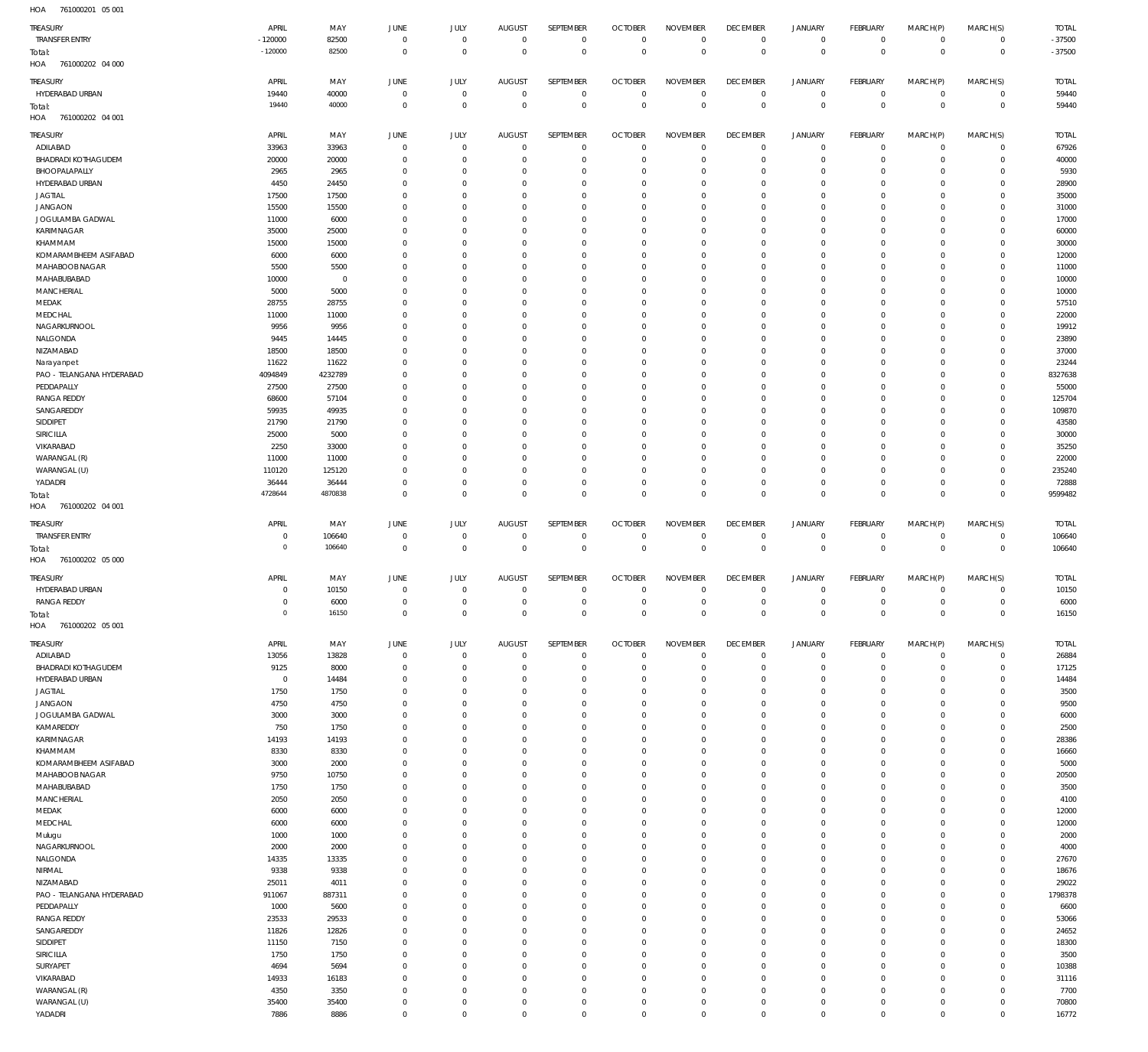761000201 05 001 HOA

| TREASURY                                | APRIL              | MAY              | JUNE                 | JULY                 | <b>AUGUST</b>        | SEPTEMBER                     | <b>OCTOBER</b>             | <b>NOVEMBER</b>            | <b>DECEMBER</b>                  | <b>JANUARY</b>                     | FEBRUARY                | MARCH(P)                   | MARCH(S)                   | <b>TOTAL</b>   |
|-----------------------------------------|--------------------|------------------|----------------------|----------------------|----------------------|-------------------------------|----------------------------|----------------------------|----------------------------------|------------------------------------|-------------------------|----------------------------|----------------------------|----------------|
| <b>TRANSFER ENTRY</b>                   | $-120000$          | 82500            | $\Omega$             | $\mathbf 0$          | $\overline{0}$       | $\,0\,$                       | $\overline{0}$             | $\overline{0}$             | $\mathbf 0$                      | $\mathsf{O}\xspace$                | $\mathbf 0$             | $\mathbf 0$                | $\mathbf 0$                | $-37500$       |
| Total:                                  | $-120000$          | 82500            | $\overline{0}$       | $\overline{0}$       | $\Omega$             | $\,0\,$                       | $\overline{0}$             | $\mathbb O$                | $\mathbf{0}$                     | $\mathbb O$                        | $\mathbf{0}$            | $\mathbf 0$                | $\mathbf{0}$               | $-37500$       |
| HOA<br>761000202 04 000                 |                    |                  |                      |                      |                      |                               |                            |                            |                                  |                                    |                         |                            |                            |                |
| TREASURY                                | APRIL              | MAY              | JUNE                 | JULY                 | <b>AUGUST</b>        | SEPTEMBER                     | <b>OCTOBER</b>             | <b>NOVEMBER</b>            | <b>DECEMBER</b>                  | <b>JANUARY</b>                     | FEBRUARY                | MARCH(P)                   | MARCH(S)                   | <b>TOTAL</b>   |
| HYDERABAD URBAN                         | 19440              | 40000            | $\Omega$             | $\overline{0}$       | $\Omega$             | $\overline{0}$                | $\overline{0}$             | $\mathbf 0$                | $\overline{0}$                   | 0                                  | $\mathbf 0$             | $\mathbf 0$                | $\mathbf 0$                | 59440          |
| Total:                                  | 19440              | 40000            | $\overline{0}$       | $\overline{0}$       | $\Omega$             | $\,0\,$                       | $\overline{0}$             | $\mathbb O$                | $\mathbf 0$                      | $\mathbb O$                        | $\mathbf 0$             | $\mathbf 0$                | $\mathbf 0$                | 59440          |
| HOA<br>761000202 04 001                 |                    |                  |                      |                      |                      |                               |                            |                            |                                  |                                    |                         |                            |                            |                |
| TREASURY                                | APRIL              | MAY              | JUNE                 | JULY                 | <b>AUGUST</b>        | SEPTEMBER                     | <b>OCTOBER</b>             | <b>NOVEMBER</b>            | <b>DECEMBER</b>                  | JANUARY                            | FEBRUARY                | MARCH(P)                   | MARCH(S)                   | <b>TOTAL</b>   |
| ADILABAD                                | 33963              | 33963            | $\Omega$             | $\overline{0}$       | $\Omega$             | $\mathbf 0$                   | $\overline{0}$             | $\mathbf 0$                | $^{\circ}$                       | $\mathsf{O}\xspace$                | $\mathbf 0$             | $\mathbf 0$                | $\mathbf 0$                | 67926          |
| <b>BHADRADI KOTHAGUDEM</b>              | 20000              | 20000            | $\Omega$             | $\Omega$             | $\Omega$             | $\mathbf 0$                   | $\Omega$                   | $\overline{0}$             | $\overline{0}$                   | $\mathsf{O}\xspace$                | O                       | $\mathbf 0$                | $\mathbf 0$                | 40000          |
| BHOOPALAPALLY                           | 2965               | 2965             | $\Omega$             | $\Omega$             | $\Omega$             | $\mathbf 0$                   | $\Omega$                   | $\mathbf 0$                | $\circ$                          | $\mathsf{O}\xspace$                | $\mathbf 0$             | $\mathbf 0$                | $\mathbf 0$                | 5930           |
| HYDERABAD URBAN                         | 4450               | 24450            | - 0                  | $\Omega$             | $\Omega$             | $\mathbf 0$                   | $\Omega$                   | $\mathbf 0$                | $\circ$                          | $\mathsf{O}\xspace$                | -0                      | $\mathbf 0$                | $\mathbf 0$                | 28900          |
| <b>JAGTIAL</b>                          | 17500              | 17500            | $\Omega$             | $\Omega$             | $\Omega$             | $\mathbf 0$                   | $\Omega$                   | $\mathbf 0$                | $\Omega$                         | $\mathbf 0$                        | 0                       | $\mathbf 0$                | $\mathbf 0$                | 35000          |
| <b>JANGAON</b>                          | 15500              | 15500            | - 0                  | $\Omega$<br>$\Omega$ | $\Omega$             | $\mathbf 0$                   | $\Omega$                   | $\mathbf 0$                | $^{\circ}$                       | $\mathbf 0$                        | -0                      | $\mathbf 0$                | $\mathbf 0$                | 31000          |
| JOGULAMBA GADWAL<br>KARIMNAGAR          | 11000<br>35000     | 6000<br>25000    | $\Omega$<br>- 0      | $\Omega$             | $\Omega$<br>$\Omega$ | $\overline{0}$<br>$\mathbf 0$ | $\Omega$<br>$\Omega$       | $\mathbf 0$<br>$\mathbf 0$ | $\Omega$<br>$\circ$              | $\mathbf 0$<br>$\mathsf{O}\xspace$ | $\Omega$<br>-0          | $\mathbf 0$<br>$\mathbf 0$ | $\mathbf 0$<br>$\mathbf 0$ | 17000<br>60000 |
| KHAMMAM                                 | 15000              | 15000            | $\Omega$             | $\Omega$             | $\Omega$             | $\overline{0}$                | $\Omega$                   | $\mathbf 0$                | $\Omega$                         | $\mathbf 0$                        | -0                      | $\mathbf 0$                | $\mathbf 0$                | 30000          |
| KOMARAMBHEEM ASIFABAD                   | 6000               | 6000             | $\Omega$             | $\Omega$             | $\Omega$             | $\mathbf 0$                   | $\Omega$                   | $\mathbf 0$                | $\circ$                          | $\mathbf 0$                        | -0                      | $\mathbf 0$                | $\mathbf 0$                | 12000          |
| MAHABOOB NAGAR                          | 5500               | 5500             | - 0                  | $\Omega$             | $\Omega$             | $\overline{0}$                | $\Omega$                   | $\mathbf 0$                | $\Omega$                         | $\mathbf 0$                        | -0                      | $\mathbf 0$                | $\mathbf 0$                | 11000          |
| MAHABUBABAD                             | 10000              | $\overline{0}$   | - 0                  | $\Omega$             | $\Omega$             | $\mathbf 0$                   | $\Omega$                   | $\mathbf 0$                | $\circ$                          | $\mathbf 0$                        | -0                      | $\mathbf 0$                | $\mathbf 0$                | 10000          |
| MANCHERIAL                              | 5000               | 5000             | $\Omega$             | $\Omega$             | $\Omega$             | $\mathbf 0$                   | $\Omega$                   | $\mathbf 0$                | $\Omega$                         | $\mathbf 0$                        | C                       | $\mathbf 0$                | $\mathbf 0$                | 10000          |
| MEDAK                                   | 28755              | 28755            | - 0                  | $\Omega$             | $\Omega$             | $\mathbf 0$                   | $\Omega$                   | $\mathbf 0$                | $\Omega$                         | $\mathbf 0$                        | -0                      | $\mathbf 0$                | $\mathbf 0$                | 57510          |
| MEDCHAL                                 | 11000              | 11000            | $\Omega$             | $\Omega$             | $\Omega$             | $\mathbf 0$                   | $\Omega$                   | $\mathbf 0$                | $\Omega$                         | $\mathbf 0$                        | -0                      | $\mathbf 0$                | $\mathbf 0$                | 22000          |
| NAGARKURNOOL                            | 9956               | 9956             | - 0                  | $\Omega$             | $\Omega$             | $\mathbf 0$                   | $\Omega$                   | $\mathbf 0$                | $\Omega$                         | $\mathbf 0$                        | O                       | $\mathbf 0$                | $\mathbf 0$                | 19912          |
| NALGONDA<br>NIZAMABAD                   | 9445               | 14445            | $\Omega$             | $\Omega$             | $\Omega$             | $\mathbf 0$                   | $\Omega$                   | $\mathbf 0$                | $\Omega$                         | $\mathbf 0$                        | $\mathbf 0$             | $\mathbf 0$                | $\mathbf 0$                | 23890          |
|                                         | 18500<br>11622     | 18500<br>11622   | - 0<br>$\Omega$      | $\Omega$<br>$\Omega$ | $\Omega$<br>$\Omega$ | $\mathbf 0$<br>$\overline{0}$ | $\Omega$<br>$\Omega$       | $\mathbf 0$<br>$\mathbf 0$ | $\Omega$<br>$\Omega$             | $\mathbf 0$<br>$\mathbf 0$         | O<br>$\Omega$           | $\mathbf 0$<br>$\mathbf 0$ | $\mathbf 0$<br>$\mathbf 0$ | 37000<br>23244 |
| Narayanpet<br>PAO - TELANGANA HYDERABAD | 4094849            | 4232789          | - 0                  | $\Omega$             | $\Omega$             | $\mathbf 0$                   | $\Omega$                   | $\mathbf 0$                | $\circ$                          | $\mathsf{O}\xspace$                | -0                      | $\mathbf 0$                | $\mathbf 0$                | 8327638        |
| PEDDAPALLY                              | 27500              | 27500            | $\Omega$             | $\Omega$             | $\Omega$             | $\overline{0}$                | $\Omega$                   | $\mathbf 0$                | $\Omega$                         | $\mathbf 0$                        | -0                      | $\mathbf 0$                | $\Omega$                   | 55000          |
| <b>RANGA REDDY</b>                      | 68600              | 57104            | $\Omega$             | $\Omega$             | $\Omega$             | $\mathbf 0$                   | $\Omega$                   | $\mathbf 0$                | $\circ$                          | $\mathbf 0$                        | -0                      | $\mathbf 0$                | $\mathbf 0$                | 125704         |
| SANGAREDDY                              | 59935              | 49935            | $\Omega$             | $\Omega$             | $\Omega$             | $\overline{0}$                | $\Omega$                   | $\overline{0}$             | $\Omega$                         | $\mathbf 0$                        | -0                      | $\mathbf 0$                | $\mathbf 0$                | 109870         |
| SIDDIPET                                | 21790              | 21790            | $\Omega$             | $\Omega$             | $\Omega$             | $\mathbf 0$                   | $\Omega$                   | $\mathbf 0$                | $\circ$                          | $\mathbf 0$                        | -0                      | $\mathbf 0$                | $\mathbf 0$                | 43580          |
| SIRICILLA                               | 25000              | 5000             | $\Omega$             | $\Omega$             | $\Omega$             | $\overline{0}$                | $\Omega$                   | $\mathbf 0$                | $\Omega$                         | $\mathbf 0$                        | -0                      | $\mathbf 0$                | $\mathbf 0$                | 30000          |
| VIKARABAD                               | 2250               | 33000            | - 0                  | $\Omega$             | $\Omega$             | $\mathbf 0$                   | $\Omega$                   | $\mathbf 0$                | $\Omega$                         | $\mathbf 0$                        | -0                      | $\mathbf 0$                | $\mathbf 0$                | 35250          |
| WARANGAL (R)                            | 11000              | 11000            | $\Omega$             | $\Omega$             | $\Omega$             | $\overline{0}$                | $\Omega$                   | $\mathbf 0$                | $\Omega$                         | $\mathbf 0$                        | -0                      | $\mathbf 0$                | $\mathbf 0$                | 22000          |
| WARANGAL (U)                            | 110120             | 125120           | - 0                  | $\Omega$             | $\Omega$             | $\mathbf 0$                   | $\Omega$                   | $\mathbf 0$                | $^{\circ}$                       | $\mathsf{O}\xspace$                | -0                      | $\mathbf 0$                | $\mathbf 0$                | 235240         |
| YADADRI                                 | 36444<br>4728644   | 36444<br>4870838 | $\Omega$             | $\Omega$             | $\Omega$<br>$\Omega$ | $\mathbf 0$                   | $^{\circ}$<br>$\Omega$     | $\overline{0}$             | $\overline{0}$                   | $\mathsf{O}\xspace$                | $\mathbf 0$<br>$\Omega$ | $\mathbf 0$                | $\mathbf 0$                | 72888          |
| Total:<br>HOA<br>761000202 04 001       |                    |                  | $\Omega$             | $\overline{0}$       |                      | $\mathbb O$                   |                            | $\mathbb O$                | $\mathbb O$                      | $\mathbb O$                        |                         | $\mathbf 0$                | $\mathbf{0}$               | 9599482        |
|                                         |                    |                  |                      |                      |                      |                               |                            |                            |                                  |                                    |                         |                            |                            |                |
| TREASURY                                | APRIL              | MAY              | JUNE                 | JULY                 | <b>AUGUST</b>        | SEPTEMBER                     | <b>OCTOBER</b>             | <b>NOVEMBER</b>            | <b>DECEMBER</b>                  | <b>JANUARY</b>                     | FEBRUARY                | MARCH(P)                   | MARCH(S)                   | <b>TOTAL</b>   |
| <b>TRANSFER ENTRY</b>                   | $\circ$            | 106640           | $\Omega$             | $\overline{0}$       | $\Omega$             | $\overline{0}$                | $\Omega$                   | $^{\circ}$                 | $\mathbb O$                      | 0                                  | $\mathbf 0$             | $\mathbf 0$                | $\mathbf 0$                | 106640         |
| Total:                                  | $\Omega$           | 106640           | $^{\circ}$           | $\mathbf 0$          | $\mathbf 0$          | $\mathbf 0$                   | $\mathbf 0$                | $\mathbb O$                | $\mathbb O$                      | $\,0\,$                            | $\mathbb O$             | $\mathbf 0$                | $\mathbf 0$                | 106640         |
| HOA<br>761000202 05 000                 |                    |                  |                      |                      |                      |                               |                            |                            |                                  |                                    |                         |                            |                            |                |
| TREASURY                                | APRIL              | MAY              | <b>JUNE</b>          | JULY                 | <b>AUGUST</b>        | SEPTEMBER                     | <b>OCTOBER</b>             | <b>NOVEMBER</b>            | <b>DECEMBER</b>                  | <b>JANUARY</b>                     | FEBRUARY                | MARCH(P)                   | MARCH(S)                   | <b>TOTAL</b>   |
| HYDERABAD URBAN                         | $\circ$            | 10150            | $\Omega$             | $\overline{0}$       | $\Omega$             | $\overline{0}$                | 0                          | $^{\circ}$                 | $^{\circ}$                       | 0                                  | 0                       | $^{\circ}$                 | $\mathbf 0$                | 10150          |
| <b>RANGA REDDY</b>                      | $\mathbb O$        | 6000             | $\Omega$             | $\overline{0}$       | $\Omega$             | $\mathbf 0$                   | $\mathbf 0$                | $\mathbf 0$                | $\mathbb O$                      | $\mathsf{O}\xspace$                | $\mathbf 0$             | $\mathbf 0$                | $\mathsf{O}$               | 6000           |
| Total:<br>HOA<br>761000202 05 001       | $\mathbf 0$        | 16150            | $\circ$              | $\mathbf 0$          | $\mathbf 0$          | $\mathbf 0$                   | $\mathbf 0$                | $\mathbb O$                | $\,0\,$                          | $\,0\,$                            | $\mathbb O$             | $\mathbf 0$                | $\mathbf 0$                | 16150          |
|                                         |                    |                  |                      |                      |                      |                               |                            |                            |                                  |                                    |                         |                            |                            |                |
| TREASURY                                | APRIL              | MAY              | JUNE                 | JULY                 | <b>AUGUST</b>        | SEPTEMBER                     | <b>OCTOBER</b>             | <b>NOVEMBER</b>            | <b>DECEMBER</b>                  | <b>JANUARY</b>                     | FEBRUARY                | MARCH(P)                   | MARCH(S)                   | <b>TOTAL</b>   |
| ADILABAD                                | 13056              | 13828            | $\overline{0}$       | $\overline{0}$       | $\mathbf 0$          | $\mathbf 0$                   | $\mathbf 0$                | $\mathbf 0$                | $\,0\,$                          | $\mathsf{O}\xspace$                | $\mathbf 0$             | $\circ$                    | $\mathsf{O}$               | 26884          |
| <b>BHADRADI KOTHAGUDEM</b>              | 9125               | 8000             | $\Omega$             | $\Omega$             | $\Omega$             | $\mathbf 0$                   | $^{\circ}$                 | $\overline{0}$             | $^{\circ}$                       | $\mathsf{O}\xspace$                | $^{\circ}$              | $\mathbf 0$                | $\mathbf 0$                | 17125          |
| HYDERABAD URBAN<br><b>JAGTIAL</b>       | $^{\circ}$<br>1750 | 14484<br>1750    | $\Omega$<br>$\Omega$ | $\Omega$<br>$\Omega$ | $\Omega$<br>$\Omega$ | $\mathbf 0$<br>$\mathbf 0$    | $\overline{0}$<br>$\Omega$ | $\mathbf 0$<br>$\mathbf 0$ | $\overline{0}$<br>$\overline{0}$ | $\mathsf{O}\xspace$<br>$\mathbf 0$ | $\mathbf 0$<br>0        | $\mathbf 0$<br>$\mathbf 0$ | $\mathbf 0$<br>$\mathbf 0$ | 14484<br>3500  |
| <b>JANGAON</b>                          | 4750               | 4750             | $\Omega$             | $\overline{0}$       | $\Omega$             | $\mathbf 0$                   | $^{\circ}$                 | $\mathbf 0$                | $\overline{0}$                   | $\mathbf 0$                        | $\Omega$                | $\mathbf 0$                | $\mathbf 0$                | 9500           |
| JOGULAMBA GADWAL                        | 3000               | 3000             | $\Omega$             | $\Omega$             | $\Omega$             | $\mathbf 0$                   | $\Omega$                   | $\mathbf 0$                | $\overline{0}$                   | $\mathbf 0$                        | $^{\circ}$              | $\mathbf 0$                | $\mathbf 0$                | 6000           |
| KAMAREDDY                               | 750                | 1750             | $\Omega$             | $\Omega$             | $\Omega$             | $\mathbf 0$                   | $\Omega$                   | $\mathbf 0$                | $\overline{0}$                   | $\mathbf 0$                        | $\Omega$                | $\mathbf 0$                | $\mathbf 0$                | 2500           |
| KARIMNAGAR                              | 14193              | 14193            | $\Omega$             | $\Omega$             | $\Omega$             | $\mathbf 0$                   | $\Omega$                   | $\mathbf 0$                | $\overline{0}$                   | $\mathbf 0$                        | $^{\circ}$              | $\mathbf 0$                | $\mathbf 0$                | 28386          |
| KHAMMAM                                 | 8330               | 8330             | $\Omega$             | $\Omega$             | $\Omega$             | $\mathbf 0$                   | $\Omega$                   | $\mathbf 0$                | $\overline{0}$                   | $\mathbf 0$                        | $\Omega$                | $\mathbf 0$                | $\mathbf 0$                | 16660          |
| KOMARAMBHEEM ASIFABAD                   | 3000               | 2000             | $\Omega$             | $\Omega$             | $\Omega$             | $\mathbf 0$                   | $^{\circ}$                 | $\mathbf 0$                | $\overline{0}$                   | $\mathbf 0$                        | $^{\circ}$              | $\mathbf 0$                | $\mathbf 0$                | 5000           |
| MAHABOOB NAGAR                          | 9750               | 10750            | $\Omega$             | $\Omega$             | $\Omega$             | $\mathbf 0$                   | $\Omega$                   | $\mathbf 0$                | $\overline{0}$                   | $\mathbf 0$                        | $^{\circ}$              | $\mathbf 0$                | $\mathbf 0$                | 20500          |
| MAHABUBABAD                             | 1750               | 1750             | $\Omega$             | $\Omega$             | $\Omega$             | $\mathbf 0$                   | $\Omega$                   | $\overline{0}$             | $\mathbf{0}$                     | $\mathbf 0$                        | $\Omega$                | $\Omega$                   | $\mathbf 0$                | 3500           |
| MANCHERIAL                              | 2050               | 2050             | $\Omega$<br>$\Omega$ | $\Omega$<br>$\Omega$ | $\Omega$<br>$\Omega$ | $\mathbf 0$                   | $^{\circ}$                 | $\mathbf 0$                | $\overline{0}$                   | $\mathbf 0$                        | $\mathbf 0$             | $\mathbf 0$                | $\mathbf 0$                | 4100           |
| MEDAK<br>MEDCHAL                        | 6000<br>6000       | 6000<br>6000     | $\Omega$             | $\Omega$             | $\Omega$             | $\mathbf 0$<br>$\mathbf 0$    | $\Omega$<br>$\overline{0}$ | $\mathbf 0$<br>$\mathbf 0$ | $\overline{0}$<br>$\overline{0}$ | $\mathbf 0$<br>$\mathbf 0$         | $\Omega$<br>$\mathbf 0$ | $\Omega$<br>$\mathbf 0$    | $\mathbf 0$<br>$\mathbf 0$ | 12000<br>12000 |
| Mulugu                                  | 1000               | 1000             | $\Omega$             | $\Omega$             | $\Omega$             | $\mathbf 0$                   | $\Omega$                   | $\mathbf 0$                | $\overline{0}$                   | $\mathbf 0$                        | $\Omega$                | $\Omega$                   | $\mathbf 0$                | 2000           |
| NAGARKURNOOL                            | 2000               | 2000             | $\Omega$             | $\overline{0}$       | $\Omega$             | $\mathbf 0$                   | $^{\circ}$                 | $\mathbf 0$                | $\overline{0}$                   | $\mathbf 0$                        | $\Omega$                | $\mathbf 0$                | $\mathbf 0$                | 4000           |
| NALGONDA                                | 14335              | 13335            | $\Omega$             | $\Omega$             | $\Omega$             | $\mathbf 0$                   | $\Omega$                   | $\mathbf 0$                | $\overline{0}$                   | $\mathbf 0$                        | $^{\circ}$              | $\mathbf 0$                | $\mathbf 0$                | 27670          |
| NIRMAL                                  | 9338               | 9338             | $\Omega$             | $\Omega$             | $\Omega$             | $\mathbf 0$                   | $\Omega$                   | $\mathbf 0$                | $\overline{0}$                   | $\mathbf 0$                        | $\Omega$                | $\Omega$                   | $\mathbf 0$                | 18676          |
| NIZAMABAD                               | 25011              | 4011             | $\Omega$             | $\Omega$             | $\Omega$             | $\mathbf 0$                   | $\Omega$                   | $\mathbf 0$                | $\overline{0}$                   | $\mathbf 0$                        | $^{\circ}$              | $\mathbf 0$                | $\mathbf 0$                | 29022          |
| PAO - TELANGANA HYDERABAD               | 911067             | 887311           | $\Omega$             | $\Omega$             | $\Omega$             | $\overline{0}$                | $\Omega$                   | $\mathbf 0$                | $\overline{0}$                   | $\mathbf 0$                        | $\Omega$                | $\mathbf 0$                | $\mathbf 0$                | 1798378        |
| PEDDAPALLY                              | 1000               | 5600             | $\Omega$             | $\Omega$             | $\Omega$             | $\mathbf 0$                   | $^{\circ}$                 | $\mathbf 0$                | $\overline{0}$                   | $\mathbf 0$                        | $^{\circ}$              | $\Omega$                   | $\mathbf 0$                | 6600           |
| <b>RANGA REDDY</b>                      | 23533              | 29533            | $\Omega$             | $\Omega$             | $\Omega$             | $\mathbf 0$                   | $\Omega$                   | $\mathbf 0$                | $\overline{0}$                   | $\mathbf 0$                        | $^{\circ}$              | $\mathbf 0$                | $\mathbf 0$                | 53066          |
| SANGAREDDY                              | 11826              | 12826            | $\Omega$<br>$\Omega$ | $\Omega$<br>$\Omega$ | $\Omega$<br>$\Omega$ | $\mathbf 0$                   | $\Omega$                   | $\overline{0}$             | $\mathbf{0}$                     | $\mathbf 0$                        | $\Omega$                | $\Omega$                   | $\mathbf 0$                | 24652          |
| SIDDIPET<br>SIRICILLA                   | 11150<br>1750      | 7150<br>1750     | $\Omega$             | $\Omega$             | $\Omega$             | $\mathbf 0$<br>$\mathbf 0$    | $^{\circ}$<br>$\Omega$     | $\mathbf 0$<br>$\mathbf 0$ | $\overline{0}$<br>$\overline{0}$ | $\mathbf 0$<br>$\mathbf 0$         | $\mathbf 0$<br>$\Omega$ | $\mathbf 0$<br>$\Omega$    | $\mathbf 0$<br>$\mathbf 0$ | 18300<br>3500  |
| SURYAPET                                | 4694               | 5694             | $\Omega$             | $\Omega$             | $\Omega$             | $\mathbf 0$                   | $\overline{0}$             | $\mathbf 0$                | $\overline{0}$                   | $\mathbf 0$                        | $\mathbf 0$             | $\mathbf 0$                | $\mathbf 0$                | 10388          |
| VIKARABAD                               | 14933              | 16183            | $\Omega$             | $\Omega$             | $\Omega$             | $\overline{0}$                | $\Omega$                   | $\mathbf 0$                | $\overline{0}$                   | $\mathbf 0$                        | $\Omega$                | $\Omega$                   | $\mathbf 0$                | 31116          |
| WARANGAL (R)                            | 4350               | 3350             | $\Omega$             | $\overline{0}$       | $\Omega$             | $\mathbf 0$                   |                            | $\mathbf 0$                | $\overline{0}$                   | $\mathbf 0$                        | $\mathbf 0$             | $\mathbf 0$                | $\mathbf 0$                | 7700           |
|                                         |                    |                  |                      |                      |                      |                               | $^{\circ}$                 |                            |                                  |                                    |                         |                            |                            |                |
| WARANGAL (U)                            | 35400              | 35400            | $\Omega$             | $^{\circ}$           | $\mathbf 0$          | $\,0\,$                       | $^{\circ}$                 | $\mathbf 0$                | $\mathbf 0$                      | $\mathsf{O}\xspace$                | 0                       | $\mathbf 0$                | $\mathbf 0$                | 70800          |
| YADADRI                                 | 7886               | 8886             | $\Omega$             | $\Omega$             | $\Omega$             | $\mathbf 0$                   | $\Omega$                   | $\mathbf 0$                | $\mathbf 0$                      | $\mathbf 0$                        | $\mathbf 0$             | $\mathbf 0$                | $\mathbf 0$                | 16772          |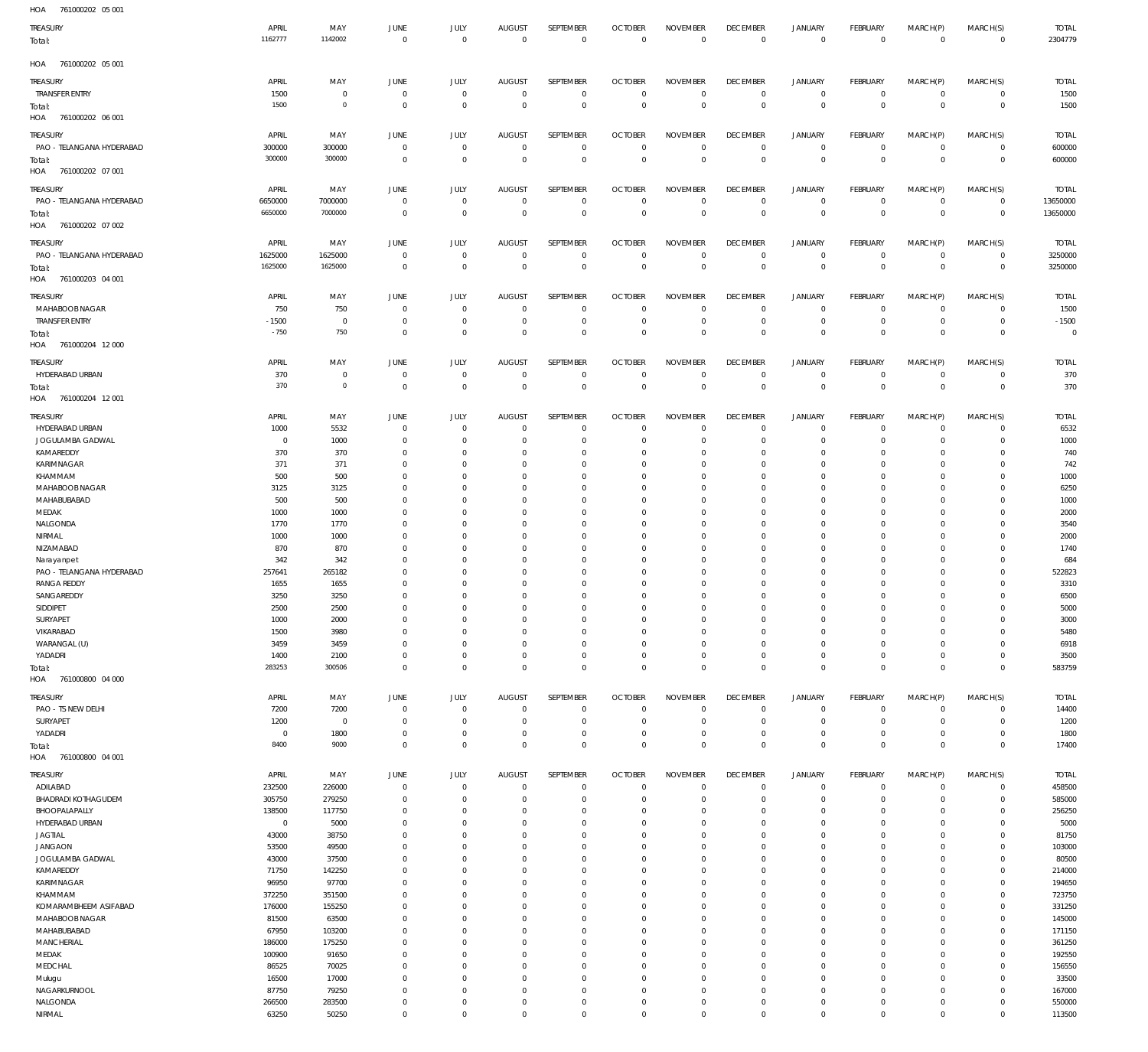761000202 05 001 HOA

| 10.011<br><b>TUTOULDE</b><br>$\sim$   |                  |                |                            |                            |                              |                          |                               |                                |                                   |                               |                     |                |                            |                         |
|---------------------------------------|------------------|----------------|----------------------------|----------------------------|------------------------------|--------------------------|-------------------------------|--------------------------------|-----------------------------------|-------------------------------|---------------------|----------------|----------------------------|-------------------------|
| TREASURY                              | APRIL            | MAY            | <b>JUNE</b>                | JULY                       | <b>AUGUST</b>                | SEPTEMBER                | <b>OCTOBER</b>                | <b>NOVEMBER</b>                | <b>DECEMBER</b>                   | <b>JANUARY</b>                | FEBRUARY            | MARCH(P)       | MARCH(S)                   | <b>TOTAL</b>            |
| Total:                                | 1162777          | 1142002        | $\overline{0}$             | $\mathbf 0$                | $\overline{0}$               | $\,0\,$                  | $\overline{0}$                | $\,0\,$                        | $\overline{0}$                    | $\,0\,$                       | $\overline{0}$      | $\mathbf 0$    | $\overline{0}$             | 2304779                 |
|                                       |                  |                |                            |                            |                              |                          |                               |                                |                                   |                               |                     |                |                            |                         |
| HOA 761000202 05 001                  |                  |                |                            |                            |                              |                          |                               |                                |                                   |                               |                     |                |                            |                         |
| TREASURY                              | APRIL            | MAY            | <b>JUNE</b>                | <b>JULY</b>                | <b>AUGUST</b>                | SEPTEMBER                | <b>OCTOBER</b>                | <b>NOVEMBER</b>                | <b>DECEMBER</b>                   | <b>JANUARY</b>                | FEBRUARY            | MARCH(P)       | MARCH(S)                   | <b>TOTAL</b>            |
| TRANSFER ENTRY                        | 1500             | $\mathbf 0$    | $\overline{0}$             | $\mathbf 0$                | $\overline{0}$               | $\mathbf 0$              | $\overline{0}$                | $\mathbf 0$                    | $\overline{0}$                    | $\circ$                       | $\overline{0}$      | 0              | $\overline{0}$             | 1500                    |
| Total:                                | 1500             | $\circ$        | $\overline{0}$             | $\mathbf 0$                | $\overline{0}$               | $\mathbf 0$              | $\overline{0}$                | $\mathbf 0$                    | $\overline{0}$                    | $\mathbf 0$                   | $\overline{0}$      | $\mathbf 0$    | $\overline{0}$             | 1500                    |
| HOA<br>761000202 06 001               |                  |                |                            |                            |                              |                          |                               |                                |                                   |                               |                     |                |                            |                         |
|                                       |                  |                |                            |                            |                              |                          |                               |                                |                                   |                               |                     |                |                            |                         |
| TREASURY                              | APRIL            | MAY            | JUNE                       | <b>JULY</b>                | <b>AUGUST</b>                | SEPTEMBER                | <b>OCTOBER</b>                | <b>NOVEMBER</b>                | <b>DECEMBER</b>                   | <b>JANUARY</b>                | FEBRUARY            | MARCH(P)       | MARCH(S)                   | <b>TOTAL</b>            |
| PAO - TELANGANA HYDERABAD             | 300000           | 300000         | $\overline{0}$             | $\mathbf 0$                | $\overline{0}$               | $\mathbf 0$              | $\overline{0}$                | $\mathbf 0$                    | $\overline{0}$                    | $\circ$                       | $\overline{0}$      | $\mathbf{0}$   | $\overline{0}$             | 600000                  |
| Total:                                | 300000           | 300000         | $\overline{0}$             | $\mathbf 0$                | $\overline{0}$               | $\overline{0}$           | $\overline{0}$                | $\mathbf 0$                    | $\overline{0}$                    | $\overline{0}$                | $\overline{0}$      | $\mathbf 0$    | $\overline{0}$             | 600000                  |
| HOA<br>761000202 07 001               |                  |                |                            |                            |                              |                          |                               |                                |                                   |                               |                     |                |                            |                         |
| TREASURY                              | APRIL            | MAY            | <b>JUNE</b>                | <b>JULY</b>                | <b>AUGUST</b>                | SEPTEMBER                | <b>OCTOBER</b>                | <b>NOVEMBER</b>                | <b>DECEMBER</b>                   | <b>JANUARY</b>                | FEBRUARY            | MARCH(P)       | MARCH(S)                   | <b>TOTAL</b>            |
| PAO - TELANGANA HYDERABAD             | 6650000          | 7000000        | $\overline{0}$             | $\mathbf 0$                | $\overline{0}$               | $\mathbf 0$              | $\overline{0}$                | $\mathbf 0$                    | $\overline{0}$                    | $\circ$                       | $\overline{0}$      | $\circ$        | $\overline{0}$             | 13650000                |
| Total:                                | 6650000          | 7000000        | $\overline{0}$             | $\mathbf 0$                | $\overline{0}$               | $\mathbf 0$              | $\overline{0}$                | $\overline{0}$                 | $\overline{0}$                    | $\overline{0}$                | $\overline{0}$      | $\overline{0}$ | $\overline{0}$             | 13650000                |
| HOA<br>761000202 07 002               |                  |                |                            |                            |                              |                          |                               |                                |                                   |                               |                     |                |                            |                         |
|                                       |                  |                |                            |                            |                              |                          |                               |                                |                                   |                               |                     |                |                            |                         |
| TREASURY<br>PAO - TELANGANA HYDERABAD | APRIL<br>1625000 | MAY<br>1625000 | <b>JUNE</b><br>$\mathbf 0$ | <b>JULY</b><br>$\mathbf 0$ | <b>AUGUST</b><br>$\mathbf 0$ | SEPTEMBER<br>$\mathbf 0$ | <b>OCTOBER</b><br>$\mathbf 0$ | <b>NOVEMBER</b><br>$\mathbf 0$ | <b>DECEMBER</b><br>$\overline{0}$ | <b>JANUARY</b><br>$\mathbf 0$ | FEBRUARY<br>$\circ$ | MARCH(P)<br>0  | MARCH(S)<br>$\overline{0}$ | <b>TOTAL</b><br>3250000 |
|                                       | 1625000          | 1625000        | $\overline{0}$             | $\mathbf 0$                | $\overline{0}$               | $\mathbf 0$              | $\overline{0}$                | $\overline{0}$                 | $\overline{0}$                    | $\overline{0}$                | $\overline{0}$      | $\mathbf 0$    | $\overline{0}$             | 3250000                 |
| Total:<br>HOA<br>761000203 04 001     |                  |                |                            |                            |                              |                          |                               |                                |                                   |                               |                     |                |                            |                         |
|                                       |                  |                |                            |                            |                              |                          |                               |                                |                                   |                               |                     |                |                            |                         |
| <b>TREASURY</b>                       | APRIL            | MAY            | <b>JUNE</b>                | <b>JULY</b>                | <b>AUGUST</b>                | SEPTEMBER                | <b>OCTOBER</b>                | <b>NOVEMBER</b>                | <b>DECEMBER</b>                   | <b>JANUARY</b>                | FEBRUARY            | MARCH(P)       | MARCH(S)                   | <b>TOTAL</b>            |
| MAHABOOB NAGAR                        | 750              | 750            | $\overline{0}$             | $\mathbf 0$                | $\overline{0}$               | $\mathbf 0$              | $\overline{0}$                | $\mathbf 0$                    | $\overline{0}$                    | $\mathbf 0$                   | $\overline{0}$      | 0              | $\circ$                    | 1500                    |
| <b>TRANSFER ENTRY</b>                 | $-1500$          | $\overline{0}$ | $\overline{0}$             | $\mathbf 0$                | $\overline{0}$               | $\mathbf 0$              | $\overline{0}$                | $\mathbf 0$                    | $\overline{0}$                    | $\mathbf 0$                   | $\overline{0}$      | $\mathbf 0$    | $\overline{0}$             | $-1500$                 |
| Total:                                | $-750$           | 750            | $\overline{0}$             | $\mathbf 0$                | $\overline{0}$               | $\mathbf 0$              | $\overline{0}$                | $\mathbf 0$                    | $\overline{0}$                    | $\mathbf 0$                   | $\overline{0}$      | $\mathbf 0$    | $\overline{0}$             | $\overline{0}$          |
| HOA<br>761000204 12 000               |                  |                |                            |                            |                              |                          |                               |                                |                                   |                               |                     |                |                            |                         |
| <b>TREASURY</b>                       | APRIL            | MAY            | JUNE                       | <b>JULY</b>                | <b>AUGUST</b>                | SEPTEMBER                | <b>OCTOBER</b>                | <b>NOVEMBER</b>                | <b>DECEMBER</b>                   | <b>JANUARY</b>                | FEBRUARY            | MARCH(P)       | MARCH(S)                   | <b>TOTAL</b>            |
| HYDERABAD URBAN                       | 370              | $\mathbf 0$    | $\overline{0}$             | $\mathbf 0$                | $\mathbf 0$                  | $\mathbf 0$              | $\overline{0}$                | $\mathbf 0$                    | $\overline{0}$                    | $\mathbf 0$                   | $\circ$             | $\mathbf 0$    | $\overline{0}$             | 370                     |
|                                       | 370              | $\circ$        | $\overline{0}$             | $\mathbf 0$                | $\overline{0}$               | $\,0\,$                  | $\overline{0}$                | $\overline{0}$                 | $\overline{0}$                    | $\overline{0}$                | $\overline{0}$      | $\mathbf 0$    | $\overline{0}$             | 370                     |
| Total:<br>HOA 761000204 12 001        |                  |                |                            |                            |                              |                          |                               |                                |                                   |                               |                     |                |                            |                         |
|                                       |                  |                |                            |                            |                              |                          |                               |                                |                                   |                               |                     |                |                            |                         |
| <b>TREASURY</b>                       | APRIL            | MAY            | <b>JUNE</b>                | <b>JULY</b>                | <b>AUGUST</b>                | SEPTEMBER                | <b>OCTOBER</b>                | <b>NOVEMBER</b>                | <b>DECEMBER</b>                   | <b>JANUARY</b>                | FEBRUARY            | MARCH(P)       | MARCH(S)                   | <b>TOTAL</b>            |
| HYDERABAD URBAN                       | 1000             | 5532           | $\overline{0}$             | $\mathbf 0$                | $\overline{0}$               | $\mathbf 0$              | $\overline{0}$                | 0                              | $\mathbf 0$                       | 0                             | $\overline{0}$      | 0              | $\circ$                    | 6532                    |
| JOGULAMBA GADWAL                      | $\overline{0}$   | 1000           | $\overline{0}$             | $\mathbf 0$                | $\mathbf 0$                  | $\mathbf 0$              | $\overline{0}$                | $\mathbf 0$                    | $\overline{0}$                    | $\mathbf 0$                   | $\overline{0}$      | 0              | $\circ$                    | 1000                    |
| KAMAREDDY                             | 370              | 370            | $\overline{0}$             | $\mathbf 0$                | $^{\circ}$                   | $\mathbf 0$              | $\overline{0}$                | 0                              | $\mathbf 0$                       | 0                             | $\mathbf 0$         | 0              | $\circ$                    | 740                     |
| KARIMNAGAR                            | 371              | 371            | $\mathbf 0$                | $\mathbf 0$                | $^{\circ}$                   | $\mathbf 0$              | $^{\circ}$                    | $\mathbf 0$                    | $\mathbf 0$                       | 0                             | $^{\circ}$          | 0              | $\mathbf{0}$               | 742                     |
| KHAMMAM                               | 500              | 500            | $\overline{0}$             | $\mathbf 0$                | $\mathbf 0$                  | $\mathbf 0$              | $\overline{0}$                | $\mathbf 0$                    | $\mathbf 0$                       | 0                             | $^{\circ}$          | 0              | $\mathbf{0}$               | 1000                    |
| MAHABOOB NAGAR                        | 3125             | 3125           | $\mathbf 0$                | $\mathbf 0$                | $\mathbf 0$                  | $\mathbf 0$              | $\mathbf 0$                   | $\mathbf 0$                    | $\mathbf 0$                       | 0                             | $\mathbf{0}$        | 0              | $\mathbf{0}$               | 6250                    |
| MAHABUBABAD                           | 500              | 500            | $\mathbf 0$                | $\mathbf 0$                | $\mathbf 0$                  | $\mathbf 0$              | $^{\circ}$                    | $\mathbf 0$                    | $\mathbf 0$                       | 0                             | $\mathbf{0}$        | $\Omega$       | $\mathbf 0$                | 1000                    |
| MEDAK                                 | 1000             | 1000           | $\overline{0}$             | $\mathbf 0$                | $\mathbf 0$                  | $\mathbf 0$              | $\mathbf 0$                   | $\mathbf 0$                    | $\mathbf 0$                       | 0                             | $^{\circ}$          | 0              | $\mathbf 0$                | 2000                    |
| NALGONDA                              | 1770             | 1770           | $\mathbf 0$                | $\mathbf 0$                | $\mathbf 0$                  | $\mathbf 0$              | $\mathbf 0$                   | $\mathbf 0$                    | $\mathbf 0$                       | 0                             | $\mathbf{0}$        | 0              | $\mathbf 0$                | 3540                    |
| NIRMAL                                | 1000             | 1000           | $\mathbf 0$                | $\mathbf 0$                | $\mathbf 0$                  | $\mathbf 0$              | $\mathbf 0$                   | $\mathbf 0$                    | $\mathbf 0$                       | 0                             | $\mathbf{0}$        | 0              | $\mathbf{0}$               | 2000                    |
| NIZAMABAD                             | 870              | 870            | $\mathbf 0$                | $\mathbf 0$                | $\mathbf 0$                  | $\mathbf 0$              | $\mathbf 0$                   | $\mathbf 0$                    | $\mathbf 0$                       | 0                             | $\mathbf 0$         | 0              | $\mathbf 0$                | 1740                    |
| Narayanpet                            | 342              | 342            | $\mathbf 0$                | $\mathbf 0$                | $\mathbf 0$                  | $\mathbf 0$              | $\mathbf 0$                   | $\mathbf 0$                    | $\mathbf 0$                       | 0                             | $\mathbf{0}$        | $\Omega$       | $\mathbf 0$                | 684                     |
| PAO - TELANGANA HYDERABAD             | 257641           | 265182         | $\mathbf 0$                | 0                          | $\mathbf 0$                  | $\mathbf 0$              | $^{\circ}$                    | $\mathbf 0$                    | $\mathbf 0$                       | 0                             | $^{\circ}$          | 0              | $\mathbf{0}$               | 522823                  |
| <b>RANGA REDDY</b>                    | 1655             | 1655           | $\mathbf 0$                | $\mathbf 0$                | $\mathbf 0$                  | $\mathbf 0$              | $\mathbf 0$                   | $\mathbf 0$                    | $\mathbf 0$                       | 0                             | $\mathbf{0}$        | 0              | $\mathbf 0$                | 3310                    |
| SANGAREDDY                            | 3250             | 3250           | $\overline{0}$             | $\mathbf 0$                | $\overline{0}$               | $\mathbf 0$              | $\overline{0}$                | $\mathbf 0$                    | $\overline{0}$                    | $\mathbf 0$                   | $\mathbf{0}$        | $\Omega$       | $\mathbf{0}$               | 6500                    |
| SIDDIPET                              | 2500             | 2500           | $\cap$                     |                            | $\Omega$                     |                          | $\Omega$                      | $\Omega$                       | $\Omega$                          | $\Omega$                      | $\Omega$            |                | $\Omega$                   | 5000                    |
| SURYAPET                              | 1000             | 2000           | $\overline{0}$             | $\mathbf 0$                | $\mathbf 0$                  | $\mathbf 0$              | $\overline{0}$                | $\mathbf 0$                    | $\mathbf 0$                       | $\mathbf 0$                   | $\circ$             | 0              | $\mathbf{0}$               | 3000                    |
| VIKARABAD                             | 1500             | 3980           | $\overline{0}$             | $\mathbf 0$                | $\mathbf 0$                  | $\mathbf 0$              | $\overline{0}$                | $\mathbf 0$                    | $\mathbf 0$                       | 0                             | $\circ$             | $\mathbf 0$    | $\mathbf{0}$               | 5480                    |
| WARANGAL (U)                          | 3459             | 3459           | $\overline{0}$             | $\mathbf 0$                | $\mathbf 0$                  | $\mathbf 0$              | $\mathbf 0$                   | $\mathbf 0$                    | $\mathbf 0$                       | 0                             | $\mathbf{0}$        | 0              | $\mathbf{0}$               | 6918                    |
| YADADRI                               | 1400             | 2100           | $\overline{0}$             | $\mathbf 0$                | $\mathbf 0$                  | $\mathbf 0$              | $\overline{0}$                | $\mathbf 0$                    | $\overline{0}$                    | 0                             | $\circ$             | $\mathbf 0$    | $\mathbf{0}$               | 3500                    |
| Total:                                | 283253           | 300506         | $\overline{0}$             | $\mathbf 0$                | $\overline{0}$               | $\mathbf 0$              | $\overline{0}$                | $\mathbf 0$                    | $\overline{0}$                    | $\mathbf 0$                   | $\overline{0}$      | $\mathbf 0$    | $\overline{0}$             | 583759                  |
| HOA<br>761000800 04 000               |                  |                |                            |                            |                              |                          |                               |                                |                                   |                               |                     |                |                            |                         |
| <b>TREASURY</b>                       | APRIL            | MAY            | JUNE                       | JULY                       | AUGUST                       | SEPTEMBER                | <b>OCTOBER</b>                | <b>NOVEMBER</b>                | <b>DECEMBER</b>                   | <b>JANUARY</b>                | FEBRUARY            | MARCH(P)       | MARCH(S)                   | <b>TOTAL</b>            |
| PAO - TS NEW DELHI                    | 7200             | 7200           | $\mathbf 0$                | $\mathbf 0$                | $\mathbf 0$                  | $\mathbf 0$              | $\mathbf 0$                   | $\mathbf 0$                    | $\mathbf 0$                       | $\mathbf 0$                   | $\circ$             | $\mathbf 0$    | $\circ$                    | 14400                   |
| SURYAPET                              | 1200             | $\overline{0}$ | $\overline{0}$             | $\mathbf 0$                | $\mathbf 0$                  | $\mathbf 0$              | $\overline{0}$                | $\mathbf 0$                    | $\mathbf 0$                       | $\mathbf 0$                   | $\overline{0}$      | $\mathbf 0$    | $\circ$                    | 1200                    |
| YADADRI                               | $\overline{0}$   | 1800           | $\mathbf 0$                | $\mathbf 0$                | $\mathbf 0$                  | $\mathbf 0$              | $\mathbf 0$                   | $\mathbf 0$                    | $\mathbf 0$                       | 0                             | $\circ$             | $\mathbf 0$    | $\mathbf{0}$               | 1800                    |
| Total:                                | 8400             | 9000           | $\overline{0}$             | $\mathbf 0$                | $\mathbf 0$                  | $\mathbf 0$              | $\overline{0}$                | $\mathbf 0$                    | $\mathbf 0$                       | $\mathbf 0$                   | $\overline{0}$      | $\mathbf 0$    | $\overline{0}$             | 17400                   |
| HOA<br>761000800 04 001               |                  |                |                            |                            |                              |                          |                               |                                |                                   |                               |                     |                |                            |                         |
|                                       |                  |                |                            |                            |                              |                          |                               |                                |                                   |                               |                     |                |                            |                         |
| <b>TREASURY</b>                       | APRIL            | MAY            | JUNE                       | <b>JULY</b>                | <b>AUGUST</b>                | SEPTEMBER                | <b>OCTOBER</b>                | <b>NOVEMBER</b>                | <b>DECEMBER</b>                   | JANUARY                       | FEBRUARY            | MARCH(P)       | MARCH(S)                   | <b>TOTAL</b>            |
| ADILABAD                              | 232500           | 226000         | $\overline{0}$             | $\mathbf 0$                | $\overline{0}$               | $\mathbf 0$              | $\overline{0}$                | $\mathbf 0$                    | $\overline{0}$                    | 0                             | $\overline{0}$      | 0              | $\circ$                    | 458500                  |
| <b>BHADRADI KOTHAGUDEM</b>            | 305750           | 279250         | $\overline{0}$             | $\mathbf 0$                | $\mathbf 0$                  | $\mathbf 0$              | $\overline{0}$                | $\mathbf 0$                    | $\mathbf 0$                       | 0                             | $\overline{0}$      | 0              | $\circ$                    | 585000                  |
| BHOOPALAPALLY                         | 138500           | 117750         | $\overline{0}$             | $\mathbf 0$                | $\mathbf 0$                  | $\mathbf 0$              | $\overline{0}$                | $\mathbf 0$                    | $\mathbf 0$                       | 0                             | $\circ$             | 0              | $\circ$                    | 256250                  |
| HYDERABAD URBAN                       | $\overline{0}$   | 5000           | $\overline{0}$             | $\mathbf 0$                | $\mathbf 0$                  | $\mathbf 0$              | $\mathbf 0$                   | $\mathbf 0$                    | $\mathbf 0$                       | 0                             | $\mathbf{0}$        | 0              | $\mathbf{0}$               | 5000                    |
| JAGTIAL                               | 43000            | 38750          | $\overline{0}$             | $\Omega$                   | $\mathbf 0$                  | $\mathbf 0$              | $\mathbf 0$                   | $\mathbf 0$                    | $\mathbf 0$                       | 0                             | $\mathbf{0}$        | $\Omega$       | $\mathbf{0}$               | 81750                   |
| <b>JANGAON</b>                        | 53500            | 49500          | $\mathbf 0$                | $\mathbf 0$                | $\mathbf 0$                  | $\mathbf 0$              | $\mathbf 0$                   | $\mathbf 0$                    | $\mathbf 0$                       | 0                             | $\mathbf{0}$        | 0              | $\mathbf{0}$               | 103000                  |
| JOGULAMBA GADWAL                      | 43000            | 37500          | $\mathbf 0$                | $\Omega$                   | $\mathbf 0$                  | $\mathbf 0$              | $\mathbf 0$                   | $\mathbf 0$                    | $\mathbf 0$                       | 0                             | $\mathbf{0}$        | $\Omega$       | $\mathbf 0$                | 80500                   |
| KAMAREDDY                             | 71750            | 142250         | $\overline{0}$             | $\mathbf 0$                | $\mathbf 0$                  | $\mathbf 0$              | $\mathbf 0$                   | $\mathbf 0$                    | $\mathbf 0$                       | 0                             | $\mathbf{0}$        | 0              | $\mathbf{0}$               | 214000                  |
| KARIMNAGAR                            | 96950            | 97700          | $\mathbf 0$                | $\Omega$                   | $\mathbf 0$                  | $\mathbf 0$              | $\mathbf 0$                   | $\mathbf 0$                    | $\mathbf 0$                       | 0                             | $\mathbf{0}$        | $\Omega$       | $\mathbf 0$                | 194650                  |
| KHAMMAM                               | 372250           | 351500         | $\mathbf 0$                | $\Omega$                   | $\mathbf 0$                  | $\mathbf 0$              | $\mathbf 0$                   | $\mathbf 0$                    | $\mathbf 0$                       | $\mathbf 0$                   | $\mathbf{0}$        | $\Omega$       | $\mathbf{0}$               | 723750                  |
| KOMARAMBHEEM ASIFABAD                 | 176000           | 155250         | $\overline{0}$             | $\mathbf 0$                | $\mathbf 0$                  | $\mathbf 0$              | $\mathbf 0$                   | $\mathbf 0$                    | $\mathbf 0$                       | 0                             | $\circ$             | 0              | $\mathbf{0}$               | 331250                  |
| MAHABOOB NAGAR                        | 81500            | 63500          | $\mathbf 0$                | $\Omega$                   | $\mathbf 0$                  | $\mathbf 0$              | $\mathbf 0$                   | $\mathbf 0$                    | $\mathbf 0$                       | $\mathbf 0$                   | $\mathbf 0$         | $\Omega$       | $\mathbf 0$                | 145000                  |
| MAHABUBABAD                           | 67950            | 103200         | $\overline{0}$             | $\mathbf 0$                | $\mathbf 0$                  | $\mathbf 0$              | $\mathbf 0$                   | $\mathbf 0$                    | $\mathbf 0$                       | 0                             | $\mathbf{0}$        | 0              | $\mathbf{0}$               | 171150                  |
| <b>MANCHERIAL</b>                     | 186000           | 175250         | $\mathbf 0$                | $\Omega$                   | $\mathbf 0$                  | $\mathbf 0$              | $\mathbf 0$                   | $\mathbf 0$                    | $\mathbf 0$                       | $\mathbf 0$                   | $\mathbf 0$         | $\Omega$       | $\mathbf 0$                | 361250                  |
| MEDAK                                 | 100900           | 91650          | $\overline{0}$             | $\Omega$                   | $\mathbf 0$                  | $\mathbf 0$              | $\mathbf 0$                   | $\mathbf 0$                    | $\mathbf 0$                       | 0                             | $\mathbf{0}$        | $\Omega$       | $\mathbf{0}$               | 192550                  |
| MEDCHAL                               | 86525            | 70025          | $\overline{0}$             | $\mathbf 0$                | $\mathbf 0$                  | $\mathbf 0$              | $\mathbf 0$                   | $\mathbf 0$                    | $\mathbf 0$                       | 0                             | $\mathbf{0}$        | 0              | $\mathbf{0}$               | 156550                  |
| Mulugu                                | 16500            | 17000          | $\mathbf 0$                | $\Omega$                   | $\mathbf 0$                  | $\mathbf 0$              | $\mathbf 0$                   | $\mathbf 0$                    | $\mathbf 0$                       | 0                             | $\mathbf{0}$        | $\Omega$       | $\mathbf{0}$               | 33500                   |
| NAGARKURNOOL                          | 87750            | 79250          | $\overline{0}$             | $\mathbf 0$                | $\mathbf 0$                  | $\mathbf 0$              | $\overline{0}$                | $\mathbf 0$                    | $\mathbf 0$                       | $\mathbf 0$                   | $\mathbf{0}$        | 0              | $\mathbf{0}$               | 167000                  |
| NALGONDA                              | 266500           | 283500         | $\mathbf 0$                | $\mathbf 0$                | $\mathbf 0$                  | $\mathbf 0$              | $\mathbf 0$                   | $\mathbf 0$                    | $\mathbf 0$                       | 0                             | $\circ$             | 0              | $\circ$                    | 550000                  |
| NIRMAL                                | 63250            | 50250          | $\overline{0}$             | $\mathbf 0$                | $\mathbf 0$                  | $\mathbf 0$              | $\mathbf 0$                   | $\mathbf 0$                    | $\overline{0}$                    | 0                             | $\circ$             | $\mathbf 0$    | $\mathbf{0}$               | 113500                  |
|                                       |                  |                |                            |                            |                              |                          |                               |                                |                                   |                               |                     |                |                            |                         |